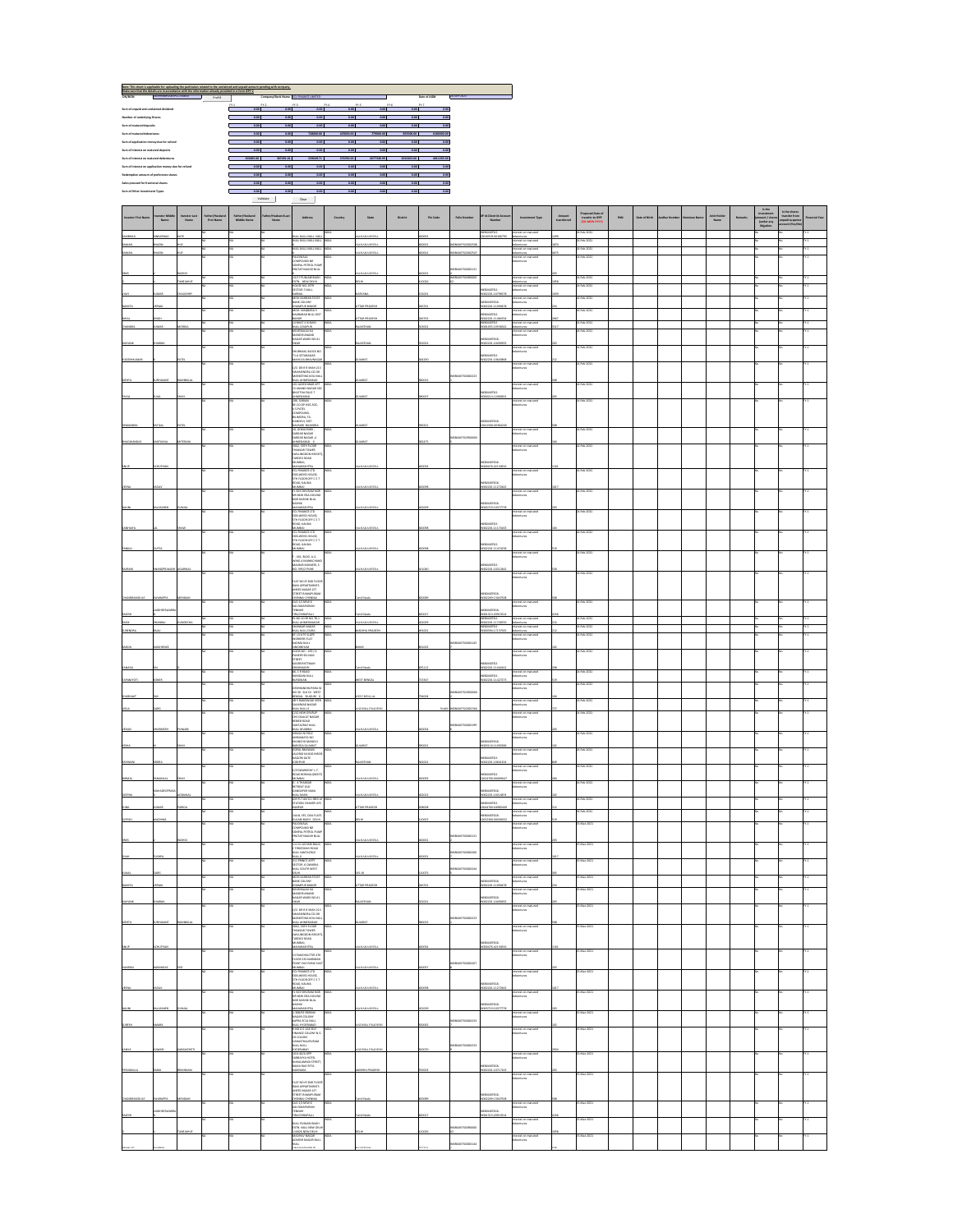| NGEL THE MOST EXPERIENT SYSTEM OF OUR DESCRIPTION OF USE AND MOVEMENT OF SYSTEMS OF A STATE OF OUR DESCRIPTION OF A STATE OF OUR DESCRIPTION OF A STATE OF OUR DESCRIPTION OF A STATE OF OUR DESCRIPTION OF A STATE OF OUR DES<br>$\frac{64.7}{0.00}$ $\frac{0.00}{0.00}$<br>194 - 194 - 194 - 194 - 194 - 194 - 194 - 194 - 194 - 194 - 194 - 194 - 194 - 194 - 194 - 194 - 194 - 194 - 194 - 194 - 194 - 194 - 194 - 194 - 194 - 194 - 194 - 194 - 194 - 194 - 194 - 194 - 194 - 194 - 194 - 194 - 194 -<br>$\frac{1}{2}$ and $\frac{1}{2}$<br>0.00<br>Sum of unpaid and unclaimed dividend<br>$\overline{1}$ $\overline{0}$ $\overline{0}$ $\overline{0}$ $\overline{0}$ $\overline{0}$ $\overline{0}$ $\overline{0}$ $\overline{0}$ $\overline{0}$ $\overline{0}$ $\overline{0}$ $\overline{0}$ $\overline{0}$ $\overline{0}$ $\overline{0}$ $\overline{0}$ $\overline{0}$ $\overline{0}$ $\overline{0}$ $\overline{0}$ $\overline{0}$ $\overline{0}$ $\overline{0}$ $\overline{$<br>$\begin{array}{ c c c c c }\n\hline\n\text{0.00} & \text{0.00}\n\hline\n\end{array}$<br>$0.00$ $0.00$<br>Number of underlying Shares<br>0.00<br>0.00<br>6.00<br>0.00 0.00<br>0.00<br>0.00<br>0.00<br>0.00<br>Sum of matured deposits<br>$\overline{\phantom{a}}$<br>$-0.00$<br>0.00 728000.00 425000.00<br>779000.00 855000.00<br>6180000.00<br>Sum of matured debentures<br>$\blacksquare$<br>Sum of application money due for refund<br>6.00<br>0.00 0.00 0.00<br>$0.00$ $0.00$<br>$\blacksquare$<br>0.00<br>0.00<br>$-0.00$<br>0.00<br>0.00<br>0.00<br>0.00<br>Sum of interest on matured deposits<br>$\blacksquare$<br>202405.00 267091.01 529608.71 276766.00 267723.99 2010103.00<br>4011265.00<br>Sum of interest on matured debentures<br>$\overline{\phantom{a}}$<br>6.00 6.00<br>Sum of interest on application money due for refund<br>- 600<br>0.00<br>$-0.00$<br>$-0.00$<br>$\blacksquare$<br>$-0.00$<br>Redemption amount of preference shares<br>6.00 6.00 6.00<br>0.00 0.00 0.00 0.00<br>$\overline{\phantom{a}}$<br>$\overline{\phantom{a}}$ $\overline{\phantom{a}}$ $\overline{\phantom{a}}$ $\overline{\phantom{a}}$<br>$\overline{\phantom{a}}$ $\overline{\phantom{a}}$ $\overline{\phantom{a}}$ $\overline{\phantom{a}}$ $\overline{\phantom{a}}$ $\overline{\phantom{a}}$ $\overline{\phantom{a}}$ $\overline{\phantom{a}}$ $\overline{\phantom{a}}$ $\overline{\phantom{a}}$ $\overline{\phantom{a}}$ $\overline{\phantom{a}}$ $\overline{\phantom{a}}$ $\overline{\phantom{a}}$ $\overline{\phantom{a}}$ $\overline{\phantom{a}}$ $\overline{\phantom{a}}$ $\overline{\phantom{a}}$ $\overline{\$<br>$\frac{1}{2}$ $\frac{1}{2}$ $\frac{1}{2}$ $\frac{1}{2}$ $\frac{1}{2}$ $\frac{1}{2}$ $\frac{1}{2}$ $\frac{1}{2}$ $\frac{1}{2}$ $\frac{1}{2}$ $\frac{1}{2}$ $\frac{1}{2}$ $\frac{1}{2}$ $\frac{1}{2}$ $\frac{1}{2}$ $\frac{1}{2}$ $\frac{1}{2}$ $\frac{1}{2}$ $\frac{1}{2}$ $\frac{1}{2}$ $\frac{1}{2}$ $\frac{1}{2}$<br>$\frac{1}{2}$ ass<br>Sales proceed for fractional shares<br>$\blacksquare$<br>0.00<br>0.00<br>0.00<br>0.00 0.00 0.00<br>0.00<br>$0.00$ $0.00$<br>Sum of Other Investment Types<br>$\blacksquare$<br>$\verb Value $ $\verb Case $<br><u> Tanzania (</u><br>$\begin{array}{c} \textbf{is the}\footnotesize \textbf{insert} \textbf{et} \\ \textbf{invariant} \textit{f} \textit{ where}\\ \textbf{under any}\footnotesize \textit{begin} \\ \textbf{inagger} \end{array}$<br>is the shares<br>transfer from<br>unpaid suspense<br>account (Yes/No)<br>Proposed Date of<br>transfer to IEPF<br>(DO-MON-YYYY)<br>Father/Husband Last<br>Name<br>estor Midd<br>Name<br>Father/Nushan<br>First Name<br>Father/Musband<br>Middle Name<br>Cleet Id-A<br>Namber<br>$\begin{array}{c} \textit{Anout} \\ \textit{transform} \end{array}$<br>Investor Last<br>Name<br>ioint Holde<br>Name<br>Address<br>$\frac{1}{2}$<br>District<br>westor First Nam<br>Country<br><b>Pin Code</b><br>Folio Number<br><b>Investment Type</b><br>PAN<br>drill of the<br>Remarks<br><b>Madhach</b><br>rterez on matured<br>debettures<br>interez on matured<br>6-2021<br>li nuli nuli. Nul<br>Li nuli nuli nul<br>KARRAD<br><b><i>BURASHTRA</i></b><br>coco<br>010919-00166791<br>Feb-2021<br>L NULLI NGCLI N<br>$46 - 2021$<br><b><i>BURASHTRA</i></b><br>coos<br>6806075/2002507<br><b>GIN</b><br>625<br>.<br>ALEJWALA<br>OMPAL PETROL PUMI<br>RATAP NAGAR MULL<br>Feb-302<br>ictures<br>8080756600131<br>i) Purunai ang<br>K. NGW DGUH<br>.<br>Classical<br>œ<br>nca .<br>OUSE NO-1979<br>ECTOR-7 NULL<br>arest on m<br>bentures<br>$+6 - 332$<br>49040792-<br>CTOR/ADDI<br>VANAL<br>WA COLONY<br>WA COLONY<br>HAMPUR BUNOR<br>CHEMARIO NULL DIST<br>AUBABAD NULL DIST<br>RUBABAD NULL DIST<br>002201-10706578<br>arest on mat<br>bertures<br>12070034<br>102201-11094478<br>rderest on matured<br>Sebentures<br>Feb-3021<br>C200029-<br>AGR<br>BAAT II KI BARI<br>erest on matured<br>ab-3321<br>accs<br>000005-100000<br><b>LILLUDARUR<br/>EAR BALAS KA<br/>MADIR ANAND<br/>MGAR WARD NO 41</b><br><b>LASTHAN</b><br>debentures<br>Interest on m<br>debentures<br>452000026<br>002201-10030292<br>interest on m<br>debentures<br>.<br>HJEHAM, RLOCK NO<br>1-A SETANAGAR<br>E8040792-<br><b>NEUVA BRAVISAGA</b><br>MRAT<br>002201-10643868<br>1290<br>JO DR R R SHAW 212<br>080756600223<br><b>SSHINAA</b><br>mest con<br>abertures<br>s anang nagar so<br>Ikatiha Palo 7<br>69340792-<br>UMEDARAD<br>06, SARSAN<br>15.00.0P HSG SOC,<br>15.PATEL<br>MAAT<br>0007<br>4900214-12060901<br>interest on mati<br>debentures<br>TARPOLINO,<br>LIMORA, TA-<br>ADEVI, DIST-<br>322000254<br>avenni, user<br>Avenni Bilimora<br>Vedar Nagar<br>Vedar Nagar <sub>/</sub> 1<br>041500-00364245<br>interest on matured<br>debentures<br>Feb-3021<br>Consentration and<br>MANTONARAD 0<br>MANTONARAD 0<br>HAKKAR TOWER<br>HAKKAR TOWER<br>interest on matured<br>debentures<br>Feb-3021<br>060 80AD<br>ARAI,<br>UUSASHTRA<br>6804075G6-<br>300476-42134936<br>debentures<br>LE PHROBLE LID<br>DELWEISS HOUSE,<br>DAD, KALINA<br>DAD, KALINA<br>02205-11272442<br>MWA<br>202 SHIVRANA NGA<br>interest on matured<br>debentures<br>.<br>1 501 SHIVRAM NGR<br>ir NGW SRA GOVING<br>iga nashe null<br>inghir<br>inghalagsitan<br>igan, kalina<br>igan, kalina<br>igan, kalina<br>igan, kalina<br>conservac.<br>102719-10277778<br>interest on matured<br>debentures<br>46-3021<br>CR100022<br>002201-11174163<br>IUMBAI<br>11. FINANCE 1TD<br>161 WEISS HOUSE,<br>1H FLOOR OFF C S T<br>1MD, KALINA<br>interest on matured<br>debentures<br>69340792-<br><b>IASML</b><br>002201-11474228<br>interest on i<br>debentures<br>401, 8106. A-2,<br>-<br>ING A MANKOHAN<br>IALAR MUNIERI, S.<br>O. SRS/2 PUNE<br>68060792-<br>002201-10212642<br>Interest on matured<br>debentures<br>TNO 292ND FLO<br>ni appartments<br>iees nagar ist<br><b>REET RAMAPURAN</b><br>322000256<br>002269-12047508<br>interest on matured<br>debentures<br>66-2021<br>4400000<br>OHEESIIVAN<br>RUCHRAPALLI<br>NO 10 SR NO 78-1<br>001313-20913554<br>680440752-<br>002205-11726700<br>interest on matured<br>36 Feb 3021<br>$\frac{1}{2}$<br><b>LARASHTE</b><br>.<br>Curios<br>$46 - 2021$<br>ULL NULL DURG<br>- 13 6 PS SLOPE<br>IORKERS FLAT<br>IOMA NULL<br><b>DHYA PRADESH</b><br>1001<br>000394-17137565<br>ab-3321<br>arest on m<br>bertares<br>2010202020102<br>NOMIN WALL<br>DORING - 169 / 6<br>NGCR SELVAM<br>REET<br>interest on matured<br>debentures<br>Feb-2021<br><b>GRIPATTNAM</b><br>69340792-<br>SHWGRI<br>CRROAD<br>NGANI MULL<br>nil Nadu<br>002201-11444161<br>interest on matured<br>debentures<br>49040792-<br>IN902201-15427272<br>URDWAN<br><b>ICST BENGAL</b><br>12247<br>.<br>SHAMDHUPARA V<br>3 30 SLG DI WEST<br>etares<br>AY AND IN WEI<br>GAL SEIGURI<br>MAKAR NAGAR<br>interest on matured<br>debentures<br>Feb-3021<br>i nullo<br>I new devrup<br>rrest on m<br>entures<br>(AZ NEW DEVRUP<br>INS DAULAT NAGAR<br>IERER ROAD<br>IERER ROAD<br>ANTACRUZ NULL<br>IERSA NI POLE<br>IERSA NI POLE<br>IEROD - CULRAT<br>IEROD - CULRAT<br>interest on matured<br>debentures<br>$46 - 332$<br>conservac.<br>$\begin{array}{r} \mbox{.} \vspace{1mm} \vspace{0.1mm} \vspace{0.1mm} \vspace{0.1mm} \vspace{0.1mm} \vspace{0.1mm} \vspace{0.1mm} \vspace{0.1mm} \vspace{0.1mm} \vspace{0.1mm} \vspace{0.1mm} \vspace{0.1mm} \vspace{0.1mm} \vspace{0.1mm} \vspace{0.1mm} \vspace{0.1mm} \vspace{0.1mm} \vspace{0.1mm} \vspace{0.1mm} \vspace{0.1mm} \vspace{0.1mm} \vspace{0.1mm} \vspace{0.1mm} \v$<br>000116-15092386<br>terest on matured<br>ibentures<br>46-3021<br>02201-10641334<br>rterest on<br>.<br>2'dwareshi l-T<br>3ad Bornaujar<br>debentures<br>COTHAINS<br>069647<br><b>COMPANY</b><br>interest on mature<br>ISTREAT CLO<br>GANGAPUR NAKA<br>GULI NASIK<br>CHI FLT AN 221 BRD A<br>GATION CHAKERI AFS<br>entanes<br>16804107566-<br>1982285-18214874<br>:<br>Sebentures<br>Sebentures<br>468340792-<br><b>TAR PRADESH</b><br>auk.<br>100500-009300<br>rterest on mat<br>Sebentures<br>144-9, SFS, DOA FLATE<br>120700026<br>NYM, AND NATIONAL<br>NIEZWALA<br>DARPOUND NR<br>DARPAL PETROL PUNA<br>032300-0003003<br>rderest on matured<br>Sebentures<br>Mar-2021<br>660012<br><b>LARASHITE</b><br>11-51 Achar Baug<br>Friceshah Road<br>Ull Santacruz<br>interest on matur<br>debentures<br>8080756600300<br><b>u0</b><br>JLLO<br>1 PRINCE APPT<br>CTOR-4 DWARKA<br>JLLSOUTH WEST<br>interest on matured<br>debentures<br>0075660036<br><b>DIA<br/>GIAL<br/>GIAL KAHRAN STATE<br/>MANFUR BUNOR<br/>MARK WARD ND<br/>MARK WARD ND 41</b><br>MARK WARD ND 41<br>KAR<br>interest on mat<br>debentures<br>NERO4IO75GE-<br>NGC 2201-11094478<br>TTAR PRADESH<br>65761<br><b>MARTA</b><br><b>Jessis</b><br>interest on matured<br>debentures<br>44000003<br>022201-1009021<br>erest on matured<br>Sentanes<br>Mar-202<br>(JD) DR R R SHAW 213<br>Gwariendra CO-OR<br>Marketing Koll Null<br>8080756600222<br>MARING KALING<br>25 Mar-2021<br>interest on matured<br>debentures<br>44060 RDAD<br>E806075GG-<br>300476-421366:<br>MBAI,<br>Akaasiitaa<br>terest on matured<br>ibentures<br>Var-202<br>12 PANCHELITTIR 4TH<br>FLOOR 230 NARMAN<br>POINT VILE PAREE EAST<br>MUMBAL<br>ECL FINANCE LTD<br>FINANCE HOURE<br>REAG, KALINA<br>REAG, KALINA<br>MUMBAL<br>interest on matured<br>debentures<br>$-1/32$<br>680407566<br><b>LOAV</b><br>LINU, MAINA<br>EJMBAI<br>E NEW ERA GOVIND<br>GR NASHIK NULL<br>GR NASHIK NULL<br>ASHIK<br><b><i>SURASHTRA</i></b><br>ocosa<br>4902201-11272442<br>EENA<br>interest on matured<br>debentures<br>432009483<br><i>unsuk<br/>Amarikasumaa</i><br>- Jordo Srikam<br>WGAR COLONY<br>MARIKASUMAAD<br>RIN HYSENAAD<br>- NO G-5-164 SSLC<br>- SCOLONY<br>- NOGRABAD<br>- NOGRABAD<br>- NOGRABAD<br>003719-10377778<br>S-Mar-2021<br>interest on matured<br>debentures<br>contact<br>HEATS/<br>S-Mar-2021<br>interest on matured<br>debentures<br>NGO WAN<br>10-6-40/A 099-<br>SUBBAYYA HOTEL<br>NUKALAMMA STREET,<br>RAMA RAO PETA<br>KAMA RAO PETA<br>rterest on matureo<br>Sebentures<br><b>BA PRADE</b><br>302205-10717163<br>interest on matured<br>debentures<br>ELAT NO 29 2ND FLOOR<br>RANI APPARTMENTS<br>ANGES NAGAR 15T<br>STREET RAMAPURAM<br>CHEMMA CHENNAI<br>OLD 1/1 NEW C<br>68041075G6-<br>002269-1304751<br>ETANAPLIRAM<br>NNLR<br>bertares<br>OHISSIMA<br>332000282<br><b>UCHRAFALL</b><br>006313-20913514<br>rest on m<br>entures<br>ilill Punumin Baghi<br>Xital Null New Delh<br>801075669000<br>DODG NEW DELHI<br>interest on i<br>debentures<br>DHAV NAGAR<br>VISH NAGAR NULI<br>GGODS | applicable for uploading the par | sulars related to the r | aimed and unpaid | unt pending with company. |                    | π | Date of AGM | <b>Mark Star</b> |  |  |  |  |  |  |  |
|----------------------------------------------------------------------------------------------------------------------------------------------------------------------------------------------------------------------------------------------------------------------------------------------------------------------------------------------------------------------------------------------------------------------------------------------------------------------------------------------------------------------------------------------------------------------------------------------------------------------------------------------------------------------------------------------------------------------------------------------------------------------------------------------------------------------------------------------------------------------------------------------------------------------------------------------------------------------------------------------------------------------------------------------------------------------------------------------------------------------------------------------------------------------------------------------------------------------------------------------------------------------------------------------------------------------------------------------------------------------------------------------------------------------------------------------------------------------------------------------------------------------------------------------------------------------------------------------------------------------------------------------------------------------------------------------------------------------------------------------------------------------------------------------------------------------------------------------------------------------------------------------------------------------------------------------------------------------------------------------------------------------------------------------------------------------------------------------------------------------------------------------------------------------------------------------------------------------------------------------------------------------------------------------------------------------------------------------------------------------------------------------------------------------------------------------------------------------------------------------------------------------------------------------------------------------------------------------------------------------------------------------------------------------------------------------------------------------------------------------------------------------------------------------------------------------------------------------------------------------------------------------------------------------------------------------------------------------------------------------------------------------------------------------------------------------------------------------------------------------------------------------------------------------------------------------------------------------------------------------------------------------------------------------------------------------------------------------------------------------------------------------------------------------------------------------------------------------------------------------------------------------------------------------------------------------------------------------------------------------------------------------------------------------------------------------------------------------------------------------------------------------------------------------------------------------------------------------------------------------------------------------------------------------------------------------------------------------------------------------------------------------------------------------------------------------------------------------------------------------------------------------------------------------------------------------------------------------------------------------------------------------------------------------------------------------------------------------------------------------------------------------------------------------------------------------------------------------------------------------------------------------------------------------------------------------------------------------------------------------------------------------------------------------------------------------------------------------------------------------------------------------------------------------------------------------------------------------------------------------------------------------------------------------------------------------------------------------------------------------------------------------------------------------------------------------------------------------------------------------------------------------------------------------------------------------------------------------------------------------------------------------------------------------------------------------------------------------------------------------------------------------------------------------------------------------------------------------------------------------------------------------------------------------------------------------------------------------------------------------------------------------------------------------------------------------------------------------------------------------------------------------------------------------------------------------------------------------------------------------------------------------------------------------------------------------------------------------------------------------------------------------------------------------------------------------------------------------------------------------------------------------------------------------------------------------------------------------------------------------------------------------------------------------------------------------------------------------------------------------------------------------------------------------------------------------------------------------------------------------------------------------------------------------------------------------------------------------------------------------------------------------------------------------------------------------------------------------------------------------------------------------------------------------------------------------------------------------------------------------------------------------------------------------------------------------------------------------------------------------------------------------------------------------------------------------------------------------------------------------------------------------------------------------------------------------------------------------------------------------------------------------------------------------------------------------------------------------------------------------------------------------------------------------------------------------------------------------------------------------------------------------------------------------------------------------------------------------------------------------------------------------------------------------------------------------------------------------------------------------------------------------------------------------------------------------------------------------------------------------------------------------------------------------------------------------------------------------------------------------------------------------------------------------------------------------------------------------------------------------------------------------------------------------------------------------------------------------------------------------------------------------------------------------------------------------------------------------------------------------------------------------------------------------------------------------------------------------------------------------------------------------------------------------------------------------------------------------------------------------------------------------------------------------------------------------------------------------------------------------------------------------------------------------------------------------------------------------------------------------------------------------------------------------------------------------------------------------------------------------------------------------------------------------------------------------------------------------------------------------------------------------------------------------------------------------------------------------------------------------------------------------------------------------------------------------------------------------------------------------------------------------------------------------------------------------------------------------------------------------------------------------------------------------------------------------------------------------------------------------------------------------------------------------------------------------------------------------------------------------------------------------------------------------------------------------------------------------------------------------------------------------------------------------------------------------------------------------------------------------------------------------------------------------------------------------------------------------------------------------------------------------------------------------------------------------------------------------------------------------------------------------------------------------------------------------------------------------------------------------------------------------------------------------------------------------------------------------------------------------------------------------------------------------------------------------------------------------------------------------------------------------------------------------------------------------------------------------------------------------------------------------------------------------------------------------------------------------------------------------------------------------------------------------------------------------------------------------------------------------------------------------------------------------------------------------------------------------------------------------------------------------------------------------------------------------------------------------------------------------------------------------------------------------------------------------------------------------------------------------------------------------------------------------------------------------------------------------------------------------------------------------------------------------------------------|----------------------------------|-------------------------|------------------|---------------------------|--------------------|---|-------------|------------------|--|--|--|--|--|--|--|
|                                                                                                                                                                                                                                                                                                                                                                                                                                                                                                                                                                                                                                                                                                                                                                                                                                                                                                                                                                                                                                                                                                                                                                                                                                                                                                                                                                                                                                                                                                                                                                                                                                                                                                                                                                                                                                                                                                                                                                                                                                                                                                                                                                                                                                                                                                                                                                                                                                                                                                                                                                                                                                                                                                                                                                                                                                                                                                                                                                                                                                                                                                                                                                                                                                                                                                                                                                                                                                                                                                                                                                                                                                                                                                                                                                                                                                                                                                                                                                                                                                                                                                                                                                                                                                                                                                                                                                                                                                                                                                                                                                                                                                                                                                                                                                                                                                                                                                                                                                                                                                                                                                                                                                                                                                                                                                                                                                                                                                                                                                                                                                                                                                                                                                                                                                                                                                                                                                                                                                                                                                                                                                                                                                                                                                                                                                                                                                                                                                                                                                                                                                                                                                                                                                                                                                                                                                                                                                                                                                                                                                                                                                                                                                                                                                                                                                                                                                                                                                                                                                                                                                                                                                                                                                                                                                                                                                                                                                                                                                                                                                                                                                                                                                                                                                                                                                                                                                                                                                                                                                                                                                                                                                                                                                                                                                                                                                                                                                                                                                                                                                                                                                                                                                                                                                                                                                                                                                                                                                                                                                                                                                                                                                                                                                                                                                                                                                                                                                                                                                                                                                                                                                                                                                                                                                                                                                                                                                                                                                                                                                                                                                                                                                                                                                                                                                                                                                                                                                                                                                                                                                                                                                                                                                                                                                                                                                                                                                                                                                                                                                                                                                |                                  |                         |                  |                           |                    |   |             |                  |  |  |  |  |  |  |  |
|                                                                                                                                                                                                                                                                                                                                                                                                                                                                                                                                                                                                                                                                                                                                                                                                                                                                                                                                                                                                                                                                                                                                                                                                                                                                                                                                                                                                                                                                                                                                                                                                                                                                                                                                                                                                                                                                                                                                                                                                                                                                                                                                                                                                                                                                                                                                                                                                                                                                                                                                                                                                                                                                                                                                                                                                                                                                                                                                                                                                                                                                                                                                                                                                                                                                                                                                                                                                                                                                                                                                                                                                                                                                                                                                                                                                                                                                                                                                                                                                                                                                                                                                                                                                                                                                                                                                                                                                                                                                                                                                                                                                                                                                                                                                                                                                                                                                                                                                                                                                                                                                                                                                                                                                                                                                                                                                                                                                                                                                                                                                                                                                                                                                                                                                                                                                                                                                                                                                                                                                                                                                                                                                                                                                                                                                                                                                                                                                                                                                                                                                                                                                                                                                                                                                                                                                                                                                                                                                                                                                                                                                                                                                                                                                                                                                                                                                                                                                                                                                                                                                                                                                                                                                                                                                                                                                                                                                                                                                                                                                                                                                                                                                                                                                                                                                                                                                                                                                                                                                                                                                                                                                                                                                                                                                                                                                                                                                                                                                                                                                                                                                                                                                                                                                                                                                                                                                                                                                                                                                                                                                                                                                                                                                                                                                                                                                                                                                                                                                                                                                                                                                                                                                                                                                                                                                                                                                                                                                                                                                                                                                                                                                                                                                                                                                                                                                                                                                                                                                                                                                                                                                                                                                                                                                                                                                                                                                                                                                                                                                                                                                                                |                                  |                         |                  |                           |                    |   |             |                  |  |  |  |  |  |  |  |
|                                                                                                                                                                                                                                                                                                                                                                                                                                                                                                                                                                                                                                                                                                                                                                                                                                                                                                                                                                                                                                                                                                                                                                                                                                                                                                                                                                                                                                                                                                                                                                                                                                                                                                                                                                                                                                                                                                                                                                                                                                                                                                                                                                                                                                                                                                                                                                                                                                                                                                                                                                                                                                                                                                                                                                                                                                                                                                                                                                                                                                                                                                                                                                                                                                                                                                                                                                                                                                                                                                                                                                                                                                                                                                                                                                                                                                                                                                                                                                                                                                                                                                                                                                                                                                                                                                                                                                                                                                                                                                                                                                                                                                                                                                                                                                                                                                                                                                                                                                                                                                                                                                                                                                                                                                                                                                                                                                                                                                                                                                                                                                                                                                                                                                                                                                                                                                                                                                                                                                                                                                                                                                                                                                                                                                                                                                                                                                                                                                                                                                                                                                                                                                                                                                                                                                                                                                                                                                                                                                                                                                                                                                                                                                                                                                                                                                                                                                                                                                                                                                                                                                                                                                                                                                                                                                                                                                                                                                                                                                                                                                                                                                                                                                                                                                                                                                                                                                                                                                                                                                                                                                                                                                                                                                                                                                                                                                                                                                                                                                                                                                                                                                                                                                                                                                                                                                                                                                                                                                                                                                                                                                                                                                                                                                                                                                                                                                                                                                                                                                                                                                                                                                                                                                                                                                                                                                                                                                                                                                                                                                                                                                                                                                                                                                                                                                                                                                                                                                                                                                                                                                                                                                                                                                                                                                                                                                                                                                                                                                                                                                                                                                |                                  |                         |                  |                           |                    |   |             |                  |  |  |  |  |  |  |  |
|                                                                                                                                                                                                                                                                                                                                                                                                                                                                                                                                                                                                                                                                                                                                                                                                                                                                                                                                                                                                                                                                                                                                                                                                                                                                                                                                                                                                                                                                                                                                                                                                                                                                                                                                                                                                                                                                                                                                                                                                                                                                                                                                                                                                                                                                                                                                                                                                                                                                                                                                                                                                                                                                                                                                                                                                                                                                                                                                                                                                                                                                                                                                                                                                                                                                                                                                                                                                                                                                                                                                                                                                                                                                                                                                                                                                                                                                                                                                                                                                                                                                                                                                                                                                                                                                                                                                                                                                                                                                                                                                                                                                                                                                                                                                                                                                                                                                                                                                                                                                                                                                                                                                                                                                                                                                                                                                                                                                                                                                                                                                                                                                                                                                                                                                                                                                                                                                                                                                                                                                                                                                                                                                                                                                                                                                                                                                                                                                                                                                                                                                                                                                                                                                                                                                                                                                                                                                                                                                                                                                                                                                                                                                                                                                                                                                                                                                                                                                                                                                                                                                                                                                                                                                                                                                                                                                                                                                                                                                                                                                                                                                                                                                                                                                                                                                                                                                                                                                                                                                                                                                                                                                                                                                                                                                                                                                                                                                                                                                                                                                                                                                                                                                                                                                                                                                                                                                                                                                                                                                                                                                                                                                                                                                                                                                                                                                                                                                                                                                                                                                                                                                                                                                                                                                                                                                                                                                                                                                                                                                                                                                                                                                                                                                                                                                                                                                                                                                                                                                                                                                                                                                                                                                                                                                                                                                                                                                                                                                                                                                                                                                                                |                                  |                         |                  |                           |                    |   |             |                  |  |  |  |  |  |  |  |
|                                                                                                                                                                                                                                                                                                                                                                                                                                                                                                                                                                                                                                                                                                                                                                                                                                                                                                                                                                                                                                                                                                                                                                                                                                                                                                                                                                                                                                                                                                                                                                                                                                                                                                                                                                                                                                                                                                                                                                                                                                                                                                                                                                                                                                                                                                                                                                                                                                                                                                                                                                                                                                                                                                                                                                                                                                                                                                                                                                                                                                                                                                                                                                                                                                                                                                                                                                                                                                                                                                                                                                                                                                                                                                                                                                                                                                                                                                                                                                                                                                                                                                                                                                                                                                                                                                                                                                                                                                                                                                                                                                                                                                                                                                                                                                                                                                                                                                                                                                                                                                                                                                                                                                                                                                                                                                                                                                                                                                                                                                                                                                                                                                                                                                                                                                                                                                                                                                                                                                                                                                                                                                                                                                                                                                                                                                                                                                                                                                                                                                                                                                                                                                                                                                                                                                                                                                                                                                                                                                                                                                                                                                                                                                                                                                                                                                                                                                                                                                                                                                                                                                                                                                                                                                                                                                                                                                                                                                                                                                                                                                                                                                                                                                                                                                                                                                                                                                                                                                                                                                                                                                                                                                                                                                                                                                                                                                                                                                                                                                                                                                                                                                                                                                                                                                                                                                                                                                                                                                                                                                                                                                                                                                                                                                                                                                                                                                                                                                                                                                                                                                                                                                                                                                                                                                                                                                                                                                                                                                                                                                                                                                                                                                                                                                                                                                                                                                                                                                                                                                                                                                                                                                                                                                                                                                                                                                                                                                                                                                                                                                                                                                |                                  |                         |                  |                           |                    |   |             |                  |  |  |  |  |  |  |  |
|                                                                                                                                                                                                                                                                                                                                                                                                                                                                                                                                                                                                                                                                                                                                                                                                                                                                                                                                                                                                                                                                                                                                                                                                                                                                                                                                                                                                                                                                                                                                                                                                                                                                                                                                                                                                                                                                                                                                                                                                                                                                                                                                                                                                                                                                                                                                                                                                                                                                                                                                                                                                                                                                                                                                                                                                                                                                                                                                                                                                                                                                                                                                                                                                                                                                                                                                                                                                                                                                                                                                                                                                                                                                                                                                                                                                                                                                                                                                                                                                                                                                                                                                                                                                                                                                                                                                                                                                                                                                                                                                                                                                                                                                                                                                                                                                                                                                                                                                                                                                                                                                                                                                                                                                                                                                                                                                                                                                                                                                                                                                                                                                                                                                                                                                                                                                                                                                                                                                                                                                                                                                                                                                                                                                                                                                                                                                                                                                                                                                                                                                                                                                                                                                                                                                                                                                                                                                                                                                                                                                                                                                                                                                                                                                                                                                                                                                                                                                                                                                                                                                                                                                                                                                                                                                                                                                                                                                                                                                                                                                                                                                                                                                                                                                                                                                                                                                                                                                                                                                                                                                                                                                                                                                                                                                                                                                                                                                                                                                                                                                                                                                                                                                                                                                                                                                                                                                                                                                                                                                                                                                                                                                                                                                                                                                                                                                                                                                                                                                                                                                                                                                                                                                                                                                                                                                                                                                                                                                                                                                                                                                                                                                                                                                                                                                                                                                                                                                                                                                                                                                                                                                                                                                                                                                                                                                                                                                                                                                                                                                                                                                                                |                                  |                         |                  |                           |                    |   |             |                  |  |  |  |  |  |  |  |
|                                                                                                                                                                                                                                                                                                                                                                                                                                                                                                                                                                                                                                                                                                                                                                                                                                                                                                                                                                                                                                                                                                                                                                                                                                                                                                                                                                                                                                                                                                                                                                                                                                                                                                                                                                                                                                                                                                                                                                                                                                                                                                                                                                                                                                                                                                                                                                                                                                                                                                                                                                                                                                                                                                                                                                                                                                                                                                                                                                                                                                                                                                                                                                                                                                                                                                                                                                                                                                                                                                                                                                                                                                                                                                                                                                                                                                                                                                                                                                                                                                                                                                                                                                                                                                                                                                                                                                                                                                                                                                                                                                                                                                                                                                                                                                                                                                                                                                                                                                                                                                                                                                                                                                                                                                                                                                                                                                                                                                                                                                                                                                                                                                                                                                                                                                                                                                                                                                                                                                                                                                                                                                                                                                                                                                                                                                                                                                                                                                                                                                                                                                                                                                                                                                                                                                                                                                                                                                                                                                                                                                                                                                                                                                                                                                                                                                                                                                                                                                                                                                                                                                                                                                                                                                                                                                                                                                                                                                                                                                                                                                                                                                                                                                                                                                                                                                                                                                                                                                                                                                                                                                                                                                                                                                                                                                                                                                                                                                                                                                                                                                                                                                                                                                                                                                                                                                                                                                                                                                                                                                                                                                                                                                                                                                                                                                                                                                                                                                                                                                                                                                                                                                                                                                                                                                                                                                                                                                                                                                                                                                                                                                                                                                                                                                                                                                                                                                                                                                                                                                                                                                                                                                                                                                                                                                                                                                                                                                                                                                                                                                                                                                |                                  |                         |                  |                           |                    |   |             |                  |  |  |  |  |  |  |  |
|                                                                                                                                                                                                                                                                                                                                                                                                                                                                                                                                                                                                                                                                                                                                                                                                                                                                                                                                                                                                                                                                                                                                                                                                                                                                                                                                                                                                                                                                                                                                                                                                                                                                                                                                                                                                                                                                                                                                                                                                                                                                                                                                                                                                                                                                                                                                                                                                                                                                                                                                                                                                                                                                                                                                                                                                                                                                                                                                                                                                                                                                                                                                                                                                                                                                                                                                                                                                                                                                                                                                                                                                                                                                                                                                                                                                                                                                                                                                                                                                                                                                                                                                                                                                                                                                                                                                                                                                                                                                                                                                                                                                                                                                                                                                                                                                                                                                                                                                                                                                                                                                                                                                                                                                                                                                                                                                                                                                                                                                                                                                                                                                                                                                                                                                                                                                                                                                                                                                                                                                                                                                                                                                                                                                                                                                                                                                                                                                                                                                                                                                                                                                                                                                                                                                                                                                                                                                                                                                                                                                                                                                                                                                                                                                                                                                                                                                                                                                                                                                                                                                                                                                                                                                                                                                                                                                                                                                                                                                                                                                                                                                                                                                                                                                                                                                                                                                                                                                                                                                                                                                                                                                                                                                                                                                                                                                                                                                                                                                                                                                                                                                                                                                                                                                                                                                                                                                                                                                                                                                                                                                                                                                                                                                                                                                                                                                                                                                                                                                                                                                                                                                                                                                                                                                                                                                                                                                                                                                                                                                                                                                                                                                                                                                                                                                                                                                                                                                                                                                                                                                                                                                                                                                                                                                                                                                                                                                                                                                                                                                                                                                                                |                                  |                         |                  |                           |                    |   |             |                  |  |  |  |  |  |  |  |
|                                                                                                                                                                                                                                                                                                                                                                                                                                                                                                                                                                                                                                                                                                                                                                                                                                                                                                                                                                                                                                                                                                                                                                                                                                                                                                                                                                                                                                                                                                                                                                                                                                                                                                                                                                                                                                                                                                                                                                                                                                                                                                                                                                                                                                                                                                                                                                                                                                                                                                                                                                                                                                                                                                                                                                                                                                                                                                                                                                                                                                                                                                                                                                                                                                                                                                                                                                                                                                                                                                                                                                                                                                                                                                                                                                                                                                                                                                                                                                                                                                                                                                                                                                                                                                                                                                                                                                                                                                                                                                                                                                                                                                                                                                                                                                                                                                                                                                                                                                                                                                                                                                                                                                                                                                                                                                                                                                                                                                                                                                                                                                                                                                                                                                                                                                                                                                                                                                                                                                                                                                                                                                                                                                                                                                                                                                                                                                                                                                                                                                                                                                                                                                                                                                                                                                                                                                                                                                                                                                                                                                                                                                                                                                                                                                                                                                                                                                                                                                                                                                                                                                                                                                                                                                                                                                                                                                                                                                                                                                                                                                                                                                                                                                                                                                                                                                                                                                                                                                                                                                                                                                                                                                                                                                                                                                                                                                                                                                                                                                                                                                                                                                                                                                                                                                                                                                                                                                                                                                                                                                                                                                                                                                                                                                                                                                                                                                                                                                                                                                                                                                                                                                                                                                                                                                                                                                                                                                                                                                                                                                                                                                                                                                                                                                                                                                                                                                                                                                                                                                                                                                                                                                                                                                                                                                                                                                                                                                                                                                                                                                                                                                |                                  |                         |                  |                           |                    |   |             |                  |  |  |  |  |  |  |  |
|                                                                                                                                                                                                                                                                                                                                                                                                                                                                                                                                                                                                                                                                                                                                                                                                                                                                                                                                                                                                                                                                                                                                                                                                                                                                                                                                                                                                                                                                                                                                                                                                                                                                                                                                                                                                                                                                                                                                                                                                                                                                                                                                                                                                                                                                                                                                                                                                                                                                                                                                                                                                                                                                                                                                                                                                                                                                                                                                                                                                                                                                                                                                                                                                                                                                                                                                                                                                                                                                                                                                                                                                                                                                                                                                                                                                                                                                                                                                                                                                                                                                                                                                                                                                                                                                                                                                                                                                                                                                                                                                                                                                                                                                                                                                                                                                                                                                                                                                                                                                                                                                                                                                                                                                                                                                                                                                                                                                                                                                                                                                                                                                                                                                                                                                                                                                                                                                                                                                                                                                                                                                                                                                                                                                                                                                                                                                                                                                                                                                                                                                                                                                                                                                                                                                                                                                                                                                                                                                                                                                                                                                                                                                                                                                                                                                                                                                                                                                                                                                                                                                                                                                                                                                                                                                                                                                                                                                                                                                                                                                                                                                                                                                                                                                                                                                                                                                                                                                                                                                                                                                                                                                                                                                                                                                                                                                                                                                                                                                                                                                                                                                                                                                                                                                                                                                                                                                                                                                                                                                                                                                                                                                                                                                                                                                                                                                                                                                                                                                                                                                                                                                                                                                                                                                                                                                                                                                                                                                                                                                                                                                                                                                                                                                                                                                                                                                                                                                                                                                                                                                                                                                                                                                                                                                                                                                                                                                                                                                                                                                                                                                                                |                                  |                         |                  |                           |                    |   |             |                  |  |  |  |  |  |  |  |
|                                                                                                                                                                                                                                                                                                                                                                                                                                                                                                                                                                                                                                                                                                                                                                                                                                                                                                                                                                                                                                                                                                                                                                                                                                                                                                                                                                                                                                                                                                                                                                                                                                                                                                                                                                                                                                                                                                                                                                                                                                                                                                                                                                                                                                                                                                                                                                                                                                                                                                                                                                                                                                                                                                                                                                                                                                                                                                                                                                                                                                                                                                                                                                                                                                                                                                                                                                                                                                                                                                                                                                                                                                                                                                                                                                                                                                                                                                                                                                                                                                                                                                                                                                                                                                                                                                                                                                                                                                                                                                                                                                                                                                                                                                                                                                                                                                                                                                                                                                                                                                                                                                                                                                                                                                                                                                                                                                                                                                                                                                                                                                                                                                                                                                                                                                                                                                                                                                                                                                                                                                                                                                                                                                                                                                                                                                                                                                                                                                                                                                                                                                                                                                                                                                                                                                                                                                                                                                                                                                                                                                                                                                                                                                                                                                                                                                                                                                                                                                                                                                                                                                                                                                                                                                                                                                                                                                                                                                                                                                                                                                                                                                                                                                                                                                                                                                                                                                                                                                                                                                                                                                                                                                                                                                                                                                                                                                                                                                                                                                                                                                                                                                                                                                                                                                                                                                                                                                                                                                                                                                                                                                                                                                                                                                                                                                                                                                                                                                                                                                                                                                                                                                                                                                                                                                                                                                                                                                                                                                                                                                                                                                                                                                                                                                                                                                                                                                                                                                                                                                                                                                                                                                                                                                                                                                                                                                                                                                                                                                                                                                                                                                |                                  |                         |                  |                           |                    |   |             |                  |  |  |  |  |  |  |  |
|                                                                                                                                                                                                                                                                                                                                                                                                                                                                                                                                                                                                                                                                                                                                                                                                                                                                                                                                                                                                                                                                                                                                                                                                                                                                                                                                                                                                                                                                                                                                                                                                                                                                                                                                                                                                                                                                                                                                                                                                                                                                                                                                                                                                                                                                                                                                                                                                                                                                                                                                                                                                                                                                                                                                                                                                                                                                                                                                                                                                                                                                                                                                                                                                                                                                                                                                                                                                                                                                                                                                                                                                                                                                                                                                                                                                                                                                                                                                                                                                                                                                                                                                                                                                                                                                                                                                                                                                                                                                                                                                                                                                                                                                                                                                                                                                                                                                                                                                                                                                                                                                                                                                                                                                                                                                                                                                                                                                                                                                                                                                                                                                                                                                                                                                                                                                                                                                                                                                                                                                                                                                                                                                                                                                                                                                                                                                                                                                                                                                                                                                                                                                                                                                                                                                                                                                                                                                                                                                                                                                                                                                                                                                                                                                                                                                                                                                                                                                                                                                                                                                                                                                                                                                                                                                                                                                                                                                                                                                                                                                                                                                                                                                                                                                                                                                                                                                                                                                                                                                                                                                                                                                                                                                                                                                                                                                                                                                                                                                                                                                                                                                                                                                                                                                                                                                                                                                                                                                                                                                                                                                                                                                                                                                                                                                                                                                                                                                                                                                                                                                                                                                                                                                                                                                                                                                                                                                                                                                                                                                                                                                                                                                                                                                                                                                                                                                                                                                                                                                                                                                                                                                                                                                                                                                                                                                                                                                                                                                                                                                                                                                                                |                                  |                         |                  |                           |                    |   |             |                  |  |  |  |  |  |  |  |
|                                                                                                                                                                                                                                                                                                                                                                                                                                                                                                                                                                                                                                                                                                                                                                                                                                                                                                                                                                                                                                                                                                                                                                                                                                                                                                                                                                                                                                                                                                                                                                                                                                                                                                                                                                                                                                                                                                                                                                                                                                                                                                                                                                                                                                                                                                                                                                                                                                                                                                                                                                                                                                                                                                                                                                                                                                                                                                                                                                                                                                                                                                                                                                                                                                                                                                                                                                                                                                                                                                                                                                                                                                                                                                                                                                                                                                                                                                                                                                                                                                                                                                                                                                                                                                                                                                                                                                                                                                                                                                                                                                                                                                                                                                                                                                                                                                                                                                                                                                                                                                                                                                                                                                                                                                                                                                                                                                                                                                                                                                                                                                                                                                                                                                                                                                                                                                                                                                                                                                                                                                                                                                                                                                                                                                                                                                                                                                                                                                                                                                                                                                                                                                                                                                                                                                                                                                                                                                                                                                                                                                                                                                                                                                                                                                                                                                                                                                                                                                                                                                                                                                                                                                                                                                                                                                                                                                                                                                                                                                                                                                                                                                                                                                                                                                                                                                                                                                                                                                                                                                                                                                                                                                                                                                                                                                                                                                                                                                                                                                                                                                                                                                                                                                                                                                                                                                                                                                                                                                                                                                                                                                                                                                                                                                                                                                                                                                                                                                                                                                                                                                                                                                                                                                                                                                                                                                                                                                                                                                                                                                                                                                                                                                                                                                                                                                                                                                                                                                                                                                                                                                                                                                                                                                                                                                                                                                                                                                                                                                                                                                                                                                |                                  |                         |                  |                           |                    |   |             |                  |  |  |  |  |  |  |  |
|                                                                                                                                                                                                                                                                                                                                                                                                                                                                                                                                                                                                                                                                                                                                                                                                                                                                                                                                                                                                                                                                                                                                                                                                                                                                                                                                                                                                                                                                                                                                                                                                                                                                                                                                                                                                                                                                                                                                                                                                                                                                                                                                                                                                                                                                                                                                                                                                                                                                                                                                                                                                                                                                                                                                                                                                                                                                                                                                                                                                                                                                                                                                                                                                                                                                                                                                                                                                                                                                                                                                                                                                                                                                                                                                                                                                                                                                                                                                                                                                                                                                                                                                                                                                                                                                                                                                                                                                                                                                                                                                                                                                                                                                                                                                                                                                                                                                                                                                                                                                                                                                                                                                                                                                                                                                                                                                                                                                                                                                                                                                                                                                                                                                                                                                                                                                                                                                                                                                                                                                                                                                                                                                                                                                                                                                                                                                                                                                                                                                                                                                                                                                                                                                                                                                                                                                                                                                                                                                                                                                                                                                                                                                                                                                                                                                                                                                                                                                                                                                                                                                                                                                                                                                                                                                                                                                                                                                                                                                                                                                                                                                                                                                                                                                                                                                                                                                                                                                                                                                                                                                                                                                                                                                                                                                                                                                                                                                                                                                                                                                                                                                                                                                                                                                                                                                                                                                                                                                                                                                                                                                                                                                                                                                                                                                                                                                                                                                                                                                                                                                                                                                                                                                                                                                                                                                                                                                                                                                                                                                                                                                                                                                                                                                                                                                                                                                                                                                                                                                                                                                                                                                                                                                                                                                                                                                                                                                                                                                                                                                                                                                                                |                                  |                         |                  |                           |                    |   |             |                  |  |  |  |  |  |  |  |
|                                                                                                                                                                                                                                                                                                                                                                                                                                                                                                                                                                                                                                                                                                                                                                                                                                                                                                                                                                                                                                                                                                                                                                                                                                                                                                                                                                                                                                                                                                                                                                                                                                                                                                                                                                                                                                                                                                                                                                                                                                                                                                                                                                                                                                                                                                                                                                                                                                                                                                                                                                                                                                                                                                                                                                                                                                                                                                                                                                                                                                                                                                                                                                                                                                                                                                                                                                                                                                                                                                                                                                                                                                                                                                                                                                                                                                                                                                                                                                                                                                                                                                                                                                                                                                                                                                                                                                                                                                                                                                                                                                                                                                                                                                                                                                                                                                                                                                                                                                                                                                                                                                                                                                                                                                                                                                                                                                                                                                                                                                                                                                                                                                                                                                                                                                                                                                                                                                                                                                                                                                                                                                                                                                                                                                                                                                                                                                                                                                                                                                                                                                                                                                                                                                                                                                                                                                                                                                                                                                                                                                                                                                                                                                                                                                                                                                                                                                                                                                                                                                                                                                                                                                                                                                                                                                                                                                                                                                                                                                                                                                                                                                                                                                                                                                                                                                                                                                                                                                                                                                                                                                                                                                                                                                                                                                                                                                                                                                                                                                                                                                                                                                                                                                                                                                                                                                                                                                                                                                                                                                                                                                                                                                                                                                                                                                                                                                                                                                                                                                                                                                                                                                                                                                                                                                                                                                                                                                                                                                                                                                                                                                                                                                                                                                                                                                                                                                                                                                                                                                                                                                                                                                                                                                                                                                                                                                                                                                                                                                                                                                                                                                |                                  |                         |                  |                           |                    |   |             |                  |  |  |  |  |  |  |  |
|                                                                                                                                                                                                                                                                                                                                                                                                                                                                                                                                                                                                                                                                                                                                                                                                                                                                                                                                                                                                                                                                                                                                                                                                                                                                                                                                                                                                                                                                                                                                                                                                                                                                                                                                                                                                                                                                                                                                                                                                                                                                                                                                                                                                                                                                                                                                                                                                                                                                                                                                                                                                                                                                                                                                                                                                                                                                                                                                                                                                                                                                                                                                                                                                                                                                                                                                                                                                                                                                                                                                                                                                                                                                                                                                                                                                                                                                                                                                                                                                                                                                                                                                                                                                                                                                                                                                                                                                                                                                                                                                                                                                                                                                                                                                                                                                                                                                                                                                                                                                                                                                                                                                                                                                                                                                                                                                                                                                                                                                                                                                                                                                                                                                                                                                                                                                                                                                                                                                                                                                                                                                                                                                                                                                                                                                                                                                                                                                                                                                                                                                                                                                                                                                                                                                                                                                                                                                                                                                                                                                                                                                                                                                                                                                                                                                                                                                                                                                                                                                                                                                                                                                                                                                                                                                                                                                                                                                                                                                                                                                                                                                                                                                                                                                                                                                                                                                                                                                                                                                                                                                                                                                                                                                                                                                                                                                                                                                                                                                                                                                                                                                                                                                                                                                                                                                                                                                                                                                                                                                                                                                                                                                                                                                                                                                                                                                                                                                                                                                                                                                                                                                                                                                                                                                                                                                                                                                                                                                                                                                                                                                                                                                                                                                                                                                                                                                                                                                                                                                                                                                                                                                                                                                                                                                                                                                                                                                                                                                                                                                                                                                                                |                                  |                         |                  |                           |                    |   |             |                  |  |  |  |  |  |  |  |
|                                                                                                                                                                                                                                                                                                                                                                                                                                                                                                                                                                                                                                                                                                                                                                                                                                                                                                                                                                                                                                                                                                                                                                                                                                                                                                                                                                                                                                                                                                                                                                                                                                                                                                                                                                                                                                                                                                                                                                                                                                                                                                                                                                                                                                                                                                                                                                                                                                                                                                                                                                                                                                                                                                                                                                                                                                                                                                                                                                                                                                                                                                                                                                                                                                                                                                                                                                                                                                                                                                                                                                                                                                                                                                                                                                                                                                                                                                                                                                                                                                                                                                                                                                                                                                                                                                                                                                                                                                                                                                                                                                                                                                                                                                                                                                                                                                                                                                                                                                                                                                                                                                                                                                                                                                                                                                                                                                                                                                                                                                                                                                                                                                                                                                                                                                                                                                                                                                                                                                                                                                                                                                                                                                                                                                                                                                                                                                                                                                                                                                                                                                                                                                                                                                                                                                                                                                                                                                                                                                                                                                                                                                                                                                                                                                                                                                                                                                                                                                                                                                                                                                                                                                                                                                                                                                                                                                                                                                                                                                                                                                                                                                                                                                                                                                                                                                                                                                                                                                                                                                                                                                                                                                                                                                                                                                                                                                                                                                                                                                                                                                                                                                                                                                                                                                                                                                                                                                                                                                                                                                                                                                                                                                                                                                                                                                                                                                                                                                                                                                                                                                                                                                                                                                                                                                                                                                                                                                                                                                                                                                                                                                                                                                                                                                                                                                                                                                                                                                                                                                                                                                                                                                                                                                                                                                                                                                                                                                                                                                                                                                                                                                |                                  |                         |                  |                           |                    |   |             |                  |  |  |  |  |  |  |  |
|                                                                                                                                                                                                                                                                                                                                                                                                                                                                                                                                                                                                                                                                                                                                                                                                                                                                                                                                                                                                                                                                                                                                                                                                                                                                                                                                                                                                                                                                                                                                                                                                                                                                                                                                                                                                                                                                                                                                                                                                                                                                                                                                                                                                                                                                                                                                                                                                                                                                                                                                                                                                                                                                                                                                                                                                                                                                                                                                                                                                                                                                                                                                                                                                                                                                                                                                                                                                                                                                                                                                                                                                                                                                                                                                                                                                                                                                                                                                                                                                                                                                                                                                                                                                                                                                                                                                                                                                                                                                                                                                                                                                                                                                                                                                                                                                                                                                                                                                                                                                                                                                                                                                                                                                                                                                                                                                                                                                                                                                                                                                                                                                                                                                                                                                                                                                                                                                                                                                                                                                                                                                                                                                                                                                                                                                                                                                                                                                                                                                                                                                                                                                                                                                                                                                                                                                                                                                                                                                                                                                                                                                                                                                                                                                                                                                                                                                                                                                                                                                                                                                                                                                                                                                                                                                                                                                                                                                                                                                                                                                                                                                                                                                                                                                                                                                                                                                                                                                                                                                                                                                                                                                                                                                                                                                                                                                                                                                                                                                                                                                                                                                                                                                                                                                                                                                                                                                                                                                                                                                                                                                                                                                                                                                                                                                                                                                                                                                                                                                                                                                                                                                                                                                                                                                                                                                                                                                                                                                                                                                                                                                                                                                                                                                                                                                                                                                                                                                                                                                                                                                                                                                                                                                                                                                                                                                                                                                                                                                                                                                                                                                                                |                                  |                         |                  |                           |                    |   |             |                  |  |  |  |  |  |  |  |
|                                                                                                                                                                                                                                                                                                                                                                                                                                                                                                                                                                                                                                                                                                                                                                                                                                                                                                                                                                                                                                                                                                                                                                                                                                                                                                                                                                                                                                                                                                                                                                                                                                                                                                                                                                                                                                                                                                                                                                                                                                                                                                                                                                                                                                                                                                                                                                                                                                                                                                                                                                                                                                                                                                                                                                                                                                                                                                                                                                                                                                                                                                                                                                                                                                                                                                                                                                                                                                                                                                                                                                                                                                                                                                                                                                                                                                                                                                                                                                                                                                                                                                                                                                                                                                                                                                                                                                                                                                                                                                                                                                                                                                                                                                                                                                                                                                                                                                                                                                                                                                                                                                                                                                                                                                                                                                                                                                                                                                                                                                                                                                                                                                                                                                                                                                                                                                                                                                                                                                                                                                                                                                                                                                                                                                                                                                                                                                                                                                                                                                                                                                                                                                                                                                                                                                                                                                                                                                                                                                                                                                                                                                                                                                                                                                                                                                                                                                                                                                                                                                                                                                                                                                                                                                                                                                                                                                                                                                                                                                                                                                                                                                                                                                                                                                                                                                                                                                                                                                                                                                                                                                                                                                                                                                                                                                                                                                                                                                                                                                                                                                                                                                                                                                                                                                                                                                                                                                                                                                                                                                                                                                                                                                                                                                                                                                                                                                                                                                                                                                                                                                                                                                                                                                                                                                                                                                                                                                                                                                                                                                                                                                                                                                                                                                                                                                                                                                                                                                                                                                                                                                                                                                                                                                                                                                                                                                                                                                                                                                                                                                                                                                |                                  |                         |                  |                           |                    |   |             |                  |  |  |  |  |  |  |  |
|                                                                                                                                                                                                                                                                                                                                                                                                                                                                                                                                                                                                                                                                                                                                                                                                                                                                                                                                                                                                                                                                                                                                                                                                                                                                                                                                                                                                                                                                                                                                                                                                                                                                                                                                                                                                                                                                                                                                                                                                                                                                                                                                                                                                                                                                                                                                                                                                                                                                                                                                                                                                                                                                                                                                                                                                                                                                                                                                                                                                                                                                                                                                                                                                                                                                                                                                                                                                                                                                                                                                                                                                                                                                                                                                                                                                                                                                                                                                                                                                                                                                                                                                                                                                                                                                                                                                                                                                                                                                                                                                                                                                                                                                                                                                                                                                                                                                                                                                                                                                                                                                                                                                                                                                                                                                                                                                                                                                                                                                                                                                                                                                                                                                                                                                                                                                                                                                                                                                                                                                                                                                                                                                                                                                                                                                                                                                                                                                                                                                                                                                                                                                                                                                                                                                                                                                                                                                                                                                                                                                                                                                                                                                                                                                                                                                                                                                                                                                                                                                                                                                                                                                                                                                                                                                                                                                                                                                                                                                                                                                                                                                                                                                                                                                                                                                                                                                                                                                                                                                                                                                                                                                                                                                                                                                                                                                                                                                                                                                                                                                                                                                                                                                                                                                                                                                                                                                                                                                                                                                                                                                                                                                                                                                                                                                                                                                                                                                                                                                                                                                                                                                                                                                                                                                                                                                                                                                                                                                                                                                                                                                                                                                                                                                                                                                                                                                                                                                                                                                                                                                                                                                                                                                                                                                                                                                                                                                                                                                                                                                                                                                                                |                                  |                         |                  |                           |                    |   |             |                  |  |  |  |  |  |  |  |
|                                                                                                                                                                                                                                                                                                                                                                                                                                                                                                                                                                                                                                                                                                                                                                                                                                                                                                                                                                                                                                                                                                                                                                                                                                                                                                                                                                                                                                                                                                                                                                                                                                                                                                                                                                                                                                                                                                                                                                                                                                                                                                                                                                                                                                                                                                                                                                                                                                                                                                                                                                                                                                                                                                                                                                                                                                                                                                                                                                                                                                                                                                                                                                                                                                                                                                                                                                                                                                                                                                                                                                                                                                                                                                                                                                                                                                                                                                                                                                                                                                                                                                                                                                                                                                                                                                                                                                                                                                                                                                                                                                                                                                                                                                                                                                                                                                                                                                                                                                                                                                                                                                                                                                                                                                                                                                                                                                                                                                                                                                                                                                                                                                                                                                                                                                                                                                                                                                                                                                                                                                                                                                                                                                                                                                                                                                                                                                                                                                                                                                                                                                                                                                                                                                                                                                                                                                                                                                                                                                                                                                                                                                                                                                                                                                                                                                                                                                                                                                                                                                                                                                                                                                                                                                                                                                                                                                                                                                                                                                                                                                                                                                                                                                                                                                                                                                                                                                                                                                                                                                                                                                                                                                                                                                                                                                                                                                                                                                                                                                                                                                                                                                                                                                                                                                                                                                                                                                                                                                                                                                                                                                                                                                                                                                                                                                                                                                                                                                                                                                                                                                                                                                                                                                                                                                                                                                                                                                                                                                                                                                                                                                                                                                                                                                                                                                                                                                                                                                                                                                                                                                                                                                                                                                                                                                                                                                                                                                                                                                                                                                                                                                |                                  |                         |                  |                           |                    |   |             |                  |  |  |  |  |  |  |  |
|                                                                                                                                                                                                                                                                                                                                                                                                                                                                                                                                                                                                                                                                                                                                                                                                                                                                                                                                                                                                                                                                                                                                                                                                                                                                                                                                                                                                                                                                                                                                                                                                                                                                                                                                                                                                                                                                                                                                                                                                                                                                                                                                                                                                                                                                                                                                                                                                                                                                                                                                                                                                                                                                                                                                                                                                                                                                                                                                                                                                                                                                                                                                                                                                                                                                                                                                                                                                                                                                                                                                                                                                                                                                                                                                                                                                                                                                                                                                                                                                                                                                                                                                                                                                                                                                                                                                                                                                                                                                                                                                                                                                                                                                                                                                                                                                                                                                                                                                                                                                                                                                                                                                                                                                                                                                                                                                                                                                                                                                                                                                                                                                                                                                                                                                                                                                                                                                                                                                                                                                                                                                                                                                                                                                                                                                                                                                                                                                                                                                                                                                                                                                                                                                                                                                                                                                                                                                                                                                                                                                                                                                                                                                                                                                                                                                                                                                                                                                                                                                                                                                                                                                                                                                                                                                                                                                                                                                                                                                                                                                                                                                                                                                                                                                                                                                                                                                                                                                                                                                                                                                                                                                                                                                                                                                                                                                                                                                                                                                                                                                                                                                                                                                                                                                                                                                                                                                                                                                                                                                                                                                                                                                                                                                                                                                                                                                                                                                                                                                                                                                                                                                                                                                                                                                                                                                                                                                                                                                                                                                                                                                                                                                                                                                                                                                                                                                                                                                                                                                                                                                                                                                                                                                                                                                                                                                                                                                                                                                                                                                                                                                                                |                                  |                         |                  |                           |                    |   |             |                  |  |  |  |  |  |  |  |
|                                                                                                                                                                                                                                                                                                                                                                                                                                                                                                                                                                                                                                                                                                                                                                                                                                                                                                                                                                                                                                                                                                                                                                                                                                                                                                                                                                                                                                                                                                                                                                                                                                                                                                                                                                                                                                                                                                                                                                                                                                                                                                                                                                                                                                                                                                                                                                                                                                                                                                                                                                                                                                                                                                                                                                                                                                                                                                                                                                                                                                                                                                                                                                                                                                                                                                                                                                                                                                                                                                                                                                                                                                                                                                                                                                                                                                                                                                                                                                                                                                                                                                                                                                                                                                                                                                                                                                                                                                                                                                                                                                                                                                                                                                                                                                                                                                                                                                                                                                                                                                                                                                                                                                                                                                                                                                                                                                                                                                                                                                                                                                                                                                                                                                                                                                                                                                                                                                                                                                                                                                                                                                                                                                                                                                                                                                                                                                                                                                                                                                                                                                                                                                                                                                                                                                                                                                                                                                                                                                                                                                                                                                                                                                                                                                                                                                                                                                                                                                                                                                                                                                                                                                                                                                                                                                                                                                                                                                                                                                                                                                                                                                                                                                                                                                                                                                                                                                                                                                                                                                                                                                                                                                                                                                                                                                                                                                                                                                                                                                                                                                                                                                                                                                                                                                                                                                                                                                                                                                                                                                                                                                                                                                                                                                                                                                                                                                                                                                                                                                                                                                                                                                                                                                                                                                                                                                                                                                                                                                                                                                                                                                                                                                                                                                                                                                                                                                                                                                                                                                                                                                                                                                                                                                                                                                                                                                                                                                                                                                                                                                                                                                |                                  |                         |                  |                           |                    |   |             |                  |  |  |  |  |  |  |  |
|                                                                                                                                                                                                                                                                                                                                                                                                                                                                                                                                                                                                                                                                                                                                                                                                                                                                                                                                                                                                                                                                                                                                                                                                                                                                                                                                                                                                                                                                                                                                                                                                                                                                                                                                                                                                                                                                                                                                                                                                                                                                                                                                                                                                                                                                                                                                                                                                                                                                                                                                                                                                                                                                                                                                                                                                                                                                                                                                                                                                                                                                                                                                                                                                                                                                                                                                                                                                                                                                                                                                                                                                                                                                                                                                                                                                                                                                                                                                                                                                                                                                                                                                                                                                                                                                                                                                                                                                                                                                                                                                                                                                                                                                                                                                                                                                                                                                                                                                                                                                                                                                                                                                                                                                                                                                                                                                                                                                                                                                                                                                                                                                                                                                                                                                                                                                                                                                                                                                                                                                                                                                                                                                                                                                                                                                                                                                                                                                                                                                                                                                                                                                                                                                                                                                                                                                                                                                                                                                                                                                                                                                                                                                                                                                                                                                                                                                                                                                                                                                                                                                                                                                                                                                                                                                                                                                                                                                                                                                                                                                                                                                                                                                                                                                                                                                                                                                                                                                                                                                                                                                                                                                                                                                                                                                                                                                                                                                                                                                                                                                                                                                                                                                                                                                                                                                                                                                                                                                                                                                                                                                                                                                                                                                                                                                                                                                                                                                                                                                                                                                                                                                                                                                                                                                                                                                                                                                                                                                                                                                                                                                                                                                                                                                                                                                                                                                                                                                                                                                                                                                                                                                                                                                                                                                                                                                                                                                                                                                                                                                                                                                                                |                                  |                         |                  |                           |                    |   |             |                  |  |  |  |  |  |  |  |
|                                                                                                                                                                                                                                                                                                                                                                                                                                                                                                                                                                                                                                                                                                                                                                                                                                                                                                                                                                                                                                                                                                                                                                                                                                                                                                                                                                                                                                                                                                                                                                                                                                                                                                                                                                                                                                                                                                                                                                                                                                                                                                                                                                                                                                                                                                                                                                                                                                                                                                                                                                                                                                                                                                                                                                                                                                                                                                                                                                                                                                                                                                                                                                                                                                                                                                                                                                                                                                                                                                                                                                                                                                                                                                                                                                                                                                                                                                                                                                                                                                                                                                                                                                                                                                                                                                                                                                                                                                                                                                                                                                                                                                                                                                                                                                                                                                                                                                                                                                                                                                                                                                                                                                                                                                                                                                                                                                                                                                                                                                                                                                                                                                                                                                                                                                                                                                                                                                                                                                                                                                                                                                                                                                                                                                                                                                                                                                                                                                                                                                                                                                                                                                                                                                                                                                                                                                                                                                                                                                                                                                                                                                                                                                                                                                                                                                                                                                                                                                                                                                                                                                                                                                                                                                                                                                                                                                                                                                                                                                                                                                                                                                                                                                                                                                                                                                                                                                                                                                                                                                                                                                                                                                                                                                                                                                                                                                                                                                                                                                                                                                                                                                                                                                                                                                                                                                                                                                                                                                                                                                                                                                                                                                                                                                                                                                                                                                                                                                                                                                                                                                                                                                                                                                                                                                                                                                                                                                                                                                                                                                                                                                                                                                                                                                                                                                                                                                                                                                                                                                                                                                                                                                                                                                                                                                                                                                                                                                                                                                                                                                                                                                |                                  |                         |                  |                           |                    |   |             |                  |  |  |  |  |  |  |  |
|                                                                                                                                                                                                                                                                                                                                                                                                                                                                                                                                                                                                                                                                                                                                                                                                                                                                                                                                                                                                                                                                                                                                                                                                                                                                                                                                                                                                                                                                                                                                                                                                                                                                                                                                                                                                                                                                                                                                                                                                                                                                                                                                                                                                                                                                                                                                                                                                                                                                                                                                                                                                                                                                                                                                                                                                                                                                                                                                                                                                                                                                                                                                                                                                                                                                                                                                                                                                                                                                                                                                                                                                                                                                                                                                                                                                                                                                                                                                                                                                                                                                                                                                                                                                                                                                                                                                                                                                                                                                                                                                                                                                                                                                                                                                                                                                                                                                                                                                                                                                                                                                                                                                                                                                                                                                                                                                                                                                                                                                                                                                                                                                                                                                                                                                                                                                                                                                                                                                                                                                                                                                                                                                                                                                                                                                                                                                                                                                                                                                                                                                                                                                                                                                                                                                                                                                                                                                                                                                                                                                                                                                                                                                                                                                                                                                                                                                                                                                                                                                                                                                                                                                                                                                                                                                                                                                                                                                                                                                                                                                                                                                                                                                                                                                                                                                                                                                                                                                                                                                                                                                                                                                                                                                                                                                                                                                                                                                                                                                                                                                                                                                                                                                                                                                                                                                                                                                                                                                                                                                                                                                                                                                                                                                                                                                                                                                                                                                                                                                                                                                                                                                                                                                                                                                                                                                                                                                                                                                                                                                                                                                                                                                                                                                                                                                                                                                                                                                                                                                                                                                                                                                                                                                                                                                                                                                                                                                                                                                                                                                                                                                                                |                                  |                         |                  |                           |                    |   |             |                  |  |  |  |  |  |  |  |
|                                                                                                                                                                                                                                                                                                                                                                                                                                                                                                                                                                                                                                                                                                                                                                                                                                                                                                                                                                                                                                                                                                                                                                                                                                                                                                                                                                                                                                                                                                                                                                                                                                                                                                                                                                                                                                                                                                                                                                                                                                                                                                                                                                                                                                                                                                                                                                                                                                                                                                                                                                                                                                                                                                                                                                                                                                                                                                                                                                                                                                                                                                                                                                                                                                                                                                                                                                                                                                                                                                                                                                                                                                                                                                                                                                                                                                                                                                                                                                                                                                                                                                                                                                                                                                                                                                                                                                                                                                                                                                                                                                                                                                                                                                                                                                                                                                                                                                                                                                                                                                                                                                                                                                                                                                                                                                                                                                                                                                                                                                                                                                                                                                                                                                                                                                                                                                                                                                                                                                                                                                                                                                                                                                                                                                                                                                                                                                                                                                                                                                                                                                                                                                                                                                                                                                                                                                                                                                                                                                                                                                                                                                                                                                                                                                                                                                                                                                                                                                                                                                                                                                                                                                                                                                                                                                                                                                                                                                                                                                                                                                                                                                                                                                                                                                                                                                                                                                                                                                                                                                                                                                                                                                                                                                                                                                                                                                                                                                                                                                                                                                                                                                                                                                                                                                                                                                                                                                                                                                                                                                                                                                                                                                                                                                                                                                                                                                                                                                                                                                                                                                                                                                                                                                                                                                                                                                                                                                                                                                                                                                                                                                                                                                                                                                                                                                                                                                                                                                                                                                                                                                                                                                                                                                                                                                                                                                                                                                                                                                                                                                                                                                |                                  |                         |                  |                           |                    |   |             |                  |  |  |  |  |  |  |  |
|                                                                                                                                                                                                                                                                                                                                                                                                                                                                                                                                                                                                                                                                                                                                                                                                                                                                                                                                                                                                                                                                                                                                                                                                                                                                                                                                                                                                                                                                                                                                                                                                                                                                                                                                                                                                                                                                                                                                                                                                                                                                                                                                                                                                                                                                                                                                                                                                                                                                                                                                                                                                                                                                                                                                                                                                                                                                                                                                                                                                                                                                                                                                                                                                                                                                                                                                                                                                                                                                                                                                                                                                                                                                                                                                                                                                                                                                                                                                                                                                                                                                                                                                                                                                                                                                                                                                                                                                                                                                                                                                                                                                                                                                                                                                                                                                                                                                                                                                                                                                                                                                                                                                                                                                                                                                                                                                                                                                                                                                                                                                                                                                                                                                                                                                                                                                                                                                                                                                                                                                                                                                                                                                                                                                                                                                                                                                                                                                                                                                                                                                                                                                                                                                                                                                                                                                                                                                                                                                                                                                                                                                                                                                                                                                                                                                                                                                                                                                                                                                                                                                                                                                                                                                                                                                                                                                                                                                                                                                                                                                                                                                                                                                                                                                                                                                                                                                                                                                                                                                                                                                                                                                                                                                                                                                                                                                                                                                                                                                                                                                                                                                                                                                                                                                                                                                                                                                                                                                                                                                                                                                                                                                                                                                                                                                                                                                                                                                                                                                                                                                                                                                                                                                                                                                                                                                                                                                                                                                                                                                                                                                                                                                                                                                                                                                                                                                                                                                                                                                                                                                                                                                                                                                                                                                                                                                                                                                                                                                                                                                                                                                                                |                                  |                         |                  |                           |                    |   |             |                  |  |  |  |  |  |  |  |
|                                                                                                                                                                                                                                                                                                                                                                                                                                                                                                                                                                                                                                                                                                                                                                                                                                                                                                                                                                                                                                                                                                                                                                                                                                                                                                                                                                                                                                                                                                                                                                                                                                                                                                                                                                                                                                                                                                                                                                                                                                                                                                                                                                                                                                                                                                                                                                                                                                                                                                                                                                                                                                                                                                                                                                                                                                                                                                                                                                                                                                                                                                                                                                                                                                                                                                                                                                                                                                                                                                                                                                                                                                                                                                                                                                                                                                                                                                                                                                                                                                                                                                                                                                                                                                                                                                                                                                                                                                                                                                                                                                                                                                                                                                                                                                                                                                                                                                                                                                                                                                                                                                                                                                                                                                                                                                                                                                                                                                                                                                                                                                                                                                                                                                                                                                                                                                                                                                                                                                                                                                                                                                                                                                                                                                                                                                                                                                                                                                                                                                                                                                                                                                                                                                                                                                                                                                                                                                                                                                                                                                                                                                                                                                                                                                                                                                                                                                                                                                                                                                                                                                                                                                                                                                                                                                                                                                                                                                                                                                                                                                                                                                                                                                                                                                                                                                                                                                                                                                                                                                                                                                                                                                                                                                                                                                                                                                                                                                                                                                                                                                                                                                                                                                                                                                                                                                                                                                                                                                                                                                                                                                                                                                                                                                                                                                                                                                                                                                                                                                                                                                                                                                                                                                                                                                                                                                                                                                                                                                                                                                                                                                                                                                                                                                                                                                                                                                                                                                                                                                                                                                                                                                                                                                                                                                                                                                                                                                                                                                                                                                                                                                |                                  |                         |                  |                           |                    |   |             |                  |  |  |  |  |  |  |  |
|                                                                                                                                                                                                                                                                                                                                                                                                                                                                                                                                                                                                                                                                                                                                                                                                                                                                                                                                                                                                                                                                                                                                                                                                                                                                                                                                                                                                                                                                                                                                                                                                                                                                                                                                                                                                                                                                                                                                                                                                                                                                                                                                                                                                                                                                                                                                                                                                                                                                                                                                                                                                                                                                                                                                                                                                                                                                                                                                                                                                                                                                                                                                                                                                                                                                                                                                                                                                                                                                                                                                                                                                                                                                                                                                                                                                                                                                                                                                                                                                                                                                                                                                                                                                                                                                                                                                                                                                                                                                                                                                                                                                                                                                                                                                                                                                                                                                                                                                                                                                                                                                                                                                                                                                                                                                                                                                                                                                                                                                                                                                                                                                                                                                                                                                                                                                                                                                                                                                                                                                                                                                                                                                                                                                                                                                                                                                                                                                                                                                                                                                                                                                                                                                                                                                                                                                                                                                                                                                                                                                                                                                                                                                                                                                                                                                                                                                                                                                                                                                                                                                                                                                                                                                                                                                                                                                                                                                                                                                                                                                                                                                                                                                                                                                                                                                                                                                                                                                                                                                                                                                                                                                                                                                                                                                                                                                                                                                                                                                                                                                                                                                                                                                                                                                                                                                                                                                                                                                                                                                                                                                                                                                                                                                                                                                                                                                                                                                                                                                                                                                                                                                                                                                                                                                                                                                                                                                                                                                                                                                                                                                                                                                                                                                                                                                                                                                                                                                                                                                                                                                                                                                                                                                                                                                                                                                                                                                                                                                                                                                                                                                                                |                                  |                         |                  |                           |                    |   |             |                  |  |  |  |  |  |  |  |
|                                                                                                                                                                                                                                                                                                                                                                                                                                                                                                                                                                                                                                                                                                                                                                                                                                                                                                                                                                                                                                                                                                                                                                                                                                                                                                                                                                                                                                                                                                                                                                                                                                                                                                                                                                                                                                                                                                                                                                                                                                                                                                                                                                                                                                                                                                                                                                                                                                                                                                                                                                                                                                                                                                                                                                                                                                                                                                                                                                                                                                                                                                                                                                                                                                                                                                                                                                                                                                                                                                                                                                                                                                                                                                                                                                                                                                                                                                                                                                                                                                                                                                                                                                                                                                                                                                                                                                                                                                                                                                                                                                                                                                                                                                                                                                                                                                                                                                                                                                                                                                                                                                                                                                                                                                                                                                                                                                                                                                                                                                                                                                                                                                                                                                                                                                                                                                                                                                                                                                                                                                                                                                                                                                                                                                                                                                                                                                                                                                                                                                                                                                                                                                                                                                                                                                                                                                                                                                                                                                                                                                                                                                                                                                                                                                                                                                                                                                                                                                                                                                                                                                                                                                                                                                                                                                                                                                                                                                                                                                                                                                                                                                                                                                                                                                                                                                                                                                                                                                                                                                                                                                                                                                                                                                                                                                                                                                                                                                                                                                                                                                                                                                                                                                                                                                                                                                                                                                                                                                                                                                                                                                                                                                                                                                                                                                                                                                                                                                                                                                                                                                                                                                                                                                                                                                                                                                                                                                                                                                                                                                                                                                                                                                                                                                                                                                                                                                                                                                                                                                                                                                                                                                                                                                                                                                                                                                                                                                                                                                                                                                                                                                |                                  |                         |                  |                           |                    |   |             |                  |  |  |  |  |  |  |  |
|                                                                                                                                                                                                                                                                                                                                                                                                                                                                                                                                                                                                                                                                                                                                                                                                                                                                                                                                                                                                                                                                                                                                                                                                                                                                                                                                                                                                                                                                                                                                                                                                                                                                                                                                                                                                                                                                                                                                                                                                                                                                                                                                                                                                                                                                                                                                                                                                                                                                                                                                                                                                                                                                                                                                                                                                                                                                                                                                                                                                                                                                                                                                                                                                                                                                                                                                                                                                                                                                                                                                                                                                                                                                                                                                                                                                                                                                                                                                                                                                                                                                                                                                                                                                                                                                                                                                                                                                                                                                                                                                                                                                                                                                                                                                                                                                                                                                                                                                                                                                                                                                                                                                                                                                                                                                                                                                                                                                                                                                                                                                                                                                                                                                                                                                                                                                                                                                                                                                                                                                                                                                                                                                                                                                                                                                                                                                                                                                                                                                                                                                                                                                                                                                                                                                                                                                                                                                                                                                                                                                                                                                                                                                                                                                                                                                                                                                                                                                                                                                                                                                                                                                                                                                                                                                                                                                                                                                                                                                                                                                                                                                                                                                                                                                                                                                                                                                                                                                                                                                                                                                                                                                                                                                                                                                                                                                                                                                                                                                                                                                                                                                                                                                                                                                                                                                                                                                                                                                                                                                                                                                                                                                                                                                                                                                                                                                                                                                                                                                                                                                                                                                                                                                                                                                                                                                                                                                                                                                                                                                                                                                                                                                                                                                                                                                                                                                                                                                                                                                                                                                                                                                                                                                                                                                                                                                                                                                                                                                                                                                                                                                                                |                                  |                         |                  |                           |                    |   |             |                  |  |  |  |  |  |  |  |
|                                                                                                                                                                                                                                                                                                                                                                                                                                                                                                                                                                                                                                                                                                                                                                                                                                                                                                                                                                                                                                                                                                                                                                                                                                                                                                                                                                                                                                                                                                                                                                                                                                                                                                                                                                                                                                                                                                                                                                                                                                                                                                                                                                                                                                                                                                                                                                                                                                                                                                                                                                                                                                                                                                                                                                                                                                                                                                                                                                                                                                                                                                                                                                                                                                                                                                                                                                                                                                                                                                                                                                                                                                                                                                                                                                                                                                                                                                                                                                                                                                                                                                                                                                                                                                                                                                                                                                                                                                                                                                                                                                                                                                                                                                                                                                                                                                                                                                                                                                                                                                                                                                                                                                                                                                                                                                                                                                                                                                                                                                                                                                                                                                                                                                                                                                                                                                                                                                                                                                                                                                                                                                                                                                                                                                                                                                                                                                                                                                                                                                                                                                                                                                                                                                                                                                                                                                                                                                                                                                                                                                                                                                                                                                                                                                                                                                                                                                                                                                                                                                                                                                                                                                                                                                                                                                                                                                                                                                                                                                                                                                                                                                                                                                                                                                                                                                                                                                                                                                                                                                                                                                                                                                                                                                                                                                                                                                                                                                                                                                                                                                                                                                                                                                                                                                                                                                                                                                                                                                                                                                                                                                                                                                                                                                                                                                                                                                                                                                                                                                                                                                                                                                                                                                                                                                                                                                                                                                                                                                                                                                                                                                                                                                                                                                                                                                                                                                                                                                                                                                                                                                                                                                                                                                                                                                                                                                                                                                                                                                                                                                                                                                |                                  |                         |                  |                           |                    |   |             |                  |  |  |  |  |  |  |  |
|                                                                                                                                                                                                                                                                                                                                                                                                                                                                                                                                                                                                                                                                                                                                                                                                                                                                                                                                                                                                                                                                                                                                                                                                                                                                                                                                                                                                                                                                                                                                                                                                                                                                                                                                                                                                                                                                                                                                                                                                                                                                                                                                                                                                                                                                                                                                                                                                                                                                                                                                                                                                                                                                                                                                                                                                                                                                                                                                                                                                                                                                                                                                                                                                                                                                                                                                                                                                                                                                                                                                                                                                                                                                                                                                                                                                                                                                                                                                                                                                                                                                                                                                                                                                                                                                                                                                                                                                                                                                                                                                                                                                                                                                                                                                                                                                                                                                                                                                                                                                                                                                                                                                                                                                                                                                                                                                                                                                                                                                                                                                                                                                                                                                                                                                                                                                                                                                                                                                                                                                                                                                                                                                                                                                                                                                                                                                                                                                                                                                                                                                                                                                                                                                                                                                                                                                                                                                                                                                                                                                                                                                                                                                                                                                                                                                                                                                                                                                                                                                                                                                                                                                                                                                                                                                                                                                                                                                                                                                                                                                                                                                                                                                                                                                                                                                                                                                                                                                                                                                                                                                                                                                                                                                                                                                                                                                                                                                                                                                                                                                                                                                                                                                                                                                                                                                                                                                                                                                                                                                                                                                                                                                                                                                                                                                                                                                                                                                                                                                                                                                                                                                                                                                                                                                                                                                                                                                                                                                                                                                                                                                                                                                                                                                                                                                                                                                                                                                                                                                                                                                                                                                                                                                                                                                                                                                                                                                                                                                                                                                                                                                                                |                                  |                         |                  |                           |                    |   |             |                  |  |  |  |  |  |  |  |
|                                                                                                                                                                                                                                                                                                                                                                                                                                                                                                                                                                                                                                                                                                                                                                                                                                                                                                                                                                                                                                                                                                                                                                                                                                                                                                                                                                                                                                                                                                                                                                                                                                                                                                                                                                                                                                                                                                                                                                                                                                                                                                                                                                                                                                                                                                                                                                                                                                                                                                                                                                                                                                                                                                                                                                                                                                                                                                                                                                                                                                                                                                                                                                                                                                                                                                                                                                                                                                                                                                                                                                                                                                                                                                                                                                                                                                                                                                                                                                                                                                                                                                                                                                                                                                                                                                                                                                                                                                                                                                                                                                                                                                                                                                                                                                                                                                                                                                                                                                                                                                                                                                                                                                                                                                                                                                                                                                                                                                                                                                                                                                                                                                                                                                                                                                                                                                                                                                                                                                                                                                                                                                                                                                                                                                                                                                                                                                                                                                                                                                                                                                                                                                                                                                                                                                                                                                                                                                                                                                                                                                                                                                                                                                                                                                                                                                                                                                                                                                                                                                                                                                                                                                                                                                                                                                                                                                                                                                                                                                                                                                                                                                                                                                                                                                                                                                                                                                                                                                                                                                                                                                                                                                                                                                                                                                                                                                                                                                                                                                                                                                                                                                                                                                                                                                                                                                                                                                                                                                                                                                                                                                                                                                                                                                                                                                                                                                                                                                                                                                                                                                                                                                                                                                                                                                                                                                                                                                                                                                                                                                                                                                                                                                                                                                                                                                                                                                                                                                                                                                                                                                                                                                                                                                                                                                                                                                                                                                                                                                                                                                                                                                |                                  |                         |                  |                           |                    |   |             |                  |  |  |  |  |  |  |  |
|                                                                                                                                                                                                                                                                                                                                                                                                                                                                                                                                                                                                                                                                                                                                                                                                                                                                                                                                                                                                                                                                                                                                                                                                                                                                                                                                                                                                                                                                                                                                                                                                                                                                                                                                                                                                                                                                                                                                                                                                                                                                                                                                                                                                                                                                                                                                                                                                                                                                                                                                                                                                                                                                                                                                                                                                                                                                                                                                                                                                                                                                                                                                                                                                                                                                                                                                                                                                                                                                                                                                                                                                                                                                                                                                                                                                                                                                                                                                                                                                                                                                                                                                                                                                                                                                                                                                                                                                                                                                                                                                                                                                                                                                                                                                                                                                                                                                                                                                                                                                                                                                                                                                                                                                                                                                                                                                                                                                                                                                                                                                                                                                                                                                                                                                                                                                                                                                                                                                                                                                                                                                                                                                                                                                                                                                                                                                                                                                                                                                                                                                                                                                                                                                                                                                                                                                                                                                                                                                                                                                                                                                                                                                                                                                                                                                                                                                                                                                                                                                                                                                                                                                                                                                                                                                                                                                                                                                                                                                                                                                                                                                                                                                                                                                                                                                                                                                                                                                                                                                                                                                                                                                                                                                                                                                                                                                                                                                                                                                                                                                                                                                                                                                                                                                                                                                                                                                                                                                                                                                                                                                                                                                                                                                                                                                                                                                                                                                                                                                                                                                                                                                                                                                                                                                                                                                                                                                                                                                                                                                                                                                                                                                                                                                                                                                                                                                                                                                                                                                                                                                                                                                                                                                                                                                                                                                                                                                                                                                                                                                                                                                                                |                                  |                         |                  |                           |                    |   |             |                  |  |  |  |  |  |  |  |
|                                                                                                                                                                                                                                                                                                                                                                                                                                                                                                                                                                                                                                                                                                                                                                                                                                                                                                                                                                                                                                                                                                                                                                                                                                                                                                                                                                                                                                                                                                                                                                                                                                                                                                                                                                                                                                                                                                                                                                                                                                                                                                                                                                                                                                                                                                                                                                                                                                                                                                                                                                                                                                                                                                                                                                                                                                                                                                                                                                                                                                                                                                                                                                                                                                                                                                                                                                                                                                                                                                                                                                                                                                                                                                                                                                                                                                                                                                                                                                                                                                                                                                                                                                                                                                                                                                                                                                                                                                                                                                                                                                                                                                                                                                                                                                                                                                                                                                                                                                                                                                                                                                                                                                                                                                                                                                                                                                                                                                                                                                                                                                                                                                                                                                                                                                                                                                                                                                                                                                                                                                                                                                                                                                                                                                                                                                                                                                                                                                                                                                                                                                                                                                                                                                                                                                                                                                                                                                                                                                                                                                                                                                                                                                                                                                                                                                                                                                                                                                                                                                                                                                                                                                                                                                                                                                                                                                                                                                                                                                                                                                                                                                                                                                                                                                                                                                                                                                                                                                                                                                                                                                                                                                                                                                                                                                                                                                                                                                                                                                                                                                                                                                                                                                                                                                                                                                                                                                                                                                                                                                                                                                                                                                                                                                                                                                                                                                                                                                                                                                                                                                                                                                                                                                                                                                                                                                                                                                                                                                                                                                                                                                                                                                                                                                                                                                                                                                                                                                                                                                                                                                                                                                                                                                                                                                                                                                                                                                                                                                                                                                                                                                |                                  |                         |                  |                           |                    |   |             |                  |  |  |  |  |  |  |  |
|                                                                                                                                                                                                                                                                                                                                                                                                                                                                                                                                                                                                                                                                                                                                                                                                                                                                                                                                                                                                                                                                                                                                                                                                                                                                                                                                                                                                                                                                                                                                                                                                                                                                                                                                                                                                                                                                                                                                                                                                                                                                                                                                                                                                                                                                                                                                                                                                                                                                                                                                                                                                                                                                                                                                                                                                                                                                                                                                                                                                                                                                                                                                                                                                                                                                                                                                                                                                                                                                                                                                                                                                                                                                                                                                                                                                                                                                                                                                                                                                                                                                                                                                                                                                                                                                                                                                                                                                                                                                                                                                                                                                                                                                                                                                                                                                                                                                                                                                                                                                                                                                                                                                                                                                                                                                                                                                                                                                                                                                                                                                                                                                                                                                                                                                                                                                                                                                                                                                                                                                                                                                                                                                                                                                                                                                                                                                                                                                                                                                                                                                                                                                                                                                                                                                                                                                                                                                                                                                                                                                                                                                                                                                                                                                                                                                                                                                                                                                                                                                                                                                                                                                                                                                                                                                                                                                                                                                                                                                                                                                                                                                                                                                                                                                                                                                                                                                                                                                                                                                                                                                                                                                                                                                                                                                                                                                                                                                                                                                                                                                                                                                                                                                                                                                                                                                                                                                                                                                                                                                                                                                                                                                                                                                                                                                                                                                                                                                                                                                                                                                                                                                                                                                                                                                                                                                                                                                                                                                                                                                                                                                                                                                                                                                                                                                                                                                                                                                                                                                                                                                                                                                                                                                                                                                                                                                                                                                                                                                                                                                                                                                                                |                                  |                         |                  |                           |                    |   |             |                  |  |  |  |  |  |  |  |
|                                                                                                                                                                                                                                                                                                                                                                                                                                                                                                                                                                                                                                                                                                                                                                                                                                                                                                                                                                                                                                                                                                                                                                                                                                                                                                                                                                                                                                                                                                                                                                                                                                                                                                                                                                                                                                                                                                                                                                                                                                                                                                                                                                                                                                                                                                                                                                                                                                                                                                                                                                                                                                                                                                                                                                                                                                                                                                                                                                                                                                                                                                                                                                                                                                                                                                                                                                                                                                                                                                                                                                                                                                                                                                                                                                                                                                                                                                                                                                                                                                                                                                                                                                                                                                                                                                                                                                                                                                                                                                                                                                                                                                                                                                                                                                                                                                                                                                                                                                                                                                                                                                                                                                                                                                                                                                                                                                                                                                                                                                                                                                                                                                                                                                                                                                                                                                                                                                                                                                                                                                                                                                                                                                                                                                                                                                                                                                                                                                                                                                                                                                                                                                                                                                                                                                                                                                                                                                                                                                                                                                                                                                                                                                                                                                                                                                                                                                                                                                                                                                                                                                                                                                                                                                                                                                                                                                                                                                                                                                                                                                                                                                                                                                                                                                                                                                                                                                                                                                                                                                                                                                                                                                                                                                                                                                                                                                                                                                                                                                                                                                                                                                                                                                                                                                                                                                                                                                                                                                                                                                                                                                                                                                                                                                                                                                                                                                                                                                                                                                                                                                                                                                                                                                                                                                                                                                                                                                                                                                                                                                                                                                                                                                                                                                                                                                                                                                                                                                                                                                                                                                                                                                                                                                                                                                                                                                                                                                                                                                                                                                                                                                |                                  |                         |                  |                           |                    |   |             |                  |  |  |  |  |  |  |  |
|                                                                                                                                                                                                                                                                                                                                                                                                                                                                                                                                                                                                                                                                                                                                                                                                                                                                                                                                                                                                                                                                                                                                                                                                                                                                                                                                                                                                                                                                                                                                                                                                                                                                                                                                                                                                                                                                                                                                                                                                                                                                                                                                                                                                                                                                                                                                                                                                                                                                                                                                                                                                                                                                                                                                                                                                                                                                                                                                                                                                                                                                                                                                                                                                                                                                                                                                                                                                                                                                                                                                                                                                                                                                                                                                                                                                                                                                                                                                                                                                                                                                                                                                                                                                                                                                                                                                                                                                                                                                                                                                                                                                                                                                                                                                                                                                                                                                                                                                                                                                                                                                                                                                                                                                                                                                                                                                                                                                                                                                                                                                                                                                                                                                                                                                                                                                                                                                                                                                                                                                                                                                                                                                                                                                                                                                                                                                                                                                                                                                                                                                                                                                                                                                                                                                                                                                                                                                                                                                                                                                                                                                                                                                                                                                                                                                                                                                                                                                                                                                                                                                                                                                                                                                                                                                                                                                                                                                                                                                                                                                                                                                                                                                                                                                                                                                                                                                                                                                                                                                                                                                                                                                                                                                                                                                                                                                                                                                                                                                                                                                                                                                                                                                                                                                                                                                                                                                                                                                                                                                                                                                                                                                                                                                                                                                                                                                                                                                                                                                                                                                                                                                                                                                                                                                                                                                                                                                                                                                                                                                                                                                                                                                                                                                                                                                                                                                                                                                                                                                                                                                                                                                                                                                                                                                                                                                                                                                                                                                                                                                                                                                                                |                                  |                         |                  |                           |                    |   |             |                  |  |  |  |  |  |  |  |
|                                                                                                                                                                                                                                                                                                                                                                                                                                                                                                                                                                                                                                                                                                                                                                                                                                                                                                                                                                                                                                                                                                                                                                                                                                                                                                                                                                                                                                                                                                                                                                                                                                                                                                                                                                                                                                                                                                                                                                                                                                                                                                                                                                                                                                                                                                                                                                                                                                                                                                                                                                                                                                                                                                                                                                                                                                                                                                                                                                                                                                                                                                                                                                                                                                                                                                                                                                                                                                                                                                                                                                                                                                                                                                                                                                                                                                                                                                                                                                                                                                                                                                                                                                                                                                                                                                                                                                                                                                                                                                                                                                                                                                                                                                                                                                                                                                                                                                                                                                                                                                                                                                                                                                                                                                                                                                                                                                                                                                                                                                                                                                                                                                                                                                                                                                                                                                                                                                                                                                                                                                                                                                                                                                                                                                                                                                                                                                                                                                                                                                                                                                                                                                                                                                                                                                                                                                                                                                                                                                                                                                                                                                                                                                                                                                                                                                                                                                                                                                                                                                                                                                                                                                                                                                                                                                                                                                                                                                                                                                                                                                                                                                                                                                                                                                                                                                                                                                                                                                                                                                                                                                                                                                                                                                                                                                                                                                                                                                                                                                                                                                                                                                                                                                                                                                                                                                                                                                                                                                                                                                                                                                                                                                                                                                                                                                                                                                                                                                                                                                                                                                                                                                                                                                                                                                                                                                                                                                                                                                                                                                                                                                                                                                                                                                                                                                                                                                                                                                                                                                                                                                                                                                                                                                                                                                                                                                                                                                                                                                                                                                                                                                |                                  |                         |                  |                           |                    |   |             |                  |  |  |  |  |  |  |  |
|                                                                                                                                                                                                                                                                                                                                                                                                                                                                                                                                                                                                                                                                                                                                                                                                                                                                                                                                                                                                                                                                                                                                                                                                                                                                                                                                                                                                                                                                                                                                                                                                                                                                                                                                                                                                                                                                                                                                                                                                                                                                                                                                                                                                                                                                                                                                                                                                                                                                                                                                                                                                                                                                                                                                                                                                                                                                                                                                                                                                                                                                                                                                                                                                                                                                                                                                                                                                                                                                                                                                                                                                                                                                                                                                                                                                                                                                                                                                                                                                                                                                                                                                                                                                                                                                                                                                                                                                                                                                                                                                                                                                                                                                                                                                                                                                                                                                                                                                                                                                                                                                                                                                                                                                                                                                                                                                                                                                                                                                                                                                                                                                                                                                                                                                                                                                                                                                                                                                                                                                                                                                                                                                                                                                                                                                                                                                                                                                                                                                                                                                                                                                                                                                                                                                                                                                                                                                                                                                                                                                                                                                                                                                                                                                                                                                                                                                                                                                                                                                                                                                                                                                                                                                                                                                                                                                                                                                                                                                                                                                                                                                                                                                                                                                                                                                                                                                                                                                                                                                                                                                                                                                                                                                                                                                                                                                                                                                                                                                                                                                                                                                                                                                                                                                                                                                                                                                                                                                                                                                                                                                                                                                                                                                                                                                                                                                                                                                                                                                                                                                                                                                                                                                                                                                                                                                                                                                                                                                                                                                                                                                                                                                                                                                                                                                                                                                                                                                                                                                                                                                                                                                                                                                                                                                                                                                                                                                                                                                                                                                                                                                                                |                                  |                         |                  |                           |                    |   |             |                  |  |  |  |  |  |  |  |
|                                                                                                                                                                                                                                                                                                                                                                                                                                                                                                                                                                                                                                                                                                                                                                                                                                                                                                                                                                                                                                                                                                                                                                                                                                                                                                                                                                                                                                                                                                                                                                                                                                                                                                                                                                                                                                                                                                                                                                                                                                                                                                                                                                                                                                                                                                                                                                                                                                                                                                                                                                                                                                                                                                                                                                                                                                                                                                                                                                                                                                                                                                                                                                                                                                                                                                                                                                                                                                                                                                                                                                                                                                                                                                                                                                                                                                                                                                                                                                                                                                                                                                                                                                                                                                                                                                                                                                                                                                                                                                                                                                                                                                                                                                                                                                                                                                                                                                                                                                                                                                                                                                                                                                                                                                                                                                                                                                                                                                                                                                                                                                                                                                                                                                                                                                                                                                                                                                                                                                                                                                                                                                                                                                                                                                                                                                                                                                                                                                                                                                                                                                                                                                                                                                                                                                                                                                                                                                                                                                                                                                                                                                                                                                                                                                                                                                                                                                                                                                                                                                                                                                                                                                                                                                                                                                                                                                                                                                                                                                                                                                                                                                                                                                                                                                                                                                                                                                                                                                                                                                                                                                                                                                                                                                                                                                                                                                                                                                                                                                                                                                                                                                                                                                                                                                                                                                                                                                                                                                                                                                                                                                                                                                                                                                                                                                                                                                                                                                                                                                                                                                                                                                                                                                                                                                                                                                                                                                                                                                                                                                                                                                                                                                                                                                                                                                                                                                                                                                                                                                                                                                                                                                                                                                                                                                                                                                                                                                                                                                                                                                                                                                |                                  |                         |                  |                           |                    |   |             |                  |  |  |  |  |  |  |  |
|                                                                                                                                                                                                                                                                                                                                                                                                                                                                                                                                                                                                                                                                                                                                                                                                                                                                                                                                                                                                                                                                                                                                                                                                                                                                                                                                                                                                                                                                                                                                                                                                                                                                                                                                                                                                                                                                                                                                                                                                                                                                                                                                                                                                                                                                                                                                                                                                                                                                                                                                                                                                                                                                                                                                                                                                                                                                                                                                                                                                                                                                                                                                                                                                                                                                                                                                                                                                                                                                                                                                                                                                                                                                                                                                                                                                                                                                                                                                                                                                                                                                                                                                                                                                                                                                                                                                                                                                                                                                                                                                                                                                                                                                                                                                                                                                                                                                                                                                                                                                                                                                                                                                                                                                                                                                                                                                                                                                                                                                                                                                                                                                                                                                                                                                                                                                                                                                                                                                                                                                                                                                                                                                                                                                                                                                                                                                                                                                                                                                                                                                                                                                                                                                                                                                                                                                                                                                                                                                                                                                                                                                                                                                                                                                                                                                                                                                                                                                                                                                                                                                                                                                                                                                                                                                                                                                                                                                                                                                                                                                                                                                                                                                                                                                                                                                                                                                                                                                                                                                                                                                                                                                                                                                                                                                                                                                                                                                                                                                                                                                                                                                                                                                                                                                                                                                                                                                                                                                                                                                                                                                                                                                                                                                                                                                                                                                                                                                                                                                                                                                                                                                                                                                                                                                                                                                                                                                                                                                                                                                                                                                                                                                                                                                                                                                                                                                                                                                                                                                                                                                                                                                                                                                                                                                                                                                                                                                                                                                                                                                                                                                                                |                                  |                         |                  |                           |                    |   |             |                  |  |  |  |  |  |  |  |
|                                                                                                                                                                                                                                                                                                                                                                                                                                                                                                                                                                                                                                                                                                                                                                                                                                                                                                                                                                                                                                                                                                                                                                                                                                                                                                                                                                                                                                                                                                                                                                                                                                                                                                                                                                                                                                                                                                                                                                                                                                                                                                                                                                                                                                                                                                                                                                                                                                                                                                                                                                                                                                                                                                                                                                                                                                                                                                                                                                                                                                                                                                                                                                                                                                                                                                                                                                                                                                                                                                                                                                                                                                                                                                                                                                                                                                                                                                                                                                                                                                                                                                                                                                                                                                                                                                                                                                                                                                                                                                                                                                                                                                                                                                                                                                                                                                                                                                                                                                                                                                                                                                                                                                                                                                                                                                                                                                                                                                                                                                                                                                                                                                                                                                                                                                                                                                                                                                                                                                                                                                                                                                                                                                                                                                                                                                                                                                                                                                                                                                                                                                                                                                                                                                                                                                                                                                                                                                                                                                                                                                                                                                                                                                                                                                                                                                                                                                                                                                                                                                                                                                                                                                                                                                                                                                                                                                                                                                                                                                                                                                                                                                                                                                                                                                                                                                                                                                                                                                                                                                                                                                                                                                                                                                                                                                                                                                                                                                                                                                                                                                                                                                                                                                                                                                                                                                                                                                                                                                                                                                                                                                                                                                                                                                                                                                                                                                                                                                                                                                                                                                                                                                                                                                                                                                                                                                                                                                                                                                                                                                                                                                                                                                                                                                                                                                                                                                                                                                                                                                                                                                                                                                                                                                                                                                                                                                                                                                                                                                                                                                                                                                |                                  |                         |                  |                           |                    |   |             |                  |  |  |  |  |  |  |  |
|                                                                                                                                                                                                                                                                                                                                                                                                                                                                                                                                                                                                                                                                                                                                                                                                                                                                                                                                                                                                                                                                                                                                                                                                                                                                                                                                                                                                                                                                                                                                                                                                                                                                                                                                                                                                                                                                                                                                                                                                                                                                                                                                                                                                                                                                                                                                                                                                                                                                                                                                                                                                                                                                                                                                                                                                                                                                                                                                                                                                                                                                                                                                                                                                                                                                                                                                                                                                                                                                                                                                                                                                                                                                                                                                                                                                                                                                                                                                                                                                                                                                                                                                                                                                                                                                                                                                                                                                                                                                                                                                                                                                                                                                                                                                                                                                                                                                                                                                                                                                                                                                                                                                                                                                                                                                                                                                                                                                                                                                                                                                                                                                                                                                                                                                                                                                                                                                                                                                                                                                                                                                                                                                                                                                                                                                                                                                                                                                                                                                                                                                                                                                                                                                                                                                                                                                                                                                                                                                                                                                                                                                                                                                                                                                                                                                                                                                                                                                                                                                                                                                                                                                                                                                                                                                                                                                                                                                                                                                                                                                                                                                                                                                                                                                                                                                                                                                                                                                                                                                                                                                                                                                                                                                                                                                                                                                                                                                                                                                                                                                                                                                                                                                                                                                                                                                                                                                                                                                                                                                                                                                                                                                                                                                                                                                                                                                                                                                                                                                                                                                                                                                                                                                                                                                                                                                                                                                                                                                                                                                                                                                                                                                                                                                                                                                                                                                                                                                                                                                                                                                                                                                                                                                                                                                                                                                                                                                                                                                                                                                                                                                                                |                                  |                         |                  |                           |                    |   |             |                  |  |  |  |  |  |  |  |
|                                                                                                                                                                                                                                                                                                                                                                                                                                                                                                                                                                                                                                                                                                                                                                                                                                                                                                                                                                                                                                                                                                                                                                                                                                                                                                                                                                                                                                                                                                                                                                                                                                                                                                                                                                                                                                                                                                                                                                                                                                                                                                                                                                                                                                                                                                                                                                                                                                                                                                                                                                                                                                                                                                                                                                                                                                                                                                                                                                                                                                                                                                                                                                                                                                                                                                                                                                                                                                                                                                                                                                                                                                                                                                                                                                                                                                                                                                                                                                                                                                                                                                                                                                                                                                                                                                                                                                                                                                                                                                                                                                                                                                                                                                                                                                                                                                                                                                                                                                                                                                                                                                                                                                                                                                                                                                                                                                                                                                                                                                                                                                                                                                                                                                                                                                                                                                                                                                                                                                                                                                                                                                                                                                                                                                                                                                                                                                                                                                                                                                                                                                                                                                                                                                                                                                                                                                                                                                                                                                                                                                                                                                                                                                                                                                                                                                                                                                                                                                                                                                                                                                                                                                                                                                                                                                                                                                                                                                                                                                                                                                                                                                                                                                                                                                                                                                                                                                                                                                                                                                                                                                                                                                                                                                                                                                                                                                                                                                                                                                                                                                                                                                                                                                                                                                                                                                                                                                                                                                                                                                                                                                                                                                                                                                                                                                                                                                                                                                                                                                                                                                                                                                                                                                                                                                                                                                                                                                                                                                                                                                                                                                                                                                                                                                                                                                                                                                                                                                                                                                                                                                                                                                                                                                                                                                                                                                                                                                                                                                                                                                                                                                |                                  |                         |                  |                           |                    |   |             |                  |  |  |  |  |  |  |  |
|                                                                                                                                                                                                                                                                                                                                                                                                                                                                                                                                                                                                                                                                                                                                                                                                                                                                                                                                                                                                                                                                                                                                                                                                                                                                                                                                                                                                                                                                                                                                                                                                                                                                                                                                                                                                                                                                                                                                                                                                                                                                                                                                                                                                                                                                                                                                                                                                                                                                                                                                                                                                                                                                                                                                                                                                                                                                                                                                                                                                                                                                                                                                                                                                                                                                                                                                                                                                                                                                                                                                                                                                                                                                                                                                                                                                                                                                                                                                                                                                                                                                                                                                                                                                                                                                                                                                                                                                                                                                                                                                                                                                                                                                                                                                                                                                                                                                                                                                                                                                                                                                                                                                                                                                                                                                                                                                                                                                                                                                                                                                                                                                                                                                                                                                                                                                                                                                                                                                                                                                                                                                                                                                                                                                                                                                                                                                                                                                                                                                                                                                                                                                                                                                                                                                                                                                                                                                                                                                                                                                                                                                                                                                                                                                                                                                                                                                                                                                                                                                                                                                                                                                                                                                                                                                                                                                                                                                                                                                                                                                                                                                                                                                                                                                                                                                                                                                                                                                                                                                                                                                                                                                                                                                                                                                                                                                                                                                                                                                                                                                                                                                                                                                                                                                                                                                                                                                                                                                                                                                                                                                                                                                                                                                                                                                                                                                                                                                                                                                                                                                                                                                                                                                                                                                                                                                                                                                                                                                                                                                                                                                                                                                                                                                                                                                                                                                                                                                                                                                                                                                                                                                                                                                                                                                                                                                                                                                                                                                                                                                                                                                                                |                                  |                         |                  |                           |                    |   |             |                  |  |  |  |  |  |  |  |
|                                                                                                                                                                                                                                                                                                                                                                                                                                                                                                                                                                                                                                                                                                                                                                                                                                                                                                                                                                                                                                                                                                                                                                                                                                                                                                                                                                                                                                                                                                                                                                                                                                                                                                                                                                                                                                                                                                                                                                                                                                                                                                                                                                                                                                                                                                                                                                                                                                                                                                                                                                                                                                                                                                                                                                                                                                                                                                                                                                                                                                                                                                                                                                                                                                                                                                                                                                                                                                                                                                                                                                                                                                                                                                                                                                                                                                                                                                                                                                                                                                                                                                                                                                                                                                                                                                                                                                                                                                                                                                                                                                                                                                                                                                                                                                                                                                                                                                                                                                                                                                                                                                                                                                                                                                                                                                                                                                                                                                                                                                                                                                                                                                                                                                                                                                                                                                                                                                                                                                                                                                                                                                                                                                                                                                                                                                                                                                                                                                                                                                                                                                                                                                                                                                                                                                                                                                                                                                                                                                                                                                                                                                                                                                                                                                                                                                                                                                                                                                                                                                                                                                                                                                                                                                                                                                                                                                                                                                                                                                                                                                                                                                                                                                                                                                                                                                                                                                                                                                                                                                                                                                                                                                                                                                                                                                                                                                                                                                                                                                                                                                                                                                                                                                                                                                                                                                                                                                                                                                                                                                                                                                                                                                                                                                                                                                                                                                                                                                                                                                                                                                                                                                                                                                                                                                                                                                                                                                                                                                                                                                                                                                                                                                                                                                                                                                                                                                                                                                                                                                                                                                                                                                                                                                                                                                                                                                                                                                                                                                                                                                                                                                |                                  |                         |                  |                           |                    |   |             |                  |  |  |  |  |  |  |  |
|                                                                                                                                                                                                                                                                                                                                                                                                                                                                                                                                                                                                                                                                                                                                                                                                                                                                                                                                                                                                                                                                                                                                                                                                                                                                                                                                                                                                                                                                                                                                                                                                                                                                                                                                                                                                                                                                                                                                                                                                                                                                                                                                                                                                                                                                                                                                                                                                                                                                                                                                                                                                                                                                                                                                                                                                                                                                                                                                                                                                                                                                                                                                                                                                                                                                                                                                                                                                                                                                                                                                                                                                                                                                                                                                                                                                                                                                                                                                                                                                                                                                                                                                                                                                                                                                                                                                                                                                                                                                                                                                                                                                                                                                                                                                                                                                                                                                                                                                                                                                                                                                                                                                                                                                                                                                                                                                                                                                                                                                                                                                                                                                                                                                                                                                                                                                                                                                                                                                                                                                                                                                                                                                                                                                                                                                                                                                                                                                                                                                                                                                                                                                                                                                                                                                                                                                                                                                                                                                                                                                                                                                                                                                                                                                                                                                                                                                                                                                                                                                                                                                                                                                                                                                                                                                                                                                                                                                                                                                                                                                                                                                                                                                                                                                                                                                                                                                                                                                                                                                                                                                                                                                                                                                                                                                                                                                                                                                                                                                                                                                                                                                                                                                                                                                                                                                                                                                                                                                                                                                                                                                                                                                                                                                                                                                                                                                                                                                                                                                                                                                                                                                                                                                                                                                                                                                                                                                                                                                                                                                                                                                                                                                                                                                                                                                                                                                                                                                                                                                                                                                                                                                                                                                                                                                                                                                                                                                                                                                                                                                                                                                                                |                                  |                         |                  |                           |                    |   |             |                  |  |  |  |  |  |  |  |
|                                                                                                                                                                                                                                                                                                                                                                                                                                                                                                                                                                                                                                                                                                                                                                                                                                                                                                                                                                                                                                                                                                                                                                                                                                                                                                                                                                                                                                                                                                                                                                                                                                                                                                                                                                                                                                                                                                                                                                                                                                                                                                                                                                                                                                                                                                                                                                                                                                                                                                                                                                                                                                                                                                                                                                                                                                                                                                                                                                                                                                                                                                                                                                                                                                                                                                                                                                                                                                                                                                                                                                                                                                                                                                                                                                                                                                                                                                                                                                                                                                                                                                                                                                                                                                                                                                                                                                                                                                                                                                                                                                                                                                                                                                                                                                                                                                                                                                                                                                                                                                                                                                                                                                                                                                                                                                                                                                                                                                                                                                                                                                                                                                                                                                                                                                                                                                                                                                                                                                                                                                                                                                                                                                                                                                                                                                                                                                                                                                                                                                                                                                                                                                                                                                                                                                                                                                                                                                                                                                                                                                                                                                                                                                                                                                                                                                                                                                                                                                                                                                                                                                                                                                                                                                                                                                                                                                                                                                                                                                                                                                                                                                                                                                                                                                                                                                                                                                                                                                                                                                                                                                                                                                                                                                                                                                                                                                                                                                                                                                                                                                                                                                                                                                                                                                                                                                                                                                                                                                                                                                                                                                                                                                                                                                                                                                                                                                                                                                                                                                                                                                                                                                                                                                                                                                                                                                                                                                                                                                                                                                                                                                                                                                                                                                                                                                                                                                                                                                                                                                                                                                                                                                                                                                                                                                                                                                                                                                                                                                                                                                                                                                |                                  |                         |                  |                           |                    |   |             |                  |  |  |  |  |  |  |  |
|                                                                                                                                                                                                                                                                                                                                                                                                                                                                                                                                                                                                                                                                                                                                                                                                                                                                                                                                                                                                                                                                                                                                                                                                                                                                                                                                                                                                                                                                                                                                                                                                                                                                                                                                                                                                                                                                                                                                                                                                                                                                                                                                                                                                                                                                                                                                                                                                                                                                                                                                                                                                                                                                                                                                                                                                                                                                                                                                                                                                                                                                                                                                                                                                                                                                                                                                                                                                                                                                                                                                                                                                                                                                                                                                                                                                                                                                                                                                                                                                                                                                                                                                                                                                                                                                                                                                                                                                                                                                                                                                                                                                                                                                                                                                                                                                                                                                                                                                                                                                                                                                                                                                                                                                                                                                                                                                                                                                                                                                                                                                                                                                                                                                                                                                                                                                                                                                                                                                                                                                                                                                                                                                                                                                                                                                                                                                                                                                                                                                                                                                                                                                                                                                                                                                                                                                                                                                                                                                                                                                                                                                                                                                                                                                                                                                                                                                                                                                                                                                                                                                                                                                                                                                                                                                                                                                                                                                                                                                                                                                                                                                                                                                                                                                                                                                                                                                                                                                                                                                                                                                                                                                                                                                                                                                                                                                                                                                                                                                                                                                                                                                                                                                                                                                                                                                                                                                                                                                                                                                                                                                                                                                                                                                                                                                                                                                                                                                                                                                                                                                                                                                                                                                                                                                                                                                                                                                                                                                                                                                                                                                                                                                                                                                                                                                                                                                                                                                                                                                                                                                                                                                                                                                                                                                                                                                                                                                                                                                                                                                                                                                                                |                                  |                         |                  |                           |                    |   |             |                  |  |  |  |  |  |  |  |
|                                                                                                                                                                                                                                                                                                                                                                                                                                                                                                                                                                                                                                                                                                                                                                                                                                                                                                                                                                                                                                                                                                                                                                                                                                                                                                                                                                                                                                                                                                                                                                                                                                                                                                                                                                                                                                                                                                                                                                                                                                                                                                                                                                                                                                                                                                                                                                                                                                                                                                                                                                                                                                                                                                                                                                                                                                                                                                                                                                                                                                                                                                                                                                                                                                                                                                                                                                                                                                                                                                                                                                                                                                                                                                                                                                                                                                                                                                                                                                                                                                                                                                                                                                                                                                                                                                                                                                                                                                                                                                                                                                                                                                                                                                                                                                                                                                                                                                                                                                                                                                                                                                                                                                                                                                                                                                                                                                                                                                                                                                                                                                                                                                                                                                                                                                                                                                                                                                                                                                                                                                                                                                                                                                                                                                                                                                                                                                                                                                                                                                                                                                                                                                                                                                                                                                                                                                                                                                                                                                                                                                                                                                                                                                                                                                                                                                                                                                                                                                                                                                                                                                                                                                                                                                                                                                                                                                                                                                                                                                                                                                                                                                                                                                                                                                                                                                                                                                                                                                                                                                                                                                                                                                                                                                                                                                                                                                                                                                                                                                                                                                                                                                                                                                                                                                                                                                                                                                                                                                                                                                                                                                                                                                                                                                                                                                                                                                                                                                                                                                                                                                                                                                                                                                                                                                                                                                                                                                                                                                                                                                                                                                                                                                                                                                                                                                                                                                                                                                                                                                                                                                                                                                                                                                                                                                                                                                                                                                                                                                                                                                                                                                |                                  |                         |                  |                           |                    |   |             |                  |  |  |  |  |  |  |  |
|                                                                                                                                                                                                                                                                                                                                                                                                                                                                                                                                                                                                                                                                                                                                                                                                                                                                                                                                                                                                                                                                                                                                                                                                                                                                                                                                                                                                                                                                                                                                                                                                                                                                                                                                                                                                                                                                                                                                                                                                                                                                                                                                                                                                                                                                                                                                                                                                                                                                                                                                                                                                                                                                                                                                                                                                                                                                                                                                                                                                                                                                                                                                                                                                                                                                                                                                                                                                                                                                                                                                                                                                                                                                                                                                                                                                                                                                                                                                                                                                                                                                                                                                                                                                                                                                                                                                                                                                                                                                                                                                                                                                                                                                                                                                                                                                                                                                                                                                                                                                                                                                                                                                                                                                                                                                                                                                                                                                                                                                                                                                                                                                                                                                                                                                                                                                                                                                                                                                                                                                                                                                                                                                                                                                                                                                                                                                                                                                                                                                                                                                                                                                                                                                                                                                                                                                                                                                                                                                                                                                                                                                                                                                                                                                                                                                                                                                                                                                                                                                                                                                                                                                                                                                                                                                                                                                                                                                                                                                                                                                                                                                                                                                                                                                                                                                                                                                                                                                                                                                                                                                                                                                                                                                                                                                                                                                                                                                                                                                                                                                                                                                                                                                                                                                                                                                                                                                                                                                                                                                                                                                                                                                                                                                                                                                                                                                                                                                                                                                                                                                                                                                                                                                                                                                                                                                                                                                                                                                                                                                                                                                                                                                                                                                                                                                                                                                                                                                                                                                                                                                                                                                                                                                                                                                                                                                                                                                                                                                                                                                                                                                                                |                                  |                         |                  |                           |                    |   |             |                  |  |  |  |  |  |  |  |
|                                                                                                                                                                                                                                                                                                                                                                                                                                                                                                                                                                                                                                                                                                                                                                                                                                                                                                                                                                                                                                                                                                                                                                                                                                                                                                                                                                                                                                                                                                                                                                                                                                                                                                                                                                                                                                                                                                                                                                                                                                                                                                                                                                                                                                                                                                                                                                                                                                                                                                                                                                                                                                                                                                                                                                                                                                                                                                                                                                                                                                                                                                                                                                                                                                                                                                                                                                                                                                                                                                                                                                                                                                                                                                                                                                                                                                                                                                                                                                                                                                                                                                                                                                                                                                                                                                                                                                                                                                                                                                                                                                                                                                                                                                                                                                                                                                                                                                                                                                                                                                                                                                                                                                                                                                                                                                                                                                                                                                                                                                                                                                                                                                                                                                                                                                                                                                                                                                                                                                                                                                                                                                                                                                                                                                                                                                                                                                                                                                                                                                                                                                                                                                                                                                                                                                                                                                                                                                                                                                                                                                                                                                                                                                                                                                                                                                                                                                                                                                                                                                                                                                                                                                                                                                                                                                                                                                                                                                                                                                                                                                                                                                                                                                                                                                                                                                                                                                                                                                                                                                                                                                                                                                                                                                                                                                                                                                                                                                                                                                                                                                                                                                                                                                                                                                                                                                                                                                                                                                                                                                                                                                                                                                                                                                                                                                                                                                                                                                                                                                                                                                                                                                                                                                                                                                                                                                                                                                                                                                                                                                                                                                                                                                                                                                                                                                                                                                                                                                                                                                                                                                                                                                                                                                                                                                                                                                                                                                                                                                                                                                                                                                |                                  |                         |                  |                           |                    |   |             |                  |  |  |  |  |  |  |  |
|                                                                                                                                                                                                                                                                                                                                                                                                                                                                                                                                                                                                                                                                                                                                                                                                                                                                                                                                                                                                                                                                                                                                                                                                                                                                                                                                                                                                                                                                                                                                                                                                                                                                                                                                                                                                                                                                                                                                                                                                                                                                                                                                                                                                                                                                                                                                                                                                                                                                                                                                                                                                                                                                                                                                                                                                                                                                                                                                                                                                                                                                                                                                                                                                                                                                                                                                                                                                                                                                                                                                                                                                                                                                                                                                                                                                                                                                                                                                                                                                                                                                                                                                                                                                                                                                                                                                                                                                                                                                                                                                                                                                                                                                                                                                                                                                                                                                                                                                                                                                                                                                                                                                                                                                                                                                                                                                                                                                                                                                                                                                                                                                                                                                                                                                                                                                                                                                                                                                                                                                                                                                                                                                                                                                                                                                                                                                                                                                                                                                                                                                                                                                                                                                                                                                                                                                                                                                                                                                                                                                                                                                                                                                                                                                                                                                                                                                                                                                                                                                                                                                                                                                                                                                                                                                                                                                                                                                                                                                                                                                                                                                                                                                                                                                                                                                                                                                                                                                                                                                                                                                                                                                                                                                                                                                                                                                                                                                                                                                                                                                                                                                                                                                                                                                                                                                                                                                                                                                                                                                                                                                                                                                                                                                                                                                                                                                                                                                                                                                                                                                                                                                                                                                                                                                                                                                                                                                                                                                                                                                                                                                                                                                                                                                                                                                                                                                                                                                                                                                                                                                                                                                                                                                                                                                                                                                                                                                                                                                                                                                                                                                                                |                                  |                         |                  |                           |                    |   |             |                  |  |  |  |  |  |  |  |
|                                                                                                                                                                                                                                                                                                                                                                                                                                                                                                                                                                                                                                                                                                                                                                                                                                                                                                                                                                                                                                                                                                                                                                                                                                                                                                                                                                                                                                                                                                                                                                                                                                                                                                                                                                                                                                                                                                                                                                                                                                                                                                                                                                                                                                                                                                                                                                                                                                                                                                                                                                                                                                                                                                                                                                                                                                                                                                                                                                                                                                                                                                                                                                                                                                                                                                                                                                                                                                                                                                                                                                                                                                                                                                                                                                                                                                                                                                                                                                                                                                                                                                                                                                                                                                                                                                                                                                                                                                                                                                                                                                                                                                                                                                                                                                                                                                                                                                                                                                                                                                                                                                                                                                                                                                                                                                                                                                                                                                                                                                                                                                                                                                                                                                                                                                                                                                                                                                                                                                                                                                                                                                                                                                                                                                                                                                                                                                                                                                                                                                                                                                                                                                                                                                                                                                                                                                                                                                                                                                                                                                                                                                                                                                                                                                                                                                                                                                                                                                                                                                                                                                                                                                                                                                                                                                                                                                                                                                                                                                                                                                                                                                                                                                                                                                                                                                                                                                                                                                                                                                                                                                                                                                                                                                                                                                                                                                                                                                                                                                                                                                                                                                                                                                                                                                                                                                                                                                                                                                                                                                                                                                                                                                                                                                                                                                                                                                                                                                                                                                                                                                                                                                                                                                                                                                                                                                                                                                                                                                                                                                                                                                                                                                                                                                                                                                                                                                                                                                                                                                                                                                                                                                                                                                                                                                                                                                                                                                                                                                                                                                                                                                |                                  |                         |                  |                           |                    |   |             |                  |  |  |  |  |  |  |  |
|                                                                                                                                                                                                                                                                                                                                                                                                                                                                                                                                                                                                                                                                                                                                                                                                                                                                                                                                                                                                                                                                                                                                                                                                                                                                                                                                                                                                                                                                                                                                                                                                                                                                                                                                                                                                                                                                                                                                                                                                                                                                                                                                                                                                                                                                                                                                                                                                                                                                                                                                                                                                                                                                                                                                                                                                                                                                                                                                                                                                                                                                                                                                                                                                                                                                                                                                                                                                                                                                                                                                                                                                                                                                                                                                                                                                                                                                                                                                                                                                                                                                                                                                                                                                                                                                                                                                                                                                                                                                                                                                                                                                                                                                                                                                                                                                                                                                                                                                                                                                                                                                                                                                                                                                                                                                                                                                                                                                                                                                                                                                                                                                                                                                                                                                                                                                                                                                                                                                                                                                                                                                                                                                                                                                                                                                                                                                                                                                                                                                                                                                                                                                                                                                                                                                                                                                                                                                                                                                                                                                                                                                                                                                                                                                                                                                                                                                                                                                                                                                                                                                                                                                                                                                                                                                                                                                                                                                                                                                                                                                                                                                                                                                                                                                                                                                                                                                                                                                                                                                                                                                                                                                                                                                                                                                                                                                                                                                                                                                                                                                                                                                                                                                                                                                                                                                                                                                                                                                                                                                                                                                                                                                                                                                                                                                                                                                                                                                                                                                                                                                                                                                                                                                                                                                                                                                                                                                                                                                                                                                                                                                                                                                                                                                                                                                                                                                                                                                                                                                                                                                                                                                                                                                                                                                                                                                                                                                                                                                                                                                                                                                                                |                                  |                         |                  |                           |                    |   |             |                  |  |  |  |  |  |  |  |
|                                                                                                                                                                                                                                                                                                                                                                                                                                                                                                                                                                                                                                                                                                                                                                                                                                                                                                                                                                                                                                                                                                                                                                                                                                                                                                                                                                                                                                                                                                                                                                                                                                                                                                                                                                                                                                                                                                                                                                                                                                                                                                                                                                                                                                                                                                                                                                                                                                                                                                                                                                                                                                                                                                                                                                                                                                                                                                                                                                                                                                                                                                                                                                                                                                                                                                                                                                                                                                                                                                                                                                                                                                                                                                                                                                                                                                                                                                                                                                                                                                                                                                                                                                                                                                                                                                                                                                                                                                                                                                                                                                                                                                                                                                                                                                                                                                                                                                                                                                                                                                                                                                                                                                                                                                                                                                                                                                                                                                                                                                                                                                                                                                                                                                                                                                                                                                                                                                                                                                                                                                                                                                                                                                                                                                                                                                                                                                                                                                                                                                                                                                                                                                                                                                                                                                                                                                                                                                                                                                                                                                                                                                                                                                                                                                                                                                                                                                                                                                                                                                                                                                                                                                                                                                                                                                                                                                                                                                                                                                                                                                                                                                                                                                                                                                                                                                                                                                                                                                                                                                                                                                                                                                                                                                                                                                                                                                                                                                                                                                                                                                                                                                                                                                                                                                                                                                                                                                                                                                                                                                                                                                                                                                                                                                                                                                                                                                                                                                                                                                                                                                                                                                                                                                                                                                                                                                                                                                                                                                                                                                                                                                                                                                                                                                                                                                                                                                                                                                                                                                                                                                                                                                                                                                                                                                                                                                                                                                                                                                                                                                                                                                |                                  |                         |                  |                           |                    |   |             |                  |  |  |  |  |  |  |  |
|                                                                                                                                                                                                                                                                                                                                                                                                                                                                                                                                                                                                                                                                                                                                                                                                                                                                                                                                                                                                                                                                                                                                                                                                                                                                                                                                                                                                                                                                                                                                                                                                                                                                                                                                                                                                                                                                                                                                                                                                                                                                                                                                                                                                                                                                                                                                                                                                                                                                                                                                                                                                                                                                                                                                                                                                                                                                                                                                                                                                                                                                                                                                                                                                                                                                                                                                                                                                                                                                                                                                                                                                                                                                                                                                                                                                                                                                                                                                                                                                                                                                                                                                                                                                                                                                                                                                                                                                                                                                                                                                                                                                                                                                                                                                                                                                                                                                                                                                                                                                                                                                                                                                                                                                                                                                                                                                                                                                                                                                                                                                                                                                                                                                                                                                                                                                                                                                                                                                                                                                                                                                                                                                                                                                                                                                                                                                                                                                                                                                                                                                                                                                                                                                                                                                                                                                                                                                                                                                                                                                                                                                                                                                                                                                                                                                                                                                                                                                                                                                                                                                                                                                                                                                                                                                                                                                                                                                                                                                                                                                                                                                                                                                                                                                                                                                                                                                                                                                                                                                                                                                                                                                                                                                                                                                                                                                                                                                                                                                                                                                                                                                                                                                                                                                                                                                                                                                                                                                                                                                                                                                                                                                                                                                                                                                                                                                                                                                                                                                                                                                                                                                                                                                                                                                                                                                                                                                                                                                                                                                                                                                                                                                                                                                                                                                                                                                                                                                                                                                                                                                                                                                                                                                                                                                                                                                                                                                                                                                                                                                                                                                                                |                                  |                         |                  |                           |                    |   |             |                  |  |  |  |  |  |  |  |
|                                                                                                                                                                                                                                                                                                                                                                                                                                                                                                                                                                                                                                                                                                                                                                                                                                                                                                                                                                                                                                                                                                                                                                                                                                                                                                                                                                                                                                                                                                                                                                                                                                                                                                                                                                                                                                                                                                                                                                                                                                                                                                                                                                                                                                                                                                                                                                                                                                                                                                                                                                                                                                                                                                                                                                                                                                                                                                                                                                                                                                                                                                                                                                                                                                                                                                                                                                                                                                                                                                                                                                                                                                                                                                                                                                                                                                                                                                                                                                                                                                                                                                                                                                                                                                                                                                                                                                                                                                                                                                                                                                                                                                                                                                                                                                                                                                                                                                                                                                                                                                                                                                                                                                                                                                                                                                                                                                                                                                                                                                                                                                                                                                                                                                                                                                                                                                                                                                                                                                                                                                                                                                                                                                                                                                                                                                                                                                                                                                                                                                                                                                                                                                                                                                                                                                                                                                                                                                                                                                                                                                                                                                                                                                                                                                                                                                                                                                                                                                                                                                                                                                                                                                                                                                                                                                                                                                                                                                                                                                                                                                                                                                                                                                                                                                                                                                                                                                                                                                                                                                                                                                                                                                                                                                                                                                                                                                                                                                                                                                                                                                                                                                                                                                                                                                                                                                                                                                                                                                                                                                                                                                                                                                                                                                                                                                                                                                                                                                                                                                                                                                                                                                                                                                                                                                                                                                                                                                                                                                                                                                                                                                                                                                                                                                                                                                                                                                                                                                                                                                                                                                                                                                                                                                                                                                                                                                                                                                                                                                                                                                                                                                |                                  |                         |                  |                           |                    |   |             |                  |  |  |  |  |  |  |  |
|                                                                                                                                                                                                                                                                                                                                                                                                                                                                                                                                                                                                                                                                                                                                                                                                                                                                                                                                                                                                                                                                                                                                                                                                                                                                                                                                                                                                                                                                                                                                                                                                                                                                                                                                                                                                                                                                                                                                                                                                                                                                                                                                                                                                                                                                                                                                                                                                                                                                                                                                                                                                                                                                                                                                                                                                                                                                                                                                                                                                                                                                                                                                                                                                                                                                                                                                                                                                                                                                                                                                                                                                                                                                                                                                                                                                                                                                                                                                                                                                                                                                                                                                                                                                                                                                                                                                                                                                                                                                                                                                                                                                                                                                                                                                                                                                                                                                                                                                                                                                                                                                                                                                                                                                                                                                                                                                                                                                                                                                                                                                                                                                                                                                                                                                                                                                                                                                                                                                                                                                                                                                                                                                                                                                                                                                                                                                                                                                                                                                                                                                                                                                                                                                                                                                                                                                                                                                                                                                                                                                                                                                                                                                                                                                                                                                                                                                                                                                                                                                                                                                                                                                                                                                                                                                                                                                                                                                                                                                                                                                                                                                                                                                                                                                                                                                                                                                                                                                                                                                                                                                                                                                                                                                                                                                                                                                                                                                                                                                                                                                                                                                                                                                                                                                                                                                                                                                                                                                                                                                                                                                                                                                                                                                                                                                                                                                                                                                                                                                                                                                                                                                                                                                                                                                                                                                                                                                                                                                                                                                                                                                                                                                                                                                                                                                                                                                                                                                                                                                                                                                                                                                                                                                                                                                                                                                                                                                                                                                                                                                                                                                                                |                                  |                         |                  |                           |                    |   |             |                  |  |  |  |  |  |  |  |
|                                                                                                                                                                                                                                                                                                                                                                                                                                                                                                                                                                                                                                                                                                                                                                                                                                                                                                                                                                                                                                                                                                                                                                                                                                                                                                                                                                                                                                                                                                                                                                                                                                                                                                                                                                                                                                                                                                                                                                                                                                                                                                                                                                                                                                                                                                                                                                                                                                                                                                                                                                                                                                                                                                                                                                                                                                                                                                                                                                                                                                                                                                                                                                                                                                                                                                                                                                                                                                                                                                                                                                                                                                                                                                                                                                                                                                                                                                                                                                                                                                                                                                                                                                                                                                                                                                                                                                                                                                                                                                                                                                                                                                                                                                                                                                                                                                                                                                                                                                                                                                                                                                                                                                                                                                                                                                                                                                                                                                                                                                                                                                                                                                                                                                                                                                                                                                                                                                                                                                                                                                                                                                                                                                                                                                                                                                                                                                                                                                                                                                                                                                                                                                                                                                                                                                                                                                                                                                                                                                                                                                                                                                                                                                                                                                                                                                                                                                                                                                                                                                                                                                                                                                                                                                                                                                                                                                                                                                                                                                                                                                                                                                                                                                                                                                                                                                                                                                                                                                                                                                                                                                                                                                                                                                                                                                                                                                                                                                                                                                                                                                                                                                                                                                                                                                                                                                                                                                                                                                                                                                                                                                                                                                                                                                                                                                                                                                                                                                                                                                                                                                                                                                                                                                                                                                                                                                                                                                                                                                                                                                                                                                                                                                                                                                                                                                                                                                                                                                                                                                                                                                                                                                                                                                                                                                                                                                                                                                                                                                                                                                                                                                |                                  |                         |                  |                           |                    |   |             |                  |  |  |  |  |  |  |  |
|                                                                                                                                                                                                                                                                                                                                                                                                                                                                                                                                                                                                                                                                                                                                                                                                                                                                                                                                                                                                                                                                                                                                                                                                                                                                                                                                                                                                                                                                                                                                                                                                                                                                                                                                                                                                                                                                                                                                                                                                                                                                                                                                                                                                                                                                                                                                                                                                                                                                                                                                                                                                                                                                                                                                                                                                                                                                                                                                                                                                                                                                                                                                                                                                                                                                                                                                                                                                                                                                                                                                                                                                                                                                                                                                                                                                                                                                                                                                                                                                                                                                                                                                                                                                                                                                                                                                                                                                                                                                                                                                                                                                                                                                                                                                                                                                                                                                                                                                                                                                                                                                                                                                                                                                                                                                                                                                                                                                                                                                                                                                                                                                                                                                                                                                                                                                                                                                                                                                                                                                                                                                                                                                                                                                                                                                                                                                                                                                                                                                                                                                                                                                                                                                                                                                                                                                                                                                                                                                                                                                                                                                                                                                                                                                                                                                                                                                                                                                                                                                                                                                                                                                                                                                                                                                                                                                                                                                                                                                                                                                                                                                                                                                                                                                                                                                                                                                                                                                                                                                                                                                                                                                                                                                                                                                                                                                                                                                                                                                                                                                                                                                                                                                                                                                                                                                                                                                                                                                                                                                                                                                                                                                                                                                                                                                                                                                                                                                                                                                                                                                                                                                                                                                                                                                                                                                                                                                                                                                                                                                                                                                                                                                                                                                                                                                                                                                                                                                                                                                                                                                                                                                                                                                                                                                                                                                                                                                                                                                                                                                                                                                                                |                                  |                         |                  |                           |                    |   |             |                  |  |  |  |  |  |  |  |
|                                                                                                                                                                                                                                                                                                                                                                                                                                                                                                                                                                                                                                                                                                                                                                                                                                                                                                                                                                                                                                                                                                                                                                                                                                                                                                                                                                                                                                                                                                                                                                                                                                                                                                                                                                                                                                                                                                                                                                                                                                                                                                                                                                                                                                                                                                                                                                                                                                                                                                                                                                                                                                                                                                                                                                                                                                                                                                                                                                                                                                                                                                                                                                                                                                                                                                                                                                                                                                                                                                                                                                                                                                                                                                                                                                                                                                                                                                                                                                                                                                                                                                                                                                                                                                                                                                                                                                                                                                                                                                                                                                                                                                                                                                                                                                                                                                                                                                                                                                                                                                                                                                                                                                                                                                                                                                                                                                                                                                                                                                                                                                                                                                                                                                                                                                                                                                                                                                                                                                                                                                                                                                                                                                                                                                                                                                                                                                                                                                                                                                                                                                                                                                                                                                                                                                                                                                                                                                                                                                                                                                                                                                                                                                                                                                                                                                                                                                                                                                                                                                                                                                                                                                                                                                                                                                                                                                                                                                                                                                                                                                                                                                                                                                                                                                                                                                                                                                                                                                                                                                                                                                                                                                                                                                                                                                                                                                                                                                                                                                                                                                                                                                                                                                                                                                                                                                                                                                                                                                                                                                                                                                                                                                                                                                                                                                                                                                                                                                                                                                                                                                                                                                                                                                                                                                                                                                                                                                                                                                                                                                                                                                                                                                                                                                                                                                                                                                                                                                                                                                                                                                                                                                                                                                                                                                                                                                                                                                                                                                                                                                                                                                |                                  |                         |                  |                           |                    |   |             |                  |  |  |  |  |  |  |  |
|                                                                                                                                                                                                                                                                                                                                                                                                                                                                                                                                                                                                                                                                                                                                                                                                                                                                                                                                                                                                                                                                                                                                                                                                                                                                                                                                                                                                                                                                                                                                                                                                                                                                                                                                                                                                                                                                                                                                                                                                                                                                                                                                                                                                                                                                                                                                                                                                                                                                                                                                                                                                                                                                                                                                                                                                                                                                                                                                                                                                                                                                                                                                                                                                                                                                                                                                                                                                                                                                                                                                                                                                                                                                                                                                                                                                                                                                                                                                                                                                                                                                                                                                                                                                                                                                                                                                                                                                                                                                                                                                                                                                                                                                                                                                                                                                                                                                                                                                                                                                                                                                                                                                                                                                                                                                                                                                                                                                                                                                                                                                                                                                                                                                                                                                                                                                                                                                                                                                                                                                                                                                                                                                                                                                                                                                                                                                                                                                                                                                                                                                                                                                                                                                                                                                                                                                                                                                                                                                                                                                                                                                                                                                                                                                                                                                                                                                                                                                                                                                                                                                                                                                                                                                                                                                                                                                                                                                                                                                                                                                                                                                                                                                                                                                                                                                                                                                                                                                                                                                                                                                                                                                                                                                                                                                                                                                                                                                                                                                                                                                                                                                                                                                                                                                                                                                                                                                                                                                                                                                                                                                                                                                                                                                                                                                                                                                                                                                                                                                                                                                                                                                                                                                                                                                                                                                                                                                                                                                                                                                                                                                                                                                                                                                                                                                                                                                                                                                                                                                                                                                                                                                                                                                                                                                                                                                                                                                                                                                                                                                                                                                                                |                                  |                         |                  |                           |                    |   |             |                  |  |  |  |  |  |  |  |
|                                                                                                                                                                                                                                                                                                                                                                                                                                                                                                                                                                                                                                                                                                                                                                                                                                                                                                                                                                                                                                                                                                                                                                                                                                                                                                                                                                                                                                                                                                                                                                                                                                                                                                                                                                                                                                                                                                                                                                                                                                                                                                                                                                                                                                                                                                                                                                                                                                                                                                                                                                                                                                                                                                                                                                                                                                                                                                                                                                                                                                                                                                                                                                                                                                                                                                                                                                                                                                                                                                                                                                                                                                                                                                                                                                                                                                                                                                                                                                                                                                                                                                                                                                                                                                                                                                                                                                                                                                                                                                                                                                                                                                                                                                                                                                                                                                                                                                                                                                                                                                                                                                                                                                                                                                                                                                                                                                                                                                                                                                                                                                                                                                                                                                                                                                                                                                                                                                                                                                                                                                                                                                                                                                                                                                                                                                                                                                                                                                                                                                                                                                                                                                                                                                                                                                                                                                                                                                                                                                                                                                                                                                                                                                                                                                                                                                                                                                                                                                                                                                                                                                                                                                                                                                                                                                                                                                                                                                                                                                                                                                                                                                                                                                                                                                                                                                                                                                                                                                                                                                                                                                                                                                                                                                                                                                                                                                                                                                                                                                                                                                                                                                                                                                                                                                                                                                                                                                                                                                                                                                                                                                                                                                                                                                                                                                                                                                                                                                                                                                                                                                                                                                                                                                                                                                                                                                                                                                                                                                                                                                                                                                                                                                                                                                                                                                                                                                                                                                                                                                                                                                                                                                                                                                                                                                                                                                                                                                                                                                                                                                                                                                |                                  |                         |                  |                           |                    |   |             |                  |  |  |  |  |  |  |  |
|                                                                                                                                                                                                                                                                                                                                                                                                                                                                                                                                                                                                                                                                                                                                                                                                                                                                                                                                                                                                                                                                                                                                                                                                                                                                                                                                                                                                                                                                                                                                                                                                                                                                                                                                                                                                                                                                                                                                                                                                                                                                                                                                                                                                                                                                                                                                                                                                                                                                                                                                                                                                                                                                                                                                                                                                                                                                                                                                                                                                                                                                                                                                                                                                                                                                                                                                                                                                                                                                                                                                                                                                                                                                                                                                                                                                                                                                                                                                                                                                                                                                                                                                                                                                                                                                                                                                                                                                                                                                                                                                                                                                                                                                                                                                                                                                                                                                                                                                                                                                                                                                                                                                                                                                                                                                                                                                                                                                                                                                                                                                                                                                                                                                                                                                                                                                                                                                                                                                                                                                                                                                                                                                                                                                                                                                                                                                                                                                                                                                                                                                                                                                                                                                                                                                                                                                                                                                                                                                                                                                                                                                                                                                                                                                                                                                                                                                                                                                                                                                                                                                                                                                                                                                                                                                                                                                                                                                                                                                                                                                                                                                                                                                                                                                                                                                                                                                                                                                                                                                                                                                                                                                                                                                                                                                                                                                                                                                                                                                                                                                                                                                                                                                                                                                                                                                                                                                                                                                                                                                                                                                                                                                                                                                                                                                                                                                                                                                                                                                                                                                                                                                                                                                                                                                                                                                                                                                                                                                                                                                                                                                                                                                                                                                                                                                                                                                                                                                                                                                                                                                                                                                                                                                                                                                                                                                                                                                                                                                                                                                                                                                                                |                                  |                         |                  |                           |                    |   |             |                  |  |  |  |  |  |  |  |
|                                                                                                                                                                                                                                                                                                                                                                                                                                                                                                                                                                                                                                                                                                                                                                                                                                                                                                                                                                                                                                                                                                                                                                                                                                                                                                                                                                                                                                                                                                                                                                                                                                                                                                                                                                                                                                                                                                                                                                                                                                                                                                                                                                                                                                                                                                                                                                                                                                                                                                                                                                                                                                                                                                                                                                                                                                                                                                                                                                                                                                                                                                                                                                                                                                                                                                                                                                                                                                                                                                                                                                                                                                                                                                                                                                                                                                                                                                                                                                                                                                                                                                                                                                                                                                                                                                                                                                                                                                                                                                                                                                                                                                                                                                                                                                                                                                                                                                                                                                                                                                                                                                                                                                                                                                                                                                                                                                                                                                                                                                                                                                                                                                                                                                                                                                                                                                                                                                                                                                                                                                                                                                                                                                                                                                                                                                                                                                                                                                                                                                                                                                                                                                                                                                                                                                                                                                                                                                                                                                                                                                                                                                                                                                                                                                                                                                                                                                                                                                                                                                                                                                                                                                                                                                                                                                                                                                                                                                                                                                                                                                                                                                                                                                                                                                                                                                                                                                                                                                                                                                                                                                                                                                                                                                                                                                                                                                                                                                                                                                                                                                                                                                                                                                                                                                                                                                                                                                                                                                                                                                                                                                                                                                                                                                                                                                                                                                                                                                                                                                                                                                                                                                                                                                                                                                                                                                                                                                                                                                                                                                                                                                                                                                                                                                                                                                                                                                                                                                                                                                                                                                                                                                                                                                                                                                                                                                                                                                                                                                                                                                                                                                |                                  |                         |                  |                           |                    |   |             |                  |  |  |  |  |  |  |  |
|                                                                                                                                                                                                                                                                                                                                                                                                                                                                                                                                                                                                                                                                                                                                                                                                                                                                                                                                                                                                                                                                                                                                                                                                                                                                                                                                                                                                                                                                                                                                                                                                                                                                                                                                                                                                                                                                                                                                                                                                                                                                                                                                                                                                                                                                                                                                                                                                                                                                                                                                                                                                                                                                                                                                                                                                                                                                                                                                                                                                                                                                                                                                                                                                                                                                                                                                                                                                                                                                                                                                                                                                                                                                                                                                                                                                                                                                                                                                                                                                                                                                                                                                                                                                                                                                                                                                                                                                                                                                                                                                                                                                                                                                                                                                                                                                                                                                                                                                                                                                                                                                                                                                                                                                                                                                                                                                                                                                                                                                                                                                                                                                                                                                                                                                                                                                                                                                                                                                                                                                                                                                                                                                                                                                                                                                                                                                                                                                                                                                                                                                                                                                                                                                                                                                                                                                                                                                                                                                                                                                                                                                                                                                                                                                                                                                                                                                                                                                                                                                                                                                                                                                                                                                                                                                                                                                                                                                                                                                                                                                                                                                                                                                                                                                                                                                                                                                                                                                                                                                                                                                                                                                                                                                                                                                                                                                                                                                                                                                                                                                                                                                                                                                                                                                                                                                                                                                                                                                                                                                                                                                                                                                                                                                                                                                                                                                                                                                                                                                                                                                                                                                                                                                                                                                                                                                                                                                                                                                                                                                                                                                                                                                                                                                                                                                                                                                                                                                                                                                                                                                                                                                                                                                                                                                                                                                                                                                                                                                                                                                                                                                                                |                                  |                         |                  |                           |                    |   |             |                  |  |  |  |  |  |  |  |
|                                                                                                                                                                                                                                                                                                                                                                                                                                                                                                                                                                                                                                                                                                                                                                                                                                                                                                                                                                                                                                                                                                                                                                                                                                                                                                                                                                                                                                                                                                                                                                                                                                                                                                                                                                                                                                                                                                                                                                                                                                                                                                                                                                                                                                                                                                                                                                                                                                                                                                                                                                                                                                                                                                                                                                                                                                                                                                                                                                                                                                                                                                                                                                                                                                                                                                                                                                                                                                                                                                                                                                                                                                                                                                                                                                                                                                                                                                                                                                                                                                                                                                                                                                                                                                                                                                                                                                                                                                                                                                                                                                                                                                                                                                                                                                                                                                                                                                                                                                                                                                                                                                                                                                                                                                                                                                                                                                                                                                                                                                                                                                                                                                                                                                                                                                                                                                                                                                                                                                                                                                                                                                                                                                                                                                                                                                                                                                                                                                                                                                                                                                                                                                                                                                                                                                                                                                                                                                                                                                                                                                                                                                                                                                                                                                                                                                                                                                                                                                                                                                                                                                                                                                                                                                                                                                                                                                                                                                                                                                                                                                                                                                                                                                                                                                                                                                                                                                                                                                                                                                                                                                                                                                                                                                                                                                                                                                                                                                                                                                                                                                                                                                                                                                                                                                                                                                                                                                                                                                                                                                                                                                                                                                                                                                                                                                                                                                                                                                                                                                                                                                                                                                                                                                                                                                                                                                                                                                                                                                                                                                                                                                                                                                                                                                                                                                                                                                                                                                                                                                                                                                                                                                                                                                                                                                                                                                                                                                                                                                                                                                                                                                |                                  |                         |                  |                           |                    |   |             |                  |  |  |  |  |  |  |  |
|                                                                                                                                                                                                                                                                                                                                                                                                                                                                                                                                                                                                                                                                                                                                                                                                                                                                                                                                                                                                                                                                                                                                                                                                                                                                                                                                                                                                                                                                                                                                                                                                                                                                                                                                                                                                                                                                                                                                                                                                                                                                                                                                                                                                                                                                                                                                                                                                                                                                                                                                                                                                                                                                                                                                                                                                                                                                                                                                                                                                                                                                                                                                                                                                                                                                                                                                                                                                                                                                                                                                                                                                                                                                                                                                                                                                                                                                                                                                                                                                                                                                                                                                                                                                                                                                                                                                                                                                                                                                                                                                                                                                                                                                                                                                                                                                                                                                                                                                                                                                                                                                                                                                                                                                                                                                                                                                                                                                                                                                                                                                                                                                                                                                                                                                                                                                                                                                                                                                                                                                                                                                                                                                                                                                                                                                                                                                                                                                                                                                                                                                                                                                                                                                                                                                                                                                                                                                                                                                                                                                                                                                                                                                                                                                                                                                                                                                                                                                                                                                                                                                                                                                                                                                                                                                                                                                                                                                                                                                                                                                                                                                                                                                                                                                                                                                                                                                                                                                                                                                                                                                                                                                                                                                                                                                                                                                                                                                                                                                                                                                                                                                                                                                                                                                                                                                                                                                                                                                                                                                                                                                                                                                                                                                                                                                                                                                                                                                                                                                                                                                                                                                                                                                                                                                                                                                                                                                                                                                                                                                                                                                                                                                                                                                                                                                                                                                                                                                                                                                                                                                                                                                                                                                                                                                                                                                                                                                                                                                                                                                                                                                                                |                                  |                         |                  |                           |                    |   |             |                  |  |  |  |  |  |  |  |
|                                                                                                                                                                                                                                                                                                                                                                                                                                                                                                                                                                                                                                                                                                                                                                                                                                                                                                                                                                                                                                                                                                                                                                                                                                                                                                                                                                                                                                                                                                                                                                                                                                                                                                                                                                                                                                                                                                                                                                                                                                                                                                                                                                                                                                                                                                                                                                                                                                                                                                                                                                                                                                                                                                                                                                                                                                                                                                                                                                                                                                                                                                                                                                                                                                                                                                                                                                                                                                                                                                                                                                                                                                                                                                                                                                                                                                                                                                                                                                                                                                                                                                                                                                                                                                                                                                                                                                                                                                                                                                                                                                                                                                                                                                                                                                                                                                                                                                                                                                                                                                                                                                                                                                                                                                                                                                                                                                                                                                                                                                                                                                                                                                                                                                                                                                                                                                                                                                                                                                                                                                                                                                                                                                                                                                                                                                                                                                                                                                                                                                                                                                                                                                                                                                                                                                                                                                                                                                                                                                                                                                                                                                                                                                                                                                                                                                                                                                                                                                                                                                                                                                                                                                                                                                                                                                                                                                                                                                                                                                                                                                                                                                                                                                                                                                                                                                                                                                                                                                                                                                                                                                                                                                                                                                                                                                                                                                                                                                                                                                                                                                                                                                                                                                                                                                                                                                                                                                                                                                                                                                                                                                                                                                                                                                                                                                                                                                                                                                                                                                                                                                                                                                                                                                                                                                                                                                                                                                                                                                                                                                                                                                                                                                                                                                                                                                                                                                                                                                                                                                                                                                                                                                                                                                                                                                                                                                                                                                                                                                                                                                                                                                |                                  |                         |                  |                           |                    |   |             |                  |  |  |  |  |  |  |  |
|                                                                                                                                                                                                                                                                                                                                                                                                                                                                                                                                                                                                                                                                                                                                                                                                                                                                                                                                                                                                                                                                                                                                                                                                                                                                                                                                                                                                                                                                                                                                                                                                                                                                                                                                                                                                                                                                                                                                                                                                                                                                                                                                                                                                                                                                                                                                                                                                                                                                                                                                                                                                                                                                                                                                                                                                                                                                                                                                                                                                                                                                                                                                                                                                                                                                                                                                                                                                                                                                                                                                                                                                                                                                                                                                                                                                                                                                                                                                                                                                                                                                                                                                                                                                                                                                                                                                                                                                                                                                                                                                                                                                                                                                                                                                                                                                                                                                                                                                                                                                                                                                                                                                                                                                                                                                                                                                                                                                                                                                                                                                                                                                                                                                                                                                                                                                                                                                                                                                                                                                                                                                                                                                                                                                                                                                                                                                                                                                                                                                                                                                                                                                                                                                                                                                                                                                                                                                                                                                                                                                                                                                                                                                                                                                                                                                                                                                                                                                                                                                                                                                                                                                                                                                                                                                                                                                                                                                                                                                                                                                                                                                                                                                                                                                                                                                                                                                                                                                                                                                                                                                                                                                                                                                                                                                                                                                                                                                                                                                                                                                                                                                                                                                                                                                                                                                                                                                                                                                                                                                                                                                                                                                                                                                                                                                                                                                                                                                                                                                                                                                                                                                                                                                                                                                                                                                                                                                                                                                                                                                                                                                                                                                                                                                                                                                                                                                                                                                                                                                                                                                                                                                                                                                                                                                                                                                                                                                                                                                                                                                                                                                                                |                                  |                         |                  |                           |                    |   |             |                  |  |  |  |  |  |  |  |
|                                                                                                                                                                                                                                                                                                                                                                                                                                                                                                                                                                                                                                                                                                                                                                                                                                                                                                                                                                                                                                                                                                                                                                                                                                                                                                                                                                                                                                                                                                                                                                                                                                                                                                                                                                                                                                                                                                                                                                                                                                                                                                                                                                                                                                                                                                                                                                                                                                                                                                                                                                                                                                                                                                                                                                                                                                                                                                                                                                                                                                                                                                                                                                                                                                                                                                                                                                                                                                                                                                                                                                                                                                                                                                                                                                                                                                                                                                                                                                                                                                                                                                                                                                                                                                                                                                                                                                                                                                                                                                                                                                                                                                                                                                                                                                                                                                                                                                                                                                                                                                                                                                                                                                                                                                                                                                                                                                                                                                                                                                                                                                                                                                                                                                                                                                                                                                                                                                                                                                                                                                                                                                                                                                                                                                                                                                                                                                                                                                                                                                                                                                                                                                                                                                                                                                                                                                                                                                                                                                                                                                                                                                                                                                                                                                                                                                                                                                                                                                                                                                                                                                                                                                                                                                                                                                                                                                                                                                                                                                                                                                                                                                                                                                                                                                                                                                                                                                                                                                                                                                                                                                                                                                                                                                                                                                                                                                                                                                                                                                                                                                                                                                                                                                                                                                                                                                                                                                                                                                                                                                                                                                                                                                                                                                                                                                                                                                                                                                                                                                                                                                                                                                                                                                                                                                                                                                                                                                                                                                                                                                                                                                                                                                                                                                                                                                                                                                                                                                                                                                                                                                                                                                                                                                                                                                                                                                                                                                                                                                                                                                                                                                |                                  |                         |                  |                           |                    |   |             |                  |  |  |  |  |  |  |  |
|                                                                                                                                                                                                                                                                                                                                                                                                                                                                                                                                                                                                                                                                                                                                                                                                                                                                                                                                                                                                                                                                                                                                                                                                                                                                                                                                                                                                                                                                                                                                                                                                                                                                                                                                                                                                                                                                                                                                                                                                                                                                                                                                                                                                                                                                                                                                                                                                                                                                                                                                                                                                                                                                                                                                                                                                                                                                                                                                                                                                                                                                                                                                                                                                                                                                                                                                                                                                                                                                                                                                                                                                                                                                                                                                                                                                                                                                                                                                                                                                                                                                                                                                                                                                                                                                                                                                                                                                                                                                                                                                                                                                                                                                                                                                                                                                                                                                                                                                                                                                                                                                                                                                                                                                                                                                                                                                                                                                                                                                                                                                                                                                                                                                                                                                                                                                                                                                                                                                                                                                                                                                                                                                                                                                                                                                                                                                                                                                                                                                                                                                                                                                                                                                                                                                                                                                                                                                                                                                                                                                                                                                                                                                                                                                                                                                                                                                                                                                                                                                                                                                                                                                                                                                                                                                                                                                                                                                                                                                                                                                                                                                                                                                                                                                                                                                                                                                                                                                                                                                                                                                                                                                                                                                                                                                                                                                                                                                                                                                                                                                                                                                                                                                                                                                                                                                                                                                                                                                                                                                                                                                                                                                                                                                                                                                                                                                                                                                                                                                                                                                                                                                                                                                                                                                                                                                                                                                                                                                                                                                                                                                                                                                                                                                                                                                                                                                                                                                                                                                                                                                                                                                                                                                                                                                                                                                                                                                                                                                                                                                                                                                                                |                                  |                         |                  |                           |                    |   |             |                  |  |  |  |  |  |  |  |
|                                                                                                                                                                                                                                                                                                                                                                                                                                                                                                                                                                                                                                                                                                                                                                                                                                                                                                                                                                                                                                                                                                                                                                                                                                                                                                                                                                                                                                                                                                                                                                                                                                                                                                                                                                                                                                                                                                                                                                                                                                                                                                                                                                                                                                                                                                                                                                                                                                                                                                                                                                                                                                                                                                                                                                                                                                                                                                                                                                                                                                                                                                                                                                                                                                                                                                                                                                                                                                                                                                                                                                                                                                                                                                                                                                                                                                                                                                                                                                                                                                                                                                                                                                                                                                                                                                                                                                                                                                                                                                                                                                                                                                                                                                                                                                                                                                                                                                                                                                                                                                                                                                                                                                                                                                                                                                                                                                                                                                                                                                                                                                                                                                                                                                                                                                                                                                                                                                                                                                                                                                                                                                                                                                                                                                                                                                                                                                                                                                                                                                                                                                                                                                                                                                                                                                                                                                                                                                                                                                                                                                                                                                                                                                                                                                                                                                                                                                                                                                                                                                                                                                                                                                                                                                                                                                                                                                                                                                                                                                                                                                                                                                                                                                                                                                                                                                                                                                                                                                                                                                                                                                                                                                                                                                                                                                                                                                                                                                                                                                                                                                                                                                                                                                                                                                                                                                                                                                                                                                                                                                                                                                                                                                                                                                                                                                                                                                                                                                                                                                                                                                                                                                                                                                                                                                                                                                                                                                                                                                                                                                                                                                                                                                                                                                                                                                                                                                                                                                                                                                                                                                                                                                                                                                                                                                                                                                                                                                                                                                                                                                                                                                |                                  |                         |                  |                           |                    |   |             |                  |  |  |  |  |  |  |  |
|                                                                                                                                                                                                                                                                                                                                                                                                                                                                                                                                                                                                                                                                                                                                                                                                                                                                                                                                                                                                                                                                                                                                                                                                                                                                                                                                                                                                                                                                                                                                                                                                                                                                                                                                                                                                                                                                                                                                                                                                                                                                                                                                                                                                                                                                                                                                                                                                                                                                                                                                                                                                                                                                                                                                                                                                                                                                                                                                                                                                                                                                                                                                                                                                                                                                                                                                                                                                                                                                                                                                                                                                                                                                                                                                                                                                                                                                                                                                                                                                                                                                                                                                                                                                                                                                                                                                                                                                                                                                                                                                                                                                                                                                                                                                                                                                                                                                                                                                                                                                                                                                                                                                                                                                                                                                                                                                                                                                                                                                                                                                                                                                                                                                                                                                                                                                                                                                                                                                                                                                                                                                                                                                                                                                                                                                                                                                                                                                                                                                                                                                                                                                                                                                                                                                                                                                                                                                                                                                                                                                                                                                                                                                                                                                                                                                                                                                                                                                                                                                                                                                                                                                                                                                                                                                                                                                                                                                                                                                                                                                                                                                                                                                                                                                                                                                                                                                                                                                                                                                                                                                                                                                                                                                                                                                                                                                                                                                                                                                                                                                                                                                                                                                                                                                                                                                                                                                                                                                                                                                                                                                                                                                                                                                                                                                                                                                                                                                                                                                                                                                                                                                                                                                                                                                                                                                                                                                                                                                                                                                                                                                                                                                                                                                                                                                                                                                                                                                                                                                                                                                                                                                                                                                                                                                                                                                                                                                                                                                                                                                                                                                                                |                                  |                         |                  |                           |                    |   |             |                  |  |  |  |  |  |  |  |
|                                                                                                                                                                                                                                                                                                                                                                                                                                                                                                                                                                                                                                                                                                                                                                                                                                                                                                                                                                                                                                                                                                                                                                                                                                                                                                                                                                                                                                                                                                                                                                                                                                                                                                                                                                                                                                                                                                                                                                                                                                                                                                                                                                                                                                                                                                                                                                                                                                                                                                                                                                                                                                                                                                                                                                                                                                                                                                                                                                                                                                                                                                                                                                                                                                                                                                                                                                                                                                                                                                                                                                                                                                                                                                                                                                                                                                                                                                                                                                                                                                                                                                                                                                                                                                                                                                                                                                                                                                                                                                                                                                                                                                                                                                                                                                                                                                                                                                                                                                                                                                                                                                                                                                                                                                                                                                                                                                                                                                                                                                                                                                                                                                                                                                                                                                                                                                                                                                                                                                                                                                                                                                                                                                                                                                                                                                                                                                                                                                                                                                                                                                                                                                                                                                                                                                                                                                                                                                                                                                                                                                                                                                                                                                                                                                                                                                                                                                                                                                                                                                                                                                                                                                                                                                                                                                                                                                                                                                                                                                                                                                                                                                                                                                                                                                                                                                                                                                                                                                                                                                                                                                                                                                                                                                                                                                                                                                                                                                                                                                                                                                                                                                                                                                                                                                                                                                                                                                                                                                                                                                                                                                                                                                                                                                                                                                                                                                                                                                                                                                                                                                                                                                                                                                                                                                                                                                                                                                                                                                                                                                                                                                                                                                                                                                                                                                                                                                                                                                                                                                                                                                                                                                                                                                                                                                                                                                                                                                                                                                                                                                                                                                |                                  |                         |                  |                           |                    |   |             |                  |  |  |  |  |  |  |  |
|                                                                                                                                                                                                                                                                                                                                                                                                                                                                                                                                                                                                                                                                                                                                                                                                                                                                                                                                                                                                                                                                                                                                                                                                                                                                                                                                                                                                                                                                                                                                                                                                                                                                                                                                                                                                                                                                                                                                                                                                                                                                                                                                                                                                                                                                                                                                                                                                                                                                                                                                                                                                                                                                                                                                                                                                                                                                                                                                                                                                                                                                                                                                                                                                                                                                                                                                                                                                                                                                                                                                                                                                                                                                                                                                                                                                                                                                                                                                                                                                                                                                                                                                                                                                                                                                                                                                                                                                                                                                                                                                                                                                                                                                                                                                                                                                                                                                                                                                                                                                                                                                                                                                                                                                                                                                                                                                                                                                                                                                                                                                                                                                                                                                                                                                                                                                                                                                                                                                                                                                                                                                                                                                                                                                                                                                                                                                                                                                                                                                                                                                                                                                                                                                                                                                                                                                                                                                                                                                                                                                                                                                                                                                                                                                                                                                                                                                                                                                                                                                                                                                                                                                                                                                                                                                                                                                                                                                                                                                                                                                                                                                                                                                                                                                                                                                                                                                                                                                                                                                                                                                                                                                                                                                                                                                                                                                                                                                                                                                                                                                                                                                                                                                                                                                                                                                                                                                                                                                                                                                                                                                                                                                                                                                                                                                                                                                                                                                                                                                                                                                                                                                                                                                                                                                                                                                                                                                                                                                                                                                                                                                                                                                                                                                                                                                                                                                                                                                                                                                                                                                                                                                                                                                                                                                                                                                                                                                                                                                                                                                                                                                                                |                                  |                         |                  |                           |                    |   |             |                  |  |  |  |  |  |  |  |
|                                                                                                                                                                                                                                                                                                                                                                                                                                                                                                                                                                                                                                                                                                                                                                                                                                                                                                                                                                                                                                                                                                                                                                                                                                                                                                                                                                                                                                                                                                                                                                                                                                                                                                                                                                                                                                                                                                                                                                                                                                                                                                                                                                                                                                                                                                                                                                                                                                                                                                                                                                                                                                                                                                                                                                                                                                                                                                                                                                                                                                                                                                                                                                                                                                                                                                                                                                                                                                                                                                                                                                                                                                                                                                                                                                                                                                                                                                                                                                                                                                                                                                                                                                                                                                                                                                                                                                                                                                                                                                                                                                                                                                                                                                                                                                                                                                                                                                                                                                                                                                                                                                                                                                                                                                                                                                                                                                                                                                                                                                                                                                                                                                                                                                                                                                                                                                                                                                                                                                                                                                                                                                                                                                                                                                                                                                                                                                                                                                                                                                                                                                                                                                                                                                                                                                                                                                                                                                                                                                                                                                                                                                                                                                                                                                                                                                                                                                                                                                                                                                                                                                                                                                                                                                                                                                                                                                                                                                                                                                                                                                                                                                                                                                                                                                                                                                                                                                                                                                                                                                                                                                                                                                                                                                                                                                                                                                                                                                                                                                                                                                                                                                                                                                                                                                                                                                                                                                                                                                                                                                                                                                                                                                                                                                                                                                                                                                                                                                                                                                                                                                                                                                                                                                                                                                                                                                                                                                                                                                                                                                                                                                                                                                                                                                                                                                                                                                                                                                                                                                                                                                                                                                                                                                                                                                                                                                                                                                                                                                                                                                                                                                |                                  |                         |                  |                           |                    |   |             |                  |  |  |  |  |  |  |  |
|                                                                                                                                                                                                                                                                                                                                                                                                                                                                                                                                                                                                                                                                                                                                                                                                                                                                                                                                                                                                                                                                                                                                                                                                                                                                                                                                                                                                                                                                                                                                                                                                                                                                                                                                                                                                                                                                                                                                                                                                                                                                                                                                                                                                                                                                                                                                                                                                                                                                                                                                                                                                                                                                                                                                                                                                                                                                                                                                                                                                                                                                                                                                                                                                                                                                                                                                                                                                                                                                                                                                                                                                                                                                                                                                                                                                                                                                                                                                                                                                                                                                                                                                                                                                                                                                                                                                                                                                                                                                                                                                                                                                                                                                                                                                                                                                                                                                                                                                                                                                                                                                                                                                                                                                                                                                                                                                                                                                                                                                                                                                                                                                                                                                                                                                                                                                                                                                                                                                                                                                                                                                                                                                                                                                                                                                                                                                                                                                                                                                                                                                                                                                                                                                                                                                                                                                                                                                                                                                                                                                                                                                                                                                                                                                                                                                                                                                                                                                                                                                                                                                                                                                                                                                                                                                                                                                                                                                                                                                                                                                                                                                                                                                                                                                                                                                                                                                                                                                                                                                                                                                                                                                                                                                                                                                                                                                                                                                                                                                                                                                                                                                                                                                                                                                                                                                                                                                                                                                                                                                                                                                                                                                                                                                                                                                                                                                                                                                                                                                                                                                                                                                                                                                                                                                                                                                                                                                                                                                                                                                                                                                                                                                                                                                                                                                                                                                                                                                                                                                                                                                                                                                                                                                                                                                                                                                                                                                                                                                                                                                                                                                                                |                                  |                         |                  |                           |                    |   |             |                  |  |  |  |  |  |  |  |
|                                                                                                                                                                                                                                                                                                                                                                                                                                                                                                                                                                                                                                                                                                                                                                                                                                                                                                                                                                                                                                                                                                                                                                                                                                                                                                                                                                                                                                                                                                                                                                                                                                                                                                                                                                                                                                                                                                                                                                                                                                                                                                                                                                                                                                                                                                                                                                                                                                                                                                                                                                                                                                                                                                                                                                                                                                                                                                                                                                                                                                                                                                                                                                                                                                                                                                                                                                                                                                                                                                                                                                                                                                                                                                                                                                                                                                                                                                                                                                                                                                                                                                                                                                                                                                                                                                                                                                                                                                                                                                                                                                                                                                                                                                                                                                                                                                                                                                                                                                                                                                                                                                                                                                                                                                                                                                                                                                                                                                                                                                                                                                                                                                                                                                                                                                                                                                                                                                                                                                                                                                                                                                                                                                                                                                                                                                                                                                                                                                                                                                                                                                                                                                                                                                                                                                                                                                                                                                                                                                                                                                                                                                                                                                                                                                                                                                                                                                                                                                                                                                                                                                                                                                                                                                                                                                                                                                                                                                                                                                                                                                                                                                                                                                                                                                                                                                                                                                                                                                                                                                                                                                                                                                                                                                                                                                                                                                                                                                                                                                                                                                                                                                                                                                                                                                                                                                                                                                                                                                                                                                                                                                                                                                                                                                                                                                                                                                                                                                                                                                                                                                                                                                                                                                                                                                                                                                                                                                                                                                                                                                                                                                                                                                                                                                                                                                                                                                                                                                                                                                                                                                                                                                                                                                                                                                                                                                                                                                                                                                                                                                                                                                |                                  |                         |                  |                           |                    |   |             |                  |  |  |  |  |  |  |  |
|                                                                                                                                                                                                                                                                                                                                                                                                                                                                                                                                                                                                                                                                                                                                                                                                                                                                                                                                                                                                                                                                                                                                                                                                                                                                                                                                                                                                                                                                                                                                                                                                                                                                                                                                                                                                                                                                                                                                                                                                                                                                                                                                                                                                                                                                                                                                                                                                                                                                                                                                                                                                                                                                                                                                                                                                                                                                                                                                                                                                                                                                                                                                                                                                                                                                                                                                                                                                                                                                                                                                                                                                                                                                                                                                                                                                                                                                                                                                                                                                                                                                                                                                                                                                                                                                                                                                                                                                                                                                                                                                                                                                                                                                                                                                                                                                                                                                                                                                                                                                                                                                                                                                                                                                                                                                                                                                                                                                                                                                                                                                                                                                                                                                                                                                                                                                                                                                                                                                                                                                                                                                                                                                                                                                                                                                                                                                                                                                                                                                                                                                                                                                                                                                                                                                                                                                                                                                                                                                                                                                                                                                                                                                                                                                                                                                                                                                                                                                                                                                                                                                                                                                                                                                                                                                                                                                                                                                                                                                                                                                                                                                                                                                                                                                                                                                                                                                                                                                                                                                                                                                                                                                                                                                                                                                                                                                                                                                                                                                                                                                                                                                                                                                                                                                                                                                                                                                                                                                                                                                                                                                                                                                                                                                                                                                                                                                                                                                                                                                                                                                                                                                                                                                                                                                                                                                                                                                                                                                                                                                                                                                                                                                                                                                                                                                                                                                                                                                                                                                                                                                                                                                                                                                                                                                                                                                                                                                                                                                                                                                                                                                                                |                                  |                         |                  |                           |                    |   |             |                  |  |  |  |  |  |  |  |
|                                                                                                                                                                                                                                                                                                                                                                                                                                                                                                                                                                                                                                                                                                                                                                                                                                                                                                                                                                                                                                                                                                                                                                                                                                                                                                                                                                                                                                                                                                                                                                                                                                                                                                                                                                                                                                                                                                                                                                                                                                                                                                                                                                                                                                                                                                                                                                                                                                                                                                                                                                                                                                                                                                                                                                                                                                                                                                                                                                                                                                                                                                                                                                                                                                                                                                                                                                                                                                                                                                                                                                                                                                                                                                                                                                                                                                                                                                                                                                                                                                                                                                                                                                                                                                                                                                                                                                                                                                                                                                                                                                                                                                                                                                                                                                                                                                                                                                                                                                                                                                                                                                                                                                                                                                                                                                                                                                                                                                                                                                                                                                                                                                                                                                                                                                                                                                                                                                                                                                                                                                                                                                                                                                                                                                                                                                                                                                                                                                                                                                                                                                                                                                                                                                                                                                                                                                                                                                                                                                                                                                                                                                                                                                                                                                                                                                                                                                                                                                                                                                                                                                                                                                                                                                                                                                                                                                                                                                                                                                                                                                                                                                                                                                                                                                                                                                                                                                                                                                                                                                                                                                                                                                                                                                                                                                                                                                                                                                                                                                                                                                                                                                                                                                                                                                                                                                                                                                                                                                                                                                                                                                                                                                                                                                                                                                                                                                                                                                                                                                                                                                                                                                                                                                                                                                                                                                                                                                                                                                                                                                                                                                                                                                                                                                                                                                                                                                                                                                                                                                                                                                                                                                                                                                                                                                                                                                                                                                                                                                                                                                                                                                |                                  |                         |                  |                           |                    |   |             |                  |  |  |  |  |  |  |  |
|                                                                                                                                                                                                                                                                                                                                                                                                                                                                                                                                                                                                                                                                                                                                                                                                                                                                                                                                                                                                                                                                                                                                                                                                                                                                                                                                                                                                                                                                                                                                                                                                                                                                                                                                                                                                                                                                                                                                                                                                                                                                                                                                                                                                                                                                                                                                                                                                                                                                                                                                                                                                                                                                                                                                                                                                                                                                                                                                                                                                                                                                                                                                                                                                                                                                                                                                                                                                                                                                                                                                                                                                                                                                                                                                                                                                                                                                                                                                                                                                                                                                                                                                                                                                                                                                                                                                                                                                                                                                                                                                                                                                                                                                                                                                                                                                                                                                                                                                                                                                                                                                                                                                                                                                                                                                                                                                                                                                                                                                                                                                                                                                                                                                                                                                                                                                                                                                                                                                                                                                                                                                                                                                                                                                                                                                                                                                                                                                                                                                                                                                                                                                                                                                                                                                                                                                                                                                                                                                                                                                                                                                                                                                                                                                                                                                                                                                                                                                                                                                                                                                                                                                                                                                                                                                                                                                                                                                                                                                                                                                                                                                                                                                                                                                                                                                                                                                                                                                                                                                                                                                                                                                                                                                                                                                                                                                                                                                                                                                                                                                                                                                                                                                                                                                                                                                                                                                                                                                                                                                                                                                                                                                                                                                                                                                                                                                                                                                                                                                                                                                                                                                                                                                                                                                                                                                                                                                                                                                                                                                                                                                                                                                                                                                                                                                                                                                                                                                                                                                                                                                                                                                                                                                                                                                                                                                                                                                                                                                                                                                                                                                                                |                                  |                         |                  |                           |                    |   |             |                  |  |  |  |  |  |  |  |
|                                                                                                                                                                                                                                                                                                                                                                                                                                                                                                                                                                                                                                                                                                                                                                                                                                                                                                                                                                                                                                                                                                                                                                                                                                                                                                                                                                                                                                                                                                                                                                                                                                                                                                                                                                                                                                                                                                                                                                                                                                                                                                                                                                                                                                                                                                                                                                                                                                                                                                                                                                                                                                                                                                                                                                                                                                                                                                                                                                                                                                                                                                                                                                                                                                                                                                                                                                                                                                                                                                                                                                                                                                                                                                                                                                                                                                                                                                                                                                                                                                                                                                                                                                                                                                                                                                                                                                                                                                                                                                                                                                                                                                                                                                                                                                                                                                                                                                                                                                                                                                                                                                                                                                                                                                                                                                                                                                                                                                                                                                                                                                                                                                                                                                                                                                                                                                                                                                                                                                                                                                                                                                                                                                                                                                                                                                                                                                                                                                                                                                                                                                                                                                                                                                                                                                                                                                                                                                                                                                                                                                                                                                                                                                                                                                                                                                                                                                                                                                                                                                                                                                                                                                                                                                                                                                                                                                                                                                                                                                                                                                                                                                                                                                                                                                                                                                                                                                                                                                                                                                                                                                                                                                                                                                                                                                                                                                                                                                                                                                                                                                                                                                                                                                                                                                                                                                                                                                                                                                                                                                                                                                                                                                                                                                                                                                                                                                                                                                                                                                                                                                                                                                                                                                                                                                                                                                                                                                                                                                                                                                                                                                                                                                                                                                                                                                                                                                                                                                                                                                                                                                                                                                                                                                                                                                                                                                                                                                                                                                                                                                                                                                |                                  |                         |                  |                           |                    |   |             |                  |  |  |  |  |  |  |  |
|                                                                                                                                                                                                                                                                                                                                                                                                                                                                                                                                                                                                                                                                                                                                                                                                                                                                                                                                                                                                                                                                                                                                                                                                                                                                                                                                                                                                                                                                                                                                                                                                                                                                                                                                                                                                                                                                                                                                                                                                                                                                                                                                                                                                                                                                                                                                                                                                                                                                                                                                                                                                                                                                                                                                                                                                                                                                                                                                                                                                                                                                                                                                                                                                                                                                                                                                                                                                                                                                                                                                                                                                                                                                                                                                                                                                                                                                                                                                                                                                                                                                                                                                                                                                                                                                                                                                                                                                                                                                                                                                                                                                                                                                                                                                                                                                                                                                                                                                                                                                                                                                                                                                                                                                                                                                                                                                                                                                                                                                                                                                                                                                                                                                                                                                                                                                                                                                                                                                                                                                                                                                                                                                                                                                                                                                                                                                                                                                                                                                                                                                                                                                                                                                                                                                                                                                                                                                                                                                                                                                                                                                                                                                                                                                                                                                                                                                                                                                                                                                                                                                                                                                                                                                                                                                                                                                                                                                                                                                                                                                                                                                                                                                                                                                                                                                                                                                                                                                                                                                                                                                                                                                                                                                                                                                                                                                                                                                                                                                                                                                                                                                                                                                                                                                                                                                                                                                                                                                                                                                                                                                                                                                                                                                                                                                                                                                                                                                                                                                                                                                                                                                                                                                                                                                                                                                                                                                                                                                                                                                                                                                                                                                                                                                                                                                                                                                                                                                                                                                                                                                                                                                                                                                                                                                                                                                                                                                                                                                                                                                                                                                                                |                                  |                         |                  |                           |                    |   |             |                  |  |  |  |  |  |  |  |
|                                                                                                                                                                                                                                                                                                                                                                                                                                                                                                                                                                                                                                                                                                                                                                                                                                                                                                                                                                                                                                                                                                                                                                                                                                                                                                                                                                                                                                                                                                                                                                                                                                                                                                                                                                                                                                                                                                                                                                                                                                                                                                                                                                                                                                                                                                                                                                                                                                                                                                                                                                                                                                                                                                                                                                                                                                                                                                                                                                                                                                                                                                                                                                                                                                                                                                                                                                                                                                                                                                                                                                                                                                                                                                                                                                                                                                                                                                                                                                                                                                                                                                                                                                                                                                                                                                                                                                                                                                                                                                                                                                                                                                                                                                                                                                                                                                                                                                                                                                                                                                                                                                                                                                                                                                                                                                                                                                                                                                                                                                                                                                                                                                                                                                                                                                                                                                                                                                                                                                                                                                                                                                                                                                                                                                                                                                                                                                                                                                                                                                                                                                                                                                                                                                                                                                                                                                                                                                                                                                                                                                                                                                                                                                                                                                                                                                                                                                                                                                                                                                                                                                                                                                                                                                                                                                                                                                                                                                                                                                                                                                                                                                                                                                                                                                                                                                                                                                                                                                                                                                                                                                                                                                                                                                                                                                                                                                                                                                                                                                                                                                                                                                                                                                                                                                                                                                                                                                                                                                                                                                                                                                                                                                                                                                                                                                                                                                                                                                                                                                                                                                                                                                                                                                                                                                                                                                                                                                                                                                                                                                                                                                                                                                                                                                                                                                                                                                                                                                                                                                                                                                                                                                                                                                                                                                                                                                                                                                                                                                                                                                                                                                |                                  |                         |                  |                           |                    |   |             |                  |  |  |  |  |  |  |  |
|                                                                                                                                                                                                                                                                                                                                                                                                                                                                                                                                                                                                                                                                                                                                                                                                                                                                                                                                                                                                                                                                                                                                                                                                                                                                                                                                                                                                                                                                                                                                                                                                                                                                                                                                                                                                                                                                                                                                                                                                                                                                                                                                                                                                                                                                                                                                                                                                                                                                                                                                                                                                                                                                                                                                                                                                                                                                                                                                                                                                                                                                                                                                                                                                                                                                                                                                                                                                                                                                                                                                                                                                                                                                                                                                                                                                                                                                                                                                                                                                                                                                                                                                                                                                                                                                                                                                                                                                                                                                                                                                                                                                                                                                                                                                                                                                                                                                                                                                                                                                                                                                                                                                                                                                                                                                                                                                                                                                                                                                                                                                                                                                                                                                                                                                                                                                                                                                                                                                                                                                                                                                                                                                                                                                                                                                                                                                                                                                                                                                                                                                                                                                                                                                                                                                                                                                                                                                                                                                                                                                                                                                                                                                                                                                                                                                                                                                                                                                                                                                                                                                                                                                                                                                                                                                                                                                                                                                                                                                                                                                                                                                                                                                                                                                                                                                                                                                                                                                                                                                                                                                                                                                                                                                                                                                                                                                                                                                                                                                                                                                                                                                                                                                                                                                                                                                                                                                                                                                                                                                                                                                                                                                                                                                                                                                                                                                                                                                                                                                                                                                                                                                                                                                                                                                                                                                                                                                                                                                                                                                                                                                                                                                                                                                                                                                                                                                                                                                                                                                                                                                                                                                                                                                                                                                                                                                                                                                                                                                                                                                                                                                                                |                                  |                         |                  |                           | <b>SISOURIMERS</b> |   |             |                  |  |  |  |  |  |  |  |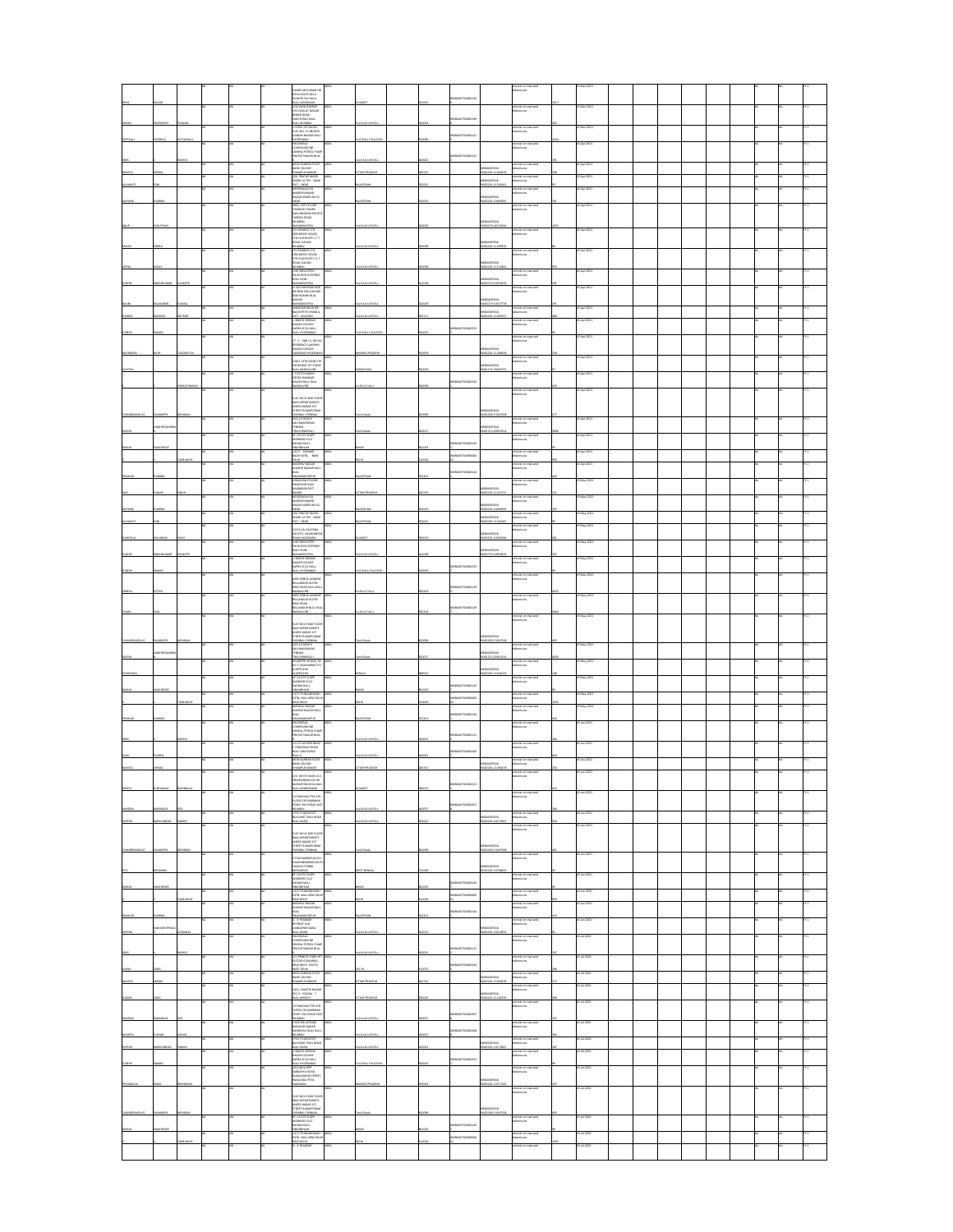|                 |                 |          |  | waade mataram na<br>jedua seats dela<br>punatr fali null                                                                                                                                                                                                                      |                         |           |                |                                    | Kima<br>Sentanes                      |               |  |  |  |  |
|-----------------|-----------------|----------|--|-------------------------------------------------------------------------------------------------------------------------------------------------------------------------------------------------------------------------------------------------------------------------------|-------------------------|-----------|----------------|------------------------------------|---------------------------------------|---------------|--|--|--|--|
|                 |                 |          |  |                                                                                                                                                                                                                                                                               |                         |           |                |                                    |                                       | Var-2021      |  |  |  |  |
|                 |                 |          |  | POINT IN HAIR WALL<br>NATIONAL MARK CONTRACTOR<br>COS DALILAT NASAR<br>SANTAGRIZ NATIONAL<br>SANTAGRIZ NATIONAL<br>1-4-945 SST BLOCK<br>CANT GOS I P ABODES<br>SANTAGRIZ NATIONAL<br>SANTAGRIZ NATIONAL                                                                       |                         |           |                |                                    | arest on mature<br>bentures           |               |  |  |  |  |
|                 |                 |          |  |                                                                                                                                                                                                                                                                               |                         |           |                |                                    |                                       |               |  |  |  |  |
|                 |                 |          |  |                                                                                                                                                                                                                                                                               |                         |           | 6804075660014  |                                    | <b>Sentanes</b>                       |               |  |  |  |  |
|                 |                 |          |  | FOERNAND<br>NIEFANAA<br>NIEFANAA<br>DINPAL PETROL PURP<br>NITAP NAGAR NIJLL                                                                                                                                                                                                   |                         |           |                |                                    | arest on matured<br>bentures          | Apr 202       |  |  |  |  |
|                 |                 |          |  |                                                                                                                                                                                                                                                                               |                         |           |                |                                    |                                       |               |  |  |  |  |
|                 |                 |          |  |                                                                                                                                                                                                                                                                               | TAR PRADESH             | .<br>Dist |                |                                    | erest on matured<br>verbanes          |               |  |  |  |  |
|                 |                 |          |  |                                                                                                                                                                                                                                                                               |                         |           |                | 680407556-<br>302201-1134146       | arest on matured<br>bentures          |               |  |  |  |  |
|                 |                 |          |  | 0<br>MOH-KNHRAN STATE<br>BANK COLONY<br>SHAMPUR BUNOR<br>266, PRATAP MARG<br>WARD STATE<br>MARGRAN BUNOR<br>MARGRAN WARD NO<br>MARGRAN WARD NO<br>MARGRAN WARD NO<br>SHAR WARD NO 41<br>SHAR WARD NO 41                                                                       |                         |           |                | 332000282                          | ared on m<br>Gettares                 |               |  |  |  |  |
|                 |                 |          |  | MAGAR WARD NO 41<br>MAGAR WARD NO 41<br>DAKONA TOWER<br>THAKONA TOWER<br>VANDARA TOWER<br>MAGARA MAGARINA<br>MAGARA KANAK TO ERGANG TO<br>DELWERS HOUSE<br>TOR FLOOR CEF CST<br>READ, KAUMA<br>MAMGAR MAGARA                                                                  | <b>ASTHAN</b>           |           |                | (302201-10490312                   | est co.m<br>etanes                    |               |  |  |  |  |
|                 |                 |          |  |                                                                                                                                                                                                                                                                               |                         |           |                |                                    |                                       |               |  |  |  |  |
|                 |                 |          |  |                                                                                                                                                                                                                                                                               |                         |           |                | 00476-4213                         | irest on matured<br>ientures          |               |  |  |  |  |
|                 |                 |          |  |                                                                                                                                                                                                                                                                               |                         |           |                | 322000254<br>02201-1120052         |                                       |               |  |  |  |  |
|                 |                 |          |  | <b>SUVEN (STAR)</b><br>CLEMANCE LTD<br>CLEMANCE LTD<br>DAD, KALINA<br>IOAD, KALINA<br>ALINA (STAR)                                                                                                                                                                            |                         |           |                |                                    | erest on matured<br>Sentanes          | i Apr-2021    |  |  |  |  |
|                 |                 |          |  |                                                                                                                                                                                                                                                                               | <b>HARASHTRA</b>        |           |                | 30000366<br>002201-11272442        |                                       |               |  |  |  |  |
|                 |                 |          |  | ROAD, KALINA<br>AUJAND ROOKOTHRUD<br>PAUD ROOKOTHRUD<br>MULL PUNG<br>MAHARASWITRA<br>MAHARASWITRA<br>NG NG SWING GOVING<br>MG NG NG SWING                                                                                                                                     |                         |           |                | 332000282<br>03719-1095367         | est on ma<br>etares                   |               |  |  |  |  |
|                 |                 |          |  |                                                                                                                                                                                                                                                                               |                         |           |                |                                    | rest cin i<br>returns                 |               |  |  |  |  |
|                 | <b>ASAHEE</b>   |          |  | NGR NASHIK NULL<br>MAHARASHTRA<br>MAHARASHTRA<br>MAHARASHTRA<br>BAZAR PETH PAROLA<br>SHTRAR COLONY<br>MAGAR COLONY<br>KAPRA ECLA NULL<br>KAPRA ECLA NULL<br>KAPRA ECLA NULL                                                                                                   | <b><i>UARASHTRA</i></b> |           |                | 30000366<br>000719-00077770        |                                       |               |  |  |  |  |
|                 |                 |          |  |                                                                                                                                                                                                                                                                               |                         |           |                | 44000000<br>02201-11605            | rest on matured<br>entures            |               |  |  |  |  |
|                 |                 |          |  |                                                                                                                                                                                                                                                                               |                         |           | 804075660232   |                                    | rrest on matured<br>ientures          | Apr-202       |  |  |  |  |
|                 |                 |          |  |                                                                                                                                                                                                                                                                               | <b>HRA PRADES</b>       |           |                |                                    | arest on matured<br>bentures          | FApr-202      |  |  |  |  |
|                 |                 | 20927.KG |  | 17 – 1 – 388 / 6, 581 5A)<br>RESIDENCY LAKSHAN<br>NAGAR COLONY<br>SAIDABAD HYDERABAD                                                                                                                                                                                          | 42040434404             |           |                | NER04K075GG-<br>NGC 201-11268458   |                                       |               |  |  |  |  |
|                 |                 |          |  | .<br>28/1 13TH MAIN STH<br>ROSS BSK 15T STAGE                                                                                                                                                                                                                                 |                         |           |                | 33407566                           | rest on r<br>retures                  |               |  |  |  |  |
|                 |                 |          |  | NULL BANGALORE<br>* 129 STH MAIN I<br>CROSS SHANKAR<br>NAGAR NULL NULL<br>BANGALORE                                                                                                                                                                                           | <b>ENATAKA</b>          |           |                | 001135-36837072                    | est on mat<br>etanes                  |               |  |  |  |  |
|                 |                 |          |  |                                                                                                                                                                                                                                                                               |                         |           | 6808075660022  |                                    |                                       |               |  |  |  |  |
|                 |                 |          |  | LAT NO IN 2ND FLOO                                                                                                                                                                                                                                                            |                         |           |                |                                    | rest on r<br>retures                  |               |  |  |  |  |
|                 |                 |          |  | ELAT NO 19 2ND FLOOR<br>BARK APPARTMENTS<br>ANGES NAGAR 15T<br>ANGES NAGAR 15T<br>CHEMAR CHEMAR<br>CADAR CHEMAR<br>TENNIK<br>TENNIK<br>TENNIK<br>CHEMAR MULL<br>NO SHEEKS FLAT<br>NORMENS FLAT<br>NORMENS FLAT<br>NORMENS NATHER<br>SWOMAR MULL<br>SWOMAR MULL<br>SWOMAR MULL |                         |           |                | E806075G6-<br>302369-1304750       |                                       |               |  |  |  |  |
|                 |                 |          |  |                                                                                                                                                                                                                                                                               |                         |           |                | ananyose                           | erest on matured<br>bentures          | FADI-2021     |  |  |  |  |
|                 |                 |          |  |                                                                                                                                                                                                                                                                               |                         |           |                | 11313-20912                        | erest on matured<br>verbanes          |               |  |  |  |  |
|                 |                 |          |  |                                                                                                                                                                                                                                                                               |                         |           | 808075660014   |                                    |                                       |               |  |  |  |  |
|                 |                 |          |  | kéhéhom<br>/17 Ponovák<br>Gháxtn, náw                                                                                                                                                                                                                                         |                         |           |                |                                    | rrest on matured<br>ientures          | Apr-2021      |  |  |  |  |
|                 |                 |          |  | mohav Nagar<br>Oargh Nagar Muli<br>ш                                                                                                                                                                                                                                          |                         |           |                |                                    | arest on m<br>bertures                |               |  |  |  |  |
|                 |                 |          |  |                                                                                                                                                                                                                                                                               |                         |           |                |                                    | arest on ma<br>Gertares               |               |  |  |  |  |
|                 |                 |          |  | HIMALYAN COLONY<br>SHEKHPUR GADI<br>SUNDAMO DIST<br>SUNDR ANAND<br>MANDR ANAND<br>MANDR ANAND<br>MANDR ANAND<br>MANDR ANAND<br>SUGAR<br>SUGAR WARD NO 41                                                                                                                      |                         |           |                | 808075GG-<br>02205-15471721        |                                       |               |  |  |  |  |
|                 |                 |          |  |                                                                                                                                                                                                                                                                               |                         |           |                | 33200364<br>002201-10030202        | terest on mature<br>bertures          |               |  |  |  |  |
|                 |                 |          |  | KAR<br>GE, PRATAP MARG<br>IARD 14 TEH - SIKAR<br>IST - SIKAR                                                                                                                                                                                                                  |                         |           |                |                                    | erest on matured<br>verbanes          |               |  |  |  |  |
|                 |                 |          |  |                                                                                                                                                                                                                                                                               |                         |           |                | 00007566                           | arest on matured<br>bentures          | $May-202$     |  |  |  |  |
|                 |                 |          |  | RISA-19, KAPANA<br>KOGETY, VAGHOONT<br>ROLD VADOONRA<br>ROLD VADOONRA<br>MALI PUNG<br>MALI PUNG<br>MALI PUNG<br>MALI PUNG<br>MALI PUNG<br>MALI COLONY<br>KAPA EC14 NULL<br>KAPA EC14 NULL<br>KAPA EC14 NULL                                                                   |                         |           |                | 02201-1000258                      | est co.m<br>etuaes                    | May-2021      |  |  |  |  |
|                 |                 |          |  |                                                                                                                                                                                                                                                                               |                         |           |                | 322000254<br>102719-1095367        |                                       |               |  |  |  |  |
|                 |                 |          |  |                                                                                                                                                                                                                                                                               |                         |           | 808075660022   |                                    | erest on matured<br>verbanes          | May-2021      |  |  |  |  |
|                 |                 |          |  |                                                                                                                                                                                                                                                                               |                         |           |                |                                    | erest on matured<br>Sentares          | May 2021      |  |  |  |  |
|                 |                 |          |  | 4092 SOBHA JASMINE<br>BELLANDUR OUTER<br>RING ROAD NULL NULL                                                                                                                                                                                                                  |                         |           | E804075G60012  |                                    |                                       |               |  |  |  |  |
|                 |                 |          |  | <b>Bangalors<br/>4002 Sobha Msaansi<br/>Bellandur outer<br/>Bang Boad<br/>Bellandur null null<br/>Bellandur null null</b>                                                                                                                                                     |                         |           |                |                                    | rest on i<br>entures                  |               |  |  |  |  |
|                 |                 |          |  | 2502600                                                                                                                                                                                                                                                                       | <b>RNATAKA</b>          |           | 00002000012    |                                    |                                       |               |  |  |  |  |
|                 |                 |          |  |                                                                                                                                                                                                                                                                               |                         |           |                |                                    | rest on ma<br>retures                 |               |  |  |  |  |
|                 |                 |          |  | FLAT NO 19 2ND FLOOR<br>RANI APPARTMENTS<br>ANGES NAGAR 15T<br>STREET RAMAPURAM                                                                                                                                                                                               |                         |           |                | 806075G6<br>02269-13047508         |                                       |               |  |  |  |  |
|                 | OHEESIKAR       |          |  | CREAT RAMAPURA<br>CADANA CHEWAR<br>KATARAMA<br>TERRIA<br>TERRIA<br>TERCHRAPHILI<br>WARTHI, HOUSE, EX<br>LARHOUR<br>LARHOUR<br>LARHOUR<br>LARHOUR                                                                                                                              |                         |           |                | 432009483                          | erest on matured<br>bentures          | $May - 202$   |  |  |  |  |
|                 |                 |          |  |                                                                                                                                                                                                                                                                               |                         |           |                | 01213-2091251                      | rest on matured<br>entanes            | May-2021      |  |  |  |  |
|                 |                 |          |  |                                                                                                                                                                                                                                                                               |                         |           |                | 806075G6<br>02201-1164107          |                                       |               |  |  |  |  |
|                 |                 |          |  | <b>NLAPPLOIM</b><br>NLAPROIM<br>G-13 6 PS SLOPE<br>MORKERS FLAT<br>NADAL-MULL NEW DELI<br>NADAL-MULL NEW DELI<br>NEW DELINI<br>NEW DELINI<br>NEW DELINI<br>NADAL-MULL NEW DELINI                                                                                              |                         |           |                |                                    | rest on matured<br>entures            | May-2021      |  |  |  |  |
|                 | <b>ANGELEE</b>  |          |  |                                                                                                                                                                                                                                                                               |                         |           |                |                                    | erest on matured<br>Sentares          |               |  |  |  |  |
|                 |                 |          |  | <b>GARSH NAGAR MUL</b>                                                                                                                                                                                                                                                        |                         |           |                |                                    | rrest on matured<br>bertares          |               |  |  |  |  |
|                 |                 |          |  | ш                                                                                                                                                                                                                                                                             |                         |           |                |                                    |                                       |               |  |  |  |  |
|                 |                 |          |  | EWARMADHOPUR<br>PALEMMLA<br>COMPOUND NR<br>EONPAL PETROL PUMP<br>PRATAP NAGAR NULL<br>1                                                                                                                                                                                       |                         |           |                |                                    | erest on mature<br>Sentures           |               |  |  |  |  |
|                 |                 |          |  |                                                                                                                                                                                                                                                                               |                         |           |                |                                    |                                       |               |  |  |  |  |
|                 |                 |          |  |                                                                                                                                                                                                                                                                               |                         |           |                |                                    |                                       |               |  |  |  |  |
|                 |                 |          |  | 1-51 ACHAR BAUG<br>Freezshah Road<br>Jul Santacruz<br>Jul S                                                                                                                                                                                                                   |                         |           |                |                                    | vest on matured<br>Sentanes           |               |  |  |  |  |
|                 |                 |          |  |                                                                                                                                                                                                                                                                               |                         |           |                | -3220008                           | arest on matured<br>bentures          |               |  |  |  |  |
|                 |                 |          |  | JLL O<br>CH-KAHRAN STATE<br>VANFUR BUNOR<br>VANFUR BUNOR<br>C/D OR R R SHAW 213                                                                                                                                                                                               |                         |           |                |                                    | terest on r<br>ebentures              |               |  |  |  |  |
|                 |                 |          |  | (ARIENDRA CO-OR<br>MAIENDRA CO-OR<br>ILL AHMEDABAD                                                                                                                                                                                                                            | MAAT                    | osi       |                |                                    | erest on matured                      |               |  |  |  |  |
|                 |                 |          |  |                                                                                                                                                                                                                                                                               |                         |           |                |                                    | entanes                               |               |  |  |  |  |
| waxu            | <b>VANDAS</b>   |          |  |                                                                                                                                                                                                                                                                               | <b>ASLARASETTRA</b>     | 80057     |                |                                    |                                       | lun-2021      |  |  |  |  |
|                 |                 |          |  | 12 PANCHKLITTIR 4TH<br>FLOOR 220 NARMAN<br>POINT VILE PARLE EAST<br>MUILDING TAKLI ROAD<br>RUILDING TAKLI ROAD<br>MUILNAGIK                                                                                                                                                   |                         |           |                | -3220308                           | erest on matured<br>Sentares          | $-200$        |  |  |  |  |
|                 |                 |          |  |                                                                                                                                                                                                                                                                               |                         |           |                |                                    | erest on ma<br>Sentanes               |               |  |  |  |  |
| <b>UNDRAMOU</b> |                 |          |  | ratno is ind roor<br>Ran appartments<br>Anges nagar ist<br>Street ramapuram<br><b>EMAN CHEWAN</b>                                                                                                                                                                             | all Nady                | x         |                | E804075GE-<br>0022E9-13047508      |                                       |               |  |  |  |  |
|                 |                 |          |  |                                                                                                                                                                                                                                                                               |                         |           |                |                                    | rrest on matured<br>ienbanes          |               |  |  |  |  |
|                 |                 |          |  | UTTAR NARIKELDA PO-<br>DAKSHINNARIKELDA PS<br>FAMLUK PURBA<br>HTTMHN ID                                                                                                                                                                                                       |                         |           |                | 804075GG-<br>02201-1070GB          |                                       | $\omega$ -202 |  |  |  |  |
|                 |                 |          |  | MEDINIPUR<br>05-13 6 PS SLOPE<br>ANDRATAS FLAT<br>04DMA NULL<br>04DMA NULL                                                                                                                                                                                                    |                         |           |                |                                    | rderest on matured<br>lebentures      |               |  |  |  |  |
|                 |                 |          |  |                                                                                                                                                                                                                                                                               |                         |           | 6804075669000  |                                    | terest on mature<br>ebentures         |               |  |  |  |  |
|                 |                 |          |  | SINGHRAILM<br>12/17 PUNUMBI BAGH<br>12/17 PUNUMBI BAGH<br>NGW DELHI<br>MAGHAN NAGAR<br>NULL<br>NULL<br>zi.                                                                                                                                                                    |                         |           | 120102040014   |                                    | erest on mature<br>bertures           |               |  |  |  |  |
|                 | <b>Anchesia</b> |          |  |                                                                                                                                                                                                                                                                               |                         |           |                |                                    |                                       | $-346 - 2621$ |  |  |  |  |
|                 |                 |          |  |                                                                                                                                                                                                                                                                               |                         |           |                |                                    | terest on matured<br>bentures         | aa-2021       |  |  |  |  |
|                 |                 |          |  |                                                                                                                                                                                                                                                                               |                         |           | E804075G60013  |                                    | arest on matured<br>bentures          |               |  |  |  |  |
|                 |                 |          |  | MAIL<br>GAMAMADHODUR<br>GAMAMADHODUR<br>GAMAMADHODUR<br>MAILINNAA<br>COMPOLIND NR<br>COMPOLIND NR<br>RATAP NAGAR NULL<br>RATAP NAGAR NULL                                                                                                                                     | <b>LARASHITE</b>        |           |                |                                    |                                       |               |  |  |  |  |
|                 |                 |          |  |                                                                                                                                                                                                                                                                               |                         |           | 68080756600366 |                                    | anest on mature<br>bentures           |               |  |  |  |  |
|                 |                 |          |  | 0<br>211 PRINCES PARK AP<br>SECTOR 6 DWARKA<br>NGH KAHRAN STATE<br>MGH KAHRAN STATE<br>MGH KAHRAN STATE<br>BANK COLONY<br><b>KONER RUNAW</b>                                                                                                                                  | AR PRADES               |           |                | 304075GG<br>102201-11094478        | terest on matured<br>bentures         | $a4 - 202$    |  |  |  |  |
|                 |                 |          |  |                                                                                                                                                                                                                                                                               | TTAR PRADESH            |           |                |                                    | terest on matured<br>bentures         |               |  |  |  |  |
|                 |                 |          |  | 1421, SHASTRI NAGAR<br>SEC-2, YOLANA - 7<br>NULL MEERUT                                                                                                                                                                                                                       |                         |           |                | INERDAKOTSGE-<br>INGERZES-11182339 | terest on matured<br>bentures         |               |  |  |  |  |
|                 |                 |          |  | 13 PANCHELITTIR 4TH<br>FLOOR 230 NARIMAN<br>POINT VILE PARLE EAST                                                                                                                                                                                                             | <b>JRASHTE</b>          |           | 808075660030   |                                    |                                       |               |  |  |  |  |
|                 |                 |          |  |                                                                                                                                                                                                                                                                               |                         |           | 6801075660020  |                                    | erest on matured<br>bentures          | $44 - 202$    |  |  |  |  |
|                 |                 |          |  |                                                                                                                                                                                                                                                                               |                         |           |                |                                    | rderest on matured<br>Sebentures      | $-34 - 2021$  |  |  |  |  |
|                 |                 |          |  |                                                                                                                                                                                                                                                                               |                         |           |                | 6804075G6-<br>002201-10172667      |                                       | AF-2021       |  |  |  |  |
|                 |                 |          |  | POINT VILE PARLE EAST<br>MUMBAN<br>E-E20 PALACRADE<br>MAHAVIR NAGAR<br>MUMBAN NULL NALL<br>MUMBAN<br>MUMBAN<br>MUMBAR COLONY<br>MUMBAR COLONY<br>MUMBAR COLONY<br>MUMBAR COLONY<br>MUMBAR COLONY<br>MUMBAR COLONY<br>MUMBAR COLONY                                            | <b>HEATEA</b>           |           |                |                                    | erest on matured<br>bentures          | au-2021       |  |  |  |  |
|                 |                 |          |  |                                                                                                                                                                                                                                                                               |                         |           |                | 322000264                          | sterest on matured<br>lebentures      |               |  |  |  |  |
|                 |                 |          |  | LUL HYDERABAD<br>D-6-40(X OPP-<br>LIBBAYYA HOTEL<br>LIBALAMMA STBEET,<br>AKINADA<br>AKINADA                                                                                                                                                                                   | <b>IRA PRADE</b>        |           |                | 02201-1071716                      |                                       | $-44 - 202$   |  |  |  |  |
|                 |                 |          |  |                                                                                                                                                                                                                                                                               |                         |           |                |                                    | erest on matured<br>bentures          |               |  |  |  |  |
|                 |                 |          |  |                                                                                                                                                                                                                                                                               |                         |           |                | 80407556-<br>02269-13047506        |                                       |               |  |  |  |  |
|                 |                 |          |  | ELAT NO 29 2ND FLOOR<br>RANI APPARTMENTS<br>ANGES NAGAR 15T<br>STREET RAMAPURAM<br>CHEMMA CHEMMA<br>15-12 6 FS SLOPE<br>VORKERS FLAT<br>POMA NULL                                                                                                                             |                         |           |                |                                    | erest on mature<br>ebentures          |               |  |  |  |  |
|                 |                 |          |  |                                                                                                                                                                                                                                                                               |                         |           | E806075G6900   |                                    |                                       |               |  |  |  |  |
|                 |                 |          |  | singhibhlim<br>13/17 Punumii Bagh<br>Extin, Null New Delh<br>iEW DELHI<br>2 - 4 THAKKAR                                                                                                                                                                                       |                         |           |                |                                    | terest on mat<br>ebentures<br>kê co n |               |  |  |  |  |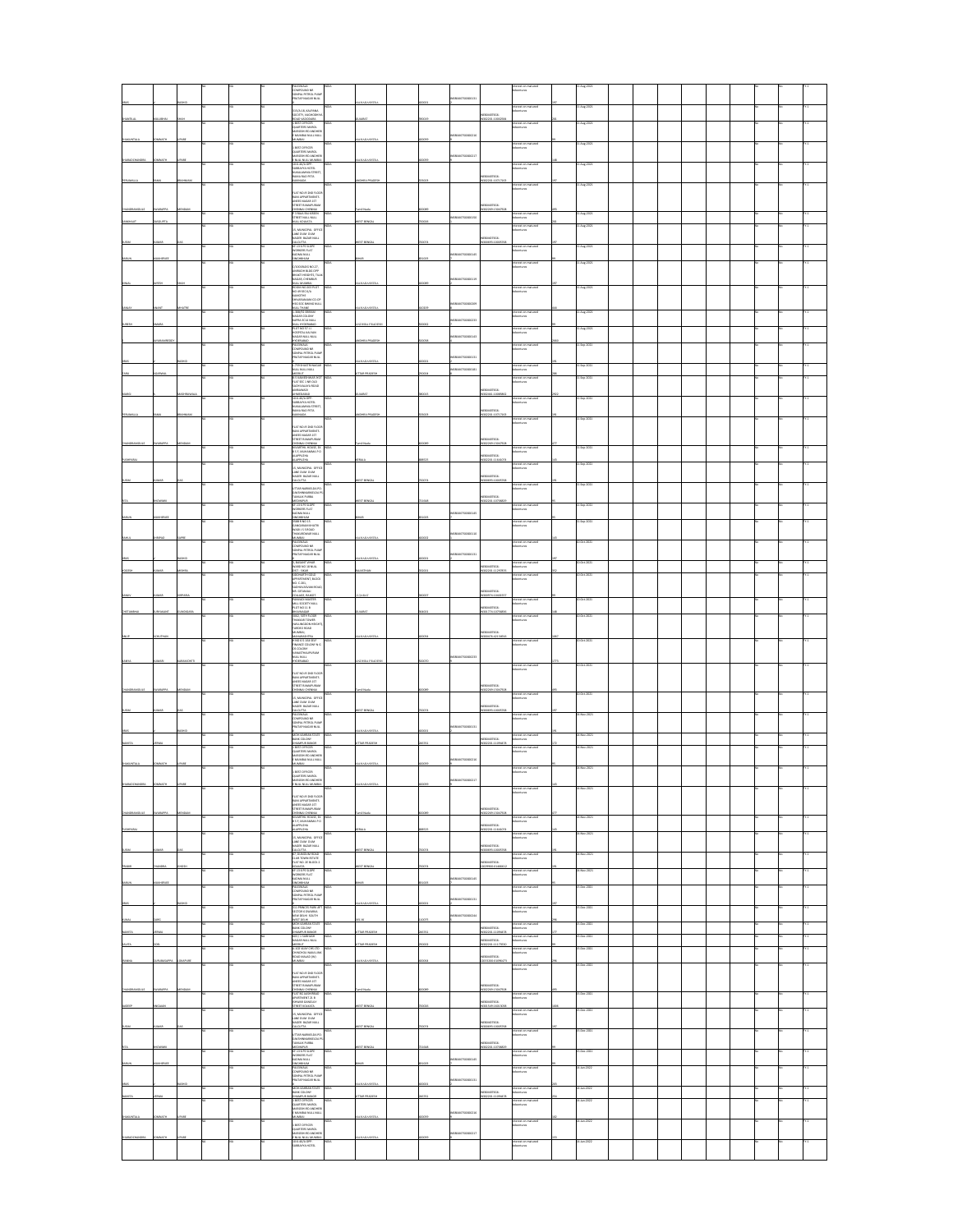|               |               |     |  | wilawala<br>Carpound NR<br>Carpal Petrol Pump<br>Ratap Nagar Null                                                                                                                                                                                                      |                           |       |                  |                                      |                                      |               |  |  |  |  |
|---------------|---------------|-----|--|------------------------------------------------------------------------------------------------------------------------------------------------------------------------------------------------------------------------------------------------------------------------|---------------------------|-------|------------------|--------------------------------------|--------------------------------------|---------------|--|--|--|--|
|               |               |     |  |                                                                                                                                                                                                                                                                        |                           |       |                  |                                      |                                      |               |  |  |  |  |
|               |               |     |  |                                                                                                                                                                                                                                                                        |                           |       |                  |                                      | rest on mat<br>entures               |               |  |  |  |  |
|               |               |     |  |                                                                                                                                                                                                                                                                        |                           |       |                  | NERONO75GE-<br>NGC 2201-10002584     |                                      |               |  |  |  |  |
|               |               |     |  | 215 (A-12, KALPANA<br>SOGETY, VAGHOSHY)<br>ROAD VADODARA<br>LIKEST OFFICER<br>MAGGHI DO ANDHERI<br>MAGGHI DO ANDHERI<br>TAILINGAI NULL NULL<br>MUNGAI NULL NULL<br>MUNGAI NULL NULL                                                                                    |                           |       |                  |                                      | rest on r<br>entants                 |               |  |  |  |  |
|               |               |     |  |                                                                                                                                                                                                                                                                        |                           |       |                  |                                      | erest on matured<br>Sentares         |               |  |  |  |  |
|               |               |     |  |                                                                                                                                                                                                                                                                        |                           |       |                  |                                      |                                      |               |  |  |  |  |
|               |               |     |  |                                                                                                                                                                                                                                                                        |                           |       |                  |                                      |                                      |               |  |  |  |  |
|               |               |     |  | <b>THE CONSTRUCT CONSTRUCTS</b><br>CHARASTER MARCE<br>MARCERI RO ANDIGRI<br>ENLIS NULL NULL MURRAY<br>SIZIRAYAN AND PETA<br>NULPALARMAN STREET,<br>RAMA RAO PETA<br>RAMA RAO PETA                                                                                      |                           |       |                  | 322000254                            | entanes                              |               |  |  |  |  |
|               |               |     |  |                                                                                                                                                                                                                                                                        | <b>KOHAA PRADESA</b>      |       |                  | 002201-10717163                      | rest on matured<br>entures           |               |  |  |  |  |
|               |               |     |  | LAT NO J9 2ND FLOO                                                                                                                                                                                                                                                     |                           |       |                  |                                      |                                      |               |  |  |  |  |
|               |               |     |  | NATING FRANCHISCH<br>ANNI APPARTMENTS<br>ANGES NAGAR 15T                                                                                                                                                                                                               |                           |       |                  | 808075GG-<br>02268-13047             |                                      |               |  |  |  |  |
|               |               |     |  | CHÉNNAK CHÉNNAK<br>P 3 RASA RAJ KISSEN<br>ETREET NULL NULL<br>MULL KOLKATA                                                                                                                                                                                             |                           |       | NERO41075G600150 |                                      | erest on matured<br>bentures         | Aug-2021      |  |  |  |  |
|               | GJPTA         |     |  |                                                                                                                                                                                                                                                                        | <b>AGNOR T23</b>          |       |                  |                                      | est on i<br>etunes                   |               |  |  |  |  |
|               |               |     |  | is, municipal office<br>Lane Duim Duim<br>Nager Bazar Null                                                                                                                                                                                                             |                           |       |                  | 0566                                 |                                      |               |  |  |  |  |
|               |               |     |  |                                                                                                                                                                                                                                                                        | ST BENG                   |       |                  |                                      | arest on m<br>bentures               |               |  |  |  |  |
|               |               |     |  | CALCUTTA<br>KF-13 6 PS SLOPE<br>WORKERS FLAT<br>KADMA NULL<br>SINGHRHUM                                                                                                                                                                                                |                           |       | 0000366001       |                                      |                                      |               |  |  |  |  |
|               |               |     |  |                                                                                                                                                                                                                                                                        |                           |       |                  |                                      | erest on m.<br>Sentanes              |               |  |  |  |  |
|               |               |     |  |                                                                                                                                                                                                                                                                        |                           |       | 808075660011     |                                      |                                      |               |  |  |  |  |
|               | <b>ISSN</b>   |     |  |                                                                                                                                                                                                                                                                        | <b><i>MATARASTERA</i></b> | occes |                  |                                      | rest on ma<br>entures                |               |  |  |  |  |
|               |               |     |  |                                                                                                                                                                                                                                                                        |                           |       |                  |                                      |                                      |               |  |  |  |  |
|               |               |     |  |                                                                                                                                                                                                                                                                        | ASLARASETRA               |       | 808075G60020     |                                      |                                      |               |  |  |  |  |
|               |               |     |  | NULL THANG<br>1-308/92 SRIRAM<br>NAGAR COLONY<br>KAPRA EC14 NULL<br>1-1-1-100/1000-                                                                                                                                                                                    |                           |       | E804075G60023    |                                      | rest on matured<br>entures           |               |  |  |  |  |
|               |               |     |  | ULL HYDERARAD<br>LOT NO 5711<br>OSPITAL KALYAN<br>MGAR NULL NULL<br>MGAR NULL NULL                                                                                                                                                                                     | <b>CHEATEADES</b>         |       |                  |                                      | rest on r<br>entures                 |               |  |  |  |  |
|               |               |     |  |                                                                                                                                                                                                                                                                        | <b>KOHRA PRADESH</b>      |       | E804075G60056    |                                      |                                      |               |  |  |  |  |
|               |               |     |  | HIDERARAD<br>PALEAWAA<br>COMPAL PETROL PUMP<br>KONPAL PETROL PUMP<br>PALTAP NAGAR MULL                                                                                                                                                                                 |                           |       |                  |                                      | est cen m<br>ntures                  |               |  |  |  |  |
|               |               |     |  |                                                                                                                                                                                                                                                                        |                           |       |                  |                                      |                                      |               |  |  |  |  |
|               |               |     |  | I<br>- 750 SHASTRI NAGA<br>IULI NULL NULL                                                                                                                                                                                                                              | TAR PRADESH               |       | 420002500028     |                                      | arest on m<br>bentures               | ep-302        |  |  |  |  |
|               |               |     |  | NULL NULL<br>MEERUT<br>B-G KAMESHIVAR NO<br>GACHIVALAYA ROAD<br>SAGHIVALON<br>AMBAYWADI<br>AMBAYWADI<br>KAMEDABAD<br>SO-40(A OPP                                                                                                                                       |                           |       |                  |                                      | rest on m<br>entures                 |               |  |  |  |  |
|               |               |     |  |                                                                                                                                                                                                                                                                        |                           |       |                  | 1341075GG-<br>13461-1008586          |                                      |               |  |  |  |  |
|               |               |     |  | ID-000A LIPP-<br>LIBBAYYA HOTEL<br>ILIKALAMMA STREET,<br>IAMA RAO PETA<br>IAMA RAO PETA                                                                                                                                                                                |                           |       |                  |                                      | bentures                             |               |  |  |  |  |
|               |               |     |  | <b>MADA</b>                                                                                                                                                                                                                                                            |                           |       |                  | 1041075GG-<br>12205-1071714          |                                      |               |  |  |  |  |
|               |               |     |  |                                                                                                                                                                                                                                                                        |                           |       |                  |                                      | erest on matured<br>Sentares         | $500 - 302$   |  |  |  |  |
|               |               |     |  | FLAT NO 19 2ND FLOOR<br>RANI APPARTMENTS<br>ANGES NAGAR 15T<br>STREET RAMAPURAM                                                                                                                                                                                        |                           |       |                  |                                      |                                      |               |  |  |  |  |
|               |               |     |  |                                                                                                                                                                                                                                                                        |                           |       |                  | 33407566<br>002269-12047508          |                                      |               |  |  |  |  |
|               |               |     |  | CHÉRINA CHÉRINA<br>NYARÉTHE HOUSE, ÉX<br>1 S F, MUHAMMA P O<br>NAPPUZHA                                                                                                                                                                                                |                           |       |                  | 440000036                            | rest on mat<br>retures               |               |  |  |  |  |
|               |               |     |  | <b>APPLIZINA</b>                                                                                                                                                                                                                                                       |                           |       |                  | 1002201-11641034                     | viest on m<br>Sentures               |               |  |  |  |  |
|               |               |     |  | IS, MUNCPAL OFFICE<br>LANE DUM DUM<br>NAGER BAZAR NULL<br>CALCUITA                                                                                                                                                                                                     |                           |       |                  | 04075GG<br>0603-10005766             |                                      |               |  |  |  |  |
|               |               |     |  | <b>ITTAR NARIKELDA PO</b>                                                                                                                                                                                                                                              | Gorda T226                |       |                  |                                      | rest on mature<br>bentures           |               |  |  |  |  |
|               |               |     |  | UITAK MARKALIA PU-<br>DAKSHIWARKELDA PS<br>MEDNIFUK PURBA<br>MEDNIFUK SLOPE<br>WORKERS FLAT<br>KADMA NULL<br>KADMA NULL<br>SIWGHIMAN                                                                                                                                   | AGNG T23                  |       |                  | 804075GG<br>02205-10706829           |                                      |               |  |  |  |  |
|               |               |     |  |                                                                                                                                                                                                                                                                        |                           |       |                  |                                      | arest on m<br>bentures               |               |  |  |  |  |
|               |               |     |  |                                                                                                                                                                                                                                                                        |                           |       |                  |                                      |                                      | iap-3021      |  |  |  |  |
|               |               |     |  |                                                                                                                                                                                                                                                                        |                           |       |                  |                                      | erest on matured<br>Sentanes         |               |  |  |  |  |
|               |               |     |  |                                                                                                                                                                                                                                                                        |                           |       |                  |                                      |                                      | Oct-2021      |  |  |  |  |
|               |               |     |  | AGMA<br>ANGHINIM<br>JINGHINIM<br>GHINARAM NANG<br>MANGHINARAM<br>MANGHINARAM<br>MANGHINARAM<br>CAMPOLING NG<br>CAMPOLING NANGHINARAM<br>CAMPOLING NG<br>CAMPOLING NGHINARAMI<br>CAMPOLING NGHINARAMI                                                                   |                           |       | E804075G60012    |                                      | rest on matured<br>entanes           |               |  |  |  |  |
|               |               |     |  | FOR MARK WAS ARRESTED FOR A SALE OF A REAL PROPERTY WAS SERVED FOR A SALE CONSUMING THE SALE OF A SALE OF A SALE OF A SALE OF A SALE OF A SALE OF A SALE OF A SALE OF A SALE OF A SALE OF A SALE OF A SALE OF A SALE OF A SAL                                          |                           |       |                  |                                      |                                      | $-0ct - 2021$ |  |  |  |  |
|               |               |     |  |                                                                                                                                                                                                                                                                        |                           |       |                  | 480407556<br>002201-11297876         | terest on matured<br>bentures        |               |  |  |  |  |
|               |               |     |  |                                                                                                                                                                                                                                                                        |                           |       |                  |                                      | arest on matured<br>bentures         |               |  |  |  |  |
|               |               |     |  |                                                                                                                                                                                                                                                                        |                           |       |                  | 322000024<br>00974-1003155           |                                      |               |  |  |  |  |
|               |               |     |  |                                                                                                                                                                                                                                                                        |                           |       |                  |                                      | erest on r<br>entanes                |               |  |  |  |  |
|               |               |     |  |                                                                                                                                                                                                                                                                        |                           |       |                  | 44000000<br>01774-10756830           |                                      |               |  |  |  |  |
|               |               |     |  |                                                                                                                                                                                                                                                                        |                           |       |                  |                                      | rest on matured<br>entures           |               |  |  |  |  |
|               |               |     |  |                                                                                                                                                                                                                                                                        |                           |       |                  | 808075GG-<br>00876-82138             |                                      |               |  |  |  |  |
|               |               |     |  |                                                                                                                                                                                                                                                                        |                           |       |                  |                                      | erest on n<br>Sentanes               |               |  |  |  |  |
|               |               |     |  |                                                                                                                                                                                                                                                                        |                           |       | 808075660023     |                                      |                                      |               |  |  |  |  |
|               |               |     |  |                                                                                                                                                                                                                                                                        |                           |       |                  |                                      | arest on matured<br>bentures         | $3c1 - 202$   |  |  |  |  |
|               |               |     |  | rat no je zno rodi<br>Ranjapartments<br>Anees Nagar 15t<br>Street Ramapuram<br>Chemar Chemar                                                                                                                                                                           |                           |       |                  |                                      |                                      |               |  |  |  |  |
|               |               |     |  |                                                                                                                                                                                                                                                                        |                           |       |                  | 808075GG<br>02368-13047506           |                                      |               |  |  |  |  |
|               |               |     |  |                                                                                                                                                                                                                                                                        |                           |       |                  |                                      | erest on matured<br>ettates          |               |  |  |  |  |
|               |               |     |  | i, MUNICIPAL OFFICE<br>NE DUM DUM<br>KGER BAZAR NULL<br>HITUTTA                                                                                                                                                                                                        |                           |       |                  | 00007566<br>00693-10005768           |                                      |               |  |  |  |  |
|               |               |     |  | NAGER BAZAR MULL<br>CALCUTTA<br>PALENNALA<br>COMPAL PETROL PUMA<br>KONPAL PETROL PUMA<br>PAATAP NAGAR MULL<br>PA                                                                                                                                                       |                           |       |                  |                                      | irest on ma<br>ietitates             |               |  |  |  |  |
|               |               |     |  |                                                                                                                                                                                                                                                                        |                           |       | E806075G60017    |                                      |                                      |               |  |  |  |  |
|               |               |     |  | <b>0</b><br>MOH-KNHRAV STATE<br>BANK COLONY<br>SHAMPLIR BANCK<br>CHAMPLIR BANK<br>MARCHI RO ANDHERI<br>I MUMBAN NULL NULL<br>MUMBAN                                                                                                                                    |                           |       |                  | 304075GG<br>102201-1109447           | arest on matured<br>bentures         | Gy-2021       |  |  |  |  |
|               |               |     |  |                                                                                                                                                                                                                                                                        |                           |       |                  |                                      | rest on matured<br>entanes           |               |  |  |  |  |
|               |               |     |  |                                                                                                                                                                                                                                                                        |                           |       | 6808075660021    |                                      |                                      |               |  |  |  |  |
|               |               |     |  | : Best officer<br>Quarters Marco.<br>Anroghi Ro Andhe                                                                                                                                                                                                                  |                           |       |                  |                                      | erest on matured<br>Sentanes         |               |  |  |  |  |
| SHARADOKANDRA | <b>HENATH</b> | haa |  | U.L. NULL MUMBAL                                                                                                                                                                                                                                                       | <b>HARASHITE</b>          |       |                  |                                      |                                      |               |  |  |  |  |
|               |               |     |  |                                                                                                                                                                                                                                                                        |                           |       |                  |                                      | rest on ma<br>entures                |               |  |  |  |  |
|               |               |     |  | LAT NO J9 2ND FLOOR<br>rani appartments<br>Anges Nagar 157<br>Street Ramapuram                                                                                                                                                                                         |                           |       |                  |                                      |                                      |               |  |  |  |  |
|               |               |     |  |                                                                                                                                                                                                                                                                        |                           |       |                  | 30407566<br>02269-12047              |                                      |               |  |  |  |  |
|               |               |     |  | STREET RAMAPURAM<br>CHENNAI CHENNAI<br>NIVARTHE HOUSE, EX<br>B.S.F, MUHAMMA P.O.<br>NIJAPUZHA<br>ALAPUZHA                                                                                                                                                              |                           |       |                  | 32000300                             | rrest on matured<br>ienbanes         |               |  |  |  |  |
|               |               |     |  |                                                                                                                                                                                                                                                                        |                           |       |                  | 02205-15641074                       | arest on matured<br>bentures         | $0 + 2021$    |  |  |  |  |
|               |               |     |  |                                                                                                                                                                                                                                                                        |                           |       |                  | 30407566                             |                                      |               |  |  |  |  |
|               |               |     |  |                                                                                                                                                                                                                                                                        | ST BENGA                  |       |                  | 00693-1000576                        | erest on matured<br>bentures         |               |  |  |  |  |
|               |               |     |  |                                                                                                                                                                                                                                                                        | IST BENGAL                |       |                  | 4400000<br>029900-0146661            |                                      |               |  |  |  |  |
|               |               |     |  | SLAPPOOR<br>LAN MUNICIPAL OFFICE<br>LAN COLORADO MARIA MAIN<br>CHECK TAN<br>COLORADO MARIA MAIN<br>COLORADO MARIA MAIN<br>COLORADO MARIA MAIN<br>COLORADO MARIA MAIN<br>COLORADO MARIA MAIN<br>COLORADO MARIA MAIN<br>COLORADO MARIA MAIN<br>COLORADO MARIA MAI        |                           |       |                  |                                      | erest on matured<br>bentures         | Nov-2021      |  |  |  |  |
|               |               |     |  |                                                                                                                                                                                                                                                                        |                           |       |                  |                                      | arest on matured<br>bentures         | Orc-2021      |  |  |  |  |
|               |               |     |  |                                                                                                                                                                                                                                                                        |                           |       | 808075660012     |                                      |                                      |               |  |  |  |  |
|               |               |     |  |                                                                                                                                                                                                                                                                        |                           |       |                  |                                      | terest on mati<br>bentares           |               |  |  |  |  |
|               |               |     |  | 0<br>211 FRINCES FARLAM<br>SECTOR 6 DWARKA<br>SECTOR 6 DWARKA<br>MEST DELH<br>MON COLON<br>MON COLON<br>CHANGER BURGE<br>MON COLON<br>CHANGER<br>MON COLON<br>CHANGER<br>MON COLON<br>CHANGER<br>CHANGER<br>CHANGER<br>CHANGER<br>CHANGER<br>CHANGER<br>CHANGER<br>CHA |                           |       |                  |                                      |                                      |               |  |  |  |  |
|               |               |     |  |                                                                                                                                                                                                                                                                        |                           |       |                  |                                      | terest on matured<br>bentures        | Orc-2021      |  |  |  |  |
|               |               |     |  |                                                                                                                                                                                                                                                                        |                           |       |                  | 04075GG-<br>12205-11172              | erest on matured<br>Sentanes         | Dec-2021      |  |  |  |  |
|               |               |     |  |                                                                                                                                                                                                                                                                        |                           |       |                  |                                      | .<br>Lerest on matured<br>Inbentures | $80 - 202$    |  |  |  |  |
|               |               |     |  | MAN                                                                                                                                                                                                                                                                    |                           |       |                  | 3320366<br>12203-0109                |                                      | Oec-2021      |  |  |  |  |
|               |               |     |  |                                                                                                                                                                                                                                                                        |                           |       |                  |                                      | rterest on matured<br>ebentures      |               |  |  |  |  |
|               |               |     |  | <b>FLAT NO JP 2ND FLOOR</b><br>RANI APPARTMENTS<br>ANGES NAGAR 15T<br>STREET RANAPURAM<br>CITALLY CUTRIN                                                                                                                                                               |                           |       |                  |                                      |                                      |               |  |  |  |  |
|               |               |     |  |                                                                                                                                                                                                                                                                        | il Nadi                   |       |                  | 4580407556<br>(302269-13047508       | erest on mati<br>Sentares            |               |  |  |  |  |
|               |               |     |  | CHEMNAL CHEMNAL<br>FLAT BG ANSHRING<br>APARTMENT 21 B<br>SPINNR GANGULY<br>STREET KOUNTA                                                                                                                                                                               | AGNG T22                  |       |                  | <br> NGB041075GG<br> NGC1549-1601300 |                                      |               |  |  |  |  |
|               |               |     |  | IS, MUNICIPAL OFFICE<br>LANE DUM DUM<br>NAGER BAZAR NULL                                                                                                                                                                                                               |                           |       |                  |                                      | rest on<br>Intares                   |               |  |  |  |  |
|               |               |     |  | <b>NECUTTA</b>                                                                                                                                                                                                                                                         | <b>MONGS</b> T23          |       |                  | 420407556-<br>(2006) 2-1005768       |                                      |               |  |  |  |  |
|               |               |     |  |                                                                                                                                                                                                                                                                        |                           |       |                  |                                      | erest on mati<br>Seetanes            |               |  |  |  |  |
|               |               |     |  | uttar Narkislan Pol<br>Dakshinaarislan Po<br>Tamluk Purba<br>Medinipur<br>Moreres Plat<br>Moreres<br>Singhinaan<br>Singhinaan                                                                                                                                          |                           |       |                  | 03607556-<br>02205-107066            |                                      |               |  |  |  |  |
|               |               |     |  |                                                                                                                                                                                                                                                                        |                           |       |                  |                                      | arest on m<br>bertures               |               |  |  |  |  |
|               |               |     |  |                                                                                                                                                                                                                                                                        |                           |       |                  |                                      | arest on mature<br>bentures          | $35-202$      |  |  |  |  |
|               |               |     |  | ENGHEHUM<br>PALEMALA<br>COMPOUND NR<br>FRATAP NAGAR NULL<br>PRATAP NAGAR NULL<br>1                                                                                                                                                                                     |                           |       |                  |                                      |                                      |               |  |  |  |  |
|               |               |     |  |                                                                                                                                                                                                                                                                        |                           |       |                  |                                      | erest on matured<br>bentures         | $6-202$       |  |  |  |  |
| MGA           | ew            |     |  | ICH KNRAN STATE<br>Nac Colòny<br>Hampur Bunor<br>Best Officer                                                                                                                                                                                                          | H220AR RAT                | 42    |                  | 804075GG<br>02201-11094478           |                                      |               |  |  |  |  |
|               |               |     |  | I WAN CRYKAK<br>QUARTERS MARCK<br>MARCGHI RO ANDHERI<br>E MUMBAI<br>MUMBAI                                                                                                                                                                                             |                           |       |                  |                                      | erest on mat<br>Sentures             |               |  |  |  |  |
|               |               |     |  |                                                                                                                                                                                                                                                                        | ARAGETTE                  |       |                  |                                      |                                      |               |  |  |  |  |
|               |               |     |  |                                                                                                                                                                                                                                                                        |                           |       | 50021            |                                      | terest on matured<br>bentures        |               |  |  |  |  |
|               |               |     |  | 1 BEST OFFICER<br>QUARTERS MARCE<br>MARCISHI RD ANDI-KIR<br>E NULL NULL MUMBA<br>10-6-RIJR/N HOTEL<br>SUBBAYYA HOTEL                                                                                                                                                   |                           |       |                  |                                      |                                      | $6-202$       |  |  |  |  |
|               |               |     |  |                                                                                                                                                                                                                                                                        |                           |       |                  |                                      | terest on matured<br>bentures        |               |  |  |  |  |
|               |               |     |  |                                                                                                                                                                                                                                                                        |                           |       |                  |                                      |                                      |               |  |  |  |  |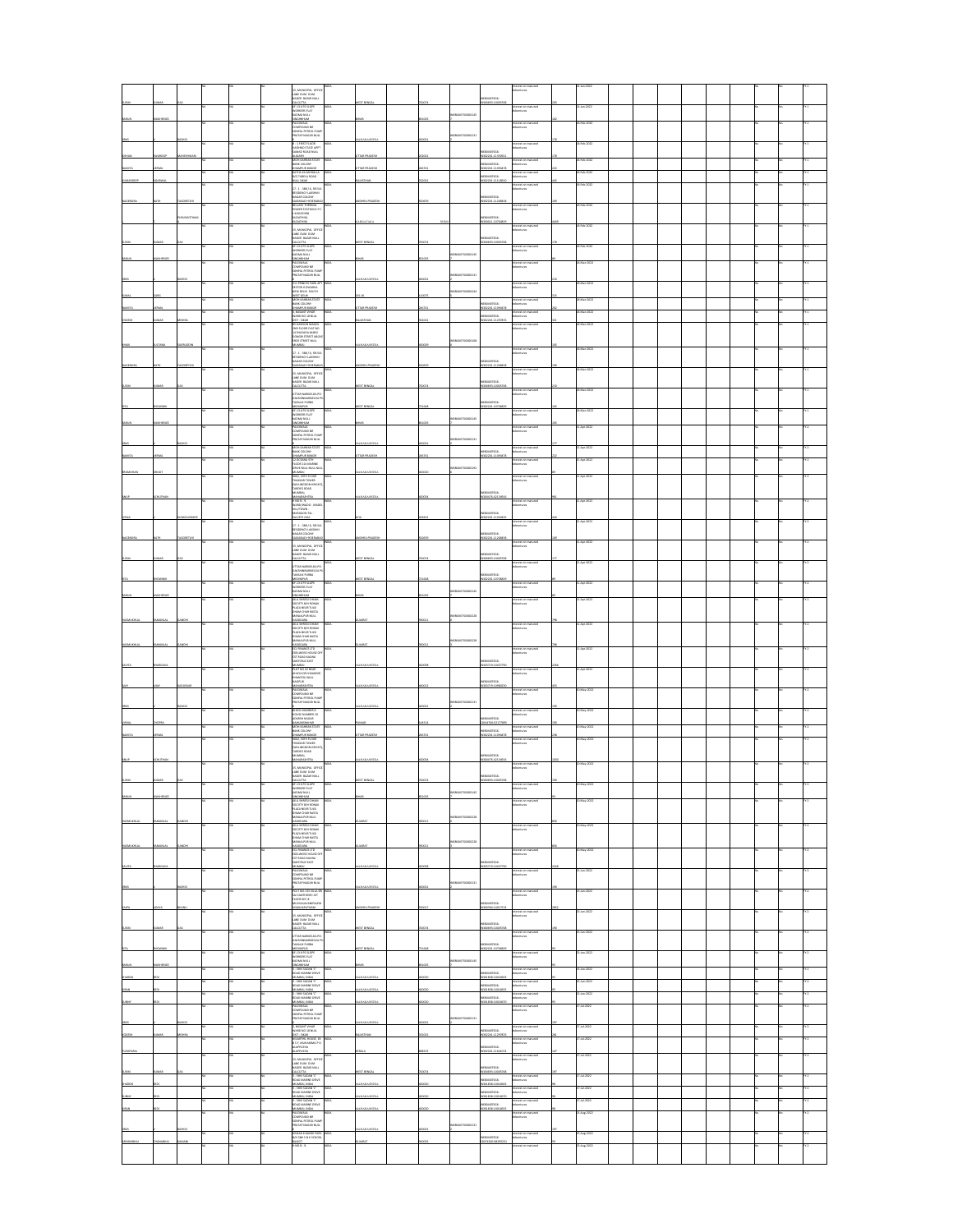|  |        |  | is, municipal offic<br>Lane Dum Dum<br>Mager Bazarmull                                                                                                                                                                                                             |                         |            |               |                                                | entanes                           |               |  |  |  |  |  |
|--|--------|--|--------------------------------------------------------------------------------------------------------------------------------------------------------------------------------------------------------------------------------------------------------------------|-------------------------|------------|---------------|------------------------------------------------|-----------------------------------|---------------|--|--|--|--|--|
|  |        |  |                                                                                                                                                                                                                                                                    |                         |            |               | 804075G6<br>00683-1000                         |                                   |               |  |  |  |  |  |
|  |        |  | MAN MANINE                                                                                                                                                                                                                                                         |                         |            |               |                                                | erest on mature<br>Sentares       |               |  |  |  |  |  |
|  |        |  |                                                                                                                                                                                                                                                                    |                         |            |               |                                                | ntane                             |               |  |  |  |  |  |
|  |        |  | ALLIWALA<br>CAAPCUND NR<br>ONPAL PETROL PUM<br>RATAP NAGAR NULL                                                                                                                                                                                                    |                         |            | 000005660013  |                                                |                                   |               |  |  |  |  |  |
|  |        |  |                                                                                                                                                                                                                                                                    |                         |            |               | <b>MATOSCO</b>                                 | rest on matured<br>entures        | 46-3322       |  |  |  |  |  |
|  |        |  |                                                                                                                                                                                                                                                                    |                         |            |               | 12201-11250<br>0607566                         | est on matured<br>etanes          | 46-3322       |  |  |  |  |  |
|  |        |  | <b>MARK ROOK</b><br>UNISIDE SCALE APPT<br>UNISIDE SCALE APPT<br>UNISIDE SCALE<br>TAP HANGERS SCALE<br>SANA COLONY<br>SANA COLONY<br>SANA COLONY<br>SANA COLONY<br>AND TABELA ROAD<br>AND TABELA ROAD                                                               |                         |            |               |                                                | etares                            |               |  |  |  |  |  |
|  |        |  |                                                                                                                                                                                                                                                                    |                         |            |               | 680407556<br>002201-11118950                   |                                   |               |  |  |  |  |  |
|  |        |  | 17 - 1 - 288 / 6, 581 5A<br>RESIDENCY LAKENN<br>RESIDENCY LAKENN<br>SAIDABAD HYDERABAL<br>SAIDABAD HYDERABAL<br>K KUDATHINI<br>KUDATHINI,<br>KUDATHINI,<br>KUDATHINI,                                                                                              |                         |            |               | 33407566                                       |                                   |               |  |  |  |  |  |
|  | CRETAY |  |                                                                                                                                                                                                                                                                    | <b>KOHRA PRADESH</b>    |            |               | 002201-11268458                                | rest on r<br>retures              |               |  |  |  |  |  |
|  |        |  |                                                                                                                                                                                                                                                                    |                         |            |               | 804075GG-<br>00011-1076                        |                                   |               |  |  |  |  |  |
|  |        |  |                                                                                                                                                                                                                                                                    |                         |            |               |                                                | KING ON I<br>HEEWIS               | Feb-302       |  |  |  |  |  |
|  |        |  |                                                                                                                                                                                                                                                                    |                         |            |               |                                                |                                   | 46-3322       |  |  |  |  |  |
|  |        |  |                                                                                                                                                                                                                                                                    |                         |            |               |                                                | rest on matured<br>retures        |               |  |  |  |  |  |
|  |        |  | <b>15, MUNICIPAL OFFICIAL</b><br>LANE DUM DUM<br>MAGER BAZAR NULL<br>MAGER BAZAR NULL<br>COLLUTIA<br>GROMAL NULL<br>MAGARALIAN<br>DINGRANAL PERIOL PUMP<br>COLPOLIAD NR<br>COLPOLIAD NR<br>COLPOLIAD NR<br>COLPOLIAD NR<br>COLPOLIAD NR                            |                         |            |               |                                                | ictures                           | Mar-2022      |  |  |  |  |  |
|  |        |  |                                                                                                                                                                                                                                                                    | ANARASHTRA              |            | 6808075660013 |                                                |                                   |               |  |  |  |  |  |
|  |        |  |                                                                                                                                                                                                                                                                    | <b>CLED</b>             |            |               |                                                | rest on m<br>retures              |               |  |  |  |  |  |
|  |        |  | 0<br>SECTOR & DWARKA<br>NEW DELHI SOUTH<br>WEST DELHI<br>WEST DELHI<br>RANK COLONY<br>RANK COLONY<br>PAIANEU IR BUNOR<br>PAIANEU IR BUNOR                                                                                                                          |                         |            |               | -<br>10201-1029<br>1021-1029                   | rest on m<br>entures              | Mar-2022      |  |  |  |  |  |
|  |        |  | MAN COLONY<br>DHAMPLIR BUNGK<br>NARD NO 18 NULL<br>NARD NO 18 NULL<br>NARD NO 18 NULL<br>NARD FLOOR FLAT NO<br>LA SHAWAR MARG<br>DOMGK STREET NULL<br>NUMBAL<br>MUMBAL                                                                                             |                         |            |               | <br> NG02001556<br> NG0201-11297876            | est on m<br><b>etants</b>         | Mar-2022      |  |  |  |  |  |
|  |        |  |                                                                                                                                                                                                                                                                    |                         |            |               |                                                |                                   |               |  |  |  |  |  |
|  |        |  |                                                                                                                                                                                                                                                                    |                         |            |               |                                                |                                   |               |  |  |  |  |  |
|  |        |  | ? - 1 - 388 / 6, SRI SA<br>ESIDENCY LAKSHMI<br>AGAR COLONY                                                                                                                                                                                                         |                         |            |               |                                                | erest on matured<br>Sentanes      | 8-Mar-2022    |  |  |  |  |  |
|  |        |  | MAAD HYDERA                                                                                                                                                                                                                                                        |                         |            |               | 806075G6<br>02201-11268                        |                                   |               |  |  |  |  |  |
|  |        |  |                                                                                                                                                                                                                                                                    |                         |            |               |                                                | rest on r<br>retures              | Mar-202       |  |  |  |  |  |
|  |        |  | IS, MUNCIPAL OFFIC<br>LANE DUM DUM<br>NAGER BAZAR MULL<br>CALCUTTA                                                                                                                                                                                                 | EST BENGA               |            |               | 332000282<br>00693-1000576                     |                                   |               |  |  |  |  |  |
|  |        |  | uttar Narikelda, Po<br>Dakshinaarikelda, P<br>Tamluk Purba                                                                                                                                                                                                         |                         |            |               | 33407566                                       |                                   |               |  |  |  |  |  |
|  |        |  | ACOMIPUR<br>S-12 6 PS SLOPE<br>VORKERS FLAT<br>VORAA NULL                                                                                                                                                                                                          | <b>ASSESSED</b>         |            |               | 002201-10706829                                | rest on r<br>retures              |               |  |  |  |  |  |
|  |        |  |                                                                                                                                                                                                                                                                    |                         |            | 6808075660056 |                                                |                                   |               |  |  |  |  |  |
|  |        |  | NGHÈHLIM<br>ALÉZANLA<br>CAFFOLIND NR<br>CINFAL PETROL PUM<br>RATAP NAGAR NULL                                                                                                                                                                                      |                         |            |               |                                                |                                   |               |  |  |  |  |  |
|  |        |  |                                                                                                                                                                                                                                                                    |                         |            |               |                                                | rest on m<br>entures              | Apr-200       |  |  |  |  |  |
|  |        |  |                                                                                                                                                                                                                                                                    | TAR PRADESH             |            |               | INERDEKOTSGE-<br>INGE2201-11094478             |                                   |               |  |  |  |  |  |
|  |        |  |                                                                                                                                                                                                                                                                    | <b>LARASHTE/</b>        |            | 808075660019  |                                                |                                   |               |  |  |  |  |  |
|  |        |  | DRAW NULL NULL NULL<br>MUMBAL<br>MUMBAL<br>MUMBACA TOWER<br>(MULLINGDOR NEGHT)<br>(MULLINGDOR NEGHT)<br>MUMBAL<br>MUMBACA<br>MUMBACA TRA<br>MUMBACA TRAW NEGHT<br>WILLY/TOWN<br>VILLY/TOWN<br>VILLY/TOWN<br>MUMBACA TRAW NEGHT                                     |                         |            |               |                                                | rest on m<br>retures              |               |  |  |  |  |  |
|  |        |  |                                                                                                                                                                                                                                                                    |                         |            |               | 00476-42134                                    |                                   |               |  |  |  |  |  |
|  |        |  |                                                                                                                                                                                                                                                                    |                         |            |               |                                                | bentanes                          |               |  |  |  |  |  |
|  |        |  |                                                                                                                                                                                                                                                                    |                         |            |               | 680407566-<br>002201-1103443                   |                                   | Apr-2022      |  |  |  |  |  |
|  |        |  | 7 - 1 - 388 / 6, SRI SA<br>ESIDENCY LAKSHMI<br>MGAR COLONY                                                                                                                                                                                                         |                         |            |               | 00007566                                       | rest on matured<br>entures        |               |  |  |  |  |  |
|  |        |  | <b>GALAD HYDERAL</b>                                                                                                                                                                                                                                               |                         |            |               | 02201-1126849                                  | est on r<br>etunes                | Apr-2022      |  |  |  |  |  |
|  |        |  | IS, MUNCPAL OFFIC<br>LANE DUM DUM<br>MAGER BAZAR MULL<br>CALCUTTA                                                                                                                                                                                                  |                         |            |               | E804075GE-<br>(300693-10005768                 |                                   |               |  |  |  |  |  |
|  |        |  |                                                                                                                                                                                                                                                                    | IST BENGAL              |            |               |                                                |                                   |               |  |  |  |  |  |
|  |        |  | uttar Narikelda Po<br>Dakshinaarkelda F<br>Tamluk Purba                                                                                                                                                                                                            |                         |            |               | 0000366                                        |                                   |               |  |  |  |  |  |
|  |        |  | I <u>senifur</u><br>F-12 6 PS SLOPE<br>Iobrers FLAT<br>Adma Null<br>Inghbhum                                                                                                                                                                                       |                         |            | 001075060014  |                                                | entanes                           |               |  |  |  |  |  |
|  |        |  | .<br>Sedan                                                                                                                                                                                                                                                         |                         |            |               |                                                | inest on i<br>ientures            |               |  |  |  |  |  |
|  |        |  | IN-A MWANI UMAM<br>KACIETY R/H RONAK<br>PLAZA NEAR TULSI<br>DHAM CHAR RASTA<br>MANUALPUR MULL<br>HENYMARA                                                                                                                                                          |                         |            | 808075660022  |                                                |                                   |               |  |  |  |  |  |
|  |        |  | ANNUALPUR MULL<br>IS A SHREET DHAM<br>IOCIETY RIM RONAK<br>UAZA NEAR TULSI<br>INNAM CHAR RASTA<br>ANNUALPUR<br>INNONAR                                                                                                                                             |                         |            |               |                                                | rest on mature<br>etates          | for-2022      |  |  |  |  |  |
|  |        |  |                                                                                                                                                                                                                                                                    |                         |            | 6808075660022 |                                                |                                   |               |  |  |  |  |  |
|  |        |  |                                                                                                                                                                                                                                                                    |                         |            |               |                                                |                                   |               |  |  |  |  |  |
|  |        |  | <i>UNDODARA</i><br>ECL FINANCE LTD<br>EDELWEISS HOUSE OF<br>GANTORIZ EAST<br>LINATORIZ EAST                                                                                                                                                                        |                         |            |               | 1075G6                                         |                                   |               |  |  |  |  |  |
|  |        |  | VNICRIZE MAI<br>ILIMBAE<br>ILIMBAE<br>ILIMBAE DEN MANDER<br>HARTOLI NULL<br>MARRASSITRA<br>MAPOLIND NR<br>DIAPOLIND NR<br>DIAPOLIND NR<br>DIAPOLIND NR<br>DIAPOLIND NR                                                                                             |                         |            |               |                                                | etates                            |               |  |  |  |  |  |
|  |        |  |                                                                                                                                                                                                                                                                    |                         |            |               | 30407566-<br>102719-1098                       |                                   |               |  |  |  |  |  |
|  |        |  |                                                                                                                                                                                                                                                                    |                         |            |               |                                                | test on matured<br>ntunes         | May 20        |  |  |  |  |  |
|  | 910    |  |                                                                                                                                                                                                                                                                    | <b><i>SURASHTRA</i></b> |            |               |                                                |                                   | Aug-2022      |  |  |  |  |  |
|  |        |  | LOCK NUMBER 8<br>DUST NUMBER 10<br>DARSH NAGAR<br>NUMBER<br>NAMPLIR BUNDR<br>HAMPLIR BUNDR<br>HAMPLIR BUNDR<br>NO2, 20TH FLOOR                                                                                                                                     |                         |            |               | 44700-02177                                    | etane                             |               |  |  |  |  |  |
|  |        |  |                                                                                                                                                                                                                                                                    |                         |            |               | -3220008                                       | est on matured<br>ntanes          | May-2022      |  |  |  |  |  |
|  |        |  |                                                                                                                                                                                                                                                                    |                         |            |               |                                                |                                   |               |  |  |  |  |  |
|  |        |  | udz, adih fulkir<br>Hakkar Tower<br>Akoeo Road<br>Aroeo Road<br>III IMBAI<br><b>HARASHTRA</b>                                                                                                                                                                      |                         |            |               | 322000264                                      |                                   |               |  |  |  |  |  |
|  |        |  |                                                                                                                                                                                                                                                                    |                         |            |               | 00006-021369                                   | interest on matured<br>debentures | May-2022      |  |  |  |  |  |
|  |        |  | 15, MUNICIPAL OFFICE<br>LANE DUM DUM<br>NAGER BAZAR NULL<br>CALCUTTA                                                                                                                                                                                               |                         |            |               | INEB04075GE-<br>INGCO683-10005768              |                                   |               |  |  |  |  |  |
|  |        |  |                                                                                                                                                                                                                                                                    |                         |            | 6808075660056 |                                                | irest on matured<br>ientures      | May-2022      |  |  |  |  |  |
|  |        |  |                                                                                                                                                                                                                                                                    |                         |            |               |                                                | erest on matured<br>Sentares      |               |  |  |  |  |  |
|  |        |  | MAGER BAZAR MULLI<br>CALCUTA<br>G-12695 SLOPE<br>WORKENS FLAT<br>KORAM MULL<br>SINGHIMM<br>SLOCITY BAN ROMA<br>PLAZA MEAR TULS<br>DHAM CHAR RASTA<br>DHAM CHAR RASTA<br>DHAM CHAR RASTA<br>DHAM CHAR RASTA<br>DHAM CHAR RASTA<br>DHAM CHAR RASTA                   |                         |            |               |                                                |                                   |               |  |  |  |  |  |
|  |        |  | Xodara<br>Kshreen dhami                                                                                                                                                                                                                                            |                         |            |               |                                                | ered cm ma<br>bertares            |               |  |  |  |  |  |
|  |        |  | GEA SHÈISIL DHAM<br>IOCICY QV ROMANI<br>PLAZA NGAR TULG<br>INAMA CHAR RASTA<br>MANAGEMA<br>IOC FRANCE LTD<br>IOC FRANCE LTD<br>IOC FRANCE COST<br>IOC FRANCE CAST<br>IOC FRANCE CAST<br>IOC FRANCE CAST<br>IOC FRANCE CAST<br>IOCIC FRANCE CAST                    |                         |            | E806075G60022 |                                                |                                   |               |  |  |  |  |  |
|  |        |  |                                                                                                                                                                                                                                                                    | 68.47                   |            |               |                                                | interest on matured<br>debentures | 10 May 2022   |  |  |  |  |  |
|  |        |  |                                                                                                                                                                                                                                                                    | <b><i>UARASHTRA</i></b> |            |               | INER04075GE-<br>INGC2719-10437790              |                                   |               |  |  |  |  |  |
|  |        |  | IJMBAI<br>NIERWALA<br>DAPOLIND NR<br>DAPAL PETROL PURAI<br>NATAP NAGAR NULL                                                                                                                                                                                        |                         |            |               |                                                | test on<br>Historia               |               |  |  |  |  |  |
|  |        |  |                                                                                                                                                                                                                                                                    |                         |            | 001075660013  |                                                |                                   | $an - 2022$   |  |  |  |  |  |
|  |        |  | <br>  OLT NO-133 VILIA SR<br> AI SANTHOSH 15T<br>   AI/YVILAVANIPALEM<br>   SAKHAPATNAM                                                                                                                                                                            |                         |            |               |                                                | interest on matured<br>debentures |               |  |  |  |  |  |
|  |        |  |                                                                                                                                                                                                                                                                    | <b>BA PRADES</b>        |            |               | 0394-14017574                                  | rrest on matured                  |               |  |  |  |  |  |
|  |        |  | S, MUNCPAL OFFICE<br>ANEOUM DUM<br>MGER BAZARMULL<br>CALCUTTA                                                                                                                                                                                                      |                         |            |               | 680407566<br>000683-10005768                   | bentanes                          |               |  |  |  |  |  |
|  |        |  |                                                                                                                                                                                                                                                                    | AQUEST SER              |            |               |                                                | interest on matured<br>debentures | $-345 - 2622$ |  |  |  |  |  |
|  |        |  |                                                                                                                                                                                                                                                                    | ST BENGAL               | <b>GAR</b> |               | 32000000<br>802201-10706829                    |                                   |               |  |  |  |  |  |
|  |        |  | UTAR MARKEDA PO<br>DARSHNARSKIDA PO<br>DARU IV POSA<br>CARLUX PUSA<br>GENERAL POSA<br>GENERAL POSA<br>GENERAL POSA<br>DARSKIDA POSAN POSAN<br>MARKEDA MARKEDA COMPUSATION<br>CARPASSAN COMPUSATION<br>MARKEDA MARKEDA COMPUSATION<br>CARPASSAN COMPUSATION<br>CARP |                         |            | 6806075660016 |                                                | erest on matured<br>bentures      | $-446 - 2022$ |  |  |  |  |  |
|  |        |  |                                                                                                                                                                                                                                                                    |                         |            |               |                                                | interest on matured<br>debentures | $446 - 2022$  |  |  |  |  |  |
|  |        |  |                                                                                                                                                                                                                                                                    | <b>RASHTR</b>           |            |               | 480407566-<br>001838-10016661                  | erest on matured<br>entures       | lun-2022      |  |  |  |  |  |
|  |        |  |                                                                                                                                                                                                                                                                    | <b><i>UARASHTRA</i></b> | œ          |               | E804075G6-<br>301838-10016                     | arest on m.<br>bertures           |               |  |  |  |  |  |
|  |        |  |                                                                                                                                                                                                                                                                    | <b><i>USASHTRA</i></b>  |            |               | INER041075GE-<br>INGCC628-10016670             | arest on matur<br>bertares        |               |  |  |  |  |  |
|  |        |  |                                                                                                                                                                                                                                                                    |                         |            | E808075G60013 |                                                |                                   |               |  |  |  |  |  |
|  |        |  |                                                                                                                                                                                                                                                                    | <b>HARASHTRA</b>        |            |               | %804075GE<br>%802201-11297876                  | arest on matured<br>bentures      | iul-2022      |  |  |  |  |  |
|  |        |  | BASANT VIHAR<br>HARD NO 18 NULL<br>IST - SIKAR<br>I KAPUZHA<br>LAPPUZHA<br>LAPPUZHA                                                                                                                                                                                |                         |            |               |                                                | sterest on matured<br>lebentures  | $44 - 2022$   |  |  |  |  |  |
|  |        |  |                                                                                                                                                                                                                                                                    |                         |            |               | 44000003<br>002201-1164103                     |                                   | 7-au-2022     |  |  |  |  |  |
|  |        |  | is, municipal offic<br>Lane Dum Dum<br>MAGER BAZAR MULL                                                                                                                                                                                                            |                         |            |               |                                                | interest on matured<br>debentures |               |  |  |  |  |  |
|  |        |  | ALCUTTA<br>- SHIV SADAN Y.<br>OAD MARINE DRIVE                                                                                                                                                                                                                     | EST BENGAL              |            |               | INER041075GE-<br>IN300693-10005768<br>44000003 | rrest on m<br>entanes             |               |  |  |  |  |  |
|  |        |  |                                                                                                                                                                                                                                                                    | <b>ARASHTE</b>          |            |               | 301838-1001666                                 | interest on matured<br>debentures | $-34 - 2022$  |  |  |  |  |  |
|  |        |  |                                                                                                                                                                                                                                                                    | <b><i>URASHTRA</i></b>  |            |               | 16804107566-<br>10015838-10016670              | erest on matured                  | $+202$        |  |  |  |  |  |
|  |        |  |                                                                                                                                                                                                                                                                    |                         |            |               |                                                |                                   |               |  |  |  |  |  |
|  |        |  | MO MARINE DRIVE<br>UMBAL, INDAN C'<br>SHIV SADAN C'<br>MO MARINE DRIVE<br>UMBAL, INDA<br>UMBAL, INDA<br>UMBAL, INDA<br>USANAL, INDA<br>USANAL, INDA                                                                                                                | <b>ARASHTRA</b>         |            |               | E8041075G6-<br>3015R38-10016655                | etates                            |               |  |  |  |  |  |
|  |        |  |                                                                                                                                                                                                                                                                    |                         |            |               |                                                | rest on r<br>retures              |               |  |  |  |  |  |
|  |        |  | niemmla<br>Dafpound nr<br>Dafml Petrol Punni<br>Ratap Nagar Null                                                                                                                                                                                                   |                         |            |               |                                                |                                   | Aug-2022      |  |  |  |  |  |
|  |        |  | SHAN & NANDI PARK<br>IH SNK S N K SCHOOL<br>NO B - 9,                                                                                                                                                                                                              | ww                      |            |               | INERDEKOTSGE-<br>12033200-08293231             | interest on matured<br>debentures | ug-2022       |  |  |  |  |  |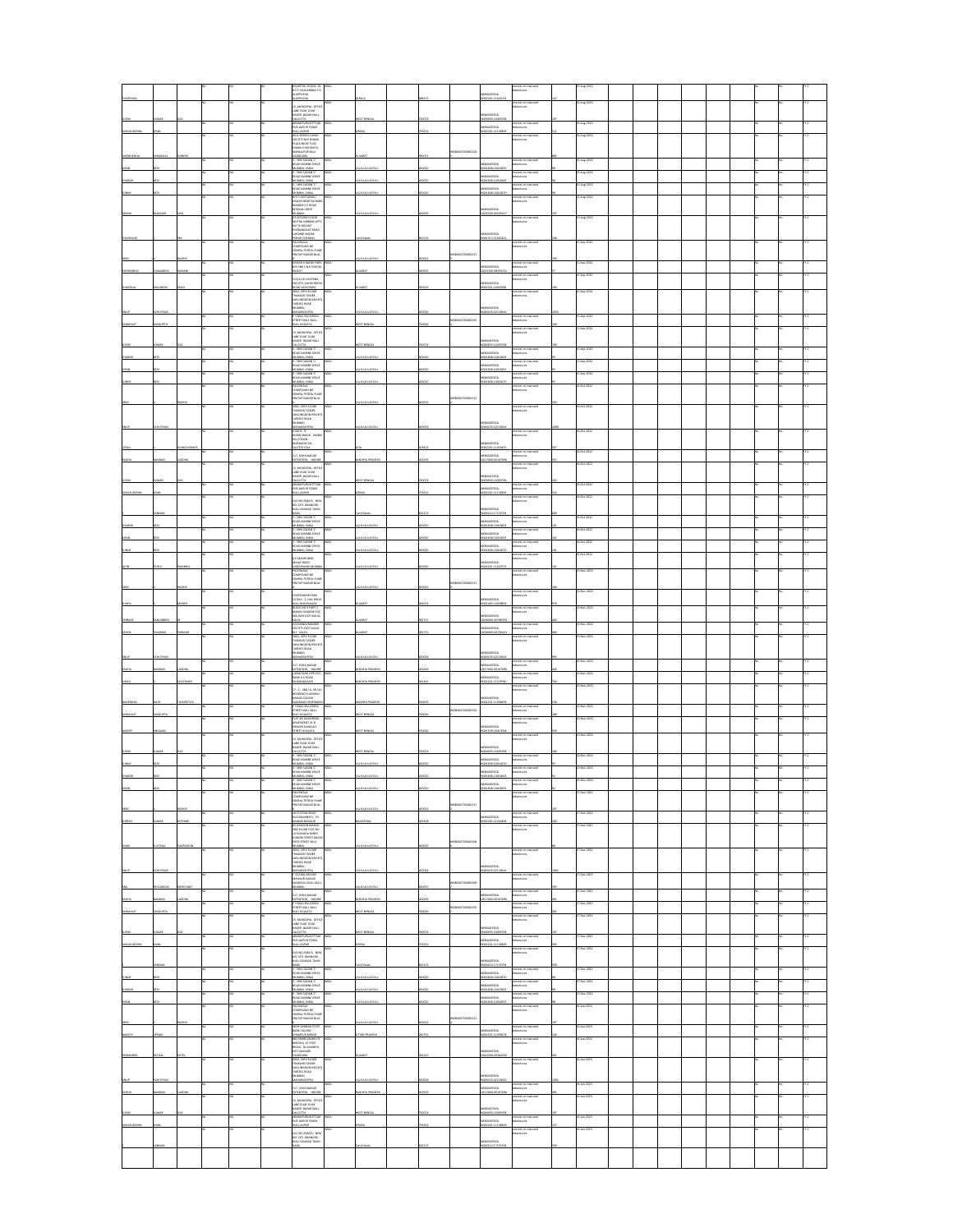|              |       |  | varthel houss, sa<br>5 F, Muhammar P C<br>Appuzha<br>Appuzha                                                                                                                                                                                                            |                         |      |                 | 322000264<br>302201-11641074         |                                   | Aug-2022      |  |  |  |  |  |
|--------------|-------|--|-------------------------------------------------------------------------------------------------------------------------------------------------------------------------------------------------------------------------------------------------------------------------|-------------------------|------|-----------------|--------------------------------------|-----------------------------------|---------------|--|--|--|--|--|
|              |       |  | IS, MUNCPAL OFFIC<br>LANE DUM DUM<br>WGER BAZAR MULL                                                                                                                                                                                                                    |                         |      |                 |                                      | interest on matured<br>debentures |               |  |  |  |  |  |
|              |       |  | <b>NECUTTA</b>                                                                                                                                                                                                                                                          | EST BENGAL              |      |                 | NER04KO3GG-<br>NGOGRA-10005768       |                                   |               |  |  |  |  |  |
|              |       |  | ANNGPURLISOTTAM<br>URLAJPUR TOWN                                                                                                                                                                                                                                        |                         |      |                 | 44000003<br>02201-1113830            | rest on matured<br>ientures       | ug-202        |  |  |  |  |  |
|              |       |  |                                                                                                                                                                                                                                                                         |                         |      |                 |                                      | interest on matured<br>debentures | Aug-2022      |  |  |  |  |  |
|              |       |  |                                                                                                                                                                                                                                                                         |                         |      | 01075660032     |                                      |                                   |               |  |  |  |  |  |
|              |       |  | PUR LAUPUR TOWN<br>MULL JAMERE DHAM<br>GA SHERE DHAM<br>CACKY QN BORM<br>CACKY QN BORM<br>MADAR MULL<br>MADARA<br>CAMBAL INDIA<br>TAMBAL INDIA<br>TAMBAL INDIA<br>TAMBAL INDIA                                                                                          |                         |      |                 | 320000364                            | erest on m<br>Sentanes            |               |  |  |  |  |  |
|              |       |  |                                                                                                                                                                                                                                                                         | <b><i>UARASETEA</i></b> |      |                 | 001838-1001665                       | est con i<br>ntunes               |               |  |  |  |  |  |
|              |       |  |                                                                                                                                                                                                                                                                         | ANARASHTRA              |      |                 | 1227000036<br>IN301838-10016663      |                                   |               |  |  |  |  |  |
|              |       |  |                                                                                                                                                                                                                                                                         | <b>ARASHTRA</b>         |      |                 | 480407556-<br>001838-10016670        | est on ma<br>etares               |               |  |  |  |  |  |
|              |       |  |                                                                                                                                                                                                                                                                         |                         |      |                 |                                      | erest on i<br>Sentanes            |               |  |  |  |  |  |
|              |       |  |                                                                                                                                                                                                                                                                         |                         |      |                 |                                      |                                   | kup 2022      |  |  |  |  |  |
|              |       |  |                                                                                                                                                                                                                                                                         |                         |      |                 |                                      | erest on matured<br>Sentanes      |               |  |  |  |  |  |
|              |       |  | <b>CONFIRMATION AND AN ASSAULT CONFIDENCIAL CONFIDENCIAL CONFIDENCIAL CONFIDENCIAL CONFIDENCIAL CONFIDENCIAL CONFIDENCIAL CONFIDENCIAL CONFIDENCIAL CONFIDENCIAL CONFIDENCIAL CONFIDENCIAL CONFIDENCIAL CONFIDENCIAL CONFIDENCIA</b>                                    | nil Nadu                |      |                 | 680807566-<br>001313-3503261         |                                   |               |  |  |  |  |  |
|              |       |  | MARKIN CHEMBAR<br>ALEJANIA<br>CAAPOLIND NR<br>CINPAL PETROL PUMP<br>RATAP NAGAR NULL                                                                                                                                                                                    |                         |      |                 |                                      | rest on mat<br>entanes            |               |  |  |  |  |  |
|              |       |  |                                                                                                                                                                                                                                                                         |                         |      | 08/075660013    |                                      |                                   |               |  |  |  |  |  |
|              |       |  | ishan 6 Nandi Pari<br>/h snk s n k schoo<br>TOOL                                                                                                                                                                                                                        |                         |      |                 | -322000036<br>022200-0829323         | arest on matured<br>bentures      | Sep 2022      |  |  |  |  |  |
|              |       |  |                                                                                                                                                                                                                                                                         |                         |      |                 |                                      | et on r<br>rtares                 |               |  |  |  |  |  |
|              |       |  |                                                                                                                                                                                                                                                                         |                         |      |                 | 452000026<br>02201-1000258           |                                   |               |  |  |  |  |  |
|              |       |  |                                                                                                                                                                                                                                                                         |                         |      |                 |                                      |                                   |               |  |  |  |  |  |
|              |       |  |                                                                                                                                                                                                                                                                         |                         |      |                 | 680407566-<br>100476-4213461         |                                   |               |  |  |  |  |  |
|              |       |  | 315/M-10, KNUPMA<br>SOCIETY, VAGHODHIV<br>SOLO VADODARA<br>NGAD ARTH FADDR<br>TAROGO ROMA<br>INAROGO ROMA<br>MAROGO ROMA<br>MAROGO ROMA<br>MAROGO ROMA<br>MAROGO ROMA<br>NAROGO ROMA<br>P 2 RARA RAJ RISSEN<br>STREET MALL NALL<br>STREET MALL NALL<br>STREET MALL NALL | <b>MONGS</b> T23        |      | 0200003000150   |                                      | erest on matured<br>Sentanes      | Sep-3022      |  |  |  |  |  |
|              |       |  | s, municipal offic<br>Ané dum dum<br>HGER BAZAR MULL                                                                                                                                                                                                                    |                         |      |                 |                                      | rest on                           |               |  |  |  |  |  |
|              |       |  |                                                                                                                                                                                                                                                                         | T BENGA                 |      |                 | 304075GG<br>100693-10005             |                                   |               |  |  |  |  |  |
|              |       |  | ALCUTTA<br>- SHIV SADAN C'<br>CAO MARINE DRIVE<br>CAMBAL, INDIA<br>- SHIV SADAN C<br>CAO MARINE DRIVE<br>- MARINE DRIVE                                                                                                                                                 | <b>HARASHTRA</b>        |      |                 | -120700024<br>001838-1001666         | arest on matured<br>bentures      | Sep-3022      |  |  |  |  |  |
|              |       |  |                                                                                                                                                                                                                                                                         | <b>ARASHTRA</b>         |      |                 | 40000000<br>100838-1001665           | rest on mat<br>retures            | iep-3322      |  |  |  |  |  |
|              |       |  |                                                                                                                                                                                                                                                                         |                         |      |                 | 480407556-<br>001838-10016670        | rest on ma<br>entures             | Sep-2022      |  |  |  |  |  |
|              |       |  | OAD MARINE DRIVE<br>ILIANDAL INDIA<br>- SHIV SADAN (*<br>- SHIV SADAN (* )<br>KIANDAL PETROL PUNP<br>ILIANDAL PETROL PUNP<br>DNPAL PETROL PUNP<br>DNPAL PETROL PUNP                                                                                                     | <b>MASHTRA</b>          |      |                 |                                      | erest on mature<br><b>Intants</b> | 0et-2022      |  |  |  |  |  |
|              |       |  |                                                                                                                                                                                                                                                                         |                         |      | 808075660017    |                                      |                                   |               |  |  |  |  |  |
|              |       |  |                                                                                                                                                                                                                                                                         |                         |      |                 |                                      | rrest on matured<br>ientures      | Oct-2022      |  |  |  |  |  |
|              |       |  |                                                                                                                                                                                                                                                                         |                         |      |                 | INER04075GE-<br>INGODE 42134816      |                                   |               |  |  |  |  |  |
|              |       |  |                                                                                                                                                                                                                                                                         | LARASHTRA               |      |                 |                                      | rrest on r<br>entanes             |               |  |  |  |  |  |
|              |       |  | 0<br>2002, 2014 FADOR<br>THAKOKA TOWER<br>(MILLINGDOR HEIGHT)<br>KASING ROAD<br>MILLINGDOR<br>MARADWADO - MADE<br>WILLITOWN -<br>WILLITOWN -<br>WILLITOWN -<br>WILLITOWN -<br>MILLITOWN -                                                                               |                         |      |                 | 804075GG<br>02205-19334              |                                   |               |  |  |  |  |  |
|              |       |  | 17, USHA NASAR<br>XIENTION, NOORS                                                                                                                                                                                                                                       |                         |      |                 | -322000036                           | mest on m<br>ventures             |               |  |  |  |  |  |
|              |       |  |                                                                                                                                                                                                                                                                         | <b>NORTH PRADESH</b>    |      |                 | 12017000-00167696                    |                                   |               |  |  |  |  |  |
|              |       |  | S, MUNCIPAL OFFICE<br>ANE DUM DUM<br>HGER BAZAR MULL<br>HGCTTS                                                                                                                                                                                                          |                         |      |                 | 804075GG-<br>00683-10005768          |                                   |               |  |  |  |  |  |
|              |       |  | <b>LUTTA</b><br>NGC/URUSOTTAN                                                                                                                                                                                                                                           | EST BENGAL              |      |                 | -                                    | entares                           |               |  |  |  |  |  |
|              |       |  | PUR IAIPUR TOWN<br>NULL IAIPUR                                                                                                                                                                                                                                          |                         |      |                 | 302201-1113836                       |                                   |               |  |  |  |  |  |
|              |       |  | )<br>10 No 258A/5, New<br>1011 Swawasi Tawa                                                                                                                                                                                                                             |                         |      |                 | 332000282                            |                                   |               |  |  |  |  |  |
|              |       |  | ovo Myske osine<br>- Zhiv zvonn .c.<br>Ovo myske osine                                                                                                                                                                                                                  |                         |      |                 | (200214-1715578)<br>INERGHOTSGE-     | erest on matu<br>Seetanes         |               |  |  |  |  |  |
|              |       |  | dad Marine Drive<br>Lingah, India<br>- Shiy Sadan C'<br>Dad Marine Drive<br>Lingah, India<br>Shiy Sadan C'<br>Dad Marine Drive<br>Dad Marine Drive                                                                                                                      |                         |      |                 | 001838-1001666                       | interest on matured<br>debentures | F-0ct-2022    |  |  |  |  |  |
|              |       |  |                                                                                                                                                                                                                                                                         |                         |      |                 | 480407566<br>011838-1001665          | rest on matured<br>entures        | Oct-2022      |  |  |  |  |  |
|              |       |  |                                                                                                                                                                                                                                                                         |                         |      |                 | 00000366-<br>00001-0006              |                                   | Oct-2022      |  |  |  |  |  |
|              |       |  | A 6 MADHUGAN<br>AMANS ROAD<br>MAMAS ROAD<br>PALÉMINA<br>COMPAL PETROL PUM<br>MATAP NAGAR NULL<br>PATAP NAGAR NULL<br>PATAP NAGAR NULL                                                                                                                                   |                         |      |                 |                                      | erest on matured<br>bentures      |               |  |  |  |  |  |
|              |       |  |                                                                                                                                                                                                                                                                         |                         |      |                 |                                      | erest on r<br>Sentares            |               |  |  |  |  |  |
|              |       |  |                                                                                                                                                                                                                                                                         |                         |      | 6808075660017   |                                      |                                   |               |  |  |  |  |  |
|              |       |  |                                                                                                                                                                                                                                                                         |                         |      |                 |                                      | erest on mature<br>ettates        |               |  |  |  |  |  |
|              |       |  | OGESHWAR PARK<br>276(N. - 2, HILL DRIVE<br>LILL BHANNAGAR<br>KOCK NO 9 PART 2<br>AHN MANDIK SOC<br>AHN<br>AHN                                                                                                                                                           |                         |      |                 | 680407556<br>001485-10636804         |                                   |               |  |  |  |  |  |
|              |       |  |                                                                                                                                                                                                                                                                         |                         |      |                 | 804075GE-<br>12000-00598             | erest on r<br>Sentares            |               |  |  |  |  |  |
|              |       |  | ia.<br>Waannandr<br>CETY EAST KALOL                                                                                                                                                                                                                                     |                         |      |                 | -32010034                            | rest on m<br>Settures             |               |  |  |  |  |  |
|              |       |  | ADCINT MAILBACK<br>REY KAADE<br>2002, 20TH FIGOR<br>TAROEO ROAD<br>WANARAI,<br>MANARAI,<br>MANARAI,                                                                                                                                                                     |                         |      |                 | 036000-00726424                      |                                   |               |  |  |  |  |  |
|              |       |  |                                                                                                                                                                                                                                                                         |                         |      |                 | anuntosc                             |                                   |               |  |  |  |  |  |
|              |       |  |                                                                                                                                                                                                                                                                         |                         |      |                 | 00036-02136                          | rest on matured<br>entures        | lov-2022      |  |  |  |  |  |
|              |       |  | 17, USHA NAGAR<br>XISNITON, INDOR<br>ANNIKUNI OPPICIC<br>IANIK G EROAD                                                                                                                                                                                                  |                         |      |                 |                                      | erest on matur<br>Sentures        | Nov-2022      |  |  |  |  |  |
|              |       |  | NANDGACN                                                                                                                                                                                                                                                                | <b>FOR PRACESH</b>      |      |                 | -3220000000<br>102201-11220700       |                                   |               |  |  |  |  |  |
|              |       |  | 17 - 1 - 388 / 6, 581 SA<br>RESIDENCY LAKSHMI<br>MAGAR COLONY                                                                                                                                                                                                           |                         |      |                 |                                      | rest on m<br>entures              |               |  |  |  |  |  |
|              |       |  | <b>ANA RAJ KISSE</b>                                                                                                                                                                                                                                                    | <b>BA PRADE</b>         |      |                 | 3044075GG-<br>102205-1126845         |                                   |               |  |  |  |  |  |
| QJPTA        |       |  | AGET NULL MULL                                                                                                                                                                                                                                                          | EST BENGAL              |      | NE804075G600150 |                                      | bertures                          | 3 Nov-2022    |  |  |  |  |  |
|              |       |  | NIE KOLKATA<br>AT BG AASHRRAD<br>PARTMENT 21 B<br>HWAR GANGULY                                                                                                                                                                                                          | EST BENGAL              |      |                 | 440000000                            | interest on matured<br>debentures |               |  |  |  |  |  |
|              |       |  | REET REGISTA                                                                                                                                                                                                                                                            |                         |      |                 | 001549-10013038                      | interest on matured<br>debentures | Nov-2022      |  |  |  |  |  |
|              |       |  | i, muncipal offici<br>Ne dum dum<br>Ager Bazarmull                                                                                                                                                                                                                      | <b>MONGS T23</b>        |      |                 | 33200364<br>(300693-10005768         |                                   |               |  |  |  |  |  |
|              |       |  | NELITTA<br>- SHIV SADAN "C"<br>OAD MARINE DRIVE                                                                                                                                                                                                                         |                         |      |                 | -agencinesis<br>001838-1001667       | erest on mat<br>Sentanes          |               |  |  |  |  |  |
|              |       |  | UMBAL INDIA<br>SHIV SADAN C'<br>MD MARINE DRIVE<br>UMBAL INDIA<br>CUNTANLINDIA                                                                                                                                                                                          |                         |      |                 | <b>NERDEKOTSGE</b>                   | interest on matured<br>debentures |               |  |  |  |  |  |
|              |       |  |                                                                                                                                                                                                                                                                         |                         |      |                 | 101838-10016667                      | ictures                           |               |  |  |  |  |  |
|              |       |  | DAD MARINE DRIVE<br>TANDAL INDIA<br>TEERINAA                                                                                                                                                                                                                            | NHARASHTRA              |      |                 | INEB04075GE-<br>INGCC628-10016655    | rest on m<br>entanes              |               |  |  |  |  |  |
|              |       |  | ALLAWALA<br>CAAPCIUND NR<br>CAFAL PETROL PUMI<br>RATAP NAGAR NULL                                                                                                                                                                                                       | AR AGETTE               |      |                 |                                      |                                   |               |  |  |  |  |  |
|              |       |  | .<br>Station Road<br>(Ohamansit), Th                                                                                                                                                                                                                                    |                         |      |                 | 440000000                            | arest on m<br>bentures            |               |  |  |  |  |  |
|              |       |  | UCHAMMARITI, TH<br>KWAN NAGAUR<br>ND FLOOR FLAT NO<br>4 SHAYADA MARG<br>ONGRI STREET AROVE<br>ROS STREET NULL<br>ROMBAI                                                                                                                                                 | LASTHANI                | 1508 |                 | 002201-11264468                      | rest on m<br>entures              |               |  |  |  |  |  |
|              |       |  |                                                                                                                                                                                                                                                                         |                         |      |                 |                                      |                                   |               |  |  |  |  |  |
|              |       |  |                                                                                                                                                                                                                                                                         |                         |      |                 |                                      | irest on matured<br>ientures      | 7-Dec-2022    |  |  |  |  |  |
|              |       |  |                                                                                                                                                                                                                                                                         |                         |      |                 |                                      |                                   |               |  |  |  |  |  |
|              |       |  |                                                                                                                                                                                                                                                                         | <b><i>URASHTRA</i></b>  |      |                 | INER04075G6-<br>IN900476-43134956    |                                   |               |  |  |  |  |  |
|              |       |  | ROM SIMBAT NULL<br>BUMBAL<br>BUMBAL<br>MAKKAR TOWER<br>MILINGDON HEIGHT<br>MAKINGDON<br>BUMBAL<br>BUMBAL<br>BUMBAL NULL NULL<br>BUMBAL NULL NULL<br>BUMBAL NULL NULL<br>BUMBAL                                                                                          |                         |      | 808075660030    |                                      | est on i<br>etanes                |               |  |  |  |  |  |
| UMDA         |       |  | <b>IARAL</b>                                                                                                                                                                                                                                                            | <b>LARASHTE</b>         | œ    |                 | INER04075GE-<br>12017000-00167696    | rest on mat<br>entures            |               |  |  |  |  |  |
| ANDAN        | stown |  | 217, USHA NAGAR<br>Extention, I. Indone<br>Freet Null Null<br>Etreet Null Null<br>Null Kolkata                                                                                                                                                                          | <b>MOHYA PRADESH</b>    | 4000 | 168010756600150 |                                      | vrest on matured<br>ietitanes     |               |  |  |  |  |  |
| <b>SIPTA</b> |       |  |                                                                                                                                                                                                                                                                         | ST BENGAL               |      |                 |                                      | rest on m<br>Jestures             |               |  |  |  |  |  |
|              |       |  | S, MUNCIPAL OFFICE<br>ANEOUN DUM<br>MGER BAZAR NULL<br>MELAIPUR TOWN<br>URLAIPUR TOWN<br>URLAIPUR TOWN                                                                                                                                                                  |                         |      |                 | 680407566-<br>000683-10005768        |                                   |               |  |  |  |  |  |
|              |       |  |                                                                                                                                                                                                                                                                         | ST BENGAL               |      |                 | -                                    | erest on matured<br>Sentares      | Dec-2022      |  |  |  |  |  |
|              |       |  |                                                                                                                                                                                                                                                                         |                         |      |                 |                                      | rest on mati<br>entures           |               |  |  |  |  |  |
|              |       |  | ld no 258a/5, new<br>0 1371 GNANGIRI,<br>ULL SIVAKAGI TAMIL                                                                                                                                                                                                             |                         |      |                 | enwintsco                            |                                   |               |  |  |  |  |  |
|              |       |  |                                                                                                                                                                                                                                                                         |                         |      |                 | 00214-17155764                       | erest on matured<br>Sentanes      | Dec-2022      |  |  |  |  |  |
|              |       |  | ADU<br>- SHV SADAN (* )<br>DAD MARINE DRIVE<br>- SHV SADAN (* )<br>DAD MARINE DRIVE<br>DAD MARINE DRIVE<br>1940A : HOVA                                                                                                                                                 |                         |      |                 | INEBOARDTSGE                         | erest on m<br>Dentares            |               |  |  |  |  |  |
|              |       |  |                                                                                                                                                                                                                                                                         | <b>SHIRA</b>            |      |                 | 001838-1001                          | est on r<br>etures                |               |  |  |  |  |  |
|              |       |  | DAD MARINE DRIVE<br>IJANDA, INDIA<br>- SAW SADAN C<br>- SAW SADAN CORVE<br>IJANDA, INDIA<br>IJANDA, PETROL PUMP<br>INDIA, PETROL PUMP<br>IJANDA, PETROL PUMP                                                                                                            | ANARASHTRA              | ccoo |                 | INERDAICI SGE-<br>INGCLESIB-10016655 | rest on matured                   |               |  |  |  |  |  |
|              |       |  |                                                                                                                                                                                                                                                                         |                         |      |                 |                                      | tates                             |               |  |  |  |  |  |
|              |       |  |                                                                                                                                                                                                                                                                         | <b>ARASHTE</b>          |      |                 |                                      | erest on matured<br>Sentanes      | $-385 - 2022$ |  |  |  |  |  |
|              |       |  |                                                                                                                                                                                                                                                                         |                         |      |                 | 480407556<br>002201-11094478         | rest on matured                   | $485 - 2022$  |  |  |  |  |  |
|              |       |  | IOH KAHRAN STATE<br>NNK COLONY<br>HAMPUR BUNOR<br>KRODA, AT POST<br>HRULI, TA GANDEVI,<br>KT-NAVSAR<br>ST-NAVSAR<br>NDODARA                                                                                                                                             |                         |      |                 | 30407566                             | etates                            |               |  |  |  |  |  |
|              |       |  | AT THAT BAN<br>03, 30TH FLOOR<br>MICKAR TOWER<br>MILINGDON HEIGHT                                                                                                                                                                                                       |                         |      |                 | 041500-00364                         | interest on matured<br>debentures | $-3a + 2022$  |  |  |  |  |  |
|              |       |  | 46060 RDAD                                                                                                                                                                                                                                                              |                         |      |                 |                                      |                                   |               |  |  |  |  |  |
|              |       |  | MBAI,<br>HARASHTRA                                                                                                                                                                                                                                                      |                         |      |                 | 804075G6-<br>00476-42134             |                                   | as 3022       |  |  |  |  |  |
|              |       |  | 17, USHA NAGAR<br>DITOX, INDOR                                                                                                                                                                                                                                          | FOR PRACESH             |      |                 | INEBOARDTSGE<br>017000-00167         | arest on matured<br>bentures      |               |  |  |  |  |  |
|              |       |  | 15, MUNICIPAL OFFICE<br>LANE DUM DUM<br>NAGER BAZAR NULL<br>CALCUITA                                                                                                                                                                                                    |                         |      |                 |                                      | rest on mi<br>retures             |               |  |  |  |  |  |
|              |       |  |                                                                                                                                                                                                                                                                         |                         |      |                 | 304075GG-<br>100693-10005            |                                   |               |  |  |  |  |  |
|              |       |  | urian diwati<br>Urian dikenali<br>Kali dan dike                                                                                                                                                                                                                         |                         |      |                 | 40000000<br>02201-111383             | entares                           | $-35 - 322$   |  |  |  |  |  |
|              |       |  | ld no 258a/5, new<br>0 1371 GNANGRI,<br>ULL SNAKASI TAMIL                                                                                                                                                                                                               |                         |      |                 |                                      | interest on matured<br>debentures |               |  |  |  |  |  |
|              |       |  | LOU.                                                                                                                                                                                                                                                                    |                         |      |                 | NER04K075GE-<br>NGODI14-17155784     |                                   |               |  |  |  |  |  |
|              |       |  |                                                                                                                                                                                                                                                                         |                         |      |                 |                                      |                                   |               |  |  |  |  |  |
|              |       |  |                                                                                                                                                                                                                                                                         |                         |      |                 |                                      |                                   |               |  |  |  |  |  |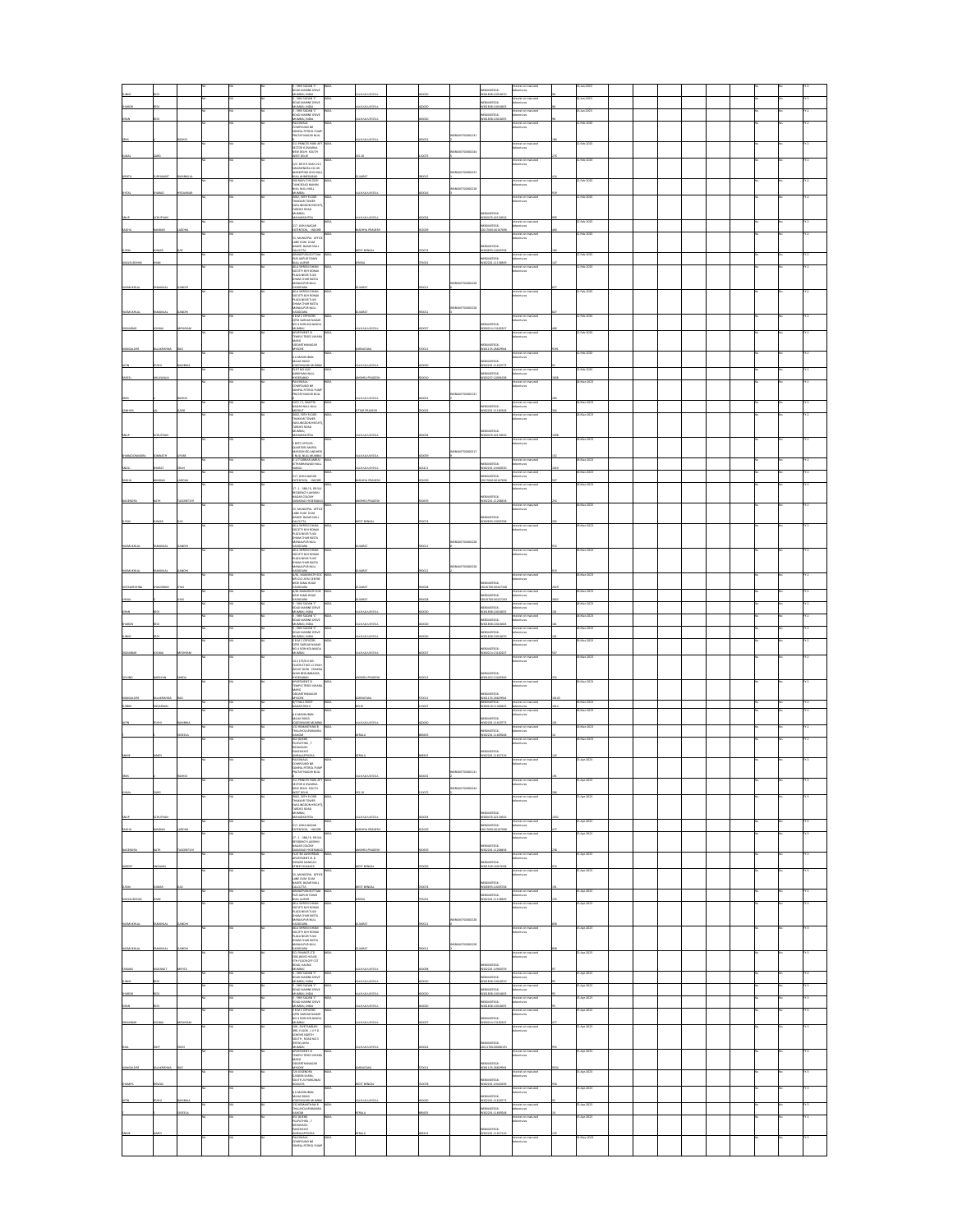|                  |                  |  |  | 2 - SHIY SADAAN C'<br>ROAD MARINI DRIVE<br>MUMBAL INDIA<br>2 - SHIY SADAAN CRIVE<br>ROAD MARINE DRIVE                                                                                                                                                                                                                                                                                                                                  |                          |      |                | -aactosce                                           | vest on m.<br>entures           |      |            |  |  |  |  |
|------------------|------------------|--|--|----------------------------------------------------------------------------------------------------------------------------------------------------------------------------------------------------------------------------------------------------------------------------------------------------------------------------------------------------------------------------------------------------------------------------------------|--------------------------|------|----------------|-----------------------------------------------------|---------------------------------|------|------------|--|--|--|--|
|                  |                  |  |  |                                                                                                                                                                                                                                                                                                                                                                                                                                        |                          |      |                | 16838-10016                                         |                                 |      |            |  |  |  |  |
|                  |                  |  |  |                                                                                                                                                                                                                                                                                                                                                                                                                                        |                          |      |                | 432030324<br>001838-10016667                        | arest on ma<br>bentures         |      |            |  |  |  |  |
|                  |                  |  |  | MUMBAL INDIA<br>3 - SHIV SADAN 'C'<br>ROAD MARINE DRIVE                                                                                                                                                                                                                                                                                                                                                                                |                          |      |                | 440000000                                           | rest on ma<br>entanes           |      |            |  |  |  |  |
|                  |                  |  |  | KORD MAKINI DENY<br>PALEMALA<br>COMPOUND NR<br>COMPAL PETROL PUMI<br>PAATAP NAGAR NULL<br>PAATAP NAGAR NULL                                                                                                                                                                                                                                                                                                                            |                          |      |                | 01838-10016                                         |                                 |      |            |  |  |  |  |
|                  |                  |  |  |                                                                                                                                                                                                                                                                                                                                                                                                                                        |                          |      |                |                                                     | erest on matured<br>Sentanes    |      |            |  |  |  |  |
|                  |                  |  |  |                                                                                                                                                                                                                                                                                                                                                                                                                                        | <b>LARASHITE</b>         |      | E804075G60013  |                                                     |                                 |      |            |  |  |  |  |
|                  |                  |  |  | 0<br>211 PRINCES PARK AP<br>SECTOR 6 DWARKA<br>NEW DELHI SOUTH<br>WEST DELHI                                                                                                                                                                                                                                                                                                                                                           |                          |      | NER08075GG0036 |                                                     | erest on m<br>Sentanes          |      |            |  |  |  |  |
|                  |                  |  |  |                                                                                                                                                                                                                                                                                                                                                                                                                                        |                          |      |                |                                                     |                                 |      |            |  |  |  |  |
|                  |                  |  |  |                                                                                                                                                                                                                                                                                                                                                                                                                                        |                          |      |                |                                                     | rrest on r<br>entures           |      |            |  |  |  |  |
|                  |                  |  |  | C/O OR R R SHAH 212<br>SINARISNORA CO OR<br>MARKETING KOL NULI<br>MULL AHMEDABAD<br>SOG RAIN CHS GOPI                                                                                                                                                                                                                                                                                                                                  | ww                       |      |                |                                                     |                                 |      |            |  |  |  |  |
|                  |                  |  |  |                                                                                                                                                                                                                                                                                                                                                                                                                                        |                          |      |                |                                                     | <b>Centures</b>                 |      |            |  |  |  |  |
|                  |                  |  |  | SON KAUV CHA GOM<br>TANK ROAD MAHIM<br>MULL NULL NULL<br>MUMBAI                                                                                                                                                                                                                                                                                                                                                                        |                          |      | 808075660021   |                                                     |                                 |      |            |  |  |  |  |
|                  |                  |  |  | MUMBAI<br>2002, 20TH FLOOR<br>THAKKAR TOWER<br>(MULINGDON HEIGHT<br>MUMBAI,<br>MUMBAI,<br>MUMBAI,                                                                                                                                                                                                                                                                                                                                      |                          |      |                |                                                     | erest on r<br>Sentares          |      |            |  |  |  |  |
|                  |                  |  |  |                                                                                                                                                                                                                                                                                                                                                                                                                                        |                          |      |                | anantsco                                            |                                 |      |            |  |  |  |  |
|                  |                  |  |  |                                                                                                                                                                                                                                                                                                                                                                                                                                        |                          |      |                | 00036-02134                                         |                                 |      | ab-3322    |  |  |  |  |
|                  |                  |  |  | 217, USKA NAGAR<br>EXTENTION, NADOL                                                                                                                                                                                                                                                                                                                                                                                                    |                          |      |                |                                                     | erest on matured<br>Sentares    |      |            |  |  |  |  |
|                  |                  |  |  |                                                                                                                                                                                                                                                                                                                                                                                                                                        |                          |      |                |                                                     | arest on mati<br>bentures       |      |            |  |  |  |  |
|                  |                  |  |  |                                                                                                                                                                                                                                                                                                                                                                                                                                        |                          |      |                |                                                     |                                 |      |            |  |  |  |  |
|                  |                  |  |  |                                                                                                                                                                                                                                                                                                                                                                                                                                        |                          |      |                |                                                     | erest on matured<br>Sentanes    |      | 40-3022    |  |  |  |  |
|                  |                  |  |  |                                                                                                                                                                                                                                                                                                                                                                                                                                        |                          |      |                | 407566                                              |                                 |      |            |  |  |  |  |
|                  |                  |  |  | EXERCISE IN MARINE PRODUCED AND REAL AND CONFIDENTIAL PRODUCED AND REAL AND CONFIDENTIAL PRODUCED IN A SCHOOL AND REAL ONLY A PARTICULAR BUILD CHARGE THE VALUE OF A SHARA CHARGE THE VALUE OF A SHARA CHARGE THE VALUE OF A S                                                                                                                                                                                                         |                          |      |                |                                                     | erest on mati<br>Sentanes       |      |            |  |  |  |  |
|                  |                  |  |  |                                                                                                                                                                                                                                                                                                                                                                                                                                        |                          |      | 6804075660022  |                                                     |                                 |      |            |  |  |  |  |
|                  | <b>MANLA</b>     |  |  |                                                                                                                                                                                                                                                                                                                                                                                                                                        | IARAT                    | cost |                |                                                     |                                 |      |            |  |  |  |  |
|                  |                  |  |  | MANUALPUR MULL<br>WADODARA<br>GG-A SHRSER DHAM<br>SOCIETY R/H RONAK<br>PLAZA MEAR TULS<br>DHAM CHAR RASTA<br>MANUALPUR MULL<br>MANUALPUR MULL<br>MANUALPUR MULL                                                                                                                                                                                                                                                                        |                          |      |                |                                                     | terest on matured<br>lebentures |      |            |  |  |  |  |
|                  |                  |  |  |                                                                                                                                                                                                                                                                                                                                                                                                                                        |                          |      | 800005660022   |                                                     |                                 |      |            |  |  |  |  |
|                  |                  |  |  |                                                                                                                                                                                                                                                                                                                                                                                                                                        | <b>HAKI</b>              |      |                |                                                     | erest on mat<br>Sentanes        |      |            |  |  |  |  |
|                  |                  |  |  | WEDDEARA<br>2 B.M.C.OFFICERS<br>QTRS SARDAR NAGAR<br>ND. 4 SION KOLINADA                                                                                                                                                                                                                                                                                                                                                               |                          |      |                | 440000000                                           |                                 |      |            |  |  |  |  |
|                  |                  |  |  | NO 4 NOW ROLLWAND<br>MARINARINI 21<br>MARINARINI 22<br>MARIG TREES VIHAL<br>SIDDARTHANAGAR<br>SIDDARTHANAGAR<br>MAYSORS                                                                                                                                                                                                                                                                                                                | <b>LARASHTE</b>          |      |                | 000214-13192207                                     | rest on i<br>entures            |      |            |  |  |  |  |
|                  |                  |  |  |                                                                                                                                                                                                                                                                                                                                                                                                                                        |                          |      |                |                                                     |                                 |      |            |  |  |  |  |
|                  |                  |  |  |                                                                                                                                                                                                                                                                                                                                                                                                                                        |                          |      |                | 1341075GG-<br>11135-36820                           |                                 |      |            |  |  |  |  |
|                  |                  |  |  | A 6 MADHURAN<br>MARAS BOAD<br>DOGESHIRARI MULHAR<br>PARKRANA MULL<br>HIDERARAN<br>COMPAL PERIOR PUM<br>COMPAL PERIOR PUM<br>DORPAL PERIOR NULL<br>DORPAL PERIOR NULL<br>DORPAL PERIOR<br>DORPAL PERIOR                                                                                                                                                                                                                                 |                          |      |                |                                                     | erest on ma<br>Sentares         |      |            |  |  |  |  |
|                  |                  |  |  |                                                                                                                                                                                                                                                                                                                                                                                                                                        |                          |      |                | 04075GG-<br>12205-11620                             |                                 |      |            |  |  |  |  |
|                  |                  |  |  |                                                                                                                                                                                                                                                                                                                                                                                                                                        |                          |      |                | 440000034<br>03237-10091                            | terest on matured<br>ibentures  |      |            |  |  |  |  |
|                  |                  |  |  |                                                                                                                                                                                                                                                                                                                                                                                                                                        |                          |      |                |                                                     | erest on ma<br>Sentares         |      |            |  |  |  |  |
|                  |                  |  |  |                                                                                                                                                                                                                                                                                                                                                                                                                                        |                          |      |                |                                                     |                                 |      |            |  |  |  |  |
|                  |                  |  |  | u<br>1421 / 2, SHASTRI<br>NAGAR NULL NULL<br>1477-17                                                                                                                                                                                                                                                                                                                                                                                   |                          |      |                | 452000024                                           | arest on m<br>bentures          |      |            |  |  |  |  |
|                  |                  |  |  | NAGAR NULL NULL<br>NGCO, 20TH FUDDR<br>2002, 20TH FUDDR<br>THAKKAR TOWER<br>TARDEO ROAD<br>MULMBAI,<br>MAHARAGHTAA                                                                                                                                                                                                                                                                                                                     | TAR PRADES               |      |                | 0205-1119234                                        |                                 |      |            |  |  |  |  |
|                  |                  |  |  |                                                                                                                                                                                                                                                                                                                                                                                                                                        |                          |      |                |                                                     | arest on matured<br>bentures    |      |            |  |  |  |  |
|                  |                  |  |  |                                                                                                                                                                                                                                                                                                                                                                                                                                        |                          |      |                |                                                     |                                 |      |            |  |  |  |  |
|                  |                  |  |  |                                                                                                                                                                                                                                                                                                                                                                                                                                        |                          |      |                | 808075GG-<br>00876-82138                            |                                 |      |            |  |  |  |  |
|                  |                  |  |  |                                                                                                                                                                                                                                                                                                                                                                                                                                        |                          |      |                |                                                     | erest on ma<br>bentares         |      |            |  |  |  |  |
|                  |                  |  |  |                                                                                                                                                                                                                                                                                                                                                                                                                                        |                          |      | 6808075660021  |                                                     |                                 |      |            |  |  |  |  |
|                  |                  |  |  | THE REAL PROPERTY OF PASSAGE CONSIDERED AND AND A MARCHER STATE PARAMETERS AND AN AND A STATE CONSIDERED IN ULL.<br>THAT IS NOT THE MARCHER STATE OF PARAMETERS AND A MARCHER STATE OF PARAMETERS AND A STATE OF PARAMETERS AND A                                                                                                                                                                                                      |                          |      |                | 04075GG-<br>0305-10460                              | terest on matured<br>bentures   |      | Mar-2022   |  |  |  |  |
|                  |                  |  |  |                                                                                                                                                                                                                                                                                                                                                                                                                                        |                          |      |                |                                                     | erest on m<br>Sentares          |      |            |  |  |  |  |
|                  |                  |  |  | 217, USHA NAGAR<br>EXTENTION, NOOR                                                                                                                                                                                                                                                                                                                                                                                                     | YA PRADESH               |      |                | 452000026<br>017000-00167                           |                                 |      |            |  |  |  |  |
|                  |                  |  |  |                                                                                                                                                                                                                                                                                                                                                                                                                                        |                          |      |                |                                                     | erest on ma<br>Sentures         |      |            |  |  |  |  |
|                  |                  |  |  | 17 - 1 - 388 / 6, 581 5A)<br>RESIDENCY LAKSHAN<br>NAGAR COLONY<br>SAIDABAD HYDERABAD                                                                                                                                                                                                                                                                                                                                                   |                          |      |                | 304075GG<br>(02201-1126845)                         |                                 |      |            |  |  |  |  |
|                  |                  |  |  |                                                                                                                                                                                                                                                                                                                                                                                                                                        |                          |      |                |                                                     | rest on r<br>entures            |      |            |  |  |  |  |
|                  |                  |  |  | 15, MUNICIPAL OFFIC<br>LANE DUM DUM<br>NAGER BAZAR NULL                                                                                                                                                                                                                                                                                                                                                                                |                          |      |                | 0366                                                |                                 |      |            |  |  |  |  |
|                  |                  |  |  | WAGER BAZAR NASIL<br>GALCUTA<br>GALCUTA<br>GALCUTA NASIR TUAN<br>HAZAR NASIR TUASI<br>HAZAR NASIR TUASI<br>MANA NASIR TUAN<br>MAZAR NASIR TUASIR NASIR TUASIR<br>MAZAR NASIR TUASIR<br>MAZAR NASIR TUASIR<br>MAZAR NASIR TUASIR<br>MAZAR NASIR TUASIR<br>MAZAR NAS                                                                                                                                                                     |                          |      |                |                                                     |                                 |      |            |  |  |  |  |
|                  |                  |  |  |                                                                                                                                                                                                                                                                                                                                                                                                                                        |                          |      |                |                                                     | arest on m.<br>bentures         |      |            |  |  |  |  |
|                  |                  |  |  |                                                                                                                                                                                                                                                                                                                                                                                                                                        |                          |      | 00002000022    |                                                     |                                 |      |            |  |  |  |  |
|                  |                  |  |  |                                                                                                                                                                                                                                                                                                                                                                                                                                        |                          |      |                |                                                     |                                 |      | Mar-2022   |  |  |  |  |
|                  |                  |  |  |                                                                                                                                                                                                                                                                                                                                                                                                                                        |                          |      |                |                                                     | terest on matured<br>ebentures  |      |            |  |  |  |  |
|                  |                  |  |  |                                                                                                                                                                                                                                                                                                                                                                                                                                        |                          |      |                |                                                     |                                 |      |            |  |  |  |  |
|                  |                  |  |  |                                                                                                                                                                                                                                                                                                                                                                                                                                        |                          |      |                |                                                     |                                 |      |            |  |  |  |  |
|                  |                  |  |  |                                                                                                                                                                                                                                                                                                                                                                                                                                        |                          |      |                | 04075GE-<br>LEXOS-00427341                          | daraut on n<br>abertures        |      |            |  |  |  |  |
|                  |                  |  |  |                                                                                                                                                                                                                                                                                                                                                                                                                                        | ww                       |      |                |                                                     | rest on matur                   |      |            |  |  |  |  |
|                  |                  |  |  |                                                                                                                                                                                                                                                                                                                                                                                                                                        |                          |      |                | 122000024<br>016700-004                             | bentanns                        |      |            |  |  |  |  |
|                  |                  |  |  |                                                                                                                                                                                                                                                                                                                                                                                                                                        |                          |      |                | 280407566-<br>301528-100164                         | erest on r<br>Sentures          |      |            |  |  |  |  |
|                  |                  |  |  |                                                                                                                                                                                                                                                                                                                                                                                                                                        |                          |      |                | 12201016                                            | erest on ma<br>Sentares         |      | Var-3322   |  |  |  |  |
|                  |                  |  |  | NEW SANA ROAD<br>WARD SANA ROAD<br>WARD SANA ROAD<br>WARD SANA ROAD<br>WARD SANA ROAD<br>WARD SANA ROAD<br>MARINA ROAD<br>CASHER SANA RAGAR<br>CASHER SANA RAGAR<br>CASHER SANA RAGAR<br>MARINA ROAD<br>CASHER SANA RAGAR<br>MARINA ROAD SANA RAGAR<br>MARINA ROAD SA                                                                                                                                                                  |                          |      |                | (1938-1001                                          |                                 |      | Mar-2022   |  |  |  |  |
|                  |                  |  |  |                                                                                                                                                                                                                                                                                                                                                                                                                                        | ARASHTRA                 |      |                | -32010034<br>001838-10016670                        | erest on mature<br>bentares     |      |            |  |  |  |  |
|                  |                  |  |  |                                                                                                                                                                                                                                                                                                                                                                                                                                        |                          |      |                |                                                     | rest on m<br>entures            |      |            |  |  |  |  |
|                  |                  |  |  | <b>IARMLIN</b>                                                                                                                                                                                                                                                                                                                                                                                                                         | <b>LARASHTE</b>          |      |                | 332000282<br>000214-13192207                        |                                 |      |            |  |  |  |  |
|                  |                  |  |  | 24 2 17 N/D    N/D<br>  N/OOR ST NO 11 SHAM<br>  N/VAT GUNI   CHANDA<br>  N/AD   RGCUMBA2AR,<br>  H/OCRAINER<br>  N/AD  <br>  TEMPLE TREES VIHARA<br>  SIDDARTHAWAGAR                                                                                                                                                                                                                                                                  |                          |      |                |                                                     | rest con m<br>returns           |      |            |  |  |  |  |
|                  |                  |  |  |                                                                                                                                                                                                                                                                                                                                                                                                                                        |                          |      |                |                                                     |                                 |      |            |  |  |  |  |
|                  |                  |  |  |                                                                                                                                                                                                                                                                                                                                                                                                                                        | <b>BA PRADE</b>          |      |                |                                                     |                                 |      |            |  |  |  |  |
|                  |                  |  |  |                                                                                                                                                                                                                                                                                                                                                                                                                                        |                          |      |                |                                                     | erest on matured<br>Sentanes    |      | Mar-2022   |  |  |  |  |
| <b>UANGALORS</b> | <b>AUADISTRA</b> |  |  |                                                                                                                                                                                                                                                                                                                                                                                                                                        | <b>GNATAKA</b>           | tion |                | 3220083                                             |                                 | ыa   |            |  |  |  |  |
|                  | <b>AWARDS</b>    |  |  | MISORE<br>NYSORE<br>NAGAR DELHI                                                                                                                                                                                                                                                                                                                                                                                                        | cы                       | coo  |                | Nasonu/AG-<br>NGC 135-36829944<br>NGC 0118-15460445 | rrest on matured                | bst. |            |  |  |  |  |
|                  |                  |  |  |                                                                                                                                                                                                                                                                                                                                                                                                                                        |                          |      |                |                                                     | m vil                           |      |            |  |  |  |  |
|                  |                  |  |  | LE MADHURAN<br>MANS ROAD                                                                                                                                                                                                                                                                                                                                                                                                               | LARASHTRA                |      |                | 332000282<br>002201-11620772                        |                                 |      |            |  |  |  |  |
|                  |                  |  |  | uogesimuksi<br>132 hemantham<br>Thalaydlapara                                                                                                                                                                                                                                                                                                                                                                                          |                          |      |                | 42200000                                            | rest on mati<br>entures         |      |            |  |  |  |  |
|                  |                  |  |  |                                                                                                                                                                                                                                                                                                                                                                                                                                        |                          |      |                | 102201-11669                                        |                                 |      |            |  |  |  |  |
|                  |                  |  |  | VARIOM<br>KAROM<br>PULPATHRA, 7<br>PANCHAYAT<br>PANCHAYAT                                                                                                                                                                                                                                                                                                                                                                              |                          |      |                |                                                     | erest on mature<br>Sentanes     |      |            |  |  |  |  |
|                  |                  |  |  |                                                                                                                                                                                                                                                                                                                                                                                                                                        |                          |      |                | 332000282<br>302201-11657116                        |                                 |      |            |  |  |  |  |
|                  |                  |  |  | MARALAPPLOM<br>MARALAPPLOM<br>COMPOUND NR<br>SONPHL PETROL PUMP<br>PRATAP NAGAR NULL                                                                                                                                                                                                                                                                                                                                                   |                          |      |                |                                                     | erest on ma<br>Sentanes         |      |            |  |  |  |  |
|                  |                  |  |  |                                                                                                                                                                                                                                                                                                                                                                                                                                        |                          |      |                |                                                     |                                 |      |            |  |  |  |  |
|                  |                  |  |  |                                                                                                                                                                                                                                                                                                                                                                                                                                        |                          |      |                |                                                     | bentures                        |      |            |  |  |  |  |
|                  |                  |  |  |                                                                                                                                                                                                                                                                                                                                                                                                                                        |                          |      |                |                                                     |                                 |      |            |  |  |  |  |
|                  |                  |  |  |                                                                                                                                                                                                                                                                                                                                                                                                                                        |                          |      |                |                                                     | rest on ma<br><b>Sentanes</b>   |      |            |  |  |  |  |
|                  |                  |  |  | 211 PRINCES PARK AL<br>SECTOR 6 DWARKA<br>NGCTOR 6 DWARKA<br>WEST DELHI<br>NGCTORAR<br>TANKARKA CONNER<br>NAMARAN,<br>NAMARAN,<br>NAMARAN,<br>NAMARAN,                                                                                                                                                                                                                                                                                 |                          |      |                |                                                     |                                 |      |            |  |  |  |  |
|                  |                  |  |  |                                                                                                                                                                                                                                                                                                                                                                                                                                        |                          |      |                | 804075GG<br>00476-42134                             |                                 |      |            |  |  |  |  |
|                  |                  |  |  | 217, USHA NAGAR<br>DODN'TON, NOO                                                                                                                                                                                                                                                                                                                                                                                                       |                          |      |                | 0000366                                             | irest on matured<br>ientures    |      | Apr-2022   |  |  |  |  |
|                  |                  |  |  |                                                                                                                                                                                                                                                                                                                                                                                                                                        |                          |      |                |                                                     | irest on ma<br>ieršanes         |      |            |  |  |  |  |
|                  |                  |  |  |                                                                                                                                                                                                                                                                                                                                                                                                                                        |                          |      |                |                                                     |                                 |      |            |  |  |  |  |
|                  |                  |  |  |                                                                                                                                                                                                                                                                                                                                                                                                                                        |                          |      |                | 0205-1126845                                        |                                 |      | Apr-2022   |  |  |  |  |
|                  |                  |  |  | 17 - 1 - 288 / 6, 581 54<br>17 - 1 - 288 / 6, 581 541<br>1850 634 7 LASSHAN<br>1860 845 7 10 - 11 0<br>1864 845 7 11 0<br>1848 7 MEAT 21 0<br>1848 7 MEAT 21 0                                                                                                                                                                                                                                                                         |                          |      |                | anumocc.                                            | arest on matured<br>bentures    |      |            |  |  |  |  |
|                  |                  |  |  |                                                                                                                                                                                                                                                                                                                                                                                                                                        |                          |      |                | 0549-160                                            |                                 |      | Apr-2022   |  |  |  |  |
|                  |                  |  |  |                                                                                                                                                                                                                                                                                                                                                                                                                                        |                          |      |                |                                                     | erest on matured<br>Sentanes    |      |            |  |  |  |  |
|                  |                  |  |  |                                                                                                                                                                                                                                                                                                                                                                                                                                        | ST BENGA                 |      |                | 806075G6<br>00693-1000576                           |                                 |      |            |  |  |  |  |
| GELODH           |                  |  |  |                                                                                                                                                                                                                                                                                                                                                                                                                                        | cca                      | œ    |                | 680407566-<br>002201-11136066                       | terest on matured<br>bentures   |      | - Apr-2022 |  |  |  |  |
|                  |                  |  |  |                                                                                                                                                                                                                                                                                                                                                                                                                                        |                          |      |                |                                                     | erest on matured                |      | Apr-2022   |  |  |  |  |
|                  |                  |  |  | SINGLE MANUFACTURE<br>LAN GUAL DUM<br>MAGER BAZAR NULL<br>CALCUTA<br>MAGER BAZAR NULL<br>MALL MAGER TOWN<br>MALL MAGER DUMA<br>MAGER NULL MAGER<br>MAGER NULL MAGER<br>DUATY QUA ROMAN<br>DUATY QUA ROMAN<br>DUATY QUA ROMAN<br>DUATY QUA ROMAN NULL<br>DUANA NULL MA                                                                                                                                                                  |                          |      |                |                                                     | etanes                          |      |            |  |  |  |  |
|                  |                  |  |  |                                                                                                                                                                                                                                                                                                                                                                                                                                        |                          |      |                |                                                     |                                 |      |            |  |  |  |  |
|                  |                  |  |  |                                                                                                                                                                                                                                                                                                                                                                                                                                        |                          |      |                |                                                     | derest on matured<br>ibentures  |      | Apr-2022   |  |  |  |  |
|                  |                  |  |  |                                                                                                                                                                                                                                                                                                                                                                                                                                        |                          |      |                |                                                     |                                 |      |            |  |  |  |  |
|                  |                  |  |  |                                                                                                                                                                                                                                                                                                                                                                                                                                        |                          |      | 05GG002        |                                                     |                                 |      |            |  |  |  |  |
|                  |                  |  |  |                                                                                                                                                                                                                                                                                                                                                                                                                                        |                          |      |                |                                                     | arest on m<br>bentures          |      |            |  |  |  |  |
|                  |                  |  |  | $\begin{array}{l} \texttt{MDCOAR} \\ \texttt{GACOAR} \\ \texttt{GACS} \\ \texttt{GACS} \\ \texttt{GACS} \\ \texttt{GACS} \\ \texttt{GACS} \\ \texttt{GACS} \\ \texttt{GACS} \\ \texttt{GACS} \\ \texttt{GACS} \\ \texttt{GACS} \\ \texttt{GACS} \\ \texttt{GACS} \\ \texttt{GACS} \\ \texttt{GACS} \\ \texttt{GACS} \\ \texttt{GACS} \\ \texttt{GACS} \\ \texttt{GACS} \\ \texttt{GACS} \\ \texttt{GACS} \\ \texttt{GACS} \\ \texttt{$ |                          |      |                | E806075GE-<br>302201-10960759                       |                                 |      |            |  |  |  |  |
|                  |                  |  |  |                                                                                                                                                                                                                                                                                                                                                                                                                                        |                          |      |                |                                                     |                                 |      | Apr-2022   |  |  |  |  |
|                  |                  |  |  |                                                                                                                                                                                                                                                                                                                                                                                                                                        |                          |      |                | 3220000                                             | arest on matured<br>bentures    |      |            |  |  |  |  |
|                  |                  |  |  |                                                                                                                                                                                                                                                                                                                                                                                                                                        |                          |      |                | 680407566-<br>001698-1001                           | erest on mat<br>Sentanes        |      | Apr 2022   |  |  |  |  |
|                  |                  |  |  |                                                                                                                                                                                                                                                                                                                                                                                                                                        | <b>HIE</b>               |      |                |                                                     | erest on ma<br>Sentares         |      |            |  |  |  |  |
| RAN              |                  |  |  |                                                                                                                                                                                                                                                                                                                                                                                                                                        | <b><i>STARASHTRA</i></b> | xxx  |                | NEB341075GE-<br>NGC 1528-10016655                   |                                 |      |            |  |  |  |  |
|                  |                  |  |  |                                                                                                                                                                                                                                                                                                                                                                                                                                        |                          |      |                |                                                     | rest on m<br>entures            |      |            |  |  |  |  |
| <b>MARA</b>      |                  |  |  |                                                                                                                                                                                                                                                                                                                                                                                                                                        |                          |      |                | 0000366<br>00214-12182207                           |                                 |      |            |  |  |  |  |
|                  |                  |  |  | NO MONTH NOW YOU WANT NOT THE SAME ROOM OF THE SAME ROOM OF THE SAME ROOM OF THE SAME ROOM OF THE SAME ROOM OF THE SAME ROOM OF THE SAME ROOM OF THE SAME ROOM OF THE SAME ROOM OF THE SAME ROOM OF THE SAME ROOM OF THE SAME                                                                                                                                                                                                          |                          |      |                |                                                     | erest on matured<br>Sentanes    |      | Apr-2022   |  |  |  |  |
|                  |                  |  |  |                                                                                                                                                                                                                                                                                                                                                                                                                                        |                          |      |                |                                                     |                                 |      |            |  |  |  |  |
|                  |                  |  |  |                                                                                                                                                                                                                                                                                                                                                                                                                                        |                          |      |                | 120700824<br>12011700-0006419                       |                                 |      |            |  |  |  |  |
|                  |                  |  |  | (GOTN) JUHU .<br>MANATIKAN 21<br>MANTAKAN 21<br>MANG TRES VUHA<br>SIDDARTIHNNAGAR<br>SIDDARTIHNNAGAR<br>GARDEN KASIA,<br>GOLDTH 24 PARGARA<br>GOLDTH 24 PARGARA                                                                                                                                                                                                                                                                        |                          |      |                |                                                     | rest on r<br>entures            |      |            |  |  |  |  |
|                  |                  |  |  |                                                                                                                                                                                                                                                                                                                                                                                                                                        |                          |      |                | 34075GG-<br>1135-36826                              |                                 |      |            |  |  |  |  |
|                  |                  |  |  |                                                                                                                                                                                                                                                                                                                                                                                                                                        |                          |      |                |                                                     | arest on matured<br>bentures    |      | Apr-2022   |  |  |  |  |
|                  |                  |  |  |                                                                                                                                                                                                                                                                                                                                                                                                                                        |                          |      |                | 04075G6-<br>2205-10420                              |                                 |      |            |  |  |  |  |
|                  |                  |  |  |                                                                                                                                                                                                                                                                                                                                                                                                                                        |                          |      |                |                                                     | erest on m<br>Sentanes          |      |            |  |  |  |  |
|                  |                  |  |  | A & MADHUBAN<br>MAJAS ROAD<br>KOGESHINARI MU<br>GESHINARI MUMI<br>2 HEMANTHAM R                                                                                                                                                                                                                                                                                                                                                        | <b>LARASHTE</b>          |      |                | 1341075G6-<br>12205-11620772                        |                                 |      |            |  |  |  |  |
|                  |                  |  |  | HALAYOLAFARAME                                                                                                                                                                                                                                                                                                                                                                                                                         |                          |      |                | 422000024                                           | rest on mat<br>bentanes         |      |            |  |  |  |  |
|                  |                  |  |  | errom<br>62 (riger)<br>Pulpathra, 7<br>Nachayat<br>Panchayat                                                                                                                                                                                                                                                                                                                                                                           |                          |      |                | 02201-1166                                          | erest on mat<br>Seetanes        |      |            |  |  |  |  |
|                  |                  |  |  |                                                                                                                                                                                                                                                                                                                                                                                                                                        |                          |      |                |                                                     |                                 |      |            |  |  |  |  |
|                  |                  |  |  |                                                                                                                                                                                                                                                                                                                                                                                                                                        |                          |      |                | E804075GG-<br>302201-11657116                       |                                 |      |            |  |  |  |  |
|                  |                  |  |  | MARALAPPLEMA<br>PALÉJWALA<br>COMPOLIND NR<br>GOMPAL PETROL PUIM                                                                                                                                                                                                                                                                                                                                                                        |                          |      |                |                                                     | rest on m<br>entures            |      |            |  |  |  |  |
|                  |                  |  |  |                                                                                                                                                                                                                                                                                                                                                                                                                                        |                          |      |                |                                                     |                                 |      |            |  |  |  |  |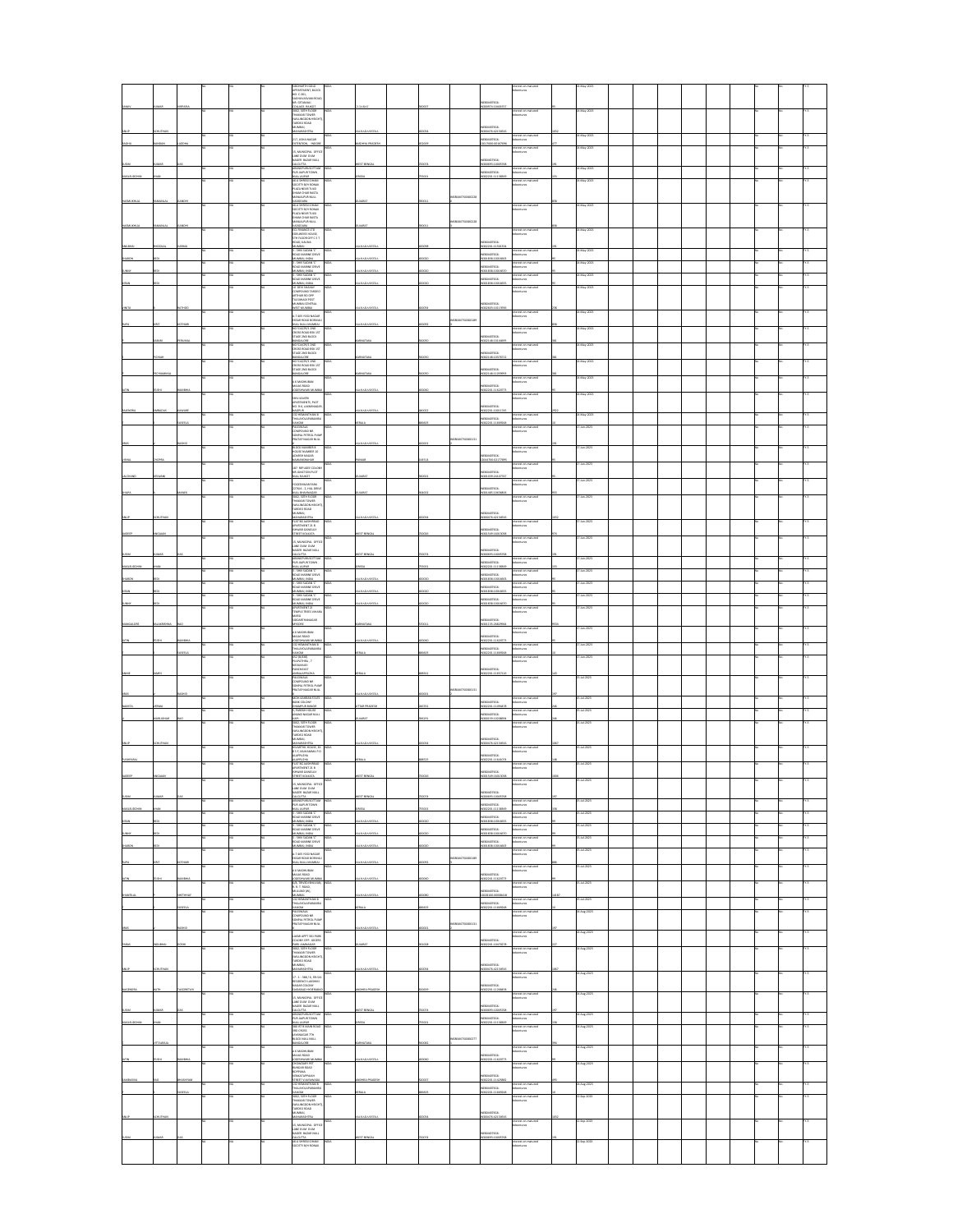|            |     |              |  | DENNINGOLD                                                                                                                                                                                                                                                                     |                         |      |               |                                                  | rterest on matured<br>Sebentures |                        |  |  |  |  |
|------------|-----|--------------|--|--------------------------------------------------------------------------------------------------------------------------------------------------------------------------------------------------------------------------------------------------------------------------------|-------------------------|------|---------------|--------------------------------------------------|----------------------------------|------------------------|--|--|--|--|
|            |     |              |  | SIDENNATH GOLD<br>APPARTMENT, BLOCK<br>NOL C-201,<br>GADHUVASVANI ROAD<br>NE GITANIALI<br>COLLAGE, RAIKOT.<br>TANKONA TOWER<br>TANKONA TOWER<br>(MILLINGDOR HEIGHT)                                                                                                            |                         |      |               | 422000036<br>AG00974-10401557                    |                                  |                        |  |  |  |  |
|            |     |              |  |                                                                                                                                                                                                                                                                                |                         |      |               |                                                  | terest on matured<br>bentures    | May-2022               |  |  |  |  |
|            |     |              |  | GAGED ROAD<br>imbai,<br><del>Jakashta</del> a                                                                                                                                                                                                                                  |                         |      |               | 838075GG<br>0367G-62136                          |                                  |                        |  |  |  |  |
|            |     |              |  | 217, USKA NAGAR<br>EXTENTION, NADORE                                                                                                                                                                                                                                           | <b>HYA PRADESH</b>      |      |               | 402003034<br>3017000-0016769                     | Joach Colum<br>Sentanes          | May-2022               |  |  |  |  |
|            |     |              |  | is, municipal office<br>Lane Duim Duim<br>Nager Bazar Null                                                                                                                                                                                                                     |                         |      |               |                                                  | est on n<br>etunes               |                        |  |  |  |  |
|            |     |              |  | cutta.<br>Ingpurusottam                                                                                                                                                                                                                                                        | 5195%                   |      |               | 0407566-<br>0683-1000576                         |                                  | May-2027               |  |  |  |  |
|            |     |              |  | <b>PUR LAJPUR TOWN</b>                                                                                                                                                                                                                                                         |                         |      |               | <br> NEB04IO75GE-<br> NGC2205-11138369           | erest on ma<br>bentares          |                        |  |  |  |  |
|            |     |              |  | PUKANPUK IDWW<br>MULI IAPUR<br>SGOSTY SN RONAK<br>SOCSTY SN RONAK<br>MANAKPUR NASTA<br>MANAKPUR NASTA<br>MANAKPUR NASTA<br>MANAKPUR NASTA                                                                                                                                      |                         |      |               |                                                  | irest on mat<br>ietšates         |                        |  |  |  |  |
|            |     |              |  | dodara<br>-a shreetii dhaam                                                                                                                                                                                                                                                    |                         |      |               |                                                  |                                  | May-2022               |  |  |  |  |
|            |     |              |  | GHA MWALI UMAM<br>SOCIETY G/H RONAK<br>PLAZA NEAR TULSI<br>DHAM CHAR RASTA<br>MANUALPUR MULL<br>VILIVINARA                                                                                                                                                                     |                         |      |               |                                                  | arest on matured<br>bentures     |                        |  |  |  |  |
|            |     |              |  |                                                                                                                                                                                                                                                                                |                         |      | 00002000022   |                                                  |                                  |                        |  |  |  |  |
|            |     |              |  | MODARA<br>CLFINANCE LTD<br>CLFINANCE LTD<br>DELWERS HOUSE,<br>CHAD, KALINA<br>CHAD, KALINA                                                                                                                                                                                     |                         |      |               | 322000000                                        | erest on matured<br>bentures     | -May-2023              |  |  |  |  |
|            |     |              |  | AUMENT<br>2 - SHIV SADAN YC'<br>ROAD MARINE DRIVE                                                                                                                                                                                                                              |                         |      |               | 4902201-11501234<br>3201005826                   | ered on mat<br>bentures          | Auy-2023               |  |  |  |  |
|            |     |              |  | MO MARINE DRIVE<br>UMBAL INDIA<br>SAV SADAN CORVE<br>UMBAL INDIA<br>SAV SADAN CORVE<br>SAV SADAN CORVE<br>UMBAL INDIA<br>UMBAL INDIA<br>UMBAL INDIA<br>OND MARINE DRIVE                                                                                                        |                         |      |               | 01838-1001666                                    | arest on matured<br>bentures     | May-2022               |  |  |  |  |
|            |     |              |  |                                                                                                                                                                                                                                                                                |                         |      |               | -<br>12010236-0011                               | erest on matured<br>Sentares     | May-2022               |  |  |  |  |
|            |     |              |  |                                                                                                                                                                                                                                                                                |                         |      |               | 808075GG-<br>05838-10016GS                       | arest on ma<br>bentures          |                        |  |  |  |  |
|            |     |              |  | 10 GEVI SHAHAY<br>COMPOUND TARDEO<br>ARTHUR RD OPP<br>TULSINIAD FOST<br>MIGNIBAI CENTRAL<br>WEST MUMBAI                                                                                                                                                                        |                         |      |               |                                                  |                                  |                        |  |  |  |  |
|            |     |              |  |                                                                                                                                                                                                                                                                                |                         |      |               | E80407556-<br><u>900603-10113936</u>             | erest on matured<br>Sentares     | 6-May-2022             |  |  |  |  |
|            |     |              |  |                                                                                                                                                                                                                                                                                |                         |      |               |                                                  |                                  | May-2027               |  |  |  |  |
|            |     |              |  |                                                                                                                                                                                                                                                                                |                         |      |               | 422000024                                        | arest on matured<br>bentures     |                        |  |  |  |  |
|            |     |              |  |                                                                                                                                                                                                                                                                                |                         |      |               | 02148-10144690<br>anumbocc                       | arest on matured<br>bentures     | May 2022               |  |  |  |  |
|            |     |              |  |                                                                                                                                                                                                                                                                                |                         |      |               | 02148-103767                                     | terest on matured<br>bentures    | May-2023               |  |  |  |  |
|            |     |              |  |                                                                                                                                                                                                                                                                                |                         |      |               | anuntsce.<br>302148-15050992                     |                                  |                        |  |  |  |  |
|            |     |              |  | LE MADHURAN<br>ANAS ROAD<br>OGESHINARI MUM                                                                                                                                                                                                                                     |                         |      |               | 32010326<br>12205-1162077                        | terest on matured<br>ebentures   | 6-May-2022             |  |  |  |  |
|            |     |              |  | SHIV-KAVERI<br>APARTMENTS, PLOT<br>NO. R-6, LKKMINAGA<br>NAGRIR                                                                                                                                                                                                                |                         |      |               |                                                  | rrest on matured<br>pentanes     |                        |  |  |  |  |
|            |     |              |  |                                                                                                                                                                                                                                                                                |                         |      |               | 680407566-<br>002205-10011745                    |                                  |                        |  |  |  |  |
|            |     |              |  | gpur<br>2 hemantham 8<br>alayclaparamèu                                                                                                                                                                                                                                        |                         |      |               | 680407566-<br>002201-116602                      | arest on matured<br>bentures     | May-2022               |  |  |  |  |
|            |     |              |  | KAROM<br>PALÉMALA<br>COMPOUND NR<br>IONPAL PERIOL PUMP<br>PRATAP NAGAR NULL<br>^                                                                                                                                                                                               |                         |      | E804075G60013 |                                                  | erest on m<br>Sentares           |                        |  |  |  |  |
|            |     |              |  |                                                                                                                                                                                                                                                                                |                         |      |               |                                                  | erest on matured<br>bentures     | lun-2023               |  |  |  |  |
|            |     |              |  | LOCK NUMBER B<br>OUSE NUMBER 10<br>DARSH NAGAR<br>AWANSHAHAR                                                                                                                                                                                                                   |                         |      |               | anumocc<br>044703-0217789                        |                                  | un-2022                |  |  |  |  |
|            |     |              |  | 187 REPUGEE COLOR<br>NR JUNCTION PLOT<br>NULL RABOT                                                                                                                                                                                                                            |                         |      |               | anumocc.                                         | arest on matured<br>bentures     |                        |  |  |  |  |
|            |     |              |  |                                                                                                                                                                                                                                                                                |                         |      |               | 0039-24107747                                    | rrest on matured<br>ienbanes     |                        |  |  |  |  |
|            |     |              |  | MULI MARIUI<br>VOGE PARK PARK<br>MULI BRAVNAGAR<br>MULI BRAVNAGAR<br>MULI MARON TOWER<br>(MULINGGON HEIGHT<br>MULINGGON MARI<br>MULINGGON MARI<br>MULINGGON HEIGHT<br>MULINGGON HEIGHT<br>MULINGGON MARIUI<br>MULINGGON MARIUI<br>MULINGGON MARIUI                             |                         |      |               | 1804075GG<br>121485-12636826                     | erest on matured<br>Sentares     |                        |  |  |  |  |
|            |     |              |  |                                                                                                                                                                                                                                                                                |                         |      |               | 432009483                                        |                                  |                        |  |  |  |  |
|            |     |              |  |                                                                                                                                                                                                                                                                                |                         |      |               | 00006-01989                                      | erest on matured<br>bentures     | San-2022               |  |  |  |  |
|            |     |              |  | ATAXIOS T226                                                                                                                                                                                                                                                                   | <b>IST BENGA</b>        |      |               | 44000000<br>101549-16013038                      |                                  |                        |  |  |  |  |
|            |     |              |  | 15, MUNCPAL OFFIC<br>LANE DUM DUM<br>NAGER BAZAR MULL                                                                                                                                                                                                                          |                         |      |               |                                                  | erest on matured<br>Sentares     | 7-an-2022              |  |  |  |  |
|            |     |              |  | MAN H.<br>MANGPURUSOTTAM<br>PUR IAIPUR TOWN<br>PUR IAIPUR TOWN                                                                                                                                                                                                                 | <b>EST BENGA</b>        |      |               | 322000000<br>4900693-10005768<br>432000000       | erest on m<br>bentures           |                        |  |  |  |  |
|            |     |              |  |                                                                                                                                                                                                                                                                                |                         |      |               | 302201-1113830                                   | arest on matured<br>bentures     | lan-2023               |  |  |  |  |
|            |     |              |  | PUR LAUPUR TOWN<br>NALL AND SARANCE<br>R-SHO SARANCE SENSE<br>R-SHO SARANCE SENSE<br>NALMAN, INDIA<br>N-SHO MARINE DRIVE<br>NALMAN, INDIA<br>NAMAN, INDIA<br>NAMAN, INDIA<br>NAMAN, INDIA<br>NAMAN, INDIA                                                                      |                         |      |               | NER04K075GE-<br>NGC 1228-12016                   | rest on matured<br>entures       | $446 - 2622$           |  |  |  |  |
|            |     |              |  |                                                                                                                                                                                                                                                                                |                         |      |               | 804075GG<br>01838-10016GS                        | terest on ma<br>bentures         |                        |  |  |  |  |
|            |     |              |  |                                                                                                                                                                                                                                                                                | LARASHTRA               |      |               | 320000036<br>01838-1001667                       | iterest on matured<br>ebentures  | 30.222                 |  |  |  |  |
|            |     |              |  | NEWS MARIN DRIVE<br>APARTMENT 31<br>APARTMENT 31<br>SENATHARMENT<br>SENATHARMENT<br>SENATHARMENT<br>SENATHARMENT<br>SENATHARMENT<br>SENATHARMENT                                                                                                                               |                         |      |               | NER04075GE-<br>NGC 115-26829844                  |                                  |                        |  |  |  |  |
|            |     |              |  | LE MADHURAN<br>ANAS ROAD                                                                                                                                                                                                                                                       | <b>AMATAKA</b>          |      |               |                                                  | irest on matured<br>ientures     |                        |  |  |  |  |
|            |     |              |  | OGESHINARI MUMB<br>132 HEMANTHAM R<br>THALAYCLAPARAMRI                                                                                                                                                                                                                         | <b><i>SURASHTRA</i></b> |      |               | 33200364<br>AG02201-11620772                     | arest on matured<br>bentures     |                        |  |  |  |  |
|            |     |              |  |                                                                                                                                                                                                                                                                                |                         |      |               | INER04075GE-<br>INGC2201-11669248                | rest on matured<br>entures       | $-0.0 - 2022$          |  |  |  |  |
|            |     |              |  | (Naodimi)<br>IS2 (R/KDA)<br>Kolumudi<br>Kanchayat<br>Walchayat                                                                                                                                                                                                                 |                         |      |               | 422000036                                        |                                  |                        |  |  |  |  |
|            |     |              |  | <b>KASALAPPUZNA<br/>PALEANILA<br/>COMPAL PETROL PUMP<br/>ECNPAL PETROL PUMP<br/>PALTAP NAGAR NULL</b><br>PALTAP NAGAR NULL                                                                                                                                                     |                         |      |               | 1002201-11657116                                 | erest on mat<br>Sentanes         |                        |  |  |  |  |
|            |     |              |  |                                                                                                                                                                                                                                                                                |                         |      |               |                                                  |                                  |                        |  |  |  |  |
|            |     |              |  | I<br>ASH KAHRAN STATE<br>IANK COLONY<br>HAMPUR BUNOR<br>KAPL<br>KAPL<br>UNFL                                                                                                                                                                                                   | TAR PRADES              |      |               | NEB041075GE-<br>NGC 2201-11094478                | terest on ma<br>bentures         |                        |  |  |  |  |
|            |     |              |  |                                                                                                                                                                                                                                                                                | ARAT                    |      |               | E804075GE<br>000159-1000E64                      | rrest on matured<br>ienbanes     | au-2023<br>au-2023     |  |  |  |  |
|            |     |              |  | WAR, WAR WAS WANT WANT WANT WANT AND RELEASED BOAD<br>THARKHAN TOWARD BOAD<br>MARLINGSON HENGHT<br>MARKHAN HOUSE, EX.<br>MARKHAN HOUSE, EX.<br>LES F, MUHAMMAN P.O.<br>LES F, MUHAMMAN P.O.<br>MAPROSHA                                                                        |                         |      |               |                                                  | erest on matured<br>bentures     |                        |  |  |  |  |
|            |     |              |  |                                                                                                                                                                                                                                                                                | <b><i>SURASHTRA</i></b> | XX   |               | 332000364<br>4900436-42134996                    |                                  |                        |  |  |  |  |
|            |     |              |  |                                                                                                                                                                                                                                                                                |                         |      |               | 440000036                                        | rest on ma<br>retures            |                        |  |  |  |  |
|            |     |              |  | APPUZINA<br>AT BG AASHREAD<br>HRAR GANGULY<br>HRAR GANGULY                                                                                                                                                                                                                     |                         |      |               | 4902201-11641074<br>452000026                    | rest on r<br>entanes             |                        |  |  |  |  |
|            |     |              |  | ATAXIOS T2267<br>MUNCPAL OFFIC                                                                                                                                                                                                                                                 | EST BENGAL              |      |               | 8001049-10032-022                                | rest on m<br>entures             |                        |  |  |  |  |
|            |     |              |  | LANG DUM DUM<br>NAGER BAZAR MULL<br>CALCUITA<br>PUR NAMEPURLISOTTAM<br>PUR NAMEPUR                                                                                                                                                                                             | ST BENG                 |      |               | 304075GG-<br>100683-10005766                     |                                  |                        |  |  |  |  |
|            |     |              |  |                                                                                                                                                                                                                                                                                |                         |      |               | 32000036<br>02201-1113836                        | terest on mat<br>bentures        |                        |  |  |  |  |
|            |     |              |  | PORTAINING<br>MALLAPORT<br>MALLAPOR<br>MALLAPORT DRAW<br>MALLAPORT<br>MALLAPORT<br>MALLAPORT<br>MALLAPORT<br>MALLAPORT<br>MALLAPORT<br>MALLAPORT<br>MALLAPORT<br>MALLAPORT<br>MALLAPORT                                                                                        |                         |      |               |                                                  | erest on matureo<br>Sentares     | $-34 - 2022$           |  |  |  |  |
|            |     |              |  |                                                                                                                                                                                                                                                                                |                         |      |               | 3007556                                          | arest on matured<br>bentures     | au-2023                |  |  |  |  |
|            |     |              |  |                                                                                                                                                                                                                                                                                | <b>LARASHITE</b>        |      |               | 4400000<br>01838-10016667                        | terest on matured<br>bentures    | iul-2023               |  |  |  |  |
|            |     |              |  | A-7 405 YOGI NAGAR<br>EKSAR ROAD RORIVALI<br>NULL NULL MUNIBAL                                                                                                                                                                                                                 |                         |      | 808075660018  |                                                  | rest on m<br>entures             |                        |  |  |  |  |
|            |     |              |  | <b>G MADHURAN</b><br>GAOS ROAD                                                                                                                                                                                                                                                 |                         |      |               |                                                  | erest on m<br>Sentanes           |                        |  |  |  |  |
|            |     |              |  | <b>JOGESHANNEN MU</b><br>GR, TRIVEDI BHU<br>R. R. T. ROAD,<br>MULUND (M),<br>MULUND (M),                                                                                                                                                                                       |                         |      |               | 332000282<br>002201-11620772                     | rrest on mat<br>entures          |                        |  |  |  |  |
|            |     |              |  |                                                                                                                                                                                                                                                                                |                         |      |               | 432030324<br>028100-0000                         |                                  |                        |  |  |  |  |
|            |     | <b>SEELA</b> |  |                                                                                                                                                                                                                                                                                | <b>DALA</b>             | uu.  |               | 4804075GG<br>(302201-11669248                    | rest on r<br>entures             |                        |  |  |  |  |
|            |     |              |  | MUMBAI<br>Threavolafhames<br>Threavolaframes<br>Vrienma<br>Compal Petrol Pump<br>Compal Petrol Pump<br>Sonpal Petrol Pump<br>Sonpal Petrol Pump<br>Patap Nagar Muli<br>Compal Petrol Pump                                                                                      |                         |      |               |                                                  | rest on mature<br>pentanes       |                        |  |  |  |  |
|            |     |              |  |                                                                                                                                                                                                                                                                                |                         |      | E804075G60012 |                                                  | arest on matured<br>bentures     | Aug-2022               |  |  |  |  |
|            |     |              |  | .<br>AMI APPT 201 PARK<br>X.ONY OPP. JOGERS                                                                                                                                                                                                                                    |                         |      |               | 30407566<br>02201-10470278                       |                                  |                        |  |  |  |  |
|            |     |              |  | COLONY OPP. JOGGRS<br>PARK JAMMAGAR<br>3002, JIETH FUDOR<br>THRIOLO ROAD<br>(MILLINGDON HEIGHT)<br>MIJIMBAI,<br>MIJIMBAI,<br>MIJIMBAI,                                                                                                                                         |                         |      |               |                                                  | rest on matured<br>entanes       | Aug-2022               |  |  |  |  |
|            |     |              |  |                                                                                                                                                                                                                                                                                |                         |      |               | 838075GG<br>0367G-62136                          |                                  |                        |  |  |  |  |
|            |     |              |  | 17 – 1 – 388 / 6, 581 SA)<br>RESIDENCY LAKSHAI<br>MAGAR COLONY<br>SAIDABAD HYDERABAE                                                                                                                                                                                           |                         |      |               |                                                  | erest on m<br>Sentanes           |                        |  |  |  |  |
|            |     |              |  |                                                                                                                                                                                                                                                                                | <b>BA PRADES</b>        |      |               | E804075GG-<br>302201-11268458                    | terest on matured                |                        |  |  |  |  |
|            |     |              |  | 15, MUNICIPAL OFFICE<br>LANE DUM DUM<br>NAGER BAZAR NULL<br>CALCUTTA<br>NULL IAUPUR TOWN<br>NULL IAUPUR TOWN                                                                                                                                                                   |                         |      |               | 432009483                                        | entanes                          |                        |  |  |  |  |
| <b>SBA</b> | MAR |              |  |                                                                                                                                                                                                                                                                                | <b>JAGNER T22N</b>      | 0074 |               | 8200693-10005768<br>:8041075GG-<br>102205-111380 | mest on matured<br>ientures      |                        |  |  |  |  |
|            |     |              |  | FOR RESIDENCE<br>NALL JAUPUR<br>NALL JAUPUR<br>JAVANAGAR 7TH<br>NAVANAGAR 7TH<br>RANGALORE                                                                                                                                                                                     |                         |      |               |                                                  | erest on matured<br>Sentanes     | Aug-2022               |  |  |  |  |
|            |     |              |  |                                                                                                                                                                                                                                                                                |                         |      |               |                                                  |                                  |                        |  |  |  |  |
|            |     |              |  | AANGALORE<br>AANGALORE<br>MAAS ROAD<br>COONDARD PET<br>COONDARD PET<br>COONDARD PET<br>ROOPANA<br>ROAD ROAD PET<br>STACT VAN VANARIANG<br>TREANTARANGARD<br>VAN VANARIANGARD<br>VANARIANGARD<br>TREANTARANGARD<br>TREANTARANGARD<br>TREANTARANGARD<br>TREANTARANGARD<br>MARANG |                         |      |               | E8046075G6-<br>302201-11620771                   | irest on matured<br>ietitanes    | $A_{\text{inf}}$ -2022 |  |  |  |  |
|            |     |              |  |                                                                                                                                                                                                                                                                                |                         |      |               |                                                  | erest on matured<br>Sentanes     | Aug-2022               |  |  |  |  |
|            |     |              |  |                                                                                                                                                                                                                                                                                | <b>BA PRADES</b>        |      |               | E804075GG-<br>302205-15425882                    |                                  | Aug 2022               |  |  |  |  |
|            |     |              |  |                                                                                                                                                                                                                                                                                |                         |      |               | .<br>683407556-<br>982201-11666                  | irest on matured<br>ietitanes    | Sep-2022               |  |  |  |  |
|            |     |              |  |                                                                                                                                                                                                                                                                                |                         |      |               |                                                  | irest on matured<br>ientures     |                        |  |  |  |  |
|            |     |              |  |                                                                                                                                                                                                                                                                                |                         |      |               | NEB041075GG-<br>NGOOSTG-42134951                 |                                  | Sep 2022               |  |  |  |  |
|            |     |              |  | s, municipal offic<br>Ané dum dum<br>Ingér Bazar Mull                                                                                                                                                                                                                          |                         |      |               |                                                  | rrest on matured<br>ienbanes     |                        |  |  |  |  |
|            |     |              |  | CALCUTTA<br>GG A SHREEII DHAM<br>SOCIETY R/H RONAK                                                                                                                                                                                                                             | EST BENGAL              |      |               | NER041075GE-<br>NGODER 10005768                  | rest on i<br>entures             |                        |  |  |  |  |
|            |     |              |  |                                                                                                                                                                                                                                                                                |                         |      |               |                                                  |                                  |                        |  |  |  |  |
|            |     |              |  |                                                                                                                                                                                                                                                                                |                         |      |               |                                                  |                                  |                        |  |  |  |  |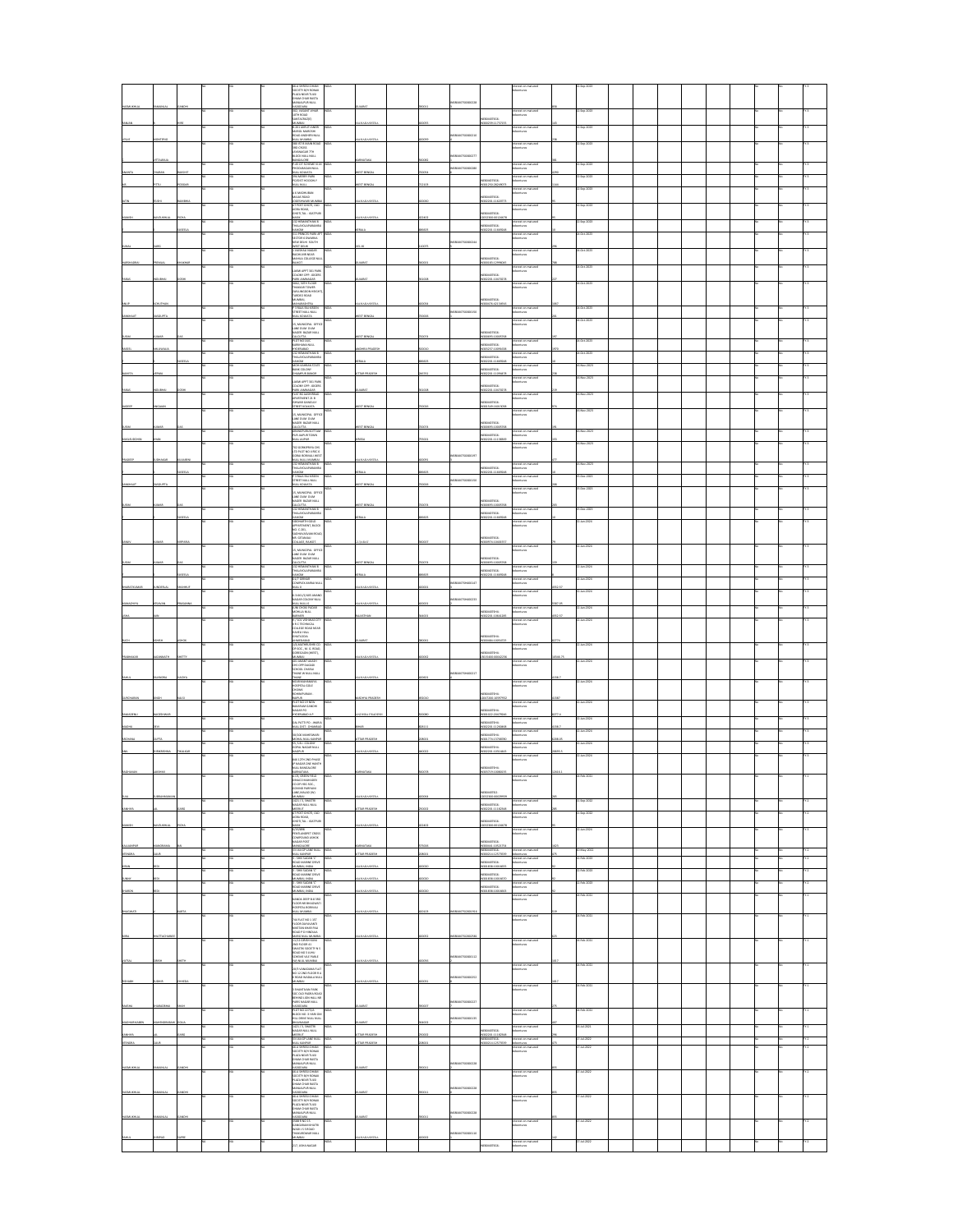|                 |                 |            |  |                                                                                                                                                                                                                                                                                                                                                                         |                         |               |                |                                                                         | Kima<br>Seobares                                    |        |                        |  |  |  |  |
|-----------------|-----------------|------------|--|-------------------------------------------------------------------------------------------------------------------------------------------------------------------------------------------------------------------------------------------------------------------------------------------------------------------------------------------------------------------------|-------------------------|---------------|----------------|-------------------------------------------------------------------------|-----------------------------------------------------|--------|------------------------|--|--|--|--|
|                 |                 |            |  | MAY AMARA MARA<br>PLAZA NEAR TULSI<br>PLAZA NEAR TULSI<br>MANUALPUR NULL<br>MANUALPUR NULL<br>MANUALPUR NULL                                                                                                                                                                                                                                                            |                         |               |                |                                                                         |                                                     |        |                        |  |  |  |  |
|                 |                 |            |  | $\begin{array}{l} \underline{ODMRA} \\ \underline{ODMRA} \\ \underline{VMSAMTWHAR} \\ \underline{N} \vdash ROMD \\ \underline{N} \dagger AOMU \boxtimes \underline{N} \end{array}$                                                                                                                                                                                      |                         |               |                |                                                                         | arest on matured<br>bentures                        |        | Sep 2022               |  |  |  |  |
|                 |                 |            |  |                                                                                                                                                                                                                                                                                                                                                                         |                         |               |                | <b>MATOSCO</b><br>00229-11727                                           | rest on matured                                     |        | Sep-3022               |  |  |  |  |
|                 |                 |            |  | ILIMBAL<br>-201 AKRUTI ANERI<br>14601 MAROSHI<br>040 ANDHERI NULL<br>--------------                                                                                                                                                                                                                                                                                     |                         |               | 6804075660021  |                                                                         | bentanes                                            |        |                        |  |  |  |  |
|                 |                 |            |  | NULL MUMBA<br>280 IST B MAIN ROAD<br>280 CROSS<br>MYANAGAR 7TH<br>RLOCK NULL NULL                                                                                                                                                                                                                                                                                       |                         |               |                |                                                                         | arest on matured<br>bentures                        |        | Sep 2022               |  |  |  |  |
|                 |                 |            |  |                                                                                                                                                                                                                                                                                                                                                                         |                         |               | 806075660027   |                                                                         |                                                     |        |                        |  |  |  |  |
|                 |                 |            |  |                                                                                                                                                                                                                                                                                                                                                                         | EST BENGAL              |               | 6801075660230  |                                                                         | erest on matured<br>Sentures                        |        | Sep-202)               |  |  |  |  |
|                 |                 |            |  | OCK NULL NULL<br>ANGAD SCHEME VHA<br>45 COT SCHEME VHA<br>40 COLEMENTA<br>64 LAESSEY PARK<br>OJDEST HOOGHLY<br>40 LL NULL<br>40 LL NULL                                                                                                                                                                                                                                 | EST BENGAL              |               |                | 804075GG<br>01250-2824907                                               | erest on matured<br>entares                         |        | Sep-202)               |  |  |  |  |
|                 |                 |            |  | LÉ MADHURAN<br>MANS ROAD                                                                                                                                                                                                                                                                                                                                                |                         |               |                | 332000282                                                               | $\frac{A_{\rm L}}{s {\rm net\, terms}}$<br>absences |        |                        |  |  |  |  |
|                 |                 |            |  | OGESHWARI MUMBA<br>(T POST GHOTI, OLD<br>(GRA ROAD,<br>GHOTI,TAL - IGATPURI                                                                                                                                                                                                                                                                                             | <b><i>SURASHTRA</i></b> |               |                | (302201-11620772                                                        | rest on m.<br>retures                               |        |                        |  |  |  |  |
|                 |                 |            |  |                                                                                                                                                                                                                                                                                                                                                                         |                         |               |                | 332000282<br>032300-00124578                                            |                                                     |        |                        |  |  |  |  |
|                 |                 |            |  | gasik<br>22 hemartharm 8<br>Halayelaparamb                                                                                                                                                                                                                                                                                                                              |                         |               |                | 440000000<br>102201-1166024                                             | erest on matured<br>Sentanes                        |        | Sep-3322               |  |  |  |  |
|                 |                 |            |  | THALAYCLAFARAME<br>EXISTENCES PARK AP<br>SECTOR 6 DWARKA<br>NEW DELHI SOUTH<br>MESTORIA<br>VARIA COLLEGE NULL<br>MARIA COLLEGE NULL<br>MARIA COLLEGE NULL<br>MARIA COLLEGE NULL                                                                                                                                                                                         |                         |               | 6804075660034  |                                                                         | rest on mat<br>entares                              |        | Oct-2022               |  |  |  |  |
|                 |                 |            |  |                                                                                                                                                                                                                                                                                                                                                                         |                         |               |                |                                                                         | arest on matured<br>bentures                        |        | Oct-2022               |  |  |  |  |
|                 |                 |            |  |                                                                                                                                                                                                                                                                                                                                                                         |                         |               |                | 30407566<br>00183-1299604                                               |                                                     |        |                        |  |  |  |  |
|                 |                 |            |  | ANNI APPT 301 PARK<br>CLONY OPP. JOSERS                                                                                                                                                                                                                                                                                                                                 |                         |               |                | 3220083                                                                 | rest on matured<br>ietilates                        |        | Oct-2023               |  |  |  |  |
|                 |                 | xн         |  | COLONY OPP. JOGERS<br>PARK JAMNAGAR<br>2002, 20TH FIZIOR<br>THROEAR TOWER<br>(MICIECO ROAD<br>TAROEO ROAD<br>TAROEO ROAD                                                                                                                                                                                                                                                | <b>LIARAT</b>           | LOOR          |                | 4902201-10470278                                                        | rest on ma<br>entures                               |        |                        |  |  |  |  |
|                 |                 |            |  | UMBAI,                                                                                                                                                                                                                                                                                                                                                                  |                         |               |                |                                                                         |                                                     |        |                        |  |  |  |  |
|                 |                 |            |  | MANARASHTRA<br>2 RAJA RAJ KISSEN<br>1966T NULL MULL<br>111 NOVESTA                                                                                                                                                                                                                                                                                                      | <b><i>SURASHTRA</i></b> |               | 100002000010   | NEB04075GG-<br>NGODOG-KO13489G                                          | erest on matured<br>Sentanes                        |        |                        |  |  |  |  |
|                 |                 |            |  | ALL KOLKATA                                                                                                                                                                                                                                                                                                                                                             | <b>ST BENGA</b>         |               |                |                                                                         | arest on matured<br>bentures                        |        |                        |  |  |  |  |
|                 |                 |            |  | i, MUNCPAL OFFICI<br>NG DUM DUM<br>KGR BAZAR NULL                                                                                                                                                                                                                                                                                                                       |                         |               |                | 332000282                                                               |                                                     |        |                        |  |  |  |  |
|                 |                 |            |  | ARM MALLON<br>LELITTA<br>OT NO 16/C<br>GROUNNA MULL                                                                                                                                                                                                                                                                                                                     | EST BENGAL              |               |                | (200693-10005768<br>1227000036                                          | erest on mat<br>Sentares                            |        |                        |  |  |  |  |
|                 |                 |            |  |                                                                                                                                                                                                                                                                                                                                                                         |                         |               |                | 102227-1009163                                                          | erest on matured<br>bentures                        |        | Oct-2023               |  |  |  |  |
|                 |                 |            |  |                                                                                                                                                                                                                                                                                                                                                                         |                         |               |                | E8041075G6-<br>302205-15669248                                          | erest on matured<br>Sentanes                        |        | 44.202                 |  |  |  |  |
|                 |                 |            |  | ARKHANA MULL<br>  INDERABAD<br>  EREMANTHAM B<br>  THALAYCLAPARAMBU<br>  WARDM<br>  MOH-KAHRAN STATE<br>  BHANFUR BUNOR                                                                                                                                                                                                                                                 |                         |               |                |                                                                         | tered on matured<br>bentures                        |        |                        |  |  |  |  |
|                 |                 |            |  | LAINM APPT 201 PARK<br>COLONY OPP. JOGERS<br>PARK MARINGAR                                                                                                                                                                                                                                                                                                              |                         |               |                | 8048075GG-<br>02201-10470278                                            |                                                     |        |                        |  |  |  |  |
|                 |                 |            |  | PARTMENT 21 9<br>HIMAR GANGULY                                                                                                                                                                                                                                                                                                                                          |                         |               |                | 33200364                                                                | terest on m<br>ibentures                            |        |                        |  |  |  |  |
|                 |                 |            |  | ATAXIOS T2267                                                                                                                                                                                                                                                                                                                                                           | <b>ASSESSED</b>         |               |                | 001549-16013038                                                         | rest on mat<br>entures                              |        |                        |  |  |  |  |
|                 |                 |            |  | is, municipal office<br>Lané dum dum<br>Mager Bazarmull<br>Calcutta,<br>Krangpurusottam                                                                                                                                                                                                                                                                                 |                         |               |                | 0407556<br>0683-1003576                                                 |                                                     |        |                        |  |  |  |  |
|                 |                 |            |  | PURJAIPURTOWN<br>NJILIAIPUR                                                                                                                                                                                                                                                                                                                                             |                         |               |                | 440000000                                                               | arest on m<br>bentures                              |        |                        |  |  |  |  |
|                 |                 |            |  |                                                                                                                                                                                                                                                                                                                                                                         |                         |               |                | 00205-11138369                                                          | rest on m<br>entures                                |        |                        |  |  |  |  |
|                 |                 |            |  | 202 GOREPRIVA CHE<br>LTD PLOT NO 4 RSC 6<br>GORN BORIVALI WEST<br>NULL NULL MUNEAU<br>THALAYOLAPARAMBU<br>THALAYOLA                                                                                                                                                                                                                                                     |                         |               |                |                                                                         |                                                     |        |                        |  |  |  |  |
|                 |                 |            |  |                                                                                                                                                                                                                                                                                                                                                                         |                         |               |                | 320000036<br>(302201-11660248                                           | terest on ma<br>bentures                            |        |                        |  |  |  |  |
|                 | <b>ATRLOZ</b>   |            |  | ukacin<br>P 3 Rasa Raj Kissen<br>Etreet Null Mull<br>Mull Kiskata                                                                                                                                                                                                                                                                                                       | <b>EST BENGAL</b>       | oο            | 6804075660015  |                                                                         | erest on mati<br>Seetanes                           |        |                        |  |  |  |  |
|                 |                 |            |  | 15, MUNCIPAL OFFICE<br>LANE DUM DUM<br>NAGER BAZAR NULL                                                                                                                                                                                                                                                                                                                 |                         |               |                |                                                                         | erest on mature<br>bentures                         |        |                        |  |  |  |  |
|                 |                 |            |  | CALCUTTA<br>122 HEMANTHAM B<br>THALAYOLAPARAMEN                                                                                                                                                                                                                                                                                                                         | EST BENGA               |               |                | 422000024<br>000003-1000576                                             |                                                     |        | ec-2022                |  |  |  |  |
|                 |                 |            |  |                                                                                                                                                                                                                                                                                                                                                                         |                         |               |                | E804075GE<br>002201-1166024                                             | erest on matured<br>verbanes                        |        | as-3024                |  |  |  |  |
|                 |                 |            |  | VAROM<br>SODHARTH GOLD<br>APPARTMENT, BLOCK<br>SADHUVASVANI ROAD,<br>SR. GTANINE!<br>SR. GTANINE!                                                                                                                                                                                                                                                                       |                         |               |                |                                                                         | erest on matured<br>entures                         |        |                        |  |  |  |  |
|                 |                 | <b>MAR</b> |  | CLASS, RABOT.                                                                                                                                                                                                                                                                                                                                                           | JARAT                   | XX            |                | 332000364<br>(2210024-100352                                            |                                                     |        |                        |  |  |  |  |
|                 |                 |            |  | is, municipal office<br>Lane Duim Duim<br>Nager Bazar Null                                                                                                                                                                                                                                                                                                              |                         |               |                |                                                                         | rest on matured<br>entures                          |        |                        |  |  |  |  |
|                 |                 |            |  | CALCUTTA<br>132 HEMANTHAM B<br>THALAYCLAPARAMBU                                                                                                                                                                                                                                                                                                                         |                         |               |                | 1341075GG-<br>10683-10005                                               | terest on matured<br>ibentures                      |        |                        |  |  |  |  |
|                 |                 | seeu       |  | NHOM<br>0/7 GRANA<br>CAPILEX AMRAI NULI                                                                                                                                                                                                                                                                                                                                 | κил                     |               |                | -320000036<br>302201-11669248                                           |                                                     |        |                        |  |  |  |  |
| ekstcare        | <b>UNDERLAL</b> | www        |  | O LILB                                                                                                                                                                                                                                                                                                                                                                  | <b>ANARASHTRA</b>       |               | 6808075H005K   |                                                                         | rest on mats<br>entanes                             | 652.57 |                        |  |  |  |  |
| <b>NAZHIYE</b>  | WWAZZ           | RASANNA    |  | - 3-661/1/805 ANAND<br>MGAR COLONY MULL<br>KULI NULL O                                                                                                                                                                                                                                                                                                                  | ANARASHTRA              | XXI           | 808075460022   |                                                                         | rest on ma<br>entures                               | 587.05 |                        |  |  |  |  |
|                 |                 |            |  | JNI CHOKI PADAR<br>IOHLIA NULL                                                                                                                                                                                                                                                                                                                                          |                         |               |                | -                                                                       | erest on matured<br>Sentanes                        |        | as-3024                |  |  |  |  |
|                 |                 |            |  |                                                                                                                                                                                                                                                                                                                                                                         |                         |               |                |                                                                         | arest on ma<br>bertares                             |        |                        |  |  |  |  |
|                 |                 |            |  |                                                                                                                                                                                                                                                                                                                                                                         |                         |               |                | 30407946-<br>100484-10054725                                            |                                                     |        |                        |  |  |  |  |
|                 |                 |            |  |                                                                                                                                                                                                                                                                                                                                                                         |                         |               |                |                                                                         |                                                     |        |                        |  |  |  |  |
|                 |                 |            |  |                                                                                                                                                                                                                                                                                                                                                                         |                         |               |                |                                                                         |                                                     |        | $-0.05 - 20.2$         |  |  |  |  |
|                 |                 |            |  | MUHALM<br>ARANGE<br>ARANGE<br>II RC TEOHNOM NEAR<br>IRANGERIAN<br>GHATLODA<br>ARANGERIAN<br>ARANGERIAN<br>ARANGERIAN<br>CORGERIAN<br>ARANGERIAN<br>ARANGERIAN<br>ARANGERIAN<br>CORGERIAN<br>CORGERIAN<br>CORGERIAN<br>CORGERIAN<br>CORGERIAN                                                                                                                            |                         |               |                | 440709464<br>0015400-0004223                                            | arest on matured<br>bentures                        | 16.75  | ias-2024               |  |  |  |  |
|                 |                 |            |  |                                                                                                                                                                                                                                                                                                                                                                         |                         |               | 200807540021   |                                                                         | rrest on matured<br>ientures                        |        |                        |  |  |  |  |
|                 |                 |            |  | ALIMBAN (HERE)<br>IOS ANANT AKASH<br>INS OPP DAGADI<br>CHOOL CHARAI<br>VINNE W NULL NULL<br>VINNE                                                                                                                                                                                                                                                                       | ASLARASETRA             |               |                |                                                                         |                                                     | 38.7   |                        |  |  |  |  |
|                 |                 |            |  |                                                                                                                                                                                                                                                                                                                                                                         |                         |               |                |                                                                         | arest on matured<br>bentures                        |        |                        |  |  |  |  |
|                 |                 |            |  | IHANA W NULL NU<br>NEAR MAHAMAYA<br>NEAR MAHAMAYA<br>CHOWN<br>ROH NIPURAM<br>ROH NIPUR<br>ROT NO 19 NGW<br>BAKARAM GANDHI                                                                                                                                                                                                                                               | <b>IYA PRAZI</b>        |               |                | 680407946-<br>1047200-0269793                                           | arest on m<br>bentures                              |        |                        |  |  |  |  |
|                 |                 |            |  | <b>UGARPO</b><br>CERARADAP                                                                                                                                                                                                                                                                                                                                              | <b>JORGA PRADESH</b>    |               |                | 30007946<br>000023-20479246                                             |                                                     |        |                        |  |  |  |  |
|                 |                 |            |  | M. PATTIPO - IHARIA<br>LL DIST - DHANBAD                                                                                                                                                                                                                                                                                                                                |                         |               |                | 4680407946-<br>4202201-11260                                            | erest on mat<br>Sentares                            |        | $485 - 2024$           |  |  |  |  |
|                 |                 |            |  |                                                                                                                                                                                                                                                                                                                                                                         |                         |               |                | CONNICTIONS<br>01774-12768                                              | arest on matured<br>bentures                        |        | $8-202$                |  |  |  |  |
|                 |                 |            |  | o/106 MAHESIINAH<br>ROHAL NULL KANPUR<br>G, S.B.I. COLOWY<br>CPAL NAGAR NULL<br>HGPUR                                                                                                                                                                                                                                                                                   |                         |               |                | 0407946-<br>12205-1031-                                                 | rrest on matured<br>ientures                        |        |                        |  |  |  |  |
|                 |                 |            |  |                                                                                                                                                                                                                                                                                                                                                                         |                         |               |                |                                                                         | erest on mar<br>dentanes                            |        |                        |  |  |  |  |
|                 |                 |            |  |                                                                                                                                                                                                                                                                                                                                                                         |                         |               |                | 30407544-<br>IG2719-10080135                                            | ired on matured                                     |        |                        |  |  |  |  |
|                 |                 |            |  |                                                                                                                                                                                                                                                                                                                                                                         |                         |               |                |                                                                         | entanes                                             |        |                        |  |  |  |  |
|                 |                 |            |  | <b>RAS 17TH 2ND PHASE</b><br>BP NAGAR 2NG HANTH<br>MULL BANGALORE<br>MULL BANGALORE<br>DRACO MAHADEV<br>DRACO MAHADEV<br>CO.OP HAG SOC,<br>GOVIND PARTANI<br>CO.OP HAG SOC,<br>GOVIND PARTANI<br>MULABAI                                                                                                                                                                |                         |               |                | 468040792-<br>032300-0002                                               |                                                     |        |                        |  |  |  |  |
| <b>ANHYA</b>    |                 |            |  | AUMBAI<br>H21 / 2, SHASTRI<br>HGAR NULL NULL<br>HGERUT                                                                                                                                                                                                                                                                                                                  | HERRIAN SATT            | coos          |                | NERONOTSGE-<br>NGO2205-11182348                                         | erest on matured<br>Seebares<br>rest on matured     |        | Sep-3022               |  |  |  |  |
|                 |                 |            |  | HERRY<br>I POST GHOTI, OLD<br>GRA ROAD,<br>HOTI, TAL - IGATPUR<br>HOTI, TAL - IGATPUR                                                                                                                                                                                                                                                                                   |                         |               |                | anuntossa                                                               | entanes                                             |        |                        |  |  |  |  |
|                 |                 |            |  |                                                                                                                                                                                                                                                                                                                                                                         |                         |               |                | 322300-00124671                                                         | erest on matured<br>Sentanes                        |        | $485 - 2026$           |  |  |  |  |
| LIANFUR         |                 |            |  |                                                                                                                                                                                                                                                                                                                                                                         | <b>NATAKA</b>           | $\frac{1}{2}$ |                | 806075GE                                                                |                                                     |        |                        |  |  |  |  |
| <b>CNOR</b>     |                 |            |  |                                                                                                                                                                                                                                                                                                                                                                         | tar pradesi             | ico           |                | 00441-10521754<br>304075GE-<br>00214-1257252                            | rest on matured                                     |        | 0 May 2022<br>Feb-3022 |  |  |  |  |
|                 |                 |            |  |                                                                                                                                                                                                                                                                                                                                                                         | <b>HARASHTRA</b>        | œ             |                | 440000000<br>001838-10016650                                            | bentures<br>arest on matured<br>bentures            |        |                        |  |  |  |  |
|                 |                 |            |  | MONT MANAGEMENT<br>MANAGEMENT CROSS<br>COMPOUND ASHOK<br>MANAGEMENT<br>MANAGEMENT<br>MANAGEMENT CROSS<br>COMPOUND MARINE CROSS<br>COMPOUND MARINE CROSS<br>COMPOUND MARINE CROSS<br>COMPOUND MARINE CROSS                                                                                                                                                               | <b>ARASHTE</b>          |               |                | 44000003<br>01838-10016                                                 | erest on m<br>Sentanes                              |        | Feb-3322               |  |  |  |  |
|                 |                 |            |  | INGAL INDIA<br>SHIV SADAN 'C'<br>HO MARINE DRIVE<br>IMBAL INDIA                                                                                                                                                                                                                                                                                                         | <b>HARASHTRA</b>        | œ             |                | 480407544<br>001838-1001                                                | arest on matured<br>bentures<br>erest on matured    |        | Feb-3321               |  |  |  |  |
|                 |                 |            |  |                                                                                                                                                                                                                                                                                                                                                                         |                         |               |                |                                                                         | entanes                                             |        |                        |  |  |  |  |
| <b>HAGWATI</b>  |                 | <b>MTA</b> |  | NANDA DEEP B-8 3RD<br>FLOOR NR BHAGWATI<br>HOSPITAL BORWALI<br>NULL MUMBAL                                                                                                                                                                                                                                                                                              | ANARASHTRA              | 60200         | 68080752001918 |                                                                         | erest on matured<br>Sentanes                        |        | Feb-3021               |  |  |  |  |
|                 |                 |            |  |                                                                                                                                                                                                                                                                                                                                                                         |                         |               |                |                                                                         |                                                     |        |                        |  |  |  |  |
|                 |                 |            |  |                                                                                                                                                                                                                                                                                                                                                                         | <b>HARASHTE</b>         |               |                |                                                                         | rrest on m.<br>entanes                              |        |                        |  |  |  |  |
|                 |                 |            |  |                                                                                                                                                                                                                                                                                                                                                                         |                         |               |                |                                                                         |                                                     |        |                        |  |  |  |  |
|                 |                 |            |  | 2010 FLAT NO 1 15T<br>ROOR DAVAWANTI<br>ROOR DAVAWANTI<br>NOAD P D HINDUA<br>ROAD P D HINDUA<br>MAD FLOOR HIM<br>2010 FLOOR HIM<br>SOAD NO 2 JUHU<br>COGNAT VILE PAREE<br>COGNAT VILE PAREE<br>COGNAT VILE PAREE                                                                                                                                                        |                         |               | 00003660011    |                                                                         |                                                     |        | 666-2021               |  |  |  |  |
|                 |                 |            |  |                                                                                                                                                                                                                                                                                                                                                                         |                         |               | 003660023      |                                                                         | sterest on matured<br>lebentures                    |        |                        |  |  |  |  |
|                 |                 |            |  | 20/2 WANADANA FLAT<br>NO 12 2ND FLOOR R A<br>KROAD WADALA NULL<br><b>IMBAL</b>                                                                                                                                                                                                                                                                                          |                         |               |                |                                                                         | erest on matured<br>Sentanes                        |        | 46-332                 |  |  |  |  |
|                 |                 |            |  |                                                                                                                                                                                                                                                                                                                                                                         |                         |               | 05660022       |                                                                         |                                                     |        |                        |  |  |  |  |
|                 |                 |            |  | 3 SHANTIVAN PARK<br>SOC CLO PADRA ROAD<br>REHIND LION HALL NR<br>PARIS NAGAR NULL<br>VATI MO<br>REVI MO                                                                                                                                                                                                                                                                 |                         |               |                |                                                                         | terest on m<br>ibertures                            |        |                        |  |  |  |  |
| HURKARD         |                 |            |  | ukatawa<br>Kot no 2275,04<br>Kot deng muli muli                                                                                                                                                                                                                                                                                                                         | MAAT                    | œ             | 0000017        |                                                                         |                                                     |        |                        |  |  |  |  |
|                 |                 |            |  |                                                                                                                                                                                                                                                                                                                                                                         | MA PAADESH              |               |                |                                                                         | arest on mat<br>bentares<br>erest on matured        |        | 27-au-2022             |  |  |  |  |
|                 |                 |            |  |                                                                                                                                                                                                                                                                                                                                                                         | <b>TAR PRADESH</b>      |               |                | NERDAKOTSGE<br>NGCO201-11182348<br>NGCO201-12572539<br>NGCO214-12572539 | pentanes                                            |        | 14.202                 |  |  |  |  |
|                 |                 |            |  |                                                                                                                                                                                                                                                                                                                                                                         |                         |               | 6804075660022  |                                                                         |                                                     |        |                        |  |  |  |  |
|                 |                 |            |  | $\begin{tabular}{l c c c} \hline \mbox{m1. 08V4 MJI MJI} \\ \hline \hline \mbox{M11} & \mbox{M2} & \mbox{M3} & \mbox{M3} \\ \hline \mbox{M21} & \mbox{M3} & \mbox{M3} & \mbox{M3} \\ \hline \mbox{M3} & \mbox{M4} & \mbox{M3} & \mbox{M3} \\ \hline \mbox{M4} & \mbox{M4} & \mbox{M4} & \mbox{M4} \\ \hline \mbox{M4} & \mbox{M4} & \mbox{M4} & \mbox{M4} \\ \hline \m$ | ARAI                    |               |                |                                                                         |                                                     |        | 7-au-2022              |  |  |  |  |
|                 |                 |            |  |                                                                                                                                                                                                                                                                                                                                                                         |                         |               |                |                                                                         | sterest on matured<br>lebentures                    |        |                        |  |  |  |  |
|                 |                 |            |  | ANNUALPUR MULL<br>GA SHREET DHAM<br>COETY RIM RONAK<br>UAZA MEAR TULSI<br>HAMUALPUR MULL<br>ANNUALPUR MULL<br>MUNDAR MULL<br>MUNDAR<br>ODARA<br>SHREEJI DHAMI                                                                                                                                                                                                           |                         |               |                |                                                                         |                                                     |        | 4.2020                 |  |  |  |  |
|                 |                 |            |  |                                                                                                                                                                                                                                                                                                                                                                         |                         |               | nemocranica    |                                                                         | erest on m<br>Sentures                              |        |                        |  |  |  |  |
| <b>GALIGILA</b> | <b>MANLA</b>    | NDH        |  | ILA SHRALI DHAM<br>LAZA NGAR TULSI<br>LAZA NGAR TULSI<br>HAM CHAR RASTA<br>MAIALPUR NULLI<br>REODARA                                                                                                                                                                                                                                                                    | <b>IARAT</b>            |               |                |                                                                         |                                                     |        | iul-2022               |  |  |  |  |
|                 |                 |            |  | SSEE R NO 15<br>SANGARAM KHATRI<br>NAQI I S S ROAD<br>NAKURDWAR MULL                                                                                                                                                                                                                                                                                                    |                         |               | 00002000011    |                                                                         | irest on matured<br>ientures                        |        |                        |  |  |  |  |
|                 |                 |            |  | <b>MAN</b><br>D, USHA NAGAR                                                                                                                                                                                                                                                                                                                                             |                         |               |                | 4400000                                                                 | terest on matured<br>bentures                       |        | AA-2022                |  |  |  |  |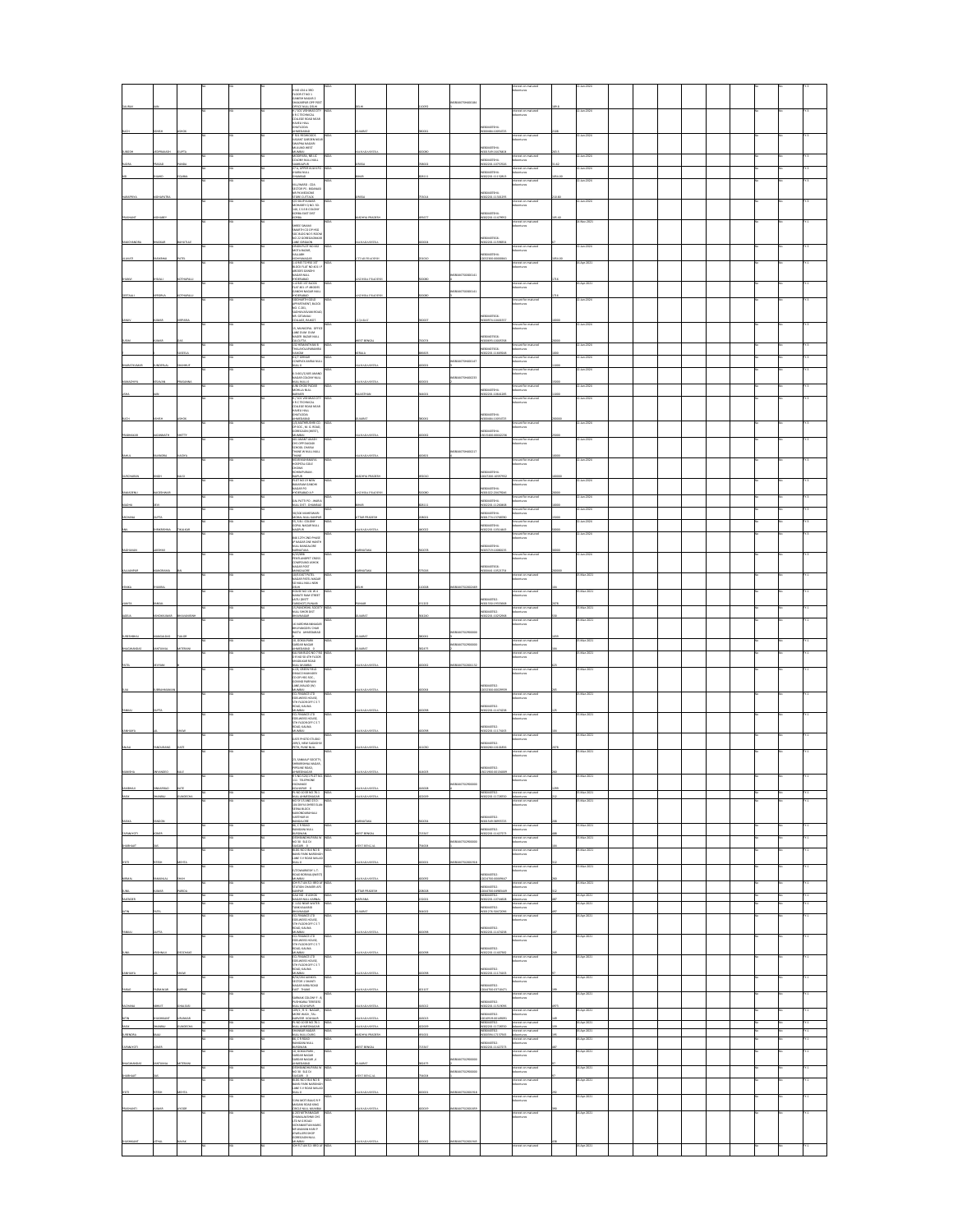|                                  |                    |                |  | <b>M NO 434 A 380<br/>GANGSI NAGAR 2</b><br>GANGSI NAGAR 2<br>GANGSI NAGAR 2P<br>GANGSI NAGAR CITY<br>V 103 VISHANG CITY<br>CALLOCAS ADO NGAR<br>COLLOCAS ADO NGAR<br>GANTLISHAL<br>GANTLISHAL<br>GANTLISHAL                                                                                                                                                                                                   |    |                          |                       |                 |                                                                  |                                                  |    |              |  |  |  |  |  |
|----------------------------------|--------------------|----------------|--|----------------------------------------------------------------------------------------------------------------------------------------------------------------------------------------------------------------------------------------------------------------------------------------------------------------------------------------------------------------------------------------------------------------|----|--------------------------|-----------------------|-----------------|------------------------------------------------------------------|--------------------------------------------------|----|--------------|--|--|--|--|--|
|                                  |                    |                |  |                                                                                                                                                                                                                                                                                                                                                                                                                |    |                          |                       |                 |                                                                  |                                                  |    |              |  |  |  |  |  |
|                                  |                    |                |  |                                                                                                                                                                                                                                                                                                                                                                                                                |    |                          |                       |                 |                                                                  | arest on matured<br>bentures                     |    | $\sim$ 393.  |  |  |  |  |  |
|                                  |                    |                |  |                                                                                                                                                                                                                                                                                                                                                                                                                |    |                          |                       |                 | 00007946                                                         |                                                  |    |              |  |  |  |  |  |
|                                  |                    |                |  | WHITCHERD<br>FSD1 REDWOODS<br>VASANT GARDEN NI<br>SIKKPINA RAGARI<br>MULLIND<br>MULLIND                                                                                                                                                                                                                                                                                                                        |    |                          |                       |                 | 00484-1005472                                                    |                                                  |    |              |  |  |  |  |  |
|                                  |                    |                |  |                                                                                                                                                                                                                                                                                                                                                                                                                |    |                          |                       |                 |                                                                  | erest on matured<br>verbanes                     |    |              |  |  |  |  |  |
|                                  |                    |                |  | Milianne<br>Milimbai<br>Modipara, NR.IXC<br>Colony NULL NULL                                                                                                                                                                                                                                                                                                                                                   |    |                          |                       |                 | 4400000346<br>10549-16476404                                     |                                                  |    |              |  |  |  |  |  |
|                                  |                    |                |  |                                                                                                                                                                                                                                                                                                                                                                                                                |    |                          |                       |                 | E80607946<br>02201-1075762                                       | rest on ma<br>ventures                           |    |              |  |  |  |  |  |
|                                  |                    |                |  | <b>CALINT NAM</b><br>CAMBALPUR<br>HARIA MULL<br>DHANRAD                                                                                                                                                                                                                                                                                                                                                        |    |                          |                       |                 | 680407946-<br>002205-11132813                                    | irest on mat<br>ientures                         |    |              |  |  |  |  |  |
|                                  |                    |                |  |                                                                                                                                                                                                                                                                                                                                                                                                                |    |                          |                       |                 |                                                                  | erest on mature<br>entanes                       |    |              |  |  |  |  |  |
|                                  |                    |                |  | VILL/WARD - CDA<br>SICTOR PS - RONAG<br>SIR PK MEDICINE<br>SIROS CUTTACK<br>SIRO CURIP KUMAR<br>MOHAREY Q NO. SD-<br>140, C.S.E.R COLONY<br>KORRA EAST DIST<br>KORRA EAST DIST                                                                                                                                                                                                                                 |    |                          |                       |                 | 80407946                                                         |                                                  |    |              |  |  |  |  |  |
|                                  |                    |                |  |                                                                                                                                                                                                                                                                                                                                                                                                                |    |                          |                       |                 | 02201-11301290                                                   | rrest on matured<br>ientures                     |    |              |  |  |  |  |  |
|                                  |                    |                |  |                                                                                                                                                                                                                                                                                                                                                                                                                |    |                          |                       |                 | 680607946                                                        |                                                  |    |              |  |  |  |  |  |
|                                  |                    |                |  | A2800                                                                                                                                                                                                                                                                                                                                                                                                          |    |                          |                       |                 | 102201-1147095                                                   |                                                  |    | $a + 2021$   |  |  |  |  |  |
|                                  |                    |                |  | SHREE SWAMI<br>SMARTH CO OP HSG<br>SOC BLDG NO S ROOM<br>NO 22 GOREGADNIKA                                                                                                                                                                                                                                                                                                                                     |    |                          |                       |                 |                                                                  | arest on matured<br>bentures                     |    |              |  |  |  |  |  |
|                                  |                    |                |  |                                                                                                                                                                                                                                                                                                                                                                                                                |    |                          |                       |                 | 1341075GG<br>1220s-11596                                         |                                                  |    |              |  |  |  |  |  |
|                                  |                    |                |  | ane Girgache<br>Sriche Plot no Gr                                                                                                                                                                                                                                                                                                                                                                              |    |                          |                       |                 |                                                                  | terest on m<br>bertures                          |    |              |  |  |  |  |  |
|                                  |                    |                |  | 08004 PLOT NO 662<br>VADILABIA<br>VALLABIA<br>VALLABIA<br>VADILABIA<br>VADILABIA<br>SIDOK FLAT NO 601 II<br>SIDOK GANDHI NAGAR NULLABIA<br>VADICALABIA<br>L-4-945 SST BLOCK<br>CANTAR NAGAR NULL<br>GANTAR NAGAR NULLABIAN COMPARTICAL                                                                                                                                                                         |    |                          |                       |                 | 136107546-<br>12300-00000                                        |                                                  |    |              |  |  |  |  |  |
|                                  |                    |                |  |                                                                                                                                                                                                                                                                                                                                                                                                                |    |                          |                       |                 |                                                                  | erest on n<br>Sentanes                           |    |              |  |  |  |  |  |
|                                  |                    |                |  |                                                                                                                                                                                                                                                                                                                                                                                                                |    |                          |                       | 800005660010    |                                                                  |                                                  |    |              |  |  |  |  |  |
|                                  |                    |                |  |                                                                                                                                                                                                                                                                                                                                                                                                                |    |                          |                       |                 |                                                                  | terest on matured<br>pentanes                    |    |              |  |  |  |  |  |
|                                  |                    |                |  |                                                                                                                                                                                                                                                                                                                                                                                                                |    |                          |                       |                 |                                                                  |                                                  |    |              |  |  |  |  |  |
|                                  |                    |                |  | AMDERMAND<br>Sideharth Gold<br>Appartment, Block<br>Sach<br>Colment<br>Kr. Gitanimus<br>Collage, Raboot,                                                                                                                                                                                                                                                                                                       |    |                          |                       |                 |                                                                  | cunt for n<br>Sentanes                           |    |              |  |  |  |  |  |
|                                  |                    |                |  |                                                                                                                                                                                                                                                                                                                                                                                                                |    |                          |                       |                 | 322000264<br>100974-10031557                                     |                                                  |    |              |  |  |  |  |  |
|                                  |                    |                |  |                                                                                                                                                                                                                                                                                                                                                                                                                |    |                          |                       |                 |                                                                  | nount for matured<br>bentures                    |    | $385 - 2024$ |  |  |  |  |  |
|                                  |                    |                |  | 15, MUNCPAL OFFI<br>LANE DUM DUM<br>NAGER BAZAR MULL                                                                                                                                                                                                                                                                                                                                                           |    |                          |                       |                 | 680407566-<br>000683-10005768                                    |                                                  |    |              |  |  |  |  |  |
|                                  |                    |                |  | MACUTTA<br>132 HEMANTHAM 8<br>THALAYOLAPARAME                                                                                                                                                                                                                                                                                                                                                                  |    | ASV40 T23                |                       |                 | 4400000                                                          | ount for matur<br>Sentanes                       |    |              |  |  |  |  |  |
|                                  |                    |                |  | VARIOM<br>DS/7 GRAMA<br>COMPLEX AMRAI NUL<br>NULL O                                                                                                                                                                                                                                                                                                                                                            |    |                          |                       |                 | 02201-11669                                                      | sount for matured<br>bentures                    |    | as-303       |  |  |  |  |  |
|                                  |                    |                |  |                                                                                                                                                                                                                                                                                                                                                                                                                |    |                          |                       | 680005H0016     |                                                                  |                                                  |    | $a + 202$    |  |  |  |  |  |
|                                  |                    |                |  |                                                                                                                                                                                                                                                                                                                                                                                                                |    |                          |                       | unnos           |                                                                  | ount for matured<br>Sentures                     |    |              |  |  |  |  |  |
|                                  |                    |                |  | 6-3-661/1/805 ANAN<br>NAGAR COLONY NULL<br>NULL NULL O<br>NUN CHORI PADAR                                                                                                                                                                                                                                                                                                                                      |    |                          |                       |                 |                                                                  | ount for matures                                 |    |              |  |  |  |  |  |
|                                  |                    |                |  | MOHLIA NULL<br>BARMER<br>W/103 VISHWAS                                                                                                                                                                                                                                                                                                                                                                         |    |                          |                       |                 | 80607946-<br>02205-00641285                                      | pentanes                                         |    |              |  |  |  |  |  |
|                                  |                    |                |  |                                                                                                                                                                                                                                                                                                                                                                                                                |    |                          |                       |                 |                                                                  | cunt for n<br>Sentares                           |    |              |  |  |  |  |  |
|                                  |                    |                |  |                                                                                                                                                                                                                                                                                                                                                                                                                |    |                          |                       |                 | 280407946-<br>200484-1005472                                     |                                                  |    |              |  |  |  |  |  |
|                                  |                    |                |  |                                                                                                                                                                                                                                                                                                                                                                                                                |    |                          |                       |                 |                                                                  | ount for matured<br>ientures                     |    | $485 - 2026$ |  |  |  |  |  |
|                                  |                    |                |  |                                                                                                                                                                                                                                                                                                                                                                                                                |    |                          |                       |                 | 015400-0004                                                      |                                                  |    |              |  |  |  |  |  |
|                                  |                    |                |  |                                                                                                                                                                                                                                                                                                                                                                                                                |    |                          |                       |                 |                                                                  | iount for matured<br>Sentanes                    |    |              |  |  |  |  |  |
|                                  |                    |                |  |                                                                                                                                                                                                                                                                                                                                                                                                                |    |                          |                       | 6806075460021   |                                                                  |                                                  |    |              |  |  |  |  |  |
|                                  |                    |                |  | THANG<br>NGAR MAHAMAYA<br>NGSPITAL GOLE<br>QIOMAK<br>ROHINIPURAM                                                                                                                                                                                                                                                                                                                                               |    |                          |                       |                 |                                                                  | mount for matured<br>ibentures                   |    | las-2024     |  |  |  |  |  |
|                                  |                    |                |  |                                                                                                                                                                                                                                                                                                                                                                                                                |    |                          |                       |                 | 220102345                                                        |                                                  |    |              |  |  |  |  |  |
|                                  |                    |                |  | <b>ANFLIR<br/>FLOT NO 19 NEW<br/>ANGAR FO<br/>NIGAR FO<br/>NIGAR FO<br/>NIGARAD A P</b>                                                                                                                                                                                                                                                                                                                        |    | 426106 PRADESH           |                       |                 | 0047200-0264793;                                                 | unt for r<br>retures                             |    |              |  |  |  |  |  |
|                                  |                    |                |  |                                                                                                                                                                                                                                                                                                                                                                                                                |    | A PRAI                   |                       |                 | 4400007946<br>01022-2047924                                      |                                                  |    |              |  |  |  |  |  |
|                                  |                    |                |  | DAL PATTI PO - JHAR                                                                                                                                                                                                                                                                                                                                                                                            |    |                          |                       |                 | E80607946                                                        | ount for matured<br>bentures                     |    |              |  |  |  |  |  |
|                                  |                    |                |  | ULL DIST - DIAMAAC<br>0/106 MAHESHIARI                                                                                                                                                                                                                                                                                                                                                                         |    |                          |                       |                 | 02201-112604                                                     | ount for matured<br>Sentures                     |    |              |  |  |  |  |  |
|                                  |                    |                |  | MOHAL NULL KANPU<br>SE, S.B.I. COLONY<br>GOPAL NAGAR NULL                                                                                                                                                                                                                                                                                                                                                      |    |                          |                       |                 | 3607946-<br>1774-137680                                          |                                                  |    |              |  |  |  |  |  |
|                                  |                    |                |  | acros.                                                                                                                                                                                                                                                                                                                                                                                                         |    |                          |                       |                 | NERDAKOTSHA-<br>NGC 2201-10314443                                | iount for m<br>Sentanes                          |    |              |  |  |  |  |  |
|                                  |                    |                |  |                                                                                                                                                                                                                                                                                                                                                                                                                |    |                          |                       |                 |                                                                  | ount for:<br>entures                             |    |              |  |  |  |  |  |
|                                  |                    |                |  | ang 12th 2nd Phage<br>IP Nagar 2ng Hanti<br>Nail Bangalorg                                                                                                                                                                                                                                                                                                                                                     |    |                          |                       |                 | 0407946-<br>9719-10090                                           |                                                  |    |              |  |  |  |  |  |
|                                  |                    |                |  | NOU MARACOR<br>EXERCITARE<br>GENERALISM ASSOC<br>CARPOURD ASSOC<br>MAGAR POST<br>MAGAR POST<br>ISOC MULINUL NEW<br>SCLIN<br>CARPOURD MAGAR<br>SCLIN<br>CARPOURD MAGAR<br>SCLINUL NEW NEW                                                                                                                                                                                                                       |    |                          |                       |                 |                                                                  | nount for matures<br>bentures                    |    |              |  |  |  |  |  |
|                                  |                    |                |  |                                                                                                                                                                                                                                                                                                                                                                                                                |    |                          |                       |                 |                                                                  |                                                  |    |              |  |  |  |  |  |
|                                  |                    |                |  |                                                                                                                                                                                                                                                                                                                                                                                                                |    |                          |                       |                 | 00441-10521754                                                   | erest on ma<br>Sentares                          |    |              |  |  |  |  |  |
|                                  |                    |                |  |                                                                                                                                                                                                                                                                                                                                                                                                                |    |                          |                       |                 |                                                                  |                                                  |    |              |  |  |  |  |  |
|                                  |                    |                |  | DELHI<br>HOUSENO 131 WA<br>NAANTE RAM STREET<br>NARDROT) PUNAAR<br>SE,PANCHOHIL SOCIET<br>NULLI SHOR DIST<br>NULLI SHOR DIST<br>NULLI SHOR DIST                                                                                                                                                                                                                                                                |    |                          |                       |                 |                                                                  | erest on matured<br>entates                      |    |              |  |  |  |  |  |
|                                  |                    |                |  |                                                                                                                                                                                                                                                                                                                                                                                                                |    |                          |                       |                 | 3040752-<br>101330-19333                                         |                                                  |    |              |  |  |  |  |  |
|                                  |                    |                |  | <b>SAVINGAR</b>                                                                                                                                                                                                                                                                                                                                                                                                |    | <b>ARK</b>               |                       |                 | C2000292-<br>802201-10252968                                     | erest on m<br>Sentures                           |    |              |  |  |  |  |  |
|                                  |                    |                |  |                                                                                                                                                                                                                                                                                                                                                                                                                |    |                          |                       |                 |                                                                  |                                                  |    |              |  |  |  |  |  |
|                                  |                    |                |  | ig vardhavannaga<br>Rhuyangdev ohar<br>Rasta - Ahmedarad                                                                                                                                                                                                                                                                                                                                                       |    |                          |                       |                 |                                                                  |                                                  |    |              |  |  |  |  |  |
|                                  |                    |                |  | )<br>10, GOKULPARK<br>GASSAR NAGAR                                                                                                                                                                                                                                                                                                                                                                             |    |                          |                       | 0000202000      |                                                                  | arest on m.<br>bentures                          |    |              |  |  |  |  |  |
|                                  |                    |                |  | AHMEDABAD 0<br>KALYAN BLOG NO 7<br>D R NO 50 4TH FLOG<br>KHADILKAR BOAD                                                                                                                                                                                                                                                                                                                                        |    |                          |                       |                 |                                                                  |                                                  |    |              |  |  |  |  |  |
|                                  |                    |                |  |                                                                                                                                                                                                                                                                                                                                                                                                                |    |                          |                       |                 |                                                                  | erest on mat<br>entanes                          |    |              |  |  |  |  |  |
|                                  |                    |                |  | SHAZILEAR RIAD<br>MULI MUNIAR<br>DINACO MAHADEV<br>COLOP HEG SOC.<br>GOVINO PARTANI<br>MULIMBAN<br>MULIMBAN<br>MULIMBAN<br>COLOP PARTANI                                                                                                                                                                                                                                                                       |    |                          |                       |                 |                                                                  | rrest on r<br>entures                            |    |              |  |  |  |  |  |
|                                  |                    |                |  |                                                                                                                                                                                                                                                                                                                                                                                                                |    |                          |                       |                 |                                                                  |                                                  |    |              |  |  |  |  |  |
|                                  |                    |                |  |                                                                                                                                                                                                                                                                                                                                                                                                                |    |                          |                       |                 | 8060792<br>122300-0                                              |                                                  |    |              |  |  |  |  |  |
|                                  |                    |                |  | EDELWEISS HOUSE,<br>STH FLOOR OFF C S T<br>ROAD, KALINA                                                                                                                                                                                                                                                                                                                                                        |    |                          |                       |                 |                                                                  | rest on mature                                   |    |              |  |  |  |  |  |
|                                  |                    |                |  |                                                                                                                                                                                                                                                                                                                                                                                                                |    |                          |                       |                 |                                                                  | entanes                                          |    |              |  |  |  |  |  |
|                                  |                    |                |  |                                                                                                                                                                                                                                                                                                                                                                                                                |    |                          |                       |                 | 8060792                                                          |                                                  |    |              |  |  |  |  |  |
|                                  |                    |                |  |                                                                                                                                                                                                                                                                                                                                                                                                                |    |                          |                       |                 | 02201-11474238                                                   | wz on m<br>entanes                               |    |              |  |  |  |  |  |
|                                  |                    |                |  | MUMBAL<br>ECLEMANCE (TD<br>EDELWERS HOUSE,<br>STH FLOOR OFF C S.T<br>ROAD, KALINA                                                                                                                                                                                                                                                                                                                              |    |                          |                       |                 | E8040792                                                         |                                                  |    |              |  |  |  |  |  |
|                                  |                    |                |  | <b>IARALIS</b>                                                                                                                                                                                                                                                                                                                                                                                                 |    |                          |                       |                 | 02201-11174                                                      |                                                  |    | tar-202      |  |  |  |  |  |
|                                  |                    |                |  | .<br>MTE PHOTO STUDIO<br>208/1, NEW SADASH<br>CTH, PUNE NULL                                                                                                                                                                                                                                                                                                                                                   |    |                          |                       |                 | 3040792<br>00280-1010185                                         | erest on ma<br>Sentanes                          |    |              |  |  |  |  |  |
|                                  |                    |                |  |                                                                                                                                                                                                                                                                                                                                                                                                                |    |                          |                       |                 |                                                                  | rest on matured<br>entanes                       |    |              |  |  |  |  |  |
|                                  |                    |                |  |                                                                                                                                                                                                                                                                                                                                                                                                                |    |                          |                       |                 |                                                                  |                                                  |    |              |  |  |  |  |  |
|                                  |                    |                |  | .<br>Shokeshan Nagar,<br>Pipeling Road,<br>Asno Cagit Plot No.<br>R Sno Cagit Plot No.                                                                                                                                                                                                                                                                                                                         |    |                          |                       |                 | 040792                                                           |                                                  |    |              |  |  |  |  |  |
|                                  |                    | <b>ATE</b>     |  | <b>JADNESS IS</b>                                                                                                                                                                                                                                                                                                                                                                                              |    |                          |                       |                 |                                                                  |                                                  |    |              |  |  |  |  |  |
|                                  | OARRANG<br>DHAMRAI | GUNDECHA       |  | exeminate<br>Kolmapur : 0<br>Pl no 10 srno 78-1                                                                                                                                                                                                                                                                                                                                                                |    | NHARASHTRA<br>ANARASHTRA | <b>GOOS</b><br>422009 |                 | A002201-11728700                                                 |                                                  | h1 |              |  |  |  |  |  |
|                                  |                    |                |  |                                                                                                                                                                                                                                                                                                                                                                                                                |    |                          |                       |                 |                                                                  | ebentures<br>réenut on matured<br>ebentures      |    |              |  |  |  |  |  |
|                                  |                    |                |  |                                                                                                                                                                                                                                                                                                                                                                                                                |    |                          |                       |                 | 468040792-                                                       |                                                  |    |              |  |  |  |  |  |
| RASIKA                           | <b>IDON</b>        |                |  | PL NO 10 SR NO 78-1<br>NULL AVRATONAGAR<br>NU SY-15 AND 23 D-<br>101 DIVYA SHREE ELAN<br>SESNA BLOCK<br>KAWDNOMAAWALLI<br>VAWDNOMAAWALLI<br>VAWDNOMAAWALLI                                                                                                                                                                                                                                                     |    | <b>AXATAVA</b>           | 0036                  |                 | 001549-38955725                                                  |                                                  |    |              |  |  |  |  |  |
| <b>CONNANCI</b>                  |                    |                |  |                                                                                                                                                                                                                                                                                                                                                                                                                |    | EST BENGAL               | 22C                   |                 | 49040792-<br>802201-1142727                                      | erest on matured<br>Sentanes                     |    |              |  |  |  |  |  |
|                                  |                    |                |  |                                                                                                                                                                                                                                                                                                                                                                                                                |    | <b>ST BENGA</b>          |                       | 680407529000    |                                                                  | terest on matured<br>bentures                    |    | Mar-2021     |  |  |  |  |  |
| TIANSLH                          |                    |                |  |                                                                                                                                                                                                                                                                                                                                                                                                                |    |                          |                       |                 |                                                                  | arest on matured<br>bentures                     |    | Mar-3021     |  |  |  |  |  |
| von                              |                    |                |  | VARITHUR M<br>BANGKUORE<br>BANGKUORE<br>BANGKUORE<br>BURGWAN<br>BURGKUORE D<br>GUIGURE D<br>BURGKUORE DER MORE<br>BURGKUORE DER MORE<br>BURGKUORE DER MORE<br>BANGKUORE DER MORE<br>BANGKUORE                                                                                                                                                                                                                  |    |                          |                       |                 |                                                                  |                                                  |    | Mar-3021     |  |  |  |  |  |
|                                  |                    |                |  |                                                                                                                                                                                                                                                                                                                                                                                                                |    |                          |                       |                 |                                                                  | erest on matured<br>Sentares                     |    |              |  |  |  |  |  |
| saabias<br>aask<br><b>NIGHAL</b> |                    |                |  |                                                                                                                                                                                                                                                                                                                                                                                                                |    |                          |                       |                 | 024700-0006561                                                   |                                                  |    | Mar-3021     |  |  |  |  |  |
| ian.                             | wk                 | is.            |  | E/2'DWARKESH' L-T-<br>ROMD BORVALI(WEST)<br>MAIANAN<br>CALTUN CHAKER AFS<br>CALTUN CHAKER AFS<br>GALI NO - RASHOR                                                                                                                                                                                                                                                                                              |    | TAR PRADESH              | soos                  |                 | aumos                                                            | erest on matured<br>Sentanes<br>erest on matured |    | Apr-2021     |  |  |  |  |  |
| <b>SIGNIAN</b>                   |                    |                |  |                                                                                                                                                                                                                                                                                                                                                                                                                |    | <b>MARYANA</b>           | 132001                |                 | IN302201-10744608                                                |                                                  |    | Apr-2025     |  |  |  |  |  |
| <b>WTN</b>                       |                    |                |  |                                                                                                                                                                                                                                                                                                                                                                                                                |    | MRAT                     | oo2                   |                 | 68040752-<br>001276-30472096                                     | services insulated<br>dentants<br>dentants       |    |              |  |  |  |  |  |
|                                  |                    |                |  |                                                                                                                                                                                                                                                                                                                                                                                                                |    |                          |                       |                 |                                                                  | arest on mati<br>bentures                        |    |              |  |  |  |  |  |
|                                  | <b>OTA</b>         |                |  |                                                                                                                                                                                                                                                                                                                                                                                                                |    | <b>LARASHTE</b>          | xx                    |                 |                                                                  |                                                  |    |              |  |  |  |  |  |
|                                  |                    |                |  |                                                                                                                                                                                                                                                                                                                                                                                                                |    |                          |                       |                 | 68040792-<br>002201-11474238                                     | rterest on matured<br>Sebentures                 |    | Apc 2021     |  |  |  |  |  |
| <b>LIVE</b>                      |                    |                |  |                                                                                                                                                                                                                                                                                                                                                                                                                |    | <b>ARASHTE</b>           |                       |                 | EB0480752-<br>002201-11407282                                    |                                                  |    |              |  |  |  |  |  |
|                                  |                    |                |  |                                                                                                                                                                                                                                                                                                                                                                                                                |    |                          |                       |                 |                                                                  | erest on matured<br>Sentanes                     |    | Apr-2021     |  |  |  |  |  |
|                                  |                    |                |  |                                                                                                                                                                                                                                                                                                                                                                                                                |    |                          |                       |                 |                                                                  |                                                  |    |              |  |  |  |  |  |
|                                  |                    |                |  | <b>CONFINSION CONSUMERS AND MANUSCRIPS (AND ANOTHER AND ANNOUNCED</b><br><b>CONFINSION CONSUMERS AND MANUSCRIPS (AND ANOTHER AND ANNOUNCED</b><br>CONFINING CONFIDENCING CONSUMING AND CONFIDENCE CONFIDENCE CONFIDENCE<br>CONFINENCE CONFIDENCE                                                                                                                                                               |    | <b>HARASHTRA</b>         |                       |                 | NEB040792-<br>N902201-11174163                                   |                                                  |    | Apr-2021     |  |  |  |  |  |
|                                  |                    |                |  |                                                                                                                                                                                                                                                                                                                                                                                                                |    | <b>JRASHTE</b>           | L10                   |                 | 49040792-<br>064700-03710471                                     | erest on m<br>bentures                           |    |              |  |  |  |  |  |
|                                  |                    |                |  | MUMBAL<br>R/S4/204 AUNCOA<br>SECTOR 1 SHANTI<br>MAGAR MIRA ROAD<br>EAST THANE                                                                                                                                                                                                                                                                                                                                  |    |                          |                       |                 |                                                                  |                                                  |    |              |  |  |  |  |  |
|                                  |                    |                |  |                                                                                                                                                                                                                                                                                                                                                                                                                |    |                          |                       |                 | 49340792-<br>02201-1151909                                       | erest on matur<br>berbares                       |    |              |  |  |  |  |  |
|                                  |                    |                |  |                                                                                                                                                                                                                                                                                                                                                                                                                |    | <b>ARASHTE</b>           |                       |                 | CR040792-                                                        | arest on mat<br>bertures                         |    | Apr-202      |  |  |  |  |  |
| <b>ASK</b>                       | ww                 | <b>ALCOHOL</b> |  |                                                                                                                                                                                                                                                                                                                                                                                                                |    | ASURASHTRA               | 2009                  |                 |                                                                  | rest on matured                                  |    | Apr-2021     |  |  |  |  |  |
| LRENDR                           |                    |                |  |                                                                                                                                                                                                                                                                                                                                                                                                                |    | ADHYA PRADESH            | 1001                  |                 | 010819-00169091<br>£8040792-<br>002201-11728700<br>0394-17127560 | ebentures<br>stered on matured                   |    | Apr 2021     |  |  |  |  |  |
|                                  |                    |                |  |                                                                                                                                                                                                                                                                                                                                                                                                                |    |                          |                       |                 | 0792-                                                            | bentares<br>arest on matured<br>bentares         |    | Apr-2021     |  |  |  |  |  |
|                                  |                    |                |  |                                                                                                                                                                                                                                                                                                                                                                                                                |    |                          |                       |                 |                                                                  | terest on mature<br>bentures                     |    | Apr-2021     |  |  |  |  |  |
|                                  |                    |                |  | $\begin{array}{r@{\hspace{1mm}}l@{\hspace{1mm}}l@{\hspace{1mm}}l@{\hspace{1mm}}l@{\hspace{1mm}}l@{\hspace{1mm}}l@{\hspace{1mm}}l@{\hspace{1mm}}l@{\hspace{1mm}}l@{\hspace{1mm}}l@{\hspace{1mm}}l@{\hspace{1mm}}l@{\hspace{1mm}}l@{\hspace{1mm}}l@{\hspace{1mm}}l@{\hspace{1mm}}l@{\hspace{1mm}}l@{\hspace{1mm}}l@{\hspace{1mm}}l@{\hspace{1mm}}l@{\hspace{1mm}}l@{\hspace{1mm}}l@{\hspace{1mm}}l@{\hspace{1mm$ |    |                          |                       |                 |                                                                  |                                                  |    |              |  |  |  |  |  |
| <b>HJSHATT</b>                   |                    |                |  | HMEDARAD<br>ESHAANDHUPARA V                                                                                                                                                                                                                                                                                                                                                                                    |    | <b>ST BENGAL</b>         | œ                     | NER04075/290000 |                                                                  | terest on matured<br>ebentures                   |    | Apr 2021     |  |  |  |  |  |
|                                  |                    |                |  | DINIMININEN LIPARA V<br>SKIGURI - 0<br>SKIGURI - 0<br>SANG PARK NAKSING                                                                                                                                                                                                                                                                                                                                        |    |                          |                       |                 |                                                                  |                                                  |    | Apr-2022     |  |  |  |  |  |
|                                  |                    |                |  | ANES V ROAD MALA<br>0.115                                                                                                                                                                                                                                                                                                                                                                                      |    | <b><i>USASHTE</i></b>    |                       | 08075/200191    |                                                                  | ved on mat<br>bentares                           |    |              |  |  |  |  |  |
|                                  |                    |                |  | S19A MOTI BAUG R P<br>MASANI ROAD KING                                                                                                                                                                                                                                                                                                                                                                         |    |                          |                       |                 |                                                                  | rest on ma<br>entures                            |    |              |  |  |  |  |  |
|                                  |                    |                |  |                                                                                                                                                                                                                                                                                                                                                                                                                |    |                          |                       |                 |                                                                  |                                                  |    |              |  |  |  |  |  |
|                                  |                    |                |  | MELE NULL MUMBA<br>1933 MITHAWAGAR<br>14ANALAKSHAN CHS                                                                                                                                                                                                                                                                                                                                                         |    |                          |                       |                 |                                                                  | erest on matı<br>Sentanes                        |    |              |  |  |  |  |  |
|                                  |                    |                |  |                                                                                                                                                                                                                                                                                                                                                                                                                |    |                          |                       |                 |                                                                  |                                                  |    |              |  |  |  |  |  |
|                                  |                    |                |  | DHANALAKSHAN OHS<br>VIDYAAWKETAN MARG<br>VIDYAAWKETAN MARG<br>KINGLIGES SHOP<br>GORGAGON NULL<br>GORGAGON NULL<br>GORGAGON<br>ILIMBAI<br>DH'AT AN 321 BRD A                                                                                                                                                                                                                                                    | ßМ |                          |                       |                 |                                                                  | erest on matured                                 |    | 6-Apr-2021   |  |  |  |  |  |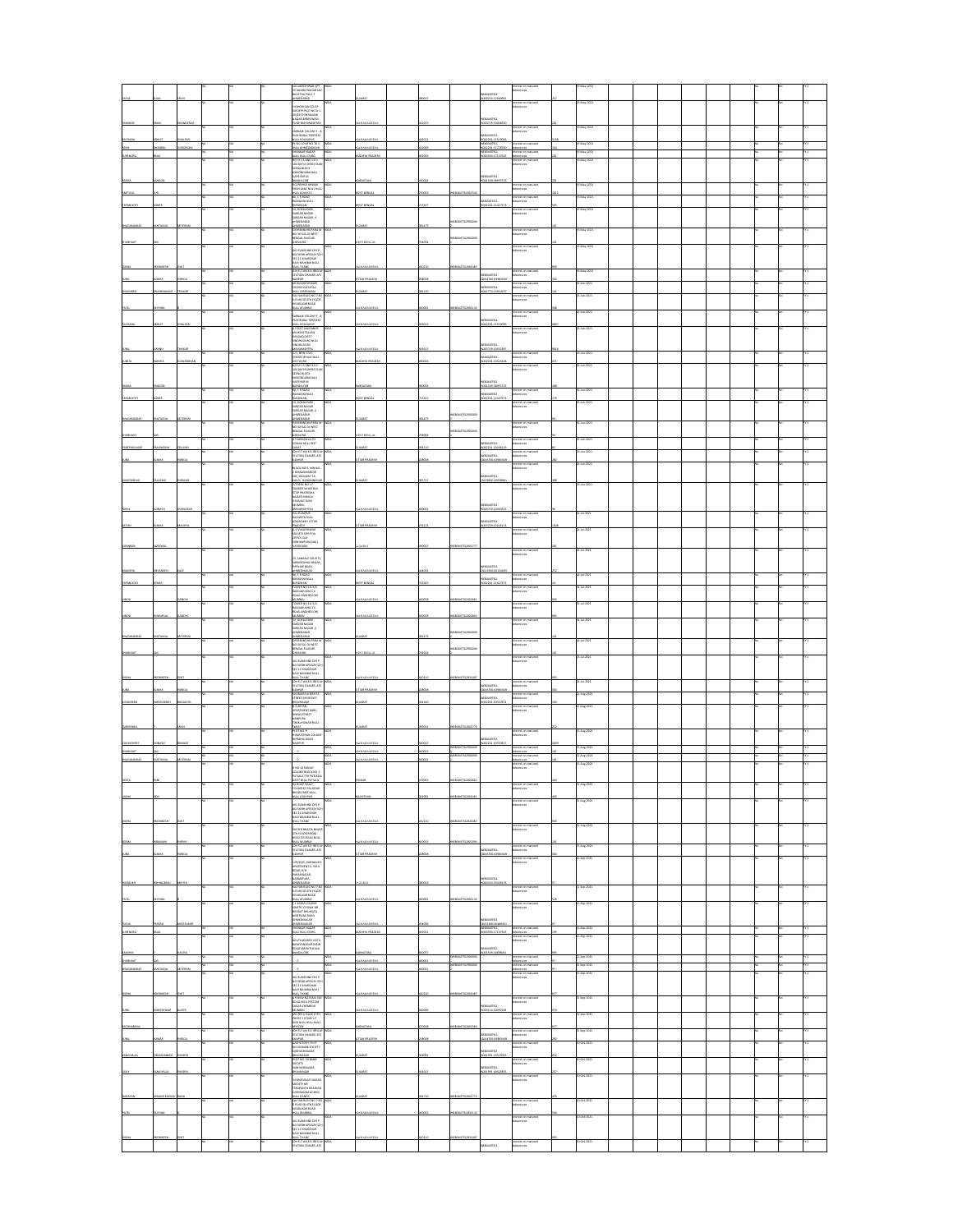|              |                |               |  |                                                                                                                                                                                                                                                                                                                                                                                                                                  |                                         |                 |                 |                                                                                 | rest on i<br>entures                             |                          |  |  |  |  |  |
|--------------|----------------|---------------|--|----------------------------------------------------------------------------------------------------------------------------------------------------------------------------------------------------------------------------------------------------------------------------------------------------------------------------------------------------------------------------------------------------------------------------------|-----------------------------------------|-----------------|-----------------|---------------------------------------------------------------------------------|--------------------------------------------------|--------------------------|--|--|--|--|--|
|              |                |               |  | ios iadispermarapi<br>15 Anand Nagar Sc<br>Bratthar Pald 7<br>Wantdarad                                                                                                                                                                                                                                                                                                                                                          |                                         |                 |                 | E8040792-<br>00214-1206090                                                      |                                                  |                          |  |  |  |  |  |
|              |                |               |  | WANDENHAL CO-OP<br>SOCIETY PLOT NO A-S<br>20/20 CHIMTAMANI<br>NAGAR BISHARANINI<br>PUNE MAHARANINIRA                                                                                                                                                                                                                                                                                                                             |                                         |                 |                 |                                                                                 | terest on matured<br>bentures                    | May 2021                 |  |  |  |  |  |
|              |                |               |  |                                                                                                                                                                                                                                                                                                                                                                                                                                  |                                         |                 |                 | 13610792-<br>12719-10046                                                        |                                                  |                          |  |  |  |  |  |
|              |                |               |  |                                                                                                                                                                                                                                                                                                                                                                                                                                  |                                         |                 |                 |                                                                                 | erest on m<br>Sentanes                           |                          |  |  |  |  |  |
|              |                |               |  |                                                                                                                                                                                                                                                                                                                                                                                                                                  |                                         |                 |                 | 040792-                                                                         | rest on matured                                  | $Map-2021$               |  |  |  |  |  |
|              |                | <b>NDECHA</b> |  |                                                                                                                                                                                                                                                                                                                                                                                                                                  | <b><i>GUARASHTRA</i></b><br>DHYA PRADES | 2009            |                 | 002305-11519096<br>68060792-<br>002305-11728700<br>68060792-<br>000394-17137665 | bentures<br>erest on matured                     | 3 May-2021               |  |  |  |  |  |
|              |                |               |  |                                                                                                                                                                                                                                                                                                                                                                                                                                  |                                         |                 |                 |                                                                                 | eren veri<br>bertures                            |                          |  |  |  |  |  |
|              |                |               |  | <b>CORRECTES</b><br><b>EXPRESSION CONSUMERS CONSUMERS CONSUMERS</b><br><b>EXPRESSION CONSUMERS CONSUMERS CONSUMERS</b><br><b>EXPRESSION CONSUMERS CONSUMERS CONSUMERS CONSUMERS</b><br><b>EXPRESSION CONSUMERS OF THE CONSUMERS OF THE CONSUMERS CONSUMERS</b><br>                                                                                                                                                               |                                         |                 |                 |                                                                                 |                                                  |                          |  |  |  |  |  |
|              |                |               |  |                                                                                                                                                                                                                                                                                                                                                                                                                                  | <b>AMATAKA</b>                          | 60034           |                 | NEB0410752-<br>NGC/S49-38955725                                                 | arest on matured<br>bentures                     |                          |  |  |  |  |  |
|              |                |               |  |                                                                                                                                                                                                                                                                                                                                                                                                                                  | EST BENGAL                              | na:             |                 |                                                                                 | derest on matured<br>ibentures                   | May 2023                 |  |  |  |  |  |
|              |                |               |  |                                                                                                                                                                                                                                                                                                                                                                                                                                  | <b>KSYGS T23</b>                        | 226             |                 | NEB040792-<br>NGC 2201-11427272                                                 |                                                  |                          |  |  |  |  |  |
|              |                |               |  |                                                                                                                                                                                                                                                                                                                                                                                                                                  |                                         |                 |                 |                                                                                 | Jest on mar<br>entanes                           |                          |  |  |  |  |  |
|              |                |               |  |                                                                                                                                                                                                                                                                                                                                                                                                                                  |                                         |                 |                 |                                                                                 |                                                  | May-2021                 |  |  |  |  |  |
|              |                |               |  | RANGANI MULI<br>RIS GOVAN<br>LO, GOVALPARK,<br>GARDAR NAGAR, A<br>GARDAR NAGAR, A<br>ARMEDARAD<br>NG RIS GOVALING<br>NG RIS GOVALING<br>NAGILING<br>RINGAR SILIGIN<br>RINGAR SILIGING<br><b>RILING</b>                                                                                                                                                                                                                           |                                         |                 |                 |                                                                                 | derest on matured<br>ibentures                   |                          |  |  |  |  |  |
|              |                |               |  |                                                                                                                                                                                                                                                                                                                                                                                                                                  |                                         |                 |                 |                                                                                 | arest on matured<br>bentures                     | May-2021                 |  |  |  |  |  |
|              |                |               |  | -<br>NO SUNSHING CHS P<br>NO SR BH APEEAN SCH<br>SEC 21 KHARGHAR<br>NAVI MURRAN NULL                                                                                                                                                                                                                                                                                                                                             | <b>ARASHITE</b>                         |                 |                 |                                                                                 |                                                  |                          |  |  |  |  |  |
|              |                |               |  | NULL THANG<br>IOH FLT AN 221 BRD A<br>IOH FLT AN 221 BRD A<br>KANPUR<br>RO WAGHESHAWAR                                                                                                                                                                                                                                                                                                                                           |                                         |                 |                 | E8040752-<br>1044700-06H                                                        | arest on matured<br>bentures                     | May-2021                 |  |  |  |  |  |
|              |                |               |  |                                                                                                                                                                                                                                                                                                                                                                                                                                  | TAR PRADESH                             | œ               |                 | 3040752-<br>101774-1491013                                                      | erest on mature<br>entates                       |                          |  |  |  |  |  |
|              |                |               |  | OHOWK GOYAFALI<br>NULL VIRAMGAM<br>KALTAN BLOG NO 7                                                                                                                                                                                                                                                                                                                                                                              | <b>LOAT</b>                             |                 |                 |                                                                                 | erest on m<br>Sentanes                           |                          |  |  |  |  |  |
|              |                |               |  | <b>D R NO SO 4TH FLOOR</b><br>KHADILKAR ROAD<br><b>MJLL MUMSAL</b>                                                                                                                                                                                                                                                                                                                                                               | <b>LARASHTE</b>                         |                 |                 |                                                                                 |                                                  |                          |  |  |  |  |  |
|              |                |               |  | .<br>Mawak Colony F + 1<br>Pushkara Teresess                                                                                                                                                                                                                                                                                                                                                                                     |                                         |                 |                 | NE8040792-<br>NGC 201-11519096                                                  | irest on m<br>entures                            |                          |  |  |  |  |  |
|              |                |               |  |                                                                                                                                                                                                                                                                                                                                                                                                                                  | <b>LARASHTE</b>                         |                 |                 |                                                                                 | Kest on r<br>entures                             |                          |  |  |  |  |  |
|              |                |               |  |                                                                                                                                                                                                                                                                                                                                                                                                                                  |                                         |                 |                 |                                                                                 |                                                  |                          |  |  |  |  |  |
|              |                |               |  |                                                                                                                                                                                                                                                                                                                                                                                                                                  |                                         |                 |                 | 3040792-<br> 02719-1045238                                                      | erest on matured<br>Sentanes                     | $n-2021$                 |  |  |  |  |  |
|              |                |               |  |                                                                                                                                                                                                                                                                                                                                                                                                                                  |                                         |                 |                 | 68040752-<br>002205-102264                                                      | arest on mature<br>bentures                      |                          |  |  |  |  |  |
|              |                |               |  |                                                                                                                                                                                                                                                                                                                                                                                                                                  |                                         |                 |                 |                                                                                 |                                                  |                          |  |  |  |  |  |
|              |                |               |  | $\begin{tabular}{ c c c c } \hline \textbf{W} & \textbf{SO}(4) & \textbf{SO}(4) & \textbf{SO}(4) & \textbf{SO}(4) & \textbf{SO}(4) & \textbf{SO}(4) & \textbf{SO}(4) & \textbf{SO}(4) & \textbf{SO}(4) & \textbf{SO}(4) & \textbf{SO}(4) & \textbf{SO}(4) & \textbf{SO}(4) & \textbf{SO}(4) & \textbf{SO}(4) & \textbf{SO}(4) & \textbf{SO}(4) & \textbf{SO}(4) & \textbf{SO}(4) & \textbf{SO}(4) & \textbf{SO}(4) & \textbf{SO$ | <b>GNATAKA</b>                          |                 |                 | CR100022<br>1001549-38955725                                                    |                                                  |                          |  |  |  |  |  |
|              |                |               |  |                                                                                                                                                                                                                                                                                                                                                                                                                                  | <b>AGNGA</b>                            | sian            |                 | 68040792-<br>002201-11427273                                                    | rrest on matures<br>ieritares                    |                          |  |  |  |  |  |
|              |                |               |  |                                                                                                                                                                                                                                                                                                                                                                                                                                  |                                         |                 |                 |                                                                                 | arest on mats<br>bentares                        |                          |  |  |  |  |  |
|              |                |               |  |                                                                                                                                                                                                                                                                                                                                                                                                                                  |                                         |                 |                 |                                                                                 |                                                  | lus-2021                 |  |  |  |  |  |
|              |                |               |  |                                                                                                                                                                                                                                                                                                                                                                                                                                  |                                         |                 |                 |                                                                                 | terest on matured<br>ibentures                   |                          |  |  |  |  |  |
|              |                |               |  |                                                                                                                                                                                                                                                                                                                                                                                                                                  |                                         |                 |                 | -                                                                               | arest on matured<br>bentures                     | $4 - 202$                |  |  |  |  |  |
|              |                |               |  |                                                                                                                                                                                                                                                                                                                                                                                                                                  |                                         |                 |                 | 12201-1040                                                                      | terest on mature<br>bentures                     | $40 - 202$               |  |  |  |  |  |
|              |                |               |  | AMFUR.                                                                                                                                                                                                                                                                                                                                                                                                                           | TAR PRADES                              |                 |                 |                                                                                 | rest on n<br>entanes                             |                          |  |  |  |  |  |
|              |                |               |  | BLOCK NO R, VIBHAG<br>2 MANAVIMANDIR<br>SOC, RALINKY TA<br>KALOL GANDHINAGA<br>7/709 BLNO-17                                                                                                                                                                                                                                                                                                                                     |                                         |                 |                 | 38348752-<br>323800-00058803                                                    |                                                  |                          |  |  |  |  |  |
|              |                |               |  |                                                                                                                                                                                                                                                                                                                                                                                                                                  | ww                                      |                 |                 |                                                                                 | arest on m<br>bentures                           |                          |  |  |  |  |  |
|              |                |               |  | ///OVBEND-1/<br>GUNDER VIHAR BUS<br>GTOP PRATIKSHA<br>NAGAHAT SION<br>WUMBAI                                                                                                                                                                                                                                                                                                                                                     |                                         |                 |                 |                                                                                 |                                                  |                          |  |  |  |  |  |
|              |                |               |  |                                                                                                                                                                                                                                                                                                                                                                                                                                  | <b>ARASHTE</b>                          |                 |                 | E8040792-<br>303719-10453322                                                    |                                                  | $-44 - 202$              |  |  |  |  |  |
|              |                |               |  | MUMMA<br>MAHARASHTRA<br>VILL RAMPUR<br>KAHARIYA NULL<br>AZAMGARIH UTTAR                                                                                                                                                                                                                                                                                                                                                          |                                         |                 |                 | 68040792-                                                                       | erest on matured<br>Sentanes                     |                          |  |  |  |  |  |
|              |                |               |  |                                                                                                                                                                                                                                                                                                                                                                                                                                  | TAR PRADES                              |                 |                 | 102719-1021611                                                                  | arest on matured<br>bentures                     | AF-2021                  |  |  |  |  |  |
|              |                |               |  | Azamgari uttar<br>Pragesh<br>A-1 Vangehwar<br>Society opp Pol<br>Cifice Old<br>Subimapura Null<br>Subimapura Null<br>Valobara                                                                                                                                                                                                                                                                                                    | <b>JARAT</b>                            |                 | 008075/200277   |                                                                                 |                                                  |                          |  |  |  |  |  |
|              |                |               |  |                                                                                                                                                                                                                                                                                                                                                                                                                                  |                                         |                 |                 |                                                                                 | irest on mat<br>ientures                         |                          |  |  |  |  |  |
|              |                |               |  |                                                                                                                                                                                                                                                                                                                                                                                                                                  |                                         |                 |                 | -<br>021900-001<br>021900-001                                                   |                                                  |                          |  |  |  |  |  |
|              |                |               |  |                                                                                                                                                                                                                                                                                                                                                                                                                                  |                                         |                 |                 | 680660792-<br>362265-15427272                                                   | erest on m<br>Sentanes                           |                          |  |  |  |  |  |
|              |                |               |  |                                                                                                                                                                                                                                                                                                                                                                                                                                  | <b>ANGE T22</b>                         | шо              |                 |                                                                                 | erest on maturi<br>Sentures                      |                          |  |  |  |  |  |
|              |                |               |  | 22, SANKAUP SOCIETY,<br>SIRIKINDANA NAGAR,<br>NPANGYANA NAGAR,<br>ARANGYANA NAGAR,<br>ARANGYANA NAGAR,<br>ARANGYANA NAGAR,<br>TOMKR NAGAR,<br>NAMARAKINDA SV<br>MUMBAR<br>ARANGYANA NAGAR,<br>MUMBAR,<br>ARANGYANA NAGAR,<br>ARANGYANA NAGAR,                                                                                                                                                                                    |                                         |                 |                 |                                                                                 |                                                  |                          |  |  |  |  |  |
|              |                |               |  |                                                                                                                                                                                                                                                                                                                                                                                                                                  |                                         |                 |                 |                                                                                 | mena unit<br>Sentanes                            |                          |  |  |  |  |  |
|              |                |               |  | ncadi Ancheat (W)<br>Mijamba<br>Sacur Magar<br>Sacur Magar<br>Sacur Magar<br>Minitarra<br>Minitarra<br>Minitarra<br>Minitarra                                                                                                                                                                                                                                                                                                    | <b>LARASHTE</b>                         |                 | 08/075/200206   |                                                                                 | rest on r<br>retures                             |                          |  |  |  |  |  |
|              |                |               |  |                                                                                                                                                                                                                                                                                                                                                                                                                                  |                                         |                 |                 |                                                                                 |                                                  |                          |  |  |  |  |  |
|              |                |               |  | NO 30 SLG DJ WEST<br>BENGAL SILIGURI                                                                                                                                                                                                                                                                                                                                                                                             |                                         |                 |                 |                                                                                 | derest on m<br>ebentures                         |                          |  |  |  |  |  |
|              |                |               |  | ASLING                                                                                                                                                                                                                                                                                                                                                                                                                           |                                         |                 |                 |                                                                                 | erest on ma<br>Sentanes                          |                          |  |  |  |  |  |
|              |                |               |  | <b>401 SUNSHING CHS P</b><br>NO 58 BH APEEANY SCH<br>SEC 21 KHARGHAR<br>NAVI MUMBAH NULL                                                                                                                                                                                                                                                                                                                                         |                                         |                 |                 |                                                                                 |                                                  |                          |  |  |  |  |  |
|              |                |               |  |                                                                                                                                                                                                                                                                                                                                                                                                                                  |                                         |                 |                 |                                                                                 |                                                  | $-44 - 202$              |  |  |  |  |  |
|              |                |               |  | NULL THAN<br>CHI THAN 2218RD A<br>CHI RIT AN 2218RD AP<br>KANPUR<br>KHARAKLVA MEHTA                                                                                                                                                                                                                                                                                                                                              | <b>TAR PRA</b>                          |                 |                 |                                                                                 | terest on matured<br>bentures<br>erest on mature |                          |  |  |  |  |  |
|              | SHADRA         |               |  | STREET SHOR DIST<br>BHAVNAGAR<br>B-3 ARPAN                                                                                                                                                                                                                                                                                                                                                                                       |                                         |                 |                 | 38360752-<br>602305-10337876                                                    | entates                                          |                          |  |  |  |  |  |
|              |                |               |  | a- <i>i ABPAN</i><br>APARTMENT BABU<br>NIWAS STREET<br>TAMAJIKKINAD NULL<br>ELRAT<br>ELRAT                                                                                                                                                                                                                                                                                                                                       |                                         |                 |                 |                                                                                 | erest on my<br>bentures                          |                          |  |  |  |  |  |
|              |                |               |  |                                                                                                                                                                                                                                                                                                                                                                                                                                  |                                         |                 |                 |                                                                                 |                                                  |                          |  |  |  |  |  |
|              |                |               |  |                                                                                                                                                                                                                                                                                                                                                                                                                                  |                                         |                 |                 |                                                                                 |                                                  |                          |  |  |  |  |  |
|              |                |               |  |                                                                                                                                                                                                                                                                                                                                                                                                                                  |                                         |                 |                 |                                                                                 | terest on matured<br>ibentures                   | Aug-2021                 |  |  |  |  |  |
| TIANSLH      |                |               |  | SUAN<br>PLOT NO. 9<br>HINDUSTHAN COLON<br>WARDHA ROAD<br>NAGPUR                                                                                                                                                                                                                                                                                                                                                                  |                                         |                 |                 | 3040752-<br> 02201-10253817                                                     |                                                  | kup 2021                 |  |  |  |  |  |
|              | as.            |               |  | $\ddot{\phantom{a}}$<br>$\circ$                                                                                                                                                                                                                                                                                                                                                                                                  | ASLARASHTRA                             | 400006<br>acces |                 |                                                                                 | bentures                                         |                          |  |  |  |  |  |
| GWANDAS      | <b>ANTUNAI</b> | <b>ITERAN</b> |  |                                                                                                                                                                                                                                                                                                                                                                                                                                  | <b>NURASHTE</b>                         |                 |                 |                                                                                 | entures<br>med on matured<br>entures             | Aug-2021                 |  |  |  |  |  |
|              |                |               |  | H NO 42 SANJAY<br>COLONY BLOCK NO 1<br>PATINLA TEH PATIATA<br>DISTT NULLI PATIALA                                                                                                                                                                                                                                                                                                                                                |                                         |                 |                 |                                                                                 |                                                  |                          |  |  |  |  |  |
|              |                |               |  |                                                                                                                                                                                                                                                                                                                                                                                                                                  |                                         |                 |                 |                                                                                 | rest on m<br>entures                             |                          |  |  |  |  |  |
|              |                |               |  | SA ROOP RALAT<br>TOLINSHIP PAL ROAD<br>BHADU MAT NULL<br>NULL JOSHPUR                                                                                                                                                                                                                                                                                                                                                            | LASTHAN                                 | aces            | 6804075/200146  |                                                                                 | arest on matured<br>bentures                     |                          |  |  |  |  |  |
|              |                |               |  |                                                                                                                                                                                                                                                                                                                                                                                                                                  |                                         |                 |                 |                                                                                 |                                                  |                          |  |  |  |  |  |
| NGHA         | нки            |               |  | 401 SUNSHING CHS P<br>NO 58 BH APEEANY SCH<br>SEC 21 NHABEHAR<br>NAVI MUMBAI NULL<br>MULL THANG                                                                                                                                                                                                                                                                                                                                  | <b>HARASHTE</b>                         |                 | 804075/200148   |                                                                                 |                                                  |                          |  |  |  |  |  |
|              |                |               |  |                                                                                                                                                                                                                                                                                                                                                                                                                                  |                                         |                 |                 |                                                                                 | erest on matured<br>Sentanes                     |                          |  |  |  |  |  |
|              |                |               |  | 263 R D BHATH NWAY<br>4TH FLOOR ROOM<br>NOAD JSS ROAD NULL<br>NULL MUMBA<br>CHECT AN 221 BRD A<br>SANDN CHARGER AFS<br>SANDN CHARGER AFS                                                                                                                                                                                                                                                                                         |                                         |                 |                 | 48060792-                                                                       | terest on matured<br>bentures                    | Aug-2021                 |  |  |  |  |  |
|              |                |               |  | AMFUR.                                                                                                                                                                                                                                                                                                                                                                                                                           | TAR PAADESH                             | œ               |                 | 064700-04982                                                                    | rest on mat<br>entures                           |                          |  |  |  |  |  |
|              |                |               |  |                                                                                                                                                                                                                                                                                                                                                                                                                                  |                                         |                 |                 |                                                                                 |                                                  |                          |  |  |  |  |  |
|              |                |               |  | 128/1545, Karmavati<br>Apartment-II, Sola<br>Road, R/H<br>Parasiwagar,<br>Marsiwagar,                                                                                                                                                                                                                                                                                                                                            |                                         |                 |                 | 08060792-<br>200242-10428178                                                    |                                                  |                          |  |  |  |  |  |
|              |                |               |  |                                                                                                                                                                                                                                                                                                                                                                                                                                  |                                         |                 |                 |                                                                                 | terest on matured<br>bentures                    | : Sep 2021               |  |  |  |  |  |
| PATEL        | <b>KVAM</b>    |               |  |                                                                                                                                                                                                                                                                                                                                                                                                                                  | ANARASHTRA                              | 00062           | NE808075/200113 |                                                                                 | arest on matured<br>bentures                     |                          |  |  |  |  |  |
|              |                |               |  |                                                                                                                                                                                                                                                                                                                                                                                                                                  |                                         |                 |                 | C2000292-                                                                       |                                                  |                          |  |  |  |  |  |
| AIDD         | ASAD           | Tanzikad      |  | WANNING,<br>MARINDA,<br>MATANISIO NO 7 BO<br>DRADO SO 6THELOOR<br>BALLI MUUNING<br>SI SARA COLONY<br>SI SHARA TIHUISATA<br>MATATI SHUKATA<br>MATATI SHUKATA<br>MATATI SHUKATA<br>MATATI SHUKATA<br>MATATI SHUKATA<br>umeediwaar<br>Hankar Nagar                                                                                                                                                                                  | <b><i>GURASHTRA</i></b>                 | 4006            |                 | 2022300-00485641<br>vcenwintos                                                  |                                                  | Sep 202                  |  |  |  |  |  |
| SURGNORA     |                |               |  | <b>ALL NALL DURG</b>                                                                                                                                                                                                                                                                                                                                                                                                             | <b>MONTH PRADESH</b>                    | e91001          |                 | 00394-17137565                                                                  | ebentures<br>terest on matured<br>ebentures      | 11-Sep-2021              |  |  |  |  |  |
| <b>AUGUK</b> |                |               |  | NO 23 ADARSH VISTA<br>BASAVANAGAR MAIN<br>ROAD VISHUTHILINA<br><b>MGALORE</b>                                                                                                                                                                                                                                                                                                                                                    | ATACA                                   | oχ              |                 | 8060792-<br>01549-1689806                                                       |                                                  |                          |  |  |  |  |  |
| TISAHELHA    |                |               |  |                                                                                                                                                                                                                                                                                                                                                                                                                                  | <b>HARASHTRA</b>                        | œ               |                 |                                                                                 | est on matured<br>entures<br>rest on matured     | Sep-2021<br>$500 - 2021$ |  |  |  |  |  |
| GWANDAS      |                |               |  | $\circ$                                                                                                                                                                                                                                                                                                                                                                                                                          | HARASHTRA                               | xxxx            |                 |                                                                                 |                                                  | Sep 2021                 |  |  |  |  |  |
|              |                |               |  |                                                                                                                                                                                                                                                                                                                                                                                                                                  |                                         |                 |                 |                                                                                 | bentures<br>arest on matured<br>bentures         |                          |  |  |  |  |  |
|              |                |               |  |                                                                                                                                                                                                                                                                                                                                                                                                                                  | <b>HARASHTRA</b>                        | 3250            |                 |                                                                                 |                                                  |                          |  |  |  |  |  |
|              |                |               |  | ROAD NO 6 PESTOM<br>SAGAR CHEMBUR<br>MUMBAI                                                                                                                                                                                                                                                                                                                                                                                      |                                         |                 |                 |                                                                                 | arest on n<br>bentures                           |                          |  |  |  |  |  |
|              |                |               |  | UMBAI<br>G 965 D 81.0K 151                                                                                                                                                                                                                                                                                                                                                                                                       |                                         |                 |                 | 68040792-<br>003116-1009214                                                     | test on n<br><b>bertures</b>                     |                          |  |  |  |  |  |
|              |                |               |  | CROSS 1 STAGE 1 P<br>NGR MULL MULL NULL                                                                                                                                                                                                                                                                                                                                                                                          | <b>AXATAXA</b>                          | œ               |                 |                                                                                 |                                                  |                          |  |  |  |  |  |
|              |                |               |  | MYSCRE<br>IOH FLT AN 2218RD A<br>STATION CHAKER AF                                                                                                                                                                                                                                                                                                                                                                               | MA PAADES                               |                 |                 | 168040792-<br>2044700-0498                                                      | arest on mati<br>bentures                        | Oct-2021                 |  |  |  |  |  |
|              |                |               |  | JATON<br>KANELR<br>AASHUTOSI, PLOT<br>KUBHASHIASAR<br>KUBHASHIASAR                                                                                                                                                                                                                                                                                                                                                               |                                         |                 |                 | 3040792-<br>00991-1037200                                                       | arest on matured<br>bentures                     |                          |  |  |  |  |  |
|              |                |               |  |                                                                                                                                                                                                                                                                                                                                                                                                                                  |                                         |                 |                 | 49040792-                                                                       | arest on matured<br>bentares                     | $-00 + 2021$             |  |  |  |  |  |
|              |                |               |  | ananyawang<br>Ricot No. 30 Banat<br>Society<br>Subinghangar<br><b>SALVAGAR</b>                                                                                                                                                                                                                                                                                                                                                   | aκ                                      |                 |                 | 00901-1002582                                                                   |                                                  | Oct-2021                 |  |  |  |  |  |
|              |                |               |  |                                                                                                                                                                                                                                                                                                                                                                                                                                  |                                         |                 |                 |                                                                                 | arest on matured<br>bentures                     |                          |  |  |  |  |  |
|              |                |               |  |                                                                                                                                                                                                                                                                                                                                                                                                                                  | ARAZ                                    | 03              | 04075/20017     |                                                                                 | rest on ma                                       |                          |  |  |  |  |  |
|              |                |               |  | 20 BHAGWATI NAGAR<br>SOCIETY NR<br>TERAPANTH BHAWAN<br>COHNAGAM LICHNA<br>NULL DANGS<br>SALTAN BLOG NO 7 BC                                                                                                                                                                                                                                                                                                                      |                                         |                 |                 |                                                                                 | bentures                                         |                          |  |  |  |  |  |
|              |                |               |  | <b>DRIVER BOOK</b>                                                                                                                                                                                                                                                                                                                                                                                                               |                                         |                 |                 |                                                                                 |                                                  |                          |  |  |  |  |  |
|              |                |               |  |                                                                                                                                                                                                                                                                                                                                                                                                                                  |                                         |                 |                 |                                                                                 | lerest on ma<br>dentures                         |                          |  |  |  |  |  |
|              |                |               |  | 603 SUNSHING CHS P<br>603 SB BH APEEMY SCH<br>56C 21 ISHARGHAR<br>60AN MUMBEAN NULL<br>60AN CHARGHARGHARG<br>60AN FLT AN 221 BRD AF                                                                                                                                                                                                                                                                                              |                                         |                 |                 | 48040792-                                                                       | derest on matured<br>ibentures                   | 3ct-2021                 |  |  |  |  |  |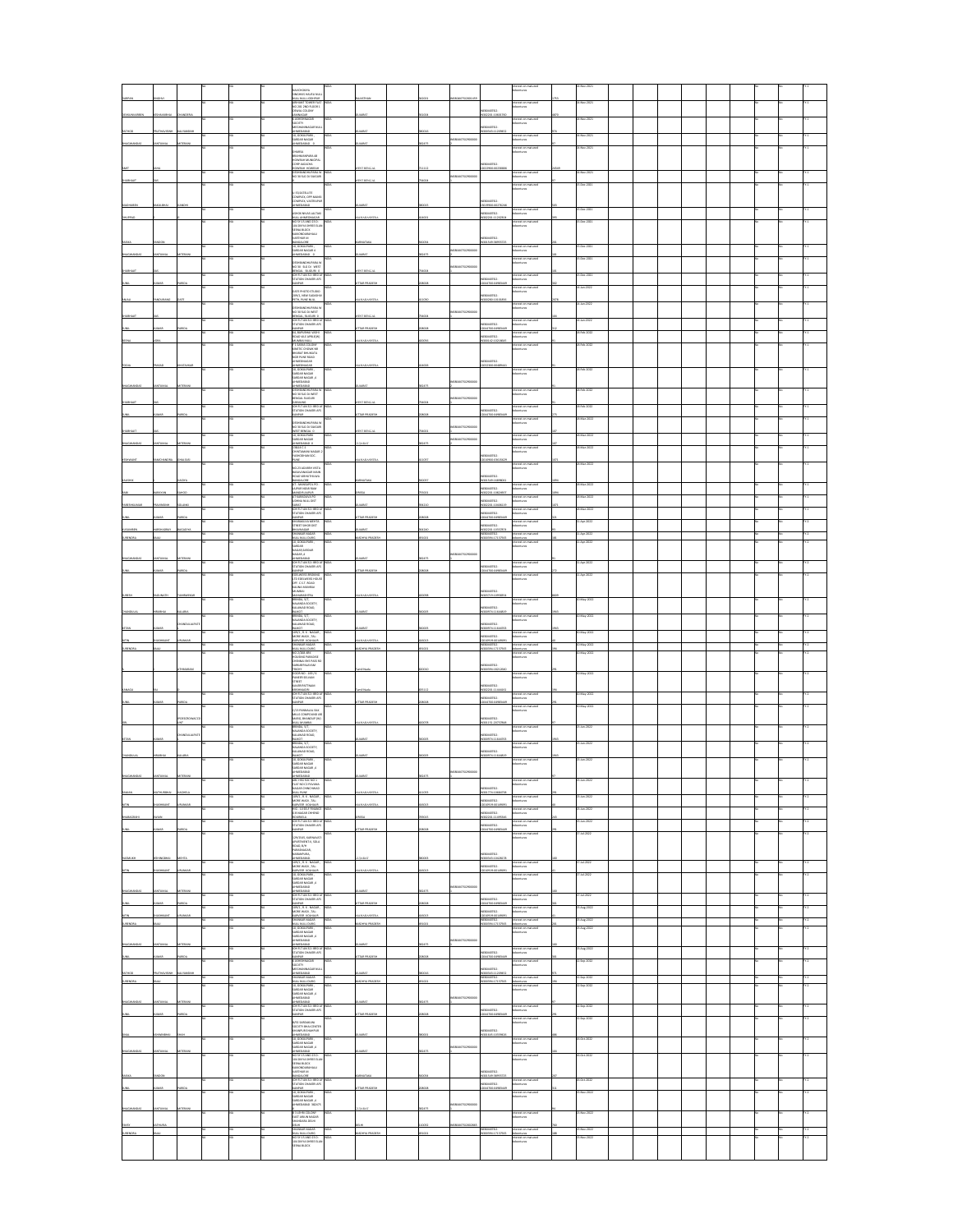|                 |            |               |  | WÉHÉKIYA<br>KGHYIS HAVELI N                                                                                                                                                                                                                                                                                                                                                                                                                     |                       |               |                  |                                                                    | entanes                                          |                                 |  |  |  |  |  |
|-----------------|------------|---------------|--|-------------------------------------------------------------------------------------------------------------------------------------------------------------------------------------------------------------------------------------------------------------------------------------------------------------------------------------------------------------------------------------------------------------------------------------------------|-----------------------|---------------|------------------|--------------------------------------------------------------------|--------------------------------------------------|---------------------------------|--|--|--|--|--|
|                 |            |               |  | NALL NULL JODIFFUR<br>ARHANT TOWER FLA<br>NO 201 2ND FLOOR 1<br>COLONY<br>COLONY                                                                                                                                                                                                                                                                                                                                                                |                       |               |                  |                                                                    | rest on m.<br>entures                            |                                 |  |  |  |  |  |
|                 |            |               |  | AMINASAR<br>I ASHISHNASAR<br>IDOGTY<br>ASGHANINASAR NU                                                                                                                                                                                                                                                                                                                                                                                          |                       |               |                  | 49040792-<br>002201-10601760                                       | rest on<br>entures                               |                                 |  |  |  |  |  |
|                 |            |               |  |                                                                                                                                                                                                                                                                                                                                                                                                                                                 |                       |               |                  | 3040792<br>100343-1120945                                          |                                                  |                                 |  |  |  |  |  |
|                 |            |               |  | HMEDARAD<br>0, GOKULPARK ,<br>ARDAR NAGAR<br>HMEDARAD : 0                                                                                                                                                                                                                                                                                                                                                                                       |                       |               | NEBD4075/2900000 |                                                                    | rest on m<br>entures                             | Nov-2021                        |  |  |  |  |  |
|                 |            |               |  | dharsa<br>Brahalandara 48<br>Howrahalandara<br>Howrah Howrah<br>Howrah Howrahalandara                                                                                                                                                                                                                                                                                                                                                           |                       |               |                  |                                                                    | erest on matured<br>Sentares                     |                                 |  |  |  |  |  |
|                 |            |               |  |                                                                                                                                                                                                                                                                                                                                                                                                                                                 |                       |               |                  | 8040792-                                                           |                                                  |                                 |  |  |  |  |  |
|                 |            |               |  | NO 30 SLG DJ SILIGUR                                                                                                                                                                                                                                                                                                                                                                                                                            |                       |               | NE806075/2900000 |                                                                    | rrest on maturi<br>ientures<br>est com<br>et voe |                                 |  |  |  |  |  |
|                 |            |               |  | <b>JESA SATELLITE</b>                                                                                                                                                                                                                                                                                                                                                                                                                           |                       |               |                  |                                                                    |                                                  |                                 |  |  |  |  |  |
|                 |            |               |  | COMPLEX, OPP.MANS<br>COMPLEX, VASTRAPU<br><b>GASAD35</b>                                                                                                                                                                                                                                                                                                                                                                                        |                       |               |                  | 040792<br>19903-002                                                | rrest on mature<br>ientures                      |                                 |  |  |  |  |  |
|                 |            |               |  | .<br>ASHOK NIVAS LALTAKI                                                                                                                                                                                                                                                                                                                                                                                                                        |                       |               |                  | INEB040752-<br>IN902201-11202304                                   |                                                  |                                 |  |  |  |  |  |
|                 |            |               |  | Ramul Avang Linling<br>MD SY-15 AND 23.0-<br>101 DIVIN SHREE ELA<br>SESNA BLOCK<br>KANGNIDHRAMMLI<br>BANGNIDHE M<br>BANGNIDHE                                                                                                                                                                                                                                                                                                                   |                       |               |                  |                                                                    |                                                  |                                 |  |  |  |  |  |
|                 |            |               |  | rgalore<br>Gorulpark,<br>Dar Nagar 4<br>Hedarad - 0                                                                                                                                                                                                                                                                                                                                                                                             |                       |               | 804075129000     | E8046792-<br>301546-38955721                                       | rest on matured<br>retures                       | 2022                            |  |  |  |  |  |
|                 |            |               |  |                                                                                                                                                                                                                                                                                                                                                                                                                                                 |                       |               |                  |                                                                    | erest on m<br>Dentures                           |                                 |  |  |  |  |  |
|                 |            |               |  |                                                                                                                                                                                                                                                                                                                                                                                                                                                 |                       |               |                  |                                                                    |                                                  |                                 |  |  |  |  |  |
|                 |            |               |  | BÉNGAL SLIGURI 0<br>IOHRTAN 221BRD A<br>STATION GANGER AFS<br>KANFUR                                                                                                                                                                                                                                                                                                                                                                            | TAR PRADESH           |               |                  | 49040792-<br>064703-049                                            | rrest on m<br>entures                            |                                 |  |  |  |  |  |
|                 |            |               |  | .<br>DATE PHOTO STUDIO<br>TH, PUNE NULL                                                                                                                                                                                                                                                                                                                                                                                                         |                       |               |                  | 4940792<br>300280-1010                                             | vest on mati<br>entanes                          |                                 |  |  |  |  |  |
|                 |            |               |  |                                                                                                                                                                                                                                                                                                                                                                                                                                                 |                       |               | 6804075290000    |                                                                    | rest on matured<br>ientures                      |                                 |  |  |  |  |  |
|                 |            |               |  | DESHRANDHURARA W<br>NO 30 SM DU WEST<br>BENGAL, SUGURI O<br>BENGAL, SUGURI O<br>CANDUR<br>SANDUR<br>GA, BAD VIG APRIE(W)<br>MUARAI NULL<br>MUARAI NULL                                                                                                                                                                                                                                                                                          |                       |               |                  |                                                                    | interest on matured<br>debentures                | $a + 2022$                      |  |  |  |  |  |
|                 |            |               |  |                                                                                                                                                                                                                                                                                                                                                                                                                                                 |                       |               |                  | 40440792-                                                          | rrest on matured<br>ientures                     | 46-3322                         |  |  |  |  |  |
|                 |            |               |  | <b><i>NUMBAINELY</i></b><br><b><i>ELSRAS COLONY</i></b><br>RNETIC CHOWK NR<br>BHARAT BHUBATA<br>NGR PUNE ROAD<br>AHMEDNAGAR                                                                                                                                                                                                                                                                                                                     |                       |               |                  |                                                                    | ez on i<br>etures                                |                                 |  |  |  |  |  |
|                 |            |               |  |                                                                                                                                                                                                                                                                                                                                                                                                                                                 |                       |               |                  | EB0480752-                                                         |                                                  |                                 |  |  |  |  |  |
|                 |            |               |  | HINDINAGAR<br>LAGONAGAR<br>LAGONA NAGAR<br>MODAR NAGAR<br>HAGONRAD<br>HAGONRAD                                                                                                                                                                                                                                                                                                                                                                  |                       |               |                  | 032300-004                                                         | erest on matured<br>Sentanes                     |                                 |  |  |  |  |  |
|                 |            |               |  |                                                                                                                                                                                                                                                                                                                                                                                                                                                 |                       |               | 6804075/29000    |                                                                    |                                                  |                                 |  |  |  |  |  |
|                 |            |               |  | AHMEDABAD<br>DESHAMEHILPARA<br>NO 30 SIG DI WEST<br>BENGAL SILIGURI                                                                                                                                                                                                                                                                                                                                                                             |                       |               | 6804075/2000     |                                                                    | rest on<br>entures                               |                                 |  |  |  |  |  |
|                 |            |               |  | ARJEING<br>JH FLT AN 3218RD A<br>TATION CHAKER AP<br>ANFUR                                                                                                                                                                                                                                                                                                                                                                                      |                       |               |                  |                                                                    | erest on matured<br>verbanes                     | Feb-3022                        |  |  |  |  |  |
|                 |            |               |  |                                                                                                                                                                                                                                                                                                                                                                                                                                                 |                       |               |                  |                                                                    | rest on matured<br>retures                       | Mar-3022                        |  |  |  |  |  |
|                 |            |               |  |                                                                                                                                                                                                                                                                                                                                                                                                                                                 |                       |               | 8080750          |                                                                    | rrest on matured<br>ientures                     | Mar-3022                        |  |  |  |  |  |
|                 |            |               |  |                                                                                                                                                                                                                                                                                                                                                                                                                                                 |                       |               |                  |                                                                    | est on n<br>entures                              | Mar-2022                        |  |  |  |  |  |
|                 |            |               |  |                                                                                                                                                                                                                                                                                                                                                                                                                                                 |                       |               |                  | 040792                                                             |                                                  | Mar-2022                        |  |  |  |  |  |
|                 |            |               |  | MO 23 ADARSH WSTA<br>RASAWANAGAR MAIN<br>ROAD VISHUTHIUMA<br>RANGALORE<br>AT - MANSAPOL PO<br>MANDIR LAURUR<br>MANDIR LAURUR<br>AT KARADAWA PO                                                                                                                                                                                                                                                                                                  |                       |               |                  |                                                                    | erest on n<br>Sentanes                           |                                 |  |  |  |  |  |
|                 |            |               |  |                                                                                                                                                                                                                                                                                                                                                                                                                                                 |                       |               |                  | 8040792-<br>01549-1689                                             | rrest on matured<br>entates                      |                                 |  |  |  |  |  |
|                 |            |               |  | E KARADAWA PO<br>DHINA MULL DIST                                                                                                                                                                                                                                                                                                                                                                                                                |                       |               |                  | 68040752-<br>002201-1082490<br>168040792-                          | vest on ma<br>Sentanes                           |                                 |  |  |  |  |  |
|                 |            |               |  | <b>URINT NOIL URI<br/>DIE FLT AN 32 1980 AP<br/>DIE FLT AN 32 1980 AP<br/>NAMER<br/>HARAKLIVA MENTA<br/>HARAKE NAGAR</b><br>HARAKE NAGAR<br>HARAKE NAGAR                                                                                                                                                                                                                                                                                        |                       |               |                  | 302201-1040                                                        | arest on matured<br>bentures                     | Mar-2022                        |  |  |  |  |  |
|                 |            |               |  |                                                                                                                                                                                                                                                                                                                                                                                                                                                 |                       |               |                  | 8040792-                                                           | rest on matured<br>entures                       | Apr-2022                        |  |  |  |  |  |
|                 |            |               |  |                                                                                                                                                                                                                                                                                                                                                                                                                                                 | <b>HYA PRADES</b>     |               |                  | 02201-109<br>100394-1713756                                        | ezon                                             | Apr-2022                        |  |  |  |  |  |
|                 |            |               |  | SHANDOR NAGAR<br>NALI NALI DURG<br>SAGAR SAGARA<br>NAGAR A<br>NAGAR A<br>NAGAR AN 221880 A<br>CATION GHAKER AFS<br>KATION GHAKER AFS<br>KATION GHAKER AFS                                                                                                                                                                                                                                                                                       |                       |               |                  |                                                                    | bertures<br>erest on matures<br>bertures         | Apr-2022                        |  |  |  |  |  |
|                 |            |               |  |                                                                                                                                                                                                                                                                                                                                                                                                                                                 |                       |               | 680407529000     | 3040792-                                                           | rest on m<br>entures                             | Apr-2022                        |  |  |  |  |  |
|                 |            |               |  |                                                                                                                                                                                                                                                                                                                                                                                                                                                 |                       |               |                  | 064200-0698                                                        | interest on matured<br>debentures                | Apr-202                         |  |  |  |  |  |
|                 |            |               |  | $\begin{array}{l} \mbox{In\,-\,} \\ \mbox{In\,-\,} \\ \mbox{ADIN GRB} \\ \mbox{CDIN GRB} \\ \mbox{CDIN GRB} \\ \mbox{CDI} \\ \mbox{CDI} \\ \mbox{CDI} \\ \mbox{CDI} \\ \mbox{CDI} \\ \mbox{CDI} \\ \mbox{CDI} \\ \mbox{CDI} \\ \mbox{CDI} \\ \mbox{CDI} \\ \mbox{CDI} \\ \mbox{CDI} \\ \mbox{CDI} \\ \mbox{CDI} \\ \mbox{CDI} \\ \mbox{CDI} \\ \mbox{CDI} \\ \mbox{CDI} \\ \mbox{CDI} \\ \mbox{CDI} \\ \$                                       |                       |               |                  |                                                                    |                                                  |                                 |  |  |  |  |  |
|                 |            |               |  |                                                                                                                                                                                                                                                                                                                                                                                                                                                 |                       |               |                  | E8040752-<br>303719-10958354                                       | entaneo                                          |                                 |  |  |  |  |  |
|                 |            |               |  | MALANDA SOCIETY,                                                                                                                                                                                                                                                                                                                                                                                                                                |                       |               |                  | 3040792<br>(200034-1164481)                                        |                                                  |                                 |  |  |  |  |  |
|                 |            | MOULALPAT     |  | iakot<br>Irmor, 5/7,<br>Irianoa society,<br>Irianad road,                                                                                                                                                                                                                                                                                                                                                                                       |                       |               |                  | E8040792-<br>000974-11644767                                       |                                                  |                                 |  |  |  |  |  |
|                 |            |               |  | NACIT<br>1971 : R. K. NAGAR<br>1982 WADI : TAL-<br>1992/228 NAGAR<br>1992 : NAGAR                                                                                                                                                                                                                                                                                                                                                               |                       |               |                  | CR040792-<br>010919-0014909<br>ER0460792-                          |                                                  |                                 |  |  |  |  |  |
|                 |            |               |  |                                                                                                                                                                                                                                                                                                                                                                                                                                                 | DHYA PRADE            |               |                  | 00394-1713754                                                      | entures<br>Inest on matured<br>Ientures          | May-2022<br>$M_{\rm H}$ - $202$ |  |  |  |  |  |
|                 |            |               |  | $\begin{array}{l} \textbf{BUMOOR NAGAR} \\ \textbf{MMLNAGOR} \\ \textbf{G.1/26} \textbf{G.006} \\ \textbf{G.2/26} \textbf{G.300} \\ \textbf{H.3/26} \textbf{H.4} \\ \textbf{H.5/26} \textbf{H.4} \\ \textbf{H.5/26} \textbf{H.4} \\ \textbf{H.5/26} \textbf{H.4} \\ \textbf{H.5/26} \textbf{H.4} \\ \textbf{H.5/26} \textbf{H.4} \\ \textbf{H.5/26} \textbf{H.4} \\ \textbf{H$                                                                  |                       |               |                  | nungos                                                             |                                                  |                                 |  |  |  |  |  |
|                 |            |               |  |                                                                                                                                                                                                                                                                                                                                                                                                                                                 |                       |               |                  | 00354-18212640                                                     | est on matured<br>etanes                         | Aug-2022                        |  |  |  |  |  |
|                 |            |               |  |                                                                                                                                                                                                                                                                                                                                                                                                                                                 | nil Nadu              |               |                  | INEB040792-<br>IN902201-11444161                                   |                                                  |                                 |  |  |  |  |  |
|                 |            |               |  |                                                                                                                                                                                                                                                                                                                                                                                                                                                 | TAR PRADESH           |               |                  |                                                                    | vrest on matured<br>ietitanes<br>rest on mature  |                                 |  |  |  |  |  |
|                 |            | <b>ESCRON</b> |  | C/13 PANNALAI SIX<br>MILIS COMPOUND LE<br>MILIS COMPOUND LE<br>MARG, BHANDUP (IN)<br>MILI MILIMA SOCIETY,<br>MILIMAN SOCIETY,<br>RAMOT<br>BRINDA, S/7,<br>MILIMAN SOCIETY,<br>MILIMAN SOCIETY,<br>MILIMAN SOCIETY,<br>MILIMAN SOCIETY,                                                                                                                                                                                                          |                       |               |                  | enuntos                                                            | <b>bentanes</b>                                  |                                 |  |  |  |  |  |
|                 |            |               |  |                                                                                                                                                                                                                                                                                                                                                                                                                                                 |                       |               |                  | 301151-20737848                                                    | rest on matured<br>entures                       | un-2022                         |  |  |  |  |  |
|                 |            |               |  |                                                                                                                                                                                                                                                                                                                                                                                                                                                 |                       |               |                  | enuntos<br>00974-11644                                             |                                                  |                                 |  |  |  |  |  |
|                 |            |               |  |                                                                                                                                                                                                                                                                                                                                                                                                                                                 |                       |               |                  | -<br>300974-15644819                                               | rest on matured<br>entanes                       |                                 |  |  |  |  |  |
|                 |            |               |  | ukot<br>1, gorulpark ,<br>vroar nagar<br>vroar nagar ,4<br>haedarad                                                                                                                                                                                                                                                                                                                                                                             |                       |               |                  |                                                                    | irest on matures<br>ientures                     |                                 |  |  |  |  |  |
|                 |            |               |  | <b>ACOARA</b>                                                                                                                                                                                                                                                                                                                                                                                                                                   |                       |               |                  |                                                                    |                                                  |                                 |  |  |  |  |  |
|                 |            | <b>GHELA</b>  |  |                                                                                                                                                                                                                                                                                                                                                                                                                                                 | <b>HARASHTE</b>       |               |                  | INER040752-<br>IN901774-10684728                                   | entures                                          |                                 |  |  |  |  |  |
|                 |            | .<br>Nasara   |  | ARC HOG SOC NO 1<br>SAT NO C2 PAVANA<br>MGAR CHINGWAN<br>MULL PUNG<br>MORE WASH TALK<br>MORE WASH TALK<br>MORE WASH CHINGE<br>HO - 20 SELF FRANKES<br>ADURAR CHINGE<br>ADURAR CHINGE                                                                                                                                                                                                                                                            | AGUITE.               |               |                  | 68040792-<br>1010919-00149091                                      | erest on matu<br>Sentares<br>erest on mature     |                                 |  |  |  |  |  |
|                 |            |               |  |                                                                                                                                                                                                                                                                                                                                                                                                                                                 |                       |               |                  | INEB360792-<br>1003201-11495346                                    | <b>Incentives</b>                                |                                 |  |  |  |  |  |
|                 |            |               |  | OURIGEA<br>IN FLT AN 3218RD A<br>IATION CHAKER AFS<br>MAR                                                                                                                                                                                                                                                                                                                                                                                       |                       |               |                  | C2040792-<br>004000-009                                            | erest on matur<br>Seetares                       |                                 |  |  |  |  |  |
|                 |            |               |  |                                                                                                                                                                                                                                                                                                                                                                                                                                                 |                       |               |                  |                                                                    | interest on matured<br>debentures                | $-44 - 2022$                    |  |  |  |  |  |
|                 |            |               |  |                                                                                                                                                                                                                                                                                                                                                                                                                                                 |                       |               |                  | 68040792-<br>000343-10428176                                       |                                                  |                                 |  |  |  |  |  |
|                 |            |               |  |                                                                                                                                                                                                                                                                                                                                                                                                                                                 |                       |               |                  | -                                                                  | erest on matured<br>bentures                     | au-2022                         |  |  |  |  |  |
|                 |            |               |  |                                                                                                                                                                                                                                                                                                                                                                                                                                                 |                       |               |                  |                                                                    | terest on matured<br>bentures                    | aa-2022                         |  |  |  |  |  |
|                 |            |               |  | $\begin{tabular}{l c c c c} \hline \textbf{QAGSE} & \textbf{DAGSE} & \textbf{MAGSE} \\ \hline \textbf{DAGSE} & \textbf{DAGSE} & \textbf{MAGSE} \\ \hline \textbf{DAGSE} & \textbf{DAGSE} & \textbf{DAGSE} \\ \hline \textbf{DAGSE} & \textbf{DAGSE} & \textbf{MAGSE} \\ \hline \textbf{MAGSE} & \textbf{MAGSE} & \textbf{MAGSE} \\ \hline \textbf{MAGSE} & \textbf{MAGSE} & \textbf{MAGSE} \\ \hline \textbf{MAGSE} & \textbf{MAGSE} & \textbf$ |                       |               |                  |                                                                    | erest on matured                                 |                                 |  |  |  |  |  |
|                 |            |               |  |                                                                                                                                                                                                                                                                                                                                                                                                                                                 | <b>TAR PRADESH</b>    |               |                  | E8040792-<br>044700-04983                                          | pentanes<br>terest on mat<br>bentures            |                                 |  |  |  |  |  |
|                 |            |               |  | rveer kolhaur<br>ankar nagar                                                                                                                                                                                                                                                                                                                                                                                                                    | <b><i>USASHTE</i></b> |               |                  | INEB040792-<br>2010019-00149091<br>NEB04K0752-<br>N200264-17127545 | erest on matured                                 | Mug-2022                        |  |  |  |  |  |
| <b>URCNOR</b>   |            |               |  | armour Nagar<br>Liling Nagar<br>A Goruemar ,<br>Nama Nagar ,<br>Nagar Nagar ,<br>Matamara<br>Matam (Ankar)<br>Nama (Ankar)<br>Nama (Ankar)<br>Nama (Ankar)<br>Nama (Ankar)<br>Nama (Ankar)<br>Nama (Ankar)                                                                                                                                                                                                                                      | 260489.000            |               |                  |                                                                    | bertures<br>arest on m<br>bertures               | Aug-2022                        |  |  |  |  |  |
|                 |            |               |  |                                                                                                                                                                                                                                                                                                                                                                                                                                                 |                       |               |                  |                                                                    |                                                  |                                 |  |  |  |  |  |
|                 |            |               |  |                                                                                                                                                                                                                                                                                                                                                                                                                                                 |                       |               |                  | 1000022                                                            | arest on matured<br>bentures                     | Aug-2022<br>Sep-2022            |  |  |  |  |  |
|                 |            |               |  |                                                                                                                                                                                                                                                                                                                                                                                                                                                 |                       |               |                  |                                                                    | arest on matured<br>bentures                     |                                 |  |  |  |  |  |
| RENDRI          |            |               |  | G KOHDINMAR<br>SOCETY<br>MEGINNINGAR NUL<br>MEGINNING NUGH<br>SIANGAR NUGH<br>SIANGAR NUGH<br>KOLDAR NUGH<br>SIANGAR NUGH<br>SIANGAR NUGH<br>SIANGAR NUGH<br>SIANGAR NUGH<br>SIANGAR NUGH<br>SIANGAR NUGH<br>SIANGAR NUGH<br>SIANGARADAD<br>SIANGARADADADADADADADADADADADAD                                                                                                                                                                     | DHYA PRADESH          | 1001          |                  | 000394-17137565                                                    |                                                  | Sep-2022<br>2 Sep 3022          |  |  |  |  |  |
|                 |            |               |  |                                                                                                                                                                                                                                                                                                                                                                                                                                                 |                       |               | 680407529000     |                                                                    | debentures<br>Interest on matured<br>debentures  |                                 |  |  |  |  |  |
|                 |            |               |  |                                                                                                                                                                                                                                                                                                                                                                                                                                                 |                       |               |                  |                                                                    | erest on matured<br>Sentanes                     | iep-2023                        |  |  |  |  |  |
|                 | <b>AAM</b> |               |  |                                                                                                                                                                                                                                                                                                                                                                                                                                                 | TTAR PRADESH          | soos          |                  | INEB040752-<br>12044700-04983449                                   | rrest on mature<br>entures                       |                                 |  |  |  |  |  |
|                 |            |               |  |                                                                                                                                                                                                                                                                                                                                                                                                                                                 |                       |               |                  | NER0410752-<br>NGC 1645-16539420                                   |                                                  |                                 |  |  |  |  |  |
|                 |            |               |  | r/22 Sardakuru<br>Society Bani Center<br>Sardrur Samarur<br>Anglik Nagar<br>Sardar Nagar<br>Sardar Nagar<br>Anglik Nagar                                                                                                                                                                                                                                                                                                                        |                       |               | Consumptionships |                                                                    | arest on matured<br>bentures                     | Oct-2022                        |  |  |  |  |  |
|                 |            |               |  | ARDAR NAGAR A<br>UMERICANAD<br>ID SY-IS AND 220-<br>ID SY-IS AND 220-<br>ID SY-IS AND 220-<br>ISBN 810CK<br>SKON NAGAR ANG ANG ANG ANG ARDAR NAGAR<br>DAID NAGAR<br>ARDAR NAGAR<br>ARDAR NAGAR<br>ARDAR NAGAR<br>ARDAR NAGAR<br>ARDAR NAGAR A<br>ARDAR NAGAR A                                                                                                                                                                                  |                       |               |                  |                                                                    | interest on matured<br>debentures                | 600:2002                        |  |  |  |  |  |
|                 |            |               |  |                                                                                                                                                                                                                                                                                                                                                                                                                                                 |                       |               |                  | 10410752-<br>11545-289                                             |                                                  |                                 |  |  |  |  |  |
|                 |            |               |  |                                                                                                                                                                                                                                                                                                                                                                                                                                                 |                       |               |                  | -02000032                                                          | ved on ma<br>Seebares                            |                                 |  |  |  |  |  |
|                 |            |               |  |                                                                                                                                                                                                                                                                                                                                                                                                                                                 | TAR PRADESH           | oos           |                  |                                                                    | rest on mat<br>entanes                           |                                 |  |  |  |  |  |
|                 |            |               |  |                                                                                                                                                                                                                                                                                                                                                                                                                                                 |                       |               |                  |                                                                    |                                                  |                                 |  |  |  |  |  |
|                 |            |               |  | 212481 COLONY<br>IST ARJUN NAGAR<br>HAHDARA DELHI                                                                                                                                                                                                                                                                                                                                                                                               |                       |               |                  |                                                                    | erest on r<br>Sentanes                           |                                 |  |  |  |  |  |
| YZMI<br>LIGNORA |            |               |  | FOR<br>GLH<br>LIANDOR NAGAR<br>LIAL NULL DURG<br>O SY-15 AND 23 D-<br>DI DIVIA SHREE ELAN<br>ESNA RLOCK                                                                                                                                                                                                                                                                                                                                         | ADMON PRACESH         | 0022<br>20016 |                  | 00364-17127545                                                     |                                                  | Nov-2022                        |  |  |  |  |  |
|                 |            |               |  |                                                                                                                                                                                                                                                                                                                                                                                                                                                 |                       |               |                  |                                                                    | debentures<br>Interest on matured<br>debentures  | Nov-2022                        |  |  |  |  |  |
|                 |            |               |  |                                                                                                                                                                                                                                                                                                                                                                                                                                                 |                       |               |                  |                                                                    |                                                  |                                 |  |  |  |  |  |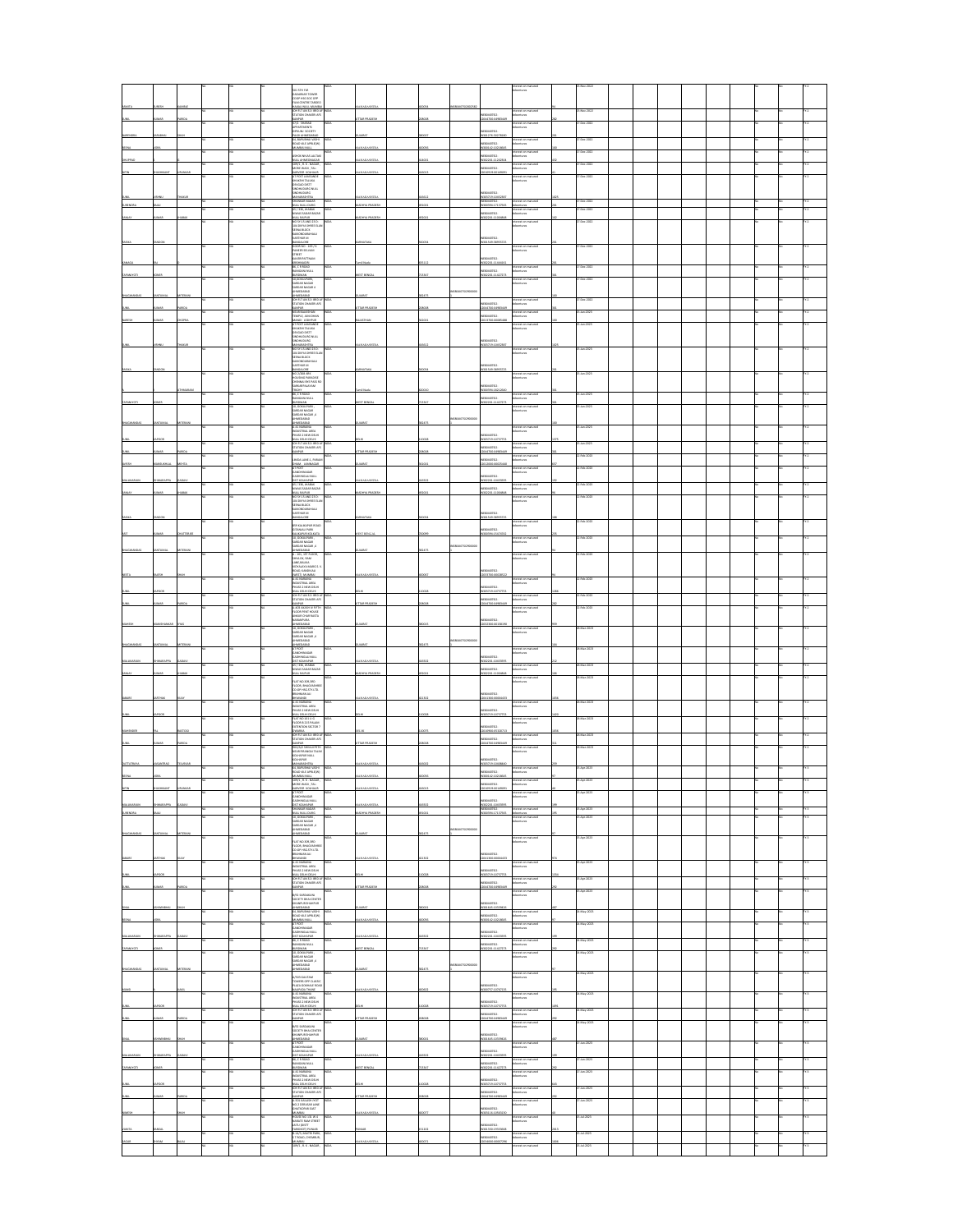|                        |                |        |  | SOI STINFILE<br>COLORADOR TOWER<br>COLOP HIS SOC OPP<br>FRAN CENTRE TARDER<br>GRAINLY SOC OPPER<br>COLORADOR SOCIAL<br>COLORADOR<br>APPARTMENTS<br>NOVATMENTS<br>PALDI APPARTMENTS<br>PALDI APPARTMENTS<br>PALDI APPARTMENTS<br>PALDI APPARTMENTS                                                                                                                                                                                     |                          |       |               |                                                 | entures                                                              |                      |  |  |  |  |
|------------------------|----------------|--------|--|---------------------------------------------------------------------------------------------------------------------------------------------------------------------------------------------------------------------------------------------------------------------------------------------------------------------------------------------------------------------------------------------------------------------------------------|--------------------------|-------|---------------|-------------------------------------------------|----------------------------------------------------------------------|----------------------|--|--|--|--|
|                        |                |        |  |                                                                                                                                                                                                                                                                                                                                                                                                                                       |                          |       |               |                                                 |                                                                      |                      |  |  |  |  |
|                        |                |        |  |                                                                                                                                                                                                                                                                                                                                                                                                                                       |                          |       |               |                                                 | terest on matured<br>bentures                                        | Nov-2022             |  |  |  |  |
|                        |                |        |  |                                                                                                                                                                                                                                                                                                                                                                                                                                       |                          |       |               |                                                 | .ered on mat<br>beetures                                             |                      |  |  |  |  |
|                        |                |        |  |                                                                                                                                                                                                                                                                                                                                                                                                                                       |                          |       |               | 3040792-<br>101276-3027818                      |                                                                      | Orc-2022             |  |  |  |  |
|                        |                |        |  | palekahanedarad<br>Ge, bapubhai wash<br>Road vile apreenni<br>Mumbai null                                                                                                                                                                                                                                                                                                                                                             | LARASHTRA                |       |               | <br> NGB04K0752-<br> NGC0142-10215545           | lerest on matured<br>dentures                                        | bec-2022             |  |  |  |  |
|                        |                |        |  | HOK NEWS LALTAH                                                                                                                                                                                                                                                                                                                                                                                                                       |                          |       |               | E80480792-<br>02201-1120                        | ved on mat<br>bertares                                               | Sec-2022             |  |  |  |  |
|                        | HIGHT          |        |  |                                                                                                                                                                                                                                                                                                                                                                                                                                       | <b><i>UARASETTRA</i></b> | os)   |               | E8040792-<br>1010919-00149091                   | erest on matured<br>verbanes<br>terest on matured                    |                      |  |  |  |  |
|                        |                |        |  | $\begin{array}{l} \textbf{NSEOM} \textbf{NMS} \textbf{LALTAG} \\ \textbf{NSE} \textbf{ASEOMGAR} \\ \textbf{DOR} \textbf{ASE} \textbf{ASEOMGAR} \\ \textbf{MOS} \textbf{WAG} \textbf{ASE} \textbf{RGEAR} \\ \textbf{MOS} \textbf{WAG} \textbf{RGEAR} \\ \textbf{MOS} \textbf{MSE} \textbf{REGIARGAR} \\ \textbf{MOS} \textbf{ASE} \textbf{RGEAR} \\ \textbf{MOS} \textbf{ASE} \textbf{RGEAR} \\ \textbf{MOS} \textbf{ASE} \textbf{RGE$ |                          |       |               |                                                 | entanes                                                              |                      |  |  |  |  |
|                        |                |        |  | harashtaa<br>Naoar Nagar                                                                                                                                                                                                                                                                                                                                                                                                              | <b>LARASHTE</b>          |       |               | AE8040792-                                      |                                                                      |                      |  |  |  |  |
|                        |                |        |  |                                                                                                                                                                                                                                                                                                                                                                                                                                       | DHYA PRADESH             | ices  |               | 002719-10452287<br>63040752-<br>000364-17137565 | est on matured<br>Finn<br>Jentures<br>Jerest on matured<br>Jeentures | Orc-2022<br>Onc-2022 |  |  |  |  |
|                        |                |        |  |                                                                                                                                                                                                                                                                                                                                                                                                                                       | ADMYA PRADESH            | ioos  |               | INER04I0752-<br>IN202205-11004648               | rest on mat<br>entures                                               |                      |  |  |  |  |
|                        |                |        |  | SUMMOR NAGAR<br>MULI NAGAR<br>G / ZIK, SURAK<br>MUN SANDAR<br>MULI RAPAR<br>MULI RAPAR<br>MULI NAPAR<br>MULI SAND<br>ZOM NO - GRI SANDAR<br>MULI RAPAR<br>MULI RAPAR<br>MULI RAPAR<br>MULI RAPAR<br>MULI RAPAR<br>MULI RAPAR<br>MULI RAPAR<br>MULI RAPAR<br>MULI RAPAR<br>MULI RAPAR                                                                                                                                                  |                          |       |               |                                                 |                                                                      |                      |  |  |  |  |
|                        |                |        |  |                                                                                                                                                                                                                                                                                                                                                                                                                                       |                          |       |               | 3040752<br>IOSEB 38955721                       |                                                                      | Dec-2022             |  |  |  |  |
|                        |                |        |  |                                                                                                                                                                                                                                                                                                                                                                                                                                       |                          |       |               | 3040792                                         | erest on matured<br>bentures                                         |                      |  |  |  |  |
|                        |                |        |  | NEWMING                                                                                                                                                                                                                                                                                                                                                                                                                               |                          |       |               | 302201-1144416                                  | irest on matured<br>ietitanes                                        | Dec-2022             |  |  |  |  |
|                        |                |        |  |                                                                                                                                                                                                                                                                                                                                                                                                                                       | EST BENGAL               | m     |               | 68040792-<br>002201-11427277                    | rest on matured<br>entanes                                           | MC-202               |  |  |  |  |
| <b><i>AGWANDAS</i></b> | WILMAL         | TERANI |  | uonr Nagar<br>uonr Nagar 4<br>haeoarad<br>haeoarad                                                                                                                                                                                                                                                                                                                                                                                    | <b>IMART</b>             | 005   |               |                                                 |                                                                      |                      |  |  |  |  |
|                        |                |        |  | H FLT AN 3218RD A<br>KTION CHAKERI AFS                                                                                                                                                                                                                                                                                                                                                                                                |                          |       |               | -                                               | irest on matured<br>ientures                                         | Dec-2022             |  |  |  |  |
|                        |                |        |  | plir<br>Realizishani<br><b>EMPLE, JUNI DHAN</b>                                                                                                                                                                                                                                                                                                                                                                                       |                          |       |               | NE8040752-<br>12012700-00065485                 | arest on m<br>bertares                                               |                      |  |  |  |  |
|                        |                |        |  | TEMPLE, JUNI DINNI<br>MARKE JOSHUARING<br>GRAKSH TAUJUR<br>SOVGAD DETT<br>SOVGAD DETT<br>SOVGAD DETT<br>SOVGAD DETT<br>MARKEDUR<br>MARKEDUR<br>SONG ROOM DETTA DETTA<br>SONG ROOM<br>SONG ROOM<br>SONG ROOM<br>SONG ROOM                                                                                                                                                                                                              |                          |       |               |                                                 | est con r<br>etunes                                                  |                      |  |  |  |  |
|                        |                |        |  |                                                                                                                                                                                                                                                                                                                                                                                                                                       |                          |       |               | 68040752-<br>003719-1045236                     |                                                                      |                      |  |  |  |  |
|                        |                |        |  |                                                                                                                                                                                                                                                                                                                                                                                                                                       |                          |       |               |                                                 | erest on matured<br>Sentares                                         | $-385-3022$          |  |  |  |  |
|                        |                |        |  |                                                                                                                                                                                                                                                                                                                                                                                                                                       |                          |       |               | C2000292-                                       |                                                                      |                      |  |  |  |  |
|                        |                |        |  |                                                                                                                                                                                                                                                                                                                                                                                                                                       | <b>RNATAKA</b>           |       |               | 001549-38955725                                 | rrest on matured<br>entures                                          |                      |  |  |  |  |
|                        |                |        |  | VARIHUR M<br>BANGALORE<br>NO 2/268 ARK<br>HOUSING PARADISE<br>CHEMAAI RYE PASS RD<br>SARKARPALAYAM<br>TRICHY                                                                                                                                                                                                                                                                                                                          |                          |       |               | 3040752-<br> 00394-18213640                     |                                                                      |                      |  |  |  |  |
|                        |                |        |  | E RIKOAD<br>IGANI MULL                                                                                                                                                                                                                                                                                                                                                                                                                | IST BENGAL               |       |               | 168040792-<br>802201-1142727                    | terest on m<br>bentures                                              |                      |  |  |  |  |
|                        |                |        |  | urdwan<br>0, gokulpark ,<br>ardar nagar<br>ardara nagar ,4<br>hafdarad                                                                                                                                                                                                                                                                                                                                                                |                          |       |               |                                                 | arest on matured<br>bentures                                         | $35-202$             |  |  |  |  |
|                        |                |        |  |                                                                                                                                                                                                                                                                                                                                                                                                                                       |                          |       | 6804075/29000 |                                                 |                                                                      |                      |  |  |  |  |
|                        |                |        |  | HAFENARAD<br>41 NARAINA<br>IDUSTRIAL AREA<br>4ASE-2 NEW DELHI                                                                                                                                                                                                                                                                                                                                                                         |                          |       |               | C2000292-                                       | erest on ma<br>bentures                                              |                      |  |  |  |  |
|                        |                |        |  | AULI DELHI DELHI<br>DH FLT AN 321 BRD A<br>ZATION CHAKER AFS                                                                                                                                                                                                                                                                                                                                                                          |                          |       |               | 003719-10727753<br>68040792-                    | erest on ma<br>Sentares                                              |                      |  |  |  |  |
|                        |                |        |  | auk.<br>MDA LANE-1, PARAN<br>WAA LANE-1, PARAN<br>"POST                                                                                                                                                                                                                                                                                                                                                                               | MA PAADES                |       |               | 044703-0498<br>48040752-<br>0012000-0002        | terest on matured<br>bentures                                        | Feb-3022             |  |  |  |  |
|                        |                |        |  |                                                                                                                                                                                                                                                                                                                                                                                                                                       |                          |       |               |                                                 | rest on matured<br>entanes                                           | Feb-3022             |  |  |  |  |
|                        |                |        |  | T POST<br>ANDHINGAR<br>ADHINGLAI NULL<br>S/ RES, AMBAK<br>WAS SADAR BAZAR<br>ULL RAIPUR<br>ULL RAIPUR<br>ULL RAIPUR<br>O SY-15 AND 23 D-                                                                                                                                                                                                                                                                                              |                          |       |               | 12205-10433590                                  | erest on matured                                                     | Feb-3322             |  |  |  |  |
|                        |                |        |  |                                                                                                                                                                                                                                                                                                                                                                                                                                       | <b>CA PRADES</b>         |       |               | 68040752-<br>002205-1100464                     | entates<br>erest on ma<br>Dentures                                   |                      |  |  |  |  |
|                        |                |        |  | NO SY-15 AND 23 D-<br>104 DIVYA SHREE ELAN<br>SESNA BLOCK<br>KARDHUR M<br>VARDHUR M<br>BANGHLORE                                                                                                                                                                                                                                                                                                                                      |                          |       |               |                                                 |                                                                      |                      |  |  |  |  |
|                        |                |        |  |                                                                                                                                                                                                                                                                                                                                                                                                                                       |                          |       |               | 18040752-<br>IOSEB-18955725                     |                                                                      | Feb-3022             |  |  |  |  |
|                        |                |        |  |                                                                                                                                                                                                                                                                                                                                                                                                                                       |                          |       |               | 3040752-<br>100364-15474742                     | irest on matured<br>ietitanes                                        |                      |  |  |  |  |
|                        |                |        |  |                                                                                                                                                                                                                                                                                                                                                                                                                                       |                          |       | conentration  |                                                 | arest on matured<br>bentures                                         | Feb-3022             |  |  |  |  |
|                        |                |        |  | <b>ENGINEERING SECTION AND SECTION AND SECTION AND SECTION AND SECTION AND SECTION AND SECTION AND SECTION AND SECTION AND SECTION AND SECTION AND SECTION AND SECTION AND SECTION AND SECTION AND SECTION AND SECTION AND SECTI</b>                                                                                                                                                                                                  |                          |       |               |                                                 | erest on matured<br>Sentanes                                         | Feb-3022             |  |  |  |  |
|                        |                |        |  |                                                                                                                                                                                                                                                                                                                                                                                                                                       |                          |       |               |                                                 |                                                                      |                      |  |  |  |  |
|                        |                |        |  |                                                                                                                                                                                                                                                                                                                                                                                                                                       | <b><i>SURASHTRA</i></b>  |       |               | 68040792-<br>033700-00026522                    |                                                                      |                      |  |  |  |  |
|                        |                |        |  |                                                                                                                                                                                                                                                                                                                                                                                                                                       |                          |       |               | 468040792-<br>03719-10737757                    | rest on ma<br>returns                                                |                      |  |  |  |  |
|                        | wk             | kita.  |  | JUL DÊLHI DÊLHI<br>HI FLT AN 321 BRD A<br>ATION CHAKÊRI AFS<br>HIND<br>MELR                                                                                                                                                                                                                                                                                                                                                           | TTAR PRADESH             | scca  |               | NEB04K0752-<br> 2064700-04983649                | rrest on r<br>entures                                                | P-7033               |  |  |  |  |
|                        |                |        |  | HAMAN<br>LOOR PENT HOUSE<br>MALIR CHAR RASTA<br>MAANPURA                                                                                                                                                                                                                                                                                                                                                                              |                          |       |               |                                                 | erest on ma<br>oertures                                              | 46-3022              |  |  |  |  |
|                        |                |        |  |                                                                                                                                                                                                                                                                                                                                                                                                                                       |                          |       |               | 68040792-<br>2032300-0015819                    |                                                                      | Mar-2022             |  |  |  |  |
|                        |                |        |  | HAEDARAD<br>0, GOKULPARK ,<br>ARDAR NAGAR<br>ARDAR NAGAR ,4<br>HAEDARAD                                                                                                                                                                                                                                                                                                                                                               |                          |       | E804075/29000 |                                                 | erest on matured<br>verbanes                                         |                      |  |  |  |  |
|                        |                |        |  | ureedarad<br>(Tadst<br>Gadhinagar<br>Gadhingeal Null                                                                                                                                                                                                                                                                                                                                                                                  | MRAT                     |       |               |                                                 | rrest on mati<br>entures                                             |                      |  |  |  |  |
|                        | казары         |        |  | vreifinnung mall<br>167 Kolumpur<br>157 226, Juniare<br>1880 Sadar Bazar                                                                                                                                                                                                                                                                                                                                                              | <b><i>SURASHTRA</i></b>  |       |               | NEB040792-<br>NGC 2201-10433595                 |                                                                      |                      |  |  |  |  |
|                        |                |        |  | <b>SURANA LL</b>                                                                                                                                                                                                                                                                                                                                                                                                                      |                          |       |               | E80480792-<br>02201-1100484                     | irest on matured<br>ientures                                         | Mar-2022             |  |  |  |  |
|                        |                |        |  | FLAT NO 309,360<br>FLOOR, BHAGHASHREE<br>CO-OP HEGSTY LTD.<br>BRAHMAN ALI<br>BHAMMAN                                                                                                                                                                                                                                                                                                                                                  |                          |       |               |                                                 | rrest on matured<br>ienbanes                                         |                      |  |  |  |  |
|                        |                |        |  |                                                                                                                                                                                                                                                                                                                                                                                                                                       |                          |       |               | E8040752-<br>1041300-0000452                    |                                                                      |                      |  |  |  |  |
|                        |                |        |  | 1-41 NARAINA<br>NDUSTRIAL AREA<br>NASE-2 NEW DELHI                                                                                                                                                                                                                                                                                                                                                                                    |                          |       |               | C2000292-                                       | arest on ru<br>bentures                                              |                      |  |  |  |  |
|                        | POOR           |        |  | JLL DELHI DELHI<br>AT NO 101 U G<br>OOR B 215 PALAM<br>TENTION SECTOR 7                                                                                                                                                                                                                                                                                                                                                               |                          | 0028  |               | 4903719-10727753                                | rest on ma<br>entures                                                |                      |  |  |  |  |
|                        |                |        |  | MARKA<br>DH FLT AN 221880 A                                                                                                                                                                                                                                                                                                                                                                                                           |                          |       |               | 49040792-<br>0010900-05320713                   |                                                                      | ar-2022              |  |  |  |  |
|                        |                |        |  |                                                                                                                                                                                                                                                                                                                                                                                                                                       |                          |       |               | 49040792-<br>044703-0498                        | irest on matured<br>ientures                                         | Var-3322             |  |  |  |  |
|                        |                |        |  |                                                                                                                                                                                                                                                                                                                                                                                                                                       |                          |       |               | 468040792-                                      | rest on mat<br>entanes                                               |                      |  |  |  |  |
|                        |                |        |  |                                                                                                                                                                                                                                                                                                                                                                                                                                       |                          |       |               | 1003719-1003040<br>468040792-                   | erest on m<br>Sentares                                               |                      |  |  |  |  |
|                        |                |        |  | HARPUR<br><b>HARPUR<br/>LARPURAN VASH<br/>LARPURAN VASH<br/>DAD VAS APRISPIN<br/>DAD VASH KOLINIKAR<br/>JARPURAN NASH<br/>JARPURAN NASH<br/>JARPURAN NASH<br/>SADIRIKAN NASH<br/>DAT KOLINIKAR<br/>DAT KOLINIKAR<br/>DAT KOLINIKAR<br/>DAT KOLINIKAR<br/>DAT KOLINIKAR<br/>DAT KOLINIKAR<br/>DA</b>                                                                                                                                   |                          |       |               | 000142-10218640                                 | est on i<br>etures                                                   |                      |  |  |  |  |
|                        |                |        |  |                                                                                                                                                                                                                                                                                                                                                                                                                                       | <b>HARASHTE</b>          | m:    |               | 10919-00<br>sos.                                | erest on mature<br>entanes                                           |                      |  |  |  |  |
|                        |                |        |  |                                                                                                                                                                                                                                                                                                                                                                                                                                       |                          |       |               | E80440752-<br>302201-10433590<br>E804407522-    | rest on matured                                                      |                      |  |  |  |  |
|                        |                |        |  | null Null Durg<br>10, Gorulpark ,<br>Lardar Nagar<br>Lardar Nagar ,4<br>Namedarad                                                                                                                                                                                                                                                                                                                                                     | <b>DIRYA PRADES</b>      | 11001 |               | 00394-17137560                                  | identures<br>terest on m<br>identures                                |                      |  |  |  |  |
|                        |                |        |  | <b>GASAGIM</b>                                                                                                                                                                                                                                                                                                                                                                                                                        | ww                       | (247) | 00002529000   |                                                 |                                                                      |                      |  |  |  |  |
|                        |                |        |  |                                                                                                                                                                                                                                                                                                                                                                                                                                       |                          |       |               |                                                 | erest on matured<br>bentures                                         |                      |  |  |  |  |
|                        |                |        |  |                                                                                                                                                                                                                                                                                                                                                                                                                                       |                          |       |               | E8040792-<br>041300-000                         |                                                                      |                      |  |  |  |  |
|                        |                |        |  |                                                                                                                                                                                                                                                                                                                                                                                                                                       |                          |       |               |                                                 | irest on matured<br>ietitanes                                        | Apr-2022             |  |  |  |  |
|                        |                |        |  | -<br>FAT NO 200, 200<br>FAOOR, BHAGIN 2001<br>GO-OP HGGSTV.ITD.<br>BRUGHNAM ALI<br>MILL DELAR AGA<br>MILL DELAR ORGER<br>MILL DELAR CORRES AGA<br>MILL DELAR CORRES AGA<br>DIN FAT AN 221 BRD AG<br>ON FAT AN 221 BRD AG<br>ON FAT AN 221 BRD AG<br>CARTUR                                                                                                                                                                            |                          |       |               | 02719-10727752<br>4040792-                      | rrest on matured<br>ientures                                         | Apr-2022             |  |  |  |  |
|                        |                |        |  | PLR.                                                                                                                                                                                                                                                                                                                                                                                                                                  |                          |       |               |                                                 | west on matu<br>bentures                                             | Apr-2022             |  |  |  |  |
|                        |                |        |  | r/r2 Sardakuru<br>Society Biak Center<br>Karneur Saaheur<br>Ahmeenaad<br>Sa, Rapubiak Wahe                                                                                                                                                                                                                                                                                                                                            |                          |       |               | 040752-<br>6645-1023943                         |                                                                      |                      |  |  |  |  |
|                        |                |        |  | <b>DAD VILE APRILE(W)</b>                                                                                                                                                                                                                                                                                                                                                                                                             |                          |       |               | 48040792-                                       | rest on mature<br>bestates                                           |                      |  |  |  |  |
|                        |                |        |  | HEMA VEL AVELIJA<br>AT POST<br>GANDHIMAGAR<br>GADHINGLAJ NULLI<br>DOST KOLHAPUR<br>RESONAN<br>RESONAN<br>RESONAN                                                                                                                                                                                                                                                                                                                      | <b>HARASHTE</b>          |       |               | 100142-10218640                                 | rrest on mat<br>entures                                              |                      |  |  |  |  |
|                        |                |        |  |                                                                                                                                                                                                                                                                                                                                                                                                                                       | <b>HARASHTE</b>          |       |               | 49040792-<br>(302201-1043359)                   |                                                                      | Aay-2027             |  |  |  |  |
|                        |                |        |  |                                                                                                                                                                                                                                                                                                                                                                                                                                       | ST BENGAL                |       |               | -2200002<br>02201-1142727                       | irest on matured<br>ientures                                         | $May-2022$           |  |  |  |  |
|                        |                |        |  | iangani muli<br>Iordwan<br>O, gordlpark ,<br>Jaroar Nagar<br>Jaroar Nagar ,4<br>Umedarad<br>Umedarad                                                                                                                                                                                                                                                                                                                                  |                          |       | 6804075/29000 |                                                 | terest on matureo<br>bentures                                        |                      |  |  |  |  |
|                        |                |        |  |                                                                                                                                                                                                                                                                                                                                                                                                                                       | MRAT                     | 2472  |               |                                                 | erest on ma<br>Sentares<br>ured                                      | Aay-2027             |  |  |  |  |
|                        |                |        |  | VSO2 GALITAM<br>OWERS OPP CLASSIC<br>VAZA GOKHALE ROAD<br>MUPADA THANE<br>-41 NARAINA                                                                                                                                                                                                                                                                                                                                                 | <b>HARASHTE</b>          |       |               | 8046752-<br>00757-10767130                      |                                                                      |                      |  |  |  |  |
|                        |                |        |  |                                                                                                                                                                                                                                                                                                                                                                                                                                       |                          |       |               |                                                 | erest on mature<br>bentures                                          |                      |  |  |  |  |
|                        |                |        |  | MULISTRIAL AREA<br>PAASE-2 NEW DELH<br>NULL DELHI DELHI<br>KOH FLT AN 221 BRD AF<br>STATION CHAKERI AFS                                                                                                                                                                                                                                                                                                                               |                          |       |               | 3040752-<br>103719-10737753<br>168040792-       | terest on m<br>bentures                                              |                      |  |  |  |  |
|                        |                |        |  | MAR                                                                                                                                                                                                                                                                                                                                                                                                                                   | <b>MA PAADES</b>         |       |               | 044700-0498                                     |                                                                      | May-2023             |  |  |  |  |
|                        |                |        |  | R/R2 SARDAKUNU<br>SOGETY BAN CENTER<br>SARDEUR SARDARUR<br>AT POST<br>SANDARUAGAR<br>SANDARUAGAR<br>SAT KOLUARUR                                                                                                                                                                                                                                                                                                                      |                          |       |               | AE8040792-                                      | erest on matured<br>verbanes                                         |                      |  |  |  |  |
|                        |                |        |  |                                                                                                                                                                                                                                                                                                                                                                                                                                       | <b>MRAT</b>              |       |               | 00645-10220420                                  | erest on m<br>Sentanes                                               |                      |  |  |  |  |
|                        | <b>UNAAPPI</b> |        |  |                                                                                                                                                                                                                                                                                                                                                                                                                                       | <b>HARASHTRA</b>         | æ     |               | 468040792-<br>1002201-10433595                  |                                                                      |                      |  |  |  |  |
|                        |                |        |  | GADHINGLAJ MULL<br>KG, C R ROAD<br>KG, C R ROAD<br>KRAGANI MULL<br>KRAGANI MULL<br>MAG C R ROAD<br>MULL DELHI DELHI<br>MULL DELHI DELHI<br>MULL DELHI DELHI<br>ZAINON GARGER LARS<br>MAGUR<br>MAGUR<br>MAGUR                                                                                                                                                                                                                          | <b>IST BENGA</b>         | ac    |               | 4680460792-<br>002201-1142727                   | erest on mati<br>Seebares                                            | $-0.0 - 2022$        |  |  |  |  |
|                        |                |        |  |                                                                                                                                                                                                                                                                                                                                                                                                                                       |                          |       |               | EB0480752-<br>03719-1073775                     | terest on matured<br>ebentures                                       |                      |  |  |  |  |
|                        |                | i.     |  |                                                                                                                                                                                                                                                                                                                                                                                                                                       | TAR PRADESH              | œ     |               | E8040752-<br>IO44700-0498                       | erest on matured<br>verbanes                                         | An-2022              |  |  |  |  |
|                        |                |        |  | ) 2 DERASAR LANE<br>4ATKOPAR EAST                                                                                                                                                                                                                                                                                                                                                                                                     |                          |       |               |                                                 | erest on matured<br>entanes                                          |                      |  |  |  |  |
|                        |                |        |  | MAN<br>USS NO 131 W 6                                                                                                                                                                                                                                                                                                                                                                                                                 |                          |       |               | .<br>101116-1056                                | rrest on matured                                                     |                      |  |  |  |  |
|                        |                |        |  | NARATE RAM STREET<br>IAFOU (DISTT<br>TARISHOT) PUNING<br>8-14/2, MAITEI PARK,<br>17 ROND, CHEMBUR,                                                                                                                                                                                                                                                                                                                                    |                          |       |               | 8040752-<br>01330-1833                          | bertaws                                                              |                      |  |  |  |  |
|                        |                |        |  |                                                                                                                                                                                                                                                                                                                                                                                                                                       | <b>HARASHTRA</b>         | 6671  |               | NEB0410752-<br>2014000-0000729                  | west on ma<br>bertares                                               |                      |  |  |  |  |
|                        |                |        |  | UMBAI<br>39/1 , R. K. NAGAR                                                                                                                                                                                                                                                                                                                                                                                                           |                          |       |               |                                                 | ez on mat                                                            | ul-2023              |  |  |  |  |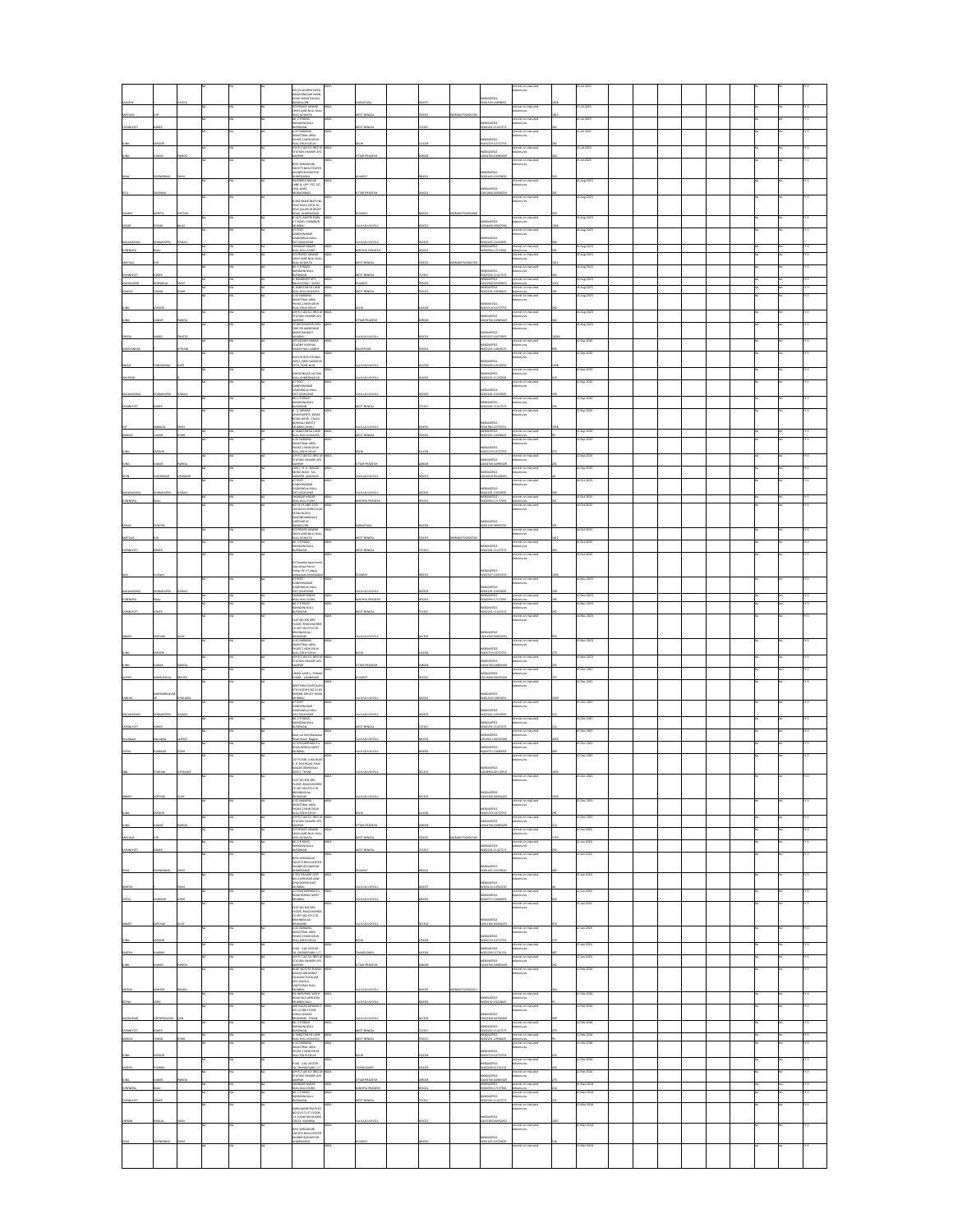|                    |                |  |  | .<br>No. 23 Adarsh Vista<br>Road Vishuthilina.                                                                                                                                                                                                                     |                                             |               |           | E8040792-                                          |                                                               |               |  |  |  |  |  |
|--------------------|----------------|--|--|--------------------------------------------------------------------------------------------------------------------------------------------------------------------------------------------------------------------------------------------------------------------|---------------------------------------------|---------------|-----------|----------------------------------------------------|---------------------------------------------------------------|---------------|--|--|--|--|--|
|                    |                |  |  | NNGALORE<br>12 Prince Anwar<br>44H Lang Null Nu                                                                                                                                                                                                                    |                                             |               |           | 10549-1689806                                      | rest on m<br>entanes                                          |               |  |  |  |  |  |
|                    |                |  |  |                                                                                                                                                                                                                                                                    |                                             |               |           |                                                    |                                                               |               |  |  |  |  |  |
|                    |                |  |  | DANN LANG NULL NULL<br>MOLE COLOCAL<br>MC C REDAD<br>MC C REDAD<br>MOLE COLOCAL<br>CHE NASARINA<br>COLOTERAL AREA<br>DIL DELON DELH<br>JAN COLOCAL<br>JAN COLOCAL<br>JAN COLOCAL<br>MC COLOCAL<br>VAN COLOCAL NASARINA COLOCAL<br>VAN COLOCAL NASARINA COLOCAL     |                                             |               |           | E8046792-<br>302201-11427271                       | erest on matured<br>Sentanes                                  |               |  |  |  |  |  |
|                    |                |  |  |                                                                                                                                                                                                                                                                    |                                             |               |           | numbor                                             | ez on r<br>ictures                                            |               |  |  |  |  |  |
|                    |                |  |  |                                                                                                                                                                                                                                                                    |                                             |               |           | 02719-1072                                         |                                                               | ul-2022       |  |  |  |  |  |
|                    |                |  |  |                                                                                                                                                                                                                                                                    |                                             |               |           | 8040792-                                           | rest on matured<br>entures                                    |               |  |  |  |  |  |
|                    |                |  |  |                                                                                                                                                                                                                                                                    |                                             |               |           |                                                    |                                                               |               |  |  |  |  |  |
|                    |                |  |  | <b>B/R2 SARDAKUNU</b><br>SOCIETY BHAI CENTER<br>KHANPUR SHAHPUR                                                                                                                                                                                                    |                                             |               |           | 3040792-<br>ICLGES-103                             |                                                               |               |  |  |  |  |  |
|                    |                |  |  | ahmedarad<br>Raknora nagar<br>Lane R, OPP, PTC 15T,<br>CNV, UNES<br>MORADARAD                                                                                                                                                                                      |                                             |               |           |                                                    | rest on mature<br><b>Intants</b>                              |               |  |  |  |  |  |
|                    |                |  |  |                                                                                                                                                                                                                                                                    |                                             |               |           |                                                    |                                                               |               |  |  |  |  |  |
|                    |                |  |  |                                                                                                                                                                                                                                                                    |                                             |               |           |                                                    | rest on i<br>retures                                          |               |  |  |  |  |  |
|                    |                |  |  | 8-60 SHANTINATH NI<br>POLE HAZA APTEL NI<br>POLE KALIPUR RELIEF<br>REAL AMATELIANO,<br>8-14/7, MATELIANO,<br>5 TROAD, CHEMBUR,<br>14/70-0, CHEMBUR,                                                                                                                |                                             |               |           |                                                    |                                                               |               |  |  |  |  |  |
|                    |                |  |  |                                                                                                                                                                                                                                                                    |                                             |               |           | 040792-                                            | rest on matured<br>entures                                    | Aug-2022      |  |  |  |  |  |
|                    |                |  |  |                                                                                                                                                                                                                                                                    |                                             |               |           |                                                    | <b>KECOT</b>                                                  |               |  |  |  |  |  |
|                    |                |  |  | ai post<br>Gandhinagar<br>Gadhinglai null<br>Distrocar nagar<br>Shankar nagar                                                                                                                                                                                      |                                             |               |           | 43440752-                                          | entanes                                                       |               |  |  |  |  |  |
|                    |                |  |  |                                                                                                                                                                                                                                                                    | <b>IYA PRADESH</b>                          |               |           | 02201-10433<br>3040792-<br>100394-17137560         | est on matured                                                | yr4-1033      |  |  |  |  |  |
|                    |                |  |  | DANNOR NAGAR<br>MJIL NULL DURG<br>GANA LANE ARWAR<br>DANA LANE NULL NJI<br>MJIL KOLKATA<br>MJIL KOLKATA<br>RANGANI NJIL<br>RANGANI NJIL<br>RANGANI NJIL                                                                                                            |                                             |               |           |                                                    | entures<br>snest on matured<br>entures                        | $A_{4}$ 2023  |  |  |  |  |  |
|                    |                |  |  |                                                                                                                                                                                                                                                                    |                                             |               |           |                                                    | est on matured<br>etanes                                      | ug-2022       |  |  |  |  |  |
|                    |                |  |  |                                                                                                                                                                                                                                                                    | <b>ST BENGAL</b>                            | ac            |           |                                                    |                                                               |               |  |  |  |  |  |
| 090JMAR            | <b>ANARLAL</b> |  |  | A ANALISONO SURAT<br>A SANATAN SILIANE<br>NULL NULL KOLKATA<br>A-41 NARANA                                                                                                                                                                                         | <b>LIARAT</b>                               | <b>SOOR</b>   |           | 2041500-00249652<br>NEB04K0752-                    | rest on m                                                     | en 101        |  |  |  |  |  |
|                    |                |  |  |                                                                                                                                                                                                                                                                    | AGNEST BENGA                                | $\frac{1}{2}$ |           | <b>MASS</b>                                        |                                                               |               |  |  |  |  |  |
|                    |                |  |  | .<br>DUSTRIAL AREA<br>IASE-2 NEW DELHI                                                                                                                                                                                                                             |                                             |               |           | 8040792-<br>(802719-1072775)                       | <b>Bater</b>                                                  |               |  |  |  |  |  |
|                    |                |  |  | ULL DELHI DELHI<br>DH FLT AN 2218RD A<br>TATION CHAKER AP                                                                                                                                                                                                          |                                             |               |           | 68040792-                                          | rest on r<br>retures                                          |               |  |  |  |  |  |
|                    |                |  |  |                                                                                                                                                                                                                                                                    |                                             |               |           | 004000-04                                          | terest on matured<br>bentures                                 | Aug-2022      |  |  |  |  |  |
|                    |                |  |  |                                                                                                                                                                                                                                                                    |                                             |               |           | 0060792-<br>03237-1021                             |                                                               |               |  |  |  |  |  |
|                    |                |  |  | HANDAR<br>IS KESHAV NAGAR<br>DLONY VAISHALI<br>AGAR NULL AIMER                                                                                                                                                                                                     |                                             |               |           | E8040752-<br>002201-1084                           | rest cin m<br>entures                                         | iap 3322      |  |  |  |  |  |
|                    |                |  |  |                                                                                                                                                                                                                                                                    |                                             |               |           |                                                    | rest on matured<br>entures                                    | $500 - 3022$  |  |  |  |  |  |
|                    |                |  |  | date photo studio<br>209/1, New Sadaghi<br>Peth, Pune Null                                                                                                                                                                                                         |                                             |               |           | cornan<br>0280-10                                  |                                                               |               |  |  |  |  |  |
|                    |                |  |  |                                                                                                                                                                                                                                                                    |                                             |               |           | 8040792-<br>02205-1120230                          | rest on matured<br>entures                                    | ap-3322       |  |  |  |  |  |
|                    |                |  |  | HOK NIVAS LALTAI<br>JLL AHMEDNAGAR<br>FOST                                                                                                                                                                                                                         |                                             |               |           |                                                    |                                                               |               |  |  |  |  |  |
|                    |                |  |  | POST<br>VIDHINAGAR<br>ST KOLHAPUR<br>C R ROAD<br>C R ROAD                                                                                                                                                                                                          |                                             |               |           | 0000792-                                           |                                                               |               |  |  |  |  |  |
|                    |                |  |  | <b>DEANI MULL</b>                                                                                                                                                                                                                                                  |                                             |               |           | E80480792-                                         | entures                                                       |               |  |  |  |  |  |
|                    |                |  |  | ANGerry most<br>1-2, AKSHAR<br>ØARTMENTS, EKSAR<br>KORO, NEAR - TALAN,<br>BORVALI (NEST),<br>1-1-1-2-1-1-1-1-1-1                                                                                                                                                   |                                             |               |           | 02201-11427                                        | rest on m<br>entanes                                          |               |  |  |  |  |  |
|                    |                |  |  |                                                                                                                                                                                                                                                                    |                                             |               |           | C2000292-                                          |                                                               |               |  |  |  |  |  |
|                    |                |  |  | LIMBA: (MAH.)<br>SANATAN SIL LAN<br>ULL NULL KOLKATA<br>41 NARAJNA                                                                                                                                                                                                 | <b>ASHIR</b>                                |               |           | 000993-1079372                                     |                                                               |               |  |  |  |  |  |
|                    |                |  |  |                                                                                                                                                                                                                                                                    | EST BENGA                                   |               |           | 02201-10948100                                     |                                                               | Sep-2022      |  |  |  |  |  |
|                    |                |  |  |                                                                                                                                                                                                                                                                    |                                             |               |           | cornario<br>03719-1073                             | etates                                                        |               |  |  |  |  |  |
|                    |                |  |  | <b>L-11 NARAINA<br/>NDUSTRIAL AREA<br/>NASE-2 NEW DELHI<br/>AULL DELHI DELHI<br/>DH FLT AN 221 BRD A<br/>DH FLT AN 221 BRD AFS<br/>VANDI ID</b>                                                                                                                    |                                             |               |           | 4040792-                                           | rest on matured<br>retures                                    | ap-3322       |  |  |  |  |  |
|                    |                |  |  | KANPUR<br>109/1 , R. K. NAGAR<br>MORE WADI , TAL-                                                                                                                                                                                                                  |                                             |               |           | 49040792-                                          | rest on m<br>entures                                          |               |  |  |  |  |  |
|                    |                |  |  |                                                                                                                                                                                                                                                                    |                                             |               |           | 010919-0014909                                     |                                                               |               |  |  |  |  |  |
|                    |                |  |  |                                                                                                                                                                                                                                                                    |                                             |               |           | C2000292-                                          |                                                               |               |  |  |  |  |  |
|                    |                |  |  |                                                                                                                                                                                                                                                                    | CHYA PRADESH                                | ioci          |           | 302201-10433595<br>68040752-<br>300384-17137565    |                                                               |               |  |  |  |  |  |
|                    |                |  |  |                                                                                                                                                                                                                                                                    |                                             |               |           |                                                    | etate                                                         | $-0.1 - 20.2$ |  |  |  |  |  |
|                    |                |  |  |                                                                                                                                                                                                                                                                    |                                             |               |           |                                                    |                                                               |               |  |  |  |  |  |
|                    |                |  |  |                                                                                                                                                                                                                                                                    |                                             |               |           | 68040792-<br>001549-38955                          |                                                               | Oct-2023      |  |  |  |  |  |
|                    |                |  |  |                                                                                                                                                                                                                                                                    |                                             |               | 010752001 |                                                    | erest on matured<br>Sentanes                                  |               |  |  |  |  |  |
|                    |                |  |  | DWAN                                                                                                                                                                                                                                                               |                                             |               |           | 4040792-                                           | rest on matured<br>entures                                    | Oct-2023      |  |  |  |  |  |
|                    |                |  |  |                                                                                                                                                                                                                                                                    |                                             |               |           |                                                    | entanes                                                       |               |  |  |  |  |  |
|                    |                |  |  | Gi Paradise Agartme<br>Opp Ketas Petrol<br>Pump Dr V S Marg<br>Arthawadi Ahmedal<br>AT POST<br>GANDHINGAR<br>GADHINGAR                                                                                                                                             |                                             |               |           | 3040792-                                           |                                                               |               |  |  |  |  |  |
|                    |                |  |  |                                                                                                                                                                                                                                                                    |                                             |               |           | 02027-10011437                                     |                                                               | Nov 2023      |  |  |  |  |  |
|                    |                |  |  |                                                                                                                                                                                                                                                                    |                                             |               |           | E8040792-                                          | erest on matured<br>Sentanes                                  |               |  |  |  |  |  |
| <b>JUICARS LIN</b> | <b>WARAPPA</b> |  |  | <b>LAUNINGLAI MULL</b><br>DIST KOLHAPUR<br>SHANKAR NAGAR<br>MULL NULL DURG<br>BE, C R ROAD                                                                                                                                                                         | <b><i>USASHTE</i></b><br><b>HYA PRADESH</b> |               |           | (102201-10433595<br>(58040752)<br>(103364-17137565 |                                                               |               |  |  |  |  |  |
|                    |                |  |  | MGANI MULL<br>Mga kata                                                                                                                                                                                                                                             |                                             |               |           | E80480792-                                         | etures                                                        |               |  |  |  |  |  |
|                    |                |  |  | ROWAN                                                                                                                                                                                                                                                              |                                             |               |           | 02201-1142727                                      | erest on m<br>Sentures                                        |               |  |  |  |  |  |
|                    |                |  |  | ELAT NO 309,360<br>ELOOR, BHAGING<br>CO-OP HEG.STV.LTD.<br>BRAWMAN ALI<br>BHAWMOL<br>NULL DELH DELH<br>NULL DELH DELH<br>NULL DELH DELH                                                                                                                            |                                             |               |           |                                                    |                                                               |               |  |  |  |  |  |
|                    |                |  |  |                                                                                                                                                                                                                                                                    |                                             |               |           | 040792-<br>11300-000                               |                                                               |               |  |  |  |  |  |
|                    |                |  |  |                                                                                                                                                                                                                                                                    |                                             |               |           | 040792                                             | rest on m<br>entures                                          |               |  |  |  |  |  |
|                    |                |  |  | 14836-a ment kelli<br>Kull Délin Délin<br>Chi Flí an 221 880 ağ<br>Etatlon Chakér afé                                                                                                                                                                              |                                             |               |           | 02719-107                                          | rest on mati                                                  |               |  |  |  |  |  |
|                    |                |  |  | <b>MAGE</b>                                                                                                                                                                                                                                                        |                                             |               |           | 49340792-<br>20420204000                           | etares                                                        |               |  |  |  |  |  |
|                    |                |  |  | <b>VOA LANE-1, PARL</b><br>WA MANAGAR                                                                                                                                                                                                                              |                                             |               |           | E80480792-<br>012000-000                           | rest on m<br>entures                                          |               |  |  |  |  |  |
|                    |                |  |  | WESTERN COURT BLO<br>STH FLOOR R NO 21 B)<br>MARINE DRIVE F ROAC                                                                                                                                                                                                   |                                             |               |           |                                                    | irest on mat<br>ietšanes                                      |               |  |  |  |  |  |
|                    |                |  |  |                                                                                                                                                                                                                                                                    |                                             |               |           | NER04K0752-<br>NGC 1681                            |                                                               |               |  |  |  |  |  |
|                    |                |  |  | UMBAI<br>  POST<br>WOHINAGAR<br><b>OHNGLAJ NULL</b>                                                                                                                                                                                                                |                                             |               |           | 0060792                                            | rest on<br>retures                                            |               |  |  |  |  |  |
|                    |                |  |  | KEMINIKAN NOLL<br>GT KOLHAPUR<br>ANGANI NULL<br>URDWAN                                                                                                                                                                                                             |                                             |               |           | 02201-10433                                        |                                                               |               |  |  |  |  |  |
|                    |                |  |  |                                                                                                                                                                                                                                                                    |                                             |               |           |                                                    | erest on matured<br>ientanes                                  |               |  |  |  |  |  |
|                    |                |  |  | ar Lal Imii Dharas                                                                                                                                                                                                                                                 |                                             |               |           | 040792                                             | rest on matured<br>returns                                    |               |  |  |  |  |  |
|                    |                |  |  | .<br>Elwari Nagpu<br>ROAD BORNU WEST                                                                                                                                                                                                                               |                                             |               |           | 49040792-                                          |                                                               |               |  |  |  |  |  |
|                    |                |  |  | <b>UMBAL</b>                                                                                                                                                                                                                                                       |                                             |               |           |                                                    |                                                               |               |  |  |  |  |  |
|                    |                |  |  | SET FLOOR, ULKA BLDS<br>C. R. DAS ROAD, RAM<br>NAGAR DOMBINAU<br>(GAST) THANE                                                                                                                                                                                      |                                             |               |           | 000757-1008309                                     | rest on r<br>entures                                          |               |  |  |  |  |  |
|                    |                |  |  |                                                                                                                                                                                                                                                                    |                                             |               |           |                                                    |                                                               |               |  |  |  |  |  |
|                    |                |  |  |                                                                                                                                                                                                                                                                    |                                             |               |           | 3040792-<br>128900-0011                            |                                                               |               |  |  |  |  |  |
| <b>BARS</b>        | <b>GTHAM</b>   |  |  | 086.005.00 TAR                                                                                                                                                                                                                                                     |                                             |               |           |                                                    |                                                               |               |  |  |  |  |  |
|                    |                |  |  |                                                                                                                                                                                                                                                                    | <b>ARASHTE</b>                              |               |           | 68040792-                                          |                                                               |               |  |  |  |  |  |
|                    |                |  |  |                                                                                                                                                                                                                                                                    |                                             | 1302          |           | 12041300-00004433                                  |                                                               |               |  |  |  |  |  |
|                    |                |  |  |                                                                                                                                                                                                                                                                    |                                             |               |           | E80480792-<br>000719-10727752                      | erest on matured<br>Seebures                                  |               |  |  |  |  |  |
|                    |                |  |  | FLAT NO. 209, 200<br>COOP   BAGGINS 200<br>COOP   HGGTYLTD.<br>BRAWMAN ALL<br>MULLORATANA<br>MULLORATORAL AREA<br>MAGGINS CANNOR<br>CANDOR CHANGER AFS<br>CANDOR CHANGER AFS<br>CANDOR CHANGER AFS<br>CANDOR CHANGER AFS                                           |                                             |               |           | -2200000                                           | rest on matured<br>entures                                    | Sec-2022      |  |  |  |  |  |
|                    |                |  |  | vaplir<br>12 prince annar<br>444 lane null nul                                                                                                                                                                                                                     |                                             |               |           |                                                    | arest on matured<br>bentures                                  | as-2024       |  |  |  |  |  |
| MTAV               |                |  |  |                                                                                                                                                                                                                                                                    | ST BENGAL                                   |               |           | E80480792-                                         |                                                               |               |  |  |  |  |  |
|                    |                |  |  | AULI KOLKATA<br>16, C R ROAD<br>IANGANI MULI<br>ROWAN                                                                                                                                                                                                              | <b>BENGA</b>                                |               |           | 002201-11427                                       | erest on matured<br>bentures                                  |               |  |  |  |  |  |
|                    |                |  |  |                                                                                                                                                                                                                                                                    |                                             |               |           |                                                    | erest on matured<br>bentures                                  |               |  |  |  |  |  |
|                    |                |  |  | a/r2 Sardakojnu<br>Society Bian Center<br>Kaanpur Siaapur                                                                                                                                                                                                          |                                             | XX            |           | 49040792-<br>000015-10220426                       |                                                               |               |  |  |  |  |  |
|                    |                |  |  |                                                                                                                                                                                                                                                                    |                                             |               |           | 49040792-                                          | erest on r<br>Sentares                                        |               |  |  |  |  |  |
| NESH               |                |  |  | AHMEDARAD<br>A-SOS KAILASH /YOT<br>NO-2 DERASAR LANE<br>GHATIODAR EAST<br>LOUIDO                                                                                                                                                                                   | <b><i>URASHTRA</i></b>                      | 0077          |           | 000116-10563130                                    |                                                               |               |  |  |  |  |  |
| OPAL               | ANXAR          |  |  | MUMBAL<br>82 SHIVDARSHAN S V<br>ROAD BORVU WEST<br>MUMBAL                                                                                                                                                                                                          | <b>HARASHTRA</b>                            | cos2          |           | 49040792-<br>(4200757-10083093                     | rrest on matured<br>ientures<br>rest on matured               |               |  |  |  |  |  |
|                    |                |  |  |                                                                                                                                                                                                                                                                    |                                             |               |           |                                                    | tanes                                                         |               |  |  |  |  |  |
|                    |                |  |  | RATNO 309,360<br>ROOR, BHAGHASHRI<br>CO-OP HEG STYLTD.<br>BRAHMAN ALI                                                                                                                                                                                              |                                             |               |           | 49040792-                                          |                                                               |               |  |  |  |  |  |
| ABARS              | ETHAK          |  |  |                                                                                                                                                                                                                                                                    | <b><i>UARASHTRA</i></b>                     | 1302          |           | 12041200-00004433                                  |                                                               |               |  |  |  |  |  |
|                    |                |  |  | HOWANDS<br>-61 NARADA<br>KOLISTRIAL AREA<br>HASE-2 NEW DELHI<br>HJ20 HJ20 JJU                                                                                                                                                                                      |                                             | 0028          |           | 49040792-<br>4909719-10737753                      | rrest on matured<br>ientures                                  |               |  |  |  |  |  |
|                    |                |  |  | NO - 218, SECTOR                                                                                                                                                                                                                                                   |                                             |               |           | 4680460792-                                        | erest on matured<br>Sentures                                  | as-333        |  |  |  |  |  |
|                    |                |  |  |                                                                                                                                                                                                                                                                    |                                             |               |           | 102269-1174115                                     |                                                               | $-285 - 202$  |  |  |  |  |  |
|                    |                |  |  |                                                                                                                                                                                                                                                                    |                                             |               |           | INER040752-<br>12044700-0456                       | rterest on matured<br>Sebentures                              | Feb-3024      |  |  |  |  |  |
|                    |                |  |  |                                                                                                                                                                                                                                                                    |                                             |               |           |                                                    | erest on matured<br>Sentanes                                  |               |  |  |  |  |  |
|                    |                |  |  | $\begin{array}{l} 180-218, 56708\\ \hline 2, GWHM2018488, U.T.\\ 087477681221880.66\\ 7, 87020168248566\\ 8089518\\ 6089518\\ 8089518\\ 8068918\\ 806880\\ 804080\\ 6040800\\ 6040800\\ 6040800\\ 6040800\\ 6040800\\ 6040800\\ 6040800\\ 6040800\\ 6040800\\ 604$ | ASHITE                                      |               |           |                                                    |                                                               |               |  |  |  |  |  |
|                    |                |  |  |                                                                                                                                                                                                                                                                    |                                             |               |           |                                                    | erest on matur<br>bentures                                    |               |  |  |  |  |  |
| <b>AVII</b>        | <b>ORA</b>     |  |  |                                                                                                                                                                                                                                                                    | <b><i>GUARASHTRA</i></b>                    | acces         |           | INER046792-<br>IN900142-10218645                   |                                                               |               |  |  |  |  |  |
|                    |                |  |  |                                                                                                                                                                                                                                                                    |                                             |               |           | E8040792-                                          | rrest on matured<br>ietitanes                                 |               |  |  |  |  |  |
|                    |                |  |  |                                                                                                                                                                                                                                                                    |                                             |               |           | 0022000-0032040<br>-52000032                       | rrest on matured<br>ietitanes                                 | Feb-2024      |  |  |  |  |  |
| <b>MNCK</b>        | wo             |  |  | SANTAGRAZ<br>MARAMA<br>GA, BAPUBHAI WASH<br>MARAMANI WASH<br>MARAMANI WASHARI<br>MARAMANI WASHARI<br>MARAMANI WASHARI<br>BANGARI WASHARI<br>RANGARI WASHARI<br>RANGARI WASHARI<br>RANGARI WASHARI<br>RANGARI WASHARI                                               | <b>INGHOST 223</b>                          | cos2          |           | 002201-11427<br>ERMO792-                           | <b>Detaille og Ster</b>                                       | Feb-3024      |  |  |  |  |  |
|                    |                |  |  |                                                                                                                                                                                                                                                                    |                                             |               |           | INER04KI/ me"<br>INGC2201-10948105                 |                                                               | Feb-3024      |  |  |  |  |  |
|                    |                |  |  | A<br>Muli Nuli Kolkuta<br>A-41 Narana<br>Muli Délhi Délhi<br>Muli Délhi Délhi                                                                                                                                                                                      |                                             |               |           | E8040792-<br>003719-10737757                       | debentures<br>debentures<br>Interest on matured<br>debentures |               |  |  |  |  |  |
|                    |                |  |  |                                                                                                                                                                                                                                                                    |                                             | xx            |           |                                                    | interest on matured<br>debentures                             | E Feb 3324    |  |  |  |  |  |
|                    |                |  |  | H NO - 218, SECTOR -<br>IS, CHANDIGABH, LLT.<br>CHI RIT AN 221 BRD AFS<br>CHATION CHAKER AFS                                                                                                                                                                       |                                             |               |           | NE8040752-<br>NGC 2264-1174<br>-                   | irest on matured<br>ientures                                  | Feb 3324      |  |  |  |  |  |
|                    | LALA           |  |  |                                                                                                                                                                                                                                                                    | <b>HYYA PRADESH</b>                         | 1001          |           |                                                    | est on mat                                                    | Mar-2024      |  |  |  |  |  |
| <b>ARCHIVES</b>    |                |  |  |                                                                                                                                                                                                                                                                    |                                             |               |           | #000394-17137565                                   |                                                               | Mar-3324      |  |  |  |  |  |
| wwwon              | u.             |  |  | EANGAN<br>BANDAR NAGAR<br>MALL NALL DURG<br>MALL NALL DURG<br>RANGANI NALL<br>RANGANI NALL                                                                                                                                                                         | <b>ST BENGAL</b>                            | m             |           | INEB040792-<br>IN902201-11427273                   | bertares<br>erest on matured<br>bertares<br>erest on matured  | Mar-3226      |  |  |  |  |  |
|                    |                |  |  | .<br>Jammishetra Plot<br>12, Flank Road King                                                                                                                                                                                                                       |                                             |               |           | 3040792-                                           | entanes                                                       |               |  |  |  |  |  |
|                    |                |  |  | <b>CLE MUMBAL</b>                                                                                                                                                                                                                                                  |                                             |               |           | 0032000-0005305                                    |                                                               | Mar-2024      |  |  |  |  |  |
|                    |                |  |  |                                                                                                                                                                                                                                                                    |                                             |               |           | NER040792-                                         | rest on matured<br>ietitates                                  |               |  |  |  |  |  |
|                    |                |  |  | B/R2 SARDAKUNU<br>SOCIETY BHAI CENTER<br>KHANPUR SHAHPUR<br>KHANTOALIAD                                                                                                                                                                                            |                                             |               |           | 00645-1022042                                      | est on matured                                                | Mar-2024      |  |  |  |  |  |
|                    |                |  |  |                                                                                                                                                                                                                                                                    |                                             |               |           |                                                    |                                                               |               |  |  |  |  |  |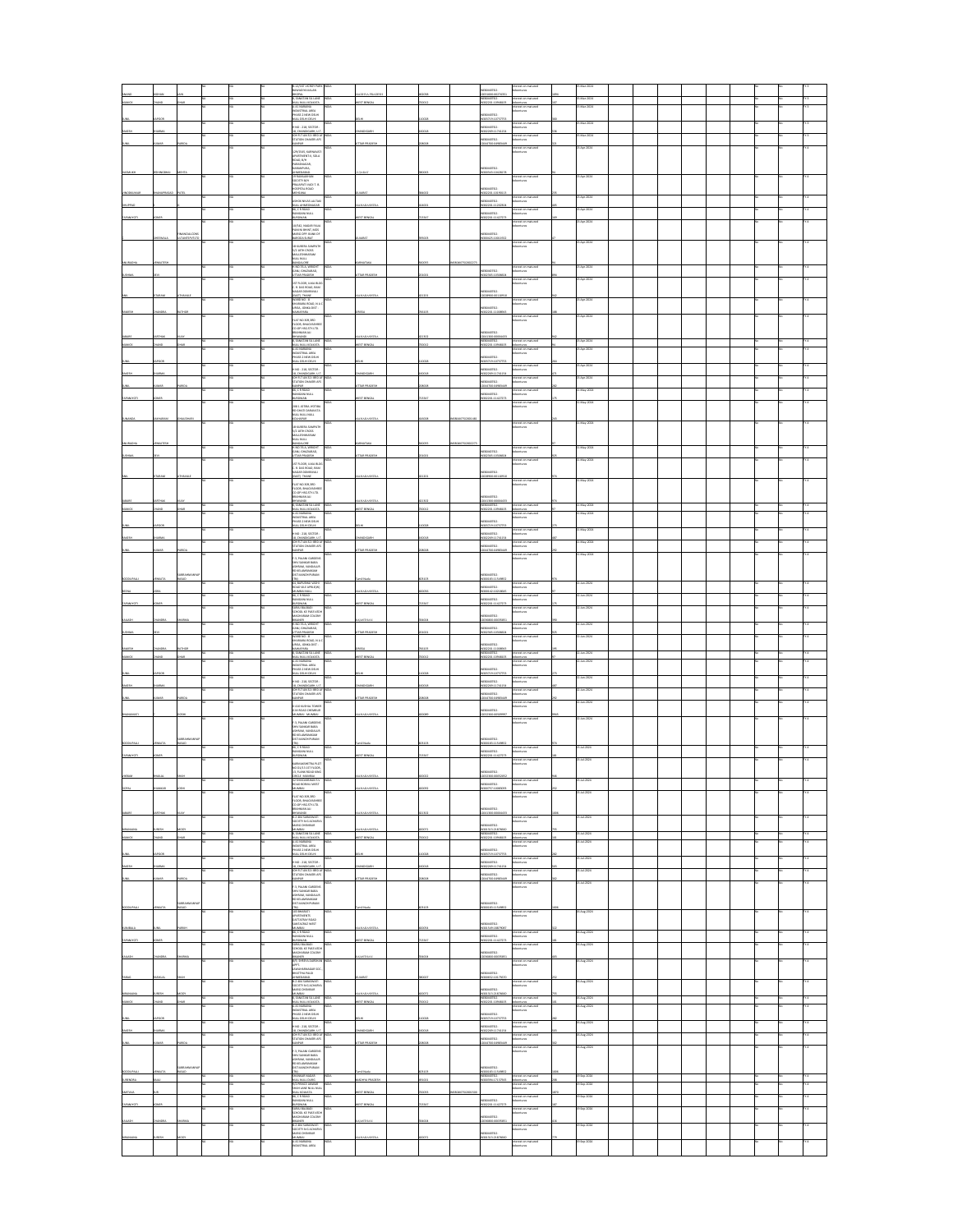|             |              |                 |  | LIJSET VICROY PI<br>WADIYA KALAN                                                                                                                                                                                                                                                                    |                         |        | -52508682                                         | interest on mati<br>debentures                                         |                       |  |  |  |  |  |
|-------------|--------------|-----------------|--|-----------------------------------------------------------------------------------------------------------------------------------------------------------------------------------------------------------------------------------------------------------------------------------------------------|-------------------------|--------|---------------------------------------------------|------------------------------------------------------------------------|-----------------------|--|--|--|--|--|
|             |              |                 |  | 3PAL<br>ANATAN SIL LAN                                                                                                                                                                                                                                                                              |                         |        | 2031600-00276351                                  | .<br>Nevez on matured                                                  | -<br>Mar-2024         |  |  |  |  |  |
|             |              |                 |  | E<br>ALLI NULLI KOLKATA<br>NOUSTRIAL AREA<br>NASE-2 NEW DELHI                                                                                                                                                                                                                                       | EST BENGAL              |        | 102201-10948105                                   | serve or nature<br>debestares<br>Interest on matured<br>debestares     | S Mar-3024            |  |  |  |  |  |
|             |              |                 |  | NJOS IKIDO III                                                                                                                                                                                                                                                                                      |                         |        | 49040792-<br>000719-10727752                      |                                                                        |                       |  |  |  |  |  |
|             |              |                 |  | NO - 218, SECTOR                                                                                                                                                                                                                                                                                    |                         |        |                                                   | interest on matured<br>debentures                                      | -Mar-2024             |  |  |  |  |  |
|             |              |                 |  | THE THIS MATCHES<br>18, CHANDIGARH, LLT.<br>CHI FLT AN 221 BRD AL<br>ETATION CHANDR APS                                                                                                                                                                                                             |                         |        | 48040792-<br>002269-11741154                      |                                                                        |                       |  |  |  |  |  |
|             |              |                 |  | auk -                                                                                                                                                                                                                                                                                               |                         |        | -<br>44700-0494                                   | interest on matured<br>debentures                                      |                       |  |  |  |  |  |
|             |              |                 |  |                                                                                                                                                                                                                                                                                                     |                         |        |                                                   | interest on matured<br>debentures                                      | Apr-2024              |  |  |  |  |  |
|             |              |                 |  |                                                                                                                                                                                                                                                                                                     |                         |        |                                                   |                                                                        |                       |  |  |  |  |  |
|             |              |                 |  | 128/1545, KARNAVATI<br>ADARTING RI<br>RAMA RIM<br>MARNINGAR,<br>MARNINGAR,<br>KARNINGAR,<br>19 RAMLAKHAN                                                                                                                                                                                            |                         |        | 468040792-                                        |                                                                        |                       |  |  |  |  |  |
|             |              |                 |  |                                                                                                                                                                                                                                                                                                     | JARAT                   | 0063   | 000343-10428178                                   | interest on matures<br>debentures                                      |                       |  |  |  |  |  |
|             |              |                 |  | V KAMLANNAN<br>OCIETY RIN<br>RAJAPATI VADI T. B.<br>OSPITAL ROAD<br>ISHGANA                                                                                                                                                                                                                         |                         |        |                                                   |                                                                        |                       |  |  |  |  |  |
|             |              |                 |  |                                                                                                                                                                                                                                                                                                     |                         |        | 68040792-<br>002201-10190113                      |                                                                        |                       |  |  |  |  |  |
|             |              |                 |  | HOK NEWS LALTA                                                                                                                                                                                                                                                                                      |                         |        | E8040792<br>802201-11202304                       | interest on matured<br>debentures                                      |                       |  |  |  |  |  |
|             |              |                 |  | NANA NYAN LALAMA<br>KULLAHMEDIMGAR<br>KANGANI NULL<br>KADWAN                                                                                                                                                                                                                                        |                         |        | NE8040792-<br>NGC 2201-11427272                   | interest on matured<br>debentures                                      | 3-Apr-2024            |  |  |  |  |  |
|             |              |                 |  |                                                                                                                                                                                                                                                                                                     | ST BENG                 | sian   |                                                   | interest on matured<br>debentures                                      | 3-Apr-2024            |  |  |  |  |  |
|             |              |                 |  | iqyse2, Nagar Falia<br>Pani ni Bhinit, MDS<br>Marg OPP. Bank OF                                                                                                                                                                                                                                     |                         |        | E8040792-                                         |                                                                        |                       |  |  |  |  |  |
|             |              | <b>MATSPVTL</b> |  | TARLE ADDRA                                                                                                                                                                                                                                                                                         |                         |        | 000425-10011922                                   |                                                                        | -Apr-2024             |  |  |  |  |  |
|             |              |                 |  |                                                                                                                                                                                                                                                                                                     |                         |        |                                                   | rderest on matured<br>Sebentures                                       |                       |  |  |  |  |  |
|             |              |                 |  |                                                                                                                                                                                                                                                                                                     |                         |        |                                                   |                                                                        |                       |  |  |  |  |  |
|             |              |                 |  | 19 KUBERA SAMPATH<br>SQ 18TH CROSS<br>MULI NULL<br>BANGALORS<br>BANGALORS<br>GANG 26-A, WRIGHT<br>GANG 26-A, WRIGHT<br>GANG CRAZIABAD,<br>UTTAR PRADESH                                                                                                                                             |                         |        |                                                   | interest on matured<br>debentures                                      |                       |  |  |  |  |  |
|             |              |                 |  |                                                                                                                                                                                                                                                                                                     | TAR PRADESH             |        | NE8040752-<br>NGC 1590                            | rterest on matu<br>Sebentures                                          |                       |  |  |  |  |  |
|             |              |                 |  |                                                                                                                                                                                                                                                                                                     |                         |        |                                                   |                                                                        |                       |  |  |  |  |  |
|             |              |                 |  | <b>15T FLOOR, ULKA BLDG</b><br>C. R. DAS BOAD, RAM<br>NAGAR DOMBINAU<br>NARD NO - R<br>NARD NO - R<br>NAMADAD - RET -<br>NAMADADA                                                                                                                                                                   |                         |        | E8040792-<br>028900-00110910                      |                                                                        |                       |  |  |  |  |  |
|             |              |                 |  |                                                                                                                                                                                                                                                                                                     |                         |        | 69340792-                                         | interest on r<br>debentures                                            |                       |  |  |  |  |  |
|             |              |                 |  | AWARANA                                                                                                                                                                                                                                                                                             |                         | 4105   | 4902201-11008943                                  |                                                                        |                       |  |  |  |  |  |
|             |              |                 |  |                                                                                                                                                                                                                                                                                                     |                         |        |                                                   | interest on matur<br>debentures                                        |                       |  |  |  |  |  |
|             |              |                 |  | FLAT NO. 309,360<br>FLOOR, BHAGINSHEEE<br>CO-OP HEG STYLTD.<br>BHAHAAN ALI<br>S, SANATAN SIL LAME<br>S, SANATAN SIL LAME                                                                                                                                                                            |                         |        |                                                   |                                                                        |                       |  |  |  |  |  |
|             | uwo.         | нŵ              |  |                                                                                                                                                                                                                                                                                                     | MONDETSEN               | 00012  | 201203-00403-004                                  | interest on matured                                                    | 22-Apr-2024           |  |  |  |  |  |
|             |              |                 |  | <b>ULL NULL KOLKATA</b><br>-41 NARAINA<br>KNSE-2 NEW DELHI<br>HASE-2 NEW DELHI                                                                                                                                                                                                                      |                         |        |                                                   | debentures<br>Interest on mat<br>debentures                            |                       |  |  |  |  |  |
|             |              |                 |  | B420 B420 JJL                                                                                                                                                                                                                                                                                       |                         |        | 69340792-<br>003719-10727753                      |                                                                        |                       |  |  |  |  |  |
|             |              |                 |  | NO - 218, SECTOR                                                                                                                                                                                                                                                                                    |                         |        | 68040792-                                         | interest on mat<br>debentures                                          |                       |  |  |  |  |  |
|             |              |                 |  |                                                                                                                                                                                                                                                                                                     |                         |        | 102269-11741154                                   | interest on matured<br>debentures                                      | 3-Apr-2024            |  |  |  |  |  |
|             |              |                 |  |                                                                                                                                                                                                                                                                                                     | TAR PAADESH             |        |                                                   | interest on matured                                                    | tay 2024              |  |  |  |  |  |
|             |              |                 |  | H NO - ZTA, SACTOR<br>19, CHANDREARH, LLT.<br>IOH FLT AN 321 BRD AF<br>STATION CHAKER AFS<br>RANIFUR<br>BLIROWAN MULL<br>BLIROWAN                                                                                                                                                                   | <b>MONG T2</b>          |        | NEB04K0792-<br>N902201-11427272                   | pentanes                                                               |                       |  |  |  |  |  |
|             |              |                 |  |                                                                                                                                                                                                                                                                                                     |                         |        |                                                   | interest on<br>debentures                                              |                       |  |  |  |  |  |
|             |              |                 |  | 208 1 JOTIBA / YOTIBA<br>RD GHATI DARAWATA<br>MULI NULL NULL                                                                                                                                                                                                                                        |                         |        |                                                   |                                                                        |                       |  |  |  |  |  |
|             |              |                 |  |                                                                                                                                                                                                                                                                                                     |                         |        |                                                   | interest on matured<br>debentures                                      | Aw-2024               |  |  |  |  |  |
|             |              |                 |  |                                                                                                                                                                                                                                                                                                     |                         |        |                                                   |                                                                        |                       |  |  |  |  |  |
|             |              |                 |  |                                                                                                                                                                                                                                                                                                     | ATACA                   |        |                                                   |                                                                        |                       |  |  |  |  |  |
|             |              |                 |  | 19<br>19 Kubera Sampath<br>5/2 ISBN GROSS<br>Mull Null<br>Bangalors<br>Bangalors<br>Kang Je-A, Wright<br>Gang Grazdabad,<br>Gttar Pangshi                                                                                                                                                           |                         |        | <br> NEB040752-<br> NGC23EE-1090                  | interest on matured<br>debentures                                      | 1-May-2024            |  |  |  |  |  |
|             |              |                 |  | DM.                                                                                                                                                                                                                                                                                                 | TAR PRADESH             |        |                                                   | interest on matured<br>debentures                                      | 11-May-2024           |  |  |  |  |  |
|             |              |                 |  | -<br>IST FLOOR, ULKA BLD<br>NAGAR DOMBINALI                                                                                                                                                                                                                                                         |                         |        | 3040792                                           |                                                                        |                       |  |  |  |  |  |
|             |              |                 |  | <b>JANIT (TAN</b>                                                                                                                                                                                                                                                                                   |                         |        | 028900-0011091                                    |                                                                        | -May-2024             |  |  |  |  |  |
|             |              |                 |  | FLAT NO.309,360<br>FLOOR, BHAGHASHREI<br>CO-OP HEG STY LTD.<br>BHAMMAN ALI<br>BHEMAND!                                                                                                                                                                                                              |                         |        |                                                   | interest on matured<br>debentures                                      |                       |  |  |  |  |  |
|             |              |                 |  |                                                                                                                                                                                                                                                                                                     |                         |        | E8040792-<br>041300-0000                          |                                                                        |                       |  |  |  |  |  |
|             |              |                 |  |                                                                                                                                                                                                                                                                                                     |                         |        | 02201-10948105                                    |                                                                        |                       |  |  |  |  |  |
|             |              |                 |  |                                                                                                                                                                                                                                                                                                     |                         |        |                                                   | serva unu<br>debertares<br>interest on m<br>debertares<br><b>Kured</b> | Vay-2024              |  |  |  |  |  |
|             |              |                 |  | SANATAN SIL LANI<br>LULI NAKI KOLKATA<br>ALI NARAINA<br>ANSE-2 NEW DELH<br>ANSE-2 NEW DELH<br>ULI DELHI DELHI                                                                                                                                                                                       |                         |        | Consumo Co<br>303719-10737753                     |                                                                        |                       |  |  |  |  |  |
|             |              |                 |  | NO - 218, SECTOR-                                                                                                                                                                                                                                                                                   |                         |        | 68040752-<br>002269-11741                         | interest on matured<br>debentures                                      | May-2024              |  |  |  |  |  |
|             |              |                 |  | 18, CHANDIGARH, LLT.<br>IDH FLT AN 321 BRD AI<br>STATION CHAKERI AFS                                                                                                                                                                                                                                |                         |        |                                                   | rterest on m.<br>Sebentures                                            |                       |  |  |  |  |  |
|             |              |                 |  | <b>NFLR</b>                                                                                                                                                                                                                                                                                         | TAR PRADESH             | icca   | AE8040792-<br>00400040003449                      |                                                                        |                       |  |  |  |  |  |
|             |              |                 |  |                                                                                                                                                                                                                                                                                                     |                         |        |                                                   | rterest on ma<br>Sebentures                                            |                       |  |  |  |  |  |
|             |              |                 |  | F.), PALANI GARDINI<br>SHIV SANKAR BABA<br>ASHRAM, VANDALUR<br>BD KELAMBAKKAM<br>DIST<br>CTA                                                                                                                                                                                                        |                         |        |                                                   |                                                                        |                       |  |  |  |  |  |
|             |              |                 |  |                                                                                                                                                                                                                                                                                                     |                         |        | E8040792<br>000183-1154985                        |                                                                        |                       |  |  |  |  |  |
|             |              |                 |  | m<br>1, Bapubaan wasar<br>Dad vile aprieținț                                                                                                                                                                                                                                                        |                         |        | NE8040792-<br>N200142-10218645                    | interest on matured<br>debentures                                      | in 2021               |  |  |  |  |  |
|             |              |                 |  | MUMBAINULL<br>BE, C R ROAD<br>RANGANI MULL<br>RURU BALBADI<br>KINOOL KE PASS VEDH<br>MULLICO<br>NULLICO                                                                                                                                                                                             | <b>HARASHTR</b>         | x      |                                                   | interest on matured                                                    |                       |  |  |  |  |  |
|             |              |                 |  |                                                                                                                                                                                                                                                                                                     | <b>ST BENGAL</b>        | zzo    | NEB04K0752-<br>N902205-11427272                   | bestares                                                               |                       |  |  |  |  |  |
|             |              |                 |  |                                                                                                                                                                                                                                                                                                     |                         |        | 20040792                                          | interest on m<br>debentures                                            |                       |  |  |  |  |  |
|             |              |                 |  | IKANER<br>KNO.76-A, WRIGHT<br>GANI, GHAZIABAD,                                                                                                                                                                                                                                                      | ASTHAN                  |        | 2016800-00035851<br>E8060792-                     |                                                                        |                       |  |  |  |  |  |
|             |              |                 |  |                                                                                                                                                                                                                                                                                                     | TAR PRADES              |        | 002365-10306604                                   | derest on matured<br>ebentures                                         |                       |  |  |  |  |  |
|             |              |                 |  | NN, UNNERFRANC,<br>ITAR PRADESH<br>IARD NO - R<br>RISA, JONKA DIST -<br>RISA, JONKA DIST -                                                                                                                                                                                                          |                         |        | E8040792-                                         | interest on matured<br>debentures                                      | $446 - 2624$          |  |  |  |  |  |
|             |              |                 |  | RISA, JONKA DIST<br>AWARARA<br>19 MARTAN SILIANS<br>19 MARANA<br>41 MARANA<br>19 MARANA<br>19 MARANA<br>19 MARANA DISTRI                                                                                                                                                                            | <b>ISSA</b>             | $-100$ |                                                   | rterest on matured                                                     | -an-2024              |  |  |  |  |  |
|             |              |                 |  |                                                                                                                                                                                                                                                                                                     | <b>MONDAY T22</b>       | cos:   |                                                   | debentures<br>Interest on m<br>debentures                              | A.303                 |  |  |  |  |  |
|             |              |                 |  |                                                                                                                                                                                                                                                                                                     |                         |        | 3040792                                           |                                                                        |                       |  |  |  |  |  |
|             |              |                 |  | NO - 218, SECTOR-                                                                                                                                                                                                                                                                                   |                         |        | 02719-1072775<br>468340792-                       | interest on matureo<br>debentures                                      |                       |  |  |  |  |  |
|             |              |                 |  |                                                                                                                                                                                                                                                                                                     | DIGARH                  |        | 002269-11741154                                   |                                                                        |                       |  |  |  |  |  |
|             |              |                 |  | ER, CHANDIGARH, LLT.<br>CHI FLT AN 221 BRD A<br>GANPLIR<br>KANPLIR                                                                                                                                                                                                                                  | TTAR PRADESH            | scos   | INERDAKOTS2-<br>12044700-06983449                 | interest on matured<br>debentures                                      |                       |  |  |  |  |  |
|             |              |                 |  | 0 450 KUSHAL TOWER<br>G M ROAD CHEMBUR<br>MUMBAL MUMBAL                                                                                                                                                                                                                                             |                         |        |                                                   | arest on m.<br>bentures                                                |                       |  |  |  |  |  |
|             |              |                 |  |                                                                                                                                                                                                                                                                                                     | <b>ARASHTE</b>          | xee    | 48040792-<br>0932900-00509997                     |                                                                        |                       |  |  |  |  |  |
|             |              |                 |  |                                                                                                                                                                                                                                                                                                     |                         |        |                                                   | rterest on matured<br>Sebentures                                       |                       |  |  |  |  |  |
|             |              |                 |  | F.a, Palami Gardinis<br>Shiv Samkar Baga<br>Ashram, Vandalur<br>Rid Kelamisakoram<br>Dist.<br>Can                                                                                                                                                                                                   |                         |        |                                                   |                                                                        |                       |  |  |  |  |  |
|             |              |                 |  |                                                                                                                                                                                                                                                                                                     |                         |        | E8040752-<br>200182-1154985                       |                                                                        |                       |  |  |  |  |  |
|             |              |                 |  | C R ROAD<br>OSANI NULL                                                                                                                                                                                                                                                                              |                         |        | -02000032                                         | nterest on m<br>Sebentures                                             |                       |  |  |  |  |  |
|             |              |                 |  | <b>SOWAN</b>                                                                                                                                                                                                                                                                                        | <b>MONG T22</b>         | 226    | 002201-11427272                                   | interest on m<br>debentures                                            |                       |  |  |  |  |  |
|             |              |                 |  | KARMAKSHETRA PLOT<br>NO D1/13 15T FUDOR,<br>13, FLANK ROAD KING<br>CRCLE MUNARA                                                                                                                                                                                                                     |                         |        |                                                   |                                                                        |                       |  |  |  |  |  |
|             |              |                 |  |                                                                                                                                                                                                                                                                                                     |                         |        | 68040752-<br>322300-0005305                       |                                                                        |                       |  |  |  |  |  |
|             |              |                 |  | T23W LIVINGS GAGS<br>MRAI                                                                                                                                                                                                                                                                           |                         |        | C2000024<br>000757-10083093                       | debentures                                                             |                       |  |  |  |  |  |
|             |              |                 |  |                                                                                                                                                                                                                                                                                                     |                         |        |                                                   | interest on ma<br>debentures                                           |                       |  |  |  |  |  |
|             |              |                 |  |                                                                                                                                                                                                                                                                                                     |                         |        |                                                   |                                                                        |                       |  |  |  |  |  |
|             |              |                 |  | EATNO 200, 200<br>ROOR BHASKASIN<br>COOP HAS STYLTD.<br>BRAHMAN ALI<br>BHAMMAN<br>SOCIETY NG ACHARS<br>MUMBA<br>MAMBA                                                                                                                                                                               |                         |        | 48040752-<br>0041300-000                          |                                                                        |                       |  |  |  |  |  |
|             |              |                 |  |                                                                                                                                                                                                                                                                                                     |                         |        | 4900032                                           | ržerest on m.<br>Sebentures                                            |                       |  |  |  |  |  |
|             | <b>AND</b>   |                 |  | imiani<br>Wanatan sil lang                                                                                                                                                                                                                                                                          | ANGET 22                | 00012  | 1201212-21876660<br>i68046792-<br>002201-10948105 | rterez on matured                                                      | 23-au-2024            |  |  |  |  |  |
|             |              |                 |  | <b><i>ULL NULL KOLKATA</i></b><br>-41 NARAINA<br>KINSE-2 NEW DELHI                                                                                                                                                                                                                                  |                         |        |                                                   | debentures<br>debentures<br>Interest on matured<br>debentures          | 23-au-2024            |  |  |  |  |  |
|             |              |                 |  | BASS BASS BL                                                                                                                                                                                                                                                                                        |                         |        | E8040792-<br>003719-10727753                      |                                                                        |                       |  |  |  |  |  |
|             |              |                 |  | NO - 218, SECTOR -                                                                                                                                                                                                                                                                                  |                         |        | NEB040792-<br>NGC 2264-11741                      | rderest on matured<br>Sebentures                                       | $-14 - 2026$          |  |  |  |  |  |
|             |              |                 |  | R, CHANDIGARH, LLT.<br>DH'FLT AN 221 BRD A<br>TATION CHAKERI AFS                                                                                                                                                                                                                                    |                         |        | 49040792-                                         | interest on matured<br>debentures                                      | 144-2024              |  |  |  |  |  |
|             |              |                 |  | øuk.                                                                                                                                                                                                                                                                                                | a paado                 |        | 364703-06                                         | rterest on mature<br>Sebentures                                        | -14-2024              |  |  |  |  |  |
|             |              |                 |  | e 3, Palani gardens<br>Shiv Sankar basa<br>Ashram, Vandalur<br>Ro Kelambakkam<br>Dist-Kanchirliam<br>Dist                                                                                                                                                                                           |                         |        |                                                   |                                                                        |                       |  |  |  |  |  |
|             |              | <b>GRAHAA</b>   |  |                                                                                                                                                                                                                                                                                                     |                         |        |                                                   |                                                                        |                       |  |  |  |  |  |
|             | <b>MOULA</b> | <b>SAD</b>      |  |                                                                                                                                                                                                                                                                                                     |                         |        | NEB04K0792-<br>N900183-11549852                   |                                                                        | est 101               |  |  |  |  |  |
|             |              |                 |  | N)<br>32 BHARATI<br>PARTIMENTS<br>ATTATRAY ROAD<br>NYTACRU2 WEST                                                                                                                                                                                                                                    |                         |        |                                                   | interest on matured<br>debentures                                      |                       |  |  |  |  |  |
| NGEAL       |              |                 |  | LIMBAI<br>I, C R ROAD<br>NAGANI MULL                                                                                                                                                                                                                                                                | <b><i>USASHTE</i></b>   |        | 69340792-<br>0000084492009                        |                                                                        |                       |  |  |  |  |  |
|             |              |                 |  |                                                                                                                                                                                                                                                                                                     |                         |        | NER040792-<br>002201-1142727                      | interest on matured<br>debentures                                      | Aug-203               |  |  |  |  |  |
|             |              |                 |  | WIGANI ------<br>URU BALBADI<br>URAJ BALBADI<br>ANGHARANI COLONY<br>MAGHARANI COLONY                                                                                                                                                                                                                |                         |        |                                                   | rderest on matured<br>Sebentures                                       | $A_{\text{eff}}$ 203  |  |  |  |  |  |
|             |              |                 |  | KANER<br>19, SHREYA DARSI                                                                                                                                                                                                                                                                           |                         |        | 68040792-<br>036800-00035851                      |                                                                        |                       |  |  |  |  |  |
|             |              |                 |  |                                                                                                                                                                                                                                                                                                     |                         |        |                                                   | interest on matured<br>debentures                                      | IS Aug-2001           |  |  |  |  |  |
| мм          |              |                 |  | opt.<br>Navnambungar soc.<br>Inattha Paldi                                                                                                                                                                                                                                                          | MRAT                    | cos:   | NEB04K0752-<br>NGOCES - 10175670                  |                                                                        |                       |  |  |  |  |  |
|             |              |                 |  | HMEDABAD<br>-2 404 SARASWATI<br>DCIETY N G ACHARIS<br>MRG CHEMBUR<br>-1 401 L                                                                                                                                                                                                                       |                         |        |                                                   | interest on i<br>debentures                                            |                       |  |  |  |  |  |
| ANAJANA     | <b>H2281</b> |                 |  |                                                                                                                                                                                                                                                                                                     | <b><i>SURASHTRA</i></b> | 10071  | E8040792-<br>001313-3187660                       |                                                                        |                       |  |  |  |  |  |
| <b>MNCK</b> | <b>GIANG</b> | <b>HAR</b>      |  |                                                                                                                                                                                                                                                                                                     | MEST BENGAL             | 700012 |                                                   | nterest on matured<br>debentures<br>Interest on matured                | $A_{\text{eff}}$ 203  |  |  |  |  |  |
|             |              |                 |  |                                                                                                                                                                                                                                                                                                     |                         |        |                                                   | bentares                                                               | $\lambda$ ug-2004     |  |  |  |  |  |
|             |              |                 |  | MRG LINARIUM<br>ISANATAN SILIANS<br>ISANATAN SILIANS<br>ISILI NULLI KOLKATA<br>ISILI NARAINA<br>HASS -2 NGW DELHI<br>HASS -2 NGW DELHI<br>HASS -2 NGW DELHI<br>HASS -2 NGW DELHI                                                                                                                    |                         |        | 48040792-<br>402719-1072775                       |                                                                        |                       |  |  |  |  |  |
|             |              |                 |  | NO - 218, SECTOR-                                                                                                                                                                                                                                                                                   | NOGARH                  | cosa   | 468340792-<br>002269-11741154                     | rterest on maturec<br>Sebentures                                       | ug-202                |  |  |  |  |  |
|             |              |                 |  | ER, CHANDIGARH, LLT.<br>CHI FLT AN 321 BRD AL<br>ETATION CHAKER AFS                                                                                                                                                                                                                                 |                         |        | NER0460792-                                       | rterest on matured<br>Sebentures                                       | $A_{\frac{3}{2}}$ 203 |  |  |  |  |  |
|             |              |                 |  | wuk                                                                                                                                                                                                                                                                                                 | TAR PRADESH             | oos    | 0060300-0098                                      | interest on matured<br>debentures                                      | 6 Aug 2031            |  |  |  |  |  |
|             |              |                 |  | F.), PALANI GARDINI<br>SHIV SANKAR BABA<br>ASHRAM, VANDALUR<br>BD KELAMBAKKAM<br>DIST<br>CTA                                                                                                                                                                                                        |                         |        |                                                   |                                                                        |                       |  |  |  |  |  |
|             |              |                 |  |                                                                                                                                                                                                                                                                                                     |                         |        |                                                   |                                                                        |                       |  |  |  |  |  |
|             |              |                 |  | MAR NAGAR                                                                                                                                                                                                                                                                                           |                         |        | NE8040752-<br>NGODIER-1154952<br>NGODIER-17127565 | interest on matured                                                    | 19-Sep-2024           |  |  |  |  |  |
| RENDRA      |              |                 |  | AULI NULL DURG<br>(2 PRINCE ANWAR<br>HAH LANG NULL NUL                                                                                                                                                                                                                                              | HOMA PRADESH            | 21001  |                                                   | debentures<br>Interest on matured<br>debentures                        |                       |  |  |  |  |  |
|             |              |                 |  | HAN LANS NULL NULL<br>BAN LANS NULL NULL<br>BC C R ROAD<br>RANGAN NULL<br>RANGAN NULL<br>SURGAN CHAN<br>HAN BANGAN<br>RANGAN<br>RANGAN CHAN<br>RANGAN<br>RANGAN CHAN<br>RANGAN<br>RANGAN<br>RANGAN<br>RANGAN<br>RANGAN<br>RANGAN<br>RANGAN<br>RANGAN<br>RANGAN<br>RANGAN<br>RANGAN<br>RANGAN<br>RAN | T BENGA                 |        |                                                   |                                                                        |                       |  |  |  |  |  |
|             |              |                 |  |                                                                                                                                                                                                                                                                                                     | IST BENGAL              | auo    | NEB04K0792-<br>N902201-11427272                   | rderest on matured<br>Sebentures                                       | Sep-2024              |  |  |  |  |  |
|             |              |                 |  |                                                                                                                                                                                                                                                                                                     |                         |        |                                                   | nterest on matured<br>entates                                          | Sep-2024              |  |  |  |  |  |
|             |              |                 |  |                                                                                                                                                                                                                                                                                                     |                         |        | 48040792-<br>331403-0002                          |                                                                        |                       |  |  |  |  |  |
|             |              |                 |  |                                                                                                                                                                                                                                                                                                     |                         |        |                                                   | derest on m.<br>Khentures                                              |                       |  |  |  |  |  |
|             |              |                 |  |                                                                                                                                                                                                                                                                                                     |                         |        | 4940792<br>11212-2187                             |                                                                        |                       |  |  |  |  |  |
|             |              |                 |  | UMBAI<br>41 NARAINA<br>DUSTRIAL AREA                                                                                                                                                                                                                                                                |                         |        |                                                   | rterest on mat<br>Sebentures                                           |                       |  |  |  |  |  |
|             |              |                 |  |                                                                                                                                                                                                                                                                                                     |                         |        |                                                   |                                                                        |                       |  |  |  |  |  |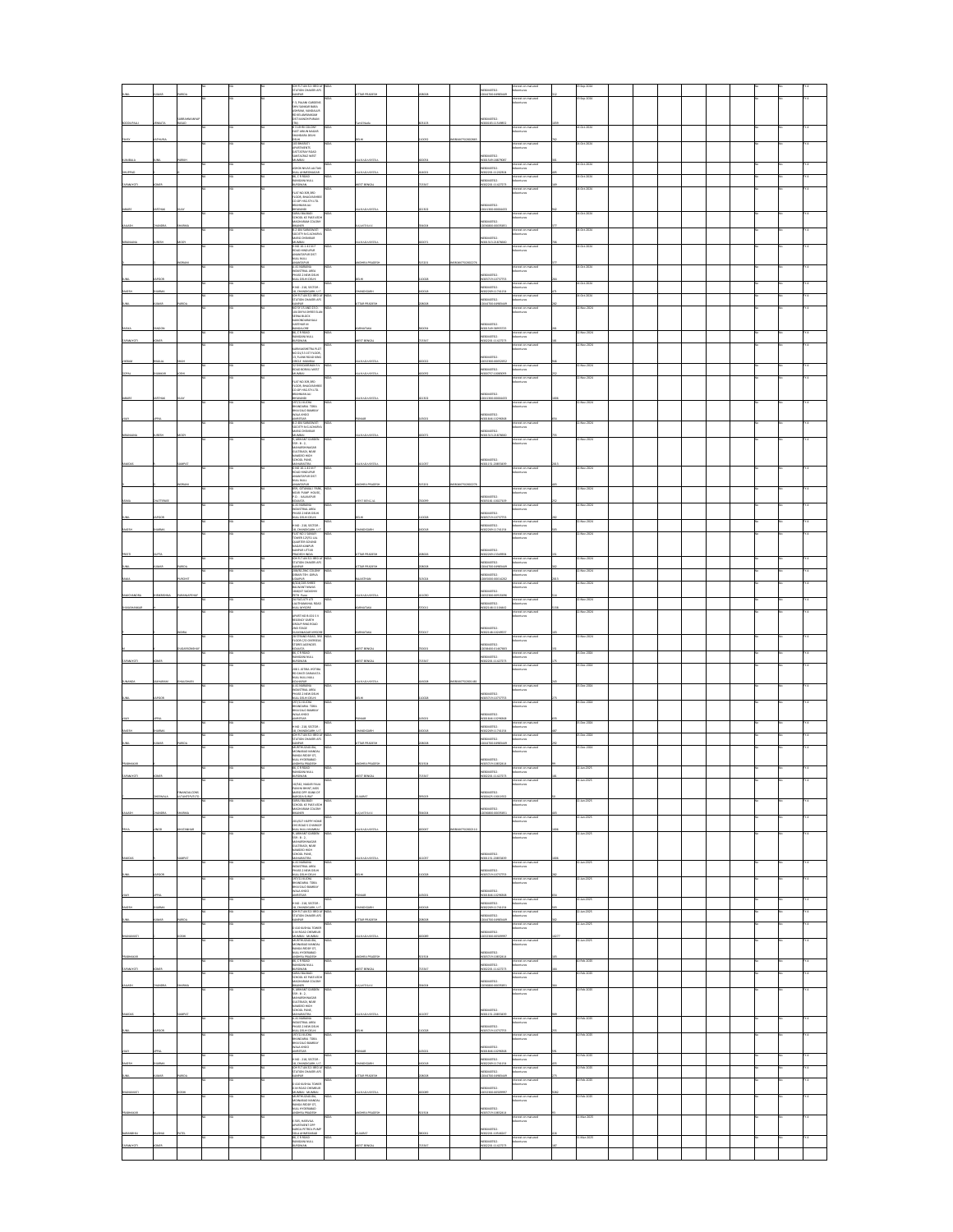|              |              |                   |  | KOH FLT AN 2218RD A<br>STATION CHAKERI AFS<br><b>AMPLIR</b>                                                                                                                                                                                                                                                                                       |                        |              |                 | 49340792-<br>044700-04982                                     | terest on n<br>bentures                         |                 |  |  |  |  |  |
|--------------|--------------|-------------------|--|---------------------------------------------------------------------------------------------------------------------------------------------------------------------------------------------------------------------------------------------------------------------------------------------------------------------------------------------------|------------------------|--------------|-----------------|---------------------------------------------------------------|-------------------------------------------------|-----------------|--|--|--|--|--|
|              |              |                   |  | F.2, PALANI GARDENI<br>SHIV SANKAR BABA<br>ASHAMA, VANDALUR<br>RD KELAMBAKKAM<br>DIST-KANCHIPURAM<br>ITN                                                                                                                                                                                                                                          |                        |              |                 |                                                               | terest on matured<br>bentures                   |                 |  |  |  |  |  |
|              |              |                   |  |                                                                                                                                                                                                                                                                                                                                                   |                        |              |                 |                                                               |                                                 |                 |  |  |  |  |  |
|              |              |                   |  | ina<br>Gast Arium Nagar<br>Gastarium Nagar<br>Gashanra Delhi                                                                                                                                                                                                                                                                                      |                        |              |                 | 00183-1154985                                                 | rest on ma<br>entures                           |                 |  |  |  |  |  |
|              |              |                   |  |                                                                                                                                                                                                                                                                                                                                                   |                        |              |                 |                                                               | arest on matured<br>bentures                    | Oct-2024        |  |  |  |  |  |
|              |              |                   |  | UNIM<br>103 BHARATI<br>APARTMENTS<br>SANTAGRU2 WEST<br>SANTAGRU2 WEST<br>LEUREN<br><b>LAGMLB</b>                                                                                                                                                                                                                                                  |                        |              |                 | enantos<br>101549-1887908                                     |                                                 |                 |  |  |  |  |  |
|              |              |                   |  | ashok nivas laitak<br>nijii ahmednagar<br>niji ahmednagar<br>ranggani nijii                                                                                                                                                                                                                                                                       | <b><i>URASHTRA</i></b> |              |                 | 68040792-<br>002201-11202                                     | erest on matured<br>Sentures<br>erest on mature | $Oct - 200$     |  |  |  |  |  |
|              |              |                   |  |                                                                                                                                                                                                                                                                                                                                                   | <b>MONGH</b>           |              |                 | 3040752-<br>102205-15427273                                   | pentanes<br>vrest on ma<br>ientures             |                 |  |  |  |  |  |
|              |              |                   |  | 086,006.0MTAJR                                                                                                                                                                                                                                                                                                                                    |                        |              |                 |                                                               |                                                 |                 |  |  |  |  |  |
|              |              |                   |  | RAT NO 309,360<br>R.OOR BMAGITY.ITD.<br>CO-OP HIGSTY.ITD.<br>BRAHMAN ALL<br>BHAHMADI<br>SHAHMAN COLONY<br>MHAHRAM COLONY<br>BHAHRAM COLONY                                                                                                                                                                                                        |                        |              |                 | 68060792-<br>0041300-0000442                                  | erest on matured<br>bentures                    | Oct-2024        |  |  |  |  |  |
|              |              |                   |  |                                                                                                                                                                                                                                                                                                                                                   |                        |              |                 |                                                               |                                                 | $O(1 - 200)$    |  |  |  |  |  |
|              |              |                   |  | RENANCE<br>BIZANSK<br>SOCIETY N G ACHARIS<br>MARG CHEMBUR<br>MARG CHEMBUR                                                                                                                                                                                                                                                                         |                        |              |                 | -<br>01313-21876660                                           | terest on matured<br>ebentures                  |                 |  |  |  |  |  |
|              |              |                   |  | MARG CHEMIUR<br>10 MO 16 1-11 MF<br>10 MO 16 1-11 MF<br>10 MO 16 NOUPUR<br>10 MO 17 MU<br>10 MU 17 ME 18 MO<br>1-11 MERAND<br>10 MU 17 MERAND<br>10 MU 17 MERAND<br>10 MU 17 MERAND<br>10 MU 17 MERAND                                                                                                                                            |                        |              |                 |                                                               | terest on matured<br>ibentures                  | $-0.1 - 20.04$  |  |  |  |  |  |
|              |              |                   |  |                                                                                                                                                                                                                                                                                                                                                   |                        |              |                 |                                                               | arest on matured<br>bentures                    |                 |  |  |  |  |  |
|              |              |                   |  |                                                                                                                                                                                                                                                                                                                                                   | <b>ELHI</b>            | ccos         |                 | E8040792-<br>N903719-10737753                                 | erest on matured<br>berbares                    |                 |  |  |  |  |  |
|              |              |                   |  | HNO - 218, SECTOR -<br>18, CHANDIGARH, LLT<br>OH FLT AN 221 BRD :<br><b>EXTION CHACER AFS</b>                                                                                                                                                                                                                                                     | <b>IDIGARH</b>         |              |                 | <br>2022-21-11-21-21<br>49040792-                             | rest on matured<br>bentanns                     |                 |  |  |  |  |  |
|              |              |                   |  |                                                                                                                                                                                                                                                                                                                                                   | TTAR PRADESH           | œ            |                 | 100500-009300                                                 | rest on m<br>retures                            |                 |  |  |  |  |  |
|              |              |                   |  |                                                                                                                                                                                                                                                                                                                                                   |                        |              |                 | 8040752-<br>01546-38955720                                    |                                                 |                 |  |  |  |  |  |
|              |              |                   |  |                                                                                                                                                                                                                                                                                                                                                   | <b>TRONG</b>           |              |                 | 8040792-                                                      | erest on matured<br>Sentanes                    | Nov-2024        |  |  |  |  |  |
|              |              |                   |  |                                                                                                                                                                                                                                                                                                                                                   |                        |              |                 |                                                               | erest on mat<br>Sentanes                        |                 |  |  |  |  |  |
|              |              |                   |  | KARMAKSHETRA PLOT<br>NO D1/13 ST FIOOR,<br>13, FLANK ROAD KING<br>CRCLE MUNARA<br>12 SHAD BORVILI WEST<br>MUNIRAI                                                                                                                                                                                                                                 | ARASHTR                |              |                 | 68040792-<br>032300-00052052<br>4040792-                      | erest on matured<br>Sentanes                    | Nov-2024        |  |  |  |  |  |
|              |              |                   |  | <b>JVGA:</b><br>086,006.0MTAJR                                                                                                                                                                                                                                                                                                                    |                        |              |                 |                                                               | arest on matured<br>bentures                    |                 |  |  |  |  |  |
|              | <b>ATHAK</b> |                   |  | <b>FLOOR, BHAGHASHRE</b><br>CO-OP HEG STY LTD.<br>BRAHMAN ALI                                                                                                                                                                                                                                                                                     | ANARASHTRA             | 121302       |                 | INEB040752-<br>12041200-00004433                              |                                                 |                 |  |  |  |  |  |
|              |              |                   |  | BRAHMAN ALI<br>BHWWAD<br>BHWENKIA TOBA<br>BHWENKIA TOBA<br>BHWA SAGO BAMBAY<br>AMARTSAE<br>ALIBITWA GACHALIR<br>SOCIETY N G ACHAEI<br>MUAGO CHEMBAR<br>MUAGO CHEMBAR<br>MUAGO CHEMBAR<br>MUAGO CHEMBAR                                                                                                                                            |                        |              |                 |                                                               | arest on matured<br>bentures                    |                 |  |  |  |  |  |
|              |              |                   |  |                                                                                                                                                                                                                                                                                                                                                   |                        |              |                 | 68040792-<br>100916-1020636                                   | arest on matured<br>bentures                    | Nov-2024        |  |  |  |  |  |
|              |              |                   |  |                                                                                                                                                                                                                                                                                                                                                   |                        |              |                 | EB0480752-<br>101113-21876660                                 |                                                 |                 |  |  |  |  |  |
|              |              |                   |  |                                                                                                                                                                                                                                                                                                                                                   |                        |              |                 |                                                               | erest on matured<br>verbanes                    |                 |  |  |  |  |  |
|              |              |                   |  |                                                                                                                                                                                                                                                                                                                                                   |                        |              |                 | 180407512-<br> 01151-20851420                                 |                                                 | Nov-2024        |  |  |  |  |  |
|              |              |                   |  | $\begin{tabular}{l c c c} A unit line & B unit line \\ A unit line & B unit line \\ B unit line & C 12, 1 \\ C 18 18 & 12 & 1 \\ R 28 18 18 & 16 & 16 & 16 \\ L 38 18 18 & 16 & 16 & 16 \\ L 40 18 16 & 16 & 16 & 16 \\ L 50 16 & 16 & 16 & 16 \\ L 60 16 & 16 & 16 & 16 \\ L 70 16 & 16 & 16 & 16 \\ L 80 16 & 16 & 16 & 16 \\ R 10 16 & 16 & 1$ |                        | 15301        | NE804075/200227 |                                                               | irest on matured<br>ientures                    |                 |  |  |  |  |  |
|              |              |                   |  |                                                                                                                                                                                                                                                                                                                                                   | <b>NOHRA PRADESH</b>   |              |                 | 3040792-                                                      | arest on matured<br>bentures                    |                 |  |  |  |  |  |
|              | ATTEREE      |                   |  |                                                                                                                                                                                                                                                                                                                                                   | <b>EST HENGAL</b>      | coss         |                 | 002181-10027109<br>anumos.                                    | rest on matured<br>ettates                      | Voy-2024        |  |  |  |  |  |
|              |              |                   |  | NO - 218, SECTOR                                                                                                                                                                                                                                                                                                                                  |                        |              |                 | 03719-1073775                                                 | erest on matured<br>Sentanes                    | iov-2024        |  |  |  |  |  |
|              |              |                   |  |                                                                                                                                                                                                                                                                                                                                                   |                        |              |                 | 8040752-<br>02269-11741                                       | erest on m.<br>Sentanes                         |                 |  |  |  |  |  |
|              |              |                   |  |                                                                                                                                                                                                                                                                                                                                                   |                        |              |                 | E8040792-<br>102269-1234021                                   |                                                 |                 |  |  |  |  |  |
|              |              |                   |  | H NO - 218, SCOSE<br>18, CHANDERS UT<br>FAT NO 1 SANIAT<br>CAT NO 1 SANIAT<br>CHARTIC GOVINO<br>MAGAR KANNIR<br>MAGAR KANIAR<br>MAGAR KANIAR<br>CANDER<br>CANDER CHARTIC COLONY<br>CANDER<br>COMPUR<br>COMPUR                                                                                                                                     |                        |              |                 |                                                               | arest on matured<br>bentures                    | Nov-2024        |  |  |  |  |  |
|              |              |                   |  |                                                                                                                                                                                                                                                                                                                                                   |                        |              |                 | 3040792-<br>55003-000                                         | erest on matured<br>Sentares                    | <b>Nov-2024</b> |  |  |  |  |  |
|              |              |                   |  | UDAIRUR<br>UDAIRUR<br>BALIKANT NINAS<br>SBEENT SADASHIV<br>PETH Pune<br>PETH Pune<br>DAFACULTY ATI                                                                                                                                                                                                                                                |                        |              |                 | :<br>8040752-<br>132305-009:                                  | arest on matured<br>bentares                    |                 |  |  |  |  |  |
|              |              |                   |  | LAUTHAMANAL ROAD<br>2802NM LLB                                                                                                                                                                                                                                                                                                                    |                        |              |                 | 168040792-<br>002148-1110                                     | derest on m.<br>ibentures                       |                 |  |  |  |  |  |
|              |              |                   |  | ARART NO B-001 S.V<br>REGENCY EARTH<br>GROUP RING ROAD<br>DIN DITAGE<br>VILKYANNGAR MYSCH<br>DI STRAND ROAD, 3R                                                                                                                                                                                                                                   |                        |              |                 |                                                               | erest on matured<br>Sentanes                    |                 |  |  |  |  |  |
|              |              |                   |  |                                                                                                                                                                                                                                                                                                                                                   |                        |              |                 | 38046752-<br>IS2148-1524553                                   | erest on matured<br>bentures                    |                 |  |  |  |  |  |
|              |              |                   |  |                                                                                                                                                                                                                                                                                                                                                   |                        |              |                 |                                                               |                                                 |                 |  |  |  |  |  |
|              |              |                   |  | LOOR C/O OVERSEA)<br>TORES AGENCIES                                                                                                                                                                                                                                                                                                               |                        |              |                 | 8060792-<br>18800-0146                                        |                                                 |                 |  |  |  |  |  |
|              |              |                   |  | ODLKATA<br>BE, C R ROAD<br>RANGANI MULL<br>URDWAN                                                                                                                                                                                                                                                                                                 |                        |              |                 | INER04IO752-<br>IN902201-11427272                             | viest on ma<br>Jestures                         |                 |  |  |  |  |  |
|              |              |                   |  |                                                                                                                                                                                                                                                                                                                                                   |                        |              |                 |                                                               | rest cin i<br>Intitures                         |                 |  |  |  |  |  |
|              |              |                   |  | 208 1 JOTIBA JYOTIBA<br>RO GHATI DARAVATA<br>NULL NULL NULL                                                                                                                                                                                                                                                                                       |                        |              |                 |                                                               | arest on mature<br>bentures                     |                 |  |  |  |  |  |
|              |              |                   |  | ROLIARPUR<br>ROLIARPUR<br>NOLISTRIAL AREA<br>PIASE-2 NEW DELHI<br>NULL DELHI DELHI<br>197/11 KUCHA                                                                                                                                                                                                                                                |                        |              |                 | 68040792-<br>003719-10737753                                  | Eerest on n<br>Ibertures                        |                 |  |  |  |  |  |
|              |              |                   |  |                                                                                                                                                                                                                                                                                                                                                   |                        |              |                 | 040792<br>1586-1529                                           |                                                 |                 |  |  |  |  |  |
|              |              |                   |  | ***/11 KIAHA<br>BHANDARA TOBA<br>BHA SALO BAMBAY<br>WALA KHOO<br>AMRITSAR<br>NO - 218, SECTOR-                                                                                                                                                                                                                                                    |                        |              |                 | AE8040792-<br>4902269-11741154                                | arest on matured<br>bentures                    |                 |  |  |  |  |  |
|              |              |                   |  | IR, CHANDIGARH, LLT<br>DH FLT AN 321 BRD A<br>DTATION CHAKERI AP                                                                                                                                                                                                                                                                                  |                        |              |                 | E80480792-<br>044700-0498                                     | vied on matured<br>Sentanes                     |                 |  |  |  |  |  |
|              |              |                   |  | EMMELR<br>MURTHUZMGUDA<br>MORMAAD MANDA<br>RANGA REDOY OT,                                                                                                                                                                                                                                                                                        |                        |              |                 |                                                               | erest on ma<br>Seetares                         |                 |  |  |  |  |  |
|              |              |                   |  | ANDHRA PRADESH<br>BG, C R ROAD<br>RANGANI NULL<br>URDWAN                                                                                                                                                                                                                                                                                          |                        |              |                 | NE8060752-<br>NGC 719-10832414<br>E80480792-<br>02201-1142727 | erest on r<br>Sentures                          |                 |  |  |  |  |  |
|              |              | ANGALCOM          |  |                                                                                                                                                                                                                                                                                                                                                   |                        |              |                 | AE8040792-                                                    | rrest on r<br>entanes                           |                 |  |  |  |  |  |
|              |              | <b>TANTSPVTLT</b> |  | 10/542, NAGAR FALIA<br>Pana ni Bhunit, Mizs<br>Marg OPP, Bank Ce                                                                                                                                                                                                                                                                                  |                        |              |                 | 00425-10011922                                                | arest on mat<br>bertures                        |                 |  |  |  |  |  |
|              |              |                   |  | BAROOA SURAT<br>BAROOA SURAT<br>ICHOOL KE PASS VEDI<br>MAGHARAM COLONY<br><b>RANGE</b>                                                                                                                                                                                                                                                            |                        |              |                 | 49340792-<br>126800-0003585                                   |                                                 |                 |  |  |  |  |  |
|              |              |                   |  |                                                                                                                                                                                                                                                                                                                                                   |                        |              |                 |                                                               | erest on matured<br>ientanes                    |                 |  |  |  |  |  |
|              |              |                   |  |                                                                                                                                                                                                                                                                                                                                                   |                        |              |                 |                                                               | arest on matured<br>bentures                    |                 |  |  |  |  |  |
|              |              |                   |  |                                                                                                                                                                                                                                                                                                                                                   |                        |              |                 | E8040792-<br><u>901151-20853</u>                              |                                                 | 485,3325        |  |  |  |  |  |
|              |              |                   |  |                                                                                                                                                                                                                                                                                                                                                   |                        |              |                 | numbos.<br>02719-10727752                                     | erest on matured<br>Sentares                    |                 |  |  |  |  |  |
|              |              |                   |  |                                                                                                                                                                                                                                                                                                                                                   |                        |              |                 |                                                               | irest on ma<br>ietitates                        |                 |  |  |  |  |  |
|              |              |                   |  | BIRANGE<br>CHE GADA SON SON BOARD<br>CHE GADA SON SON SON<br>CHE GADA SON CHE GADA<br>CHE GADA SON CHE GADA<br>CHE GADA SON CHE GADA<br>CHE GADA SON CHE GADA SON CHE GADA SON CHE GADA SON<br>SON CHE GADA SON CHE GADA SON CHE GADA SON SON SON<br>S                                                                                            | aua<br><b>IDIGARH</b>  | oσ           |                 | INER040752-<br>INGCCS46-10296368                              | terest on matured<br>bentures                   |                 |  |  |  |  |  |
|              |              |                   |  | HNO - 218, SECTOR -<br>18, CHANDIGARH, LLT<br>OH FLT AN 221 BRD :<br><b>EATION CHACER AFS</b><br>AMFUR.                                                                                                                                                                                                                                           | TAR PRADESH            | <b>LOCAL</b> |                 | <br>1922-1941-1941-1941<br>49040792-<br>100500-009300         | erest on mature<br>bentanes                     |                 |  |  |  |  |  |
|              |              |                   |  | .<br>S 493 KUSHAL TOWER<br>S M ROAD CHEMBUR                                                                                                                                                                                                                                                                                                       |                        |              |                 | 49040792-                                                     | rest on m<br>entures                            |                 |  |  |  |  |  |
|              |              |                   |  |                                                                                                                                                                                                                                                                                                                                                   | <b>ARASHITE</b>        |              |                 | 3032300-0050999                                               | viest on m<br>Sentures                          |                 |  |  |  |  |  |
|              |              |                   |  |                                                                                                                                                                                                                                                                                                                                                   |                        |              |                 | 80480792-<br>02719-10832                                      |                                                 |                 |  |  |  |  |  |
|              |              |                   |  | G MERIND DRAMMIN<br>MUSITHICROIDS<br>MUSITHICROIDS<br>MONARA REDOY DT,<br>RANGA REDOY DT,<br>MUSIA PRADISH<br>MUSIA PRADISH<br>RANGARA PRADISH<br>RANGARA PRADISH<br>RANGARA PRADISH                                                                                                                                                              | EST BENGAL             | 226          |                 | INER04IO752-<br>IN902201-11427272                             | arest on ma<br>bentures                         |                 |  |  |  |  |  |
| EASK         |              |                   |  |                                                                                                                                                                                                                                                                                                                                                   |                        |              |                 | 49040792-<br>036800-00035851                                  | rest cin r<br>retures                           |                 |  |  |  |  |  |
|              |              |                   |  |                                                                                                                                                                                                                                                                                                                                                   |                        |              |                 |                                                               | rest on mat<br>entures                          |                 |  |  |  |  |  |
| <b>AMDAS</b> |              | MPAT              |  |                                                                                                                                                                                                                                                                                                                                                   | <b>ASLARASETTRA</b>    | 1027         |                 | NEBONICITS2-<br>NGC 155-20853429                              |                                                 |                 |  |  |  |  |  |
|              |              |                   |  |                                                                                                                                                                                                                                                                                                                                                   |                        |              |                 | conumos.<br>303719-10737753                                   | erest on matured<br>bentures                    |                 |  |  |  |  |  |
|              |              |                   |  |                                                                                                                                                                                                                                                                                                                                                   |                        |              |                 |                                                               | terest on matured<br>ibentures                  | 40-3025         |  |  |  |  |  |
|              |              |                   |  | NO -218, SECTOR-                                                                                                                                                                                                                                                                                                                                  |                        |              |                 | E8040792-<br>301846-10296368                                  | erest on matured<br>Sentanes                    |                 |  |  |  |  |  |
|              |              |                   |  | ER, CHANDIGARH, LLT.<br>DH'FLT AN 321 RRD AL<br>ZATION CHAKER AFS                                                                                                                                                                                                                                                                                 |                        |              |                 | 48040792-<br>002244-1174115                                   | erest on matured<br>Sentanes                    | 6-2021          |  |  |  |  |  |
|              |              |                   |  | MG LR.                                                                                                                                                                                                                                                                                                                                            |                        |              |                 | 8060792-<br>MADDO DISK<br>0792                                | erest on m<br>bertares                          |                 |  |  |  |  |  |
|              |              |                   |  |                                                                                                                                                                                                                                                                                                                                                   |                        |              |                 | 12300-005                                                     | arest on ma<br>bentures                         |                 |  |  |  |  |  |
|              |              |                   |  | 0 493 KUSHAL TOWER<br>G M ROAD OHTMER<br>MUMBAL ANJARA<br>MURTHUZAGUDA<br>MONABAD MANDAL<br>RANGA REDOY OT,<br>MULL HYDERABAD<br>ANDHRA PRADERH                                                                                                                                                                                                   | <b>RA PRADES</b>       |              |                 | 8060752-<br>02719-1083245                                     | erest on mature                                 |                 |  |  |  |  |  |
|              |              |                   |  |                                                                                                                                                                                                                                                                                                                                                   |                        |              |                 | cornana                                                       | bestates                                        |                 |  |  |  |  |  |
|              |              |                   |  | e-525, Harvier<br>Arage Petrol Pum<br>Karge Petrol Pum<br>Sola Ahmendard<br>Berngaan Mull<br>Rengaan Mull<br>Rengaan Mull                                                                                                                                                                                                                         |                        |              |                 | 12201-1054<br>8040752-<br>02201-1142                          | arest on matured<br>bentures                    |                 |  |  |  |  |  |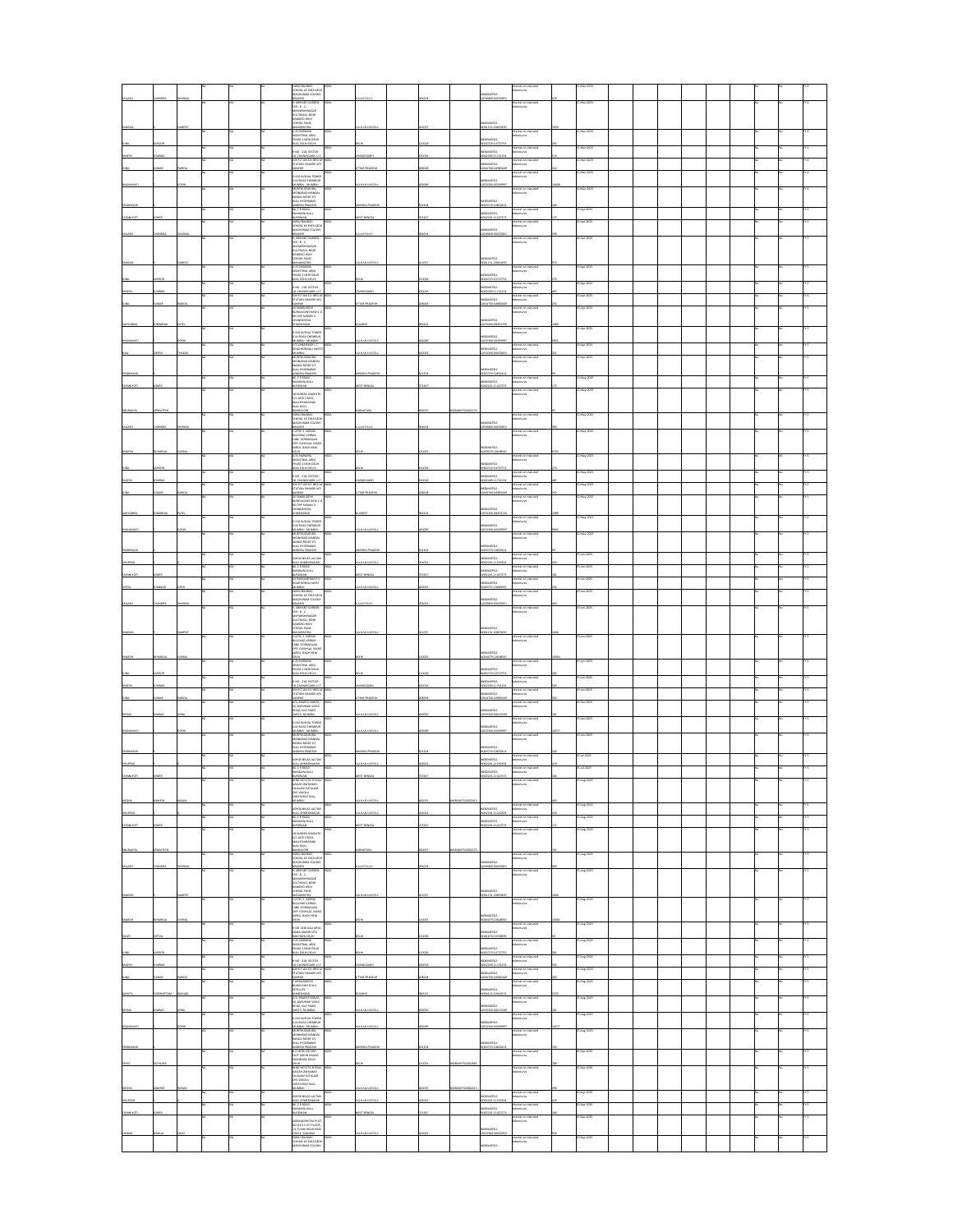|               |                  |  |  |                                                                                                                                                                                                                                                                                                                                                                                                                            |                      |                | -                                     | interest on matured<br>bentares |                |  |  |  |  |  |
|---------------|------------------|--|--|----------------------------------------------------------------------------------------------------------------------------------------------------------------------------------------------------------------------------------------------------------------------------------------------------------------------------------------------------------------------------------------------------------------------------|----------------------|----------------|---------------------------------------|---------------------------------|----------------|--|--|--|--|--|
|               |                  |  |  | SURAI BRIBADI<br>MAGAIRANG COLONY<br>MAGAIRA<br>BRIGARE<br>SURAI BRIGA<br>SURAI BRIGARE<br>GUITTEARE, NEAR<br>GUITTEARE, NEAR<br>MAMDEO HIGH<br>MAMDEO HIGH<br>MAMDEO HIGH<br>MAMDEO HIGH<br>MAMDEO HIGH                                                                                                                                                                                                                   |                      |                | 126800-0003585                        | terest on matured<br>bentures   | Mar-2025       |  |  |  |  |  |
|               |                  |  |  |                                                                                                                                                                                                                                                                                                                                                                                                                            |                      |                |                                       |                                 |                |  |  |  |  |  |
|               |                  |  |  |                                                                                                                                                                                                                                                                                                                                                                                                                            |                      |                | 468040792-<br>4901151-20853429        |                                 |                |  |  |  |  |  |
|               |                  |  |  | MAHARASTRA<br>A-41 NARAINA<br>NOUSTRAL AREA<br>PHASE-2 NEW DELHI<br>NHASE-2 NEW DELHI                                                                                                                                                                                                                                                                                                                                      |                      |                | 49040792-                             | irest on mat<br>ientures        |                |  |  |  |  |  |
|               |                  |  |  | HJJ20 IKJ20 JJUA<br>NO -218 SECTOR-                                                                                                                                                                                                                                                                                                                                                                                        |                      |                | 003719-10727753<br>AE8060792-         | wrest on matured<br>bentures    | Var-3025       |  |  |  |  |  |
|               |                  |  |  |                                                                                                                                                                                                                                                                                                                                                                                                                            |                      |                | 002269-11741154                       | arest on matured<br>bentures    | Mar-2025       |  |  |  |  |  |
|               |                  |  |  |                                                                                                                                                                                                                                                                                                                                                                                                                            |                      |                |                                       | erest on matured<br>Sentanes    | Mar-302        |  |  |  |  |  |
|               |                  |  |  | ) 493 Kushal Tower<br>S M Road Chembur<br>Murinujasuda,<br>Murinujasuda,                                                                                                                                                                                                                                                                                                                                                   |                      |                | 68040752-<br>1022300-0051             | erest on matured                |                |  |  |  |  |  |
|               |                  |  |  | MUSINGARAN<br>MONARAD MARCA<br>RANGA REDOV DT,<br>MULI HYDERARD<br>MULI HYDERARD<br>BE, C R ROAD<br>MURIGAN MULI<br>GROAD MURIGAN<br>GROOD RE PASS VED-<br>MURIGAN MULION<br>GROOD RE PASS VED-<br>MURIGAN COLONY<br>MURIGAN COLONY                                                                                                                                                                                        |                      |                |                                       | bentanes                        |                |  |  |  |  |  |
|               |                  |  |  |                                                                                                                                                                                                                                                                                                                                                                                                                            |                      |                | 68040752-<br>002719-1022245           | arest on matured<br>bentures    | Apr-2025       |  |  |  |  |  |
|               |                  |  |  |                                                                                                                                                                                                                                                                                                                                                                                                                            |                      |                | 8080792-<br>02205-1542                | Jered on mat<br>Ibertares       |                |  |  |  |  |  |
|               |                  |  |  |                                                                                                                                                                                                                                                                                                                                                                                                                            |                      |                | 040792-<br>126803-00031               |                                 |                |  |  |  |  |  |
|               |                  |  |  | <b>ENANGE<br/>2. ARIANAT GARDEN<br/>159 - R - 2.</b><br>MANARSHIMGAR<br>GULTEKADI, NEAR<br>10. ANDER HERE,<br>10. ANDER HERE, 10. ANDER HERE.                                                                                                                                                                                                                                                                              |                      |                |                                       | rterest on matured<br>ebentures | Apr 2025       |  |  |  |  |  |
|               |                  |  |  |                                                                                                                                                                                                                                                                                                                                                                                                                            |                      |                |                                       |                                 |                |  |  |  |  |  |
|               |                  |  |  | MAHARASTRA<br>A-41 NARAINA<br>NULSTRAL AREA<br>NULL DELHI DELHI<br>NULL DELHI DELHI                                                                                                                                                                                                                                                                                                                                        | <b>LARASHTE</b>      | 107            | 68040792-<br>001151-20853439          | erest on mat<br>Sentanes        |                |  |  |  |  |  |
|               |                  |  |  |                                                                                                                                                                                                                                                                                                                                                                                                                            |                      |                | 49340792-<br>102719-10727752          |                                 |                |  |  |  |  |  |
|               | <b>ULESAA</b>    |  |  | NNO - 218, SECTOR -                                                                                                                                                                                                                                                                                                                                                                                                        | HANDSAMH             | $_{\rm const}$ | NER040792-<br>6002269-11741154        | terest on matured<br>ebentures  |                |  |  |  |  |  |
|               |                  |  |  | HYND Y 218, BRANCH LLT.<br>19, CHANDIGARH, LLT.<br>STATION CHAKER AFS<br>KANPUR<br>26 SAMPUEDDHI                                                                                                                                                                                                                                                                                                                           | <b>AR PRADES</b>     |                | 4040792-                              | terest on matured<br>bentures   |                |  |  |  |  |  |
|               |                  |  |  | a: Marcolain<br>Romgalows New CG<br>Roopp Sarian II<br>Chandricean<br>Ahmedicean                                                                                                                                                                                                                                                                                                                                           |                      |                |                                       | arest on matured<br>bentures    |                |  |  |  |  |  |
|               |                  |  |  |                                                                                                                                                                                                                                                                                                                                                                                                                            |                      |                | 68060792-<br>002200-08652726          | terest on matured<br>bentures   | Apr-2025       |  |  |  |  |  |
|               |                  |  |  | 0-400 KUSHAL TOWER<br>G M ROAD CHEMBUR<br>MUMBAL - MUMBAL<br>E/2 VANASHREE L.T.<br>RH INGAL<br>MI INGAL                                                                                                                                                                                                                                                                                                                    |                      |                | anumos.<br>032300-0050999             |                                 | Apr-2025       |  |  |  |  |  |
|               |                  |  |  | <b>HAMAN</b><br>RUMBAI<br>TIMTHUZNGUEN,                                                                                                                                                                                                                                                                                                                                                                                    |                      |                |                                       | arest on matured<br>bentures    |                |  |  |  |  |  |
|               |                  |  |  |                                                                                                                                                                                                                                                                                                                                                                                                                            |                      |                |                                       | erest on ma<br>Dentures         |                |  |  |  |  |  |
|               |                  |  |  | MURTHUZAGUDA,<br>MANGA REDOV DT.<br>RANGA REDOV DT.<br>NULL HYDERARD<br>MADHRA PRADESH<br>RANGANI NULL<br>RANGANI NULL<br>RANGANI NULL                                                                                                                                                                                                                                                                                     |                      |                | E8040752-<br>303719-1083245           | derest on matured<br>ebentures  | May-2025       |  |  |  |  |  |
|               |                  |  |  |                                                                                                                                                                                                                                                                                                                                                                                                                            | LOVED T22            |                | 68046792-<br>362261-11427272          | erest on r<br>Sentares          |                |  |  |  |  |  |
|               |                  |  |  | 18 KUBERA SAMPATH<br>5/2 18TH CROSS                                                                                                                                                                                                                                                                                                                                                                                        |                      |                |                                       |                                 |                |  |  |  |  |  |
|               |                  |  |  |                                                                                                                                                                                                                                                                                                                                                                                                                            |                      |                |                                       | derest on matured<br>ebentures  | May-2025       |  |  |  |  |  |
|               |                  |  |  | (2) 1874 GROSS<br>MALLESWIRM<br>MALLEMAR<br>MALLEMAR<br>MARGALOR<br>MARGALOR<br>CORRAGE DOSINAL<br>MARGALOR<br>11770/2 VARAM<br>MARGALOR<br>11770/2 VARAM<br>MARGALOR<br>CORRAGE DOSINAL<br>CARGALOR<br>CORRAGE MARGALOR<br>CARGALOR<br>CORRAGE MARGALOR<br>CARGALOR<br>CORRAGE MARG                                                                                                                                       |                      |                | 68040792-<br>026800-0002585-          |                                 |                |  |  |  |  |  |
|               |                  |  |  |                                                                                                                                                                                                                                                                                                                                                                                                                            |                      |                |                                       | rrest on matured<br>ientures    | May-2025       |  |  |  |  |  |
|               |                  |  |  |                                                                                                                                                                                                                                                                                                                                                                                                                            |                      |                | 69340792-<br>1200079-10648930         |                                 |                |  |  |  |  |  |
|               |                  |  |  | DELH<br>A-11 NARAJNA<br>NDLISTRIAL AREA<br>PHASE-2 NEW DELHI                                                                                                                                                                                                                                                                                                                                                               |                      |                | 468040792-                            | erest on m<br>Sentanes          | tay-2025       |  |  |  |  |  |
|               |                  |  |  | NJ20 NJ20 JJU<br>ian . He spring .                                                                                                                                                                                                                                                                                                                                                                                         |                      |                | 4903719-10737753<br>E8040792-         | rrest on matured<br>ientures    |                |  |  |  |  |  |
|               |                  |  |  |                                                                                                                                                                                                                                                                                                                                                                                                                            | <b>UNDIGARS</b>      |                | N902269-11741154                      | vrest on matured<br>ietitanes   |                |  |  |  |  |  |
|               |                  |  |  |                                                                                                                                                                                                                                                                                                                                                                                                                            | TAR PRADESH          |                | 48040752-<br>0040050495               | terest on mature<br>persons     |                |  |  |  |  |  |
|               |                  |  |  | $\begin{array}{l} 8\,N0\cdot 214, 567108\cdot \\ 18, 6588006888, 117, 571880$ and 121 and 221 and 25<br>SAMDAN GAMEER AFS (AND 120 and 26<br>SAMPLIR<br>SAMPLIR<br>SAMPARCONS NEW C1<br>RD 029 SARAN II<br>GAMROBAEDA<br>ARMEDABAD                                                                                                                                                                                         |                      |                | CROMOTEZ-<br>032200-0845372           |                                 |                |  |  |  |  |  |
|               |                  |  |  |                                                                                                                                                                                                                                                                                                                                                                                                                            |                      |                |                                       | erest on matured<br>Sentanes    | May-2025       |  |  |  |  |  |
|               |                  |  |  | 0 493 Kushal Tower<br>G M Road Chemilur<br>Mumbai - Mumbai<br>Mumbaida                                                                                                                                                                                                                                                                                                                                                     |                      |                | 68040792-<br>032300-00509993          | erest on matured<br>Sentares    |                |  |  |  |  |  |
|               |                  |  |  | MOINNEAD MANDAL<br>RANGA REDOY DT,<br>NULL HYDERABAD                                                                                                                                                                                                                                                                                                                                                                       |                      |                | 68040792                              |                                 |                |  |  |  |  |  |
|               |                  |  |  | <b>NOHRA PRADESH</b>                                                                                                                                                                                                                                                                                                                                                                                                       |                      |                | 003719-1083245<br>E8060792-           | derest on matured<br>ebentures  | An-2025        |  |  |  |  |  |
|               |                  |  |  |                                                                                                                                                                                                                                                                                                                                                                                                                            |                      |                | 0205-1120<br>3040752-<br>102201-11427 | rrest on matured<br>ientures    | n 2025         |  |  |  |  |  |
|               |                  |  |  | ASHOK NIVAS LALTAR<br>MULL AHMEDNAGAR<br>MULL AHMEDNAGAR<br>BANDSANI MULL<br>BURDWAN<br>ROLD BORVU WEST<br>MULLINAI                                                                                                                                                                                                                                                                                                        |                      |                | INEB046792-<br>IN200757-10082         | terest on matured<br>ebentures  | un-2025        |  |  |  |  |  |
|               |                  |  |  |                                                                                                                                                                                                                                                                                                                                                                                                                            |                      |                |                                       | arest on mati<br>bentures       |                |  |  |  |  |  |
|               |                  |  |  |                                                                                                                                                                                                                                                                                                                                                                                                                            |                      |                | NEB0410752-<br>2016800-00015851       |                                 |                |  |  |  |  |  |
|               |                  |  |  |                                                                                                                                                                                                                                                                                                                                                                                                                            |                      |                |                                       | erest on matured<br>Sentanes    |                |  |  |  |  |  |
|               |                  |  |  |                                                                                                                                                                                                                                                                                                                                                                                                                            |                      |                | 68040792-<br>001151-20853430          |                                 |                |  |  |  |  |  |
|               |                  |  |  | $\begin{tabular}{l c c c} \hline \textbf{X} & \textbf{M} & \textbf{M} & \textbf{M} & \textbf{M} & \textbf{M} & \textbf{M} & \textbf{M} & \textbf{M} & \textbf{M} & \textbf{M} & \textbf{M} & \textbf{M} & \textbf{M} & \textbf{M} & \textbf{M} & \textbf{M} & \textbf{M} & \textbf{M} & \textbf{M} & \textbf{M} & \textbf{M} & \textbf{M} & \textbf{M} & \textbf{M} & \textbf{M} & \textbf{M} & \textbf{M} & \textbf{M} &$ |                      |                |                                       | terest on matured<br>bertures   |                |  |  |  |  |  |
|               |                  |  |  |                                                                                                                                                                                                                                                                                                                                                                                                                            |                      |                | AE8040792-<br>4900079-10648930        |                                 |                |  |  |  |  |  |
|               |                  |  |  | DELHI<br>N-81 NARAJINA<br>NANSE-2 NEW DELHI                                                                                                                                                                                                                                                                                                                                                                                |                      |                | E8040792-                             | erest on r<br>Sentanes          |                |  |  |  |  |  |
|               |                  |  |  | H130 H20 J1U<br>NO - 218, SECTOR-                                                                                                                                                                                                                                                                                                                                                                                          |                      |                | 000719-10727753<br>68040792-          | rest on mat<br>entures          |                |  |  |  |  |  |
|               | ARMA             |  |  | H NO - ZTR, SACTOR -<br>18, CHANDIGARH, U.T.<br>IDH FLT AN 2218RD A<br>STATION CHAKER AFS<br>KANPUR<br>A/4, BHARAT NYINS,                                                                                                                                                                                                                                                                                                  | <b>UNIOKARH</b>      |                | 0002269-11741154                      | arest on matured<br>bentures    |                |  |  |  |  |  |
|               |                  |  |  |                                                                                                                                                                                                                                                                                                                                                                                                                            | TAR PRADESH          |                |                                       | erest on mature                 |                |  |  |  |  |  |
|               |                  |  |  | GE ARPLISHAL MINKE                                                                                                                                                                                                                                                                                                                                                                                                         |                      |                | E8040752-<br>035500-000152            | pentanes                        |                |  |  |  |  |  |
|               |                  |  |  | 0 493 KUSHAL TOWER<br>G M ROAD CHEMBUR<br>MUMBAL MUMBAL<br>MURTHUZAGUDA,                                                                                                                                                                                                                                                                                                                                                   |                      |                | 8040752-<br>(12300-0050               | terest on matured<br>bentures   | vi-2021        |  |  |  |  |  |
|               |                  |  |  |                                                                                                                                                                                                                                                                                                                                                                                                                            |                      |                |                                       | arest on m<br>bentures          |                |  |  |  |  |  |
|               |                  |  |  | MUKIHUUNAULIA<br>MOINABAD MANDAL<br>RANGA REDOY OT,<br>MULI HYDERABAD<br>ANDHRA PRADESH                                                                                                                                                                                                                                                                                                                                    |                      |                | 303719-1083245                        |                                 |                |  |  |  |  |  |
|               |                  |  |  | <b>DICK NIVAS LALTAIS</b>                                                                                                                                                                                                                                                                                                                                                                                                  |                      |                |                                       | arest on matured<br>bentures    |                |  |  |  |  |  |
|               |                  |  |  | NULLAHMEDNAGAI<br>BE, C R ROAD<br>RANGANI NULL                                                                                                                                                                                                                                                                                                                                                                             |                      |                | 468340792-<br>002201-11427272         | terest on ma<br>bentures        |                |  |  |  |  |  |
|               |                  |  |  | BURDWAN<br>BLOG NO S/S1 SHIVA<br>NAGAR OM NAMO                                                                                                                                                                                                                                                                                                                                                                             |                      |                |                                       | irest on mat<br>ientures        |                |  |  |  |  |  |
|               |                  |  |  | NAMARCIN NAMO<br>SUJALAM SUFALAM<br>CHS VARDLA<br>SANTACRUZ NULL<br>MUMBAI                                                                                                                                                                                                                                                                                                                                                 |                      |                |                                       |                                 |                |  |  |  |  |  |
| <b>UPPAC</b>  |                  |  |  | <b>GHOK NEWAS LALTAR</b>                                                                                                                                                                                                                                                                                                                                                                                                   | <b>LARASHTE</b>      |                | -22508283<br>002201-11202304          | arest on matures<br>bentures    |                |  |  |  |  |  |
|               |                  |  |  | muli ahaatomagar<br>86, C R Road<br>Rangaan muli<br><b>URDWAN</b>                                                                                                                                                                                                                                                                                                                                                          | ST BENGA             |                | 68040792<br>002201-1142               | irest on ma<br>ieršanes         |                |  |  |  |  |  |
|               |                  |  |  | 18 KUBERA SAMPATH<br>5/2 18TH CROSS<br>MALLESHWARAM<br>MULL NULL                                                                                                                                                                                                                                                                                                                                                           |                      |                |                                       | arest on matured<br>bentures    | Aug-2025       |  |  |  |  |  |
|               |                  |  |  |                                                                                                                                                                                                                                                                                                                                                                                                                            |                      |                |                                       |                                 |                |  |  |  |  |  |
|               |                  |  |  |                                                                                                                                                                                                                                                                                                                                                                                                                            |                      |                | :<br>18040752-<br>18600-000:          | derest on matured<br>ebentures  | Aug 2025       |  |  |  |  |  |
|               |                  |  |  | NULINEAIRE<br>SURAIREADH<br>SURAIREADH<br>SURAIREADH<br>GARAIREADH<br>NAGHARAN<br>SURAIREADH<br>SURAIREADH<br>SURAIREADH<br>NAGHARAN<br>NAGHARAN<br>NAGHARAN<br>NAGHARAN<br>NAGHARAN<br>NAGHARAN<br>NAGHARAN<br>NAGHARAN<br>NAGHARAN<br>NAGHARAN<br>NAGHARAN<br>NAGHARAN                                                                                                                                                   |                      |                |                                       | erest on ma<br>Sentanes         |                |  |  |  |  |  |
|               |                  |  |  |                                                                                                                                                                                                                                                                                                                                                                                                                            |                      |                |                                       |                                 |                |  |  |  |  |  |
|               |                  |  |  |                                                                                                                                                                                                                                                                                                                                                                                                                            |                      |                | NER0410752-<br>NGC 151-20853429       |                                 |                |  |  |  |  |  |
|               |                  |  |  | SCHOOLPUNG<br>11276/2 VARIAN<br>11276/2 VARIAN<br>8UILDING VARIAN<br>LANG DORINIALAN<br>109 GUSHALA MARI<br>10902 BAGH NEW<br>1061H                                                                                                                                                                                                                                                                                        |                      |                |                                       | erest on mat<br>Sentanes        |                |  |  |  |  |  |
|               |                  |  |  |                                                                                                                                                                                                                                                                                                                                                                                                                            |                      |                | 040792-<br>0078-10646                 |                                 |                |  |  |  |  |  |
|               |                  |  |  | H NO SEEB GALI ARYA<br>SAMAI BAZAR SER<br>RAM NGW GGJH<br>A-41 NARAINA<br>NULL DELH DELH<br>NULL DELH DELH<br>NULL DELH DELH                                                                                                                                                                                                                                                                                               |                      |                | 040792                                | erest on matureo<br>Sentares    | <b>Lig-202</b> |  |  |  |  |  |
|               |                  |  |  |                                                                                                                                                                                                                                                                                                                                                                                                                            |                      |                | 1670-1035                             | terest on matured<br>bentures   | Aug-2022       |  |  |  |  |  |
|               |                  |  |  | NO - 218 SECTOR-                                                                                                                                                                                                                                                                                                                                                                                                           |                      |                | 0792<br>00719-1072                    | erest on ma<br>oertares         |                |  |  |  |  |  |
|               |                  |  |  | IR, CHANDIGARH, LLT<br>DH FLT AN 321 BRD A<br>DTATION CHAKER AP                                                                                                                                                                                                                                                                                                                                                            |                      |                | 49340792-<br>002269-11741154          | erest on mat<br>bertures        | ug-2021        |  |  |  |  |  |
|               |                  |  |  |                                                                                                                                                                                                                                                                                                                                                                                                                            | TAR PRADES           |                | E80480792-<br>044703-0494             | terest on matureo<br>ebentures  | Aug-2025       |  |  |  |  |  |
| <b>KAMER</b>  | <b>ISSIOTTAM</b> |  |  | CEATION CHAIGER AN<br>TASHURANGGH<br>TASHURANGGH<br>BUNGLOWS SCH-V<br>SETELUTE<br>AVAL BUARAT NYMAS<br>GA, BAPUBHAY WASH<br>ROAD, VILE PARLE                                                                                                                                                                                                                                                                               | <b>LIARAT</b>        |                | EB0480752-<br>N304123-10016574        |                                 |                |  |  |  |  |  |
|               |                  |  |  |                                                                                                                                                                                                                                                                                                                                                                                                                            |                      |                | 3040792                               | erest on ma<br>Sentares         |                |  |  |  |  |  |
| <b>AMIN</b>   | ARAZ             |  |  | (MEST) MUMBAL                                                                                                                                                                                                                                                                                                                                                                                                              | <b>ASLARASHTE</b>    | œ              | 2015500-00015290                      | est on ma<br><b>Dettant</b>     |                |  |  |  |  |  |
|               |                  |  |  | 0 493 KUSHAL TOWER<br>G M ROAD OKENBUR<br>MUNDAH MUNDA<br>MONABAD MANDAL<br>MONABAD MANDAL<br>RANGA REDOY OT,<br>MULL HYDERABAD                                                                                                                                                                                                                                                                                            |                      |                | 68040792-<br>032300-00509993          |                                 | Aug-2025       |  |  |  |  |  |
|               |                  |  |  |                                                                                                                                                                                                                                                                                                                                                                                                                            |                      |                | 8060792-                              | terest on matured<br>ibentures  |                |  |  |  |  |  |
| GHAKAR        |                  |  |  | NOLL HTURKHING<br>ANDHRA PRADESH<br>B 3 LEHRI COLONY<br>SHAHDARA DELHI<br>SHAHDARA DELHI<br>MOLL                                                                                                                                                                                                                                                                                                                           |                      |                | 03719-10832414                        | erest on matured<br>Sentures    |                |  |  |  |  |  |
|               |                  |  |  |                                                                                                                                                                                                                                                                                                                                                                                                                            |                      |                |                                       |                                 |                |  |  |  |  |  |
|               |                  |  |  | SHANINA DILIHI<br>BIDG NO S/SE SHIWA<br>BIDG NO S/SE SHIWA<br>SHAGAR OM NAMO<br>SHAGAR SUFALAM<br>SANTAGRIZ NULL<br>MUMBAI                                                                                                                                                                                                                                                                                                 |                      |                |                                       | terest on matured<br>ebentures  | Sep 2025       |  |  |  |  |  |
|               |                  |  |  |                                                                                                                                                                                                                                                                                                                                                                                                                            |                      |                |                                       |                                 |                |  |  |  |  |  |
| ЮΑΩ           |                  |  |  | SHOK NIVAS LALTAIS                                                                                                                                                                                                                                                                                                                                                                                                         |                      |                | INEB0460752-<br>IN902201-1120230      | terest on ma<br>bentures        |                |  |  |  |  |  |
| <b>TOYMAN</b> | <b>Savo</b>      |  |  | muli ahmednagar<br>BG, C R ROAD<br>RANGANI MULI<br>RURDWAN                                                                                                                                                                                                                                                                                                                                                                 | <b>INDUST BENGAL</b> | 12247          | NEB04K0792-<br>N902201-11427273       | arest on ma<br>bertures         |                |  |  |  |  |  |
|               |                  |  |  | KARMAKSHETRA PLOT<br>NO D1/13 15T FLOOR,<br>13, FLANK ROAD KING                                                                                                                                                                                                                                                                                                                                                            |                      |                |                                       | est on ma<br>entates            |                |  |  |  |  |  |
|               |                  |  |  |                                                                                                                                                                                                                                                                                                                                                                                                                            |                      |                | 68040792-<br>12032300-0005205         |                                 |                |  |  |  |  |  |
|               |                  |  |  |                                                                                                                                                                                                                                                                                                                                                                                                                            |                      |                |                                       |                                 |                |  |  |  |  |  |
|               |                  |  |  | IA, HANK KUAD KING<br>JRCLE MUMBAI<br>JRAN BALBADI<br>CHOOL KE PASS VEDH<br>ANGHARAM COLONY                                                                                                                                                                                                                                                                                                                                |                      |                | 49040792-                             | arest on matured<br>bentures    | Sep-2025       |  |  |  |  |  |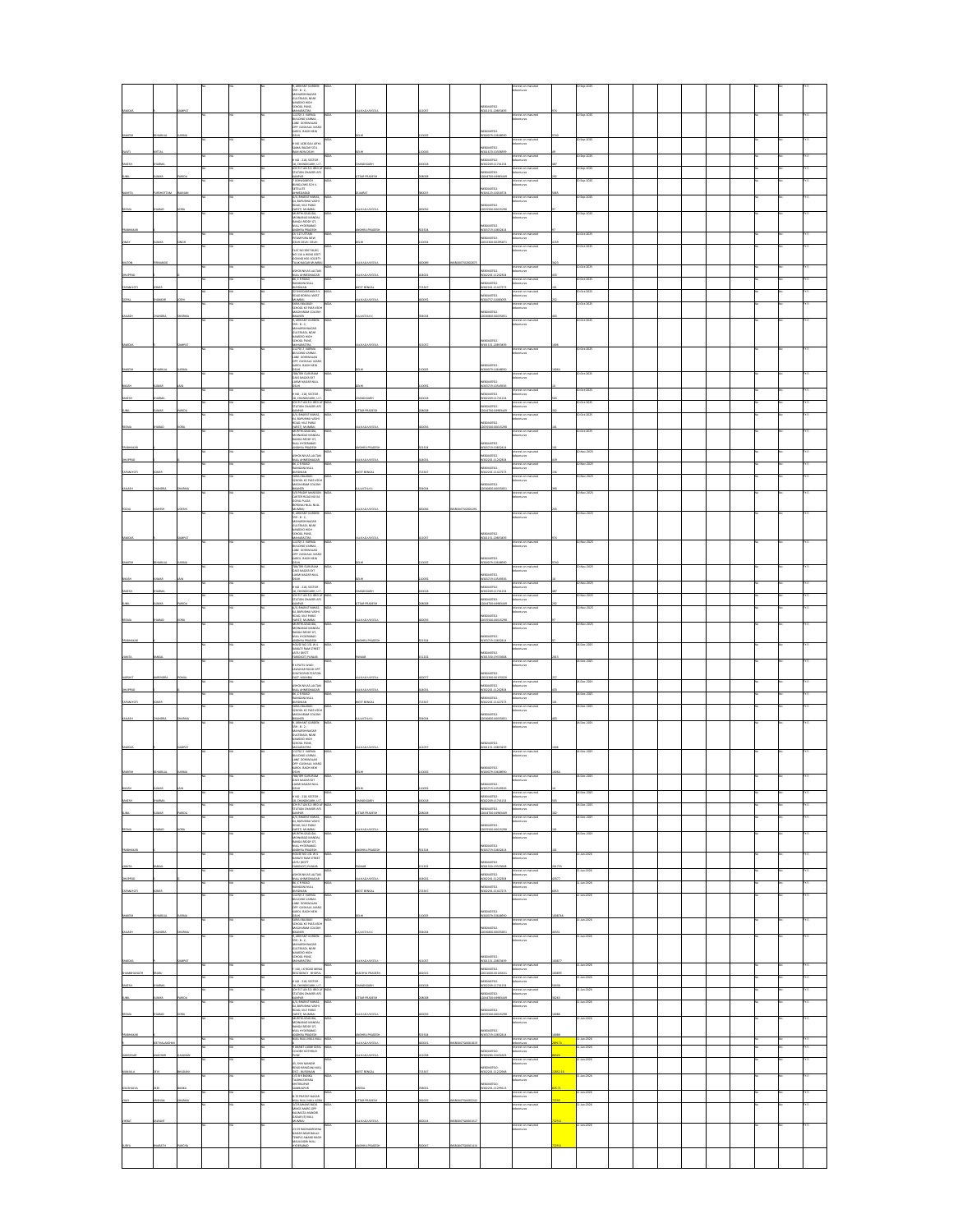|               |                     |             |  |                                                                                                                                                                                                                                                                                        |                              |                |               |                                          | arest on n<br>bertures                               |            |                   |  |  |  |  |  |
|---------------|---------------------|-------------|--|----------------------------------------------------------------------------------------------------------------------------------------------------------------------------------------------------------------------------------------------------------------------------------------|------------------------------|----------------|---------------|------------------------------------------|------------------------------------------------------|------------|-------------------|--|--|--|--|--|
|               |                     |             |  | 1, ARHANT GARDEN<br>1550 - R - 2,<br>MANARGADA, NGAR<br>GANTEKARA, NGAR<br>1640000 PARK<br>160000 PARK<br>NANG DORRIANA<br>R - 1620 PARKA<br>1600 GARDARAN<br>1600 GARDARAN<br>1600 GARDARAN<br>1600 GARDARAN                                                                          |                              |                |               |                                          |                                                      |            |                   |  |  |  |  |  |
|               |                     |             |  |                                                                                                                                                                                                                                                                                        |                              |                |               | \68040752-<br>\G01151-20853429           | arest on matured<br>bentures                         |            | Sep-2021          |  |  |  |  |  |
|               |                     |             |  |                                                                                                                                                                                                                                                                                        |                              |                |               |                                          |                                                      |            |                   |  |  |  |  |  |
|               |                     |             |  |                                                                                                                                                                                                                                                                                        |                              |                |               | 8040792-<br>00076-1064893                | arest on matured<br>bentares                         |            | sep-3021          |  |  |  |  |  |
|               |                     |             |  | H NO 1438 GALI ARYA<br>GAMAI BAZAR SITA<br>BAM NEW DELHI                                                                                                                                                                                                                               |                              |                |               | 0792                                     |                                                      |            |                   |  |  |  |  |  |
|               |                     |             |  | NO - 218, SECTOR-<br>ER, CHANDIGARH, LLT<br>CHI FLT AN 321 BRD A<br>ETATION CHAKERI AFS                                                                                                                                                                                                | 4046464                      |                |               | 49340792-<br>002269-11741154             | erest on m.<br>Sentares<br>rest on ma<br>entures     |            |                   |  |  |  |  |  |
|               |                     | юM          |  |                                                                                                                                                                                                                                                                                        | TAR PRADESH                  |                |               | E80480792-<br>1204000-0093449            | erest on mature<br>Sentanes                          |            |                   |  |  |  |  |  |
|               | <b>ISSIOTTAM</b>    |             |  | STATION CHARGES AFS<br><i>UABRUM</i><br>7.761499996666667<br>STATIONS SCH-V<br>STATIONS<br>STATION<br>STATION<br>ARAGES SCHOOL<br>MUSSTI MORAL<br>MUSSTI MORAL<br>MUSSTI MORAL<br>MUSSTI MORAL<br>MUSSTI MORAL<br>MUSSTI MORAL<br>MUSSTI MORAL<br>MUSSTI MORAL<br>MUSSTI MORAL<br>MUSS | <b>TARALL</b>                |                |               | 3040792-<br>N304123-10016574             |                                                      |            |                   |  |  |  |  |  |
|               |                     |             |  |                                                                                                                                                                                                                                                                                        |                              |                |               | nungos                                   | irest on matured<br>ietitanes                        |            | $Sap$ 2021        |  |  |  |  |  |
|               |                     |             |  |                                                                                                                                                                                                                                                                                        |                              |                |               | 15500-0001                               | irest on matured<br>ientures                         |            | $5$ ep-2025       |  |  |  |  |  |
|               |                     |             |  |                                                                                                                                                                                                                                                                                        | HRA PRADES                   |                |               | 8060792<br>303719-10832414               |                                                      |            |                   |  |  |  |  |  |
|               |                     |             |  | AN MINIMUM<br>AMPLIRA NGW<br>AMPLIRA NGW<br>LHI DELHI DELHI                                                                                                                                                                                                                            |                              |                |               | 68040792-<br>032300-0029587-             | rrest on matured<br>ientures                         |            | Oct-2025          |  |  |  |  |  |
|               |                     |             |  | .<br>Kat no 2067 Blog<br>Govino Hig Society<br>Govino Hig Society                                                                                                                                                                                                                      |                              |                |               |                                          | erest on matured<br>Sentanes                         |            |                   |  |  |  |  |  |
|               |                     |             |  | AK NAGAR MUMI                                                                                                                                                                                                                                                                          |                              |                |               | 68060792-<br>002201-1120                 | erest on matured<br>bentures                         |            | Oct-202           |  |  |  |  |  |
|               |                     |             |  | SHOK NIVAS LALTAIS<br>LILL AHMEDNAGAR<br>6, C R ROAD<br>ANIGANI NULL<br>LIRDAIAN                                                                                                                                                                                                       | <b>LARASHTRA</b>             |                |               | E8046792-<br>302205-15427272             | arest on matured<br>bentures                         |            |                   |  |  |  |  |  |
|               |                     |             |  | OAD BORNU WEST                                                                                                                                                                                                                                                                         | EST BENGAL                   |                |               | 168040792-                               | terest on mati<br>ebentures                          |            |                   |  |  |  |  |  |
|               |                     |             |  | ILIMBAI<br>LIRAI BALBADI<br>LIGIULEE PASS VEDI<br>MGHARAM COLONY                                                                                                                                                                                                                       |                              |                |               | 000757-10087<br>49040792-                | ered on matured<br>bentures                          |            |                   |  |  |  |  |  |
|               |                     |             |  |                                                                                                                                                                                                                                                                                        |                              |                |               | 12036800-0003585                         | erest on matured<br>Sentanes                         |            | $3c1 - 202$       |  |  |  |  |  |
|               |                     |             |  | MAGHARAM COLONI<br>SUARISM CARDINI<br>SUARISM CARDINI<br>MAGHARI CARDINI<br>MAGHARISM CARD<br>CARDINIAN<br>CORNELLING CORNALING<br>MAGHARISM CARDINIAN<br>CORNELLING CORNALING<br>CARDINIAN<br>CORNELLING CORNALING<br>CARDINIAN<br>CORNELLING CORNALING<br>CARDINIAN                  |                              |                |               |                                          |                                                      |            |                   |  |  |  |  |  |
|               |                     |             |  |                                                                                                                                                                                                                                                                                        |                              |                |               | 68040792-<br>001151-20853430             | erest on matured<br>Sentares                         |            | 10-Oct-2005       |  |  |  |  |  |
|               |                     |             |  |                                                                                                                                                                                                                                                                                        |                              |                |               | 20040792-                                |                                                      |            |                   |  |  |  |  |  |
|               |                     |             |  | DELHI<br>788/789 GLIRURAM<br>DASS NAGAR EXT<br>LAISMI NAGAR BUIL                                                                                                                                                                                                                       |                              |                |               | 000079-10648930                          | rest on mat<br>entanes                               |            |                   |  |  |  |  |  |
|               |                     |             |  | NO - 218, SECTOR-                                                                                                                                                                                                                                                                      |                              |                |               | 168040792-<br>03719-1054933<br>CR1000292 | ined on m<br>Sentures                                |            |                   |  |  |  |  |  |
|               | <b><i>ASSAA</i></b> |             |  | NO PARK MICHAEL<br>NERT AN 221880 AL<br>NTION CHAKER AFS                                                                                                                                                                                                                               | HADIGARH                     | $_{\rm const}$ |               | 4902269-11741154                         | erest on matured<br>Sentares                         |            | 2021              |  |  |  |  |  |
|               |                     |             |  | mfilir<br>I, Bharakt Nywas                                                                                                                                                                                                                                                             |                              |                |               | -<br>14700-0491                          | terest on matured<br>bentures                        |            |                   |  |  |  |  |  |
|               |                     |             |  | A/4, IDIAKAI NIHAN,<br>64, BAPUBHAI WISH<br>ROAD, VILE PARLE<br>(MEST) MUMBAI<br>MIRTHICHOIDA                                                                                                                                                                                          |                              |                |               | 8040752-<br>(15500-0001526               |                                                      |            |                   |  |  |  |  |  |
|               |                     |             |  | NATHUMMUNA<br>IOBIABAD MANDAL<br>INGA REDDY DT,<br>IOHRA PRADESH                                                                                                                                                                                                                       |                              |                |               | 68040792-<br>002719-10222454             | erest on m<br>Sentanes                               |            |                   |  |  |  |  |  |
|               |                     |             |  |                                                                                                                                                                                                                                                                                        | 0484 PRADES                  |                |               | 0000792                                  | terest on matured<br>bertures                        |            | w-2025            |  |  |  |  |  |
|               |                     |             |  | HOK NIVAS LALTAIG<br>ILL AHMEDNAGAR<br>AIGANI NULL<br>NIGANI NULL                                                                                                                                                                                                                      |                              |                |               | 49040792-                                | terest on mat<br>bentures                            |            |                   |  |  |  |  |  |
|               |                     |             |  | URDWAN<br>LIRAI BALBADI<br>CHOOL KE PASS VEDE<br>ANGHARAM COLONY<br>LINGHARAM COLONY                                                                                                                                                                                                   | <b>INGWEST 222</b>           | 226            |               | 302201-11427272<br>468040792-            | rest on ma<br>returns                                |            |                   |  |  |  |  |  |
|               |                     |             |  | Bikaner<br>S/B Pracis Maneroch<br>Carter Road No o6<br>Goyal Plaza                                                                                                                                                                                                                     |                              |                |               | 036800-0003585                           | erest on matured<br>bentures                         |            |                   |  |  |  |  |  |
|               |                     |             |  | <b>CRIVALI MULL NULL</b>                                                                                                                                                                                                                                                               | <b>SURASHTRA</b>             |                | 308075/20093  |                                          |                                                      |            |                   |  |  |  |  |  |
|               |                     |             |  | Rogvali mili nuli<br>Marant Garden<br>S, Arhant Garden<br>Marant Garden<br>Maranchi Mara<br>Maranchi S, Arhan<br>Maranchi S, Arhan<br>Maranchi S, Arhan<br>Maranchi S, Arhan<br>Maranchi S, Arhan<br>Maranchi S, Arhan<br>Maranchi S, Arhan<br>Maranchi S, Arhan<br>M                  |                              |                |               |                                          | erest on matured<br>verbanes                         |            |                   |  |  |  |  |  |
|               |                     |             |  |                                                                                                                                                                                                                                                                                        |                              |                |               | 68040792-<br>001151-20853439             |                                                      |            |                   |  |  |  |  |  |
|               |                     |             |  |                                                                                                                                                                                                                                                                                        |                              |                |               |                                          | rrest on matured<br>ientures                         |            |                   |  |  |  |  |  |
|               |                     |             |  |                                                                                                                                                                                                                                                                                        |                              |                |               | 8040792-<br>00078-1064893                |                                                      |            |                   |  |  |  |  |  |
|               |                     |             |  | DELHI<br>788/789 GLIRURAM<br>DASS NAGAR EXT<br>LAYMI NAGAR MULL<br>DOLLI                                                                                                                                                                                                               |                              |                |               | 40792-                                   | rderest on matured<br>Sebentures                     |            |                   |  |  |  |  |  |
|               |                     |             |  | NO - 218, SECTOR-                                                                                                                                                                                                                                                                      |                              |                |               | 2719-1054<br>168040792-<br>02269-1174115 | terest on mature<br>ebentures                        |            |                   |  |  |  |  |  |
|               | wk                  | <b>AGIA</b> |  | , CHANDIGARH, LLT.<br>HIRLT AN 321880 A<br>ATION CHAKERI AFS<br>MELR                                                                                                                                                                                                                   | TTAR PRADESH                 | scca           |               | NEB040752-<br>(2014700-04983449          | rrest on mat<br>entanes                              |            |                   |  |  |  |  |  |
|               |                     |             |  |                                                                                                                                                                                                                                                                                        |                              |                |               | anumos.                                  | erest on ma<br>bentures                              |            |                   |  |  |  |  |  |
|               |                     |             |  | KANPUR<br>AFA, BHARAT MWAS,<br>GA (RAPURHAN WASH)<br>ROAD, VILE PARLE<br>MORNARAD MANDAL<br>MORNARAD MANDAL<br>RAMGA REDDY OT,<br>NAULI HYDERARAD<br>NAULI HYDERARAD<br>NAULI HYDERARAD                                                                                                |                              |                |               | 15500-000                                | irest on matured<br>ientures                         |            | <b>Nov-2025</b>   |  |  |  |  |  |
|               |                     |             |  |                                                                                                                                                                                                                                                                                        | HRA PRADESH                  |                |               | 8060792-<br>303719-10832414              |                                                      |            | 106322            |  |  |  |  |  |
|               |                     |             |  | NOIRA PRADESH<br>OUSE NO 131 W 4<br>MAATE RAM STREET<br>NTU (DISTT                                                                                                                                                                                                                     | <b>NJAR</b>                  |                |               | E8040792-<br>101230-1933360              | arest on matured<br>bentures                         |            |                   |  |  |  |  |  |
|               |                     |             |  | IX PATEL WADI<br>AWAHAR ROAD OPP<br>HATKOPAR STATION                                                                                                                                                                                                                                   |                              |                |               |                                          | rrest on matured<br>ientures                         |            | Dec-2025          |  |  |  |  |  |
| ASHT          |                     |             |  | LASSAUM T2A                                                                                                                                                                                                                                                                            | <b><i>SURASHTRA</i></b>      |                |               | 20040792<br>0032300-00155020             | ered on matured<br>Sentanes                          |            |                   |  |  |  |  |  |
| <b>GA99UH</b> |                     |             |  | <b>HOK NEVAS LALTAK</b><br>GHOR NIVAS LALIARI<br>KULLAHMEDNAGAR<br>K, C R ROAD<br>UROWAN<br>UROWAN<br>UROWAN                                                                                                                                                                           | ANARASHTRA                   | cocc           |               | INEB0460752-<br>INGC2201-11202304        | rrest on matured<br>ietitanes                        |            |                   |  |  |  |  |  |
| wwon          |                     |             |  |                                                                                                                                                                                                                                                                                        | ANGE TO                      | aо             |               | %8040752-<br>%802201-11427272            | erest on matured<br>ebentures                        |            |                   |  |  |  |  |  |
|               |                     |             |  | CHOOL KE PASS VEDI-<br>ANGHARANA COLONY<br>ingr<br><sup>is</sup> sinnt gar <u>ogn</u>                                                                                                                                                                                                  |                              |                |               | 8040792-<br>16803-0003                   | terest on matured<br>bentures                        |            | Dec-202           |  |  |  |  |  |
|               |                     |             |  | ESS - R - 2,<br>MANARSHINGAR<br>GUITEKADI, NEAR<br>MANDED HIGH                                                                                                                                                                                                                         |                              |                |               |                                          |                                                      |            |                   |  |  |  |  |  |
|               |                     |             |  |                                                                                                                                                                                                                                                                                        | <b>SURASHTRA</b>             | 107            |               | 49040792-<br>001151-20853430             |                                                      |            |                   |  |  |  |  |  |
|               |                     |             |  | SCHOOL PUNK,<br>11270/2 VARMA<br>8UILDING VARMA<br>LANE DORINALAN<br>COP GUSHALA MARG<br>COP GUSHALA MARG<br>DELH<br>DELH                                                                                                                                                              |                              |                |               |                                          | irest on mat<br>ientures                             |            |                   |  |  |  |  |  |
|               |                     |             |  |                                                                                                                                                                                                                                                                                        |                              |                |               | 3040752-<br>100076-10648930              | Mest on my                                           |            |                   |  |  |  |  |  |
|               |                     |             |  | DELH<br>788/789 GLRURAM<br>DASS NAGAR EXT<br>LAXMI NAGAR NULL                                                                                                                                                                                                                          |                              | os:            |               | 02719-10540336                           | pentanes                                             |            |                   |  |  |  |  |  |
|               |                     |             |  | NO - 218, SECTOR -<br>18, CHANDIGARH, LLT.<br>KDH FLT AN 221 BRD AI<br>STATION CHAKERI AFS                                                                                                                                                                                             |                              |                |               | 68040792-<br>002269-11741154             | erest on matured<br>pentanes                         |            |                   |  |  |  |  |  |
|               |                     |             |  |                                                                                                                                                                                                                                                                                        | AR PRADES                    |                |               | A£8040792-<br>2044700-04983              | arest on mati<br>bentures                            |            |                   |  |  |  |  |  |
|               |                     |             |  |                                                                                                                                                                                                                                                                                        |                              |                |               | 49040792-<br>035500-0001529              | erest cin ma<br>entares                              |            |                   |  |  |  |  |  |
|               |                     |             |  | TATION CHANGER AP:<br>AND MARK NIVING<br>4, BHARAT NIVING,<br>4, BHARAT NIVING<br>COR, VILE PARE<br>MARTHUGHARA<br>MORABAD MANDAL<br>MORABAD MANDAL<br>MILI HYDERABAD<br>MULI HYDERABAD<br>MILI HYDERABAD<br>MILI HYDERABAD                                                            |                              |                |               |                                          | erest on matured<br>Sentanes                         |            | Orc-2025          |  |  |  |  |  |
|               |                     |             |  |                                                                                                                                                                                                                                                                                        | DHRA PRADESH                 | ste            |               | 69340792-<br>003719-10832414             | rest on mat<br>retures                               |            |                   |  |  |  |  |  |
|               |                     |             |  | KIDHRA PRADESH<br>KOUSE NO 131 W 4<br>GARATE RAM STREET<br>AFTU (DISTT<br>ARIDROT) PUNJAR                                                                                                                                                                                              | ЦAФ                          | 1202           |               | 468040792-<br>001330-19333668            |                                                      | 1751       |                   |  |  |  |  |  |
|               |                     |             |  | HOK NEVAS LALTAID                                                                                                                                                                                                                                                                      | <b>ARASHTE</b>               |                |               | 68040792-<br>02201-11202                 | erest on m<br>bentures                               |            | $485 - 202$       |  |  |  |  |  |
|               |                     |             |  |                                                                                                                                                                                                                                                                                        | EST BENGAL                   | 22e2           |               | NER046792-<br>Nas2261-11427272           | arest on matured<br>bentures<br>erest on matured     |            |                   |  |  |  |  |  |
|               |                     |             |  | GHOK NIVAS LALTAIS<br>AULA MAREDIMAAR<br>K, C RROAD<br>MAGANA MJUL<br>ISROADAN<br>ISROADAN<br>AULONG VARAA<br>AULONG VARAA<br>AULONG VARAA<br>AULONG VARAA<br>DIP GUSHALA MARG<br>DIP GUSHALA MARG<br>DIP GUSHALA MARG<br>DIP GUSHALA MARG                                             |                              |                |               | AE8040792-                               | entanes                                              |            |                   |  |  |  |  |  |
|               |                     |             |  | élhe<br>Lirau Balbadi<br>Chool ee Pass vedh<br>Angharam Colony                                                                                                                                                                                                                         |                              |                |               | 000009-1064893                           | terest on matured<br>bentures                        |            | -125-2021         |  |  |  |  |  |
|               |                     |             |  |                                                                                                                                                                                                                                                                                        |                              |                |               | 468040792-<br>12036800-0003585           |                                                      |            | as-3326           |  |  |  |  |  |
|               |                     |             |  | MGHARAM CULL<br>1876 - 1877<br>1876 - 1877<br>1876 - 1877<br>1876 - 1888<br>1888 - 1888<br>1888 - 1888<br>1888 - 1888<br>1888 - 1888<br>1888 - 1888<br>1888 - 1888<br>1888 - 1888<br>1888 - 1888<br>1888 - 1888                                                                        |                              |                |               |                                          | erest on matured<br>Sentanes                         |            |                   |  |  |  |  |  |
|               |                     |             |  |                                                                                                                                                                                                                                                                                        |                              | oz:            |               | 68040792-<br>001151-20853430             |                                                      | 877        | $-35 - 3026$      |  |  |  |  |  |
|               |                     |             |  | -<br>140, J.K.ROAD MINA<br>SSCIDENCY - BHOPAL                                                                                                                                                                                                                                          |                              |                |               | 8040792-<br>11603-001                    | arest on matured<br>bentures                         |            |                   |  |  |  |  |  |
|               |                     |             |  | NO - 218, SECTOR-                                                                                                                                                                                                                                                                      | 10063001                     | 0018           |               | 49040792-<br>002269-11741154             | erest on matured<br>Sentanes                         | œ          |                   |  |  |  |  |  |
|               | w.                  | kita,       |  |                                                                                                                                                                                                                                                                                        | <b>FOR PRADESH</b>           | scca           |               | INER0410752-<br>12044700-04983449        | erest on ma<br>entanes<br>erest on matı<br>Setilares | 69         |                   |  |  |  |  |  |
|               | asso                |             |  | <b>H NO - 212, SECTOR</b><br>18, CHANDIGARIS, U.T.<br>19, KINDON CHAKER AFS<br>19, KINDON CHAKER AFS<br>19, KINDON CHAKER AFS<br>19, ARPUBHAV WASH<br>19, ARPUBHAV WASH<br>19, MONTHUSAGUDA,<br>19, MONTHUSAGUDA,<br>19, MONTHUSAGUDA,<br>19, MONTHUSA                                 | ANARASHTRA                   | <b>NOCKS</b>   |               | E80480792-<br>12035500-00015290          |                                                      | <b>SSO</b> |                   |  |  |  |  |  |
|               |                     |             |  |                                                                                                                                                                                                                                                                                        |                              |                |               | 49040792-                                | irest on matured<br>ientures                         |            | as-302            |  |  |  |  |  |
|               |                     |             |  | DHRA PRADESH<br>LL NULL NULL NULL                                                                                                                                                                                                                                                      | RA PRADES<br><b>ARAGETER</b> | 150<br>œ       |               | 003719-10832414                          | arest on matured<br>ctates.                          |            | $21 - 245 - 2026$ |  |  |  |  |  |
|               |                     |             |  | ANANT LAXMI IDEA<br>CLONY KOTHRUD<br>hЕ.                                                                                                                                                                                                                                               | <b><i>URASHTRA</i></b>       | 1038           |               | 0200002<br>300280-10451667               | .<br>NM<br>erest on m<br>Seetanes                    |            | <b>as-202</b>     |  |  |  |  |  |
|               |                     |             |  | is, shiv mandir<br>Ioad ranisani null                                                                                                                                                                                                                                                  |                              |                |               | 0200002                                  | est on ma<br>etares                                  |            |                   |  |  |  |  |  |
|               |                     |             |  | <b>DET - BURDWAN<br/>JO B K BANKA</b><br>WEBHATAPARA<br>SHETRAPUR<br>AMBALPUR                                                                                                                                                                                                          | <b>INGWEST 222</b>           | 2247           |               | 002201-11222046<br>0200002               | rest cin i<br>Intiures                               | 152.16     |                   |  |  |  |  |  |
|               |                     | NO          |  | <b>20 PAATAP NAGAR</b>                                                                                                                                                                                                                                                                 | A226                         | 2001           |               | 002201-11200112                          | rest on matured<br>entures                           |            |                   |  |  |  |  |  |
|               | SHAN                | waw         |  | <b>UUL NULL NULL AGRA<br/>(2 RABARAS BLDG)<br/>BAGS MARG OPP<br/>ALIMATA MANGIR</b><br>MARR (E) NULL                                                                                                                                                                                   | TTAR PRADESH                 | 2005           | E804075/00023 |                                          | vrest cvi m.<br>eetanes                              |            |                   |  |  |  |  |  |
|               |                     |             |  | MRAI                                                                                                                                                                                                                                                                                   |                              |                |               |                                          |                                                      |            |                   |  |  |  |  |  |
|               |                     |             |  | 23-59 Rachauseshira<br>Nagar Near Balau<br>Temple Anand Bagh<br>Nakkaigen Mull<br>Nakkaigen Mull                                                                                                                                                                                       |                              |                |               |                                          | arest on matured<br>bentures                         |            | $-0.5 - 20.2$     |  |  |  |  |  |
|               |                     |             |  |                                                                                                                                                                                                                                                                                        |                              |                |               |                                          |                                                      |            |                   |  |  |  |  |  |
|               |                     |             |  |                                                                                                                                                                                                                                                                                        |                              |                |               |                                          |                                                      |            |                   |  |  |  |  |  |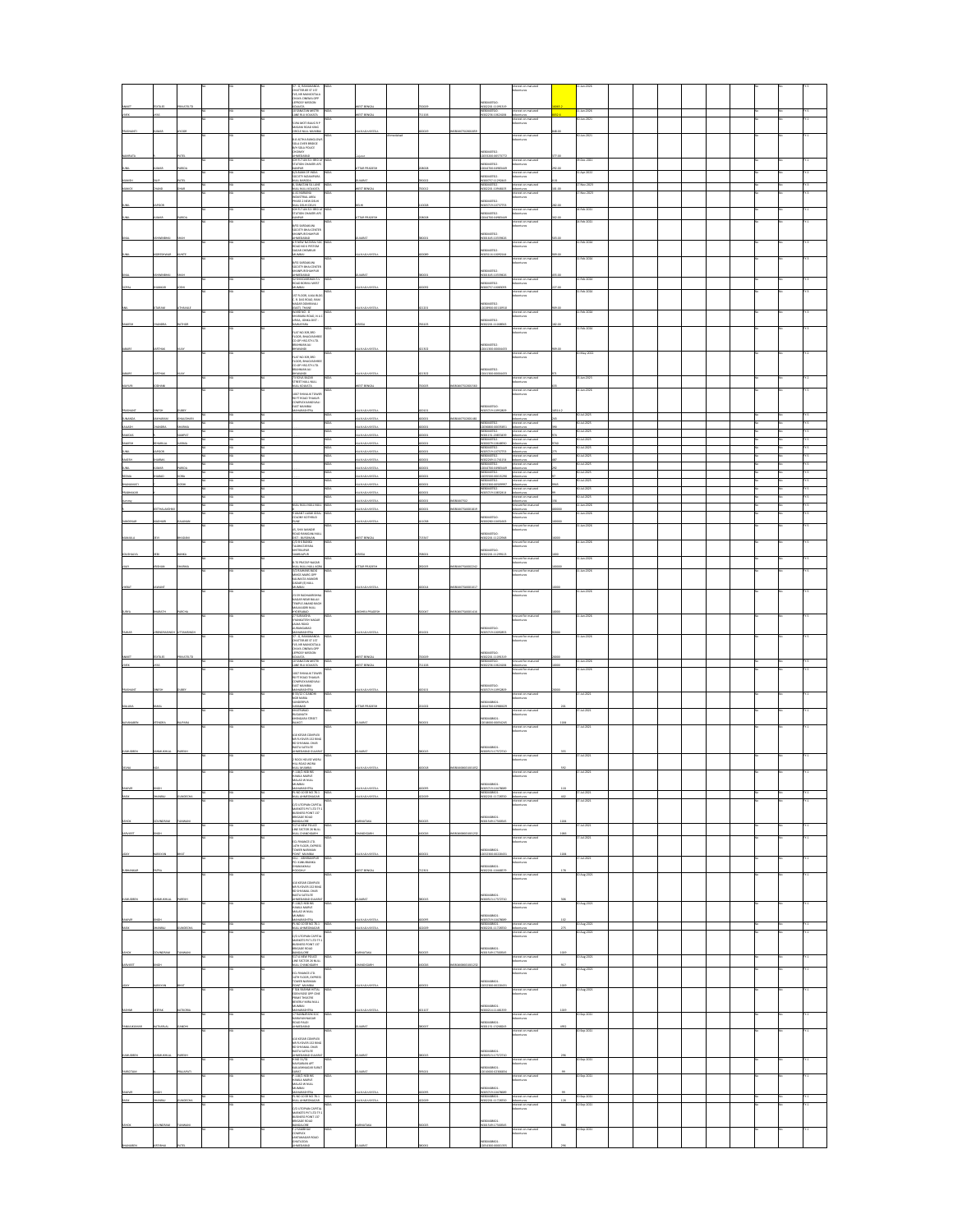|            |               |             |  | 47 - G, KAMANAMARIA<br>DHATTERIEE ST 15T<br>FLR, NR MANNOXTALA<br>DHATA CINEMA OPP<br>LEPROSY MISSION<br>HTM HTT                                                                                                                                                            |                                             |              |                |                                                                  | $_{\text{stars}}$                                   |                    |                         |  |  |  |    |
|------------|---------------|-------------|--|-----------------------------------------------------------------------------------------------------------------------------------------------------------------------------------------------------------------------------------------------------------------------------|---------------------------------------------|--------------|----------------|------------------------------------------------------------------|-----------------------------------------------------|--------------------|-------------------------|--|--|--|----|
|            |               |             |  | AN MISTR                                                                                                                                                                                                                                                                    |                                             |              |                | 060750                                                           |                                                     |                    |                         |  |  |  |    |
|            |               |             |  | AND REU KOLKATA                                                                                                                                                                                                                                                             | <b>AGNES</b> T23                            | 1100         |                | 2236-1062418                                                     | bentures                                            | 24                 |                         |  |  |  |    |
|            |               |             |  | .<br>Mgani koad king<br><b>RCLE NULL MUMB</b>                                                                                                                                                                                                                               |                                             |              |                |                                                                  | et on r<br>rtures                                   |                    |                         |  |  |  |    |
|            |               |             |  |                                                                                                                                                                                                                                                                             |                                             |              |                |                                                                  | arest on matured<br>bentures                        |                    | ila 2021                |  |  |  |    |
|            |               |             |  | <b>B-RASTINA BUNGLOW</b><br>SOLA OVER BRIDGE<br>RAN SOLA POLICE<br>CHOWAY                                                                                                                                                                                                   |                                             |              |                | 8040792-<br>(2200-0657                                           |                                                     |                    |                         |  |  |  |    |
|            |               |             |  | UMATELARAD<br>CHI FILT AN 321880 AL<br>GTATICN CHANGER AFS                                                                                                                                                                                                                  | TAR PRADESH                                 |              |                | NEB0410752-<br>2044700-04983441                                  | erest on m<br>Sentanes                              | 2.00               |                         |  |  |  |    |
|            |               |             |  |                                                                                                                                                                                                                                                                             | <b>IMART</b>                                | acce2        |                | E8060752-<br>300757-11292643                                     | rest on r<br>retures                                |                    |                         |  |  |  |    |
|            | <b>GWH</b>    | SMIC        |  | IAIIDN GHASAR AIS<br>IA BARC OF INDIA<br>IA BARC OF INDIA<br>IJUL BARCOA<br>IJUL NULL KOLEATA<br>IJUL NULL KOLEATA<br>IJUL NULL KOLEATA                                                                                                                                     | MONDA T23W                                  | 300012       |                | 8046792-<br>02201-10948105                                       |                                                     | 101.00             |                         |  |  |  |    |
|            |               |             |  | NDUSTRIAL AREA<br>PHASE-2 NEW DELHI                                                                                                                                                                                                                                         |                                             | xx           |                | 49040792-<br>003719-10737757                                     | etates                                              | 12.00              |                         |  |  |  |    |
|            |               |             |  | ULL DELHI DELHI<br>DH FLT AN 2218RD A<br>TATION CHAKER AP<br>wuk                                                                                                                                                                                                            | <b>CAR PR</b>                               |              |                | CR040792-<br>064700-069                                          | rrest on r<br>entures                               |                    |                         |  |  |  |    |
|            |               |             |  | R/R2 SARDAKUNU<br>SOCIETY BHAI CENTER<br>KHANPUR SHAHPUR<br>ANANG DISO NO 6 PESTOM<br>ROAD NO 6 PESTOM<br>ROAD NO 6 PESTOM<br>HIMIRINI                                                                                                                                      |                                             |              |                |                                                                  | arest on mati<br>bentures                           |                    | Feb-332                 |  |  |  |    |
|            |               |             |  |                                                                                                                                                                                                                                                                             |                                             |              |                | 468040792-<br>100645-10220420                                    |                                                     |                    |                         |  |  |  |    |
|            |               |             |  | <b>JAGAL</b>                                                                                                                                                                                                                                                                |                                             |              |                | 20040792-<br>303116-1009214                                      | rest on i<br>retures                                |                    |                         |  |  |  |    |
|            |               |             |  | r/82 Sardakunu<br>Society Bhai Center<br>Khanpur Shahpur<br>Ahmedaran Sv<br>X2 Shivdargham Sv                                                                                                                                                                               |                                             |              |                |                                                                  | rest on ma<br>entures                               |                    |                         |  |  |  |    |
|            |               |             |  | T23W LIVINGS GAOR                                                                                                                                                                                                                                                           |                                             |              |                | 040792-<br>1645-10229<br>49340792-                               | erest on r<br>Sentares                              |                    |                         |  |  |  |    |
|            |               |             |  | MikAt                                                                                                                                                                                                                                                                       | <b>LARASHTEA</b>                            |              |                | 00757-10087                                                      | erest on ma<br>Sentures                             | 7.00               |                         |  |  |  |    |
|            |               |             |  | SST FLOOR, ULKA BLDG<br>C. R. DAS ROAD, RAM<br>NAGAR DOMBINAU<br>(KAST) THANG                                                                                                                                                                                               | LARASHTRA                                   |              |                | NEB0410752-<br>2028900-00110911                                  |                                                     | 0.00               |                         |  |  |  |    |
|            |               |             |  | AIARD NO - R<br>GUARIARA ROAD, N.A.)<br>URISA, JONKA DIST -                                                                                                                                                                                                                 |                                             |              |                |                                                                  | rest on r<br>retures                                |                    |                         |  |  |  |    |
|            |               |             |  | AWARANA                                                                                                                                                                                                                                                                     |                                             |              |                | E8040752-<br>302201-11008943                                     | HIZ CO F<br>Fêderes                                 | 12.00              |                         |  |  |  |    |
|            |               |             |  | ELAT NO.309,380<br>FLOOR, BHAGHASHEEE<br>CO-OP HEG STYLTO.<br>BRAWMEH                                                                                                                                                                                                       |                                             |              |                | 68040792-<br>1041300-0000                                        |                                                     |                    |                         |  |  |  |    |
|            |               |             |  |                                                                                                                                                                                                                                                                             |                                             |              |                |                                                                  | rest on matured<br>entanes                          |                    | fay-2022                |  |  |  |    |
|            |               |             |  | LAT NO 309,360<br>LOOR, BHAGHASHREI<br>LO-OP HEG STYLTD.<br>RAWMAN ALI                                                                                                                                                                                                      |                                             |              |                | INEB040792-<br>12041300-00004622                                 |                                                     |                    |                         |  |  |  |    |
| <b>WIN</b> | MAHOO         |             |  | BHWANDI<br>73 SOVA BAZAR<br>STREET NULL NULL<br>NULL KOLKATA                                                                                                                                                                                                                | <b>ASLARASETE</b><br>MEST BENGAL            | 1302<br>cocc | 4804075/200156 |                                                                  | irest on m.<br>ietšanes                             |                    | as-2022                 |  |  |  |    |
|            |               |             |  | 007 SHIVALIK TOWER<br>O FT ROAD THAKUR                                                                                                                                                                                                                                      |                                             |              |                |                                                                  | rest on ma<br>entanes                               |                    |                         |  |  |  |    |
|            |               |             |  | ki Fi wewei inwalik<br>Complex kandivali<br>Javakasashiba<br>Marakashiba                                                                                                                                                                                                    | <b>HARASHTE/</b>                            |              |                | 48040750-<br>(303719-10952809                                    |                                                     | 514.2              |                         |  |  |  |    |
|            | <b>HARAM</b>  |             |  |                                                                                                                                                                                                                                                                             | <b>ARASHTRA</b>                             | oon          | 6804075/20054  | 360792                                                           | <b>Kured</b>                                        |                    | as-2029                 |  |  |  |    |
|            | <b>ANDRA</b>  | ARMA        |  |                                                                                                                                                                                                                                                                             | <b>GLASSETEA</b>                            | icoos        |                | 036800-00035851<br>01151-20853439                                | <b>Sections</b>                                     |                    |                         |  |  |  |    |
|            | <b>ARLAL</b>  |             |  |                                                                                                                                                                                                                                                                             | <b>SIETRA</b>                               |              |                | 00079-10648930                                                   | tured<br>enture                                     |                    | AL-2025                 |  |  |  |    |
|            | <b>JAMA</b>   |             |  |                                                                                                                                                                                                                                                                             | <b>HARASHTRA</b>                            | XX           |                | 02269-11741154                                                   | tund<br>entance                                     |                    | AL-2025                 |  |  |  |    |
|            |               |             |  |                                                                                                                                                                                                                                                                             |                                             |              |                |                                                                  | tured                                               |                    | AL-2025                 |  |  |  |    |
|            |               |             |  |                                                                                                                                                                                                                                                                             | <b>LARASHTE/</b><br><b><i>UARASHTEP</i></b> |              |                | 15500-00015290<br>como:                                          | bertaws                                             |                    |                         |  |  |  |    |
|            |               |             |  |                                                                                                                                                                                                                                                                             | <b><i>GUARASHTRA</i></b><br><b>HARASHTE</b> | cons<br>coce |                | 03719-10832414                                                   | mente<br>contrato<br>entures<br>rred on mature      |                    |                         |  |  |  |    |
|            |               |             |  | <b>NUMBER</b>                                                                                                                                                                                                                                                               | <b>LARASHTE</b>                             | x            | 6804075/2      |                                                                  | entanes<br>Sunt for n                               |                    | - 223                   |  |  |  |    |
|            |               |             |  | MANT LAXMI IDEA<br>.ONY KOTHRUD<br>                                                                                                                                                                                                                                         |                                             | 028          |                | 8040750-<br>00280-10451663                                       | ebentures<br>imount for matured<br>ebentures        |                    | as-3326                 |  |  |  |    |
|            |               |             |  |                                                                                                                                                                                                                                                                             | <b>CER T23</b>                              |              |                | asunton                                                          | cunt for m<br>Sentanes                              |                    | $6-202$                 |  |  |  |    |
|            |               |             |  | 45, SHIV MANDIR<br>ROAD RANGANI NULL<br>DIST - RUBDWAN<br>TALBHATARRA<br>TALBHATARRA<br>OHTRAUPUR<br>VANBAUPUR                                                                                                                                                              |                                             |              |                | 0305-11233                                                       | ount for matured<br>ientures                        |                    | $485 - 2026$            |  |  |  |    |
|            |               |             |  | -<br>20 PAATAP NAGAR                                                                                                                                                                                                                                                        |                                             |              |                | 040750-<br>0201-11296                                            | iount for ma<br>Sentanes                            |                    | $8-202$                 |  |  |  |    |
|            |               |             |  | LL NULL NULL AGE<br>: RAIHANS BLDG                                                                                                                                                                                                                                          |                                             |              |                |                                                                  | sount for matured<br>bentures                       |                    |                         |  |  |  |    |
|            |               |             |  | qu kajanas bligi<br>Kalimata mandir<br>Galimata mandir<br>Dadar (5) null<br>Kumbai                                                                                                                                                                                          |                                             |              |                |                                                                  |                                                     |                    |                         |  |  |  |    |
|            |               |             |  | 23-59 RADHANDISHMA<br>NAGAR NEAR BALAI<br>TEMPLE ANAND BAGH<br>MALKAIGIR NULL<br>MALKAIGIR NULL                                                                                                                                                                             |                                             |              |                |                                                                  | ount for matures<br>entures                         |                    |                         |  |  |  |    |
|            |               |             |  |                                                                                                                                                                                                                                                                             |                                             |              |                |                                                                  |                                                     |                    |                         |  |  |  |    |
|            |               |             |  | MERKANAN<br>MDERARAD<br>17 SURAKSHA<br>NURANGARAD<br>WRANGARAD                                                                                                                                                                                                              |                                             |              |                |                                                                  | iount for matured<br>Sentanes                       |                    | as 22%                  |  |  |  |    |
|            |               | MASINGI     |  |                                                                                                                                                                                                                                                                             | <b>HARASHTRA</b>                            |              |                | E8040750-<br>302719-10092853                                     | unt fari<br>ntures                                  |                    |                         |  |  |  |    |
|            |               |             |  | AUMONDONINA<br>127 - G, RAMANANDA<br>CHATTERIEE ST 15T<br>FIR, NR MANICITALA<br>CHATA, NR MANICITALA<br>10 SANATAN MISTRI<br>10 SANATAN MISTRI                                                                                                                              |                                             |              |                |                                                                  |                                                     |                    |                         |  |  |  |    |
|            |               |             |  | 'an mistri<br>ANE REU KOLKATA                                                                                                                                                                                                                                               | <b>MEST BENGAL</b>                          | 11106        |                | 002236-10624184                                                  | unt for matured                                     | œ                  | as 2026                 |  |  |  |    |
|            |               |             |  |                                                                                                                                                                                                                                                                             |                                             |              |                |                                                                  | Sebentures<br>Uniount for mar<br>Sebentures         |                    |                         |  |  |  |    |
|            |               |             |  | 1007 SHIVAIN TOWER<br>1007 SHIVAIN TOWER<br>CATAOND THANKS<br>1007 MARAMAN<br>1007 MARAMAN<br>1007 MARAMAN<br>1007 MARAMAN<br>1007 MARAMAN<br>1007 MARAMAN<br>1007 MARAMAN<br>1007 MARAMAN<br>1007 MARAMAN<br>1007 MARAMAN                                                  |                                             |              |                | 8040750-<br>02719-10952805                                       |                                                     |                    |                         |  |  |  |    |
|            |               |             |  |                                                                                                                                                                                                                                                                             |                                             |              |                |                                                                  | rest on mature<br>entans                            |                    |                         |  |  |  |    |
|            |               |             |  |                                                                                                                                                                                                                                                                             | <b>MA PAADES</b>                            |              |                | 44700-029                                                        | entants                                             | $201$              |                         |  |  |  |    |
|            |               |             |  |                                                                                                                                                                                                                                                                             |                                             |              |                | 0408601<br>19003-0001                                            | erest on n<br>Sentanes                              |                    |                         |  |  |  |    |
|            |               |             |  |                                                                                                                                                                                                                                                                             |                                             |              |                |                                                                  |                                                     |                    |                         |  |  |  |    |
|            |               |             |  | 410 KESAR COMPLEX<br>NR FLYDVER 132 RING<br>RD SHYMANL CHAR<br>RASTA SATELITE<br>AHAFEDARAD GLUARAT                                                                                                                                                                         |                                             |              |                | NEBOAIOBGO1-<br>NGOOS13-17372710                                 |                                                     |                    |                         |  |  |  |    |
|            |               |             |  | ROCK HOUSE WORL                                                                                                                                                                                                                                                             |                                             |              |                |                                                                  | rest on i<br>entures                                |                    |                         |  |  |  |    |
|            |               |             |  | NULL MUMBAL<br>P-118/2 NSR INS<br>HAMLA MARVE<br>MALAD W NULL                                                                                                                                                                                                               |                                             |              |                |                                                                  | rest on r<br>entures                                |                    |                         |  |  |  |    |
|            |               |             |  | miani<br>Haraghitra<br>Ko 10 sr no 78-                                                                                                                                                                                                                                      | AHARASHTRA                                  | cos          |                | 136108601-<br>13719-10678689<br>Navigate                         |                                                     | $^{\rm 118}$       |                         |  |  |  |    |
| юĸ         | HANRAJ        | LINDECHA    |  | <b>SAZANGIBRALIUS</b>                                                                                                                                                                                                                                                       | <b>ANARASHTRA</b>                           | 122009       |                | 000201-11720700                                                  | est on n<br>etates                                  | 402                |                         |  |  |  |    |
|            |               |             |  | CJO UTOPANA CAPITAL<br>MARKETS PVT LTD TF-1<br>RIKGADE ROAD<br>RIKGADE ROAD                                                                                                                                                                                                 |                                             |              |                |                                                                  |                                                     |                    |                         |  |  |  |    |
| ю          |               |             |  | iangalore<br>17-a nëw Police<br>ine sector 26 njill<br>iuli Chandigarh                                                                                                                                                                                                      | <b>AXATAKA</b>                              |              |                | NERDAIOBEO1-<br>NGCCE48-17300545                                 | irest on m.<br>ietšanes                             | 1184               |                         |  |  |  |    |
|            |               |             |  |                                                                                                                                                                                                                                                                             |                                             |              |                |                                                                  | terest on matureo<br>bentures                       |                    |                         |  |  |  |    |
|            |               |             |  | THE FRAMES (TO ANGELES)<br>TOWER NARIONAL TOPICS<br>TOWER NARIONAL<br>YELL - ABHERANNIE<br>PO-KASHERANNIE<br>CHANNIE<br>SHANNIE                                                                                                                                             | <b><i>USASHTE</i></b>                       |              |                | 493408601<br>2032300-0022043                                     |                                                     | 118                |                         |  |  |  |    |
|            |               |             |  | DOGHLY                                                                                                                                                                                                                                                                      | <b>KSYGS T23</b>                            |              |                | 103808014<br>102201-10468570                                     | rest on m<br>entures                                | 178                |                         |  |  |  |    |
|            |               |             |  |                                                                                                                                                                                                                                                                             |                                             |              |                |                                                                  | rest on m<br>retures                                |                    |                         |  |  |  |    |
|            |               |             |  |                                                                                                                                                                                                                                                                             |                                             |              |                | 102801052                                                        |                                                     |                    |                         |  |  |  |    |
| UMUDSEN    | MMCRHAL       | <b>MGKH</b> |  |                                                                                                                                                                                                                                                                             | IARAT                                       |              |                | AG00513-17272710                                                 | vrest on ma<br>entanes                              | 306                |                         |  |  |  |    |
|            |               |             |  | 410 KISAR COMPUSK<br>AR FAYOVER 132 RING<br>RO SHOWAR 132 RING<br>RASTA SATELITS<br>RASTA SATELITS<br>ARAHIAN ARAKAS<br>MARIAN ARAKAS<br>MARIAN ARAKAS<br>MARIAN ARAKAS<br>MARIAN ARAKAS<br>MARIAN ARAKAS<br>MARIAN ARAKAS<br>MARIAN ARAKAS                                 |                                             |              |                | 400408601                                                        |                                                     | 102                |                         |  |  |  |    |
|            |               |             |  |                                                                                                                                                                                                                                                                             |                                             | .<br>Walio   |                |                                                                  | erest on matured<br>asses.<br>eren veri<br>Sentanes | $2\%$              | 35 Aug 2021<br>Aug-2023 |  |  |  | 61 |
|            |               |             |  | C/O UTOPAN CAPITAL<br>MARKETS PVT LTD TF-1<br>BUSINESS POINT 127<br>BUSINES ROM<br>SAT-A NEW POLICE<br>LINE SECTOR 36 NULL<br>NULL CHANDIGARH                                                                                                                               |                                             |              |                | 400408601                                                        |                                                     |                    |                         |  |  |  |    |
|            |               |             |  |                                                                                                                                                                                                                                                                             |                                             |              |                | 101549-17200547                                                  | terest on matured<br>bentures                       | 1019               | Aug-2021                |  |  |  |    |
|            |               |             |  |                                                                                                                                                                                                                                                                             |                                             |              |                |                                                                  | erest on matured<br>entures                         | 917                | Aug-2021                |  |  |  |    |
|            |               |             |  |                                                                                                                                                                                                                                                                             |                                             |              |                | 680408601<br>0032900-0022043                                     |                                                     | sou                |                         |  |  |  |    |
|            |               |             |  | NAN LITTERING<br>103 FRANCE (TD. 1679)<br>103 FR NASHAN<br>104 MARANI HETAL<br>12 DN RASHAN HETAL<br>103 WASHANI THEATRE<br>103 FRANCE THEATRE<br>103 FRANCE THEATRE<br>103 FRANCE THEATRE                                                                                  |                                             |              |                |                                                                  | erest on matured<br>Sentanes                        |                    | Aug-2021                |  |  |  |    |
|            | .<br>EPAN     |             |  | mbai<br>harashtra<br>gannavareso:                                                                                                                                                                                                                                           | <b>NARASHTE</b>                             | 1107         |                | 804108601-<br>00214-11481359                                     |                                                     | 1019               |                         |  |  |  |    |
|            |               |             |  | LI KANNAHANA ILIA<br>NARAYAN NAGAR<br>NAMEDARAD                                                                                                                                                                                                                             |                                             |              |                | NER0408601-<br>NGC 151-12268243                                  | entant                                              |                    |                         |  |  |  |    |
|            | <b>TVARLA</b> |             |  |                                                                                                                                                                                                                                                                             | MAAT                                        | XX           |                |                                                                  | rest on i<br>entures                                | 4932               |                         |  |  |  |    |
|            |               |             |  | 410 KESAR COMPACK<br>SR RIDOKR 122 RNG<br>RS RIDOKR 122 RNG<br>RSETA SATILITE<br>RSETA SATILITE<br>RSETA SATILITE<br>RNG RIDO 2022<br>MAASPARGAR SURAT<br>MAASPARGAR SURAT<br>CHULASPARGAR SURAT<br>MAASPARGAR<br>MAASPARGAR<br>MAASPARGAR<br>MAASPARGAR<br>MAASPARGAR<br>M |                                             |              |                | 680408601                                                        |                                                     |                    |                         |  |  |  |    |
|            |               |             |  |                                                                                                                                                                                                                                                                             |                                             |              |                | 000513-1737271                                                   | erest on matured<br>Sentanes                        |                    | Sep-2021                |  |  |  |    |
|            |               |             |  |                                                                                                                                                                                                                                                                             | (kK)                                        |              |                | 400408601<br>010600-0230683                                      |                                                     | 99                 | Sep 202                 |  |  |  |    |
|            |               |             |  |                                                                                                                                                                                                                                                                             |                                             |              |                |                                                                  | erest on matured<br>bentures                        |                    |                         |  |  |  |    |
|            |               |             |  |                                                                                                                                                                                                                                                                             | <b>HARASHTRA</b><br><b>HARASHTRA</b>        | œ<br>oo      |                | NEBO4IOBEO1-<br>NGC2719-10478E89<br>804108601-<br>02205-11728700 | est on<br><b>THE OR MACURE</b>                      | 39<br>$_{\rm 128}$ |                         |  |  |  |    |
|            |               |             |  |                                                                                                                                                                                                                                                                             |                                             |              |                |                                                                  |                                                     |                    |                         |  |  |  |    |
|            |               |             |  |                                                                                                                                                                                                                                                                             |                                             |              |                |                                                                  | entates                                             |                    |                         |  |  |  |    |
|            |               |             |  | CJO UTOPIAN CAPITAL<br>MARKETS PVT LTD TF-1<br>RUSINGER ROAD<br>RIKKANG ROAD                                                                                                                                                                                                |                                             |              |                | 680408601<br>001549-1720054                                      |                                                     |                    |                         |  |  |  |    |
|            |               |             |  | BRIGADE ROAD<br>BANGALORE<br>F-2 SAMBHAY<br>COMPLEX<br>MATANAGAR ROAD<br>GHATLODA<br>GHATLODA                                                                                                                                                                               |                                             |              |                | 10280802                                                         | erest on matured<br>Sentanes                        |                    | Sep-2021                |  |  |  |    |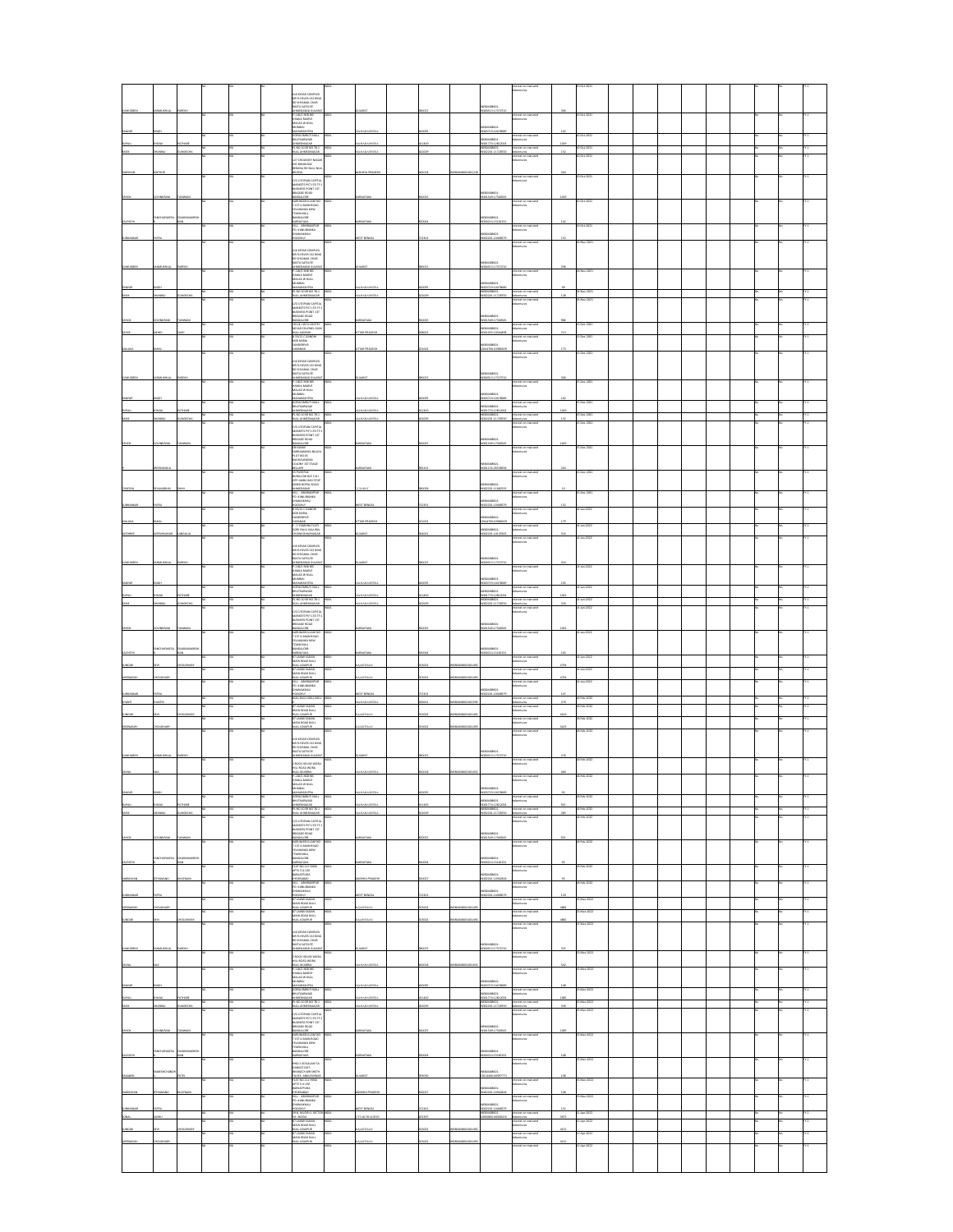|              |               |                |  |                                                                                                                                                                                                                                                                                |                                    |               |              |                                                               | entures                                        |                 |                      |  |  |  |  |  |
|--------------|---------------|----------------|--|--------------------------------------------------------------------------------------------------------------------------------------------------------------------------------------------------------------------------------------------------------------------------------|------------------------------------|---------------|--------------|---------------------------------------------------------------|------------------------------------------------|-----------------|----------------------|--|--|--|--|--|
|              |               |                |  | 410 KESAR COMPUEX<br>SR FUYOVER 122 RING<br>RD SHYAMAL CHAR<br>RASTA SATELITE<br>AHATLA MARVE<br>MAMLA MARVE<br>MAMLA MARVE<br>MAMLA MARVE<br>MAMLA MARVE                                                                                                                      |                                    |               |              |                                                               |                                                |                 |                      |  |  |  |  |  |
|              |               |                |  |                                                                                                                                                                                                                                                                                |                                    |               |              | 680408601<br>000513-1737271                                   |                                                |                 |                      |  |  |  |  |  |
|              |               |                |  |                                                                                                                                                                                                                                                                                |                                    |               |              |                                                               | erest on matured<br>Sentanes                   |                 | Oct-202              |  |  |  |  |  |
|              |               |                |  |                                                                                                                                                                                                                                                                                |                                    |               |              | 103808014                                                     |                                                |                 |                      |  |  |  |  |  |
|              |               |                |  | MARASATRA<br>OPALSMRUTI NULL<br>ALTKARINADI<br>ALTKARINADI<br>I NO 10 SR NO 78-1<br>I III AUMEDNAGRE                                                                                                                                                                           | <b>LARASHTE</b>                    |               |              | 003719-10478689<br>680408601                                  | erest on mat<br>bentures                       | 102             |                      |  |  |  |  |  |
|              |               |                |  |                                                                                                                                                                                                                                                                                |                                    |               |              | 01774-128120<br>80606601-<br>02201-117267                     | rest on matured                                | 1019            | 0-021-2021           |  |  |  |  |  |
|              |               |                |  |                                                                                                                                                                                                                                                                                |                                    |               |              |                                                               | entures                                        | 122             |                      |  |  |  |  |  |
|              |               |                |  | 127 CHOLOSÉY NAGAR<br>DIG BLINGLOW<br>BERASIA RD NULL NUL<br>BHOPAL                                                                                                                                                                                                            |                                    |               |              |                                                               |                                                |                 |                      |  |  |  |  |  |
|              |               |                |  |                                                                                                                                                                                                                                                                                | <b>HYA PRADE</b>                   |               |              |                                                               | erest on matured                               | 206             |                      |  |  |  |  |  |
|              |               |                |  | C/O UTOPAN CAPITAL<br>MARKETS PVT LTD TF-1<br>BIKENSES POINT 127<br>BIKENDE ROAD                                                                                                                                                                                               |                                    |               |              |                                                               | entates                                        |                 |                      |  |  |  |  |  |
|              |               |                |  |                                                                                                                                                                                                                                                                                |                                    |               |              | 1028040834<br>101549-172005                                   |                                                |                 |                      |  |  |  |  |  |
|              |               |                |  |                                                                                                                                                                                                                                                                                |                                    |               |              |                                                               | erest on matured<br>verbanes                   |                 | $3c1 - 202$          |  |  |  |  |  |
|              |               |                |  | RIGADE ROAD<br>ANGADARE ILIAN NO<br>TISTA MARAKE ILIAN NO<br>TELHARAKE ANY<br>TORN NULL<br>BANGRIDE<br>BANGRIDE<br>DEL-ARAKEAN<br>NO-KANJIRANKA<br>DIRAKEAN<br>DEL-ARAKEAN<br>DEL-ARAKEAN<br>DEL-ARAKEAN<br>DEL-ARAKEAN                                                        |                                    |               |              |                                                               |                                                |                 |                      |  |  |  |  |  |
|              |               |                |  |                                                                                                                                                                                                                                                                                |                                    |               |              | 134108601-<br>10214-151913                                    |                                                |                 |                      |  |  |  |  |  |
|              |               |                |  |                                                                                                                                                                                                                                                                                |                                    |               |              | 836108601-<br>02201-106681                                    | arest on m<br>bentures                         |                 |                      |  |  |  |  |  |
|              |               |                |  |                                                                                                                                                                                                                                                                                |                                    |               |              |                                                               | onat on r<br>entures                           |                 |                      |  |  |  |  |  |
|              |               |                |  | 410 KESAR COMPLEX<br>NR FLYOVER 122 RING<br>RD SHYMMAL CHAR<br>RASTA SATELITE                                                                                                                                                                                                  |                                    |               |              |                                                               |                                                |                 |                      |  |  |  |  |  |
|              | MUSEA         | 85K)           |  |                                                                                                                                                                                                                                                                                | <b>LIARAT</b>                      |               |              | E80408601-<br>(300513-17372710                                |                                                | 296             |                      |  |  |  |  |  |
|              |               |                |  | AHMEDARAD GLUARA<br>P-118/2 NSR INS<br>HAMLA MARNE<br>MAMLAD W NULL<br>MAMLAD W NULL                                                                                                                                                                                           |                                    |               |              |                                                               | rest on ma<br>entures                          |                 |                      |  |  |  |  |  |
|              |               |                |  | imiai<br>Harashtaa                                                                                                                                                                                                                                                             |                                    |               |              |                                                               |                                                |                 |                      |  |  |  |  |  |
|              | <b>WANNA</b>  | GLINDGCHA      |  | 0 10 59 NO<br>ARANGEMA JUA                                                                                                                                                                                                                                                     | <b><i>ANARASHTRA</i></b>           | 122009        |              | 03408601-<br>03719-10478689<br>03408601-<br>4902201-11728700  |                                                | 128             |                      |  |  |  |  |  |
|              |               |                |  |                                                                                                                                                                                                                                                                                |                                    |               |              |                                                               | etures                                         |                 |                      |  |  |  |  |  |
|              |               |                |  | CJO UTOPIAN CAPITAL<br>MARKETS PVT LTD TF-<br>RIKGADE ROAD<br>RIKGADE ROAD                                                                                                                                                                                                     |                                    |               |              |                                                               |                                                |                 |                      |  |  |  |  |  |
|              |               |                |  | ANGALORE<br>01/4, HATA OKOTEY<br>199N COLONEL GUN                                                                                                                                                                                                                              | <b>ENATAGE</b>                     |               |              | 693408601<br>101549-17200547                                  |                                                | 986             |                      |  |  |  |  |  |
|              |               |                |  |                                                                                                                                                                                                                                                                                | TAR PRADES                         |               |              | 102801082<br>1055-10544                                       | rest on i<br>entures                           | 712             |                      |  |  |  |  |  |
|              |               |                |  | ITAN LOLONIK US<br>JULIKANPUR<br>GRAMAIA<br>JADGRPUR                                                                                                                                                                                                                           |                                    |               |              | 100808-014                                                    | erest on matures<br>bentures                   |                 | Dec-202              |  |  |  |  |  |
|              |               |                |  | <b>GAMARA</b>                                                                                                                                                                                                                                                                  | TAR PR                             |               |              | 044703-0266                                                   |                                                |                 | lec-2021             |  |  |  |  |  |
|              |               |                |  |                                                                                                                                                                                                                                                                                |                                    |               |              |                                                               | rrest on matured<br>ientures                   |                 |                      |  |  |  |  |  |
|              |               |                |  |                                                                                                                                                                                                                                                                                |                                    |               |              |                                                               |                                                |                 |                      |  |  |  |  |  |
|              |               |                |  |                                                                                                                                                                                                                                                                                | <b>MAAT</b>                        |               |              | 30408601-<br>100513-17372710                                  | erest on matured                               | $^{22}$         |                      |  |  |  |  |  |
|              |               |                |  | 410 KESAR COMPUEX<br>SR FUYONER 122 RING<br>RIS SHUMANL CHAR<br>RISTA SATELITE<br>AHMELDARAD GLUARAT<br>P-113/2 NSR PSS<br>MALAD W NULL<br>MUMAD W NULL<br>MUMAD W NULL<br>MUMAD W NULL                                                                                        |                                    |               |              | 0409601                                                       | entanes                                        |                 |                      |  |  |  |  |  |
|              |               |                |  | mumbai<br>Maharashtra<br>Sopalsmruti mull<br>Bhutkarwazar<br>Vlili Ahartonasar<br>Mull Ahartonasar<br>Mull Ahartonasar                                                                                                                                                         | ANARASHTRA                         | cos           |              | 1203719-10170689                                              |                                                | 102             | Dec-2021             |  |  |  |  |  |
|              |               |                |  |                                                                                                                                                                                                                                                                                |                                    |               |              | 0000001<br>01774-1281203<br>03608601-                         | rrest on matured<br>ientures<br>est on matured | 1010            |                      |  |  |  |  |  |
|              |               | NDECH          |  |                                                                                                                                                                                                                                                                                | <b>NEARASHTEA</b>                  | $\frac{1}{2}$ |              | 02201-11728700                                                | entures<br>rest on matured<br>entures          | $_{\rm 122}$    | Orc-2021<br>Orc-2021 |  |  |  |  |  |
|              |               |                |  | C/O UTOPIAN CAPITAL<br>MARKETS PVT LTD TF-1<br>BUSINESS POINT 137<br>BRIGADE ROAD                                                                                                                                                                                              |                                    |               |              |                                                               |                                                |                 |                      |  |  |  |  |  |
|              |               |                |  |                                                                                                                                                                                                                                                                                |                                    |               |              | 03408601-<br>01549-1730054                                    |                                                |                 |                      |  |  |  |  |  |
|              |               |                |  |                                                                                                                                                                                                                                                                                |                                    |               |              |                                                               | arest on matured<br>bentures                   | 100             | $x - 202$            |  |  |  |  |  |
|              |               |                |  | <b>BANGALORE</b><br>SRI KURKE<br>SRI KURKE<br>SLIBAMANNYA NILAYA<br>REGIANNYA ST STAGE<br>BELLARY<br>BELLARY                                                                                                                                                                   |                                    |               |              |                                                               |                                                |                 |                      |  |  |  |  |  |
|              |               |                |  | <b>LARS</b>                                                                                                                                                                                                                                                                    |                                    |               |              | 1008501<br>101115-2653859                                     |                                                |                 |                      |  |  |  |  |  |
|              |               |                |  |                                                                                                                                                                                                                                                                                |                                    |               |              |                                                               | erest on matured<br>verbanes                   |                 | ec-202               |  |  |  |  |  |
|              |               |                |  |                                                                                                                                                                                                                                                                                |                                    |               |              | 45804108601-<br>(302201-11682533                              |                                                | $^{22}$         |                      |  |  |  |  |  |
|              |               |                |  | <del>GAEDARAD</del><br>ILL - ARERAMPUR<br>IG-KANJIRANKA<br>IGANJAIGGALI                                                                                                                                                                                                        |                                    |               |              | 40000601                                                      | erest on mat<br>Sentures                       |                 |                      |  |  |  |  |  |
|              |               |                |  |                                                                                                                                                                                                                                                                                | EST GENGI                          |               |              | 02201-1046857                                                 |                                                |                 |                      |  |  |  |  |  |
|              |               |                |  | DOGHLY<br>33/12 C GANDHI<br>GR NARIA<br>JADGRPUR                                                                                                                                                                                                                               |                                    |               |              | 10080801                                                      | rest on matured<br>entures                     |                 |                      |  |  |  |  |  |
|              |               |                |  | UNDONG<br>UNDONG<br>GORI FALLU HALLIRIA<br>SHOWK BHANNAGAR                                                                                                                                                                                                                     | TAR PRADES!                        |               |              | 044700-0298002                                                | arest on matured<br>bentures                   | 179             | $485 - 2022$         |  |  |  |  |  |
|              |               |                |  |                                                                                                                                                                                                                                                                                |                                    |               |              |                                                               |                                                | 216             | $a + 202$            |  |  |  |  |  |
|              |               |                |  |                                                                                                                                                                                                                                                                                |                                    |               |              |                                                               | rrest on matured<br>ientures                   |                 |                      |  |  |  |  |  |
|              |               |                |  | 410 KESAR COMPLEX<br>NR FLYDVER 132 RING<br>RD SHYAMAL CHAR<br>RASTA SATELITE<br>AUMETNABAN GI HARA'                                                                                                                                                                           |                                    |               |              |                                                               |                                                |                 |                      |  |  |  |  |  |
|              |               |                |  |                                                                                                                                                                                                                                                                                |                                    |               |              | 804108601-<br>00513-1737271                                   |                                                |                 |                      |  |  |  |  |  |
|              |               |                |  |                                                                                                                                                                                                                                                                                |                                    |               |              |                                                               | terest on matured<br>bentures                  |                 |                      |  |  |  |  |  |
|              |               |                |  |                                                                                                                                                                                                                                                                                |                                    |               |              | 2719-10476                                                    | rrest on matured                               | 105             |                      |  |  |  |  |  |
|              |               |                |  | LITKARINADI<br>MEDNAGAR<br>NO 10 59 NO 7                                                                                                                                                                                                                                       | <b><i>UARASHTE</i></b>             | 400           |              | 0608601-<br>1774-12812026<br>0608601-                         | entates                                        | 1052            |                      |  |  |  |  |  |
|              | HANRAJ        | LINDECHA       |  | AULL AVAILDAMGAR                                                                                                                                                                                                                                                               | <b><i>ANARASHTRA</i></b>           | 122009        |              | 4902201-11728700                                              |                                                | 226             |                      |  |  |  |  |  |
|              |               |                |  |                                                                                                                                                                                                                                                                                |                                    |               |              |                                                               | entanes                                        |                 |                      |  |  |  |  |  |
|              |               |                |  | (ID UTOPIAN CAPITAL<br>AMAKETS PVT LTD TF-<br>IUSINESS POINT 137<br>IRIGADE ROAD                                                                                                                                                                                               |                                    |               |              | 1028040834                                                    |                                                |                 |                      |  |  |  |  |  |
|              |               |                |  |                                                                                                                                                                                                                                                                                | <b>ENATAKI</b>                     |               |              | 001549-17200543                                               | est on<br>etane                                | 1053            |                      |  |  |  |  |  |
|              |               |                |  |                                                                                                                                                                                                                                                                                |                                    |               |              |                                                               |                                                |                 |                      |  |  |  |  |  |
|              |               |                |  |                                                                                                                                                                                                                                                                                |                                    |               |              |                                                               |                                                |                 |                      |  |  |  |  |  |
|              |               |                |  |                                                                                                                                                                                                                                                                                |                                    |               |              |                                                               |                                                | 10 <sup>2</sup> |                      |  |  |  |  |  |
|              |               |                |  |                                                                                                                                                                                                                                                                                |                                    |               |              | 80408601-<br>00214-1518133                                    | irest on matured<br>ientures                   |                 | $485 - 2022$         |  |  |  |  |  |
|              |               |                |  | IRIGADE ROAD<br>ANGALORE<br>ANGALAR ILIAM N<br>ANGALAR ILIAM NOAD<br>ELAHANICA NEW<br>DIRIGADE<br>ANGALORE<br>ANGALORE<br>ANGALORE<br>ANGALORE<br>ANGALORE                                                                                                                     |                                    |               |              |                                                               |                                                | 4224            |                      |  |  |  |  |  |
|              | <b>LONARY</b> |                |  | ajlı udayeve<br>17 ladan sadan<br>Ann Road Null                                                                                                                                                                                                                                | <b><i>STHO</i></b>                 |               |              |                                                               | vied on ma<br>Sentares                         | 4724            |                      |  |  |  |  |  |
|              |               |                |  | alli učavije<br>ILL - Abherminus<br>10- Kanjišanka<br>Haniansali                                                                                                                                                                                                               | ST BENG                            |               |              | 1028040834                                                    | erest on ma<br>entanes                         |                 |                      |  |  |  |  |  |
|              | <b>STRI</b>   |                |  | DGHLY<br>LL NULL NULL N                                                                                                                                                                                                                                                        | <b>NUMBASHITRA</b>                 |               | 80008601001  | 2201-106                                                      |                                                | $147$<br>$2\%$  | 6302                 |  |  |  |  |  |
|              |               |                |  | akan sadan<br>MW ROAD NULL                                                                                                                                                                                                                                                     |                                    |               |              |                                                               | erest on matured<br>bestates                   |                 | Feb-3323             |  |  |  |  |  |
|              |               | UDHAR          |  |                                                                                                                                                                                                                                                                                | ASTHAN                             | 1002          | 008092010149 |                                                               |                                                | 4562            |                      |  |  |  |  |  |
|              |               |                |  | ijil udarfur<br>7 laoni sadan<br>min road null<br>ijil udarfur                                                                                                                                                                                                                 |                                    |               |              |                                                               | arest on m<br>bertares                         | 4542            | Feb-3022             |  |  |  |  |  |
|              |               |                |  | D KESAR COMPLEX                                                                                                                                                                                                                                                                |                                    |               |              |                                                               | arest on matured<br>bentures                   |                 |                      |  |  |  |  |  |
|              |               |                |  |                                                                                                                                                                                                                                                                                |                                    |               |              |                                                               |                                                |                 |                      |  |  |  |  |  |
|              |               |                |  | 410 KASAR COMPASK<br>NR FLYOVER 132 RING<br>RD SHYAMAL CHAR<br>RASTA SATEUTE<br>AHMEDABAD GLUARAT                                                                                                                                                                              |                                    |               |              | E804I08601-<br>300513-17372710                                |                                                | 22              | Feb-3022             |  |  |  |  |  |
|              |               |                |  |                                                                                                                                                                                                                                                                                |                                    |               |              |                                                               | arest on matured<br>bentures                   |                 |                      |  |  |  |  |  |
|              |               |                |  | 2 ROCK HOUSE WORLI<br>HILL ROAD WORLI<br>MJILL MUMBAI<br>P-118/2 NSR INS                                                                                                                                                                                                       |                                    |               |              |                                                               | neut on<br>ectures                             |                 |                      |  |  |  |  |  |
| MVR          |               |                |  |                                                                                                                                                                                                                                                                                | ANARASHTRA                         | cos           |              |                                                               |                                                | $^{42}$         |                      |  |  |  |  |  |
|              |               |                |  |                                                                                                                                                                                                                                                                                |                                    |               |              | INER04108601-<br>INGC2719-10478689                            | arest on matured<br>bentures                   |                 |                      |  |  |  |  |  |
|              | www           | wer<br>NOCCHA  |  | P-110/2 NSR INS<br>HAMALA MARKE<br>MALIARAN<br>MALIARAN<br>GOPALSMALIT MULL<br>HAMALOMALIT MULL<br>AND 10:58 NO 10:58<br>M. M. 10:55 NO 10:58<br>M. M. 10:55 NO 20:4                                                                                                           | <b>MAARITRA</b><br><b>LARASHTE</b> | Legg<br>22009 |              | 680408601-<br>001774-12812034<br>680408601-<br>02201-11720700 | erest on matured                               | 921<br>285      |                      |  |  |  |  |  |
|              |               |                |  | ULL AVANEDIMGAR                                                                                                                                                                                                                                                                |                                    |               |              |                                                               | Sebentures<br>réanest on m<br>Sebentures       |                 |                      |  |  |  |  |  |
|              |               |                |  |                                                                                                                                                                                                                                                                                |                                    |               |              |                                                               |                                                |                 |                      |  |  |  |  |  |
|              |               |                |  |                                                                                                                                                                                                                                                                                |                                    |               |              | 30408601-<br>IOSEB-1730056                                    |                                                |                 | Feb 202              |  |  |  |  |  |
|              |               |                |  |                                                                                                                                                                                                                                                                                |                                    |               |              |                                                               | terest on matured<br>bentures                  |                 |                      |  |  |  |  |  |
|              |               |                |  |                                                                                                                                                                                                                                                                                |                                    |               |              | 680408601<br>000214-1519133                                   |                                                |                 |                      |  |  |  |  |  |
|              |               |                |  |                                                                                                                                                                                                                                                                                |                                    |               |              | 102801052                                                     | erest on matured<br>Sentanes                   |                 | Feb-3022             |  |  |  |  |  |
|              |               |                |  | NON URBEAU CAPITAL<br>MARKES PAT LTD TF-1<br>MARKES PAT LTD TF-1<br>MARKES ROAD<br>MARCARS ROAD<br>COMMAND ROAD<br>TOWN NULL<br>COMMAND ROAD<br>MARKES<br>MARKES<br>MARKES<br>MARKES<br>MARKES<br>MARKES<br>MARKES<br>MARKES<br>MARKES<br>MARKES<br>MARKES<br>MARKES<br>MARKES | <b>BA PRADE</b>                    |               |              | 02201-1035281                                                 |                                                |                 | Feb-332              |  |  |  |  |  |
|              |               |                |  |                                                                                                                                                                                                                                                                                |                                    |               |              | E80408601-                                                    | ered on matured<br>bertures                    |                 |                      |  |  |  |  |  |
| URHANDONR    | <b>ASTA</b>   |                |  |                                                                                                                                                                                                                                                                                | MEST BENGAL                        | 2201          |              | AG02201-10468579                                              |                                                | 129             |                      |  |  |  |  |  |
| <b>KAKSH</b> |               |                |  |                                                                                                                                                                                                                                                                                |                                    |               |              |                                                               | rest on ma<br>entures<br>erest on matured      | 482             |                      |  |  |  |  |  |
| NDAR         |               |                |  | <i><b>UGEATPURA<br/>MICRAIRMAN<br/>AD-KARURANDUR<br/>NG KARURANDALI<br/>NG KARURANDALI<br/>TURNIS ROAD NULL<br/>NG KARURANDALI<br/>NG KARURANDALI</b><br/>NG KARURANDALI</i><br>MAIN ROAD NULL<br>NULL UDARFUR                                                                 | ASTELAN                            | ios:          |              |                                                               | abertares                                      | 4882            |                      |  |  |  |  |  |
|              |               |                |  |                                                                                                                                                                                                                                                                                |                                    |               |              |                                                               | irest on ma<br>iectures                        |                 |                      |  |  |  |  |  |
|              |               |                |  |                                                                                                                                                                                                                                                                                |                                    |               |              |                                                               |                                                |                 |                      |  |  |  |  |  |
|              |               |                |  |                                                                                                                                                                                                                                                                                | <b>VANT</b>                        |               |              | E80408601-<br>300513-17372730                                 |                                                | 229             |                      |  |  |  |  |  |
|              |               |                |  | 410 KESAR COMPLEX<br>AR FLYOVER 132 RING<br>RO SHIMMAL CHAR<br>RASTA SATELITE<br>AHAETOARAD GLUARAT                                                                                                                                                                            |                                    |               |              |                                                               | derest on matured<br>ebentures                 |                 | Mar-2022             |  |  |  |  |  |
|              |               |                |  |                                                                                                                                                                                                                                                                                |                                    |               |              |                                                               |                                                | 50              | Ma: 2022             |  |  |  |  |  |
|              |               |                |  |                                                                                                                                                                                                                                                                                |                                    |               |              |                                                               | erest on matured<br>Sentanes                   |                 |                      |  |  |  |  |  |
|              |               |                |  | 2 ROCK HOUSE WORLY<br>HELL ROAD WORLY<br>NELL MUMBAY<br>P-118/2 NSR INS<br>HAMLA MARVE<br>MALAD W NULLY<br>MALAD W NULLY<br>MALAD W NULLY                                                                                                                                      | <b><i>GURASHTRA</i></b>            | XX            |              | E80408601-<br>003719-10478689                                 |                                                | 108             |                      |  |  |  |  |  |
| <b>JPALI</b> | <b>EVAIL</b>  | <b>SRANTA</b>  |  |                                                                                                                                                                                                                                                                                | <b>NEARASHTEA</b>                  | 00011         |              |                                                               | erest on ma<br>entures                         | 1085            |                      |  |  |  |  |  |
|              | uaku          | <b>UNDECHA</b> |  | mumbai<br>Mahasashira<br>Gopalsaruti muli<br>Bhutkaruke<br>Plad 1058 mo 78-1<br>Muli Ahaktonagar<br>Muli Ahaktonagar                                                                                                                                                           | ANARASHTRA                         | 422009        |              | NEROMORGOS<br>NGOST74-12812034<br>NGOST05-11726200            | rest on matured                                | $_{226}$        |                      |  |  |  |  |  |
|              |               |                |  |                                                                                                                                                                                                                                                                                |                                    |               |              |                                                               | entures                                        |                 |                      |  |  |  |  |  |
|              |               |                |  |                                                                                                                                                                                                                                                                                |                                    |               |              |                                                               |                                                |                 |                      |  |  |  |  |  |
|              |               |                |  |                                                                                                                                                                                                                                                                                | NATAKI                             | œ             |              | 680408601-<br>001549-17300545                                 |                                                | 108             | Mar-3022             |  |  |  |  |  |
|              |               |                |  |                                                                                                                                                                                                                                                                                |                                    |               |              |                                                               | sterest on matured<br>lebentures               |                 |                      |  |  |  |  |  |
| LPATH        |               |                |  | C/OUTOPAN CAPITAL<br>MARKETS PVT LTD TF-1<br>BUSINESS PONT 122<br>BUSINESS PONT 122<br>BANGALORE<br>MARGALARE ILIAM NO<br>TCUMANACA NEW<br>TCUMANACA NEW<br>TCUMANACA<br>TCUMANACA<br><b>AMATAKA</b>                                                                           | <b>ENATAKA</b>                     | α             |              | NEBOAIOBGOS-<br>NGOCOS 6-SESISI 22                            |                                                | 108             |                      |  |  |  |  |  |
|              |               |                |  |                                                                                                                                                                                                                                                                                |                                    |               |              |                                                               | rest on ma<br>entures                          |                 |                      |  |  |  |  |  |
|              |               |                |  |                                                                                                                                                                                                                                                                                |                                    |               |              |                                                               |                                                |                 |                      |  |  |  |  |  |
|              |               |                |  |                                                                                                                                                                                                                                                                                |                                    |               |              | 80408601-<br>114400-0099                                      |                                                |                 | Mar-2022             |  |  |  |  |  |
|              |               |                |  | HNO 1-60 KALAM TA-<br>HANGOT DIST<br>BHARLICH MR SHETH<br>GAINA, ANNESHAVAR<br>GATNO 1111 HIMA<br>APTS 3-6-120<br>MRCBABAR                                                                                                                                                     |                                    |               |              | 02201-1095                                                    | terest on matured<br>ebentures                 |                 |                      |  |  |  |  |  |
|              |               |                |  |                                                                                                                                                                                                                                                                                |                                    |               |              |                                                               | ered on ma<br>bertares                         |                 |                      |  |  |  |  |  |
|              |               |                |  | MISSAN<br>VILL - ABHRAMPUR<br>PO-KANJIRANKA<br>DHANANGHLI<br>MODGHLY<br>RPA, NEGRO-I SECTI                                                                                                                                                                                     | MONG T22                           | 201           |              | 80408601-<br>02201-1046<br>80408601-                          | rest on m                                      | $_{1\Omega}$    |                      |  |  |  |  |  |
|              | LHOA          |                |  |                                                                                                                                                                                                                                                                                | <b>TTAR PRADISEL</b>               | 201307        |              | 2060800-00000415                                              | bentanes                                       | 3672            | for 202              |  |  |  |  |  |
|              |               |                |  | ephe, Nissand-1 Sac.<br>26 - Norve Sachan<br>Marn Road Nuss.<br>Marn Road Nuss.                                                                                                                                                                                                |                                    |               |              |                                                               | rest on m<br>entures                           | 422             |                      |  |  |  |  |  |
|              | CLONARY       |                |  | ajlı uğnpur<br>17 lkomi sasan<br>anın road mull<br>ajlı uğnpur                                                                                                                                                                                                                 | ASTELO                             | 3002          |              |                                                               | arest on m.<br>bentures                        | 4131            |                      |  |  |  |  |  |
|              |               |                |  |                                                                                                                                                                                                                                                                                |                                    |               |              |                                                               |                                                |                 |                      |  |  |  |  |  |
|              |               |                |  |                                                                                                                                                                                                                                                                                |                                    |               |              |                                                               |                                                |                 |                      |  |  |  |  |  |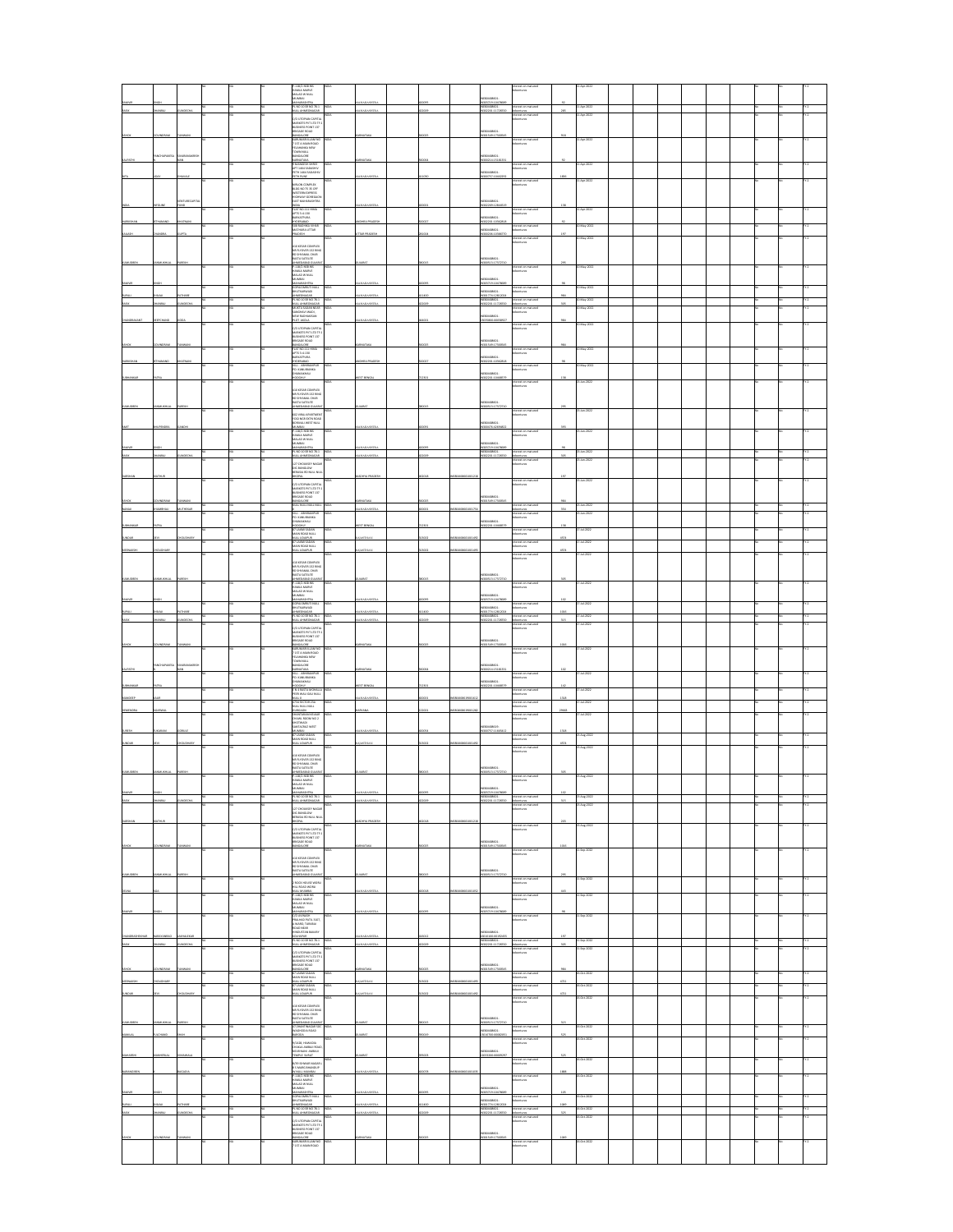|            |                           |                               |  | 18/2 NSR 1<br>P-118/7 NHH RG<br>HAMLA MARVE<br>MUMBAI<br>MUMBAI                                                                                                                                                                                          |                                             |             |                |                                                                             |                                                  |                 |                       |  |  |  |  |  |
|------------|---------------------------|-------------------------------|--|----------------------------------------------------------------------------------------------------------------------------------------------------------------------------------------------------------------------------------------------------------|---------------------------------------------|-------------|----------------|-----------------------------------------------------------------------------|--------------------------------------------------|-----------------|-----------------------|--|--|--|--|--|
|            |                           |                               |  |                                                                                                                                                                                                                                                          |                                             |             |                | 303719-10478<br>EROMORGOL-                                                  |                                                  |                 |                       |  |  |  |  |  |
|            |                           |                               |  | www.cutra<br>No 10 58 No 78-1<br>ILL AHMEDNAGAR                                                                                                                                                                                                          | <b><i><b>HARASHTRA</b></i></b>              | ioos        |                | 002201-11726700                                                             | entures<br>rest on matured<br>entures            | $_{24\%}$       | Apr-2022<br>-Apr-2022 |  |  |  |  |  |
|            |                           |                               |  | JO UTOPAN CAPITAL<br>MAKETS PAT LTD TF-<br>USINESS POINT 137<br>RIGADE ROAD<br>HACHLORE                                                                                                                                                                  |                                             |             |                |                                                                             |                                                  |                 |                       |  |  |  |  |  |
|            |                           |                               |  |                                                                                                                                                                                                                                                          |                                             |             |                | 00408601-<br>01549-172001                                                   |                                                  |                 | Apr-202               |  |  |  |  |  |
|            |                           |                               |  | MANGALORE<br>KARLAMAR ILIAM NO<br>KARLAMAR ILIAM NO<br>KELAHARIKA NGHI<br>TOWN NULL<br>BANGALORE                                                                                                                                                         |                                             |             |                |                                                                             | rrest on matured<br>entures                      |                 |                       |  |  |  |  |  |
|            |                           |                               |  |                                                                                                                                                                                                                                                          |                                             |             |                | 00008601<br>000214-15181                                                    |                                                  |                 |                       |  |  |  |  |  |
|            |                           |                               |  | KARINTAKA<br>9 MANGESH SHREE<br>HPT 1464 SADASHIV<br>PETH 1464 SADASHIV<br>PETH PUNE                                                                                                                                                                     | <b>ASLARASHTE</b>                           |             |                | 10380501-022<br>(200757-10402292                                            | est on i<br>etunes                               | 1836            |                       |  |  |  |  |  |
|            |                           |                               |  |                                                                                                                                                                                                                                                          |                                             |             |                |                                                                             |                                                  |                 |                       |  |  |  |  |  |
|            |                           |                               |  | NIRLON COMPLEX<br>BLDG NO 75 25 CFF<br>WESTERN EXPRESS<br>INGHWAY GOREGAON<br>EACT MAHARASHTRA                                                                                                                                                           |                                             |             |                |                                                                             |                                                  |                 |                       |  |  |  |  |  |
|            |                           |                               |  |                                                                                                                                                                                                                                                          |                                             |             |                | 16601<br>02269-128                                                          |                                                  |                 |                       |  |  |  |  |  |
|            |                           |                               |  | NDIA<br>FLAT NO 111 HIMA<br>NPTS 3-6-130<br>IMBERANAID<br>MITHURA UTTAR<br>MAITHURA UTTAR<br>NRAIDENI                                                                                                                                                    |                                             |             |                | 80408601-<br>02201-10962                                                    | etates                                           |                 |                       |  |  |  |  |  |
|            |                           |                               |  | HOCSH                                                                                                                                                                                                                                                    | TAR PRADESH                                 |             |                | 40000601<br>100206-10286770                                                 | erest on r<br>Sentures                           | 197             |                       |  |  |  |  |  |
|            |                           |                               |  |                                                                                                                                                                                                                                                          |                                             |             |                |                                                                             | rest on i<br>retures                             |                 |                       |  |  |  |  |  |
|            |                           |                               |  | 410 KESAR COMPLEX<br>NR FLYOVER 132 RING<br>RIS SHYMMAL CHAR<br>RASTA SATELITE                                                                                                                                                                           |                                             |             |                | 00008601                                                                    |                                                  |                 |                       |  |  |  |  |  |
|            |                           |                               |  |                                                                                                                                                                                                                                                          |                                             |             |                | 00513-1727271                                                               | interest on matured<br>debentures                |                 | May-202               |  |  |  |  |  |
|            |                           |                               |  |                                                                                                                                                                                                                                                          |                                             |             |                | 103808014<br>03719-10478                                                    |                                                  |                 |                       |  |  |  |  |  |
|            | VAI                       | <b>THARE</b>                  |  |                                                                                                                                                                                                                                                          | <b>ANARASHTRA</b>                           | 1400        |                | E80408601-<br>001774-12812024                                               |                                                  | 984             |                       |  |  |  |  |  |
|            | ww                        | <b>ACCCH</b>                  |  | RASTA SATELITE<br>AHAEEDARAD GULIADI<br>P-118/2 NGR INS<br>P-118/2 NGR INS<br>MAMARAGNTRA<br>MAMARAGNTRA<br>RAILTEARINADI<br>RAILTEARINADI<br>AHAEEDAAGAR<br>AHAEEDAAGAR<br>AHAEEDAAGAR<br>AHAEEDAAGAR<br>AHAEEDAAGAR<br>AHAEEDAAGAR                     | <b><i>INTARASETRA</i></b>                   | 2009        |                | 002201-11726700                                                             |                                                  | $_{22}^{\circ}$ |                       |  |  |  |  |  |
|            |                           |                               |  | ANGHANI WADI ,<br>EW RAZHAKISAN                                                                                                                                                                                                                          |                                             |             |                | 103808014                                                                   |                                                  |                 |                       |  |  |  |  |  |
|            |                           |                               |  | AION TO:                                                                                                                                                                                                                                                 |                                             |             |                | 0035800-0005892                                                             |                                                  | 98              |                       |  |  |  |  |  |
|            |                           |                               |  | JO UTOPAN CAPITAL<br>MRKETS PVT LTD TF-1<br>RIGADE ROAD<br>RIGADE ROAD                                                                                                                                                                                   |                                             |             |                | henson                                                                      |                                                  |                 |                       |  |  |  |  |  |
|            |                           |                               |  |                                                                                                                                                                                                                                                          |                                             |             |                | 01549-17200540                                                              | rrest on matured<br>ienbanes                     |                 | May-2022              |  |  |  |  |  |
|            |                           |                               |  |                                                                                                                                                                                                                                                          |                                             |             |                | 80408601-<br>02201-10962                                                    | est on matured                                   |                 | Aug-2022              |  |  |  |  |  |
|            |                           |                               |  | NNGKORE<br>ANGKORE<br>ATAT NO 111 HIMA<br>PTS 3-6-120<br>MRCATPURA<br>LLI - ABHRAMPUR<br>C- KANJIRANKA<br>HAWANGALI<br>HAWANGALI<br>MRWANGALI                                                                                                            | EST BENGA                                   |             |                | 12201-10468                                                                 | etures                                           | 128             |                       |  |  |  |  |  |
|            |                           |                               |  |                                                                                                                                                                                                                                                          |                                             |             |                |                                                                             | rest on mature<br>etates                         |                 |                       |  |  |  |  |  |
|            |                           |                               |  | 410 KESAR COMPLEX<br>NR FLYOVER 132 RING<br>RD SHRAMAL CHAR<br>RASTA SATELITE<br>AHAEEDARAD GLUARA'                                                                                                                                                      |                                             |             |                | 10280802                                                                    |                                                  |                 |                       |  |  |  |  |  |
|            |                           |                               |  |                                                                                                                                                                                                                                                          | 148.47                                      |             |                | (200513-17272710                                                            | rrest on ma<br>entures                           | $2\%$           |                       |  |  |  |  |  |
|            |                           |                               |  |                                                                                                                                                                                                                                                          |                                             |             |                | 80408601-<br>00476-4369                                                     |                                                  |                 |                       |  |  |  |  |  |
|            |                           |                               |  |                                                                                                                                                                                                                                                          |                                             |             |                |                                                                             | orest cin r<br>ventures                          |                 |                       |  |  |  |  |  |
|            |                           |                               |  | 603 VIRAL APARTMENT<br>VOGI NGR EXTIV ROAD<br>NGRIVALI WEST NULL<br>MUMBAL<br>MARLA MARKE<br>MARLA MARKE<br>MARLAD W NULL<br>MUMBAL<br>MARLAD W NULL<br>MARLAD W NULL<br>MARLAD W NULL<br>MARLAD W NULL<br>MARLAD W NULL                                 |                                             |             |                | hanson<br>03719-10476<br>80408601-                                          |                                                  |                 |                       |  |  |  |  |  |
|            |                           |                               |  |                                                                                                                                                                                                                                                          | LARASHTRA                                   |             |                | 002201-11728700                                                             | <b>Mured</b>                                     | $_{2\%}$        | n-2022                |  |  |  |  |  |
|            |                           |                               |  | 27 CHOLICSEY NAGA<br>NG BIJINGLOW<br>IERASIA ROMULL NU                                                                                                                                                                                                   |                                             |             |                |                                                                             |                                                  |                 |                       |  |  |  |  |  |
|            |                           |                               |  |                                                                                                                                                                                                                                                          |                                             |             |                |                                                                             | rest on ma<br>entanes                            |                 | 0.202                 |  |  |  |  |  |
|            |                           |                               |  | CJO UTOPIAN CAPITAL<br>MARKETS PVT LTD TF-<br>RUGINESS POINT 132<br>RINGALORE<br>RANGALORE<br>NUL NULL NULL NULL                                                                                                                                         |                                             |             |                |                                                                             |                                                  |                 |                       |  |  |  |  |  |
|            | VINDRAM<br><b>MARKATI</b> | <b>WAAN</b><br><b>UTHEKAR</b> |  |                                                                                                                                                                                                                                                          | <b>AMATAKA</b><br><b><i>INTARASETRA</i></b> | xxx<br>coos | 45804086010017 | E80408601-<br>001549-17300545                                               |                                                  | 984<br>$_{254}$ | n-2022                |  |  |  |  |  |
|            |                           |                               |  | ll - Abhrampu<br>3- Kanjirawa<br>Hawagali                                                                                                                                                                                                                |                                             |             |                |                                                                             | bentures<br>arest on m                           |                 |                       |  |  |  |  |  |
|            |                           |                               |  | DOGHLY<br>AKONG SAGAN<br>Ini Romo nusli                                                                                                                                                                                                                  |                                             |             |                | 103808014<br>002201-1046857                                                 |                                                  | 12              |                       |  |  |  |  |  |
|            |                           |                               |  |                                                                                                                                                                                                                                                          |                                             |             |                |                                                                             |                                                  | 4574            |                       |  |  |  |  |  |
|            |                           |                               |  | EN KONDINANT<br>LIGONI SADAN<br>NN ROAD NULL<br>ILL UDNPUR                                                                                                                                                                                               |                                             |             |                |                                                                             | rest cin m<br>entures<br>irest on ma<br>ientures | 457             |                       |  |  |  |  |  |
|            |                           |                               |  |                                                                                                                                                                                                                                                          |                                             |             |                |                                                                             |                                                  |                 |                       |  |  |  |  |  |
|            |                           |                               |  | 10 KESAR COMPLEX<br>IR FLYOVER 132 RING<br>IRSTA SATELITE<br>IRSTA SATELITE                                                                                                                                                                              |                                             |             |                | 00513-172                                                                   |                                                  |                 |                       |  |  |  |  |  |
|            |                           |                               |  |                                                                                                                                                                                                                                                          |                                             |             |                |                                                                             | entanes                                          |                 |                       |  |  |  |  |  |
|            |                           |                               |  |                                                                                                                                                                                                                                                          |                                             |             |                | 0808601-<br>8719-1047                                                       |                                                  |                 |                       |  |  |  |  |  |
|            |                           |                               |  | HUTKARWATH                                                                                                                                                                                                                                               | LARASHTRA                                   |             |                | 480408601-<br>401774-12812024                                               | bentanes                                         | 1016            |                       |  |  |  |  |  |
|            |                           |                               |  |                                                                                                                                                                                                                                                          |                                             |             |                |                                                                             | ectures<br>rest on matured<br>ectures            | $21$            | u-2022                |  |  |  |  |  |
|            |                           |                               |  | ID UTOPAN CAPITAL<br>MAKETS PVT LTD TF-<br>UGNOE ROAD<br>RIGADE ROAD                                                                                                                                                                                     |                                             |             |                |                                                                             |                                                  |                 |                       |  |  |  |  |  |
|            |                           |                               |  |                                                                                                                                                                                                                                                          | INATAKI                                     |             |                | 10280802<br>001549-1720054                                                  |                                                  |                 |                       |  |  |  |  |  |
|            |                           |                               |  | REGALIS KOND<br>SAUMARI ILIAM N<br>SETA MAIN ROAD<br>ELAHANKA NEW<br>TOWN NULL<br>LANGALORE                                                                                                                                                              |                                             |             |                |                                                                             | rest co.m<br>entures                             |                 |                       |  |  |  |  |  |
|            |                           |                               |  | AGALORE<br>SEMATAKA<br>UL - ABHRAMPUR<br>CHANNASHUI<br>CHANNASHUI                                                                                                                                                                                        |                                             |             |                | 30408601-<br>100214-15191331                                                |                                                  |                 |                       |  |  |  |  |  |
|            |                           |                               |  |                                                                                                                                                                                                                                                          | ST BENGA                                    |             |                | 12201-106                                                                   | ictures                                          | 142             |                       |  |  |  |  |  |
|            |                           |                               |  | ODGHLY<br>N 4 RASTA MOHALI<br>EER WALI GALI NULI<br>IIII 0                                                                                                                                                                                               |                                             |             |                |                                                                             | rest on mature<br>etares                         | 1318            |                       |  |  |  |  |  |
|            |                           |                               |  | 724 SECTOR 22A<br>ULL NULL NULL                                                                                                                                                                                                                          |                                             |             |                |                                                                             | rest on i<br>entures                             |                 |                       |  |  |  |  |  |
|            |                           |                               |  | LIRGACN<br>HANTARAM KELKAR<br>HANTACRUZ WEST<br>ANTACRUZ WEST                                                                                                                                                                                            |                                             |             |                |                                                                             | sterest on matured<br>lebentures                 | 29667           |                       |  |  |  |  |  |
|            |                           |                               |  |                                                                                                                                                                                                                                                          |                                             |             |                | 412808482<br>(200753-11665                                                  |                                                  | 121             |                       |  |  |  |  |  |
|            |                           |                               |  | KANAN<br>7 Liotan Sadan<br>Min Road Mull<br>LL UDAIPUR                                                                                                                                                                                                   |                                             |             |                |                                                                             | rest on i<br>entures                             | 457             |                       |  |  |  |  |  |
|            |                           |                               |  |                                                                                                                                                                                                                                                          |                                             |             |                |                                                                             | rest co.m<br>entures                             |                 |                       |  |  |  |  |  |
|            |                           |                               |  |                                                                                                                                                                                                                                                          |                                             |             |                |                                                                             |                                                  |                 |                       |  |  |  |  |  |
|            |                           |                               |  |                                                                                                                                                                                                                                                          |                                             |             |                | 00513-1737271                                                               |                                                  |                 |                       |  |  |  |  |  |
| ww         | NGH                       |                               |  | 410 KESAR COMPUEX<br>SIR FUNDAR 112 RING<br>RD SHUMAN, CHAR<br>RD SHUMAN, CHAR<br>ANGTA SATURE<br>ANALAD W NULL<br>MUMAN<br>MALAD W NULL<br>MUMAN<br>MALAD W NULL<br>MUMAN<br>MALAD W NULL<br>MUMAN<br>MALAD W NULL<br>MUMAN MARAGER                     | <b>IAHARASHTRA</b>                          | cost        |                |                                                                             |                                                  | 102             |                       |  |  |  |  |  |
|            | uaku                      | <b>NOCHA</b>                  |  |                                                                                                                                                                                                                                                          | <b>ASLARASETEA</b>                          | 2009        |                | INER04I08601-<br>INER0402719-10478689<br>INER04I08601-<br>INER0201-11726700 | test on matured                                  | $_{\rm 215}$    | Aug 21                |  |  |  |  |  |
|            |                           |                               |  | 127 CHOLIKSEY NAGA<br>DIG BLINGLOW<br>BERASIA RD NULL NU<br>BHOPAL                                                                                                                                                                                       |                                             |             |                |                                                                             | entanes                                          |                 |                       |  |  |  |  |  |
|            |                           |                               |  |                                                                                                                                                                                                                                                          |                                             |             |                |                                                                             | est on n                                         |                 |                       |  |  |  |  |  |
|            |                           |                               |  | C/O UTOPAN CAPITAL<br>MARKETS PVT LTD TF-<br>RUSINGS ROAD<br>RINGASE ROAD<br>RANGALORE                                                                                                                                                                   |                                             |             |                |                                                                             | entanes                                          |                 |                       |  |  |  |  |  |
|            |                           |                               |  |                                                                                                                                                                                                                                                          | ATAKA                                       |             |                | CROMOBGO1-<br>301549-17300545                                               | interest on matured<br>debentures                | 1016            | 1-Sep-2022            |  |  |  |  |  |
|            |                           |                               |  |                                                                                                                                                                                                                                                          |                                             |             |                |                                                                             |                                                  |                 |                       |  |  |  |  |  |
|            |                           |                               |  | 410 KESAR COMPLEX<br>NR FJYDVER 122 RING<br>RD SHYMANL CHAR<br>RASTA SATELITE<br>AHMETOARAD GLUARAT                                                                                                                                                      |                                             |             |                | E804I08601-<br>300513-17372710                                              |                                                  |                 |                       |  |  |  |  |  |
|            |                           |                               |  |                                                                                                                                                                                                                                                          |                                             |             |                |                                                                             | vrest on m<br>ventures                           |                 | $500 - 2022$          |  |  |  |  |  |
|            |                           |                               |  |                                                                                                                                                                                                                                                          | <b><i>URASHTRA</i></b>                      | os          |                |                                                                             | erest on matured<br>etures                       | $^{442}$        | Sep-2022              |  |  |  |  |  |
| eva        |                           |                               |  | WARIONAU GUARR<br>HIL ROAD WARI<br>HIL ROAD WARI<br>HIL ROAD WARV<br>HILL NUMBA<br>HAL ROAD WAR<br>MALAD WARIONAU<br>MARARASWIRA<br>MARARASWIRA<br>MARARASWIRA<br>MARARASWIRA<br>MARARASWIRA<br>MARARASWIRA<br>MARARASWIRA<br>MARARASWIRA<br>MARARASWIRA | <b>ASLARASETTRA</b>                         | coss        |                | INER04IO8601-<br>IN903719-10478689                                          |                                                  | $\mathfrak{m}$  |                       |  |  |  |  |  |
|            |                           |                               |  |                                                                                                                                                                                                                                                          |                                             |             |                |                                                                             | ictures                                          |                 | ino-2022              |  |  |  |  |  |
|            |                           |                               |  |                                                                                                                                                                                                                                                          |                                             |             |                | 103808014                                                                   |                                                  |                 |                       |  |  |  |  |  |
|            |                           |                               |  |                                                                                                                                                                                                                                                          |                                             |             |                | 010000-00193455<br>220300                                                   |                                                  | 197<br>22       |                       |  |  |  |  |  |
|            |                           |                               |  |                                                                                                                                                                                                                                                          |                                             |             |                |                                                                             | tured<br>ictures                                 |                 | Sep-3022              |  |  |  |  |  |
|            |                           |                               |  | JO UTOPAN CAPITAL<br>MAKETS PVT LTD TF-1<br>USINESS POINT 127<br>RIGADE ROAD<br>ANGALORE<br>TILI USINESI                                                                                                                                                 | <b>NATAKI</b>                               |             |                | 480408601-<br>(301549-17300545                                              |                                                  | 98              |                       |  |  |  |  |  |
|            |                           |                               |  |                                                                                                                                                                                                                                                          |                                             |             |                |                                                                             | rrest on matured<br>ientures                     | 4721            | 33-2022               |  |  |  |  |  |
| <b>DAR</b> |                           | nuse                          |  | NA KURAPUR<br>LKOMPUR<br>NA ROAD MULL<br>NA ROAD MULL<br>NA ROAD MULL                                                                                                                                                                                    | <b>ASTELAN</b>                              | œ           |                |                                                                             | arest on mat<br>bertares                         | 4221            | Oct-2022              |  |  |  |  |  |
|            |                           |                               |  |                                                                                                                                                                                                                                                          |                                             |             |                |                                                                             | erest on matured<br>etates                       |                 | 3ct-202               |  |  |  |  |  |
|            |                           |                               |  | 410 KESAR COMPUEX<br>NR FUNDAER 122 RING<br>RD SHUMAAL CHAR<br>RASTA SATELITE<br>AHMEDABAD GLIMAN<br>VESHANTINAGAR SOC<br>WARCOA                                                                                                                         |                                             |             |                |                                                                             |                                                  |                 |                       |  |  |  |  |  |
|            |                           |                               |  |                                                                                                                                                                                                                                                          | <b>MRAT</b>                                 |             |                | 10280802<br>4900513-17272710                                                |                                                  | 215             |                       |  |  |  |  |  |
|            |                           |                               |  | <b>ACCA</b>                                                                                                                                                                                                                                              |                                             |             |                | 1008010801<br>016700-0009205                                                | irest on matured<br>ientures<br>erest on m       | $\Omega'$       | $-00 + 2022$          |  |  |  |  |  |
|            |                           |                               |  | (1428, HAWADA<br>IHAKLA AMBAII ROAC<br>KAR NANI AMBAII<br>YAFRE SURAT                                                                                                                                                                                    |                                             |             |                | 10280802                                                                    |                                                  |                 |                       |  |  |  |  |  |
|            |                           |                               |  |                                                                                                                                                                                                                                                          |                                             |             |                | 033200-0000929                                                              | rest cin i<br>retures                            | \$2             |                       |  |  |  |  |  |
|            |                           |                               |  | R/20 ISHNAR MAGAR<br>RS MARG BHANCAP<br>WALLI, MUMBA<br>P-11R/2 MSR INS<br>MAMARASHTRA<br>MAHARASHTRA<br>MAHARASHTRA<br>COPALSHRHITRAL<br>COPALSHRHITRAL                                                                                                 | <b>LARASHTEA</b>                            |             |                |                                                                             |                                                  | 1988            |                       |  |  |  |  |  |
|            |                           |                               |  |                                                                                                                                                                                                                                                          |                                             |             |                | 83409501                                                                    |                                                  |                 |                       |  |  |  |  |  |
|            |                           |                               |  |                                                                                                                                                                                                                                                          |                                             |             |                | 03719-1047<br>INER0409601-                                                  | rrest on matured<br>entures                      |                 | Oct-2022              |  |  |  |  |  |
|            | ww                        | NDECHA                        |  | UNCARRUIT NULL<br>HUTKARWAZI<br>HMEDNAGAR<br>ULLAHMEDNAGAR<br>ULLAHMEDNAGAR                                                                                                                                                                              | <b>RASHTE</b><br><b><i>GLARASHTRA</i></b>   | .<br>Wa     |                | 301774-12812024<br>EBONOBEO1-<br>302201-11728200                            | est on matured                                   | 100<br>$22\%$   |                       |  |  |  |  |  |
|            |                           |                               |  |                                                                                                                                                                                                                                                          |                                             |             |                |                                                                             | wrest on matured<br>pentanes                     |                 |                       |  |  |  |  |  |
|            |                           |                               |  | JO UTOPAN CAPITAL<br>MAKETS PVT LTD TF-1<br>USINESS POINT 137<br>RIGADE ROAD<br>ANGALORE<br>SST A MAIN ROAD<br>IST A MAIN ROAD                                                                                                                           |                                             |             |                | \6804108601-<br>\GD1549-17200540                                            |                                                  |                 |                       |  |  |  |  |  |
|            |                           |                               |  |                                                                                                                                                                                                                                                          |                                             |             |                |                                                                             | rderest on matured<br>Sebentures                 |                 | FO(1-2022             |  |  |  |  |  |
|            |                           |                               |  |                                                                                                                                                                                                                                                          |                                             |             |                |                                                                             |                                                  |                 |                       |  |  |  |  |  |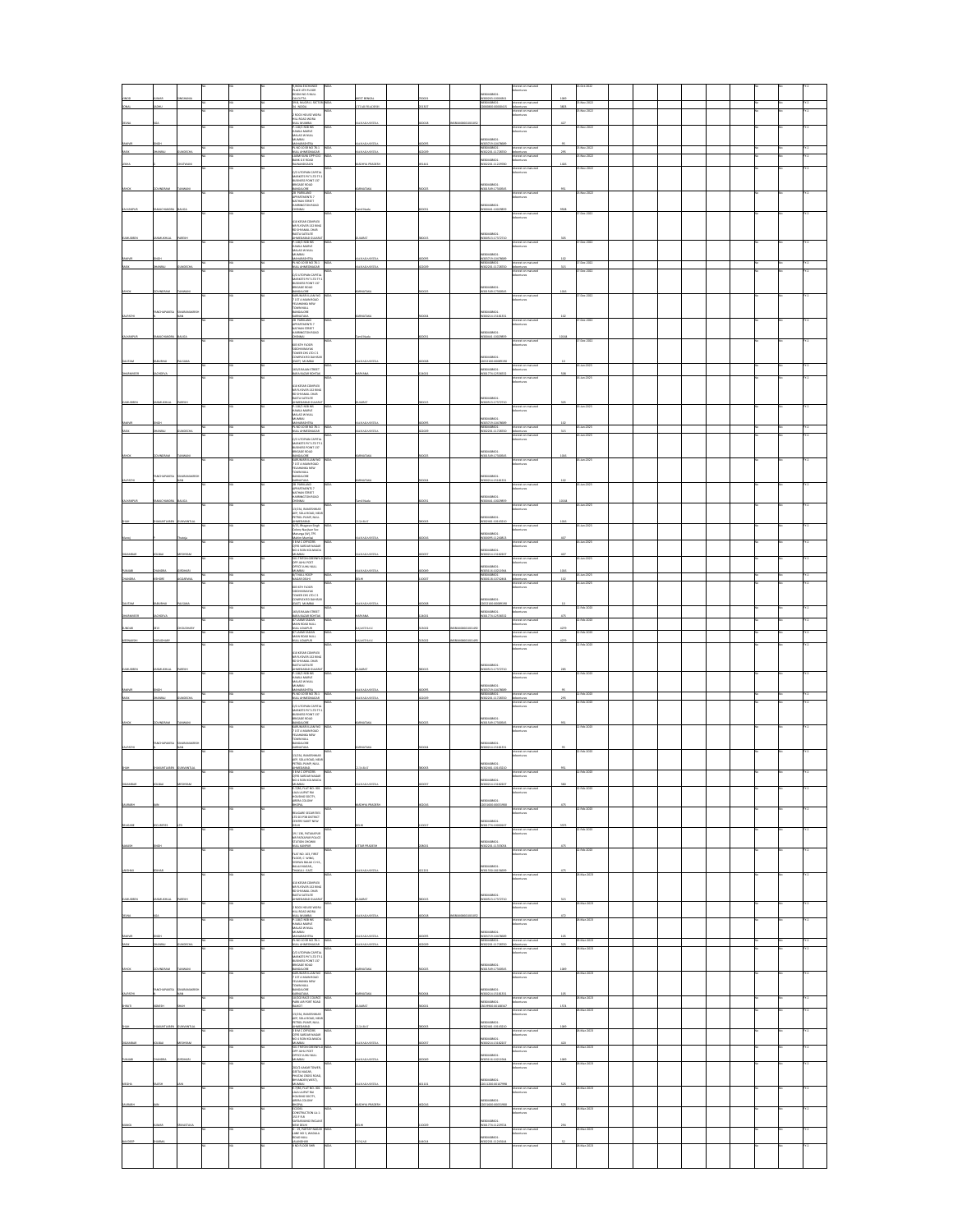|                       |                 |                |  | <b>COM EXCHAN</b>                                                                                                                                                                                                                                               |                                            |               |                                                                    | rrest on matu<br>entanes                               |                   |              |  |  |  |  |  |
|-----------------------|-----------------|----------------|--|-----------------------------------------------------------------------------------------------------------------------------------------------------------------------------------------------------------------------------------------------------------------|--------------------------------------------|---------------|--------------------------------------------------------------------|--------------------------------------------------------|-------------------|--------------|--|--|--|--|--|
|                       |                 |                |  | 9, NOM DODAMGE<br>PLACE 4TH R.OOR<br>ROOM NO-5 NULL<br>DR-9, NIEGRS-1 SEC<br>26-9, NIEGRS-1 SEC<br>26 NOIDA                                                                                                                                                     | AR PRADES                                  |               | 00263-100<br>100000-000001                                         |                                                        | 3803              |              |  |  |  |  |  |
|                       |                 |                |  | 2 ROCK HOUSE WORK<br>HELL ROAD WORK!<br>HELL MUMBAR<br>P-118/2 NSB INS<br>HAMAAD W NULL<br>MUMBAR<br>MUMBAR                                                                                                                                                     |                                            |               |                                                                    | bertares<br>erest on mature<br>pertares                |                   |              |  |  |  |  |  |
|                       |                 |                |  |                                                                                                                                                                                                                                                                 |                                            |               |                                                                    | erest on matured<br>Sentanes                           |                   | $v - 2022$   |  |  |  |  |  |
|                       |                 | NDECH          |  |                                                                                                                                                                                                                                                                 | <b>HARASHTRA</b><br><b><i>SURASHTE</i></b> | ioos          | 30408601<br>202719-10470609<br>Conventions<br>12201-11720700       |                                                        | $^{46}$<br>$20\%$ |              |  |  |  |  |  |
|                       |                 |                |  | MUMBAI<br>MAHARASHTRA<br>PL NO 10 SR NO 78-1<br>NULL AHAREDNAGAR<br>LANM G E ROAD<br>BANK G E ROAD<br>RANK G E ROAD                                                                                                                                             |                                            |               | 106601                                                             | bentures<br>arest on matured<br>bentures               |                   | Nov-2022     |  |  |  |  |  |
|                       |                 |                |  |                                                                                                                                                                                                                                                                 |                                            |               |                                                                    | vrest on m<br>ventures                                 |                   |              |  |  |  |  |  |
|                       |                 |                |  | C/O UTOPANI CAPITAL<br>MARKITS PVT LTD TF-1<br>BUSINESS POINT 127<br>BUSINESS POINT 127<br>BANGKIDRE<br>ARATHAN STREET<br>MATHAN STREET<br>MATHAN STREET<br>MATHAN STREET<br>CHEMAN                                                                             | <b>RNATAKA</b>                             |               | 30408601<br>001549-17200545                                        | rrest on matured                                       | 951               |              |  |  |  |  |  |
|                       |                 |                |  |                                                                                                                                                                                                                                                                 |                                            |               | 00008601                                                           | entanes                                                |                   |              |  |  |  |  |  |
|                       |                 |                |  |                                                                                                                                                                                                                                                                 |                                            |               | 00441-1002989                                                      | erest on matured<br>verbanes                           |                   |              |  |  |  |  |  |
|                       |                 |                |  | 410 KESAR COMPLEX<br>SR FUNDAR 122 RING<br>RD SHUMAN, CHAR<br>RD SHUMAN, CHAR<br>MALTARIA GULIAN<br>A HALTAR MARK<br>MALAD W NULL<br>MANAD W NULL<br>MALAD W NULL<br>MANAD W NULL<br>MANAD W NULL<br>MANAD W NULL<br>MANAD W NULL<br>MANAD W NULL               |                                            |               |                                                                    |                                                        |                   |              |  |  |  |  |  |
|                       |                 |                |  |                                                                                                                                                                                                                                                                 |                                            |               | 304108601-<br>100513-17372710                                      | rest on matured<br>entanes                             |                   |              |  |  |  |  |  |
|                       |                 |                |  |                                                                                                                                                                                                                                                                 |                                            |               | 102801052<br>-<br>303719-10478689<br>680408601-<br>302201-11726700 | rest on matured                                        |                   | Dec-2022     |  |  |  |  |  |
|                       |                 |                |  |                                                                                                                                                                                                                                                                 |                                            |               |                                                                    | entures                                                | $21\%$            |              |  |  |  |  |  |
|                       |                 |                |  | C/O UTOPAN CAPITAL<br>MARKETS PVT LTD TF-<br>RUSINGS POINT 1.27<br>RUSINGS POINT 1.27<br>RANGALORE<br>CAPITAL MARK ROAD<br>Y 1537 A MARK ROAD<br>TOWN NULL<br>TOWN NULL<br>RANGALORE<br>RANGALORE                                                               |                                            |               | 00000601                                                           |                                                        |                   |              |  |  |  |  |  |
|                       |                 |                |  |                                                                                                                                                                                                                                                                 | <b>RNATAKI</b>                             |               | N301549-17300545                                                   | rest on ma<br>etares                                   | 1016              |              |  |  |  |  |  |
|                       | <b>CHAPACES</b> |                |  |                                                                                                                                                                                                                                                                 |                                            |               | 10280802<br>000214-15181331                                        |                                                        |                   |              |  |  |  |  |  |
|                       |                 |                |  | enniarius<br>20 pareland<br>20 pareland<br>appartments 7<br>raenvetton road<br>chemur                                                                                                                                                                           |                                            |               |                                                                    | erest on ma<br>Sentures                                |                   |              |  |  |  |  |  |
|                       |                 |                |  |                                                                                                                                                                                                                                                                 |                                            |               |                                                                    | erest on r<br>Sentanes                                 |                   |              |  |  |  |  |  |
|                       |                 |                |  | 603 GTH FLOOR<br>SODHINWARK<br>TOWER OK LTD CS<br>COMPLEX RD DAHISA<br>SCAST) MUMBAL                                                                                                                                                                            |                                            |               | 102801052<br>032103-0006                                           |                                                        |                   |              |  |  |  |  |  |
|                       |                 |                |  | 165/6 RAIAN STREET<br>BARA BAZAR RENTA                                                                                                                                                                                                                          |                                            |               | .<br>Cananashi<br>01774-125                                        | arest on matured<br>bentures                           |                   | $485 - 2022$ |  |  |  |  |  |
|                       |                 |                |  |                                                                                                                                                                                                                                                                 |                                            |               |                                                                    | rest on matured<br>entanes                             |                   |              |  |  |  |  |  |
|                       |                 |                |  | 410 KESAR COMPLEX<br>NR FLYOVER 132 RING<br>RO SHYAMAL CHAR<br>RASTA SATELITE                                                                                                                                                                                   |                                            |               | 80408601<br>4900513-17272710                                       |                                                        |                   |              |  |  |  |  |  |
|                       |                 |                |  | MAIA MININ<br>AMATOARIA GUINA<br>P-119/2 NSR INS<br>MAALA MARVE<br>MAALAD W NULL<br>MAALAD SITRA<br>MAALAD SITRA<br>PL NO 10 SR NO 78-1<br>ML AMARKENTRA                                                                                                        |                                            |               |                                                                    | erest on r<br>Sentanes                                 |                   |              |  |  |  |  |  |
|                       |                 |                |  |                                                                                                                                                                                                                                                                 | <b><i>SURASHTR</i></b>                     | ioos          | 03719-10476<br>002201-11726                                        |                                                        | 315               | 15.302       |  |  |  |  |  |
|                       |                 |                |  |                                                                                                                                                                                                                                                                 |                                            |               |                                                                    | bertures<br>arest on i<br>bertures<br><b>Cured</b>     |                   | as-332       |  |  |  |  |  |
|                       |                 |                |  | C/O UTOPAN CAPITAL<br>MARKETS PVT LTD TF-<br>BUSINESS POINT 137<br>BRIGADE ROAD<br>wgalore<br>Wumar illam n                                                                                                                                                     |                                            |               |                                                                    |                                                        |                   |              |  |  |  |  |  |
|                       |                 |                |  | KARUMANI ILIAM NJ<br>7 ISTA MAIN ROAD<br>YELAHANKA NEW<br>TOWN NULL<br>BANGALORE                                                                                                                                                                                |                                            |               |                                                                    | erest on matured<br>bentures                           |                   |              |  |  |  |  |  |
| LPATHI                |                 |                |  |                                                                                                                                                                                                                                                                 | <b>GNATAKA</b>                             |               | 00008601<br>1000214-15191331                                       | rest on ma<br>entures                                  | 102               |              |  |  |  |  |  |
|                       |                 |                |  | anngnlore<br>Karnataka<br>20 Parkland<br>Appartments 7<br>Kathan<br>Karnas<br>Karnas<br>HEANAU                                                                                                                                                                  |                                            |               | NERDHOBEO1-<br>NGCO441-10029                                       |                                                        |                   |              |  |  |  |  |  |
|                       |                 |                |  | :<br>12/154, Rameshwar<br>Aep, Sola Road, Nea<br>Petrol Pump, Null                                                                                                                                                                                              |                                            |               |                                                                    | arest on matured<br>bentures                           |                   |              |  |  |  |  |  |
|                       |                 |                |  |                                                                                                                                                                                                                                                                 |                                            |               | 103808014<br>302461-10143210                                       | test on r<br>Intares                                   |                   |              |  |  |  |  |  |
|                       |                 |                |  | Puissa Paulaine, Nota<br>Alfrida Paulaine, Singh<br>Colony Naujuan Singh<br>Colony Naujuan Singh<br>Mahama<br>Sa Mac CoFRCERS<br>QTRS SARDAR NAGAR<br>NG 4 SON KOLONG<br>NG 4 SON KOLONG                                                                        |                                            |               | 103808014<br>00005-11240813                                        |                                                        |                   |              |  |  |  |  |  |
|                       |                 |                |  |                                                                                                                                                                                                                                                                 | LARASHITE                                  |               | 80408601<br>000214-13192207                                        | rest on i<br>retures                                   | 407               |              |  |  |  |  |  |
|                       |                 |                |  | MUMBAL<br>SOS TRITON GREENE<br>CPP JUNU POST<br>CFFICE JUNU MULL<br>LEIRING                                                                                                                                                                                     |                                            |               | 10380801-022<br>03116-10211944                                     | rest on ma<br>entures                                  |                   |              |  |  |  |  |  |
|                       | HOR             | GARW           |  | AUMENT<br><b>MGARDELHI</b>                                                                                                                                                                                                                                      |                                            |               | 00118-10742464                                                     | ectate                                                 | 103               |              |  |  |  |  |  |
|                       |                 |                |  | 603 GTH FLOOR<br>Sochinnerike<br>Tower ons LTD CS<br>Complex RD Dahisa<br>(GAST) Munibal                                                                                                                                                                        |                                            |               | 493408601                                                          | <b>Intanes</b>                                         |                   |              |  |  |  |  |  |
|                       |                 |                |  |                                                                                                                                                                                                                                                                 |                                            |               | 12103-000                                                          | erest on matured<br>Sentanes                           |                   | $ab - 302$   |  |  |  |  |  |
|                       |                 |                |  | 165/6 RALAN STREET<br>BARA BAZAR ROMTAK<br>RF LAXAR SADAN<br>MARA ROAD NARLI                                                                                                                                                                                    |                                            |               | 30408601-<br>101774-1253653                                        | rest on m<br>entures                                   | $^{42}$           |              |  |  |  |  |  |
|                       |                 |                |  |                                                                                                                                                                                                                                                                 |                                            |               |                                                                    |                                                        |                   |              |  |  |  |  |  |
|                       |                 |                |  |                                                                                                                                                                                                                                                                 |                                            |               |                                                                    | terest on mat<br>bentures                              | 4279              |              |  |  |  |  |  |
|                       |                 |                |  | MULLUDAPUR<br>87 LKKM SADAN<br>MAIN ROAD MULL<br>MULLUDAPUR                                                                                                                                                                                                     |                                            |               |                                                                    | mest on a                                              | 4270              |              |  |  |  |  |  |
|                       |                 |                |  |                                                                                                                                                                                                                                                                 |                                            |               | 400408601                                                          |                                                        |                   |              |  |  |  |  |  |
|                       |                 |                |  |                                                                                                                                                                                                                                                                 |                                            |               | 300513-1737271                                                     | terest on matured<br>bentures                          | 289               | Feb-3022     |  |  |  |  |  |
|                       |                 |                |  |                                                                                                                                                                                                                                                                 |                                            |               | 103808014                                                          |                                                        |                   |              |  |  |  |  |  |
|                       |                 | <b>DECHA</b>   |  | 410 KESAR COMPASY<br>AR RIVOVER 122 RING<br>ROSSINARI CANAR<br>RASTA SATELITE<br>PARTA SATELITE<br>PARTA MARVE<br>MAMAD W NULL<br>MAMAD W NULL<br>MAMAD W NULL<br>MAMAD W NULL<br>MAMAD W NULL<br>MAMAD W NULL<br>MAMAD W NULL<br>MAMAD W NULL<br>MAMAD W NULL  | <b>HARASHTE</b>                            | oos           | 03719-10478689<br>BO4KN601-<br>03301-11739700                      | berdures<br>erest on matured<br>etanes                 | $_{2\mathrm{K}}$  |              |  |  |  |  |  |
|                       |                 |                |  |                                                                                                                                                                                                                                                                 |                                            |               | 30408601<br>01549-17200542                                         |                                                        |                   |              |  |  |  |  |  |
|                       |                 |                |  |                                                                                                                                                                                                                                                                 |                                            |               |                                                                    | irest on ma<br>ientures                                |                   |              |  |  |  |  |  |
|                       |                 |                |  |                                                                                                                                                                                                                                                                 |                                            |               | 106108601-<br>10214-15181                                          |                                                        |                   |              |  |  |  |  |  |
|                       |                 |                |  | CO UTOPAN CARTAI<br>AMBRESS POINT 127<br>BUSINESS POINT 127<br>BUSINES ROAD<br>BUNGUARE TLANN NO<br>COMMINARE TLANN NOW<br>YEST A MANUEL ROAD<br>TOWN NULL<br>TOWN NULL<br>DANGUARE<br>DANGUARE                                                                 |                                            |               | environne                                                          | arest on r<br>bentures                                 |                   |              |  |  |  |  |  |
|                       |                 |                |  | 12/154, RAMESHWAR<br>AEP, SOLA ROAD, NEAR<br>AEP, SOLA ROAD, NEAR<br>STROC PUMP,<br>2 BM COFFICERS<br>NO 4 SON KOLWARA                                                                                                                                          |                                            |               | 12461-10547                                                        | erest on m<br>Sentanes                                 |                   |              |  |  |  |  |  |
|                       |                 |                |  |                                                                                                                                                                                                                                                                 |                                            |               | 1214-12192200                                                      | wz on m<br>entanes                                     |                   |              |  |  |  |  |  |
| <b>AURABI</b>         |                 |                |  | ND 4 SON KOLWALIN<br>MUMBA<br>LAR LAFAT RAI<br>MUSING SOCITY,<br>ARERA COLONY<br>BHOPAL                                                                                                                                                                         | DHYA PRADES                                |               | 400408601<br>12031600-00031900                                     |                                                        | $4\%$             |              |  |  |  |  |  |
|                       |                 |                |  |                                                                                                                                                                                                                                                                 |                                            |               | 80408601                                                           | erest on matured<br>entates                            |                   |              |  |  |  |  |  |
| UGARE                 |                 |                |  | RELIGARE SECURITIES<br>LTD D3 P3B DISTRICT<br>CENTRE SAKET NEW<br>DELH                                                                                                                                                                                          |                                            |               | 101774-1000016                                                     | erest on matured<br>verbanes                           | 337               |              |  |  |  |  |  |
| <b>AKASH</b>          |                 |                |  | 19 / 136, PATAKAPUR<br>NR PATKAPUR POLICE<br>STATION CHOWKI<br>NJLL KANPUR                                                                                                                                                                                      | MR PRADESI                                 |               | NEB04K08601-<br>NGC 2201-11222054                                  |                                                        | 479               |              |  |  |  |  |  |
|                       |                 |                |  |                                                                                                                                                                                                                                                                 |                                            |               | <b>Internation</b>                                                 | rest on i<br>entures                                   |                   |              |  |  |  |  |  |
|                       |                 |                |  | FLATNO, 103, FIRST<br>FLOOR, C. WING,<br>VISHIN BALAILCH.S.,<br>BALAILNAGAR,<br>THAKULLI-EAST.                                                                                                                                                                  |                                            |               | 01330-1815                                                         |                                                        |                   | Mar-2022     |  |  |  |  |  |
|                       |                 |                |  |                                                                                                                                                                                                                                                                 |                                            |               |                                                                    | erest on matured<br>Sentanes                           |                   |              |  |  |  |  |  |
| <b>SLOGEN</b>         |                 |                |  | 410 KESAR COMPLEX<br>NR FLYOVER 122 RING<br>RD SHYMMAL CHAR<br>RASTA SATELITE<br>AHMECNEAD GLUARA                                                                                                                                                               | .<br>ARAD                                  |               | 804108601-<br>00513-17372710                                       |                                                        | $\overline{315}$  |              |  |  |  |  |  |
| cш                    |                 |                |  |                                                                                                                                                                                                                                                                 |                                            |               |                                                                    | <b>Sentanes</b>                                        | 472               |              |  |  |  |  |  |
|                       |                 |                |  |                                                                                                                                                                                                                                                                 |                                            |               |                                                                    | irest on i<br>ientures                                 |                   |              |  |  |  |  |  |
| <b>ASK</b>            | ww              | <b>UNDECHA</b> |  | 2 ROCK HOUSE WORLE<br>HELL ROAD WORLE<br>HELL ROAD WORLE<br>MELL MEMARY<br>WARLAD WALLE<br>MARARAGNTRA<br>MARARAGNTRA<br>MARARAGNTRA<br>MARARAGNTRA<br>MARARAGNTRA<br>MARARAGNTRA                                                                               | .<br>Navrashtra                            | $\frac{1}{2}$ | 002719-1047868<br>630408601-<br>102201-11728700                    | best on matured                                        | $_{22\%}$         | 8-Mar-2022   |  |  |  |  |  |
|                       |                 |                |  |                                                                                                                                                                                                                                                                 |                                            |               |                                                                    | seres un numero<br>shertares<br>shertares<br>shertares |                   | Mar-3022     |  |  |  |  |  |
|                       |                 |                |  |                                                                                                                                                                                                                                                                 |                                            |               |                                                                    |                                                        |                   | Mar-2022     |  |  |  |  |  |
|                       |                 |                |  |                                                                                                                                                                                                                                                                 |                                            |               | 30408601                                                           | arest on matured<br>bentures                           |                   |              |  |  |  |  |  |
| <b>INTARANI</b><br>αm | ica             |                |  |                                                                                                                                                                                                                                                                 | <b>AMATAKA</b><br>ARAT                     | cccs          | 4900214-15181331<br>-103801083                                     | erest on ma<br>Sentares                                | 105               |              |  |  |  |  |  |
|                       |                 |                |  | NOTO UTOPANO CARE<br>AMARASIS POT LTD THREE SCRIPT 127<br>BRIGADE ROAD<br>BRIGADE ROAD<br>CARULARS ILLAN NO<br>CARULARS ILLAN NO<br>TELAHARACA NEW<br>CARULARS ROAD<br>CARULARS ROAD<br>CARULARS ROAD<br>CARULARS IN CORRECT INTO THE ROAD<br>BRIGARD CORRECT I |                                            |               |                                                                    | erest on mature<br>entanes                             | 1576              |              |  |  |  |  |  |
|                       |                 |                |  |                                                                                                                                                                                                                                                                 |                                            |               | 13461-10643                                                        |                                                        |                   | Mar-2022     |  |  |  |  |  |
|                       |                 |                |  | 12/154, RAMESHWAR<br>AEP, SOLA ROMO, NEA<br>PETROL PUMP, NEAL<br>AWMEDARAD,<br>2 R.M. COFFICERS<br>CITAS SARDAR NAGAR<br>MUMRAI<br>MUMRAI                                                                                                                       |                                            |               | <b>Internation</b><br>0214-1319                                    | arest on matured<br>bentures                           |                   |              |  |  |  |  |  |
|                       |                 |                |  |                                                                                                                                                                                                                                                                 |                                            |               | E80408601-<br>303116-10211944                                      | erest on matured<br>Sentanes                           |                   |              |  |  |  |  |  |
|                       |                 |                |  | Mumbai<br>Sol Triton Greensis<br>Oppice Juniu Mull<br>Oppice Juniu Mull<br>Mumbai                                                                                                                                                                               |                                            |               |                                                                    | erest on ma<br>Sentares                                |                   |              |  |  |  |  |  |
|                       |                 |                |  | -<br>GEETA NAGAR<br>PHATAK CROSS ROAD<br>BHANNOER (WEST),<br>HHANNOER (WEST),                                                                                                                                                                                   |                                            |               | 1028040824<br>12011200-0010799                                     |                                                        |                   |              |  |  |  |  |  |
|                       |                 |                |  |                                                                                                                                                                                                                                                                 | <b>CA PRADES</b>                           |               |                                                                    | vrest on m<br>vretures                                 |                   |              |  |  |  |  |  |
|                       |                 |                |  | BHRANDER (WEST),<br>MUMBAI<br>E-7/BE, FLAT NO.-301<br>LALA LAFAT RAI<br>HOUSING SOCITY,<br>ARERA COLONY<br>BHOPAL                                                                                                                                               |                                            |               | 134108601-<br>11600-0003:                                          | erest on matured<br>Sentures                           | $52\%$            |              |  |  |  |  |  |
|                       |                 |                |  |                                                                                                                                                                                                                                                                 |                                            |               | 134108601-<br>11774-1122                                           |                                                        |                   |              |  |  |  |  |  |
|                       |                 |                |  | ARANA COLONY<br>BHORAL<br>BHORAL<br>SATARUNG DICLAY<br>SATARUNG DICLAY<br>D-19, PARTAP NAGAL<br>ROLD NULL<br>ROLD NULL<br>MANDHAR<br>NADADHAR<br>NADADHAR<br>NADADHAR<br>NADADHAR<br>NADADHAR                                                                   |                                            |               | 134108601-<br>12201-11243                                          | erest on m<br>Sentanes                                 |                   | Mar-2022     |  |  |  |  |  |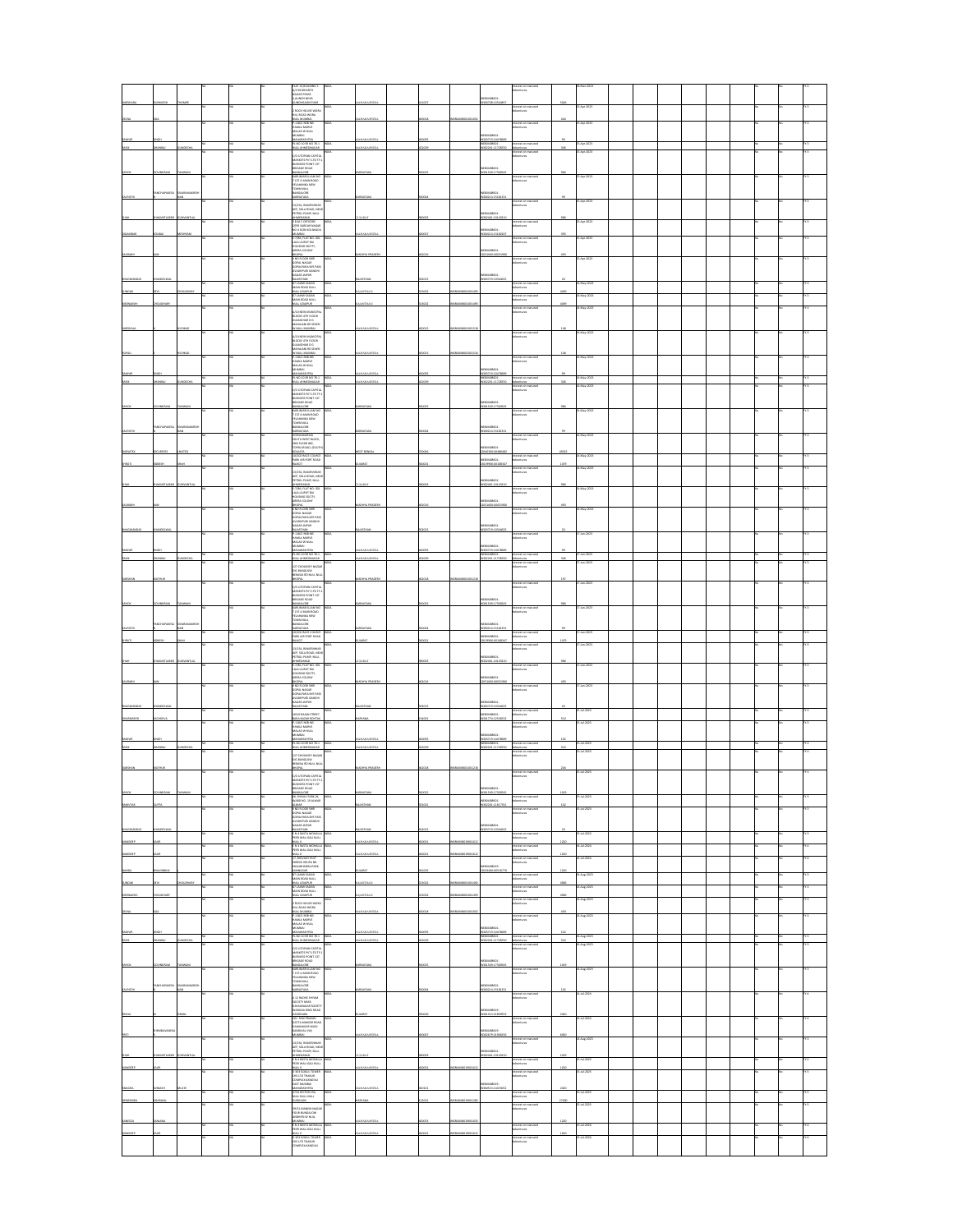|                |                  |          |  |                                                                                                                                                                                                                                                                             |                           |      |                 |                                     | bentanes                                             |               |              |  |  |  |  |  |
|----------------|------------------|----------|--|-----------------------------------------------------------------------------------------------------------------------------------------------------------------------------------------------------------------------------------------------------------------------------|---------------------------|------|-----------------|-------------------------------------|------------------------------------------------------|---------------|--------------|--|--|--|--|--|
|                |                  |          |  | NA SOCHARTH<br>CHGAON                                                                                                                                                                                                                                                       |                           |      |                 |                                     |                                                      |               |              |  |  |  |  |  |
|                |                  |          |  | 2 ROCK HOUSE WORLD<br>HULL MULHAM<br>HULL MULHAM<br>MULL MULHAM<br>HAMLA MARVE<br>MULHAM<br>MULHAM WULL<br>MULHAM<br>MULHAM DESR NO 28-1<br>MULHAM DESR NO 28-1<br>MULHAM DESR NO 28-1<br>MULHAM DESR NO 28-1                                                               |                           |      |                 |                                     | vest on mature<br>Sentanes                           |               | lpr-202      |  |  |  |  |  |
|                |                  |          |  |                                                                                                                                                                                                                                                                             |                           |      |                 |                                     |                                                      |               |              |  |  |  |  |  |
|                |                  |          |  |                                                                                                                                                                                                                                                                             |                           |      |                 |                                     | entures                                              |               |              |  |  |  |  |  |
|                |                  |          |  |                                                                                                                                                                                                                                                                             |                           |      |                 | 303719-10476680<br>EBD408601-       |                                                      |               |              |  |  |  |  |  |
|                |                  | EDGCHA   |  |                                                                                                                                                                                                                                                                             | <b><i>STARASHTR</i></b>   | 2009 |                 | 102201-11720700                     | test on matured<br>bertures<br>terest on<br>bertures | $206$         | Apr-2022     |  |  |  |  |  |
|                |                  |          |  |                                                                                                                                                                                                                                                                             |                           |      |                 |                                     |                                                      |               |              |  |  |  |  |  |
|                |                  |          |  | CJO UTOPAN CAPITAL<br>MARKETS PVT LTD TF-1<br>RUSINESS POINT 127<br>RINGADE ROAD<br>RANGALORE<br>CAPITA LUCINERORE                                                                                                                                                          |                           |      |                 | IS69-1733                           |                                                      | 986           |              |  |  |  |  |  |
|                |                  |          |  |                                                                                                                                                                                                                                                                             |                           |      |                 |                                     | erest on matured<br>entates                          |               |              |  |  |  |  |  |
|                | <b>CHAPAICES</b> |          |  | 2 IST A MAIN ROAD<br>YELAHANKA NEW<br>TOWN NULL<br>BANGALORE                                                                                                                                                                                                                |                           |      |                 | 103808014                           |                                                      |               |              |  |  |  |  |  |
|                |                  |          |  | <b>ARNATAKA</b>                                                                                                                                                                                                                                                             |                           |      |                 | 00214-1518133                       |                                                      |               | Apr-2022     |  |  |  |  |  |
|                |                  |          |  | 12/154, RAMESHWAR<br>AEP, SOLA ROAD, NEA<br>PETROL PUMP, NULL                                                                                                                                                                                                               |                           |      |                 | 493408601                           | irest on ma<br>ietšates                              |               |              |  |  |  |  |  |
|                |                  |          |  | AHMEDABAD<br>3 B.M.C.OFFICERS<br>QTRS SARDAR NAGAR<br>ND 4 SICIN KOLIMADA                                                                                                                                                                                                   |                           |      |                 | 000461-1014321                      |                                                      |               |              |  |  |  |  |  |
|                |                  |          |  |                                                                                                                                                                                                                                                                             |                           |      |                 | 30408601<br>00214-12192207          | rest on<br>retures                                   |               |              |  |  |  |  |  |
|                |                  |          |  | MUMBAL<br>6-7/86, FLAT NO -30<br>6-8/8 LALA LAUPAT RAL<br>HOUSING SOCITY,<br>4-8/8/8<br>6-8/9/10                                                                                                                                                                            |                           |      |                 |                                     | rest on m<br>entures                                 |               |              |  |  |  |  |  |
|                |                  |          |  |                                                                                                                                                                                                                                                                             |                           |      |                 |                                     |                                                      |               |              |  |  |  |  |  |
|                |                  |          |  |                                                                                                                                                                                                                                                                             |                           |      |                 |                                     | erest on n<br>Sentanes                               |               |              |  |  |  |  |  |
|                |                  |          |  |                                                                                                                                                                                                                                                                             |                           |      |                 |                                     |                                                      |               |              |  |  |  |  |  |
|                | NOCURAL          |          |  | ARAN<br>BADAL<br>BADAL MAGAR<br>GOAL MAGAR<br>GOAL MAGAR<br>GOAL MAGAR<br>MAGARA<br>MAGARA<br>MAGARA<br>MAGARA<br>MAGARA<br>MAGARA<br>MAGARA<br>MAGARA<br>MAGARA<br>MAGARA<br>MAGARA<br>MAGARA<br>MAGARA<br>MAGARA<br>MAGARA<br>MAGARA                                      | LASTHAN                   |      |                 | \6934108601-<br>\@03719-10344625    | irest on maturi<br>ieobates                          | $\mathbf{z}$  |              |  |  |  |  |  |
|                |                  | sua      |  |                                                                                                                                                                                                                                                                             |                           |      |                 |                                     | rest on mat                                          | 4429          |              |  |  |  |  |  |
| <b>DEAKSH</b>  |                  |          |  | MAIN ROAD NULL<br>NULL UDAPUR                                                                                                                                                                                                                                               |                           |      | 096010014       |                                     | bentans                                              | 4429          |              |  |  |  |  |  |
|                |                  |          |  |                                                                                                                                                                                                                                                                             |                           |      |                 |                                     | rest on r<br>retures                                 |               |              |  |  |  |  |  |
|                |                  |          |  | a/10 Néw Municipa<br>Blocks 4th Floor<br>Guimohna io sewri<br>Mahaliani io sewri<br>Wahaliani io sewri                                                                                                                                                                      |                           |      |                 |                                     |                                                      |               |              |  |  |  |  |  |
|                |                  |          |  |                                                                                                                                                                                                                                                                             |                           |      |                 |                                     | erest on matured<br>Sentares                         |               | May-2023     |  |  |  |  |  |
|                |                  |          |  |                                                                                                                                                                                                                                                                             |                           |      |                 |                                     |                                                      |               |              |  |  |  |  |  |
|                |                  |          |  |                                                                                                                                                                                                                                                                             | <b>ARASHITE</b>           |      |                 |                                     |                                                      | 148           |              |  |  |  |  |  |
|                |                  |          |  |                                                                                                                                                                                                                                                                             |                           |      |                 |                                     | irest on i<br>ientures                               |               |              |  |  |  |  |  |
|                |                  |          |  | A VIO NEW MUNICIPAL<br>RECORS CHEROGIC SCIENCE<br>SELEMONARING DISTANTS<br>MARIEL MUNICIPAL<br>PARTIA MARVE<br>MARIEL MARVE<br>MARIEL MARVE<br>MARIEL MARVE<br>MARIEL MARVE<br>MARIEL MARVE<br>MARIEL MARVE<br>MARIEL MARVE                                                 |                           |      |                 | 02719-10476                         |                                                      |               | May-2023     |  |  |  |  |  |
|                | WAN              | LINDECHA |  | MULL ANMEDIANGAR                                                                                                                                                                                                                                                            | <b><i>INFARASHTRA</i></b> | 2009 |                 | 6002201-11720700                    | ceres un m<br>bertures<br>bertures<br>bertures       | 206           |              |  |  |  |  |  |
|                |                  |          |  | C/O UTOPAN CAPITAL<br>MARKETS PVT LTD TF-<br>BUGINESS POINT 137                                                                                                                                                                                                             |                           |      |                 |                                     |                                                      |               |              |  |  |  |  |  |
|                |                  |          |  |                                                                                                                                                                                                                                                                             | <b>NATAKI</b>             |      |                 | 30408601<br>101549-17200547         |                                                      | 986           |              |  |  |  |  |  |
|                |                  |          |  | BRIGADE ROAD<br>EARGADE REAL<br>EARGADEAR TEAM NO<br>TORUMAR TEAM NOAD<br>TOWN NUEL<br>EARGADEAR<br>EARGADEAR<br>MEGHANARAN<br>COUTH WEST ROOCK,<br>200 FLOOR REC,<br>200 FLOOR REC,<br>200 FLOOR REC,<br>COUTH WEST ROOCK,<br>200 FLOOR REC,<br>COUTH WEST ROOCK,          |                           |      |                 |                                     | irest on ma<br>entures                               |               |              |  |  |  |  |  |
|                |                  |          |  |                                                                                                                                                                                                                                                                             |                           |      |                 |                                     |                                                      |               |              |  |  |  |  |  |
|                |                  |          |  |                                                                                                                                                                                                                                                                             |                           |      |                 | 0214-15181                          | irest on ma<br>ietitates                             |               |              |  |  |  |  |  |
|                |                  |          |  |                                                                                                                                                                                                                                                                             |                           |      |                 | 30408601                            |                                                      |               |              |  |  |  |  |  |
|                |                  |          |  | <b>KOLKATA</b><br>10/302 RACE COURCE<br>PARK AIR PORT ROAD<br>RAIKOT                                                                                                                                                                                                        |                           |      |                 | 046300-004                          | arest on matured<br>bentures                         |               | May 2022     |  |  |  |  |  |
|                |                  |          |  |                                                                                                                                                                                                                                                                             |                           |      |                 | E80408601-<br>1019000-0011          | rrest on matured                                     | 10%           |              |  |  |  |  |  |
|                |                  |          |  |                                                                                                                                                                                                                                                                             |                           |      |                 | 80409601                            | etanes                                               |               |              |  |  |  |  |  |
|                | AILINTLABOV      |          |  |                                                                                                                                                                                                                                                                             | <b>JARAT</b>              |      |                 | 1003161-10143210                    | irest on ma<br>ietšares                              | 986           |              |  |  |  |  |  |
|                |                  |          |  | 12/154, RAMESHWAR<br>AEP, SOLA ROAD, NEA<br>AEP, SOLA ROAD, NEA<br>AEROL PUMP, NEA<br>CALA LATAST RAI<br>HOUSING SOCITY,<br>HOUSING SOCITY,<br>AEROL HOUSING SOCITY,<br>AEROL                                                                                               |                           |      |                 | 103808014                           |                                                      |               |              |  |  |  |  |  |
|                |                  |          |  | ANGAN COLONY<br>BHOPAL<br>GOPAL NAGAR<br>GOPAL NAGAR<br>NAGAR LAIPUR<br>NAGAR LAIPUR<br>NAGAR LAIPUR<br>NAGAR LAIPUR<br>RAIASTHAN                                                                                                                                           |                           |      |                 | 331600-0003                         | irest on mat<br>ientures                             |               |              |  |  |  |  |  |
|                |                  |          |  |                                                                                                                                                                                                                                                                             |                           |      |                 |                                     |                                                      |               |              |  |  |  |  |  |
|                |                  |          |  |                                                                                                                                                                                                                                                                             |                           |      |                 | 136108601-<br>12719-1036            |                                                      |               |              |  |  |  |  |  |
|                |                  |          |  |                                                                                                                                                                                                                                                                             |                           |      |                 |                                     | arest on r<br>bentures                               |               |              |  |  |  |  |  |
|                |                  |          |  | NOMINA<br>DALASTIKAN<br>P-118/2 NSR INS<br>KAMALA MARKE<br>MALASDA<br>MANARASTIKA<br>MANARASTIKA<br>PL NO 10 SR NO 78-1<br>NAILI ANMEDINASAR                                                                                                                                |                           |      |                 | 03719-10476<br>80408601-            |                                                      |               |              |  |  |  |  |  |
|                |                  | EDGCHA   |  |                                                                                                                                                                                                                                                                             | <b>HARASHTRA</b>          | ioos |                 | 002201-11728700                     | rest on matured<br>destates                          | $_{20}$       | un-2023      |  |  |  |  |  |
|                |                  |          |  | 127 CHOLICEY NAGA<br>DIG BLINGLOW<br>BERASIA RD NULL NUL                                                                                                                                                                                                                    |                           |      |                 |                                     |                                                      |               |              |  |  |  |  |  |
|                |                  |          |  |                                                                                                                                                                                                                                                                             |                           |      |                 |                                     |                                                      |               |              |  |  |  |  |  |
|                |                  |          |  | C/O UTOPAN CAPITAL<br>MARKETS PVT LTD TF-<br>BUSINESS POINT 127<br>BRIGADE ROAD<br>BANGALORE                                                                                                                                                                                |                           |      |                 |                                     | arest on matured<br>bentures                         |               |              |  |  |  |  |  |
|                |                  |          |  |                                                                                                                                                                                                                                                                             | NATAKI                    |      |                 | 80408601<br>N301549-17300545        |                                                      | 986           |              |  |  |  |  |  |
|                |                  |          |  | KARUMAR ILIAM NO<br>7 ISTA MAIN ROAD<br>YELNANKA NEW<br>TOWN NULL<br>BANGALORE                                                                                                                                                                                              |                           |      |                 |                                     | rest on matured<br>entures                           |               |              |  |  |  |  |  |
|                | <b>COMPARES</b>  |          |  |                                                                                                                                                                                                                                                                             |                           |      |                 | 693408601                           |                                                      |               |              |  |  |  |  |  |
|                |                  |          |  | KARNATAKA<br>10/202 RACE COURCE<br>PARK AIR PORT ROAD<br>RABOT                                                                                                                                                                                                              |                           |      |                 | 000214-1518133<br>680408601         | rest on r<br>entanes                                 |               |              |  |  |  |  |  |
|                |                  |          |  |                                                                                                                                                                                                                                                                             |                           |      |                 | 019900-001                          |                                                      | 109           |              |  |  |  |  |  |
|                |                  |          |  | 12/154, RAMESHAVAR<br>AEP, SOLA ROAD, NEA<br>PETROL PUMP, NULL                                                                                                                                                                                                              |                           |      |                 |                                     | rest co.m<br>entures                                 |               |              |  |  |  |  |  |
|                |                  |          |  | AVANEDARAD<br>C-7/BG, FLAT NO -30<br>LALA LAI PAT RAI<br>HOUSING SOCITY,<br>AREAL COLONY                                                                                                                                                                                    |                           |      |                 | NERDAIOBEO1-<br>NGC 164 1214 122 10 | irest on i<br>ientures                               |               |              |  |  |  |  |  |
|                |                  |          |  |                                                                                                                                                                                                                                                                             |                           |      |                 |                                     |                                                      |               |              |  |  |  |  |  |
|                |                  |          |  | HOPAL<br>ND FLOOR SHR                                                                                                                                                                                                                                                       |                           |      |                 |                                     | erest on ma<br>Sentanes                              |               |              |  |  |  |  |  |
|                |                  |          |  | i nd Floor Shri<br>Gopal Nagar<br>Gopalpura Rye Fass<br>Akadhhpuri Gandhe<br>Nagar Laipur<br>Rauasthaan                                                                                                                                                                     |                           |      |                 |                                     |                                                      |               |              |  |  |  |  |  |
| GWANDAS        | ANDECINAL        |          |  |                                                                                                                                                                                                                                                                             |                           |      |                 | 0408601<br>(303719-10344625         |                                                      | 30            |              |  |  |  |  |  |
|                |                  |          |  | <b>GS/G RALAN STREET</b>                                                                                                                                                                                                                                                    |                           |      |                 |                                     |                                                      |               | ul-2023      |  |  |  |  |  |
|                |                  |          |  |                                                                                                                                                                                                                                                                             |                           |      |                 | -                                   | vrest on m<br>ventures                               |               |              |  |  |  |  |  |
|                |                  |          |  |                                                                                                                                                                                                                                                                             |                           |      |                 |                                     | rest on ma<br>entures                                |               |              |  |  |  |  |  |
|                |                  |          |  |                                                                                                                                                                                                                                                                             |                           |      |                 |                                     |                                                      |               |              |  |  |  |  |  |
|                | ANRAJ            | NDECHA   |  | <b>MARK BAZAR BENERK<br/>BARK BAZAR BENERK<br/>MARLA MARKE<br/>MARAD W NULL<br/>MARAD W NULL<br/>MARAD DE SR NO 78-1<br/>PL NO 10 SR NO 78-1</b><br>PL NO 10 SR NO 78-1<br>PL NO 10 SR NO 78-1<br>NULL ANMEDIANGAR                                                          | <b>ASLARASETEA</b>        | 2009 |                 | 2719-10478680<br>002201-11728700    | <b>MM</b>                                            |               | u-2022       |  |  |  |  |  |
|                |                  |          |  |                                                                                                                                                                                                                                                                             |                           |      |                 |                                     | ebertures<br>terest on m                             | 216           |              |  |  |  |  |  |
|                |                  |          |  | 127 CHOLICSÉY NAGA<br>DIG BLINGLOW<br>BERASIA RD NULL NUL<br>BHOPAL                                                                                                                                                                                                         |                           |      |                 |                                     |                                                      |               |              |  |  |  |  |  |
|                |                  |          |  |                                                                                                                                                                                                                                                                             |                           |      |                 |                                     | bertures                                             |               |              |  |  |  |  |  |
|                |                  |          |  |                                                                                                                                                                                                                                                                             |                           |      |                 | 1038040891                          |                                                      |               |              |  |  |  |  |  |
| <b>GHOK</b>    | WNDRAM           |          |  |                                                                                                                                                                                                                                                                             | <b>GNATAKA</b>            | XXX  |                 | N301549-17300545                    |                                                      | 1019          |              |  |  |  |  |  |
| <b>MATAR</b>   | <b>UPTA</b>      |          |  | CONTRACTOR CAPITAL<br>ANGERSIS PORT 127<br>BRIGADS ROAD<br>BRIGADS ROAD<br>BRIGADS ROAD<br>MARD NO. 29 ALWAR<br>ATMORE<br>ATMORE ROAD PRODUCTS<br>CORE NATION ROAD                                                                                                          |                           |      |                 | .<br>102201-11617761                | erest on mature<br>Seetanes<br>erest on mature       | 102           |              |  |  |  |  |  |
|                |                  |          |  |                                                                                                                                                                                                                                                                             |                           |      |                 |                                     | <b>bestaws</b>                                       |               |              |  |  |  |  |  |
|                |                  |          |  | ii Nu huma aya.<br>Gopal Nagar<br>Gopalpura ine Pass<br>Akadar Laipur<br>Nagar Laipur<br>Ahmeturai                                                                                                                                                                          |                           |      |                 | 400408601<br>102719-1034463         |                                                      |               |              |  |  |  |  |  |
|                |                  |          |  |                                                                                                                                                                                                                                                                             | <b>RASHTE</b>             |      |                 |                                     | arest on matured<br>bentures                         | 1200          | AF-2023      |  |  |  |  |  |
|                |                  |          |  |                                                                                                                                                                                                                                                                             |                           |      |                 |                                     | erest on matured<br>Sentanes                         |               | AF-2024      |  |  |  |  |  |
|                |                  |          |  |                                                                                                                                                                                                                                                                             |                           |      |                 |                                     | terest on matured<br>bentures                        | 1200          | NF-2024      |  |  |  |  |  |
|                |                  |          |  |                                                                                                                                                                                                                                                                             |                           |      |                 | 3408619-<br>4433-005:               |                                                      |               |              |  |  |  |  |  |
| NDAR           |                  | UDHARY   |  | NAGAR LAPUR<br>BAAKSTA MONTA<br>G W 4 RASTA MONALIA<br>G W 4 RASTA MONALIA<br>MULLO<br>MULLO<br>MULLO<br>SUGGER RRUPA MR.<br>SUGGER RRUPA MR.<br>SUGGER RRUPA MR.<br>SUGGER RRUPA MR.<br>SUGGER RRUPA MR.<br>SUGGER RRUPA MR.<br>SUGGER RRUPA MR.<br>SUGGER RRUPA MR.<br>SU |                           |      | 1086010014      |                                     | erest on m<br>Sentares                               | 4586          |              |  |  |  |  |  |
| <b>HESNADE</b> | <b>LOHARY</b>    |          |  |                                                                                                                                                                                                                                                                             | <b>STHAN</b>              | 1002 | 800809001014    |                                     | erest on ma<br>Sentures                              | 4586          |              |  |  |  |  |  |
|                |                  |          |  | NULL UDAPUR<br>87 LAXMI SADAN<br>MAIN ROAD NULL<br>NULL UDAPUR                                                                                                                                                                                                              |                           |      |                 |                                     | terest on mat<br>bentures                            |               |              |  |  |  |  |  |
| <b>GLNA</b>    |                  |          |  |                                                                                                                                                                                                                                                                             | <b>ASLARASETTRA</b>       | osk  | 3010060100105   |                                     |                                                      | 459           | Lip-2022     |  |  |  |  |  |
|                |                  |          |  |                                                                                                                                                                                                                                                                             |                           |      |                 | 103808401                           | erest on matured<br>Sentares                         |               |              |  |  |  |  |  |
| ww             |                  |          |  |                                                                                                                                                                                                                                                                             |                           |      |                 |                                     | arest on matured                                     | 102           | 4 Aug 2022   |  |  |  |  |  |
|                |                  | uncru    |  | 2 ROCK HOUSE WORLD<br>HULL ROAD WORLD<br>HULL ROAD WORLD<br>MULL MUMBAI<br>HAMALA MARKE<br>MAMALAGNITAL<br>MULL AHAKONGITAL<br>MULL AHAKONGITAL<br>PL NO 10 SR NO 20-1<br>MULL AHAKONGITAL                                                                                  | <b>MAASHTRA</b>           | m    |                 |                                     |                                                      | $\frac{1}{2}$ | Aug-2022     |  |  |  |  |  |
|                |                  |          |  |                                                                                                                                                                                                                                                                             |                           |      |                 |                                     | bentures<br>arest on matured<br>bentures             |               |              |  |  |  |  |  |
| <b>HOK</b>     |                  |          |  |                                                                                                                                                                                                                                                                             |                           |      |                 | 400408601<br>001549-1720054         |                                                      | 100           | Aug-2022     |  |  |  |  |  |
|                |                  |          |  |                                                                                                                                                                                                                                                                             |                           |      |                 |                                     | terest on matured<br>bentures                        |               |              |  |  |  |  |  |
|                | <b>HAPAKES</b>   |          |  |                                                                                                                                                                                                                                                                             | <b>ENATAKI</b>            | œ    |                 |                                     |                                                      |               |              |  |  |  |  |  |
| KALPATHI       |                  |          |  | SOLO APRIRIAREA<br>MARKETS PAT LTD TF-1<br>MARKETS PAT LTD TF-1<br>MARKETS FORT 1.27<br>MARKETS RAMAN ROM<br>TCLAHARKE AND TELAHARKET TOWN PART<br>MARKETS<br>MARKETS<br>MARKETS                                                                                            |                           |      |                 | 804108601-<br>00214-15181331        | arest on m<br>bentures                               | 102           |              |  |  |  |  |  |
|                |                  |          |  |                                                                                                                                                                                                                                                                             |                           |      |                 |                                     |                                                      |               |              |  |  |  |  |  |
| <b>AKKAR</b>   |                  |          |  | a 12 radhé shyam<br>Socety Near<br>Davalnagar Socety<br>Warasia Ring Road<br>Wadddara                                                                                                                                                                                       | <b>IMART</b>              | XX   |                 | NERDAIDEESD-<br>NGC 523 324 555 53  |                                                      | 2400          | $M-202$      |  |  |  |  |  |
|                |                  |          |  |                                                                                                                                                                                                                                                                             |                           |      |                 | 4128040834                          | erest on matured<br>Sentanes                         |               |              |  |  |  |  |  |
|                |                  |          |  | WADODARA<br>DATTA MANDIR ROAD<br>DAHANUKAR WADI<br>DAHANUKAR WADI<br>KAUNGARI (W)<br>MUNGARI                                                                                                                                                                                |                           |      |                 | 000014390039                        |                                                      |               | Aug-2023     |  |  |  |  |  |
|                |                  |          |  |                                                                                                                                                                                                                                                                             |                           |      |                 |                                     | arest on matured<br>bentures                         |               |              |  |  |  |  |  |
|                | CIVILARE         |          |  | 12/154, RAMESHWAR<br>AEP, SOLA ROAD, NEA<br>PETROL PUMP, NULL                                                                                                                                                                                                               | 1.813                     | XGG  |                 | 4580408601-<br>(302461-10143210     |                                                      | 1019          |              |  |  |  |  |  |
| NOCCE          |                  |          |  |                                                                                                                                                                                                                                                                             |                           |      |                 |                                     | arest on ma<br>bertures                              | 1200          | $-34 - 2025$ |  |  |  |  |  |
|                |                  |          |  |                                                                                                                                                                                                                                                                             |                           |      |                 |                                     | terest on matured<br>ibentures                       |               |              |  |  |  |  |  |
| <b>NAGRA</b>   |                  |          |  |                                                                                                                                                                                                                                                                             | <b>LARASHTE</b>           |      |                 | E80408E19-<br>(300513-14474052      |                                                      | 2400          |              |  |  |  |  |  |
| <b>DVENDRA</b> | www              |          |  |                                                                                                                                                                                                                                                                             | <b>YANA</b>               |      | 680410861900128 |                                     | irest on mat<br>ientures                             | 27000         |              |  |  |  |  |  |
|                |                  |          |  | PERIOL PUBB), NULL<br>ANNI ERACTA MONALL<br>EW 4 RASTA MONALL<br>FW 4 RASTA MONALL<br>SUILLO<br>DIBB GORDLEY KANDINU<br>COMPLEY KANDINU<br>COMPLEY KANDINU<br>MUNA SUCTOR 22A<br>MUNI NULL NULL MULL<br>SUIGAON<br>MUNA SUILL NULL NULL<br>COMPLEY AND RELL<br>COMPLE       |                           |      |                 |                                     | erest on ma<br>Sentares                              |               |              |  |  |  |  |  |
|                |                  |          |  | 20/31 MANISH NAGA<br>FOUR BUNGALOW<br>ANDHERI W NULL                                                                                                                                                                                                                        |                           |      |                 |                                     |                                                      |               |              |  |  |  |  |  |
|                |                  |          |  |                                                                                                                                                                                                                                                                             |                           |      |                 |                                     | arest on matured<br>bentures                         |               | au-2026      |  |  |  |  |  |
|                |                  |          |  | ANIMARI W NULL<br>MUMBAI<br>E N 4 RASTA MOHALLI<br>PEER WALI GALI NULL<br>NULL O<br>D 303 GOKUL TOWER<br>CAS LTD THAKUR<br>COS LTD THAKUR                                                                                                                                   |                           |      |                 |                                     | arest on matured<br>bentures                         |               | 44-2026      |  |  |  |  |  |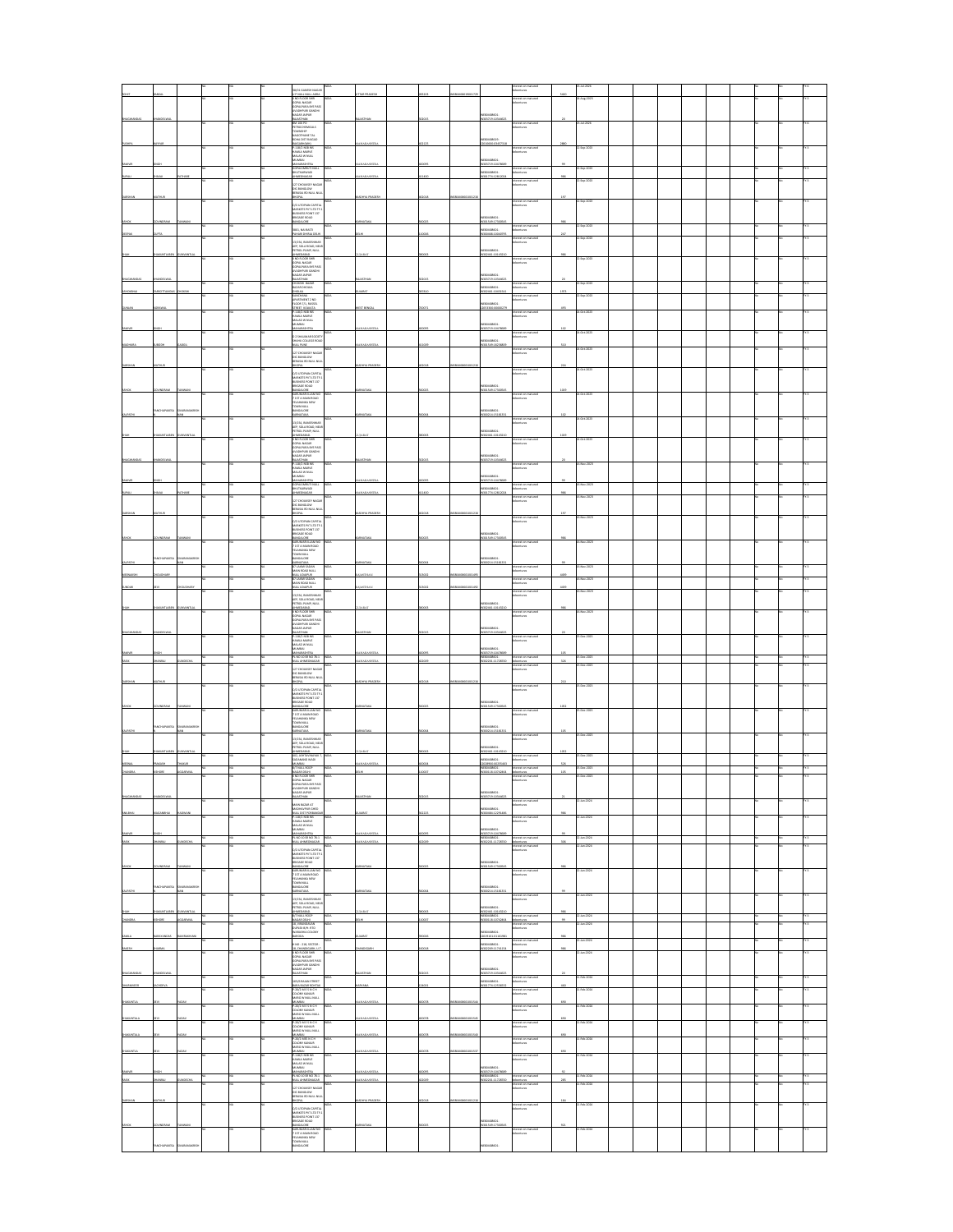|               |                  |       |  | 28/01 GANESH NAGAR<br>UP NULL NULL AGRA<br>180 NULL ROOR SHR<br>GOPAL NAGAR<br>GOPALPURA RYE PASS<br>NAGAR LARURA<br>180 NULL RYE                                                                                                                                                                                                                                                                                                                          | TAR PRADES               |      |               |                                                         | ez on i                                          | sia           |                 |  |  |  |  |
|---------------|------------------|-------|--|------------------------------------------------------------------------------------------------------------------------------------------------------------------------------------------------------------------------------------------------------------------------------------------------------------------------------------------------------------------------------------------------------------------------------------------------------------|--------------------------|------|---------------|---------------------------------------------------------|--------------------------------------------------|---------------|-----------------|--|--|--|--|
|               |                  |       |  |                                                                                                                                                                                                                                                                                                                                                                                                                                                            |                          |      |               |                                                         | entanes                                          |               |                 |  |  |  |  |
|               |                  |       |  |                                                                                                                                                                                                                                                                                                                                                                                                                                                            |                          |      |               |                                                         |                                                  |               |                 |  |  |  |  |
|               |                  |       |  |                                                                                                                                                                                                                                                                                                                                                                                                                                                            |                          |      |               | INER04IO8601-<br>IN903719-10344625                      |                                                  | $^{20}$       |                 |  |  |  |  |
|               |                  |       |  | NAVANK INDIAN<br>RAJASTIKAN<br>RM 106 PO<br>TOWNSHIP<br>NAGOTHANE TAL<br>ROHA DIST RAIGAD<br>RAIGARHIMHI                                                                                                                                                                                                                                                                                                                                                   |                          |      |               |                                                         | Jedion n<br>Hotales                              |               |                 |  |  |  |  |
|               |                  |       |  |                                                                                                                                                                                                                                                                                                                                                                                                                                                            |                          |      |               |                                                         |                                                  |               |                 |  |  |  |  |
|               |                  |       |  | KURA DIST RAIGAD<br>RAGGARAINA<br>P-130/2 NGR INS<br>P-130/2 NGR INS<br>MAALA MARVE<br>MAARAGUTRA<br>SOPALSMRUTRA<br>GOPALSMRUTRA<br>COPALSMRUTRA<br>SOPALSMRUTRA                                                                                                                                                                                                                                                                                          |                          |      |               | NERONICEES-<br>2010600-03457211                         |                                                  |               | 2-Sep-2022      |  |  |  |  |
|               |                  |       |  |                                                                                                                                                                                                                                                                                                                                                                                                                                                            |                          |      |               |                                                         | rrest on matured<br>ientures                     |               |                 |  |  |  |  |
|               |                  |       |  |                                                                                                                                                                                                                                                                                                                                                                                                                                                            | <b>LARASHITE</b>         |      |               | 0408601<br>000719-1047068                               |                                                  |               |                 |  |  |  |  |
|               |                  |       |  |                                                                                                                                                                                                                                                                                                                                                                                                                                                            |                          |      |               | INER0408601-<br>IN901774-128120                         | rest on m<br>entures                             |               | Sep-202)        |  |  |  |  |
|               |                  |       |  |                                                                                                                                                                                                                                                                                                                                                                                                                                                            | <b><i>URASHTR</i></b>    |      |               |                                                         | rest on m                                        | 986           |                 |  |  |  |  |
|               |                  |       |  | 127 CHOLICEY NAGA<br>DIG BLINGLOW<br>BERASIA RD NULL NU<br>BHOPAL                                                                                                                                                                                                                                                                                                                                                                                          |                          |      |               |                                                         | etures                                           |               |                 |  |  |  |  |
|               |                  |       |  | <b>OM</b>                                                                                                                                                                                                                                                                                                                                                                                                                                                  |                          |      |               |                                                         |                                                  |               |                 |  |  |  |  |
|               |                  |       |  | C/O UTOPIAN CAPITA<br>MARKETS PVT LTD TF<br>BUGINESS POINT 127<br>BRIGADE ROAD<br>BANGALORE                                                                                                                                                                                                                                                                                                                                                                |                          |      |               |                                                         | rest on mati<br>entanes                          |               | $50 - 202$      |  |  |  |  |
|               |                  |       |  |                                                                                                                                                                                                                                                                                                                                                                                                                                                            |                          |      |               |                                                         |                                                  |               |                 |  |  |  |  |
|               |                  |       |  |                                                                                                                                                                                                                                                                                                                                                                                                                                                            |                          |      |               | INERDAIDEGOS-<br>INGLESAS-172005-61                     |                                                  | 986           |                 |  |  |  |  |
|               |                  |       |  | 801, NAJ BASTI<br><b>UGARI DERAL DEL</b>                                                                                                                                                                                                                                                                                                                                                                                                                   |                          |      |               | 1020100501<br>100468-1004                               | viet on m<br>oettates                            |               | Sep-202         |  |  |  |  |
|               |                  |       |  |                                                                                                                                                                                                                                                                                                                                                                                                                                                            |                          |      |               |                                                         | rrest on m<br>entures                            |               |                 |  |  |  |  |
|               |                  |       |  |                                                                                                                                                                                                                                                                                                                                                                                                                                                            |                          |      |               | 1020010501-                                             |                                                  |               |                 |  |  |  |  |
|               |                  |       |  | 12/154, RAMESHAVA<br>ASP, SOLA ROAD, NGA<br>ASP, SOLA ROAD, NGA<br>ASTROL PUMP, NULL<br>MAMESHAVA<br>GOPAL NUGAR<br>GOPAL NUGAR<br>ASPALIURA RY PASS<br>ASPALIURA RY PUS<br>ASPALIURA RY<br>RAMESHAVA<br>RAMESHAVA                                                                                                                                                                                                                                         |                          |      |               | 1003161-10143210                                        |                                                  |               |                 |  |  |  |  |
|               |                  |       |  |                                                                                                                                                                                                                                                                                                                                                                                                                                                            |                          |      |               |                                                         |                                                  |               |                 |  |  |  |  |
|               |                  |       |  |                                                                                                                                                                                                                                                                                                                                                                                                                                                            |                          |      |               | E80408601-<br>003719-109                                |                                                  |               |                 |  |  |  |  |
|               |                  |       |  | aiastikan<br>Hokshe Bazar                                                                                                                                                                                                                                                                                                                                                                                                                                  |                          |      |               |                                                         | rest on mature                                   |               |                 |  |  |  |  |
|               |                  |       |  | SAGUAN<br>SAGUAN<br>KANGHANA                                                                                                                                                                                                                                                                                                                                                                                                                               |                          |      |               | 80408601-<br>02461-10431541                             | entans                                           | 1972          |                 |  |  |  |  |
|               |                  |       |  | .<br><i>Wa</i> rtiment 2 No.<br>1008 7/1, Russel                                                                                                                                                                                                                                                                                                                                                                                                           |                          |      |               | 1028040824                                              | erest on r<br>Sentures                           |               |                 |  |  |  |  |
|               |                  |       |  | HIDDR //I, RIDDR<br>GREET KOLKKTA<br>P-118/2 NSR INS<br>HAMLAD W NULL<br>MUMBAI<br>MUMBAI                                                                                                                                                                                                                                                                                                                                                                  | <b>EST BENGA</b>         |      |               | 3053300-0000027                                         |                                                  | 492           |                 |  |  |  |  |
|               |                  |       |  |                                                                                                                                                                                                                                                                                                                                                                                                                                                            |                          |      |               |                                                         | rest on m<br>entures                             |               |                 |  |  |  |  |
|               |                  |       |  |                                                                                                                                                                                                                                                                                                                                                                                                                                                            |                          |      |               | 0408601-<br>2719-1047                                   |                                                  |               |                 |  |  |  |  |
|               |                  |       |  |                                                                                                                                                                                                                                                                                                                                                                                                                                                            |                          |      |               |                                                         | onest con in<br>ventures                         |               |                 |  |  |  |  |
|               |                  |       |  | d 2 SHAUMAR SOCIE<br>Shahu College Roa<br>Mull Pune                                                                                                                                                                                                                                                                                                                                                                                                        |                          |      |               | 601                                                     |                                                  |               |                 |  |  |  |  |
|               |                  |       |  |                                                                                                                                                                                                                                                                                                                                                                                                                                                            |                          |      |               |                                                         | rrest on mature<br>entures                       |               |                 |  |  |  |  |
|               |                  |       |  | 127 CHOLICEY NAGA<br>DIG BLINGLOW<br>BERASIA RO NULL NUL<br>BHOPAL                                                                                                                                                                                                                                                                                                                                                                                         |                          |      |               |                                                         |                                                  |               |                 |  |  |  |  |
|               |                  |       |  |                                                                                                                                                                                                                                                                                                                                                                                                                                                            |                          |      |               |                                                         | onest con mu<br>ventures                         |               |                 |  |  |  |  |
|               |                  |       |  | C/O UTOPIAN CAPITA<br>MARKETS PVT LTD TF<br>BRIGADE ROAD<br>BRIGADE ROAD                                                                                                                                                                                                                                                                                                                                                                                   |                          |      |               |                                                         |                                                  |               |                 |  |  |  |  |
|               |                  |       |  |                                                                                                                                                                                                                                                                                                                                                                                                                                                            |                          |      |               | INEB04I08601-<br>IN901549-17300540                      |                                                  | soss          |                 |  |  |  |  |
|               |                  |       |  | BRANGALORE<br>BRANGALORE<br>KARLAMAR ILLAM IV<br>7 ISTA MARV ROAD<br>YELAHARKA NEW<br>TOWN NULL<br>BRANGALORE<br>BRANGALORE                                                                                                                                                                                                                                                                                                                                |                          |      |               |                                                         | rest on mat<br>entures                           |               |                 |  |  |  |  |
|               |                  |       |  |                                                                                                                                                                                                                                                                                                                                                                                                                                                            |                          |      |               |                                                         |                                                  |               |                 |  |  |  |  |
|               |                  |       |  |                                                                                                                                                                                                                                                                                                                                                                                                                                                            |                          |      |               | 00214-15191                                             |                                                  |               |                 |  |  |  |  |
|               |                  |       |  |                                                                                                                                                                                                                                                                                                                                                                                                                                                            |                          |      |               |                                                         | entanes                                          |               |                 |  |  |  |  |
|               |                  |       |  | <b>CONDUCATE</b><br>SEP SOLA RAMESHWAR<br>SETROL PUMP, NELL<br>FRIROL PUMP, NELL<br>COPALPURA RE PASS<br>COPALPURA RE PASS<br>MUADHPURA RE PASS<br>MUADHPURA RE PASS<br>MUADHPURA RE PASS<br>MUADHPURA GROPHE                                                                                                                                                                                                                                              |                          |      |               | E80408601-<br>303461-10143210                           |                                                  |               |                 |  |  |  |  |
|               |                  |       |  |                                                                                                                                                                                                                                                                                                                                                                                                                                                            |                          |      |               |                                                         | rest on matured<br>retures                       |               |                 |  |  |  |  |
|               |                  |       |  |                                                                                                                                                                                                                                                                                                                                                                                                                                                            |                          |      |               |                                                         |                                                  |               |                 |  |  |  |  |
|               |                  |       |  |                                                                                                                                                                                                                                                                                                                                                                                                                                                            |                          |      |               | 1008040801<br>000719-1034462                            |                                                  |               |                 |  |  |  |  |
|               |                  |       |  |                                                                                                                                                                                                                                                                                                                                                                                                                                                            |                          |      |               |                                                         |                                                  |               |                 |  |  |  |  |
|               |                  |       |  | NAMERIKAN<br>P-118/2 NSR INS<br>HAMLA MARVE<br>MAMARAGHTRA<br>MAMARAGHTRA<br>MAMARAGHTRA<br>GOPALSMRUTI NI                                                                                                                                                                                                                                                                                                                                                 |                          |      |               |                                                         |                                                  |               |                 |  |  |  |  |
|               |                  |       |  |                                                                                                                                                                                                                                                                                                                                                                                                                                                            | <b>HARASHTE</b>          |      |               | 136108601-<br>13719-10478689                            |                                                  | $\omega$      |                 |  |  |  |  |
|               |                  |       |  | hliftarikan<br>Bhlitkarikan<br>Ahmedinagar                                                                                                                                                                                                                                                                                                                                                                                                                 |                          |      |               | INER0409601-<br>IN901774-12812                          | entanes                                          | 986           |                 |  |  |  |  |
|               |                  |       |  |                                                                                                                                                                                                                                                                                                                                                                                                                                                            |                          |      |               |                                                         |                                                  |               |                 |  |  |  |  |
|               |                  |       |  | 127 CHOLICSEY NAGA<br>DIG BLINGLOW<br>BERAGIA ROMULL NU                                                                                                                                                                                                                                                                                                                                                                                                    |                          |      |               |                                                         |                                                  |               |                 |  |  |  |  |
|               |                  |       |  | OM.                                                                                                                                                                                                                                                                                                                                                                                                                                                        | NYA PRADES               |      | E806086010013 |                                                         | vrest on ma<br>entanes                           | 197           |                 |  |  |  |  |
|               |                  |       |  |                                                                                                                                                                                                                                                                                                                                                                                                                                                            |                          |      |               |                                                         |                                                  |               |                 |  |  |  |  |
|               |                  |       |  |                                                                                                                                                                                                                                                                                                                                                                                                                                                            |                          |      |               | 180408601-<br>IOSEB-172005                              |                                                  |               |                 |  |  |  |  |
|               |                  |       |  | C/O UTOPAN CAPITA<br>MARKETS PVT LTD TH<br>BUSINESS POINT 127<br>BUSINESS POINT 127<br>BANGELORE<br>MARKETHA NOW<br>YELMANIKA NEW<br>TOWN NULL<br>TOWN NULL<br>DANGELORE<br>RANGELORE                                                                                                                                                                                                                                                                      |                          |      |               |                                                         | est on a<br>entanes                              |               |                 |  |  |  |  |
|               |                  |       |  |                                                                                                                                                                                                                                                                                                                                                                                                                                                            |                          |      |               |                                                         |                                                  |               |                 |  |  |  |  |
|               | <b>CHAPACES</b>  |       |  |                                                                                                                                                                                                                                                                                                                                                                                                                                                            |                          |      |               | INERDAIDEGOS:<br>INGODOS 4-SSSRS333                     |                                                  |               |                 |  |  |  |  |
|               |                  |       |  | BANGALORE<br>KARNATAKA<br>MAIN ROAD NULL<br>MAIN ROAD NULL<br>MAIN ROAD NULL<br>MAIN ROAD NULL<br>MAIN ROAD NULL<br>MAIN ROAD NULL                                                                                                                                                                                                                                                                                                                         |                          |      |               |                                                         | rest on i<br>retures                             |               |                 |  |  |  |  |
|               |                  |       |  |                                                                                                                                                                                                                                                                                                                                                                                                                                                            |                          |      |               |                                                         |                                                  | 4426          |                 |  |  |  |  |
|               |                  |       |  |                                                                                                                                                                                                                                                                                                                                                                                                                                                            |                          |      |               |                                                         | irest on ma<br>ietšates                          | 468           |                 |  |  |  |  |
|               |                  |       |  | 12/154, RAMESHWAR<br>AEP, SOLA ROAD, NEA<br>PETROL PUMP, NULL                                                                                                                                                                                                                                                                                                                                                                                              |                          |      |               |                                                         | erest on mature<br>entanes                       |               |                 |  |  |  |  |
|               |                  |       |  |                                                                                                                                                                                                                                                                                                                                                                                                                                                            |                          |      |               | 10280804                                                |                                                  |               |                 |  |  |  |  |
|               |                  |       |  |                                                                                                                                                                                                                                                                                                                                                                                                                                                            |                          |      |               | 000461-10143                                            | rest on matured<br>entanes                       |               |                 |  |  |  |  |
|               |                  |       |  |                                                                                                                                                                                                                                                                                                                                                                                                                                                            |                          |      |               |                                                         |                                                  |               |                 |  |  |  |  |
|               |                  |       |  | Petrol Pubby, Null<br>Ahbeedard<br>I BD Floor Shr<br>Gopalpuba Bye Pas<br>Aliachpubi Gandhi<br>Magaruhur<br>Baiactuan<br>Baiactuan                                                                                                                                                                                                                                                                                                                         |                          |      |               | INEB04IOB601-<br>IN303719-10344625                      |                                                  | 20            |                 |  |  |  |  |
|               |                  |       |  | NAMERINA<br>RAMSTRAN<br>P-118/2 NSR INS<br>MAMLA MARNE<br>MAMARASHTRA<br>MAMARASHTRA<br>PL NO 10 58 NO 78-1<br>PL NO 10 58 NO 78-1<br>NJLL AWARDSHTRA                                                                                                                                                                                                                                                                                                      |                          |      |               |                                                         | est on<br>etares                                 |               |                 |  |  |  |  |
|               |                  |       |  |                                                                                                                                                                                                                                                                                                                                                                                                                                                            |                          |      |               |                                                         |                                                  |               |                 |  |  |  |  |
|               |                  |       |  |                                                                                                                                                                                                                                                                                                                                                                                                                                                            |                          |      |               | 8002719-10476<br>NGC 040801-                            |                                                  |               |                 |  |  |  |  |
|               |                  |       |  |                                                                                                                                                                                                                                                                                                                                                                                                                                                            |                          |      |               | N002201-1172                                            | etans<br>et on i<br>etans                        | $2\mathrm{X}$ | $-0< 222$       |  |  |  |  |
|               |                  |       |  | 127 CHOURSEY NAGA<br>DIG BLINGLOW<br>BERASIA RD NULL NU                                                                                                                                                                                                                                                                                                                                                                                                    |                          |      |               |                                                         |                                                  |               |                 |  |  |  |  |
|               |                  |       |  | ONL                                                                                                                                                                                                                                                                                                                                                                                                                                                        | <b>GYOLOGIA</b>          |      |               |                                                         |                                                  | 210           |                 |  |  |  |  |
|               |                  |       |  | COUTOPAN CARTAL<br>MARKES POLITI TE-<br>MARKES PONT 127<br>MARKES PONT 127<br>MARKES PONT NAME<br>TOWN NULL<br>TOWN NULL<br>NAMES ARW<br>NAMES<br>NAMES<br>MARKES<br>NAMES<br>NAMES                                                                                                                                                                                                                                                                        |                          |      |               |                                                         | rest on m<br>retures                             |               |                 |  |  |  |  |
|               |                  |       |  |                                                                                                                                                                                                                                                                                                                                                                                                                                                            |                          |      |               |                                                         |                                                  |               |                 |  |  |  |  |
|               |                  |       |  |                                                                                                                                                                                                                                                                                                                                                                                                                                                            |                          |      |               | 680408601-<br>001549-17300545                           |                                                  | 1053          |                 |  |  |  |  |
|               |                  |       |  |                                                                                                                                                                                                                                                                                                                                                                                                                                                            |                          |      |               |                                                         | erest on n<br>Sentanes                           |               |                 |  |  |  |  |
|               | <b>NONAPAKES</b> |       |  |                                                                                                                                                                                                                                                                                                                                                                                                                                                            |                          |      |               | 680408601                                               |                                                  |               |                 |  |  |  |  |
|               |                  |       |  | <b>GRNATAKA</b>                                                                                                                                                                                                                                                                                                                                                                                                                                            |                          |      |               | 1000214-151813                                          |                                                  |               |                 |  |  |  |  |
|               |                  |       |  | 12/154, RAMESHWAR<br>AEP, SOLA ROAD, NEA<br>PETROL PUMP, NULL                                                                                                                                                                                                                                                                                                                                                                                              |                          |      |               |                                                         | rrest on matured<br>ientures                     |               | Dec-2022        |  |  |  |  |
|               | UNTLABE          |       |  |                                                                                                                                                                                                                                                                                                                                                                                                                                                            |                          |      |               | 1028040824<br>0004510143210                             |                                                  | 1052          |                 |  |  |  |  |
|               |                  |       |  | MANDARAD<br>103, ASHTAVINAYAK<br>SADANAND WADI<br>AND WAD                                                                                                                                                                                                                                                                                                                                                                                                  |                          |      |               | INCROADEGO1-                                            | rest on m<br>returnes                            |               |                 |  |  |  |  |
|               |                  |       |  |                                                                                                                                                                                                                                                                                                                                                                                                                                                            |                          |      |               | 12028900-0025<br>INER04IOEG01-<br>INGO0118-10740        | rest on matured                                  | 58            | $-00$           |  |  |  |  |
|               |                  |       |  | MUMBAL<br>NUMBAL<br>NAGAR DELHI<br>NAD FLOOR SHRI                                                                                                                                                                                                                                                                                                                                                                                                          |                          |      |               |                                                         |                                                  | 105           |                 |  |  |  |  |
|               |                  |       |  | i nd Floor Shri<br>Gopal Nagar<br>Gopalpura Rye Pass<br>Avadhpuri Gandhi<br>Nagar Laipur<br>Nagar Laipur                                                                                                                                                                                                                                                                                                                                                   |                          |      |               |                                                         |                                                  |               |                 |  |  |  |  |
|               |                  |       |  |                                                                                                                                                                                                                                                                                                                                                                                                                                                            |                          |      |               | 1020040404<br>IN303719-10344625                         |                                                  |               |                 |  |  |  |  |
|               |                  |       |  |                                                                                                                                                                                                                                                                                                                                                                                                                                                            |                          |      |               |                                                         | irest on mature<br>ieobates                      |               |                 |  |  |  |  |
|               |                  |       |  | MIN BAZAR AT<br>MOHAVPUR GHED                                                                                                                                                                                                                                                                                                                                                                                                                              |                          |      |               | 1038040891<br>00044-1229                                |                                                  |               |                 |  |  |  |  |
|               |                  |       |  | MADHAVPUR GHED<br>NULL DIST PORRANDI<br>P-138/2 NSR INS<br>HAMAD WAVEL<br>MAMAD WAVEL<br>MAMARASITRA<br>MAMARASITRA<br>PL ND 10 SR ND 70 -                                                                                                                                                                                                                                                                                                                 |                          |      |               |                                                         | rest on matured<br>entures                       |               |                 |  |  |  |  |
|               |                  |       |  |                                                                                                                                                                                                                                                                                                                                                                                                                                                            |                          |      |               | 1020100501                                              |                                                  |               |                 |  |  |  |  |
|               |                  | uncru |  |                                                                                                                                                                                                                                                                                                                                                                                                                                                            |                          |      |               | IN303719-10478689<br>INERORDERDI -<br>IN303201-11728700 | erest on matured                                 |               | 12-Jan-2024     |  |  |  |  |
|               |                  |       |  |                                                                                                                                                                                                                                                                                                                                                                                                                                                            |                          | oo   |               |                                                         | Sebentures<br>nterest on matured<br>Sebentures   | $_{20}$       | -<br>- us-2024  |  |  |  |  |
|               |                  |       |  | COURDRAN CARTAL<br>MARKES PV LTD TF-<br>MARKES PONT 122<br>REGARD<br>RANGHLORE<br>EARLAND NOW<br>TOWN NULL<br>TOWN NULL<br>TOWN NULL<br>RANGHLORE<br>TOWN NULL<br>RANGHLORE<br>RANGHLORE                                                                                                                                                                                                                                                                   |                          |      |               |                                                         |                                                  |               |                 |  |  |  |  |
|               |                  |       |  |                                                                                                                                                                                                                                                                                                                                                                                                                                                            |                          |      |               | NG00408601-<br>NG01549-172001                           |                                                  |               |                 |  |  |  |  |
|               |                  |       |  |                                                                                                                                                                                                                                                                                                                                                                                                                                                            |                          |      |               |                                                         | erest on matured<br>Sentanes                     |               | <b>Jan-2024</b> |  |  |  |  |
|               |                  |       |  |                                                                                                                                                                                                                                                                                                                                                                                                                                                            |                          |      |               |                                                         |                                                  |               |                 |  |  |  |  |
| KALPATHI      | OWNER            |       |  |                                                                                                                                                                                                                                                                                                                                                                                                                                                            | MATAKA                   |      |               | NG00408601-<br>NG00214-15181331                         |                                                  | $\omega$      |                 |  |  |  |  |
|               |                  |       |  |                                                                                                                                                                                                                                                                                                                                                                                                                                                            |                          |      |               |                                                         | entures                                          |               |                 |  |  |  |  |
|               |                  |       |  | 12/154, RAMESHWAR<br>AEP, SOLA ROAD, NEA<br>PETROL PUMP, NULL<br>AHMEDAEAD,<br>R/7 NULL ROOP                                                                                                                                                                                                                                                                                                                                                               |                          |      |               | NEBONICBEO1-<br>NGCONES-10143210<br>NEBONICBEO1-        |                                                  | 98            |                 |  |  |  |  |
| <b>HANDRA</b> | HORE             | GRAWA |  |                                                                                                                                                                                                                                                                                                                                                                                                                                                            |                          | œ    |               | 000118-1074246                                          |                                                  | $\omega$      |                 |  |  |  |  |
|               |                  |       |  | MON MON<br>MGAR DELHI<br>S, VIRANDAVAN<br>SIRISK BAH-RTO<br>WARASHIA COLONY                                                                                                                                                                                                                                                                                                                                                                                |                          |      |               |                                                         | seres un nature<br>derest on mature<br>obertares |               | as 202          |  |  |  |  |
|               |                  |       |  | <b>MODA</b>                                                                                                                                                                                                                                                                                                                                                                                                                                                |                          |      |               | 1020040404<br>0019001-0116                              |                                                  |               |                 |  |  |  |  |
|               |                  |       |  |                                                                                                                                                                                                                                                                                                                                                                                                                                                            |                          |      |               | 490406601-<br>002269-1174                               | rrest on matured<br>ientures                     |               | as-2024         |  |  |  |  |
|               |                  |       |  |                                                                                                                                                                                                                                                                                                                                                                                                                                                            |                          |      |               |                                                         | rest on m                                        |               |                 |  |  |  |  |
|               |                  |       |  | H NO - 218, SECTOR -<br>18, CHANDIGARILLI<br>11 ND FLOOR SHR<br>GOPALPURA RYE PAS<br>ALVADHPURA RYE PAS<br>ALVADHPURA RYE PAS<br>NAGAPURA<br>NAGAPURA                                                                                                                                                                                                                                                                                                      |                          |      |               |                                                         | entanes                                          |               |                 |  |  |  |  |
|               |                  |       |  |                                                                                                                                                                                                                                                                                                                                                                                                                                                            |                          |      |               | 1020010501-                                             |                                                  |               |                 |  |  |  |  |
|               |                  |       |  | <b>WASTRAN</b>                                                                                                                                                                                                                                                                                                                                                                                                                                             |                          |      |               | 003719-1034463<br>1008040891                            | arest on mati<br>bertures                        |               |                 |  |  |  |  |
|               |                  |       |  | GS/G RALAN STREET                                                                                                                                                                                                                                                                                                                                                                                                                                          |                          |      |               | 101774-12536                                            |                                                  | 46            |                 |  |  |  |  |
|               |                  |       |  |                                                                                                                                                                                                                                                                                                                                                                                                                                                            |                          |      |               |                                                         | irest on mat<br>ientures                         |               |                 |  |  |  |  |
| AJTACOMH      |                  |       |  |                                                                                                                                                                                                                                                                                                                                                                                                                                                            | <b><i>STARASHTRA</i></b> | 1078 |               |                                                         |                                                  | 690           |                 |  |  |  |  |
|               |                  |       |  | $\begin{tabular}{l c c c} \hline \textbf{1.53}\scriptsize{0.54\scriptsize{0.54\scriptsize{0.54\scriptsize{0.54\scriptsize{0.54\scriptsize{0.54\scriptsize{0.54\scriptsize{0.54\scriptsize{0.54\scriptsize{0.54\scriptsize{0.54\scriptsize{0.54\scriptsize{0.54\scriptsize{0.54\scriptsize{0.54\scriptsize{0.54\scriptsize{0.54\scriptsize{0.54\scriptsize{0.54\scriptsize{0.54\scriptsize{0.54\scriptsize{0.54\scriptsize{0.54\scriptsize{0.54\scriptsize$ |                          |      |               |                                                         | arest on mature<br>bentures                      |               |                 |  |  |  |  |
|               |                  |       |  |                                                                                                                                                                                                                                                                                                                                                                                                                                                            |                          |      |               |                                                         |                                                  |               | Feb-202         |  |  |  |  |
|               |                  |       |  |                                                                                                                                                                                                                                                                                                                                                                                                                                                            |                          |      |               |                                                         | rrest on matured<br>ienbanes                     |               |                 |  |  |  |  |
|               |                  |       |  |                                                                                                                                                                                                                                                                                                                                                                                                                                                            |                          |      |               |                                                         |                                                  |               | Feb 302         |  |  |  |  |
|               |                  |       |  |                                                                                                                                                                                                                                                                                                                                                                                                                                                            |                          |      |               |                                                         | rrest on mat<br>entures                          |               |                 |  |  |  |  |
|               |                  |       |  |                                                                                                                                                                                                                                                                                                                                                                                                                                                            |                          |      |               |                                                         |                                                  |               | Feb-302         |  |  |  |  |
|               |                  |       |  |                                                                                                                                                                                                                                                                                                                                                                                                                                                            |                          |      |               |                                                         | rrest on matured<br>ientures                     |               |                 |  |  |  |  |
|               |                  |       |  |                                                                                                                                                                                                                                                                                                                                                                                                                                                            |                          |      |               | 1008040801                                              |                                                  |               |                 |  |  |  |  |
|               |                  |       |  |                                                                                                                                                                                                                                                                                                                                                                                                                                                            |                          |      |               |                                                         | rest on matured                                  | 285           | 66-2024         |  |  |  |  |
|               |                  |       |  |                                                                                                                                                                                                                                                                                                                                                                                                                                                            |                          |      |               |                                                         | entures                                          |               |                 |  |  |  |  |
|               |                  |       |  | 127 CHOLICEY NAGA<br>DIG BLINGLOW<br>BERASIA RD NULL NU<br>BHOPAL                                                                                                                                                                                                                                                                                                                                                                                          |                          |      |               |                                                         |                                                  | ċö.           |                 |  |  |  |  |
|               |                  |       |  |                                                                                                                                                                                                                                                                                                                                                                                                                                                            |                          |      |               |                                                         | erest on mature                                  |               |                 |  |  |  |  |
|               |                  |       |  |                                                                                                                                                                                                                                                                                                                                                                                                                                                            |                          |      |               |                                                         |                                                  |               |                 |  |  |  |  |
|               |                  |       |  |                                                                                                                                                                                                                                                                                                                                                                                                                                                            |                          |      |               |                                                         | etanes                                           |               |                 |  |  |  |  |
|               |                  |       |  |                                                                                                                                                                                                                                                                                                                                                                                                                                                            |                          |      |               |                                                         |                                                  |               |                 |  |  |  |  |
|               |                  |       |  |                                                                                                                                                                                                                                                                                                                                                                                                                                                            |                          |      |               | E80408601-<br>301549-17300540                           |                                                  |               | Feb-202         |  |  |  |  |
|               |                  |       |  | E (O UTOPAN CAPITAL<br>MARKETS PVT LTD TF-<br>MARKETS POINT 127<br>REGADE ROAD<br>REGADE ROAD<br>CONN NULL<br>TELAHAND AND ROAD<br>TELAHAND AND ROAD<br>TELAHAND AND                                                                                                                                                                                                                                                                                       |                          |      |               | 0000001                                                 | terest on matured<br>bentures                    |               |                 |  |  |  |  |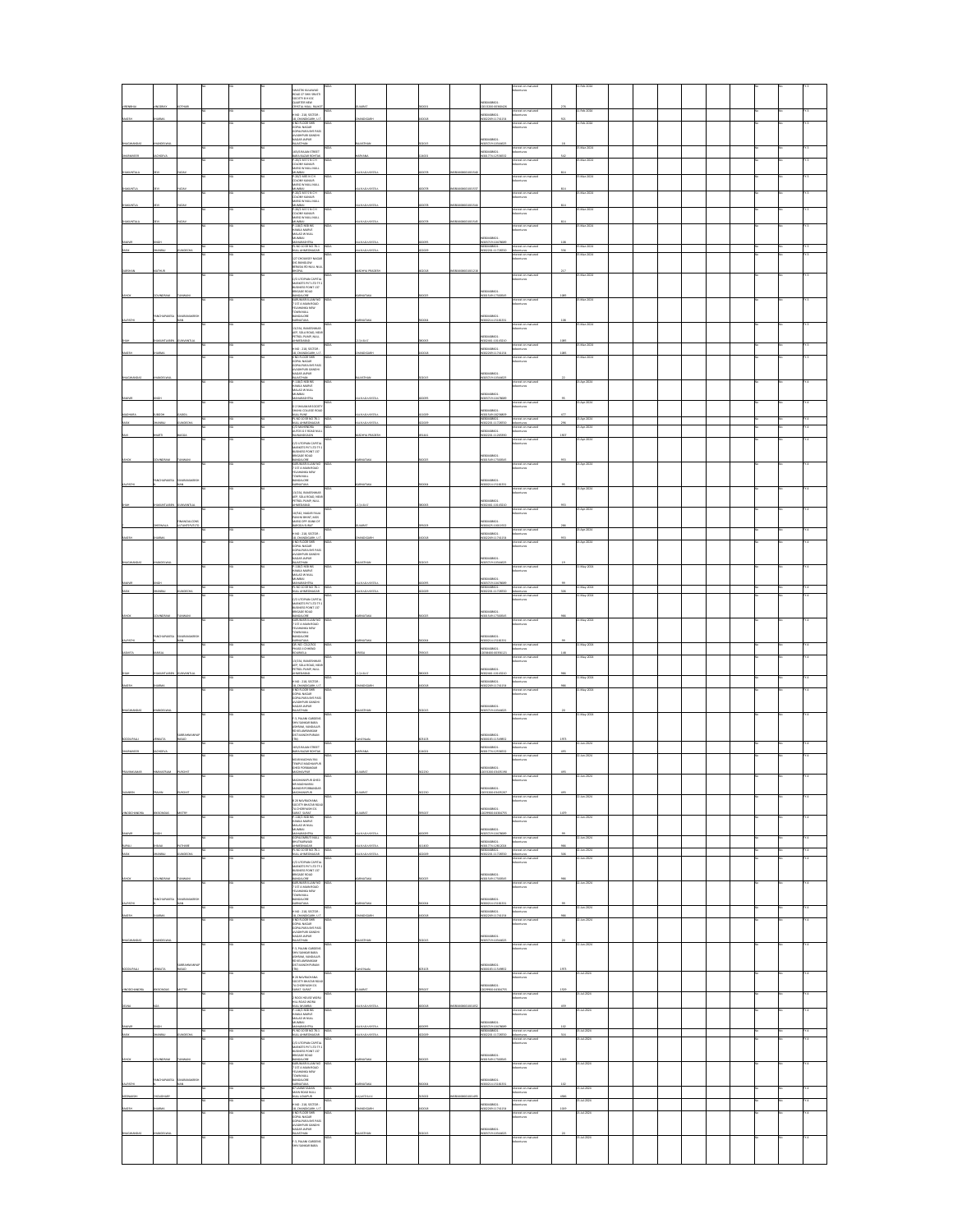|                 |                 |                |  |                                                                                                                                                                                                                                                                                                                                                                                         |                        |           |                |                                                  | erest on mat<br>entates                 |                 |                             |  |  |  |  |  |
|-----------------|-----------------|----------------|--|-----------------------------------------------------------------------------------------------------------------------------------------------------------------------------------------------------------------------------------------------------------------------------------------------------------------------------------------------------------------------------------------|------------------------|-----------|----------------|--------------------------------------------------|-----------------------------------------|-----------------|-----------------------------|--|--|--|--|--|
|                 |                 |                |  | SINASTIK KULAWAD<br>ROAD 27 SHIV SRUSTI<br>SOCIETY B H KX<br>QUARTER NEW                                                                                                                                                                                                                                                                                                                |                        |           |                | 80409601                                         |                                         |                 |                             |  |  |  |  |  |
|                 |                 |                |  | <b>RISTAL MALL RAL</b><br>NO - 218, SECTOR -                                                                                                                                                                                                                                                                                                                                            |                        |           |                | 012200-00<br>.<br>Convenisore                    | arest on matured<br>bentures            |                 | Feb-3324                    |  |  |  |  |  |
|                 |                 |                |  | H NO - 218, SECTOR -<br>18, CHANDIGAIRI, LLT<br>11 ND FLOOR SHR<br>GOPALPURK RY PAS<br>AVADAPURK GANDHI<br>NAGAR LAPUR<br>NAGAR LAPUR<br>NAGAR LAPUR<br>NAGAR LAPUR                                                                                                                                                                                                                     |                        |           |                | 2269-117                                         | rrest on matured<br>entures             |                 |                             |  |  |  |  |  |
|                 |                 |                |  |                                                                                                                                                                                                                                                                                                                                                                                         |                        |           |                |                                                  |                                         |                 |                             |  |  |  |  |  |
|                 |                 |                |  | WASTAWA                                                                                                                                                                                                                                                                                                                                                                                 |                        |           |                | 102801052<br>102719-1034462                      |                                         |                 |                             |  |  |  |  |  |
|                 |                 |                |  | <b>GEAR BALAN STREET</b>                                                                                                                                                                                                                                                                                                                                                                |                        |           |                | 102801052<br>01774-1253053                       | rest on m<br>entanys                    | 50              |                             |  |  |  |  |  |
|                 |                 |                |  |                                                                                                                                                                                                                                                                                                                                                                                         |                        |           |                |                                                  | erest on ma<br>entures                  |                 |                             |  |  |  |  |  |
| <b>JOUNTALA</b> |                 |                |  |                                                                                                                                                                                                                                                                                                                                                                                         | <b>ASLARASHTE</b>      |           |                |                                                  | vrest on m<br>entanes                   | 814             |                             |  |  |  |  |  |
| <b>AIGHTLA</b>  |                 |                |  | $\begin{array}{l} \underline{\textbf{1.8345 }}\textbf{0.8485 } \textbf{0.847} \\ \underline{\textbf{1.845 }}\textbf{0.8485 } \textbf{0.848 } \textbf{0.848 } \textbf{0.848 } \textbf{1.858 } \textbf{1.874 } \textbf{1.884 } \textbf{1.874 } \textbf{1.874 } \textbf{1.874 } \textbf{1.874 } \textbf{1.874 } \textbf{1.874 } \textbf{1.874 } \textbf{1.874 } \textbf{1.874 } \textbf{1$ | <b><i>SURASHTE</i></b> |           | 22001096010015 |                                                  | est on m                                | 814             |                             |  |  |  |  |  |
|                 |                 |                |  |                                                                                                                                                                                                                                                                                                                                                                                         |                        |           |                |                                                  | bentures                                |                 |                             |  |  |  |  |  |
|                 |                 |                |  |                                                                                                                                                                                                                                                                                                                                                                                         |                        |           |                |                                                  | erest on matured<br>Sentanes            |                 |                             |  |  |  |  |  |
|                 |                 |                |  |                                                                                                                                                                                                                                                                                                                                                                                         |                        |           |                |                                                  | est on r                                |                 |                             |  |  |  |  |  |
|                 |                 |                |  |                                                                                                                                                                                                                                                                                                                                                                                         |                        |           |                | 102801052                                        | entanes                                 |                 |                             |  |  |  |  |  |
|                 |                 |                |  |                                                                                                                                                                                                                                                                                                                                                                                         |                        |           |                |                                                  | rest on matured                         | 108             | -Mar-2024                   |  |  |  |  |  |
|                 |                 |                |  |                                                                                                                                                                                                                                                                                                                                                                                         |                        |           |                |                                                  | entures                                 | 226             |                             |  |  |  |  |  |
|                 |                 |                |  | 127 CHOLICSÉY NAGA<br>DIG BLINGLOW<br>BERASIA RD NULL NUL<br>BHOPAL                                                                                                                                                                                                                                                                                                                     |                        |           |                |                                                  |                                         |                 |                             |  |  |  |  |  |
|                 |                 |                |  |                                                                                                                                                                                                                                                                                                                                                                                         |                        |           |                |                                                  | arest on matured<br>bentures            |                 | Mar-2024                    |  |  |  |  |  |
|                 |                 |                |  | C/O UTOPAN CAPITAL<br>MARKETS PVT LTD TF-<br>BIKGADE ROAD<br>BRIGADE ROAD<br>1100 HOOF                                                                                                                                                                                                                                                                                                  |                        |           |                | 103808014                                        |                                         |                 |                             |  |  |  |  |  |
|                 |                 |                |  | BRIANGHORG<br>BRINGHORG<br>KARUMARI ILIAM NG<br>YELAHANKA NGW<br>YELAHANKA NGW<br>DININ NULL<br>BANGHUDRE<br>BANGHUDRE                                                                                                                                                                                                                                                                  |                        |           |                | 0549-1720054                                     | onest con mu<br>ventures                |                 |                             |  |  |  |  |  |
|                 | <b>CHAPACES</b> |                |  |                                                                                                                                                                                                                                                                                                                                                                                         |                        |           |                |                                                  |                                         |                 |                             |  |  |  |  |  |
|                 |                 |                |  |                                                                                                                                                                                                                                                                                                                                                                                         |                        |           |                | 106108601-<br>10214-15181                        | arest on m.<br>bentures                 |                 |                             |  |  |  |  |  |
|                 |                 |                |  | 12/154, Rameshwar<br>AEP, Sola Road, Near<br>Petrol Pump, Null<br>Ahmeedarad,                                                                                                                                                                                                                                                                                                           |                        |           |                | henson                                           |                                         |                 |                             |  |  |  |  |  |
|                 |                 |                |  | NO -218, SECTOR                                                                                                                                                                                                                                                                                                                                                                         |                        |           |                | 13465-106<br>3408601                             | erest on matured<br>Sentanes            |                 | Aur-3024                    |  |  |  |  |  |
|                 |                 |                |  |                                                                                                                                                                                                                                                                                                                                                                                         |                        |           |                |                                                  | irest on r<br>ientures                  |                 |                             |  |  |  |  |  |
|                 |                 |                |  |                                                                                                                                                                                                                                                                                                                                                                                         |                        |           |                |                                                  |                                         |                 |                             |  |  |  |  |  |
|                 |                 |                |  | H NO - 218, SECTOR<br>18, CHANDEARH, LL<br>18, CHANDEARH<br>COPA, NAGAR<br>60, NAGAR NAGAR<br>NAGAR NAG<br>NAGAR NAG<br>NAGAR NAGAR<br>18, NAGAR NAGAR<br>19, NAGAR NAGAR<br>19, NAGAR NAGAR<br>19, NAGAR NAGAR<br>19, NAGAR NAGAR<br>19, NAGAR NAGAR NAGAR                                                                                                                             | <b><i>LASTHAN</i></b>  |           |                | 80409601<br>003719-10344620                      |                                         | 22              |                             |  |  |  |  |  |
|                 |                 |                |  |                                                                                                                                                                                                                                                                                                                                                                                         |                        |           |                | 30408601                                         | rest on m<br>entures                    |                 |                             |  |  |  |  |  |
|                 |                 |                |  |                                                                                                                                                                                                                                                                                                                                                                                         |                        |           |                | 02719-1047060                                    | erest on matured<br>Sentares            | $\mathcal{U}_0$ | Apr-202                     |  |  |  |  |  |
|                 |                 |                |  | D 2 SHALIMAR SOCIET<br>SHAHU COLLEGE ROA<br>NULL PLINE<br>PL NO 10 SR NO 78-1                                                                                                                                                                                                                                                                                                           |                        |           |                | 30408601                                         |                                         | 477             |                             |  |  |  |  |  |
|                 |                 |                |  | ull Avancona                                                                                                                                                                                                                                                                                                                                                                            |                        |           |                | 01549-18236<br>80408601-<br>02201-11728          | rest on matured                         | $_{2\%}$        | 3-Apr-2024<br><b>Gr-202</b> |  |  |  |  |  |
|                 |                 |                |  | NUTOS G E ROAD NUL<br><b>UUSINGGACN</b>                                                                                                                                                                                                                                                                                                                                                 | HYA PRADES             |           |                | 102808024<br>102201-11265390                     | entanes                                 | 1927            |                             |  |  |  |  |  |
|                 |                 |                |  |                                                                                                                                                                                                                                                                                                                                                                                         |                        |           |                |                                                  | est con m<br>etares                     |                 |                             |  |  |  |  |  |
|                 |                 |                |  | C/O UTOPAN CARTAL<br>MARKETS PVT LTD TF-<br>BRONAT ROAD<br>BRONAT ROAD<br>DROGALES PORT LZ<br>TJ ST A MARKET LINA NO<br>TCLANARICAL ROAD<br>YELANARICAL<br>ROAD NULL<br>ROAD NOR<br>ROAD NULL<br>ROAD NULL<br>ROAD NULL<br>ROAD NULL                                                                                                                                                    |                        |           |                | 01549-17200                                      |                                         |                 |                             |  |  |  |  |  |
|                 |                 |                |  |                                                                                                                                                                                                                                                                                                                                                                                         |                        |           |                |                                                  | rrest on matured<br>ientures            |                 | $60 - 202$                  |  |  |  |  |  |
|                 | <b>DARAGES</b>  |                |  |                                                                                                                                                                                                                                                                                                                                                                                         |                        |           |                | 680408601-<br>(300214-15181331                   |                                         |                 |                             |  |  |  |  |  |
|                 |                 |                |  | 12/154, RAMESHWAR<br>AEP, SOLA ROAD, NEA<br>PETROL PUMP, NULL                                                                                                                                                                                                                                                                                                                           |                        |           |                |                                                  | rrest on<br>ietšares                    |                 |                             |  |  |  |  |  |
|                 |                 |                |  | AGEABAD.                                                                                                                                                                                                                                                                                                                                                                                |                        |           |                | 0409501<br>02461-10143210                        |                                         |                 |                             |  |  |  |  |  |
|                 |                 |                |  | 10/542, NAGAR FALIA<br>Pani ni Bhinit, MDS<br>MARG 0PP, Bank OF<br>BARCOA SURAT                                                                                                                                                                                                                                                                                                         |                        |           |                |                                                  | rest on m<br>entures                    |                 |                             |  |  |  |  |  |
|                 |                 |                |  |                                                                                                                                                                                                                                                                                                                                                                                         |                        |           |                |                                                  |                                         |                 |                             |  |  |  |  |  |
|                 |                 |                |  | NO - 218, SECTOR -                                                                                                                                                                                                                                                                                                                                                                      |                        |           |                | 100801082<br>02269-1174115                       | rrest on r<br>entures                   | 952             |                             |  |  |  |  |  |
|                 |                 |                |  | $\begin{array}{l} 0.80 - 214, 65 \, \text{G} \, \text{M} \, \text{M} \, \text{M} \, \text{M} \, \text{M} \, \text{M} \, \text{M} \, \text{M} \, \text{M} \, \text{M} \, \text{M} \, \text{M} \, \text{M} \, \text{M} \, \text{M} \, \text{M} \, \text{M} \, \text{M} \, \text{M} \, \text{M} \, \text{M} \, \text{M} \, \text{M} \, \text{M} \, \text{M} \, \text{M} \, \text{M} \, \$  |                        |           |                |                                                  | est on r<br>stune                       |                 |                             |  |  |  |  |  |
|                 |                 |                |  |                                                                                                                                                                                                                                                                                                                                                                                         |                        |           |                | 02719-109                                        |                                         |                 |                             |  |  |  |  |  |
|                 |                 |                |  |                                                                                                                                                                                                                                                                                                                                                                                         |                        |           |                |                                                  | entanes                                 |                 |                             |  |  |  |  |  |
|                 |                 |                |  |                                                                                                                                                                                                                                                                                                                                                                                         | <b>LARASHTE</b>        |           |                | 30408601                                         |                                         | 99              |                             |  |  |  |  |  |
|                 | <b>HANRA</b>    | <b>UNDECHA</b> |  |                                                                                                                                                                                                                                                                                                                                                                                         | <b>NURASHTE</b>        | 2009      |                | 002719-10479689<br>EBDNOBGO1-<br>002201-11726700 |                                         | $_{25}$         |                             |  |  |  |  |  |
|                 |                 |                |  | C/O UTOPAN CARTAL<br>MARKETS PVT LTD TF-<br>BUSINESS POINT 1.27<br>BUSINESS POINT 1.27<br>BANGRIONE<br>MARKETS<br>TOWN NULL<br>TOWN NULL<br>TOWN NULL<br>RANGRIONE<br>RANGRIONE                                                                                                                                                                                                         |                        |           |                |                                                  | entanes                                 |                 |                             |  |  |  |  |  |
|                 |                 |                |  |                                                                                                                                                                                                                                                                                                                                                                                         |                        |           |                | henson<br>1549-17200                             |                                         |                 |                             |  |  |  |  |  |
|                 |                 |                |  |                                                                                                                                                                                                                                                                                                                                                                                         |                        |           |                |                                                  | rrest on matured<br>ientures            |                 |                             |  |  |  |  |  |
|                 |                 |                |  |                                                                                                                                                                                                                                                                                                                                                                                         |                        |           |                | 30408601<br>000214-15191331                      |                                         |                 |                             |  |  |  |  |  |
|                 |                 |                |  | KARNATAKA<br>GR. NO. CI12/302<br>PHASE-II CHHEND<br><b>CURSIA</b>                                                                                                                                                                                                                                                                                                                       |                        |           |                | 680408601<br>126400-00                           | irest on ma<br>ientures                 | 148             |                             |  |  |  |  |  |
|                 |                 |                |  | 12/154, RAMESHAVAR<br>AEP, SOLA ROAD, NEA<br>PETROL PUMP, NULL                                                                                                                                                                                                                                                                                                                          |                        |           |                |                                                  | erest on m<br>Sentanes                  |                 |                             |  |  |  |  |  |
|                 | CINTLABE        |                |  | AMERICAN                                                                                                                                                                                                                                                                                                                                                                                |                        |           |                | 30408601<br>000461-1014321                       |                                         |                 |                             |  |  |  |  |  |
|                 | HARMA           |                |  | H NO - 218, SECTOR -<br>19, CHANDIGARH, U.T.<br>1940 FLOOR SHR<br>GOPALPURA DIT FASS<br>ALFADHPURA DIT FASS<br>ALFADHPURI GANDH<br>NAGAPURI GANDH                                                                                                                                                                                                                                       | ANDIGARS               | osk       |                | 102801052<br>4902269-11741154                    | rest on m<br>returns                    | 986             |                             |  |  |  |  |  |
|                 |                 |                |  |                                                                                                                                                                                                                                                                                                                                                                                         |                        |           |                |                                                  | rest on m.<br>entures                   |                 |                             |  |  |  |  |  |
|                 |                 |                |  |                                                                                                                                                                                                                                                                                                                                                                                         |                        |           |                | 0408601                                          |                                         |                 |                             |  |  |  |  |  |
|                 |                 |                |  | WASTAN                                                                                                                                                                                                                                                                                                                                                                                  |                        |           |                | 003719-10344620                                  | erest on ma<br>Sentures                 |                 |                             |  |  |  |  |  |
|                 |                 |                |  | F.), PALANI GARDENI<br>SHIV SANKAR BABA<br>ASHRAM, VANDALUR<br>RD KELAMBAKKAM<br>DIST-KANCHIPURAM                                                                                                                                                                                                                                                                                       |                        |           |                |                                                  |                                         |                 |                             |  |  |  |  |  |
|                 |                 | WΔ             |  |                                                                                                                                                                                                                                                                                                                                                                                         |                        |           |                | 00183-11549                                      |                                         |                 |                             |  |  |  |  |  |
|                 | 1000            |                |  | geje ralan street<br>Naa bazar renta                                                                                                                                                                                                                                                                                                                                                    |                        |           |                | ERDHIOBED1-<br>301774-12536531                   | irest on ma<br>ietšates                 | 492             |                             |  |  |  |  |  |
|                 |                 |                |  | near Maehaw Rai<br>Temple Maehawpu<br>Ghed Pobbanisar<br>Machawpur                                                                                                                                                                                                                                                                                                                      |                        |           |                |                                                  | erest on matured<br>Sentares            |                 |                             |  |  |  |  |  |
|                 |                 |                |  |                                                                                                                                                                                                                                                                                                                                                                                         |                        |           |                | Minische<br>122200-0343519                       |                                         |                 |                             |  |  |  |  |  |
|                 |                 |                |  | MADHANVPUR GHED<br>NR MADHANVAI<br>MANDR PORBANDAR<br>MADHANVPUR                                                                                                                                                                                                                                                                                                                        |                        |           |                | 1008040801                                       |                                         |                 |                             |  |  |  |  |  |
|                 |                 |                |  |                                                                                                                                                                                                                                                                                                                                                                                         |                        |           |                | 122200-03435                                     | rest on<br>entures                      |                 |                             |  |  |  |  |  |
|                 |                 |                |  |                                                                                                                                                                                                                                                                                                                                                                                         |                        |           |                | 0000001                                          |                                         |                 |                             |  |  |  |  |  |
|                 |                 |                |  | REMOVEMENT<br>SOCIETY BRAZAR ROAD<br>TA CHORENSHI DS<br>SURAT SURAT<br>MARIA MARVE<br>MARIA MARVE<br>MARIA MARVE<br>MARIA MARVE<br>MARIA MARVE<br>MARIA MARVE<br>MARIA MARVE<br>MARIA MARVE<br>MARIA MARVE<br>MARIA MARVE                                                                                                                                                               | <b>ARK</b>             |           |                | 029800-04304751                                  | rest on m<br>entures                    | 10%             |                             |  |  |  |  |  |
|                 |                 |                |  |                                                                                                                                                                                                                                                                                                                                                                                         |                        |           |                | 34108601-<br>1719-184786                         |                                         |                 |                             |  |  |  |  |  |
|                 | VAII            | нляя           |  | <b>HUTKARWAZE</b>                                                                                                                                                                                                                                                                                                                                                                       | <b>HARASHTRA</b>       | 1400      |                | 10380801-<br>001774-12812024                     | arest on m<br>bentures                  | 986             |                             |  |  |  |  |  |
|                 | <b>ANRA</b>     | <b>ACCOM</b>   |  | umeconagar<br>PL NO 10 SR NO 78-1<br>NULLAHMEONAGAR                                                                                                                                                                                                                                                                                                                                     | <b><i>SURASHTE</i></b> | 22009     |                | 2201-11728700                                    | <b>Said Columnation</b>                 | $206$           | ian-2024                    |  |  |  |  |  |
|                 |                 |                |  |                                                                                                                                                                                                                                                                                                                                                                                         |                        |           |                |                                                  |                                         |                 |                             |  |  |  |  |  |
|                 |                 |                |  |                                                                                                                                                                                                                                                                                                                                                                                         |                        |           |                |                                                  | entares<br>Inest on matured<br>Ientares |                 | $446 - 2624$                |  |  |  |  |  |
| <b>HOK</b>      |                 |                |  | C/O UTOPAN CAPITAL<br>MARKETS PVT LTD TF-<br>BUSINESS POINT 137<br>BRIGADE ROAD                                                                                                                                                                                                                                                                                                         | MATAKA                 |           |                | 103808014<br>101549-17200547                     |                                         |                 |                             |  |  |  |  |  |
|                 |                 |                |  |                                                                                                                                                                                                                                                                                                                                                                                         |                        |           |                |                                                  | erest on m<br>Sentares                  |                 |                             |  |  |  |  |  |
| <b>PATH</b>     |                 |                |  |                                                                                                                                                                                                                                                                                                                                                                                         |                        |           |                |                                                  |                                         |                 |                             |  |  |  |  |  |
|                 |                 |                |  | BRIAGNORS<br>EANGALORS<br>EARLALARE ILLAM NO<br>TELAHANKA NEW<br>TOWN NULL<br>BANGALORS<br>BANGALORS<br>EARNGALORS<br>NO - 218, SECTOR-                                                                                                                                                                                                                                                 |                        |           |                | 80408601-<br>00214-15191331<br>0000001           | erest on mature<br>Seetanes             |                 |                             |  |  |  |  |  |
| assa            |                 |                |  |                                                                                                                                                                                                                                                                                                                                                                                         | VOIGARS                | ůż        |                | 002269-11741154                                  | rest on m<br>entures                    | 986             |                             |  |  |  |  |  |
|                 |                 |                |  |                                                                                                                                                                                                                                                                                                                                                                                         |                        |           |                |                                                  |                                         |                 |                             |  |  |  |  |  |
|                 |                 |                |  | WIND FAIL AND STATE UT AND REGIONAL UT AND REGORD AND REGIONAL SUIT AND STATE CAN ARREST CONTINUES.<br>COPAL NAGLAR<br>GOPAL PURPLINE CAN DIE PASS<br>NAGLAR LAIPUR<br>RAMASTIKAN                                                                                                                                                                                                       |                        |           |                | 30408601-<br> 03719-10344620                     |                                         |                 |                             |  |  |  |  |  |
|                 |                 |                |  |                                                                                                                                                                                                                                                                                                                                                                                         |                        |           |                |                                                  | erest on matured<br>Sentanes            |                 |                             |  |  |  |  |  |
|                 |                 |                |  |                                                                                                                                                                                                                                                                                                                                                                                         |                        |           |                |                                                  |                                         |                 |                             |  |  |  |  |  |
|                 |                 |                |  | F-2, PALANI GARDINI<br>SHIV SANKAR BABA<br>ASHRAM, VANDALUR<br>RD KELAMOHPURAM<br>DIT-KANOHPURAM<br>(TN)                                                                                                                                                                                                                                                                                |                        |           |                | 804108601-<br>00183-11549                        | arest on r<br>bentures                  |                 |                             |  |  |  |  |  |
|                 |                 |                |  | 8 20 NAVRACHANA<br>SOCIETY BHATAR ROA<br>7A CHORINASHI DS<br>SURAT SURAT                                                                                                                                                                                                                                                                                                                | u.                     |           |                | environne                                        | erest on mature                         | 1529            |                             |  |  |  |  |  |
|                 |                 |                |  |                                                                                                                                                                                                                                                                                                                                                                                         | <b>RASHTR</b>          |           |                |                                                  | entanes                                 | 459             |                             |  |  |  |  |  |
|                 |                 |                |  |                                                                                                                                                                                                                                                                                                                                                                                         |                        |           |                |                                                  | rest on matur<br>pentanes               |                 |                             |  |  |  |  |  |
|                 |                 |                |  |                                                                                                                                                                                                                                                                                                                                                                                         |                        |           |                |                                                  |                                         | 102             |                             |  |  |  |  |  |
| ASIK            | ww              | xoccia         |  | 2 ROCK HOUSE WORLD<br>HULL ROAD WORLD<br>HULL MUMBAI<br>MULL MUMBAI<br>HAMALA MARKE<br>MAMAD W NULL<br>MUMARAGNITAL<br>MUMARAGNITAL<br>MUMARAGNITAL<br>MUMARAGNITAL<br>MUMARAGNITAL                                                                                                                                                                                                     | <b>NURASHTRA</b>       | 2008      |                | 303719-10476680<br>ESONOBEO1-<br>102201-11720700 | Ensultin no Sene<br>Sebentures          | 216             | 3-Jul-2024                  |  |  |  |  |  |
|                 |                 |                |  |                                                                                                                                                                                                                                                                                                                                                                                         |                        |           |                |                                                  |                                         |                 |                             |  |  |  |  |  |
|                 |                 |                |  |                                                                                                                                                                                                                                                                                                                                                                                         |                        |           |                | hunson<br>01549-17200540                         |                                         |                 |                             |  |  |  |  |  |
|                 |                 |                |  |                                                                                                                                                                                                                                                                                                                                                                                         |                        |           |                |                                                  | terest on matured<br>bertures           |                 | $34 - 2026$                 |  |  |  |  |  |
| <b>ALPATH</b>   | <b>CHAPACES</b> |                |  | C/O UTOPANI CAPITAL<br>MARKITS PVT LTD TF-1<br>BUSINESS POINT 1.27<br>BUSINESS POINT 1.27<br>BANGHLORE<br>DARGHLANAR REAL<br>TSTAHAMICA INFO<br>TOWN NULL<br>TOWN NULL<br>CARGHLORE<br>RANGHLANAR                                                                                                                                                                                       | <b>RNATAKA</b>         | XШ        |                | 10280802<br>000214-15181331                      |                                         | 102             |                             |  |  |  |  |  |
|                 |                 |                |  |                                                                                                                                                                                                                                                                                                                                                                                         |                        |           |                |                                                  | irest on mat<br>ientures                |                 |                             |  |  |  |  |  |
| EDMAGE          |                 |                |  | KARNATAKA<br>87 LKKAN SADAN<br>MAIN ROAD NULL<br>MULLUDARPUR                                                                                                                                                                                                                                                                                                                            | ASTHAN                 | 3002<br>m | 6804086010014  |                                                  | erest on mati<br>Sentures               | 4586            |                             |  |  |  |  |  |
|                 |                 |                |  |                                                                                                                                                                                                                                                                                                                                                                                         | <b>DIGARH</b>          |           |                | .<br>20206-11741154                              | erest on ma<br>entanes                  | $\frac{1}{2}$   |                             |  |  |  |  |  |
|                 |                 |                |  |                                                                                                                                                                                                                                                                                                                                                                                         |                        |           |                | 680408601                                        |                                         |                 |                             |  |  |  |  |  |
|                 |                 |                |  | H NO - 218, SECTOR<br>18, CHANDISASA, LLT<br>1960 FLOOR SHR<br>GOPALPURA RYE PAS<br>GOPALPURA RYE PAS<br>AVADIRYURI GANDIH<br>NAGAR LAIPUR<br>NAGAR LAIPUR                                                                                                                                                                                                                              |                        |           |                | 102719-1034                                      |                                         |                 | ul-2024                     |  |  |  |  |  |
|                 |                 |                |  | .<br>1, Palani garden<br>14V sankar baba                                                                                                                                                                                                                                                                                                                                                |                        |           |                |                                                  | arest on matured<br>bentures            |                 |                             |  |  |  |  |  |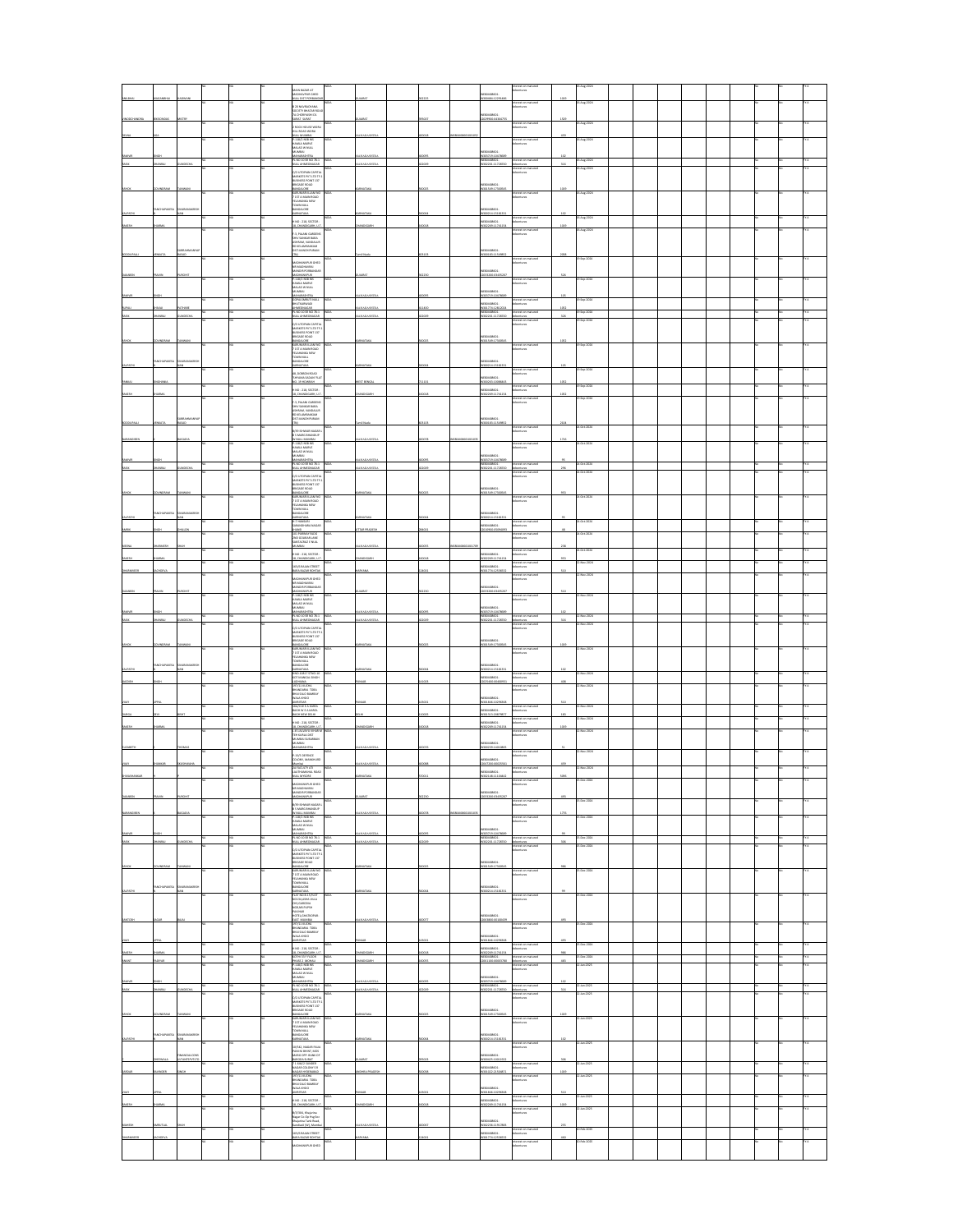|              |                 |                 |  | MAIN BAZAR AT<br>MADHAWPUR GHED<br>NULL DIST PORBAND                                                                                                                                                                                                                                      |                         |        | <b>Internacional</b><br>00484-1229148                    |                                               |              |                              |  |  |  |  |  |
|--------------|-----------------|-----------------|--|-------------------------------------------------------------------------------------------------------------------------------------------------------------------------------------------------------------------------------------------------------------------------------------------|-------------------------|--------|----------------------------------------------------------|-----------------------------------------------|--------------|------------------------------|--|--|--|--|--|
|              |                 |                 |  | 8 20 NAVRACHANA<br>SOCIETY BHATAR ROL<br>7A CHORINASHI DI<br>SURAT SURAT                                                                                                                                                                                                                  |                         |        |                                                          | arest on matured<br>bentures                  |              | Aug-2001                     |  |  |  |  |  |
|              |                 |                 |  |                                                                                                                                                                                                                                                                                           |                         |        | NEB04IOB601-<br>2029000-04204755                         |                                               | 1520         |                              |  |  |  |  |  |
|              |                 |                 |  | 2 ROCK HOUSE WORK                                                                                                                                                                                                                                                                         |                         |        |                                                          | rrest on r<br>retares                         |              |                              |  |  |  |  |  |
|              |                 |                 |  | HILL KLAD WOKI<br>NJUL MUMBA<br>ARALA MARVE<br>MALAD W NULL<br>MUMBA<br>NAMARASHTRA<br>NAMARASHTRA<br>PL ND 10 SR ND 7                                                                                                                                                                    | <b>LARASHTE/</b>        |        |                                                          | rest on m<br>retures                          | 459          |                              |  |  |  |  |  |
|              |                 |                 |  |                                                                                                                                                                                                                                                                                           |                         |        |                                                          |                                               |              |                              |  |  |  |  |  |
|              |                 | NDECHA          |  | <b>ANI AVANDAMENT</b>                                                                                                                                                                                                                                                                     | <b>ARASHTE</b>          |        | 02719-104<br>102201-1172070                              |                                               | 316          | ug-203                       |  |  |  |  |  |
|              |                 |                 |  |                                                                                                                                                                                                                                                                                           |                         |        |                                                          | centra un r<br>bentares<br>bentares           |              |                              |  |  |  |  |  |
|              |                 |                 |  | C/O UTOPIAN CAPITAL<br>MARKETS PVT LTD TF-<br>RUSINGS ROAD<br>RANGALORE<br>RANGALORE<br>KARUMARE ILLAM NO                                                                                                                                                                                 |                         |        |                                                          |                                               |              |                              |  |  |  |  |  |
|              |                 |                 |  |                                                                                                                                                                                                                                                                                           |                         |        | 80408601-<br>01549-173                                   |                                               | 1019         |                              |  |  |  |  |  |
|              |                 |                 |  | KARUMARI ILIAM NC<br>7 SST A MAJN ROAD<br>YELAHANKA NEW<br>TOWN NULL<br>BANGALORE<br>KARNGALORE                                                                                                                                                                                           |                         |        |                                                          | entanes                                       |              |                              |  |  |  |  |  |
|              |                 |                 |  |                                                                                                                                                                                                                                                                                           |                         |        | 3040601-<br>100214-15181                                 |                                               | $\alpha$     |                              |  |  |  |  |  |
|              |                 |                 |  | NO - 218, SECTOR -<br>L CHANDIGARAL I                                                                                                                                                                                                                                                     |                         |        | 102801                                                   | erest on matured<br>Sentanes                  |              | Aug-2024                     |  |  |  |  |  |
|              |                 |                 |  |                                                                                                                                                                                                                                                                                           |                         |        |                                                          | erest on ma<br>Sentanes                       |              |                              |  |  |  |  |  |
|              |                 |                 |  | -<br>F.a. Palani Gardens<br>Guy Sankar Baba<br>Adistana Wandalur<br>Dist-Kandururam<br>Dist-Kandururam                                                                                                                                                                                    |                         |        |                                                          |                                               |              |                              |  |  |  |  |  |
|              |                 | SΑD             |  | TN)                                                                                                                                                                                                                                                                                       |                         |        | 1028040834<br>1000183-11549852                           |                                               | 203          |                              |  |  |  |  |  |
|              |                 |                 |  | MADHANYEVR GHED<br>MADHANYEVR GHED<br>MADHANYEVR<br>MADHANYEVR<br>MADHANA<br>MADHAN<br>MADHAN<br>MADHAN<br>MADHAN<br>MADHAN<br>MADHAN<br>MADHAN<br>MADHAN<br>MADHAN<br>MADHAN<br>MADHANA                                                                                                  |                         |        |                                                          | vrest on m<br>vretures                        |              |                              |  |  |  |  |  |
|              |                 |                 |  |                                                                                                                                                                                                                                                                                           | ARK                     |        | 80408601-<br>(22200-03435207                             | red on mature                                 | $\Omega$     |                              |  |  |  |  |  |
|              |                 |                 |  |                                                                                                                                                                                                                                                                                           |                         |        |                                                          |                                               |              |                              |  |  |  |  |  |
|              |                 |                 |  |                                                                                                                                                                                                                                                                                           |                         |        | 13413601-<br>13719-15478685                              | erest on m<br>Sentures                        | 105          |                              |  |  |  |  |  |
|              |                 | HARE            |  | KUTKARINADI<br>umečonacar<br>PL NO 10 SR NO 78-1<br>NULLAHMEČNACAR                                                                                                                                                                                                                        | <b><i>GURASHTRA</i></b> | 1400   | 10280802<br>001774-12812024                              |                                               | 1052         |                              |  |  |  |  |  |
|              |                 | NDECH           |  |                                                                                                                                                                                                                                                                                           | <b>SURASHTE</b>         | 2009   | 02201-11720700                                           | bentures<br>erest on n<br>bentures            | $_{\rm 2X}$  | $-202$                       |  |  |  |  |  |
|              |                 |                 |  | CIO UTOPANI CAPITAL<br>MARKETS PVT LTD TF-1<br>BUSINESS POINT 137<br>BRIGADE ROAD                                                                                                                                                                                                         |                         |        |                                                          |                                               |              |                              |  |  |  |  |  |
|              | <b>INCRAN</b>   |                 |  |                                                                                                                                                                                                                                                                                           | INATAKA                 |        | 493408601<br>001549-17200545                             |                                               | 1052         |                              |  |  |  |  |  |
|              |                 |                 |  | BRANGALORS<br>EANGALORS<br>EANGALARE ILLAM NC<br>7 ISTA MARN ROAD<br>YELAHANKA NGW<br>TOWN NLLL<br>BANGALORS<br>EARNGALORS                                                                                                                                                                |                         |        |                                                          | rrest on mat<br>entanes                       |              |                              |  |  |  |  |  |
|              |                 |                 |  |                                                                                                                                                                                                                                                                                           |                         |        | $00214-1518133$                                          |                                               |              |                              |  |  |  |  |  |
|              |                 |                 |  |                                                                                                                                                                                                                                                                                           |                         |        |                                                          | vest on matured<br>bentures                   |              | $40 - 2024$                  |  |  |  |  |  |
|              |                 |                 |  | 48, DORSON ROAD<br>SHYAMA SADAN' FLA<br>NO. 19 HOWRAH                                                                                                                                                                                                                                     | EST GENGI               |        | <b>Internation</b><br>0263-1008                          | rest on mature                                | 1052         |                              |  |  |  |  |  |
|              |                 |                 |  | H NO - 218, SECTOR -<br>18, CHANDIGARH, LL'                                                                                                                                                                                                                                               | NOGARI                  |        | 80408601-<br>02269-11741154                              | entanes                                       | 1052         |                              |  |  |  |  |  |
|              |                 |                 |  | F.), PALANI GARDINI<br>SHIV SANKAR BABA<br>ASHRAM, VANDALUR<br>RS KELAMBAKKAM<br>DST-KANCHIPURAM                                                                                                                                                                                          |                         |        |                                                          | entanes                                       |              |                              |  |  |  |  |  |
|              |                 |                 |  |                                                                                                                                                                                                                                                                                           |                         |        | 680408601                                                |                                               |              |                              |  |  |  |  |  |
|              |                 | ĠΔ              |  |                                                                                                                                                                                                                                                                                           |                         |        | 000183-1154985                                           | erest on matured<br>Sentanes                  |              | Oct-2024                     |  |  |  |  |  |
|              |                 |                 |  | .<br>15 Mars Ehwardup<br>15 Mars Ehwacup                                                                                                                                                                                                                                                  |                         |        |                                                          |                                               | 1716         |                              |  |  |  |  |  |
|              |                 |                 |  |                                                                                                                                                                                                                                                                                           |                         |        |                                                          | erest on matured<br>Sentanes                  |              | $-0.1 - 200$                 |  |  |  |  |  |
|              |                 |                 |  |                                                                                                                                                                                                                                                                                           |                         |        | 103808014<br>303719-10470609                             |                                               |              |                              |  |  |  |  |  |
|              |                 |                 |  |                                                                                                                                                                                                                                                                                           |                         |        |                                                          | tured                                         | 296          | 3ct-2024                     |  |  |  |  |  |
|              |                 |                 |  | C/O UTOPIAN CAPITA<br>MARKETS PVT LTD TF<br>BUSINESS POINT 137<br>BRIGHOE ROAD                                                                                                                                                                                                            |                         |        |                                                          | etanes                                        |              |                              |  |  |  |  |  |
|              |                 |                 |  |                                                                                                                                                                                                                                                                                           |                         |        | NERDAIOBGO1-<br>NGC 1549-17300540                        |                                               | $952$        |                              |  |  |  |  |  |
|              |                 |                 |  | REGALISTICAL<br>SANGALORE<br>7 ISTA MARY ROAD<br>YELMARKA NGW<br>TOWN NLUSE<br>RANGALORE<br>RANGALORE<br>RANGALORE                                                                                                                                                                        |                         |        |                                                          | rest on mati<br>entures                       |              |                              |  |  |  |  |  |
|              |                 |                 |  |                                                                                                                                                                                                                                                                                           |                         |        | 80408601-<br>00214-15181 <mark>-</mark>                  |                                               |              |                              |  |  |  |  |  |
|              |                 |                 |  | arnataka<br>17 hangari<br>aranchura nagar                                                                                                                                                                                                                                                 |                         |        | INER0408601-<br>12010900-0509409                         | <b>Sentanes</b>                               |              |                              |  |  |  |  |  |
|              |                 |                 |  | <b>JANGI<br/>101 PARINAY BLDG<br/>2ND GOLIBAR LANG<br/>SANTAGRU2 E MJLL</b>                                                                                                                                                                                                               |                         |        |                                                          | rest cin<br>Intares                           | 48           |                              |  |  |  |  |  |
|              |                 |                 |  | <b>IARAUS</b>                                                                                                                                                                                                                                                                             |                         |        |                                                          |                                               | 228          |                              |  |  |  |  |  |
|              |                 |                 |  | NNO - 218, SECTOR-<br><b>ER, CHANDIGARH, L</b>                                                                                                                                                                                                                                            |                         |        | NERDAIDEGO1-<br>NGC 2368-117411                          | erest on mat<br>Sentanes                      | 953          |                              |  |  |  |  |  |
|              |                 |                 |  | .<br>Georgia Balaan Street<br>Baraa Baqaar Beemitad                                                                                                                                                                                                                                       |                         |        | 30408601-<br>IOL774-1253653                              | erest on matured<br>Sentures                  |              |                              |  |  |  |  |  |
|              |                 |                 |  |                                                                                                                                                                                                                                                                                           |                         |        |                                                          | erest on mature<br>Sentares                   | 510          |                              |  |  |  |  |  |
| MAGN         | ww              |                 |  | MADHAMPUR GHED<br>MR MADHAWRAI<br>MANDIR PORBANDAR<br>MADHAWPUR<br>HAMLAD W NULL<br>HAMLAD W NULL<br>MAMLAD W NULL<br>MAMLAD W NULL                                                                                                                                                       | IARAT                   | 52230  | 102801052                                                |                                               | \$10         |                              |  |  |  |  |  |
|              |                 |                 |  |                                                                                                                                                                                                                                                                                           |                         |        | 12032200-03435207                                        | erest on matured<br>Sentanes                  |              |                              |  |  |  |  |  |
|              |                 |                 |  |                                                                                                                                                                                                                                                                                           | <b>ARASHITE</b>         |        | 1008001                                                  |                                               | 102          |                              |  |  |  |  |  |
|              |                 | iccciu          |  | MANARASHTRA<br>MANARASHTRA<br>NULLAHAEDNAGAR                                                                                                                                                                                                                                              | <b>UARASHTR</b>         | œ      | -<br>102719-10478689<br>EBONOBEO1-<br>102201-11728700    | est on matured                                | $_{\rm 216}$ | -Nov-2024<br>.<br>Nova 2024  |  |  |  |  |  |
|              |                 |                 |  | C/O UTOPAN CAPITAL<br>MARKETS PAT LTD TF-<br>BUSINESS POINT 137<br>BRIGADE ROAD                                                                                                                                                                                                           |                         |        |                                                          | bentures<br>arest on matured<br>bentures      |              |                              |  |  |  |  |  |
|              |                 |                 |  |                                                                                                                                                                                                                                                                                           |                         |        | 00008601                                                 |                                               |              |                              |  |  |  |  |  |
|              |                 |                 |  |                                                                                                                                                                                                                                                                                           |                         |        | 101549-1720054                                           | erest on matured<br>verbanes                  |              |                              |  |  |  |  |  |
|              |                 |                 |  | SRIGGIO SOLO SOLO SANGUAI<br>SANGALOG SOLO SANGUARI<br>CARAMAN ILIAM NO<br>TELAHAME ILIAM NO<br>TELAHAME ILIAM NO<br>SANGUARI<br>SANGUARI<br>SANGUARI NO SANGUARI<br>CARAMAN NO SANGUARI<br>SANGUARI NO SANGUARI<br>SANGUARI NO SANGUARI NO SANGUARI<br>MARITAR                           |                         |        |                                                          |                                               |              |                              |  |  |  |  |  |
|              |                 |                 |  |                                                                                                                                                                                                                                                                                           |                         |        | 30408601-<br>100214-151913                               | arest on m.<br>Gentares                       |              |                              |  |  |  |  |  |
|              |                 |                 |  |                                                                                                                                                                                                                                                                                           |                         |        | 103000601<br>035400-0040093                              |                                               | 408          |                              |  |  |  |  |  |
|              |                 |                 |  |                                                                                                                                                                                                                                                                                           |                         |        |                                                          | rest on m<br>retures                          |              |                              |  |  |  |  |  |
|              |                 |                 |  |                                                                                                                                                                                                                                                                                           |                         |        | 0408601-<br>1946-10296                                   |                                               | 510          |                              |  |  |  |  |  |
|              |                 |                 |  | <b>MGH W EA KARO</b><br><b>INGH NEW DELHI</b>                                                                                                                                                                                                                                             |                         |        | 10380501-022                                             | bertures                                      | 182          |                              |  |  |  |  |  |
|              |                 |                 |  | NO -218, SECTOR                                                                                                                                                                                                                                                                           |                         |        | 01313-2087                                               |                                               |              |                              |  |  |  |  |  |
|              |                 |                 |  |                                                                                                                                                                                                                                                                                           |                         |        |                                                          | terest on matured<br>bentures                 | 1019         | Nov-2024                     |  |  |  |  |  |
|              |                 |                 |  |                                                                                                                                                                                                                                                                                           |                         |        |                                                          | erest on matured<br>Sentures                  |              | Nov-2024                     |  |  |  |  |  |
|              |                 |                 |  | THE CHANDIGARIAL LAST CHANGES IN THE REAL PROPERTY IN THE REAL PROPERTY IN THE REAL PROPERTY IN THE REAL PROPERTY IN THE REAL PROPERTY IN THE REAL PROPERTY IN THE REAL PROPERTY IN THE REAL PROPERTY IN THE REAL PROPERTY IN<br><b>WARASHTRA</b>                                         |                         |        | Minische<br>00229-14010                                  |                                               |              |                              |  |  |  |  |  |
|              |                 |                 |  |                                                                                                                                                                                                                                                                                           |                         |        | 400408601                                                | erest on matured<br>Sentanes                  |              |                              |  |  |  |  |  |
|              |                 |                 |  | -<br>15/5 Defence<br>Colony, Mankhure                                                                                                                                                                                                                                                     |                         |        | 047200-000255                                            |                                               |              |                              |  |  |  |  |  |
|              |                 |                 |  | CLONY, n. .<br>Aumbai<br>2A FACULTY ATI<br>** (THAMANAL ROAD<br>ULL MYSORE                                                                                                                                                                                                                |                         |        | :0000601-<br>02148-11104                                 | terest on matured<br>bentures                 |              |                              |  |  |  |  |  |
|              |                 |                 |  |                                                                                                                                                                                                                                                                                           |                         |        | 400408601                                                | entanes                                       |              |                              |  |  |  |  |  |
| <b>UAICN</b> |                 |                 |  | MADHANVPUR GHED<br>NR MADHANRAI<br>MANDIR PORGANDAR<br>MADHANVPUR                                                                                                                                                                                                                         | MRAT                    | 322    | 12032200-03435207                                        |                                               | 492          |                              |  |  |  |  |  |
|              |                 |                 |  |                                                                                                                                                                                                                                                                                           |                         |        |                                                          | erest on matured<br>Seetares                  |              |                              |  |  |  |  |  |
|              |                 |                 |  |                                                                                                                                                                                                                                                                                           |                         |        |                                                          | rrest on matured<br>ientures                  |              |                              |  |  |  |  |  |
|              |                 |                 |  |                                                                                                                                                                                                                                                                                           |                         |        | 680408601                                                |                                               |              |                              |  |  |  |  |  |
|              |                 |                 |  | MAGINANY-v=<br>AS MARG BANKSA<br>WALL MUMBA<br>WALL MUMBA<br>P-HARG MARG<br>MALAD WALL<br>MUMBAG<br>MANARAS<br>MUMBAG WALL<br>MUMBAG WALL<br>MUMBAG WALL<br>MUMBAG WALL<br>MUMBAG WALL                                                                                                    |                         |        | 1002719-10170605<br>1002719-10170605<br>1002225-11720700 | erest on matured<br>etares<br>rest on matured | $_{25}$      | S-Dec-2024<br>$n_{00}$ -2024 |  |  |  |  |  |
|              |                 |                 |  |                                                                                                                                                                                                                                                                                           |                         |        |                                                          |                                               |              |                              |  |  |  |  |  |
|              |                 |                 |  |                                                                                                                                                                                                                                                                                           |                         |        | 680408601<br>001549-172005                               |                                               |              |                              |  |  |  |  |  |
|              |                 |                 |  |                                                                                                                                                                                                                                                                                           |                         |        |                                                          | erest on matured<br>Sentanes                  |              |                              |  |  |  |  |  |
|              | <b>CHAPACES</b> |                 |  |                                                                                                                                                                                                                                                                                           | MATAKI                  |        |                                                          |                                               |              |                              |  |  |  |  |  |
| KALPATHI     |                 |                 |  |                                                                                                                                                                                                                                                                                           |                         |        | 30408601-<br>100214-15181331                             | erest on mature<br>Sentures                   |              |                              |  |  |  |  |  |
|              |                 |                 |  |                                                                                                                                                                                                                                                                                           |                         |        |                                                          |                                               |              |                              |  |  |  |  |  |
|              |                 |                 |  | <b>NULLANDADIRIRINALE</b><br>MARKETS POTTER PRODUCTS<br>MARKETS POTTER<br>BREADS PORT 137<br>BREADS PAN<br>MARKETS<br>COS, GARCINE,<br>NATIVE PRODUCTS<br>MARKETS<br>MARKETS<br>MARKETS<br>MARKETS<br>MARKETS<br>MARKETS<br>COS, GARCINE<br>MARKETS<br>COS, GARCINE<br>MARKETS<br>COS, GA |                         |        | 30408601<br>063800-00100                                 |                                               |              |                              |  |  |  |  |  |
|              |                 |                 |  |                                                                                                                                                                                                                                                                                           |                         |        |                                                          | erest on matured<br>Sentures                  |              |                              |  |  |  |  |  |
|              |                 |                 |  | HOTEL GHATKOPAR<br>EAST MUMBAL<br>197/11 KUCHA<br>BHANDARIA TOBA<br>BHANDARIA TOBA<br>MALA KHOO<br>WALA KHOO                                                                                                                                                                              |                         |        | NERDAKORGOS -<br>NGC 1524 - 1529 GREG                    |                                               | 492          |                              |  |  |  |  |  |
|              |                 |                 |  | NO - 218, SECTOR-                                                                                                                                                                                                                                                                         | <b>VOIGARS</b>          |        | 400408601<br>02269-1174115                               | erest on m<br>Sentares                        | 986          |                              |  |  |  |  |  |
|              |                 |                 |  |                                                                                                                                                                                                                                                                                           | VIDIGARI                |        | 061933-0000                                              | est on m                                      | 422          | $0 - 2000$                   |  |  |  |  |  |
|              |                 |                 |  |                                                                                                                                                                                                                                                                                           |                         |        |                                                          | bentures<br>erection m<br>bentures            |              |                              |  |  |  |  |  |
|              |                 |                 |  |                                                                                                                                                                                                                                                                                           | <b>JANETT</b>           |        | 02719-10470600<br>http://ex.com                          | ired on matured                               |              | $35-202$                     |  |  |  |  |  |
|              |                 | DECHA           |  | H NO - 218, SECTOR -<br>19, CHANDRAIN, UTA<br>1970 H R F F LOOR<br>PANSE 2 MOHALI<br>P-1982 NSR INS<br>HAMAD W NULL<br>MUANDAN MARAD W NULL<br>PL NO - 20 SR NO - 20 - 1<br>PL NO - 20 SR NO - 20 - 20 - 20 - 20 - 20<br>NULL MUANDAN<br>NULLAHMEDNAGAR                                   | <b><i>URASHTRA</i></b>  | 600    | 0205-11728700                                            | bentures<br>arest on mature<br>bentures       | 316          |                              |  |  |  |  |  |
|              |                 |                 |  |                                                                                                                                                                                                                                                                                           |                         |        |                                                          |                                               |              |                              |  |  |  |  |  |
|              |                 |                 |  |                                                                                                                                                                                                                                                                                           |                         |        | 804108601-<br>01549-17300545                             |                                               | 1019         |                              |  |  |  |  |  |
|              |                 |                 |  |                                                                                                                                                                                                                                                                                           |                         |        |                                                          | arest on matured<br>bentures                  |              |                              |  |  |  |  |  |
|              | <b>CHAPACES</b> |                 |  | C/O UTOPAN CAPITAL<br>MARKETS PVT LTD TF-1<br>BUSINESS POINT 1.27<br>BUSINESS POINT 1.27<br>BANGKUORE<br>KARKEN NAME<br>VECHAARKE ILLAM NOV<br>TOHN NULL<br>TOHN NULL<br>BANGKUORE<br>TOHN NULL<br>BANGKUORE<br>ARNATAKA                                                                  |                         |        | 680408601<br>000214-151813                               |                                               |              |                              |  |  |  |  |  |
|              |                 |                 |  |                                                                                                                                                                                                                                                                                           |                         |        |                                                          | arest on matured<br>bentures                  |              | $8-202$                      |  |  |  |  |  |
|              | <b>CUCAL</b>    | <b>ANTSPVTL</b> |  |                                                                                                                                                                                                                                                                                           | w                       |        | 10280802<br>000425-10011922                              |                                               | 206          |                              |  |  |  |  |  |
|              |                 |                 |  | 10/542, NAGAR FALIA<br>PANI NI BHINT, NEG<br>MANI NI BHINT, NEG<br>MAGGA SUBAT<br>11 GAL/3 SUNDER<br>NAGAR COLONYS R                                                                                                                                                                      |                         |        | 100801040<br>100023-2150                                 | arest on matur<br>bentures                    | 1019         |                              |  |  |  |  |  |
|              |                 |                 |  |                                                                                                                                                                                                                                                                                           |                         |        |                                                          | erest on matured<br>Sentanes                  |              | as-202                       |  |  |  |  |  |
|              |                 |                 |  | NAGAR HYDERABAD<br>197/11 KUCHA<br>BHANDARIA TOBA<br>BHAI SALO BAMBAY<br>WALA KHOO<br><b>MAZTSAR</b>                                                                                                                                                                                      |                         |        | 1028040834<br>00006-10206368                             |                                               |              |                              |  |  |  |  |  |
| <b>ASSA</b>  | <b>ULESAA</b>   |                 |  | H NO - 218, SECTOR -<br>18, CHANDIGARH, U.T                                                                                                                                                                                                                                               | <b>UNDIGARS</b>         | $\cos$ | 680408601<br>4002269-11741154                            | test on r<br>Intares                          | 1019         |                              |  |  |  |  |  |
|              |                 |                 |  |                                                                                                                                                                                                                                                                                           |                         |        |                                                          | rrest on mature<br>entures                    |              |                              |  |  |  |  |  |
|              |                 |                 |  | 8/3/304, Khajarina<br>Nagar Co-Op Hig Soc<br>Khajarina Tank Road,<br>Kandiuali (W), Mumbo                                                                                                                                                                                                 |                         |        | 00008601<br>302236-11917882                              |                                               |              |                              |  |  |  |  |  |
|              |                 |                 |  |                                                                                                                                                                                                                                                                                           |                         |        |                                                          | erest on ma<br>Sentares                       |              |                              |  |  |  |  |  |
|              |                 |                 |  | .<br>161/6 Ralan Street<br>168a Bazar Rehitar<br><b>NPUR GHED</b>                                                                                                                                                                                                                         |                         |        |                                                          | erest on ma<br>Sentares                       |              |                              |  |  |  |  |  |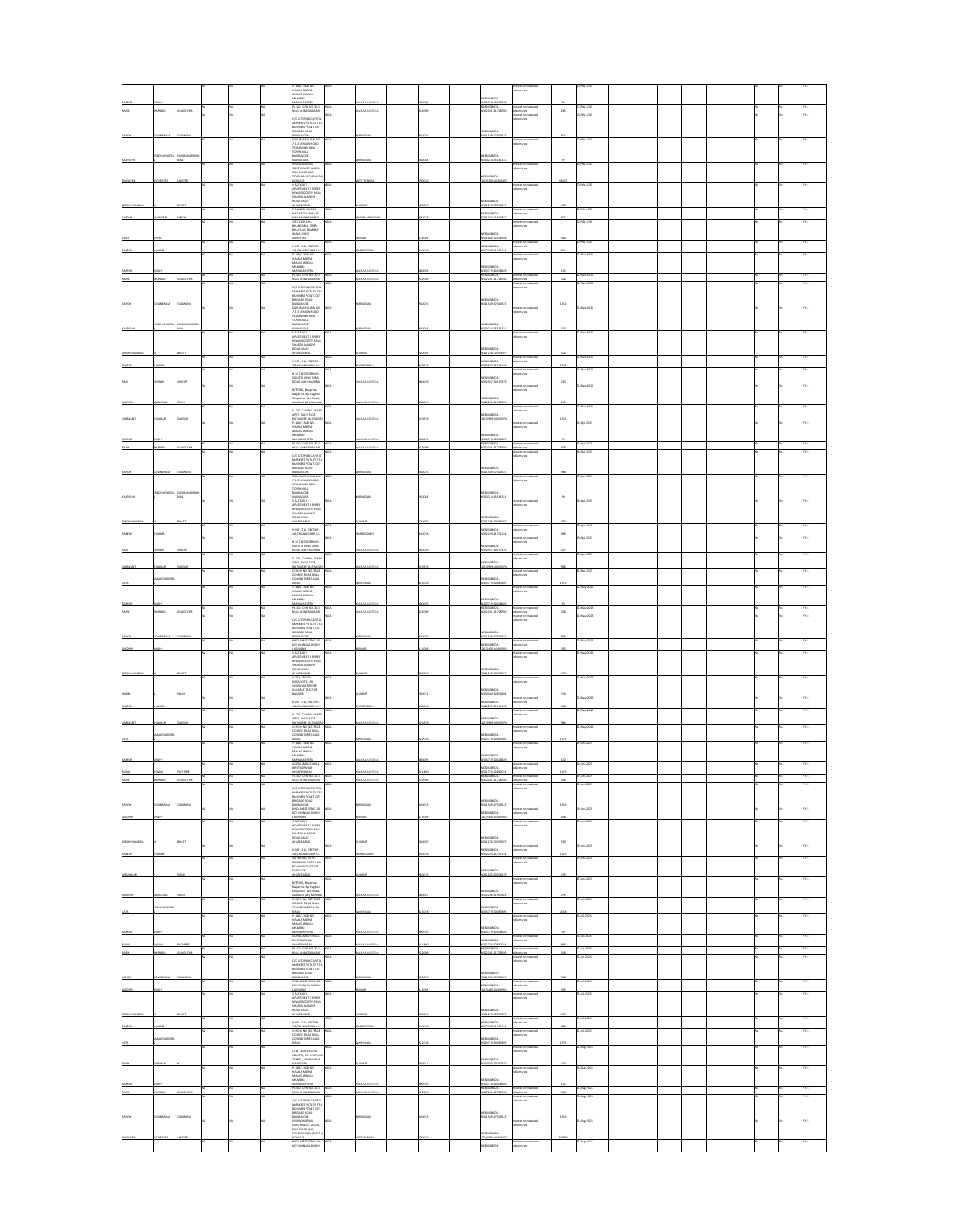|            |               |                |  | 118/2 NSR 1                                                                                                                                                                                                                                                      |                                              |               |                                                 | entanes                                           |                  |                    |  |  |  |  |  |
|------------|---------------|----------------|--|------------------------------------------------------------------------------------------------------------------------------------------------------------------------------------------------------------------------------------------------------------------|----------------------------------------------|---------------|-------------------------------------------------|---------------------------------------------------|------------------|--------------------|--|--|--|--|--|
|            |               |                |  | P-198/2 NSR INS<br>KNALA MARKE<br>MALAD W NULL<br>MALARASHTRA<br>MALI AVAREDNAGAR<br>NULL AVAREDNAGAR<br>NULL AVAREDNAGAR                                                                                                                                        |                                              |               | 303719-10478<br>EROMORGOL-                      |                                                   |                  |                    |  |  |  |  |  |
|            |               |                |  |                                                                                                                                                                                                                                                                  | <b>HARASHTE</b>                              | ioos          | 02201-11728700                                  | bentures<br>arest on matured<br>bentures          | $24\%$           | 46-3029<br>46-3029 |  |  |  |  |  |
|            |               |                |  | C/O UTOPAN CAPITAL<br>MARKETS PVT LTD TF-<br>BUSINESS POINT 137<br>BRIGADE ROAD                                                                                                                                                                                  |                                              |               |                                                 |                                                   |                  |                    |  |  |  |  |  |
|            |               |                |  | anngalore<br>Karumari illam ni                                                                                                                                                                                                                                   |                                              |               |                                                 |                                                   |                  |                    |  |  |  |  |  |
|            |               |                |  | KAKUMANI ILIAM NU<br>7 SSTA MAIN ROAD<br>YELAHANKA NEW<br>TOWN NULL<br>BANGALORE                                                                                                                                                                                 |                                              |               |                                                 | erest on mature<br>Sentares                       |                  |                    |  |  |  |  |  |
|            |               |                |  |                                                                                                                                                                                                                                                                  |                                              |               | 00008601<br>00214-151912                        |                                                   |                  |                    |  |  |  |  |  |
|            |               |                |  | KARNATAKA<br>VISHINAKARAA<br>SOUTH WEST BLOCK,<br>TOPSA ROAD, (SOUTH<br>TOPSA ROAD, (SOUTH                                                                                                                                                                       |                                              |               | 493408601                                       | irest on m<br>ientares                            |                  |                    |  |  |  |  |  |
| OWTEX      |               |                |  | KOLKATA<br>5 SATKRUTI<br>APARTMENT 9 SHREE<br>NIWAS SOCIETY NAVA                                                                                                                                                                                                 | GST 953                                      |               | 346300-004                                      |                                                   | 46027            |                    |  |  |  |  |  |
|            |               |                |  | SHARDA MANDIR<br>ROAD FALDI                                                                                                                                                                                                                                      |                                              |               |                                                 |                                                   |                  |                    |  |  |  |  |  |
|            |               |                |  | WANDABAD<br>7 1 GAL/2 SUNDER<br>WAGAR COLONY S R                                                                                                                                                                                                                 |                                              |               |                                                 |                                                   |                  |                    |  |  |  |  |  |
|            |               |                |  |                                                                                                                                                                                                                                                                  | HRA PRADES                                   |               | 1028040834<br>00003-3150487                     | <b>Sentanes</b>                                   | 921              |                    |  |  |  |  |  |
|            |               |                |  | NAGAR COLONYS R<br>NAGAR HYDGRAGAD<br>197711 KUCHA<br>GHANDARIA TOGA<br>GHANDARIA 1963<br>WALA 1963<br>WALA 1963                                                                                                                                                 |                                              |               |                                                 | rest on i<br>retures                              |                  |                    |  |  |  |  |  |
|            |               |                |  | NNO - 218, SECTOR -                                                                                                                                                                                                                                              |                                              |               | 15866-1029                                      | erest on mature<br>Sentares                       |                  |                    |  |  |  |  |  |
|            |               |                |  |                                                                                                                                                                                                                                                                  |                                              |               | NERONIOBEO1-<br>NGC 2268-11741154               |                                                   | 921              |                    |  |  |  |  |  |
|            |               |                |  |                                                                                                                                                                                                                                                                  |                                              |               |                                                 |                                                   |                  |                    |  |  |  |  |  |
|            | www           | <b>UNDECHA</b> |  | WIND - 218, MACLINE<br>19, CHANDICARR, LLT<br>0-118/2 NSR INS<br>60MLA MARNE<br>MANADAN<br>MANADANG<br>MANADANG INSR IND 20-1<br>PLNADADANG INSR IND 20-1<br>NLLLANMEDANG                                                                                        | <b>IAHARASHTRA</b>                           | 22009         | 02719-104784<br>002201-11728700                 | bentures<br>erest on ma                           | $_{\rm 326}$     | Mar-2025           |  |  |  |  |  |
|            |               |                |  | C/O UTOPIAN CAPITAL<br>MARKETS PVT LTD TF-<br>BUSINESS POINT 137                                                                                                                                                                                                 |                                              |               |                                                 |                                                   |                  |                    |  |  |  |  |  |
|            | NDRAN         |                |  | BRIGHDE ROAD                                                                                                                                                                                                                                                     | INATAKA                                      |               | 420408601-<br>(301546-17300545                  |                                                   | 1052             |                    |  |  |  |  |  |
|            |               |                |  | BRIGADE ROOM<br>BRIGADE RUMAN<br>CARDAAR ILIAM NO<br>VELAVASICA NEW<br>VELAVASICA NEW<br>DRIGADE<br>CARDADE ROOM<br>SARTADE ROOM<br>SARTADE ROOM<br>SARTADE ROOM<br>SARTADE ROOM<br>SARTADE ROOM<br>SARTADE ROOM<br>SARTADE ROOM<br>SARTADE ROOM<br>SARTADE ROOM |                                              |               |                                                 | rest on m<br>entures                              |                  |                    |  |  |  |  |  |
|            |               |                |  |                                                                                                                                                                                                                                                                  |                                              |               | 00214-1518133                                   |                                                   |                  |                    |  |  |  |  |  |
|            |               |                |  |                                                                                                                                                                                                                                                                  |                                              |               |                                                 | rrest on matured<br>ientures                      |                  | Mar-2021           |  |  |  |  |  |
|            |               |                |  |                                                                                                                                                                                                                                                                  |                                              |               | 450406601-<br>(301276-3035306)                  |                                                   | 526              |                    |  |  |  |  |  |
|            |               |                |  | NO - 218, SECTOR                                                                                                                                                                                                                                                 |                                              |               | 680408601<br>02269-11741                        | rest on m<br>ventures                             | 1052             |                    |  |  |  |  |  |
|            |               |                |  | <b>S. CHANDIGARH, U</b><br><b>B</b> 15 THEOSOPHICAL<br>SOCIETY JUNIU TARA                                                                                                                                                                                        |                                              |               | 102801052                                       | ierest on matureo<br>bentures                     |                  |                    |  |  |  |  |  |
|            |               |                |  | <b>ROAD JUNU MUMBA</b>                                                                                                                                                                                                                                           | <b>ASLARASHTE</b>                            |               | N302927-10197479                                | rest on m.<br>entures                             | $262$            |                    |  |  |  |  |  |
|            |               |                |  | .<br>A/A/304, Khajurina<br>Khajurina Tank Road                                                                                                                                                                                                                   |                                              |               | 103808014                                       |                                                   |                  |                    |  |  |  |  |  |
|            |               |                |  | andivali (W), Muni                                                                                                                                                                                                                                               | <b>ASHIR</b>                                 |               | 02236-1191788                                   | arest on matured<br>bentures                      | 261              | -Mar-2025          |  |  |  |  |  |
|            |               |                |  |                                                                                                                                                                                                                                                                  |                                              |               | 10080801<br>010919-00090                        |                                                   | 1052             | Apr-2025           |  |  |  |  |  |
|            |               |                |  | F-201, CWING, LAX<br>APPT, SALVI STOP,<br>BATNAGRI: RATNAGR<br>P-118/2 NSR INS<br>HAMAD W NULL<br>MAMAD W NULL<br>MAMAD W NULL<br>MAMAD W NULL                                                                                                                   |                                              |               | 10280802                                        | erest on matured<br>bentures                      |                  |                    |  |  |  |  |  |
|            |               | NDECH          |  | www8N<br>MAHARASHTRA<br>PL ND 10 SR ND 78-1<br>MJILAHMEDNAGAR                                                                                                                                                                                                    | <b>HARASHTRA</b><br><b>NURASHTRA</b>         | 100%          | 202719-10478689<br>02201-11720700               |                                                   | $206$            |                    |  |  |  |  |  |
|            |               |                |  |                                                                                                                                                                                                                                                                  |                                              |               |                                                 | entares<br>Helt on n<br>entares<br><b>Kured</b>   |                  | Apr-2021           |  |  |  |  |  |
|            |               |                |  | CIO UTOPANI CAPITAL<br>MARKETS PVT LTD TF-1<br>BUSINESS POINT 137<br>BRIGADE ROAD                                                                                                                                                                                |                                              |               | 493408601<br>1001549-17200545                   |                                                   |                  |                    |  |  |  |  |  |
|            | NDRAN         |                |  | MANGALORE<br>RANGALORE<br>EARUMARI ILLAM NC<br>7 IST A MAIN ROAD<br>VELAHANGA MEW<br>RANGALORE<br>RANGALORE<br>EARNATAKA<br>5 SATURUTI                                                                                                                           | <b>RNATAKA</b>                               |               |                                                 | rrest on mati<br>entanes                          | 986              |                    |  |  |  |  |  |
|            |               |                |  |                                                                                                                                                                                                                                                                  |                                              |               | 0408601-<br>0214-15191331                       |                                                   |                  |                    |  |  |  |  |  |
| LPATHI     |               |                |  |                                                                                                                                                                                                                                                                  |                                              |               |                                                 | rest on mature<br>bertares                        |                  |                    |  |  |  |  |  |
|            |               |                |  | <b><i>APARTMENT 9 SHREE</i></b><br>NPWAS SOCIETY NAVA<br>SHARDA MANIDR<br>ROAD PALDI                                                                                                                                                                             |                                              |               | 102801052                                       |                                                   |                  |                    |  |  |  |  |  |
|            |               |                |  | ACCARAD                                                                                                                                                                                                                                                          |                                              |               | 001276-00253<br>anunso                          | erest on matured<br>Sentanes                      |                  | Apr-2021           |  |  |  |  |  |
|            |               |                |  | HO - 218, SECTOR -<br>8, CHANDIGARH, LL                                                                                                                                                                                                                          |                                              |               | 02269-11741                                     | rrest on mature<br>ienbanes                       |                  |                    |  |  |  |  |  |
|            |               |                |  | a 15 THEOSOPHICAL<br>SOCIETY JUNIU TARA<br>ROAD JUNIU MUMBA                                                                                                                                                                                                      |                                              |               | anunsche<br>12023-1010747                       |                                                   | 247              | Apr-2021           |  |  |  |  |  |
|            |               |                |  | F-201, CWING, LAXMI<br>APPT, SALVI STOP,<br>ARTRAGRI: BATRAGRI<br>COLMISE ROAD NULL<br>COLMISE ROAD NULL<br>COLMISE ROAD<br>NADU                                                                                                                                 |                                              |               | unsch                                           | arest on matured<br>bentures                      |                  |                    |  |  |  |  |  |
|            |               |                |  |                                                                                                                                                                                                                                                                  |                                              |               | 010919-00090                                    | test on m<br>entanes                              |                  |                    |  |  |  |  |  |
|            |               |                |  |                                                                                                                                                                                                                                                                  |                                              |               | 2719-10433                                      | erest on matured                                  | 1872             |                    |  |  |  |  |  |
|            |               |                |  | NADU<br>P-118/2 NSR INS<br>HAMLA MARNE<br>MALAD W NULL<br>MUMBAI                                                                                                                                                                                                 |                                              |               | 00008601                                        | entanes                                           |                  |                    |  |  |  |  |  |
|            | ANRAJ         | ECCHA          |  | MUMMA<br>MAHARASHTRA<br>PLND 10 SR ND 78-1<br>NULLAHMEDNAGAR                                                                                                                                                                                                     | <b>ASLARASHTE</b><br><b><i>SURASHTRA</i></b> | 2009          | 303719-10478689<br>103805014<br>002201-11728700 | <b>During</b>                                     | 99<br>$_{20}$    | Auy-2025           |  |  |  |  |  |
|            |               |                |  |                                                                                                                                                                                                                                                                  |                                              |               |                                                 | ebentures<br>derest on m                          |                  |                    |  |  |  |  |  |
|            |               |                |  |                                                                                                                                                                                                                                                                  |                                              |               | 0549-1720                                       |                                                   |                  |                    |  |  |  |  |  |
|            |               |                |  | C/O UTOPAN CARTAL<br>MARKETS PVT LTD TF-<br>BUSINESS POINT 127<br>BRIGADE ROAD<br>BRIGADE<br>MNO 10817 STNO-10<br>HANGAL SINGH<br>LLOSHANA                                                                                                                       |                                              |               | 83409501                                        | irest on matured<br>ientures                      | ×                | Vay-2025           |  |  |  |  |  |
|            |               |                |  | AUDIANA<br>LIGHANA<br>APARTMENT 9 SHREE<br>NIWAS SOCIETY NAVA<br>SHARDA MANDIR<br>ROAD PALDI                                                                                                                                                                     |                                              |               |                                                 | irest on ma<br>ientures                           |                  |                    |  |  |  |  |  |
|            |               |                |  |                                                                                                                                                                                                                                                                  |                                              |               | 00008601<br>01276-3025309                       |                                                   |                  |                    |  |  |  |  |  |
|            |               |                |  | NHMEDABAD<br>A 303, 380 FLR<br>DEEPIYOT 2, NR<br>VISHMAMETRI OPP<br>GLIMRAT TRACTOR                                                                                                                                                                              |                                              |               |                                                 | terest on matured<br>bentures                     |                  | May-2021           |  |  |  |  |  |
|            |               |                |  | <b>AQC</b>                                                                                                                                                                                                                                                       |                                              |               | 103801024<br>1484-1264                          |                                                   |                  |                    |  |  |  |  |  |
|            | <b>ABSAA</b>  |                |  | H NO - 218, SECTOR -<br>18, CHANDIGARH, LLT                                                                                                                                                                                                                      | <b>UNDIGARS</b>                              | osk           | E80408601-<br>002269-11741154                   | rest on i<br>entures                              | $986$            |                    |  |  |  |  |  |
|            |               |                |  | F-201, CWING, LAIM<br>APPT, SALVI STOP,<br>ARTINAGRI: BATINAGR<br>ONO N NO 307 RACE<br>COLINER ROAD NULL<br>COLINERTOIS TAMIL<br>NADU                                                                                                                            |                                              |               | anansan                                         | entanes                                           |                  |                    |  |  |  |  |  |
|            |               |                |  |                                                                                                                                                                                                                                                                  |                                              |               | 10919-0009057                                   | erest on matured<br>Sentanes                      |                  | May-2025           |  |  |  |  |  |
|            |               |                |  |                                                                                                                                                                                                                                                                  |                                              |               | www.com<br>12719-10033                          | est on m                                          |                  |                    |  |  |  |  |  |
|            |               |                |  | NADO<br>P-118/2 NSR INS<br>HAMILA MARVE<br>MALAD W NULL<br>MUMBAI                                                                                                                                                                                                |                                              |               | 102801052                                       | entanes                                           |                  |                    |  |  |  |  |  |
|            |               |                |  | MUMBAI<br>MANARASHTRA<br>GOPALSMRUTI MULL<br>BHUTKARWADI<br>ANULAHMGAR<br>PL NO 10 SR NO 78-1<br>MULLAHMGAR                                                                                                                                                      |                                              |               | 103719-10470689                                 | arest on matured<br>bentures                      |                  | An-2025            |  |  |  |  |  |
|            |               |                |  |                                                                                                                                                                                                                                                                  |                                              |               | 102201-11726700                                 | rest on matured<br>entanes                        | 316              |                    |  |  |  |  |  |
|            |               |                |  |                                                                                                                                                                                                                                                                  |                                              |               |                                                 | erest on matured<br>Sentares                      |                  |                    |  |  |  |  |  |
|            |               |                |  | C/O UTOPAN CAPITAL<br>MARKETS PVT LTD TF-1<br>BUSINESS POINT 127<br>BRIGADE ROAD<br>BANGALORE<br>MNO-10RE7 STND-10                                                                                                                                               |                                              |               | 134108601-<br>11549-173001                      |                                                   | 1019             |                    |  |  |  |  |  |
| 656H       |               |                |  | <b>COT MANGAL SINGH</b>                                                                                                                                                                                                                                          |                                              | 60            | 490408601-                                      | bestates                                          | 408              |                    |  |  |  |  |  |
|            |               |                |  | ROT MARINA SIWAR<br>S SATENGITI<br>S SATENGITI<br>APARTINGAT 9 SHREE<br>NHARDA MANDR<br>ROMD PALDI<br>ROMD PALDI<br>ROMD PALDI                                                                                                                                   |                                              |               | 025400-0040093                                  | rest on ma<br>entures                             |                  |                    |  |  |  |  |  |
|            |               |                |  |                                                                                                                                                                                                                                                                  |                                              |               |                                                 |                                                   |                  |                    |  |  |  |  |  |
|            |               |                |  | NO - 218, SECTOR-                                                                                                                                                                                                                                                |                                              |               | 01276-3035309<br>0000601                        | rrest on matured<br>ientures                      | ite              | <b>M-2023</b>      |  |  |  |  |  |
|            |               |                |  | <b>REAL CARACTERISTICS</b><br><b>15, CHANDIGARIA, U.T.<br/>84 PRERNA TIRTH<br/>BUNGLOW PART 1 NR<br/>SCEEWOOD ESTATE<br/>SATELLITE</b><br>ANNEDARAD                                                                                                              |                                              |               |                                                 | est on matured<br>                                |                  | 0.222              |  |  |  |  |  |
|            |               |                |  |                                                                                                                                                                                                                                                                  |                                              |               | 80408601-<br>01645-10476376                     |                                                   |                  |                    |  |  |  |  |  |
|            |               |                |  | R/A/201, Khajurina<br>Nagar Co-Op Hig Soc<br>Magar Co-Op Hig Soc<br>Chajurina Tank Road,<br>Coukist Road-Nutt<br>COUKist Road-Nutt<br>COUKist Road-Nutt<br>CONABATORS TAMIL<br>NADU                                                                              |                                              |               |                                                 | onest con mu<br>ventures                          |                  |                    |  |  |  |  |  |
| HESH       | <b>AUTLAL</b> |                |  |                                                                                                                                                                                                                                                                  | <b><i>STARASHTRA</i></b>                     | $\frac{1}{2}$ | 102801052<br>4902236-11917883                   |                                                   | 255              |                    |  |  |  |  |  |
|            | <b>ANDER</b>  |                |  |                                                                                                                                                                                                                                                                  | nil Nadu                                     | 1018          | 30408601<br>1003719-10033305                    | irest on mat<br>ietšanes                          | 2038             |                    |  |  |  |  |  |
|            |               |                |  |                                                                                                                                                                                                                                                                  |                                              |               |                                                 | rest on matured<br>entanes                        |                  |                    |  |  |  |  |  |
|            |               |                |  |                                                                                                                                                                                                                                                                  |                                              |               | 400408601<br>03719-1047868                      |                                                   |                  | $44-2025$          |  |  |  |  |  |
|            |               |                |  | NADU<br>P-110/2 NGB INS<br>MALAD W NULL<br>MALAD W NULL<br>MALAD W NULL<br>GRATONAGAR<br>GRATONAGAR<br>MALTONAGAR<br>MALTONAGAR<br>MALTONAGAR<br>MALTONAGAR<br>ULL AVAD DS R NO 28-1<br>ULL AVADIDINGAR                                                          |                                              |               |                                                 | terest on matured<br>bentures<br>inest on matured | 986              | 44-2025            |  |  |  |  |  |
| <b>ASK</b> | www           | <b>UNDECHA</b> |  | NJLLAHMEDNAGAR                                                                                                                                                                                                                                                   | <b>NURASHTRA</b>                             | 22009         | (302201-11728700                                | debentures<br>Interest on mat<br>debentures       | $206$            |                    |  |  |  |  |  |
|            |               |                |  |                                                                                                                                                                                                                                                                  |                                              |               |                                                 |                                                   |                  |                    |  |  |  |  |  |
|            |               |                |  |                                                                                                                                                                                                                                                                  |                                              |               | E80408601-<br>301546-17300545                   | rrest on matured<br>ientures                      | $^{28}$          | AL-2025            |  |  |  |  |  |
| H200N      |               |                |  | CJO UTOPANI CARTAL<br>MARKETS PVT LTD TF-11<br>BUSINESS POINT 127<br>BRIGADE ROAD<br>BANGALORE SINGH<br>MOD TARNGAL SINGH<br>LUDHANA<br>LUDHANA                                                                                                                  | км                                           | 1002          | 30408601-<br>125400-00400921                    | erest on m<br>Sentares                            | $_{2\mathrm{K}}$ |                    |  |  |  |  |  |
|            |               |                |  | S SATISIUM<br>APARTMENT 9 SHREE<br>NIWAS SOCIETY NAVA<br>SHARDA MANDR<br>ROAD PALEY<br>AHAEDABAD                                                                                                                                                                 |                                              |               |                                                 |                                                   |                  |                    |  |  |  |  |  |
| RISHOHADRA |               | ŒΤ             |  |                                                                                                                                                                                                                                                                  | <b>IARAT</b>                                 | 0007          | 0408601<br>001276-30353097                      |                                                   | 492              | as-2021            |  |  |  |  |  |
|            |               |                |  | NO - 218, SECTOR-                                                                                                                                                                                                                                                |                                              |               | 80408601<br>2269-1174                           | rrest on ma<br>entures<br>est on m                |                  | u-2021             |  |  |  |  |  |
|            |               |                |  | 18, CHANDIGARH, LLT<br>0 NO N NO 307 RACE<br>COURSE ROAD NULL<br>COIMBATORE TAMIL<br>NADU                                                                                                                                                                        |                                              |               | 0408601-<br>0719-1043                           | <b>Sentanes</b>                                   |                  |                    |  |  |  |  |  |
|            |               |                |  |                                                                                                                                                                                                                                                                  |                                              |               |                                                 | erest on n<br>Sentanes                            |                  |                    |  |  |  |  |  |
|            |               |                |  | C/34, VIDNON KUNI<br>SOCIETY, NR. SHATHI<br>TEMPLE, MANUHUNG<br>VACODAA,<br>P-112/2 NG<br>MAHA MARKE<br>MAHA MARKE<br>MAHA MARKE<br>MAHA MARKE<br>MAHA MARKE<br>MAHA MARKE<br>MAHA MARKE<br>MAHA MARKE                                                           |                                              |               | environne<br>00343-10797580                     |                                                   |                  |                    |  |  |  |  |  |
|            |               |                |  |                                                                                                                                                                                                                                                                  |                                              |               |                                                 | arest on matured<br>bentures                      |                  | Aug-2025           |  |  |  |  |  |
|            |               |                |  |                                                                                                                                                                                                                                                                  | <b>ARASHTE</b>                               |               | 80408601<br>202719-10470609<br>Conventions      |                                                   |                  | Aug-2025           |  |  |  |  |  |
|            |               |                |  | ULI AHMEDNAGA                                                                                                                                                                                                                                                    |                                              |               | 0201-1172870                                    | etates<br>entures                                 | 316              |                    |  |  |  |  |  |
|            |               |                |  | C/O UTOPAN CAPITAL<br>MARKETS PVT LTD TF-<br>BUSINESS POINT 137<br>BRIGADE ROAD<br>BANGALORE                                                                                                                                                                     |                                              |               | 30408601                                        |                                                   |                  |                    |  |  |  |  |  |
| <b>HOK</b> | <b>INCRAM</b> | <b>NAM</b>     |  |                                                                                                                                                                                                                                                                  | <b>RNATAKA</b>                               | xxx           | N301549-17300545                                | rrest on matured<br>ientures                      | 1019             | <b>Nue-202</b>     |  |  |  |  |  |
|            |               |                |  | VIŠHIMARAŠMA<br>SOUTH WEST BLOCK,<br>2ND FLOCR BEC,<br>TOPSIA BEND, (SOUTH                                                                                                                                                                                       | EST BENGA                                    |               | 680408601<br>046300-0048                        |                                                   |                  |                    |  |  |  |  |  |
|            |               |                |  | KOLKATA<br>KOLKATA<br>KNO 10817 STNO-10<br>KOT MANGAL SINGH                                                                                                                                                                                                      |                                              |               | 10080908                                        | arest on matured<br>bentures                      |                  | Aug-2025           |  |  |  |  |  |
|            |               |                |  |                                                                                                                                                                                                                                                                  |                                              |               |                                                 |                                                   |                  |                    |  |  |  |  |  |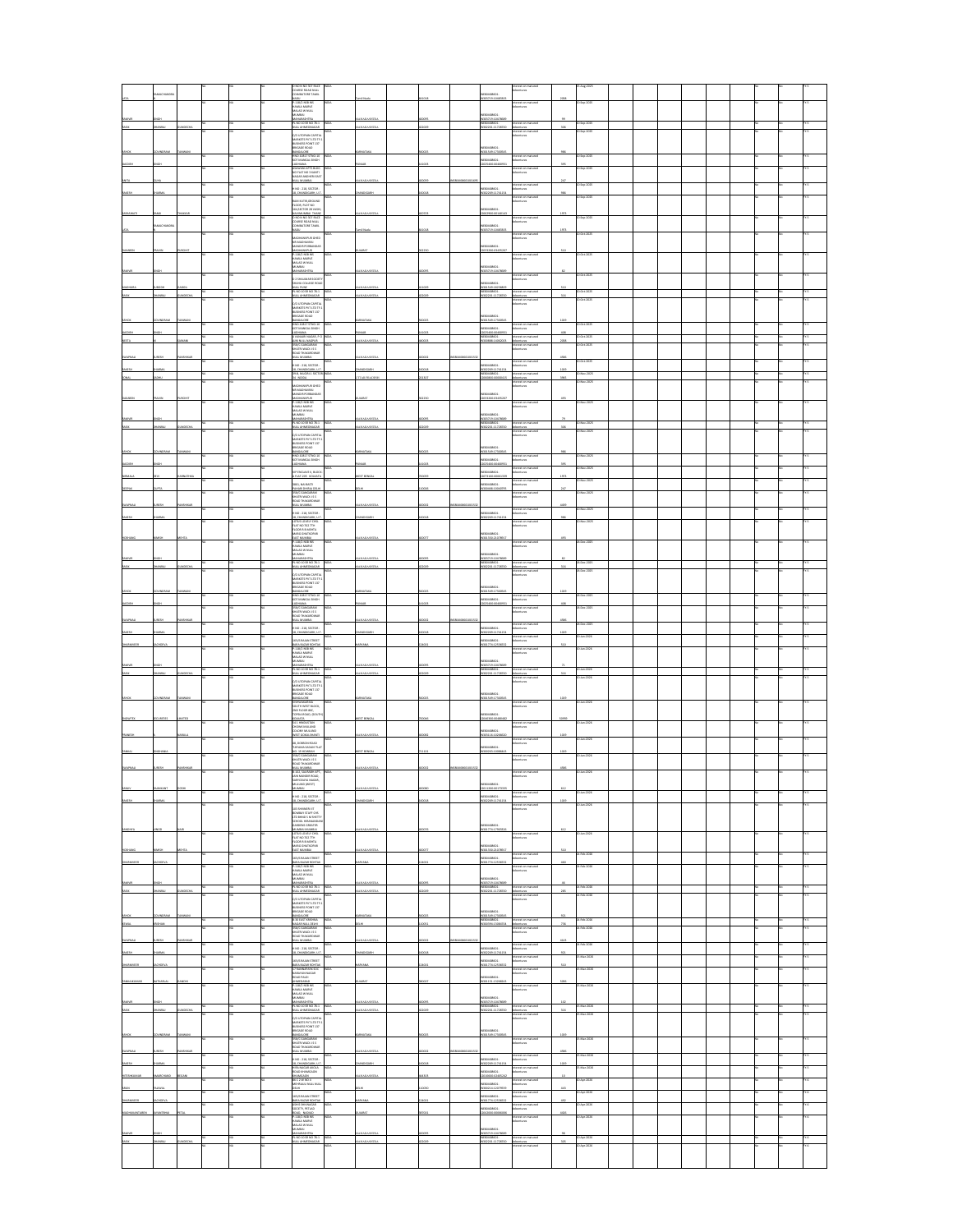|            |              |                |  | NO N NO 307 RACE<br>DURSE ROAD NULL<br>DIMBATORE TAMIL                                                                                                                                                                                             |                                         |               |                                                         |                                                          |                 |                           |  |  |  |  |  |
|------------|--------------|----------------|--|----------------------------------------------------------------------------------------------------------------------------------------------------------------------------------------------------------------------------------------------------|-----------------------------------------|---------------|---------------------------------------------------------|----------------------------------------------------------|-----------------|---------------------------|--|--|--|--|--|
|            |              |                |  |                                                                                                                                                                                                                                                    |                                         |               | 10380501-022<br>02719-1042220                           |                                                          |                 |                           |  |  |  |  |  |
|            |              |                |  | CONNEATORE TAMAL<br>WADU<br>WARLA MARYE<br>WARLA MARYE<br>ANARA WALKL<br>ANARAN<br>WARRAGHTAA<br>YAD 10 SR NO 70-1<br>LUL AHARGONAGAR<br>ULL AHARGONAGAR                                                                                           |                                         |               |                                                         | interest on matured<br>debentures                        |                 | Sep-3021                  |  |  |  |  |  |
|            |              |                |  |                                                                                                                                                                                                                                                    | <b>ARASHITE</b>                         |               | 102808024<br>003719-10478689                            |                                                          | 99              |                           |  |  |  |  |  |
|            |              |                |  |                                                                                                                                                                                                                                                    |                                         |               | 02201-11728700                                          |                                                          | 200             |                           |  |  |  |  |  |
|            |              |                |  | (ID UTOPIAN CAPITAL<br>ANRICTS PVT LTD TF-1<br>BUSINESS POINT 137<br>BRIGADE ROAD<br>**WGADE ROAD                                                                                                                                                  |                                         |               |                                                         | etates                                                   |                 |                           |  |  |  |  |  |
|            |              |                |  |                                                                                                                                                                                                                                                    |                                         |               | 103808014                                               |                                                          |                 |                           |  |  |  |  |  |
|            |              |                |  | <b>MAGALORE</b><br>NO 10817 STNO-10<br>3T MANGAL SINGH                                                                                                                                                                                             | INATACA                                 |               | 001549-17200540<br>102809082                            | rest on r<br>retures                                     |                 |                           |  |  |  |  |  |
|            |              |                |  |                                                                                                                                                                                                                                                    |                                         |               | 025400-004                                              |                                                          | 289             |                           |  |  |  |  |  |
|            |              |                |  | IT MANGAL area)<br>IDHANA<br>JAWANI APTS BLDG<br>O FLAT NO 3 KANTI<br>AGAR ANDHERI EAST                                                                                                                                                            |                                         |               |                                                         | rest on m<br>entures                                     |                 |                           |  |  |  |  |  |
|            |              |                |  | <b>ULL MUMSAI</b>                                                                                                                                                                                                                                  | <b>ASLARASHTE</b>                       |               |                                                         |                                                          | 247             |                           |  |  |  |  |  |
|            |              |                |  | (NO - 218, SECTOR -<br>8, CHANDIGARH, LLT                                                                                                                                                                                                          | <b>IOSARH</b>                           |               | 680408601-<br>002269-11741154                           | rtanes                                                   | $\omega$        |                           |  |  |  |  |  |
|            |              |                |  | RAM KUTIR, GROUND<br>FLOOR, PLOT NO<br>EGL SECTOR 28 VASH<br>MAVIMUMBAN: THANG<br>DINO NIST ROAD NULL<br>COMBATORE TAMIL<br>COMBATORE TAMIL                                                                                                        |                                         |               |                                                         | entaneo                                                  |                 |                           |  |  |  |  |  |
|            |              |                |  |                                                                                                                                                                                                                                                    |                                         |               | <b>Shanneon</b><br>362900-00140                         |                                                          | 197             |                           |  |  |  |  |  |
|            |              |                |  |                                                                                                                                                                                                                                                    |                                         |               |                                                         | rest on matured<br>retures                               |                 |                           |  |  |  |  |  |
|            |              |                |  |                                                                                                                                                                                                                                                    |                                         |               | E804108601-<br>303719-1048330                           | est on matured                                           | 1972            |                           |  |  |  |  |  |
|            |              |                |  | aadhaanpur ghed<br>ir Maehlavrai<br>Aanerr Persianear                                                                                                                                                                                              |                                         |               |                                                         | ictures                                                  |                 |                           |  |  |  |  |  |
|            |              |                |  |                                                                                                                                                                                                                                                    |                                         |               | 680408601<br>0033000-0343520                            |                                                          | 510             |                           |  |  |  |  |  |
|            |              |                |  | MOHANYEUR<br>-118/2 NSB INS<br>MMLA MARVE<br>MLAD W NLLL<br>IUMBAI                                                                                                                                                                                 |                                         |               |                                                         | rterest on matured<br>Sebentures                         |                 | Oct-2025                  |  |  |  |  |  |
|            |              |                |  | <b>WARASHTRA</b>                                                                                                                                                                                                                                   | <b>LARASHTE</b>                         |               | 10280802<br>003719-10478689                             |                                                          |                 |                           |  |  |  |  |  |
|            |              |                |  | )<br>Diamu college Rom                                                                                                                                                                                                                             |                                         |               |                                                         |                                                          |                 |                           |  |  |  |  |  |
|            |              |                |  |                                                                                                                                                                                                                                                    |                                         |               | 102801082                                               |                                                          | 510             |                           |  |  |  |  |  |
|            |              |                |  | LL PUNG<br>ND 10 SR ND 78-1<br>LL AHMEDNAGAR                                                                                                                                                                                                       | <b><i>HARASHTRA</i></b>                 |               | 301549-18236809<br>683408601-<br>302301-11738700        |                                                          | 316             |                           |  |  |  |  |  |
|            |              |                |  | CJO UTOPANI CAPITAL<br>MARKETS PVT LTD TF-1<br>RIGHIGS POINT 122<br>RIGHIGS ROAD<br>MARGAL SINGH<br>MOT MARGAL SINGH<br>LIDHANA<br>LIDHANA<br>RIGHANA<br>RIGHANA                                                                                   |                                         |               |                                                         | etate                                                    |                 |                           |  |  |  |  |  |
|            |              |                |  |                                                                                                                                                                                                                                                    |                                         |               | 400408601                                               |                                                          |                 |                           |  |  |  |  |  |
|            |              |                |  |                                                                                                                                                                                                                                                    |                                         |               | 101549-1720054                                          | erest on matured<br>Sentanes                             |                 | Oct-2025                  |  |  |  |  |  |
|            |              |                |  |                                                                                                                                                                                                                                                    |                                         |               |                                                         |                                                          | 408             | kt-2025                   |  |  |  |  |  |
|            |              |                |  | KINI MULLI NAGPUR<br>ISB/C GANGARAM<br>GAATRI WADI I S S<br>ROAD THAKLROWAR                                                                                                                                                                        | ANARASHTRA                              | 0002          | IN300888-14063003                                       | Sebentures<br>referent on m<br>Sebentures                | 2008            |                           |  |  |  |  |  |
|            |              |                |  | <b>JLL MUMSAL</b>                                                                                                                                                                                                                                  | <b><i>SURASHTRA</i></b>                 |               |                                                         |                                                          | 4586            |                           |  |  |  |  |  |
|            |              |                |  | NO - 218, SECTOR-                                                                                                                                                                                                                                  |                                         |               | 10380501-022                                            |                                                          |                 |                           |  |  |  |  |  |
|            |              |                |  | NO - ZER, BELTON<br>FR, NIGGRIS 1 SECTO<br>FR, NIGGRI 1 SECTO                                                                                                                                                                                      | NOIGARH                                 | ost           | 002269-11741154<br>630408601-<br>060800-00000415        | rest on matured                                          | 1019            | iov-2025                  |  |  |  |  |  |
|            |              |                |  |                                                                                                                                                                                                                                                    | TTAR PRADESH                            | 1307          |                                                         | entures<br>rest on m<br>entanes                          | $_{\rm 206}$    |                           |  |  |  |  |  |
|            |              |                |  | Mohamypur Ghed<br>R Machawrai<br>Machawypur<br>Mohamypur                                                                                                                                                                                           |                                         |               | 80408601-<br>(32200-03435207                            |                                                          |                 |                           |  |  |  |  |  |
|            |              |                |  |                                                                                                                                                                                                                                                    |                                         |               |                                                         |                                                          | 492             |                           |  |  |  |  |  |
|            |              |                |  |                                                                                                                                                                                                                                                    |                                         |               | henson                                                  | erest on r<br>Sentanes                                   |                 |                           |  |  |  |  |  |
|            |              |                |  | AACHAAVPUR<br>-118/2 NSR INS<br>GAMLA MARVE<br>ANARASWIRA<br>ANARASWIRA<br>-1 NO 10 SR NO 78-1<br>-1 NO 10 SR NO 78-1<br>-1 NO 10 SR NO 78-1                                                                                                       |                                         |               | 000719-10476689<br>680408601-                           | test on matured                                          | $\mathbf{z}$    | Nov-2025                  |  |  |  |  |  |
|            |              | NDECH          |  |                                                                                                                                                                                                                                                    | ANARASHTRA                              | 2009          | 002205-11726700                                         |                                                          | $_{20}$         |                           |  |  |  |  |  |
|            |              |                |  | , ID UTOPAN CAPITAL<br>AARKETS PVT LTD TF-1<br>INGADE ROAD<br>INNGKI ORE                                                                                                                                                                           |                                         |               |                                                         |                                                          |                 |                           |  |  |  |  |  |
|            |              |                |  |                                                                                                                                                                                                                                                    |                                         |               | connects<br>01549-1730054                               |                                                          |                 |                           |  |  |  |  |  |
|            |              |                |  | ingalore<br>No 10817 STNO-10<br>DT MANGAL SINGH<br>JOHAAA                                                                                                                                                                                          |                                         |               | E80408601-<br>025400-0040                               | rest on matured<br>entures                               |                 | $0 + 2025$                |  |  |  |  |  |
|            |              |                |  |                                                                                                                                                                                                                                                    |                                         |               |                                                         | irest on ma<br>entures                                   | æ               |                           |  |  |  |  |  |
|            |              |                |  | P ENCLAVE II, BLOC<br>LAT-205 HOURS                                                                                                                                                                                                                | ST BENGAL                               |               | 40000601<br>072000-0006                                 |                                                          | 1972            |                           |  |  |  |  |  |
|            |              |                |  | 801, NAI BASTI                                                                                                                                                                                                                                     |                                         |               | 1038040891<br>IN300468-10040795                         | est on m<br>etwres                                       | 247             |                           |  |  |  |  |  |
|            |              |                |  | NG, INTERNI<br>NARI DARAJ DELHI<br>AKTRI WADI I S.S<br>DAD THAKURDWAR                                                                                                                                                                              |                                         |               |                                                         | est on n<br>etures                                       |                 |                           |  |  |  |  |  |
|            |              |                |  | LL MUMBAL                                                                                                                                                                                                                                          |                                         |               |                                                         |                                                          | $^{46}$         |                           |  |  |  |  |  |
|            |              |                |  | NO - 218, SECTOR                                                                                                                                                                                                                                   |                                         |               | -                                                       | onest con mu<br>ventures                                 | 46              |                           |  |  |  |  |  |
|            |              |                |  | SHANDIGARH, LI<br>JS LOVELY CHSL                                                                                                                                                                                                                   |                                         |               |                                                         | rest on matured<br>entures                               |                 | Nov-2025                  |  |  |  |  |  |
|            |              |                |  |                                                                                                                                                                                                                                                    |                                         |               | E804I08601-<br>301330-31078917                          |                                                          | 4K              |                           |  |  |  |  |  |
|            |              |                |  |                                                                                                                                                                                                                                                    |                                         |               |                                                         | entures                                                  |                 | $360 - 2025$              |  |  |  |  |  |
|            |              |                |  | LOTUS LOVELY CHEL<br>FLAT NO 702 7TH<br>FLOOR R B RESITA<br>MARG GHATIOPAR<br>MARG GHATIOPAR<br>PAST MUSAN<br>HAMLA MARVE<br>MALLA MARVE<br>MALLA MARVE<br>MALLA MARVE                                                                             |                                         |               | 10380501-022                                            |                                                          |                 |                           |  |  |  |  |  |
|            |              |                |  | UMBAI<br>AHARAGHTRA<br>JULAHMEDNAGAR<br>JULAHMEDNAGAR                                                                                                                                                                                              |                                         |               | 120010402<br>1203719-10479689<br>1203008601-            | interest on matured                                      | $\Omega$<br>216 | 80K-225                   |  |  |  |  |  |
|            |              |                |  |                                                                                                                                                                                                                                                    |                                         |               |                                                         | entanes                                                  |                 |                           |  |  |  |  |  |
|            |              |                |  | CJO UTOPANI CAPITAL<br>MARKISTS PVT LTD TF-1<br>BRIGADESS PORT 122<br>BRIGADES ROMO<br>BRIGADES ROMO<br>BRIGADES PORT STRID-10<br>DOT MARKIS, SINGI ROMO<br>DOT MARKIS, SINGI ROMO<br>BRIGADES NADILIS S<br>BRIGADE WARDILIS S<br>ROMO THAKINGWARE |                                         |               | 102801052                                               |                                                          |                 |                           |  |  |  |  |  |
|            |              |                |  |                                                                                                                                                                                                                                                    | <b>AMATAKA</b>                          |               | actsel-172005e5                                         |                                                          | 1019            |                           |  |  |  |  |  |
|            |              |                |  |                                                                                                                                                                                                                                                    | .<br>NMA                                |               |                                                         | ntunes                                                   | $_{\rm ext}$    |                           |  |  |  |  |  |
|            |              |                |  |                                                                                                                                                                                                                                                    |                                         |               |                                                         | erest on r<br>Sentares                                   |                 |                           |  |  |  |  |  |
|            |              |                |  |                                                                                                                                                                                                                                                    |                                         |               |                                                         |                                                          |                 |                           |  |  |  |  |  |
|            |              |                |  | NO - 218, SECTOR-<br>CHANDIGARIL LI                                                                                                                                                                                                                |                                         |               | 680408601-<br>002269-11741154                           | vest on m<br>Jestares                                    | 1019            |                           |  |  |  |  |  |
|            |              |                |  | .<br>GAS RALAN STREET                                                                                                                                                                                                                              |                                         |               | 400408601<br>01774-12536                                |                                                          | \$10            |                           |  |  |  |  |  |
|            |              |                |  |                                                                                                                                                                                                                                                    |                                         |               |                                                         | erest on m<br>Sentanes                                   |                 |                           |  |  |  |  |  |
|            |              |                |  | 165/6 RAIAN STREET<br>148A BAZAR ROSTAN<br>P-118/2 NSR ROS<br>HAMILA MARVE<br>MAIALA MARVE<br>MAIALAN<br>MAIALAN<br>PL NO 10 SR NO 78-1<br>NA NO 10 SR NO 78-1                                                                                     | ASHIR                                   |               | 103808014                                               |                                                          |                 |                           |  |  |  |  |  |
|            |              | NDECH          |  |                                                                                                                                                                                                                                                    | <b>NUMBASHITRA</b>                      |               | 003719-10478689<br>002201-11728200                      |                                                          | 216             |                           |  |  |  |  |  |
|            |              |                |  |                                                                                                                                                                                                                                                    |                                         |               |                                                         | ictures                                                  |                 | $a + 202$                 |  |  |  |  |  |
|            |              |                |  | (O UTOPAN CAPITAL<br>ANRIGTS PVT LTD TF-<br>INGNOS ROAD<br>IRIGADE ROAD                                                                                                                                                                            |                                         |               |                                                         |                                                          |                 |                           |  |  |  |  |  |
|            |              |                |  |                                                                                                                                                                                                                                                    |                                         |               | INEB04I08601-<br>INGCC549-172000                        |                                                          |                 |                           |  |  |  |  |  |
|            |              |                |  | ANGALORE<br>GMINALABAA<br>OUTH WEST BLOCK,<br>ND FLOCR BEC,<br>OPSIA ROAD, (SOUT)                                                                                                                                                                  |                                         |               |                                                         |                                                          |                 |                           |  |  |  |  |  |
|            |              |                |  |                                                                                                                                                                                                                                                    | <b>ST BENGAL</b>                        |               | 10280802<br>006300-0049049                              |                                                          | \$2651          |                           |  |  |  |  |  |
|            |              |                |  | IOLKATA<br>14 1 HINDUSTAN<br>3HOWK MUJUIND<br>2GLONY MUJUIND<br>VEST GOKULSHANTI                                                                                                                                                                   |                                         |               | 100801082                                               | rest on m.<br>entures                                    |                 |                           |  |  |  |  |  |
|            |              |                |  |                                                                                                                                                                                                                                                    | <b>HARASHTE/</b>                        |               | 000116-10066630                                         |                                                          | 1019            |                           |  |  |  |  |  |
|            |              |                |  | , DORSON ROAD<br>YYANA SADAN' FLAT                                                                                                                                                                                                                 |                                         |               | 80408601                                                |                                                          |                 |                           |  |  |  |  |  |
|            |              |                |  | HYPANA SAISAN FLA<br>KD, 19 HOWRAH<br>KB/C GANGARAM<br>HATRI WADI I S S<br>KMD THALIROWAR                                                                                                                                                          | <b>JAGNER T226</b>                      |               | 000363-10086447                                         |                                                          | 1019            |                           |  |  |  |  |  |
|            |              |                |  |                                                                                                                                                                                                                                                    |                                         |               |                                                         |                                                          |                 |                           |  |  |  |  |  |
|            |              |                |  | MJIL MUMBA<br>8-102, SAURABH APT,<br>14H MANDIR ROAD,<br>SARYODATA NAGAR,                                                                                                                                                                          |                                         |               |                                                         |                                                          |                 |                           |  |  |  |  |  |
|            |              |                |  | LUND (WEST)<br>MRAI                                                                                                                                                                                                                                | <b>HARASHTRA</b>                        |               | NEROMORGO1-<br>2011200-00172225                         |                                                          | 612             |                           |  |  |  |  |  |
|            |              |                |  | NO - 218, SECTOR                                                                                                                                                                                                                                   |                                         |               |                                                         | entures                                                  |                 |                           |  |  |  |  |  |
|            |              |                |  | CHANDIGARH, LI                                                                                                                                                                                                                                     |                                         |               | INER0409601-<br>IN902269-11741154                       | rest on m                                                | 1019            |                           |  |  |  |  |  |
|            |              |                |  |                                                                                                                                                                                                                                                    |                                         |               |                                                         |                                                          |                 |                           |  |  |  |  |  |
|            |              |                |  | TO SHAWARD IT WAS SHAWARD IN SHAWARD IN SHAWARD SAN SHETTY<br>CID BHAD SAN SHETTY<br>CID BHAD SAN SHETTY<br>CHOOS K BHAD TOO TOO THE MARINA MUSIC GUATING<br>PLAT NO TOO TOO THE REGION AND CONTROL PARTY.<br>CAST MUSICAL CHOOS AND CONTROL       |                                         |               | connects                                                |                                                          |                 |                           |  |  |  |  |  |
|            |              |                |  |                                                                                                                                                                                                                                                    |                                         |               | 301774-17902                                            | rest on matured<br>entures                               |                 | $35 - 202$                |  |  |  |  |  |
|            |              |                |  |                                                                                                                                                                                                                                                    |                                         |               | 30408601                                                |                                                          |                 |                           |  |  |  |  |  |
|            |              |                |  |                                                                                                                                                                                                                                                    |                                         |               | 001220-2107891                                          |                                                          |                 | Feb-3326                  |  |  |  |  |  |
|            |              |                |  |                                                                                                                                                                                                                                                    |                                         |               | INER04IO8601-<br>INGEL774-1253                          | interest on matured<br>debentures                        | AD.             | Feb-3026                  |  |  |  |  |  |
|            |              |                |  | ggar Ralan Street<br>Lara Bazar Reditar<br>1418/2 NSR Ins<br>Malad Marke<br>Malad Walke                                                                                                                                                            |                                         |               |                                                         | rest on matured<br>ntunes                                |                 |                           |  |  |  |  |  |
|            |              |                |  |                                                                                                                                                                                                                                                    | <b><i>GUARASHTRA</i></b>                | XX            | 30408601                                                |                                                          | 46              |                           |  |  |  |  |  |
| sa.        | <b>HAMAN</b> | <b>UNDECHA</b> |  | UMMAI<br>NG 10 SR NO 78-1<br>NG 10 SR NO 78-1<br>NG AVIMEDIMAGAR                                                                                                                                                                                   | MAHARASHTRA                             | 122009        |                                                         | interest on matured<br>enbanes<br>rest con m             | $_{\rm 2K}$     | 1 Feb 2026                |  |  |  |  |  |
|            |              |                |  |                                                                                                                                                                                                                                                    |                                         |               |                                                         | entanes                                                  |                 |                           |  |  |  |  |  |
|            |              |                |  | CJO UTOPAN CAPITAL<br>MARKETS PVT LTD TF-1<br>BUSINESS POINT 137<br>BINGALORE<br>FIGENTIAL DELLI<br>BINGALORE                                                                                                                                      |                                         |               | 80408601                                                |                                                          |                 |                           |  |  |  |  |  |
|            |              |                |  |                                                                                                                                                                                                                                                    |                                         |               | 01549-17200545<br>0/w/0601-                             |                                                          | 92              | Feb-3026                  |  |  |  |  |  |
|            | SHAN         |                |  | HENRI KRIMA<br>SE/C GANGARAM<br>SE/C GANGARAM<br>DAD THALIROWAR                                                                                                                                                                                    |                                         | 12001         | 00034-1308030                                           | debentures<br>Interest on m<br>debentures                | $226$           |                           |  |  |  |  |  |
|            |              |                |  | ULL MUMBAL                                                                                                                                                                                                                                         | <b>LARASHITE</b>                        |               |                                                         |                                                          | 4142            |                           |  |  |  |  |  |
|            |              |                |  | NO - 218, SECTOR -                                                                                                                                                                                                                                 |                                         |               | 00008601                                                | irest on ma<br>ientures                                  |                 |                           |  |  |  |  |  |
|            |              |                |  | CHANDIGARH, LLT.                                                                                                                                                                                                                                   |                                         |               | 02269-1174115                                           | rderest on matured<br>Sebentures                         | 921             | $Mx-222$                  |  |  |  |  |  |
|            |              |                |  |                                                                                                                                                                                                                                                    |                                         |               | NERDAIDREO1-<br>NGC 1774-1753 6532                      |                                                          | \$10            | $-$ Mar $-2026$           |  |  |  |  |  |
|            |              |                |  |                                                                                                                                                                                                                                                    |                                         |               | hanson                                                  | arest on matured<br>bentures                             |                 |                           |  |  |  |  |  |
|            |              |                |  |                                                                                                                                                                                                                                                    |                                         |               | 01151-1226824                                           | est on matured<br>etanes                                 |                 | Mar-3026                  |  |  |  |  |  |
|            |              |                |  |                                                                                                                                                                                                                                                    |                                         |               | 400408601                                               |                                                          |                 |                           |  |  |  |  |  |
| <b>MVR</b> | <b>NGH</b>   |                |  | KAYA BAAN STREET<br>ARA BAAN KINGIT<br>ARA BAAN BOMTAY<br>7 RANMANA MARA<br>ARA BAAN MARA<br>SHATOABAO<br>SHATOABAO<br>ARA ARARAY<br>MARA MARAY<br>MARA MARAY<br>MARA MARAY<br>MARA MARAY<br>MARA MARAY<br>MARAY MARAY<br>MARAY MARAY              | <b>ASLARASETTRA</b><br>.<br>Manazashtra | coss          | IN303719-10179689<br>IN6804IO8601-<br>IN302201-11728700 | rrest on matured                                         | 102             | S-Mar-2026                |  |  |  |  |  |
|            | www          | <b>UNDECHA</b> |  |                                                                                                                                                                                                                                                    |                                         | 2009          |                                                         | etures<br>est on mat-ex<br>etans                         | $_{\rm 216}$    | $M = 222$                 |  |  |  |  |  |
|            |              |                |  | O UTOPAN CAPITAL<br>MRKETS PVT LTD TF-1<br>USINESS POINT 137<br>RIGADE ROAD<br>RIGADE ROAD                                                                                                                                                         |                                         |               |                                                         |                                                          |                 |                           |  |  |  |  |  |
|            |              |                |  |                                                                                                                                                                                                                                                    |                                         |               | E80408601-<br>301545-17300540                           |                                                          |                 |                           |  |  |  |  |  |
|            |              |                |  | ingalore<br>B/C Gangaram<br>IATRI WADIJ 55<br>MO THAKUROWAR<br>JIL MUMBAI                                                                                                                                                                          |                                         |               |                                                         | irest on matured<br>ietitanes                            |                 | Mar-3026                  |  |  |  |  |  |
|            |              |                |  |                                                                                                                                                                                                                                                    |                                         |               |                                                         | irest on matured<br>ientures                             |                 | $-$ Mar $-2026$           |  |  |  |  |  |
|            |              |                |  | 0-218, SECTOR-                                                                                                                                                                                                                                     |                                         |               | -10380160                                               |                                                          |                 | Mw.392                    |  |  |  |  |  |
|            |              |                |  | I, CHANDIGARH, LI<br>RA NAGAR ANDLA<br>DAD KHAMGAON                                                                                                                                                                                                | <b>ARASHTE</b>                          |               | 490408601-<br>0010600-0240524                           | Jest on m<br>entures                                     | $^{52}$         |                           |  |  |  |  |  |
|            |              |                |  | 4MAGACN<br>I C 2 W NO 4<br>GHRAULI MULL MULL<br>GHR                                                                                                                                                                                                |                                         |               | 102809082                                               | est con i<br>edunes                                      | 46              |                           |  |  |  |  |  |
|            |              |                |  |                                                                                                                                                                                                                                                    |                                         |               | 00214-12079                                             | interest on matured<br>debentures                        |                 | 3-Apr-2026                |  |  |  |  |  |
|            | HOCK         |                |  |                                                                                                                                                                                                                                                    |                                         |               | NG00408601-<br>NG01774-125365                           | erest on matured                                         | $_{\rm 402}$    | Apr 2                     |  |  |  |  |  |
|            |              |                |  | ige, Kraan Street<br>Bara Bazar Romtak<br>Kara Bazar Romtak<br>Kolety, Petlad<br>Pasr/2 Ngr Ing                                                                                                                                                    |                                         |               | -<br>10060601-0006                                      | entates<br>et on                                         | $46\%$          |                           |  |  |  |  |  |
|            |              |                |  |                                                                                                                                                                                                                                                    |                                         |               |                                                         | etates                                                   |                 |                           |  |  |  |  |  |
|            |              |                |  | 118/2 NSR INS<br>MALA MARVE<br>MLAD W NULL<br>LIMBAI<br>MARKONAGAR<br>JUL AHMEDNAGAR<br>JUL AHMEDNAGAR                                                                                                                                             |                                         |               | 0000001<br>IN303719-1047868                             |                                                          |                 |                           |  |  |  |  |  |
|            | ww           | <b>UNDECHA</b> |  |                                                                                                                                                                                                                                                    | .<br>IAHARASHTRA                        | $\frac{1}{2}$ | IN302201-11728700                                       | interest on matured<br>debentures<br>interest on matured | $_{22}$         | 13-Apr-2026<br>0 Apr 2026 |  |  |  |  |  |
|            |              |                |  |                                                                                                                                                                                                                                                    |                                         |               |                                                         |                                                          |                 |                           |  |  |  |  |  |
|            |              |                |  |                                                                                                                                                                                                                                                    |                                         |               |                                                         |                                                          |                 |                           |  |  |  |  |  |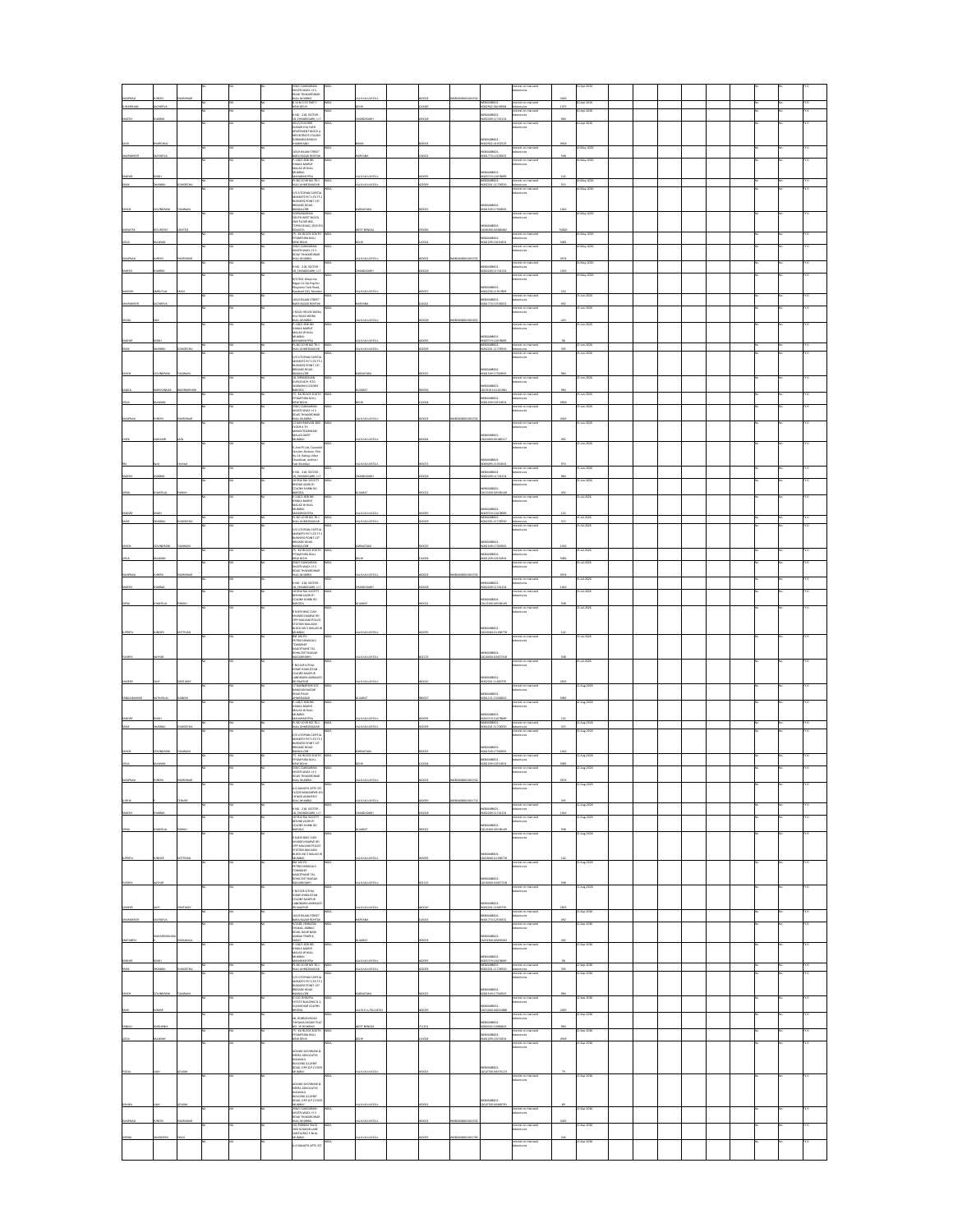|             |              |  | GIYE GANGARAM<br>AKTRI WADI I S S<br>DAD THAKURDWAR                                                                                                                               |                          |             |                                                                |                                               |                          |                                     |  |  |  |  |  |
|-------------|--------------|--|-----------------------------------------------------------------------------------------------------------------------------------------------------------------------------------|--------------------------|-------------|----------------------------------------------------------------|-----------------------------------------------|--------------------------|-------------------------------------|--|--|--|--|--|
|             |              |  | LLMUMBAL<br>4 N D S E PART I                                                                                                                                                      |                          |             |                                                                |                                               | 4426                     |                                     |  |  |  |  |  |
|             |              |  | <b>CELHI</b>                                                                                                                                                                      |                          |             | 12022451051                                                    | rest on matured                               | 10%                      | 0 Apr 2026<br>0-Apr-2026            |  |  |  |  |  |
|             |              |  | NO -218, SECTOR-                                                                                                                                                                  |                          |             | <br> NEB04IOB601-<br> NO02269-11741154                         | bertares<br>terest on matured<br>bertares     | 984                      |                                     |  |  |  |  |  |
|             |              |  | H NO - ZIE MACHIA<br>18, CHANDIGARI, LLT<br>801/C/D MIHR<br>60MAR 1HA YASH<br>60MARMAR EANGH<br>10MARMAR EANGH<br>10MARMAR EANGH<br>10MARMAR EANGH                                |                          |             |                                                                | rest on i<br>entanes                          |                          |                                     |  |  |  |  |  |
|             |              |  |                                                                                                                                                                                   |                          |             |                                                                |                                               |                          |                                     |  |  |  |  |  |
|             |              |  |                                                                                                                                                                                   |                          |             |                                                                |                                               |                          | May-2026                            |  |  |  |  |  |
|             |              |  |                                                                                                                                                                                   |                          |             | E80408601-<br>301774-12536                                     | irest on matured<br>ientures                  | $\omega$                 |                                     |  |  |  |  |  |
|             |              |  |                                                                                                                                                                                   |                          |             |                                                                | entaneo                                       |                          |                                     |  |  |  |  |  |
|             |              |  |                                                                                                                                                                                   |                          |             | henson                                                         |                                               | 102                      |                                     |  |  |  |  |  |
| ww          |              |  | LL AHMEDNAGAR                                                                                                                                                                     | <b><i>NARASHTRA</i></b>  | 2009        | 830008401-<br>003719-10476689<br>630006601-<br>003201-11726700 | erest on matured                              | $215$                    | May-2026                            |  |  |  |  |  |
|             |              |  |                                                                                                                                                                                   |                          |             |                                                                | icientures<br>terest on matured<br>icientures |                          |                                     |  |  |  |  |  |
|             |              |  | CJO UTOPIAN CAPITAL<br>MARKETS PVT LTD TF-1<br>RIKGADE ROAD<br>RIKGADE ROAD                                                                                                       |                          |             | 08601                                                          |                                               |                          |                                     |  |  |  |  |  |
|             |              |  | GALORE<br>GALORE                                                                                                                                                                  |                          |             | 0549-17200                                                     |                                               | 100                      | May-2001                            |  |  |  |  |  |
|             |              |  | ISHIMARABAA<br>DUTH WEST BLOCK,<br>ND FLOCK BEC,<br>OPSIA BOAD, (SOUTH<br>S - KU BLOCK SOUTH<br>S - KU BLOCK SOUTH<br>ITAMPURA NULL<br>EW DELH!                                   |                          |             |                                                                | rrest on matured<br>ientures                  |                          |                                     |  |  |  |  |  |
|             |              |  |                                                                                                                                                                                   | <b>TRENGA</b>            |             | 30408601-<br>346300-0048048                                    |                                               | 50820                    |                                     |  |  |  |  |  |
|             |              |  |                                                                                                                                                                                   |                          |             | 80408601                                                       | irest on matured<br>ientures                  | 500                      | -<br>May-2026                       |  |  |  |  |  |
|             |              |  |                                                                                                                                                                                   |                          |             |                                                                | wz on i<br>entures                            |                          |                                     |  |  |  |  |  |
|             |              |  | igw Delhii<br>Seyc Gangaraan<br>Sactri Wadiji S S<br>Ioad Thakurowar<br>Auli Mumbai                                                                                               |                          |             |                                                                |                                               | 453                      |                                     |  |  |  |  |  |
|             |              |  | NO - 218, SECTOR                                                                                                                                                                  |                          |             | 490408601-                                                     | arest on m<br>bertures                        | 1016                     | May-2021                            |  |  |  |  |  |
|             |              |  | CHANDIGARH, LL                                                                                                                                                                    |                          |             | 102269-11741154                                                | erest on ma<br>entanes                        |                          |                                     |  |  |  |  |  |
|             |              |  | 9/3/304, Khajurina<br>Nagar Co-Op Hig Soc<br>Khajurina Tank Road,<br>Kandivali (W), Mumba                                                                                         |                          |             |                                                                |                                               |                          |                                     |  |  |  |  |  |
|             |              |  |                                                                                                                                                                                   |                          |             | 804108601-<br>02236-11917882                                   |                                               | $\overline{\mathbf{26}}$ |                                     |  |  |  |  |  |
|             |              |  | TANK RAIAN STREET<br><b>ALEXARIOUTA</b>                                                                                                                                           |                          |             | -100801043<br>01774-12530532                                   | bertares                                      | 492                      |                                     |  |  |  |  |  |
|             |              |  | 2 ROCK HOUSE WORL                                                                                                                                                                 |                          |             |                                                                | Interest on matured<br>debentures             |                          | 3 an 2026                           |  |  |  |  |  |
|             |              |  | ILI MUMBA<br>118/2 NSR INS<br>MALA MARVE<br>MLAD W NULL<br>IUMBAI                                                                                                                 |                          |             |                                                                |                                               | 40                       | An-2026                             |  |  |  |  |  |
|             |              |  |                                                                                                                                                                                   |                          |             |                                                                | interest on matured<br>debentures             |                          |                                     |  |  |  |  |  |
|             |              |  | ANAKRASHTRA<br>K. NO 10 SR NO 78-1<br>KULLAHMEDNAGAR                                                                                                                              | <b><i>GURASHTRA</i></b>  |             | 10280802<br>003719-10478689                                    |                                               | 44                       | un-3026                             |  |  |  |  |  |
| <b>ANGA</b> | NDECHA       |  |                                                                                                                                                                                   | <b>ANARASHTE</b>         | <b>zoos</b> | IN902201-11726700                                              | abentures<br>sterest on matured<br>abentures  | $20\%$                   | 1-an-2026                           |  |  |  |  |  |
|             |              |  |                                                                                                                                                                                   |                          |             |                                                                |                                               |                          |                                     |  |  |  |  |  |
|             |              |  | (O UTOPAN CAPITAL<br>ANRIGTS PVT LTD TF-<br>IUSINGS ROAD<br>IRIGADE ROAD<br>IRIGADE ROAD                                                                                          | <b>RNATAKA</b>           |             | 102801082<br>001549-17200545                                   |                                               | 984                      |                                     |  |  |  |  |  |
|             |              |  | ANGALORE<br>8, VIRANDAVAN<br>LIPLEX B/H- RTO<br>MAASHA COLONY                                                                                                                     |                          |             |                                                                | rest on ma<br>entures                         |                          |                                     |  |  |  |  |  |
|             |              |  |                                                                                                                                                                                   |                          |             | 100801082<br>019031-01161                                      |                                               | 984                      |                                     |  |  |  |  |  |
|             |              |  | <b>ROOA</b><br>- KU BLOCK SOUT<br>FAMPURA NULL                                                                                                                                    |                          |             | 1020040891-<br>01209-1015435                                   | rest on matured<br>entures                    | els                      |                                     |  |  |  |  |  |
|             |              |  | NEW DELHI<br>NEW DELHI<br>NEW DELHI<br>NATRI WADI I S.S<br>ROAD THAKLROWAR                                                                                                        |                          |             |                                                                | erest on matured<br>Sentares                  |                          | un-2026                             |  |  |  |  |  |
|             |              |  |                                                                                                                                                                                   |                          |             |                                                                |                                               | 442                      |                                     |  |  |  |  |  |
|             |              |  | NOVI MULINDIA<br>12 JANN BAANANA 2ND<br>12 JANN BAANANA 2ND<br>4ANAD WEST<br>4ANAD WEST<br>11 JANDAD                                                                              |                          |             |                                                                | erest on matured<br>Sentanes                  |                          | lus-2026                            |  |  |  |  |  |
|             |              |  |                                                                                                                                                                                   |                          |             | 10380501-022<br>042000-0019631                                 |                                               |                          |                                     |  |  |  |  |  |
|             |              |  |                                                                                                                                                                                   |                          |             |                                                                | interest on matured<br>debentures             |                          | <b>Jun-202</b>                      |  |  |  |  |  |
|             |              |  | it And FS Ltd, Custodi<br>Services Division, Piot<br>No 14, Raheja Vihar<br>Chandivali, Andheri<br>Gast Murritai                                                                  |                          |             |                                                                |                                               |                          |                                     |  |  |  |  |  |
|             |              |  |                                                                                                                                                                                   |                          |             | 80408601-<br>00095-11254                                       |                                               |                          | an-2026                             |  |  |  |  |  |
|             |              |  | NO - 218, SECTOR                                                                                                                                                                  |                          |             | INER0409601-<br>002269-1174115                                 | erest on matured<br>Sentanes                  | 984                      |                                     |  |  |  |  |  |
|             |              |  | 18, CHANDIGARH, LL'<br>18 SRII RAJ SOCIETY<br>REHIND JAGRUTI<br>COLONY HARNI RO                                                                                                   |                          |             | 103000601                                                      | iest on m<br>Ietuves                          |                          |                                     |  |  |  |  |  |
|             |              |  |                                                                                                                                                                                   |                          |             | 2012200-00538                                                  |                                               | 40                       |                                     |  |  |  |  |  |
|             |              |  | iarcoa<br>1198/2 NSR INS<br>6MLAD W NULL<br>AUMBAI<br>AUMBAI                                                                                                                      |                          |             |                                                                |                                               |                          |                                     |  |  |  |  |  |
|             |              |  | maniani<br>LNO 10 SR NO 78-1<br>LNO 10 SR NO 78-1<br>ULL AWMEDINAGAR                                                                                                              | <b><i>GURASHTRA</i></b>  |             | 10280802<br>003719-10478689                                    |                                               | 102                      | us-2026                             |  |  |  |  |  |
|             | NDSCH        |  |                                                                                                                                                                                   | <b><i>SUARASHTRA</i></b> | <b>zoos</b> | 02205-11728700                                                 | entares<br>viest on matured<br>ventares       | 215                      | 13-Jul-2026                         |  |  |  |  |  |
|             |              |  | JO UTOPAN CAPITAL<br>MAKETS PAT LTD TF-<br>USINESS POINT 137<br>RIGADE ROAD<br>HACHLORE                                                                                           |                          |             |                                                                |                                               |                          |                                     |  |  |  |  |  |
|             |              |  |                                                                                                                                                                                   | <b>NATAKA</b>            |             | 10280802<br>001549-17200545                                    |                                               | 1016                     |                                     |  |  |  |  |  |
|             |              |  | RIGADA NA<br>MAGALORE<br>75 - KU BLOCK SOUT<br>PITAMPURA NULL                                                                                                                     |                          |             | INEB0408601-<br>101209-1015435                                 | rest on mat<br>retures                        | \$082                    |                                     |  |  |  |  |  |
|             |              |  | TAMPUAR WAS<br>DIV DELHI<br>DIV DELHI<br>HATRI WADI I S.S<br>DAD THAKLROWAR                                                                                                       |                          |             |                                                                | rterest on matured<br>Sebentures              |                          | a au 2026                           |  |  |  |  |  |
|             |              |  | JLL MUMSAL                                                                                                                                                                        |                          |             |                                                                |                                               | 4574                     |                                     |  |  |  |  |  |
|             |              |  |                                                                                                                                                                                   |                          |             | 680408601-<br>002269-11741154                                  | erest on matured<br>verbanes                  | $\frac{1}{2}$            | 44-2026                             |  |  |  |  |  |
|             |              |  |                                                                                                                                                                                   |                          |             |                                                                | erest on matur                                |                          |                                     |  |  |  |  |  |
|             |              |  | H NO - 218, SECTOR<br>18, CHANDIGARA, LL'<br>18 SR11 RAJ SOCIETY<br>2010NY HARNI RO<br>2ARODA                                                                                     |                          |             |                                                                | entanes<br>.                                  | 528                      |                                     |  |  |  |  |  |
|             |              |  |                                                                                                                                                                                   |                          |             |                                                                | erest on r<br>Sentares                        |                          |                                     |  |  |  |  |  |
|             |              |  | R N 833 BMC CLNY<br>KHARODI MARVE RD<br>CPP MALVANI POLICE<br>BLOCK NO 5 MALAD V<br>BLOCK NO 5 MALAD V<br>BLOCK NO                                                                |                          |             |                                                                |                                               |                          |                                     |  |  |  |  |  |
|             |              |  |                                                                                                                                                                                   |                          |             | NERDAIDEGO1-<br>2023000-01198778                               |                                               | 102                      |                                     |  |  |  |  |  |
|             |              |  | MUMBA<br>MUMBAI<br>BM 106 PO<br>PETROCHEMICALS<br>TOWNSHIP<br>ROHA DIST RANGAD<br>ROHA DIST RANGAD<br>RANGARHANG                                                                  |                          |             |                                                                | rrest on r<br>retares                         |                          |                                     |  |  |  |  |  |
|             |              |  |                                                                                                                                                                                   |                          |             | 10080801                                                       |                                               |                          |                                     |  |  |  |  |  |
|             |              |  |                                                                                                                                                                                   |                          |             | 010600-034                                                     | rest on matured<br>entures                    |                          | $4 - 2026$                          |  |  |  |  |  |
|             |              |  | NO DJE VITHAL<br>KNAŠ HINDUSTAN<br>CKONY NAGRUR<br>ANDMARK AMRAVAT                                                                                                                |                          |             |                                                                |                                               |                          |                                     |  |  |  |  |  |
|             |              |  | <b>DINAGPUR</b><br>PRANALDADI                                                                                                                                                     | <b>LARASHTE</b>          |             | 10280802<br>102201-11665720                                    |                                               | 2633                     |                                     |  |  |  |  |  |
|             |              |  |                                                                                                                                                                                   |                          |             | 490408601-                                                     | rest on ma<br>entures                         |                          |                                     |  |  |  |  |  |
|             |              |  |                                                                                                                                                                                   |                          |             | 001151-13268                                                   |                                               | saga                     |                                     |  |  |  |  |  |
|             |              |  | 17 RANNAPARK SC<br>NARAYAN NAGAR<br>ROAD PALDI<br>AVANCOARAD<br>MAALA MARVE<br>MAALA MARVE<br>MAALAD W NULLI<br>MUMBAI                                                            |                          |             |                                                                |                                               |                          |                                     |  |  |  |  |  |
|             |              |  |                                                                                                                                                                                   | <b><i>SURASHTRA</i></b>  |             | 10280802<br>003719-10478689                                    |                                               | 102                      |                                     |  |  |  |  |  |
|             | <b>ACCOM</b> |  | enhan<br>LNO 1058 NO 78-1<br>LNO 1058 NO 78-1<br>LULAHMEDNAGAR                                                                                                                    | <b>NEARASHTEA</b>        | 2009        | 02201-11728700                                                 |                                               | 215                      | $A_{\text{eff}}$ 2006<br>2-Aug-2006 |  |  |  |  |  |
|             |              |  | JO UTOPAN CAPITAL<br>MAKETS PAT LTD TF-<br>USINESS POINT 137<br>RIGADE ROAD                                                                                                       |                          |             |                                                                | entures<br>rest on matured<br>entures         |                          |                                     |  |  |  |  |  |
|             |              |  |                                                                                                                                                                                   |                          |             | 10280802                                                       |                                               |                          |                                     |  |  |  |  |  |
|             |              |  | RIGADE HUML<br>ANNGALORE<br>75 - KU RIJOCK SOUT<br>PITAMPURA NULL                                                                                                                 | <b>NATAKA</b>            |             | 001549-17200545                                                |                                               | 1016                     |                                     |  |  |  |  |  |
|             |              |  |                                                                                                                                                                                   |                          |             | INER0408601-<br>IN901209-10154354                              | rest on mat<br>retures                        | \$082                    |                                     |  |  |  |  |  |
|             |              |  | EW DÊLH<br>SEYC GANGARAM<br>HATRI WADIJ S S<br>DAD THAKLIGDWAR<br>ULL MUMBAL                                                                                                      |                          |             |                                                                | interest on matured<br>debentures             |                          | Aug-2001                            |  |  |  |  |  |
|             |              |  |                                                                                                                                                                                   |                          |             |                                                                |                                               | 4574                     |                                     |  |  |  |  |  |
|             |              |  | A 6 SAINATH APTS 15T<br>FLOOR BAAAANPURI RI<br>I BAIGR ANDHERI E<br>NULL MUMBAI                                                                                                   |                          |             |                                                                | rrest on r<br>entanes                         |                          |                                     |  |  |  |  |  |
|             |              |  |                                                                                                                                                                                   |                          |             |                                                                |                                               | à%                       | ug 2                                |  |  |  |  |  |
|             |              |  | NO - 218, SECTOR                                                                                                                                                                  |                          |             | 680408601<br>02269-11741                                       | erest on matured<br>bentures                  |                          |                                     |  |  |  |  |  |
|             |              |  | NO - 218, SECTOR -<br>8, CHANDIGABH, LL'<br>8 SRUI RAJ SOCIETY<br>GHND JAGRUTI<br>OLONY HABNI RO<br>ARODA                                                                         |                          |             | anunschi.                                                      | rest on matured<br>entures                    |                          | <b>Nue-2020</b>                     |  |  |  |  |  |
|             |              |  |                                                                                                                                                                                   |                          |             | 013200-0053                                                    | rest on matured                               |                          | kup 2006                            |  |  |  |  |  |
|             |              |  | R N 833 BMC CLWY<br>KHARODI MARVE RD<br>CPP MALVANI POLICE<br>STATION MALVANI<br>RII INGAI                                                                                        |                          |             |                                                                | etates                                        |                          |                                     |  |  |  |  |  |
|             |              |  |                                                                                                                                                                                   |                          |             | 0409501                                                        |                                               |                          |                                     |  |  |  |  |  |
|             |              |  |                                                                                                                                                                                   |                          |             |                                                                | rest on ma<br>entures                         |                          |                                     |  |  |  |  |  |
|             |              |  | AUMBA)<br>IM 106 PO<br>CTROCHEMICALS<br>CHINGHIP<br>MGARHEMIN<br>INGARHEMIN                                                                                                       |                          |             |                                                                |                                               |                          |                                     |  |  |  |  |  |
|             |              |  |                                                                                                                                                                                   |                          |             | 00000001-<br>010000-03457318                                   |                                               | $^{22}$                  |                                     |  |  |  |  |  |
|             |              |  |                                                                                                                                                                                   |                          |             |                                                                | interest on matured<br>debentures             |                          | 2-Aug-2000                          |  |  |  |  |  |
|             |              |  | F NO DJR VITHNI<br>HOME HINDUSTAN<br>COLONY NAGPUR<br>LANDMARK AMRAVA<br>RD NAGPUR                                                                                                |                          |             |                                                                |                                               |                          |                                     |  |  |  |  |  |
|             |              |  |                                                                                                                                                                                   |                          |             | 80408601-<br>02201-11665                                       |                                               | 36                       |                                     |  |  |  |  |  |
|             |              |  | <b>GEAR RALAN STREET</b>                                                                                                                                                          |                          |             | 102809082<br>01774-1253052                                     | <b>Sentanes</b>                               | 492                      | 40232                               |  |  |  |  |  |
|             |              |  | MIJU PANA STAR<br>VIAJA BAZAR BOMTAK<br>NAKIA, AMBARI<br>KAAD, NEAR NANI<br>VIAJA TEMPLE,<br>VIAJ                                                                                 |                          |             |                                                                | interest on matured<br>debentures             |                          |                                     |  |  |  |  |  |
|             |              |  |                                                                                                                                                                                   | ARAI                     |             | NER04IO8601-<br> 2033200-00009263                              |                                               | 492                      |                                     |  |  |  |  |  |
|             |              |  | AMBAI TEMPLE,<br>SLIBAT<br>P-118/2 NSR INS<br>P-NISLA MARVE<br>MAIARA WALLE<br>MAIARA<br>NAVARASVITRA<br>PL NO 10 SR NO 78-1<br>NAVARASVITRA                                      |                          |             |                                                                | rest on                                       |                          |                                     |  |  |  |  |  |
|             |              |  |                                                                                                                                                                                   |                          |             | 0008601<br>003719-1047861<br>EROKOBEO1-                        |                                               |                          |                                     |  |  |  |  |  |
|             |              |  |                                                                                                                                                                                   | <b><i>MARASHTRA</i></b>  | 2009        | 002201-11726700                                                | rest on matured                               | $2\%$                    | 2-Sep-2026                          |  |  |  |  |  |
|             |              |  |                                                                                                                                                                                   |                          |             |                                                                |                                               |                          | 2 Sep 2026                          |  |  |  |  |  |
|             |              |  |                                                                                                                                                                                   |                          |             |                                                                |                                               |                          |                                     |  |  |  |  |  |
|             |              |  |                                                                                                                                                                                   | NATACA                   |             | 804108601-<br>01549-17300545                                   |                                               | 984                      |                                     |  |  |  |  |  |
|             |              |  | C/O UTOPAN CARTAL<br>MARKETS PVT LTD TF-1<br>BUGINESS POINT 127<br>BRIGADE ROAD<br>D-110, BRIGHTA<br>GEILMOHAR COLORY<br>GEILMOHAR COLORY<br>GEILMOHAR COLORY<br>GEILMOHAR COLORY | <b>STARAD</b>            |             |                                                                | entanes                                       | 2459                     |                                     |  |  |  |  |  |
|             |              |  | i, Dobson Road<br>Hyama Sadany Flat                                                                                                                                               |                          |             |                                                                | test on a<br>entanes                          |                          |                                     |  |  |  |  |  |
|             |              |  |                                                                                                                                                                                   | <b>JAGNER T226</b>       | 10          | 10280802<br>000263-10086447                                    |                                               | 984                      |                                     |  |  |  |  |  |
|             |              |  | o. 19 Howrah<br>E - Ku Block South<br>Tampura Null<br>Ew Delhi                                                                                                                    |                          |             | 490408601-<br>000209-10154354                                  | erest on mat<br>ientares                      | esse                     |                                     |  |  |  |  |  |
|             |              |  |                                                                                                                                                                                   |                          |             |                                                                | rderest on matured<br>Sebentures              |                          | 2-Sep-2026                          |  |  |  |  |  |
|             |              |  |                                                                                                                                                                                   |                          |             |                                                                |                                               |                          |                                     |  |  |  |  |  |
|             |              |  | adwani Sachawani B<br>Heera Advocates<br>Mulumila<br>Road, OPP.G.P.C.FORT<br>Mumban                                                                                               |                          |             | 490408601-                                                     |                                               |                          |                                     |  |  |  |  |  |
|             |              |  |                                                                                                                                                                                   |                          |             | 0010000-0047412                                                | rderest on matured<br>Sebentures              |                          | Sep-2026                            |  |  |  |  |  |
|             |              |  |                                                                                                                                                                                   |                          |             |                                                                |                                               |                          |                                     |  |  |  |  |  |
|             |              |  |                                                                                                                                                                                   |                          |             |                                                                |                                               |                          |                                     |  |  |  |  |  |
|             |              |  |                                                                                                                                                                                   | ANARASHTR                |             | 400408601<br>12010700-00468791                                 |                                               |                          |                                     |  |  |  |  |  |
|             |              |  | ADVANI SACHWANI B<br>HEERA ADVOCATES<br>MIJEWALA<br>BEJIEWALA<br>BEJIC GAMGARAM<br>HEATRI WADII I S<br>HEATRI WADII I S<br>HEATRI WADII I S                                       |                          |             |                                                                | vest on m.<br>entures                         |                          |                                     |  |  |  |  |  |
|             |              |  | PAT TRANSPARA<br>LE MENNAN<br>D GOLIBAR LANG<br>NTAGRIZ E MULL<br>MRAI                                                                                                            |                          |             |                                                                | onest con in<br>ventures                      |                          |                                     |  |  |  |  |  |
|             |              |  |                                                                                                                                                                                   |                          |             |                                                                |                                               |                          |                                     |  |  |  |  |  |
|             |              |  | <b>G SAINATH APTS 1ST</b>                                                                                                                                                         |                          |             |                                                                | arest on matured<br>bentures                  |                          | $Sap-2026$                          |  |  |  |  |  |
|             |              |  |                                                                                                                                                                                   |                          |             |                                                                |                                               |                          |                                     |  |  |  |  |  |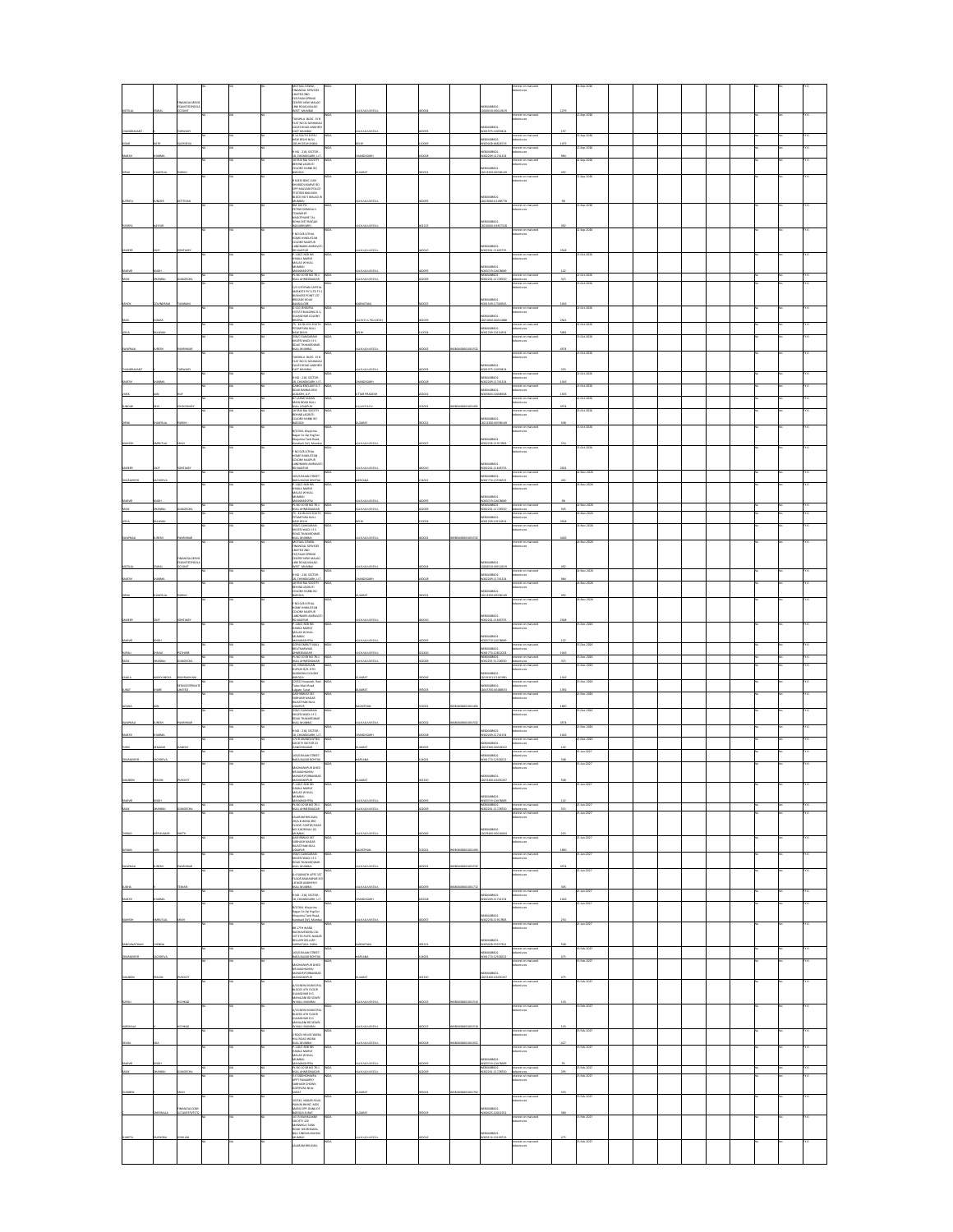|             |                 |                                             |  |                                                                                                                                                                                                                                                                 |                     |             |               |                                                         | erest on mature<br>entanes                                                                                         |                     |                          |  |  |  |  |  |
|-------------|-----------------|---------------------------------------------|--|-----------------------------------------------------------------------------------------------------------------------------------------------------------------------------------------------------------------------------------------------------------------|---------------------|-------------|---------------|---------------------------------------------------------|--------------------------------------------------------------------------------------------------------------------|---------------------|--------------------------|--|--|--|--|--|
|             |                 |                                             |  | WOTILAL OSWAL<br>FINANCIAL SERVICES<br>EINITED 2ND<br>FLR, PALM SPRING<br>CENTIS NEW MALAD<br>EINE ROAD, MALAD<br>WEST MUMANI                                                                                                                                   |                     |             |               |                                                         |                                                                                                                    |                     |                          |  |  |  |  |  |
|             |                 | NANCIALSERVI<br>GENATEDROOL<br><b>OLINT</b> |  |                                                                                                                                                                                                                                                                 |                     |             |               | NERO4IOB601-<br>3000010-00012619                        |                                                                                                                    | 1270                |                          |  |  |  |  |  |
|             |                 |                                             |  | -<br>Takshila, Blog, 15.9<br>Caves Blad Andher<br>Caves Blad Andher                                                                                                                                                                                             |                     |             |               |                                                         | rrest on                                                                                                           |                     |                          |  |  |  |  |  |
|             |                 |                                             |  | ST MUMBAU<br>14 SOUTH EXTN I                                                                                                                                                                                                                                    |                     |             |               | 804108601-<br>01975-10059                               |                                                                                                                    |                     |                          |  |  |  |  |  |
|             |                 | <b>VOCV</b>                                 |  | NEW DELHINULL<br>DELHI DELHIJNOM                                                                                                                                                                                                                                |                     |             |               | 40000601<br>00000844826719                              | rest on matured<br>entures                                                                                         | 10%                 | $-202$                   |  |  |  |  |  |
|             |                 |                                             |  | NNO - 218, SECTOR-                                                                                                                                                                                                                                              |                     |             |               | 102809082                                               | <b>Jed on mat</b><br>Jestures                                                                                      |                     | iep-3326                 |  |  |  |  |  |
|             |                 |                                             |  | 18, CHANDIGARIA LI<br>18, CHANDIGARIA LI<br>18 SRUI RAJ SOCIETY<br>GOLONY HARNE RO                                                                                                                                                                              |                     |             |               | 02269-1174111                                           | rest on m.<br>retures                                                                                              | 986                 |                          |  |  |  |  |  |
|             | <b>MATEAL</b>   |                                             |  |                                                                                                                                                                                                                                                                 |                     |             |               | 10380501-022<br>12012200-00538149                       |                                                                                                                    | 492                 |                          |  |  |  |  |  |
|             |                 |                                             |  | R N 822 BMC CLWY<br>GHARODI MARVE RD<br>CPP MALVANI POLICE<br>GENTON MALVANI<br>BLOCK NO 5 MALAD W                                                                                                                                                              |                     |             |               |                                                         | rest on matured<br>entanes                                                                                         |                     |                          |  |  |  |  |  |
|             |                 |                                             |  |                                                                                                                                                                                                                                                                 |                     |             |               |                                                         |                                                                                                                    |                     |                          |  |  |  |  |  |
|             |                 |                                             |  |                                                                                                                                                                                                                                                                 |                     |             |               | 80408601-<br>(23000-01166                               |                                                                                                                    |                     | $\mathfrak{so}_{2}$ 2024 |  |  |  |  |  |
|             |                 |                                             |  | MICHARD ANNUAL<br>MICHAEL<br>MICHAEL<br>TOWNSHIP<br>NICOTHANE TAL<br>ROMA DIST RAGAD<br>ROMA DIST RAGAD                                                                                                                                                         |                     |             |               |                                                         | rrest on matured<br>ientures                                                                                       |                     |                          |  |  |  |  |  |
|             |                 |                                             |  | <b>DANNING</b>                                                                                                                                                                                                                                                  |                     |             |               | 00008601<br>010600-0345                                 |                                                                                                                    |                     |                          |  |  |  |  |  |
|             |                 |                                             |  |                                                                                                                                                                                                                                                                 |                     |             |               |                                                         | irest on matured<br>ientures                                                                                       |                     |                          |  |  |  |  |  |
|             |                 |                                             |  |                                                                                                                                                                                                                                                                 |                     |             |               | ERDHIOBED1-<br>302201-11665                             |                                                                                                                    |                     |                          |  |  |  |  |  |
|             |                 |                                             |  |                                                                                                                                                                                                                                                                 |                     |             |               |                                                         | erest on matured<br>Sentanes                                                                                       | 254                 | $O(1 - 200)$             |  |  |  |  |  |
|             |                 |                                             |  |                                                                                                                                                                                                                                                                 |                     |             |               | hanson                                                  |                                                                                                                    |                     |                          |  |  |  |  |  |
|             |                 | CECHA                                       |  | F NO DYRWYDIAE<br>HOLME HINDUSTAN<br>HOLME HINDUSTAN<br>COLONY NAGPUR<br>AD NAGPUR<br>AD NAGPUR<br>MALAD W NULL<br>MALAD W NULL<br>MALAD W NULL<br>MALAD W NULL<br>MALAD W NULL<br>MALAD W NULL<br>MALAD W NULL<br>MALAD W NULL<br>MALAD W NULL<br>MALAD W NULL |                     | 2009        |               | 303719-104786<br>ERD4K08601-<br>02205-11728700          | est on matured<br>med on n                                                                                         | $215$               | Oct-2026                 |  |  |  |  |  |
|             |                 |                                             |  |                                                                                                                                                                                                                                                                 |                     |             |               |                                                         |                                                                                                                    |                     |                          |  |  |  |  |  |
|             |                 |                                             |  | C/O UTOPAN CAPITAL<br>MARKETS PVT LTD TF-1<br>BUSINESS POINT 137<br>BRIGADE ROAD<br>BANGADE ROAD                                                                                                                                                                |                     |             |               | 80408601-<br>01549-17200                                |                                                                                                                    |                     |                          |  |  |  |  |  |
|             |                 |                                             |  | <b>ANNGALORE<br/>D-110, BHOUPAL<br/>ESTATE BLULDING G-2,<br/>GULMOHAR COLONY</b><br>SULMOHAR COLONY                                                                                                                                                             |                     |             |               |                                                         | entanes                                                                                                            |                     |                          |  |  |  |  |  |
|             |                 |                                             |  | HOPAL<br>5 - KU BLOCK SOUT<br>(TAMPURA NULL                                                                                                                                                                                                                     |                     |             |               | 03009601<br>21603-0000                                  |                                                                                                                    |                     |                          |  |  |  |  |  |
|             |                 |                                             |  |                                                                                                                                                                                                                                                                 |                     |             |               | -103000824<br>001309-10154354                           | erest on matured<br>Sentanes                                                                                       | 5082                | Oct-2006                 |  |  |  |  |  |
|             |                 |                                             |  | HINWOWN WAL<br>NEW DELHI<br>ISB/C GANGARAM<br>ISDAD THAKURDWAR                                                                                                                                                                                                  |                     |             |               |                                                         | $\begin{array}{l} \begin{array}{c} \cdot \end{array} \\ \begin{array}{c} \text{otherwise} \end{array} \end{array}$ |                     |                          |  |  |  |  |  |
|             |                 |                                             |  | ULL MUMSAL                                                                                                                                                                                                                                                      |                     |             |               |                                                         | rest cm<br>entures                                                                                                 | 4574                |                          |  |  |  |  |  |
|             |                 |                                             |  | FAKSHILA BLOG 15 B<br>FLAT NO 31 MAHAKAL<br>EAST MUMBAL<br>FAST MUMBAL                                                                                                                                                                                          |                     |             |               | 804108601-<br>01975-10059                               |                                                                                                                    |                     |                          |  |  |  |  |  |
|             |                 |                                             |  | H NO - 218, SECTOR-                                                                                                                                                                                                                                             |                     |             |               | INERDAIDEGOS-<br>INGE2269-11741154                      | erest on matured<br>Sentanes                                                                                       |                     | $001 - 2001$             |  |  |  |  |  |
|             |                 |                                             |  | R WA TANDICARE LA MARINE LA CHANDICARE LA CARA DICARTA GRANDA COM<br>SANGA DICARTA GRANDA COM<br>ALIGARE LA LA CARA DICARTA GRANDA COMO NASCI<br>MARIN ROAD NASCI<br>MARIN ROAD NASCI                                                                           |                     |             |               |                                                         |                                                                                                                    | 1016                |                          |  |  |  |  |  |
|             |                 |                                             |  |                                                                                                                                                                                                                                                                 | <b>TTAR PRADESH</b> |             |               | 450408601-<br>(300663-10046928                          | est on mati                                                                                                        | 1525                |                          |  |  |  |  |  |
|             |                 |                                             |  |                                                                                                                                                                                                                                                                 |                     |             |               |                                                         | entates<br>est on n                                                                                                | 45%                 |                          |  |  |  |  |  |
|             |                 |                                             |  | NULLUDAPUR<br>18 SRUI RAI SOCIETY<br>BEHNO LAGRUTI<br>COLONY HARNI RO<br>BARCOA                                                                                                                                                                                 |                     |             |               | 180405601-<br>11200-00538                               | entures                                                                                                            |                     |                          |  |  |  |  |  |
|             |                 |                                             |  |                                                                                                                                                                                                                                                                 |                     |             |               |                                                         | arest on matured<br>bentures                                                                                       |                     | Oct-2021                 |  |  |  |  |  |
|             |                 |                                             |  | 4/2/201, Khajurina<br>Nagar Co-Op Hig Soc<br>Khajurina Tank Road,<br>Kandivali (W), Mumba                                                                                                                                                                       |                     |             |               | EBD4K08601-<br>302236-11917883                          |                                                                                                                    |                     |                          |  |  |  |  |  |
|             |                 |                                             |  |                                                                                                                                                                                                                                                                 |                     |             |               |                                                         | irest on matured<br>ientures                                                                                       |                     | $-00 + 2000$             |  |  |  |  |  |
|             |                 |                                             |  | F NO DJR VITHAL<br>HOME HINDUSTAN<br>COLONY NAGPUR<br>LANDMARK AMRAVAT                                                                                                                                                                                          |                     |             |               | 10280802                                                |                                                                                                                    |                     |                          |  |  |  |  |  |
| <b>MEER</b> |                 |                                             |  | <b>SUGRUE</b><br>165/6 RALAN STREET                                                                                                                                                                                                                             |                     |             |               | 002201-1166572                                          | est on mat<br>etanes                                                                                               | 2632                |                          |  |  |  |  |  |
| ARMANCER    | <b>AVGGHORA</b> |                                             |  | 165/6 RAIAN STREET<br>BARA BA2AR BOHTAY<br>HASAR AMARAC<br>MALAD W NULL<br>MALAD W NULL<br>MALAD 10 SR NO 78-1<br>NI III AWARASTRA<br>NI III AWARASTRA                                                                                                          | COMMA               | <b>MODS</b> |               | INER04IO8601-<br>INGCC774-12536532                      | rest on matured<br>retures                                                                                         | 492                 |                          |  |  |  |  |  |
|             |                 |                                             |  |                                                                                                                                                                                                                                                                 |                     |             |               | 10280802                                                |                                                                                                                    |                     |                          |  |  |  |  |  |
| ЛЮ          | ŵ               | eccion                                      |  |                                                                                                                                                                                                                                                                 | larashte            | XX<br>icos  |               | 103719-10478689<br>1804108601-<br>102201-1172070        | rest on matured                                                                                                    | $^{44}$<br>$_{2\%}$ | 6 Nov-2026               |  |  |  |  |  |
|             |                 |                                             |  | <b>FULL ARREDWARK</b><br><b>MULL ARREDWARK</b><br><b>MTAMPURA MULL<br/>MEW DELHI<br/>REMONARK<br/>REMONARK<br/>REMONARK<br/>REMONARK<br/>REMONARK<br/>REMONARK<br/>REMONARK</b>                                                                                 |                     |             |               | <br> NEB04IOB601-<br> NGC1209-10154354                  | bentures<br>arest on matured<br>bentures                                                                           | esse                | Nov-2026                 |  |  |  |  |  |
|             | uwwa            |                                             |  |                                                                                                                                                                                                                                                                 |                     | 0036        |               |                                                         | rrest on r<br>entures                                                                                              |                     |                          |  |  |  |  |  |
|             | нза             | NIKAS                                       |  |                                                                                                                                                                                                                                                                 | <b>ARASHITE</b>     | 1002        | 3080860100157 |                                                         |                                                                                                                    | 4426                |                          |  |  |  |  |  |
|             |                 |                                             |  | REMO IMMERIANA<br>MAILI NUMBER<br>ENVANCIAL SERVICES<br>ENVANCIAL SERVICES<br>CENTRE NEW MALAD<br>CENTRE NEW MALAD<br>CENTRE NEW MALAD<br>CENTRE NEW MALAD<br>CENTRE NEW MALAD                                                                                  |                     |             |               |                                                         | irest on mat<br>ientures                                                                                           |                     |                          |  |  |  |  |  |
|             |                 | NANOALSER\<br>SLIMITEDPOO<br>COUNT          |  |                                                                                                                                                                                                                                                                 |                     |             |               | 80408601                                                |                                                                                                                    |                     |                          |  |  |  |  |  |
|             |                 |                                             |  | IAMALIM T23<br>NO - 218, SECTOR                                                                                                                                                                                                                                 |                     |             |               | 00000000001361                                          | erest on matured<br>Sentanes                                                                                       | 4K                  | Nov-2026                 |  |  |  |  |  |
|             |                 |                                             |  |                                                                                                                                                                                                                                                                 |                     |             |               | INERDAIDEAD1-<br>INGCC260-11741                         | erest on matured<br>Sentanes                                                                                       | $^{26}$             | Nov-2026                 |  |  |  |  |  |
|             |                 |                                             |  | 18, CHANDIGARH, LL'<br>18 SRUI RAI SOCIETY<br>REHNO LAGRUTI<br>COLONYHARNI RO<br>RARCOA                                                                                                                                                                         |                     |             |               |                                                         |                                                                                                                    | $-492$              |                          |  |  |  |  |  |
|             |                 |                                             |  | F NO DJR VITHAL<br>HOME HINDUSTAN<br>COLONY NAGRUR<br>LANDMARK AMRAVIK                                                                                                                                                                                          |                     |             |               |                                                         | test on matured<br>entanes                                                                                         |                     |                          |  |  |  |  |  |
|             |                 |                                             |  |                                                                                                                                                                                                                                                                 |                     |             |               | 680408601                                               |                                                                                                                    | 2548                |                          |  |  |  |  |  |
|             |                 |                                             |  | LANDMARK AMBAVU<br>RD NAGPUR<br>P-11R/2 NSR INS<br>HAMLAD W NULL<br>MAMAD W NULL<br>MAMAD W NULL<br>GUI ITY APWAN<br>GUI ITY APWAN                                                                                                                              |                     |             |               | 002201-11665720                                         | interest on matured<br>debentures                                                                                  |                     | $00 - 2026$              |  |  |  |  |  |
|             |                 |                                             |  |                                                                                                                                                                                                                                                                 |                     |             |               | 80408601                                                |                                                                                                                    |                     |                          |  |  |  |  |  |
|             |                 |                                             |  |                                                                                                                                                                                                                                                                 |                     |             |               |                                                         |                                                                                                                    |                     |                          |  |  |  |  |  |
|             |                 |                                             |  |                                                                                                                                                                                                                                                                 | <b>ASHIR</b>        |             |               | (303719-10478689<br>1020040404                          | rest cin m<br>Intares                                                                                              | 102                 |                          |  |  |  |  |  |
|             |                 | <b>DECH</b>                                 |  |                                                                                                                                                                                                                                                                 |                     |             |               |                                                         | erest on matured                                                                                                   | 1016<br>$21\%$      | -06-20%                  |  |  |  |  |  |
|             |                 |                                             |  | <i><b>EPREMINITE NULL<br/>HUTKARIKADI<br/>HMEDNAGAR<br/>LILLAHMEDNAGAR<br/>ULLAHMEDNAGAR</b><br/>0. VIRANDAVAN</i>                                                                                                                                              |                     |             |               | 10012774-1281203<br>10012774-1281203<br>1002201-1172030 | entures                                                                                                            |                     |                          |  |  |  |  |  |
|             |                 |                                             |  | DUPLEX R/M- RTO<br>WARASHIA COLONY                                                                                                                                                                                                                              |                     |             |               | 80408601-<br>IS901-01169                                |                                                                                                                    |                     |                          |  |  |  |  |  |
|             |                 | <b>ERVICESPRAVAT</b><br>into                |  |                                                                                                                                                                                                                                                                 |                     |             |               | INER0409601-<br>12042700-00188622                       | rrest on m.<br>entures                                                                                             | 1392                |                          |  |  |  |  |  |
|             |                 |                                             |  | WARDIN<br>12/621 Nugosih, Ru<br>12/621 Nugosih, Ru<br>Talao Main Road<br>Lugate Sunt<br>SulawaSi NAGAR<br>12/4/8/6/1<br>12/4/8/6/                                                                                                                               |                     |             |               |                                                         | erest on mati<br>Sentares                                                                                          | 1830                |                          |  |  |  |  |  |
|             |                 |                                             |  |                                                                                                                                                                                                                                                                 |                     |             |               |                                                         | erest on matured<br>Sentanes                                                                                       |                     | Dec-2026                 |  |  |  |  |  |
|             |                 |                                             |  | udavpur<br>Seayc Ganigarana<br>Kialita Wadilis S<br>Road Thakurdwar<br><b>JU MUMBAL</b>                                                                                                                                                                         |                     |             |               |                                                         |                                                                                                                    | 4574                | Dec-2026                 |  |  |  |  |  |
|             |                 |                                             |  |                                                                                                                                                                                                                                                                 |                     |             |               | NERDAKORGOS:<br>NGC 2266-11741154                       | interest on matured<br>debentures                                                                                  | 101                 | Dec-2026                 |  |  |  |  |  |
|             |                 |                                             |  | H NO - 218, SECTOR<br>18, CHANDIGARH, LL<br>174 B ANANDUATION<br>10CIETY SECTOR 22<br>CANDIANACAR<br>CHINAGAR                                                                                                                                                   |                     |             |               | 0408601                                                 | rest on matured<br>entures                                                                                         |                     |                          |  |  |  |  |  |
|             |                 |                                             |  | .<br>GS/G RALAN STREET<br>BARA BAZAR REHITAK                                                                                                                                                                                                                    |                     |             |               | 480408601-<br>(301774-12536532                          | ved on m<br>Jerdares                                                                                               | 508                 |                          |  |  |  |  |  |
|             |                 |                                             |  |                                                                                                                                                                                                                                                                 |                     |             |               |                                                         | restant<br>vetares                                                                                                 |                     |                          |  |  |  |  |  |
|             |                 |                                             |  |                                                                                                                                                                                                                                                                 |                     |             |               | 0408601                                                 |                                                                                                                    |                     |                          |  |  |  |  |  |
|             |                 |                                             |  |                                                                                                                                                                                                                                                                 |                     |             |               |                                                         | arest on matured<br>bentures                                                                                       |                     | 25-Jan-2027              |  |  |  |  |  |
|             |                 |                                             |  |                                                                                                                                                                                                                                                                 |                     |             |               | E80408601-<br>003719-10478689<br>E804K8601-             | rrest on matured                                                                                                   | 102                 |                          |  |  |  |  |  |
|             |                 | <b>AHOSOMA</b>                              |  | MADHAWPUR GHED<br>MR MADHAWA<br>MANDR PORSANDAR<br>MADHAWAWDR<br>P-110/2 WGR<br>MADHA MARNE<br>MADHAWAWDR<br>MAHARASHTRA<br>MAHARASHTRA<br>MAHARASHTRA<br>MAHARASHTRA<br>MAHARASHTRA<br>MAHARASHTRA<br><b>JLL AVAILDNAGA</b>                                    |                     | cos         |               | 02201-11728700                                          |                                                                                                                    | $_{\rm 215}$        |                          |  |  |  |  |  |
|             |                 |                                             |  |                                                                                                                                                                                                                                                                 |                     |             |               |                                                         | bertures<br>arest on mati<br>bertures                                                                              |                     |                          |  |  |  |  |  |
|             |                 |                                             |  | ALARAM BHUWAN,<br>29/A-B WING, 280<br>FLOOR, CARTER ROAD<br>NO-3, BORWALI (E)<br>LEIRING                                                                                                                                                                        |                     |             |               | 80408601                                                |                                                                                                                    |                     |                          |  |  |  |  |  |
|             |                 |                                             |  |                                                                                                                                                                                                                                                                 |                     |             |               |                                                         | erest on matured<br>bentures                                                                                       |                     |                          |  |  |  |  |  |
|             |                 |                                             |  |                                                                                                                                                                                                                                                                 |                     |             |               |                                                         | ,<br>Jest on ma<br>bertares                                                                                        |                     |                          |  |  |  |  |  |
|             |                 |                                             |  | ND - ARDENING (M)<br>MARINAN<br>MARINAN NAGAR<br>ARAHRINAN NGL<br>SANG TANGARAM<br>SANG TANGARAM<br>NGL MUMBAR<br>NGL MUMBAR<br>NGL MUMBAR                                                                                                                      |                     |             |               |                                                         |                                                                                                                    |                     |                          |  |  |  |  |  |
|             |                 |                                             |  |                                                                                                                                                                                                                                                                 |                     |             |               |                                                         | erest on m<br>Sentanes                                                                                             |                     |                          |  |  |  |  |  |
|             |                 |                                             |  | a-g sainath apts 15t<br>Floor Bamanipur Re<br>1 B NGR Andheri E<br>Null Munibai<br>NO - 218, SECTOR                                                                                                                                                             |                     |             |               |                                                         | irest on matured<br>ientures                                                                                       |                     |                          |  |  |  |  |  |
|             |                 |                                             |  | CHANDIGARH, LI                                                                                                                                                                                                                                                  |                     |             |               | 80408601-<br>02269-11741154                             | rrest on m<br>entures                                                                                              | 1016                |                          |  |  |  |  |  |
|             |                 |                                             |  |                                                                                                                                                                                                                                                                 |                     |             |               | 0409501                                                 |                                                                                                                    |                     |                          |  |  |  |  |  |
|             |                 |                                             |  | 9/3/304, Khajarina<br>Nagar Co-Op Hug Soc<br>Khajarina Tank Road,<br>Kandivali (W), Mumba                                                                                                                                                                       |                     |             |               | 12236-1191                                              |                                                                                                                    |                     |                          |  |  |  |  |  |
|             |                 |                                             |  |                                                                                                                                                                                                                                                                 |                     |             |               | 30408601                                                | erest on matured<br>Sentanes                                                                                       |                     |                          |  |  |  |  |  |
|             |                 |                                             |  | 88 17TH WARD<br>RAGHAWENDRA COL<br>15T STG PATEL NAGAR<br>BELLARY BELLARY<br>ANATAA ANOA                                                                                                                                                                        |                     |             |               | 1222240000                                              |                                                                                                                    |                     | Feb-302                  |  |  |  |  |  |
|             |                 |                                             |  | 165/6 RALAN STREET<br>BARA BAZAR RENTAK                                                                                                                                                                                                                         |                     |             |               |                                                         | rderest on matured<br>Sebentures                                                                                   | $-479$              | Feb-3027                 |  |  |  |  |  |
|             |                 |                                             |  |                                                                                                                                                                                                                                                                 |                     |             |               |                                                         | irest on matured<br>ientures                                                                                       |                     |                          |  |  |  |  |  |
|             |                 |                                             |  | Mohamypur Ghed<br>R Mačhansai<br>Mohamypur<br>Mohamypur                                                                                                                                                                                                         |                     |             |               | E80408601-<br>033200-03435201                           |                                                                                                                    |                     |                          |  |  |  |  |  |
|             |                 |                                             |  |                                                                                                                                                                                                                                                                 |                     |             |               |                                                         | west on matured<br>bentures                                                                                        |                     |                          |  |  |  |  |  |
|             |                 |                                             |  | a/33 ngw municipal<br>Recos 4th recor<br>Guimchard &<br>Mahalane Ro Sewri<br>Wahalane Ro Sewri                                                                                                                                                                  |                     |             |               |                                                         |                                                                                                                    |                     |                          |  |  |  |  |  |
|             |                 |                                             |  | V33 NËW MUNICIPAL<br>BLOCKS 4TH FLOCK                                                                                                                                                                                                                           |                     |             |               |                                                         | erest on i<br>Sentanes                                                                                             |                     |                          |  |  |  |  |  |
|             |                 |                                             |  |                                                                                                                                                                                                                                                                 |                     |             |               |                                                         |                                                                                                                    |                     |                          |  |  |  |  |  |
|             |                 |                                             |  | liumohard G<br>Mhalani Rosewiki<br>Mull Mumba                                                                                                                                                                                                                   |                     |             |               |                                                         | erest on matured<br>Sentanes                                                                                       |                     | Feb-302                  |  |  |  |  |  |
|             |                 |                                             |  |                                                                                                                                                                                                                                                                 |                     |             |               |                                                         | est on r                                                                                                           |                     |                          |  |  |  |  |  |
|             |                 |                                             |  |                                                                                                                                                                                                                                                                 |                     |             |               | 400408601                                               | entures                                                                                                            |                     |                          |  |  |  |  |  |
|             |                 |                                             |  |                                                                                                                                                                                                                                                                 |                     |             |               |                                                         | arest on matured                                                                                                   | $\alpha$            | S Feb 2027               |  |  |  |  |  |
|             |                 |                                             |  | 2 ROCK HOUSE WORLI<br>HEL ROAD WORLI<br>HEL ROAD WORLI<br>MULL MUMBAR<br>HAMEA MARKE<br>HAMEAD W NULL<br>MAMEAD<br>MUMBAR<br>TA MO 10 SR MO 78-1<br>FL MO 10 SR MO 78-1<br>FL MO 10 SR MO 78-1<br>FL MO 10 SR MO 78-1                                           |                     |             |               | IN303715-1047868<br>INGB0409601-<br>IN303201-1172670    | etate                                                                                                              |                     |                          |  |  |  |  |  |
|             |                 |                                             |  | Fe Winningson<br>USIMAN CHOWK<br>IOPPURA NULL<br>USAT                                                                                                                                                                                                           |                     |             |               |                                                         |                                                                                                                    |                     |                          |  |  |  |  |  |
|             |                 |                                             |  |                                                                                                                                                                                                                                                                 |                     |             |               |                                                         | rest on matured<br>rtunes                                                                                          |                     | $-202$                   |  |  |  |  |  |
|             | CONALA          | ULTANTSPVTLTD                               |  |                                                                                                                                                                                                                                                                 |                     | 000         |               | 30408601<br>4900425-10011922                            |                                                                                                                    |                     |                          |  |  |  |  |  |
|             |                 |                                             |  |                                                                                                                                                                                                                                                                 |                     |             |               |                                                         | entanes                                                                                                            |                     |                          |  |  |  |  |  |
|             |                 |                                             |  | 10/542, NAGAR FALIA<br>FANN NI BHINT, NES<br>MANI NI BHINT, NES<br>MARG GPP, BANK OF<br>SCOGITY 120<br>SCOGITY 120<br>NAGARIA TANK<br>ROAD NEAR BADAL<br>ROAD NEAR BADAL<br>NAGARIA MARG BADAL<br>NAGARIA MARG BADAL<br>NAGARIA MARGARIA<br>MÅN                 |                     |             |               |                                                         |                                                                                                                    |                     |                          |  |  |  |  |  |
|             |                 |                                             |  | <b>LARAM EHIZIAN</b>                                                                                                                                                                                                                                            |                     |             |               | 450406601-<br>(303116-10190716                          | 1902 cm r<br>entanes                                                                                               |                     |                          |  |  |  |  |  |
|             |                 |                                             |  |                                                                                                                                                                                                                                                                 |                     |             |               |                                                         |                                                                                                                    |                     |                          |  |  |  |  |  |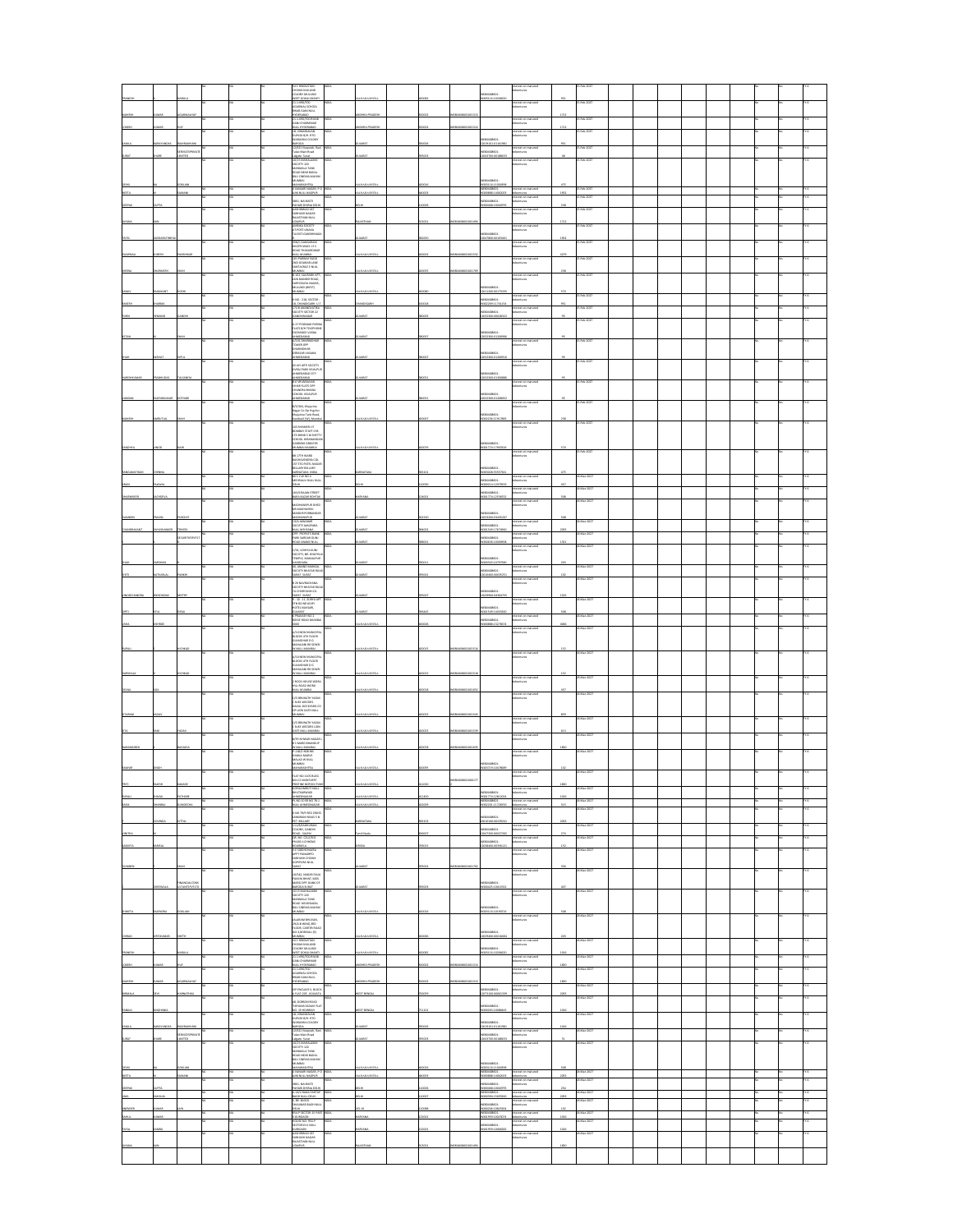|              |               |                          |  | 54 1 HINDUSTAN<br>DHOWK MUJUND<br>DDLONY MUJUND                                                                                                                                                                                                                        |            |                                      |               |                | 102801082                                                                                                                   | interest on m<br>debentures                                            |                      |                            |  |  |  |  |  |
|--------------|---------------|--------------------------|--|------------------------------------------------------------------------------------------------------------------------------------------------------------------------------------------------------------------------------------------------------------------------|------------|--------------------------------------|---------------|----------------|-----------------------------------------------------------------------------------------------------------------------------|------------------------------------------------------------------------|----------------------|----------------------------|--|--|--|--|--|
|              |               |                          |  | WEST GOKULSHANTI<br>21-1-690/700<br>NGARWAL SCHOOL<br>RIKAB GANU NULL                                                                                                                                                                                                  |            |                                      |               |                | 009116-10266620                                                                                                             | interest on mat<br>debentures                                          | 951                  |                            |  |  |  |  |  |
|              |               |                          |  | HIDERARAD<br>11-1-600/700 RHOG<br>GANI CHARMINAR                                                                                                                                                                                                                       |            |                                      |               |                |                                                                                                                             | interest on matured<br>debentures                                      |                      |                            |  |  |  |  |  |
|              |               |                          |  | ULL HYDERABAD<br>I, VIRANDAWAN<br>UPLEX B/M-RTO<br>WRASHIA COLONY                                                                                                                                                                                                      |            |                                      |               |                | 680408601                                                                                                                   | interest on matured<br>debentures                                      | 1712                 |                            |  |  |  |  |  |
|              |               | ********                 |  |                                                                                                                                                                                                                                                                        |            |                                      |               |                | 019031-011609<br> <br> 12042700-0018<br> 12042700-0018                                                                      | interest on matured<br>debentures                                      | 951                  | Feb-2027                   |  |  |  |  |  |
|              |               |                          |  |                                                                                                                                                                                                                                                                        |            |                                      |               |                |                                                                                                                             | erest on matured<br>Sentares                                           | $\alpha$             | $46 - 202$                 |  |  |  |  |  |
|              |               |                          |  | WARASHA COLONY<br>112/621 Magdolfi, Rani<br>112/621 Magdolfi, Rani<br>112/621 Magdolfi, Rani<br>10/15 MawaLaxan<br>10/15 MawaLaxan<br>10/16 Magdolfi<br>10/10/65 Magdolfi<br>10/10/65 Magdolfi<br>Magdolfi MawaLaxan                                                   |            |                                      |               |                |                                                                                                                             |                                                                        |                      |                            |  |  |  |  |  |
|              |               | <b>INAN</b>              |  | <b>SURGAN JUAN MA</b>                                                                                                                                                                                                                                                  |            | MAHARASHTRA                          | 40003         |                | ERD4108601<br>302116-130                                                                                                    |                                                                        | $4\%$<br>1902        |                            |  |  |  |  |  |
|              |               |                          |  | 01, NAI BASTI                                                                                                                                                                                                                                                          |            |                                      |               |                | maximulari<br>  m200888-14052003 debentures<br>  fiterest on matured<br>  m500408601-0ebentures                             |                                                                        | $^{228}$             | ab-2027                    |  |  |  |  |  |
|              |               |                          |  | HELL, NAT BASTI<br>FANNIS DESIAL DEL<br>ANDIRINATION<br>GAMASTIMAN NULL<br>GAMASTIMAN NULL<br>COAPUR<br>ANDIRA SOCIETY<br>AT POST LINAVA<br>R<br>RADIRA SOCIETY<br>AT POST LINAVA                                                                                      |            |                                      |               |                |                                                                                                                             | rterez on ma<br>Sebertares                                             |                      |                            |  |  |  |  |  |
|              |               |                          |  |                                                                                                                                                                                                                                                                        |            |                                      |               |                | 4580408601-<br>2047800-001034                                                                                               | interest on m<br>debentures                                            | 190                  |                            |  |  |  |  |  |
|              |               |                          |  |                                                                                                                                                                                                                                                                        |            |                                      |               |                |                                                                                                                             | terest on ma<br>bentures                                               |                      |                            |  |  |  |  |  |
|              |               |                          |  | <b>LANG CANGARAM</b><br>GALTIC GANGARAM<br>ROAD THAKLISOWAR<br>NULL MUMBAL<br>SOLO GOLIBAR LANG<br>SOLO GOLIBAR LANG<br>SANTAGRUZ S MULL<br>GANTAGRUZ S MULL<br>GANTAGRUZ S MULL                                                                                       |            |                                      |               |                |                                                                                                                             | interest on matures<br>debentures                                      |                      |                            |  |  |  |  |  |
|              |               |                          |  | MUMBA)<br>8-102, SAURABH APT.,<br>IAIN MANDIR ROAD,<br>SARYODAYA NAGAR,<br>MULUND (WEST)<br>MULUND (WEST)                                                                                                                                                              |            |                                      |               |                |                                                                                                                             | interest on ma<br>debentures                                           |                      |                            |  |  |  |  |  |
|              |               |                          |  |                                                                                                                                                                                                                                                                        |            |                                      |               |                | E80408601-<br>011300-00172225                                                                                               | réerest on matured                                                     | \$70                 |                            |  |  |  |  |  |
|              |               |                          |  | NO -218, SECTOR-                                                                                                                                                                                                                                                       |            |                                      |               |                | 103000824<br>002269-11741154                                                                                                | debentures                                                             | $\mathfrak{g}_4$     |                            |  |  |  |  |  |
|              |               |                          |  | R, CHANDIGARH, LLT<br>PER ANANDIVATION<br>DOETY SECTOR 22<br>ANDHINAGAR                                                                                                                                                                                                |            |                                      |               |                | 100801040<br>032300-0063832                                                                                                 | terest on mati<br>ibentures<br>rderest on matured<br>Sebentures        | ×                    |                            |  |  |  |  |  |
|              |               |                          |  | 27 FOONAM PARIN<br>ATS R/H TELEPHON<br>CHANGE VASNA                                                                                                                                                                                                                    |            |                                      |               |                | 103808014<br>032300-01200906                                                                                                |                                                                        |                      |                            |  |  |  |  |  |
|              |               |                          |  | XLHANGA VASOA<br> FAFEDARAD<br> FAFEDARAD<br> FAFEDARAD<br> FAFEDARAD<br> FAFEDARAD<br> FAFEDARAD                                                                                                                                                                      |            |                                      |               |                |                                                                                                                             | interest on mat<br>debentures                                          |                      |                            |  |  |  |  |  |
|              |               |                          |  |                                                                                                                                                                                                                                                                        |            |                                      |               |                | 30408601-<br>322300-012009                                                                                                  | rderest on m.<br>Sebentures                                            |                      |                            |  |  |  |  |  |
|              |               |                          |  | 65 JAY ARTI SOCIETY<br>JVRAI PRRK VEMAPUR<br>AHMECABAD CITY<br>BHANDCABAD<br>GIALAD CI ATC (199                                                                                                                                                                        |            | MRAT                                 |               |                | 680408601-<br>002200-01300866                                                                                               |                                                                        | ×                    |                            |  |  |  |  |  |
|              |               |                          |  | HAR FLATS (199<br>HANDRA BHANU)<br>CHOOL VELALPLIR<br>HAEDARAD                                                                                                                                                                                                         |            |                                      |               |                | 10280804                                                                                                                    | interest on matured<br>debentures                                      |                      |                            |  |  |  |  |  |
|              | AMMUNAZIU     |                          |  |                                                                                                                                                                                                                                                                        |            | <b>IMART</b>                         | accs:         |                | 12032300-01208052                                                                                                           | terest on matured<br>bentures                                          | $\mathbf{g}_k$       |                            |  |  |  |  |  |
|              |               |                          |  | 9/9/304, Khajurina<br>Nagar Co-Op Hig Soc<br>Kandivali (W), Mumbai                                                                                                                                                                                                     |            |                                      |               |                | 680408601<br>002236-11917883                                                                                                |                                                                        | 228                  | Feb 2027                   |  |  |  |  |  |
|              |               |                          |  | 103 SHAWER IT<br>Bowsky Staff OK<br>CTD BHWD S M SHETTY<br>SARDENS GREATER<br>GARDENS GREATER<br>MUMBAINEUMBAI                                                                                                                                                         |            |                                      |               |                |                                                                                                                             | interest on matured<br>debentures                                      |                      |                            |  |  |  |  |  |
|              |               |                          |  |                                                                                                                                                                                                                                                                        |            |                                      |               |                |                                                                                                                             |                                                                        | 570                  | 66-2027                    |  |  |  |  |  |
|              |               |                          |  | se 17th ward<br>Raghawendra col<br>15t 5tg Patel Nagar<br>Bellary Bellary                                                                                                                                                                                              |            |                                      |               |                |                                                                                                                             | interest on matured<br>debentures                                      |                      |                            |  |  |  |  |  |
|              |               |                          |  | ARMATAKA INDIA<br>GC2W NO 4<br>GHRAULI NULL NULL                                                                                                                                                                                                                       |            | <b>NATAKA</b>                        |               |                | 103808014<br>00000845557341<br>103000801                                                                                    | interest on matured<br>debentures                                      | $47\%$               |                            |  |  |  |  |  |
|              |               |                          |  | HJ2<br>165/6 RALAN STREET<br>BARA BAZAR RENTAK                                                                                                                                                                                                                         |            |                                      | $\infty$      |                | 4900214-12070559                                                                                                            | interest on matures<br>debentures                                      | 457                  |                            |  |  |  |  |  |
|              |               |                          |  |                                                                                                                                                                                                                                                                        |            |                                      |               |                |                                                                                                                             | rtered on matured<br>debentures                                        | $_{508}$             |                            |  |  |  |  |  |
|              |               |                          |  | MADHANVPUR GHED<br>NR MADHANRAI<br>MANDR POSSANDAR<br>MADHANVPUR<br>NDL MEHSANA<br>NR SARDAR GUND<br>OPP, PEOPLE'S BANK<br>NRK SARDAR GUND<br>NRK SARDAR GUND                                                                                                          |            |                                      |               |                | convenien<br>022200-03435207                                                                                                | interest on matured<br>debentures                                      | 5/36                 | -Mar-2027                  |  |  |  |  |  |
|              |               | cuamissiva               |  |                                                                                                                                                                                                                                                                        |            |                                      |               |                | \6804I08601-<br>\@015eb-1767eb6<br>1008010824                                                                               | interest on matured<br>debentures                                      | 2022                 | $Mx - 2027$                |  |  |  |  |  |
|              |               |                          |  | JAD ANANO NULL                                                                                                                                                                                                                                                         |            | ARAT                                 |               |                | 000036-10000908                                                                                                             | interest on matu<br>debentures                                         | 1221                 |                            |  |  |  |  |  |
|              |               |                          |  | (704, Vidhina Kunu<br>Iociety, Nr. Bhathel<br>Iemple, Manualpur                                                                                                                                                                                                        |            |                                      |               |                | E804I08601-<br>300343-1079758                                                                                               |                                                                        |                      |                            |  |  |  |  |  |
|              |               |                          |  | INDODARA<br>IO, ANAND MANGAL<br>IOCIETY BHATAR ROA<br><b>TARLE TAR</b>                                                                                                                                                                                                 |            | MRAT                                 |               |                | -1038040824<br>010000-00035251                                                                                              | interest on matured<br>debentures<br>interest on mat<br>debentures     | 102                  | Ma: 3327                   |  |  |  |  |  |
|              |               |                          |  |                                                                                                                                                                                                                                                                        |            |                                      |               |                | E80408601-<br>029900-04304755                                                                                               |                                                                        |                      |                            |  |  |  |  |  |
|              |               |                          |  | 8 20 NAVRACHANA<br>SOCIETY BHATAR ROAD<br>7A CHORINKSHI DS<br>91 RAT SURAT<br>9-10 - SURAT<br>10 HARAT<br>CITIARAT<br>10 HARAT                                                                                                                                         |            |                                      |               |                | 693408601                                                                                                                   | nterest on m<br>Sebentures                                             | $_{\rm 1525}$        |                            |  |  |  |  |  |
|              |               |                          |  | <b>UJARAT</b><br>PRAKASH NO 2<br>IDGE ROAD MUMBA                                                                                                                                                                                                                       |            |                                      |               |                | 001549-14033260<br>103000824                                                                                                | terest on mat<br>bentures                                              | 508                  |                            |  |  |  |  |  |
|              |               |                          |  |                                                                                                                                                                                                                                                                        |            |                                      |               |                | 000888-12276674                                                                                                             | derest on m.<br>Khentures                                              | 4066                 | -Mar-202                   |  |  |  |  |  |
|              |               |                          |  | a/30 NGW MUNICIPAL<br>BLOCKS KTH RLOOR<br>GLUMOHAR D G<br>MANULINIUMBA<br>W MULL MUMBAI                                                                                                                                                                                |            |                                      |               |                |                                                                                                                             |                                                                        | 151                  | 8-Mar-2027                 |  |  |  |  |  |
|              |               |                          |  | a/10 NËW MUNICIPAL<br>BLOCKS 4TH RLOOR<br>GULMOHARID G<br>MAHALANI RD SEWRI                                                                                                                                                                                            |            |                                      |               |                |                                                                                                                             | ržerest on matured<br>Sebentures                                       |                      |                            |  |  |  |  |  |
|              |               |                          |  | <b>MALMUMBAL</b>                                                                                                                                                                                                                                                       |            |                                      |               |                |                                                                                                                             | interest on matured<br>debentures                                      |                      | 8-Mar-202                  |  |  |  |  |  |
|              |               |                          |  | 2 ROCK HOUSE WORL<br>HILL ROAD WORL<br>NULL MUMBAL                                                                                                                                                                                                                     |            | <b>HARASHTE</b>                      | 00018         | 80808601001052 |                                                                                                                             |                                                                        | $457$                |                            |  |  |  |  |  |
|              |               |                          |  | .<br>CN-83 WECORS<br>WAVAL DOCKYARD CO<br>OP LION GATE NULL                                                                                                                                                                                                            |            |                                      |               |                |                                                                                                                             | terest on matured<br>ibentures                                         |                      |                            |  |  |  |  |  |
|              |               |                          |  | <b>UMBAL</b>                                                                                                                                                                                                                                                           |            | <b>LARASHTE/</b>                     | 0022          | 000000100154   |                                                                                                                             | rženež on mat<br>Sebentures                                            | 859                  |                            |  |  |  |  |  |
|              |               |                          |  | CJO BRUNATN YAQAN<br>CN-83 WECORS LION<br>SATE NULL MUMBAL                                                                                                                                                                                                             |            |                                      |               |                |                                                                                                                             | derest on r<br>Khentures                                               | 617                  |                            |  |  |  |  |  |
|              |               |                          |  | ro Ishwar Nasar<br>S Mars Bhandup                                                                                                                                                                                                                                      |            |                                      |               | 10860100103    |                                                                                                                             |                                                                        |                      |                            |  |  |  |  |  |
|              |               |                          |  | a's Maris Bhancul<br>P-118/2 NSR INS<br>P-118/2 NSR INS<br>HAMARA MARVE<br>MAMARA<br>MAMARASHTRA                                                                                                                                                                       |            |                                      |               |                |                                                                                                                             | erest on r<br>entures                                                  |                      |                            |  |  |  |  |  |
|              |               |                          |  | AT NO-1105 BLDG<br><b>C2 MONTVERT</b>                                                                                                                                                                                                                                  |            |                                      |               |                |                                                                                                                             | iržerest on m<br>debentures                                            |                      |                            |  |  |  |  |  |
|              |               |                          |  |                                                                                                                                                                                                                                                                        |            |                                      | 1400          |                | 493408601-                                                                                                                  | interest on matures<br>debentures                                      | 1016                 |                            |  |  |  |  |  |
| <b>ASK</b>   | <b>WARN</b>   | uac<br><b>LINDECHA</b>   |  | CIPRESMIRUIT NULL<br>HUTKARIKADI<br>HMEDNAGAR<br>LND 10 SR NO 78-1<br>ULLAHMEDNAGAR                                                                                                                                                                                    |            | <b>LARASHTE/</b><br>.<br>IAHARASHTRA | 422009        |                |                                                                                                                             | interest on matured<br>debentures<br>interest on matured               | $21\%$               |                            |  |  |  |  |  |
|              |               |                          |  | 0 NO 79/9 RED CROSS<br>MNKIRAM NIVAS S N<br>PET BELLARY<br>111/R,RAGHURAM                                                                                                                                                                                              |            |                                      |               |                | E804I08601-<br>010900-0022924                                                                                               | debentures                                                             | 202                  |                            |  |  |  |  |  |
| <b>NITHA</b> |               |                          |  | ETT/ILRAGHEINAM<br>EOLONY, GANDHI<br>ROAD - SALEM<br>PAASE-II CHHEND<br>PAASE-II CHHEND<br>ROI RHEI A                                                                                                                                                                  |            | all Nadu                             |               |                | NERDAIDEGO1-<br>2047200-00027265                                                                                            | interest on m<br>debentures                                            | $_{\rm 224}$         |                            |  |  |  |  |  |
|              |               |                          |  | HOLINGEA<br>FE SIDDHOMARA<br>FE SIDDHOMARA<br>EDPIPURA NULL<br>EDPIPURA NULL                                                                                                                                                                                           |            |                                      |               |                | -<br>038400-0035612                                                                                                         | interest on matured<br>debentures<br>interest on matu<br>debentures    | 152                  | Mar-202                    |  |  |  |  |  |
| NIGO         |               |                          |  | <b>URAT</b>                                                                                                                                                                                                                                                            |            | uu                                   |               |                |                                                                                                                             |                                                                        | 256                  |                            |  |  |  |  |  |
|              |               |                          |  | io/542, Nagar Falia<br>Pani ni Bhint, MDS<br>Marg OPP, Bank OF                                                                                                                                                                                                         |            |                                      |               |                | 693408601                                                                                                                   | interest on matured<br>debentures                                      |                      |                            |  |  |  |  |  |
|              |               |                          |  | roda surat<br>15 mahalaxani                                                                                                                                                                                                                                            |            |                                      |               |                | 00425-100119                                                                                                                | rterest on matured<br>Sebentures                                       |                      | Mar-202                    |  |  |  |  |  |
| <b>AT2WH</b> | <b>NENDRA</b> | <b>GAM</b>               |  | 10 15 MAHALAXM<br>SOCIETY 120<br>MANMANLA TANK<br>RIULI ONEMA MAHIM<br>RIULI ONEMA MAHIM<br>MUMBAI                                                                                                                                                                     |            | <b><i>GUARASHTRA</i></b>             | coss          |                | NERDHOBED1-<br>NGC 2116-10190716                                                                                            |                                                                        | 508                  |                            |  |  |  |  |  |
|              |               |                          |  |                                                                                                                                                                                                                                                                        |            |                                      |               |                |                                                                                                                             | interest on matured<br>debentures                                      |                      | 18-Mar-2020                |  |  |  |  |  |
| HRAG         |               |                          |  | JALARAM BHUWAN,<br>29/4-B WING, 280<br>FLOOR, CARTER ROAD<br>NO-3, BORNALI (E)<br>LEITHELL                                                                                                                                                                             |            |                                      |               |                | NEBO4IOB601-<br>2029/00/20016604                                                                                            |                                                                        |                      |                            |  |  |  |  |  |
| was          |               |                          |  | AUMENT<br>GENEN MULLIND<br>GEONY MULLIND                                                                                                                                                                                                                               |            | <b>LARASHTE/</b>                     | X             |                | 490408601-<br>009116-10266620                                                                                               | interest on matu<br>debentures                                         | 1016                 |                            |  |  |  |  |  |
| HZZM         |               |                          |  |                                                                                                                                                                                                                                                                        |            | HRA PRADES!                          |               |                |                                                                                                                             | interest on matured<br>debentures                                      | 1830                 |                            |  |  |  |  |  |
|              |               |                          |  | COLORY MOULTING<br>WEST GOULLEMANT<br>GANI CHARABANA<br>GANI CHARABANA<br>MULLINGERANA SCHOOL<br>AGARWAL SCHOOL<br>RIKAR GANI NULL<br>RIKAR GANI NULL<br>RIKAR GANI NULL                                                                                               |            | <b>BA PRADE</b>                      |               |                |                                                                                                                             | interest on matured<br>debentures                                      | 1830                 | 8 Mar-2027                 |  |  |  |  |  |
| <b>AMMS</b>  |               | <b>ANATHICA</b>          |  | AP ENCLAVE II, BLOCK<br>K.R.A.T-205 - KOLKATA                                                                                                                                                                                                                          |            | <b>IST BENGAL</b>                    | acoca         |                | NERONIOBED1-<br>12072000-00061339                                                                                           | interest on matured<br>debentures<br>interest on matured               | $_{2042}$            | 8-Mar-202                  |  |  |  |  |  |
|              |               |                          |  | 48, DOBSON ROAD<br>SHYANA SADAN' FLAT<br>NO. 19 HOWRAH<br>18, VIRANDAVAN                                                                                                                                                                                               |            | ST BENGA                             |               |                | 480408601-<br>(200263-10086<br>иo                                                                                           | entans                                                                 | 1016                 | Mar-222                    |  |  |  |  |  |
|              |               |                          |  | DUPLEX B/M- RTO<br>WARASHIA COLONY                                                                                                                                                                                                                                     |            |                                      |               |                | 45804108601-<br>0016001-0116098                                                                                             | nterest on matured<br>debentures                                       |                      |                            |  |  |  |  |  |
| LIRAT        |               | SERVICESPRAVAT<br>UMATED |  | BARCOA<br>12/621 Nuqoosh, Rani<br>Falso Main Road                                                                                                                                                                                                                      |            | ARAT<br>MAAT                         | soca          |                | %580606601-<br>12042700-00159632                                                                                            | interest on matured<br>debentures                                      | 1016<br>$\Omega$     | Mar-2027                   |  |  |  |  |  |
|              |               |                          |  | Take Main Road<br>Sales Santi Road<br>Sales Santi Taye<br>Sales Sales<br>Navada Kara Kara<br>Tau Chara Main<br>Main Road<br>Navada Kara<br>Tawaan<br>Main Road<br>Navada<br>Navada<br>Navada<br>Navada<br>Navada<br>Navada<br>Navada<br>Navada<br>Navada<br>Navada<br> |            |                                      |               |                |                                                                                                                             | interest on matured<br>debentures                                      |                      |                            |  |  |  |  |  |
|              |               |                          |  |                                                                                                                                                                                                                                                                        |            |                                      |               |                | 680408601                                                                                                                   |                                                                        | 508                  |                            |  |  |  |  |  |
|              |               |                          |  |                                                                                                                                                                                                                                                                        | <b>ANG</b> | <b>JUANEER</b>                       | soon          |                | 020116-15000388<br>630408601-<br>030888-14062003                                                                            | interest on matured<br>debentures<br>interest on matured<br>debentures | 2022                 | 18 Mar-2027<br>18-Mar-2027 |  |  |  |  |  |
| шш           | <b>SITA</b>   |                          |  | 1801, NAI BASTI                                                                                                                                                                                                                                                        |            | ùн                                   | LCCCG<br>0000 |                | 00394-15693260                                                                                                              | interest on matured                                                    | $_{\rm 254}$<br>2022 |                            |  |  |  |  |  |
|              |               |                          |  | BED, NAI MASII<br>WARAR DIKRA PARTAP<br>1-14/4 RANA PARTAP<br>1AGH NULL DELH<br>1AGH NULL DELH<br>NAI MAR BAGH NULL<br>NGH<br>164-P SACTOR-15 PAR                                                                                                                      |            | щı                                   | $rac{1}{2}$   |                | 480408601-<br>400306-10825364<br>480408601-                                                                                 | debentures<br>Interest on matured<br>bestates                          | $102\,$              | $Mac-202$                  |  |  |  |  |  |
|              | <b>AMP</b>    |                          |  | GURGAON<br>IUSENO, SSAP<br>CTORIS-II NULL                                                                                                                                                                                                                              |            | HARYANA                              | 122001        |                | NESOSIOEGOS - Interest on Mexeres<br>NGCCISS-10023074 - debertures<br>INESOSIOEGOS - debertures<br>NESOSIOEGOS - debertures | terest on mat                                                          | 1016                 | Mar-202                    |  |  |  |  |  |
|              |               |                          |  | GURGAON<br>NASHRIKAD 187<br>GURHASH NAGAR<br>RAJASTHAN NULL<br>LOAVPUR                                                                                                                                                                                                 |            |                                      |               |                |                                                                                                                             | derest on m<br>Khentures                                               | 1016                 |                            |  |  |  |  |  |
|              |               |                          |  |                                                                                                                                                                                                                                                                        |            |                                      |               |                |                                                                                                                             |                                                                        | 1820                 |                            |  |  |  |  |  |
|              |               |                          |  |                                                                                                                                                                                                                                                                        |            |                                      |               |                |                                                                                                                             |                                                                        |                      |                            |  |  |  |  |  |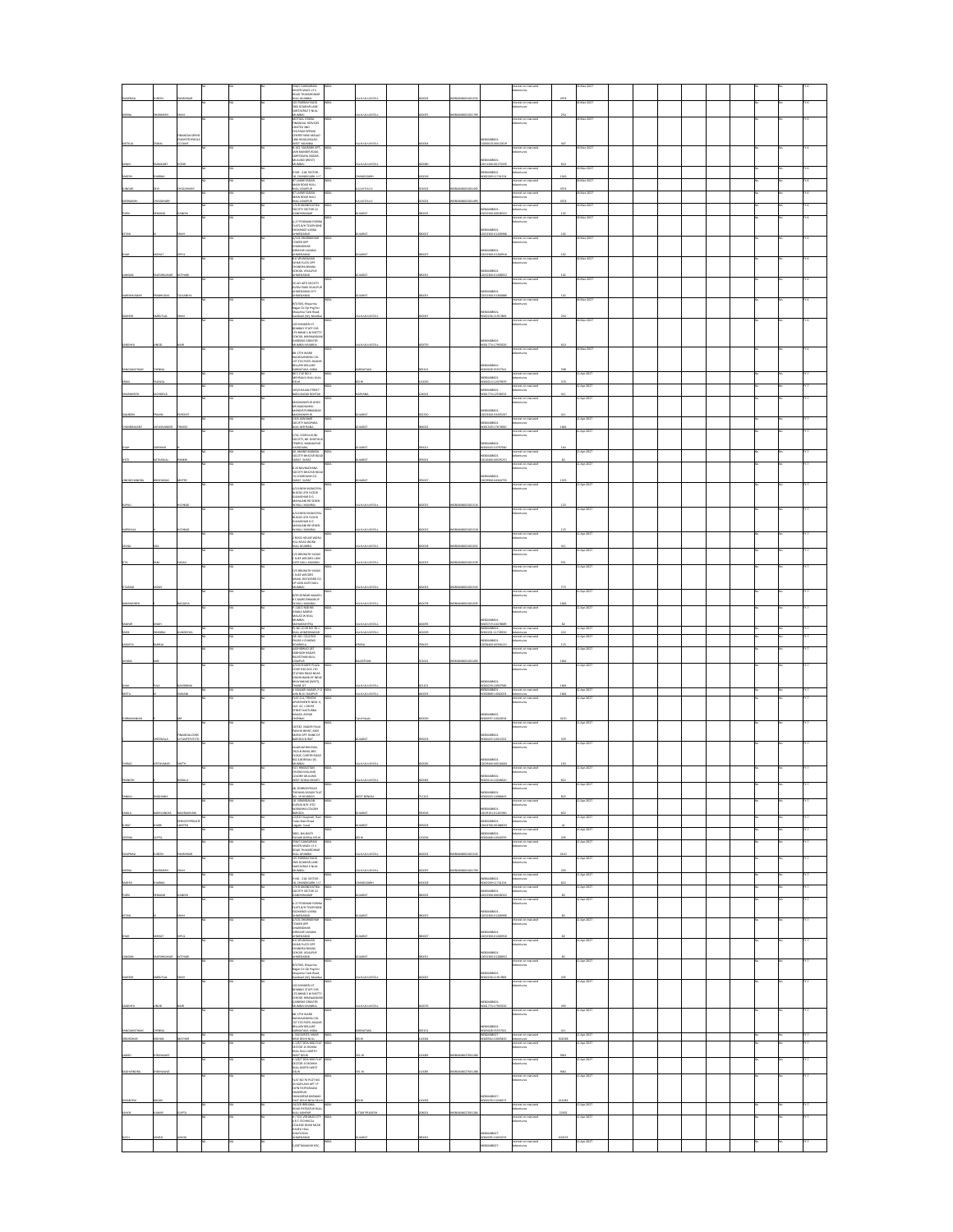|              |     |                           |  |                                                                                                                                                                                                                                                                                                                                                                                                                                         |                          |      |                                             | est com<br>etuaes                        |               |                      |  |  |  |  |  |
|--------------|-----|---------------------------|--|-----------------------------------------------------------------------------------------------------------------------------------------------------------------------------------------------------------------------------------------------------------------------------------------------------------------------------------------------------------------------------------------------------------------------------------------|--------------------------|------|---------------------------------------------|------------------------------------------|---------------|----------------------|--|--|--|--|--|
|              |     |                           |  | KAY GAMARAM<br>BATRI WADII S S<br>ROAD THAKUROWAR<br>MULI MUMRA<br>SAY GOURAR LANE<br>SAYTAGKI2 E MULI<br>MUMRAI<br>MUMRAI                                                                                                                                                                                                                                                                                                              |                          |      |                                             | rrest on matured<br>ienbanes             |               |                      |  |  |  |  |  |
|              |     |                           |  |                                                                                                                                                                                                                                                                                                                                                                                                                                         |                          |      |                                             |                                          |               |                      |  |  |  |  |  |
|              |     |                           |  |                                                                                                                                                                                                                                                                                                                                                                                                                                         |                          |      |                                             | erest on matured<br>Sentanes             |               | Mar-2027             |  |  |  |  |  |
|              |     |                           |  | $\begin{array}{l} \texttt{MMLMOM} \\ \texttt{MMLMOM} \\ \texttt{MOMMOM} \\ \texttt{MOMMOM} \\ \texttt{MOMMOM} \\ \texttt{MMLM} \\ \texttt{MMLM} \\ \texttt{MMLM} \\ \texttt{MMLM} \\ \texttt{MMLM} \\ \texttt{MMLM} \\ \texttt{MMLM} \\ \texttt{MMLM} \\ \texttt{MMLM} \\ \texttt{MMLM} \\ \texttt{MMLM} \\ \texttt{MMLM} \\ \texttt{MMLM} \\ \texttt{MMLM} \\ \texttt{MMLM} \\ \texttt{MMLM} \\ \texttt{MMLM} \\ \texttt{MMLM} \\ \$   |                          |      |                                             |                                          |               |                      |  |  |  |  |  |
|              |     | iangalserv<br>Limitedpool |  |                                                                                                                                                                                                                                                                                                                                                                                                                                         |                          |      | 00010-000                                   |                                          |               | Mar-2027             |  |  |  |  |  |
|              |     |                           |  |                                                                                                                                                                                                                                                                                                                                                                                                                                         |                          |      |                                             | arest on matured<br>bentures             |               |                      |  |  |  |  |  |
|              |     |                           |  |                                                                                                                                                                                                                                                                                                                                                                                                                                         |                          |      | 011200-0017222                              |                                          |               |                      |  |  |  |  |  |
|              |     |                           |  | NO - 218, SECTOR                                                                                                                                                                                                                                                                                                                                                                                                                        |                          |      | 134108601-<br>12269-11741154                | rrest on matured<br>ientures<br>est on m | 1016          |                      |  |  |  |  |  |
|              |     |                           |  | MAN CHARGAINS                                                                                                                                                                                                                                                                                                                                                                                                                           |                          |      |                                             | bentures                                 | 4574          |                      |  |  |  |  |  |
|              |     |                           |  |                                                                                                                                                                                                                                                                                                                                                                                                                                         |                          |      |                                             | erest on ma<br>Sentures                  | 4574          |                      |  |  |  |  |  |
|              |     |                           |  |                                                                                                                                                                                                                                                                                                                                                                                                                                         |                          |      | 0408601-                                    | rrest on mature<br>ientures              |               |                      |  |  |  |  |  |
|              |     |                           |  |                                                                                                                                                                                                                                                                                                                                                                                                                                         |                          |      |                                             | arest co.m.<br>bertares                  |               |                      |  |  |  |  |  |
|              |     |                           |  | A-27 POORMAI PARM<br>FLATS RIM TELEPHON<br>CLATS RIM TELEPHON<br>ANDI CHARGARIA<br>A-201 CHARGARIA<br>CHARGARIA (CHARGARIA<br>CHARGARIA<br>CHARGARIA<br>CHARGARIA<br>CHARGARIA<br>CHARGARIA<br>CHARGARIA<br>CHARGARIA<br>CHARGARIA                                                                                                                                                                                                      |                          |      | 032300-0120                                 |                                          |               |                      |  |  |  |  |  |
|              |     |                           |  |                                                                                                                                                                                                                                                                                                                                                                                                                                         |                          |      |                                             | erest on matureo<br>Sentares             |               |                      |  |  |  |  |  |
|              |     |                           |  |                                                                                                                                                                                                                                                                                                                                                                                                                                         |                          |      | 680408601<br>032300-0120                    |                                          |               |                      |  |  |  |  |  |
|              |     |                           |  |                                                                                                                                                                                                                                                                                                                                                                                                                                         |                          |      | 103808014                                   | erest on matured<br>Sentanes             |               |                      |  |  |  |  |  |
|              |     |                           |  | GASOLIAR                                                                                                                                                                                                                                                                                                                                                                                                                                |                          |      | 032300-0120905                              | arest on mati<br>bentures                | 102           |                      |  |  |  |  |  |
|              |     |                           |  | 45 JAY ARTI SOCIETY<br>JIVRAI PARK VEMLPU<br>AHMEDABAD CITY<br>AHMEDABAD                                                                                                                                                                                                                                                                                                                                                                |                          |      |                                             |                                          |               |                      |  |  |  |  |  |
|              |     |                           |  |                                                                                                                                                                                                                                                                                                                                                                                                                                         |                          |      | 304108601-<br>322300-0130088                | irest on r<br>iectures                   | 102           |                      |  |  |  |  |  |
|              |     |                           |  | 8/2/201, Khajarina<br>Nagar Co-Op Hig Soc<br>Khajarina Tank Road,<br>Kandivali (W), Mumbo                                                                                                                                                                                                                                                                                                                                               |                          |      | 16601                                       |                                          |               |                      |  |  |  |  |  |
|              |     |                           |  |                                                                                                                                                                                                                                                                                                                                                                                                                                         |                          |      | 12236-1191                                  | erest on matured<br>bentures             |               |                      |  |  |  |  |  |
|              |     |                           |  | 103 SHANGRI IT<br>BOMBAY STAFF CHS<br>CTD BHND S M SHETT<br>SCHOOL HIRANANDA                                                                                                                                                                                                                                                                                                                                                            |                          |      |                                             |                                          |               |                      |  |  |  |  |  |
|              |     |                           |  | <b>SARDENS GREATER</b><br><b>MJMA/MUMBAL</b>                                                                                                                                                                                                                                                                                                                                                                                            |                          |      | 103808014<br>001774-17003330                |                                          |               |                      |  |  |  |  |  |
|              |     |                           |  |                                                                                                                                                                                                                                                                                                                                                                                                                                         |                          |      |                                             | vrest on m<br>entanes                    |               |                      |  |  |  |  |  |
|              |     |                           |  |                                                                                                                                                                                                                                                                                                                                                                                                                                         |                          |      | 80408601-<br>02028-5555724                  |                                          |               |                      |  |  |  |  |  |
|              |     |                           |  | RR 17TH WARD<br>RAGHANDRORA COL<br>15T STG PATR, NAGA<br>RELLARY RELLARY<br>CORNELTAN, INDIA<br>16C 2 W MO 4<br>MEHRAULI NULL NULL<br>DELH                                                                                                                                                                                                                                                                                              |                          |      | 80408601-<br>00214-12079559                 | rrest on matured<br>ientures             | $270$         |                      |  |  |  |  |  |
|              |     |                           |  | 165/6 RALAN STREET<br><b>MAA BAZAR ROHTA</b>                                                                                                                                                                                                                                                                                                                                                                                            |                          |      | 480408601-<br>(301774-12536532              | erest on m<br>Seebares                   | $_{\rm 411}$  |                      |  |  |  |  |  |
|              |     |                           |  |                                                                                                                                                                                                                                                                                                                                                                                                                                         |                          |      |                                             | est on i<br>etunes                       |               |                      |  |  |  |  |  |
|              |     |                           |  | MADHANYPUR GHED<br>NR MADHANRAI<br>MANDIR PORBANDAR                                                                                                                                                                                                                                                                                                                                                                                     |                          |      | 03008601<br>033200-0343520                  |                                          | 411           |                      |  |  |  |  |  |
|              |     |                           |  | MAGHANYPUR<br>LI/A JAWAHAR<br>IOCIETY MAGPARA<br>NULL MEHSANA                                                                                                                                                                                                                                                                                                                                                                           |                          |      | 100801040<br>10549-1767                     | rrest on mat<br>entures                  | 166           |                      |  |  |  |  |  |
|              |     |                           |  | c/da, vidhiya kuni<br>Society, nr. Ahathu<br>Temple, manualpur                                                                                                                                                                                                                                                                                                                                                                          |                          |      |                                             | erest on ma<br>Sentanes                  |               |                      |  |  |  |  |  |
|              |     |                           |  |                                                                                                                                                                                                                                                                                                                                                                                                                                         |                          |      | 30408601<br>100343-10797580                 |                                          | 164           |                      |  |  |  |  |  |
|              |     |                           |  | VADODARA<br>40, ANAND MANGAL<br>5DDAT SURAT<br>5DRAT SURAT                                                                                                                                                                                                                                                                                                                                                                              |                          |      | 400408601<br>010003-000                     | erest on ma<br>bentanes                  | $\Omega$      |                      |  |  |  |  |  |
|              |     |                           |  |                                                                                                                                                                                                                                                                                                                                                                                                                                         |                          |      |                                             | arest on matured<br>bentures             |               | Apr-2022             |  |  |  |  |  |
|              |     |                           |  | 8 20 NAVRACHANA<br>SOCIETY BHATAR ROL<br>7A CHORIUGHI DE<br>SURAT SURAT                                                                                                                                                                                                                                                                                                                                                                 |                          |      | 103808014<br>129900-0430475                 |                                          | 1222          |                      |  |  |  |  |  |
|              |     |                           |  |                                                                                                                                                                                                                                                                                                                                                                                                                                         |                          |      |                                             | rest on i<br>entures                     |               |                      |  |  |  |  |  |
|              |     |                           |  | A/30 NEW MUNICIPAL<br>BLOCKS 4TH R.OOK<br>GUIANCHARD G<br>MAHALINI RD SEWRI<br>W NULL MUNIBAL                                                                                                                                                                                                                                                                                                                                           |                          |      |                                             |                                          |               |                      |  |  |  |  |  |
|              |     |                           |  |                                                                                                                                                                                                                                                                                                                                                                                                                                         |                          |      |                                             | terest on n<br>bentures                  |               |                      |  |  |  |  |  |
|              |     |                           |  | a/10 ngw municipal<br>Blocks kin r.cor<br>Guimohard G<br>Mahalani rd Sewri                                                                                                                                                                                                                                                                                                                                                              |                          |      |                                             |                                          |               |                      |  |  |  |  |  |
|              |     |                           |  | WASHLMUMAN                                                                                                                                                                                                                                                                                                                                                                                                                              |                          |      |                                             | terest on matured<br>ebentures           | 122           | Apr-202              |  |  |  |  |  |
|              |     |                           |  | 2 ROCK HOUSE WORLI<br>HILL ROAD WORLI<br>NULL MUMBAI                                                                                                                                                                                                                                                                                                                                                                                    |                          |      |                                             |                                          |               | Apr-202              |  |  |  |  |  |
|              |     |                           |  | C/O BRUNATH YADAN<br>C N-83 WECORS LION<br>GATE NULL MUMBAL                                                                                                                                                                                                                                                                                                                                                                             |                          |      |                                             | irest on matures<br>ienbanes             |               |                      |  |  |  |  |  |
|              |     |                           |  |                                                                                                                                                                                                                                                                                                                                                                                                                                         |                          |      |                                             | erest on matured<br>Sentanes             |               | lpr-202              |  |  |  |  |  |
|              |     |                           |  | C/O BRUNATH YADAV<br>C N-83 WECORS<br>NAVAL DOCKYARD CO<br>CP LION GATE NULL<br>MUMBAI                                                                                                                                                                                                                                                                                                                                                  |                          |      |                                             |                                          |               |                      |  |  |  |  |  |
|              |     |                           |  |                                                                                                                                                                                                                                                                                                                                                                                                                                         | <b>LARASHTE</b>          |      |                                             | rest on mat                              | $\frac{1}{2}$ |                      |  |  |  |  |  |
|              |     |                           |  |                                                                                                                                                                                                                                                                                                                                                                                                                                         |                          |      |                                             | bentures                                 | 164           |                      |  |  |  |  |  |
|              |     |                           |  |                                                                                                                                                                                                                                                                                                                                                                                                                                         |                          |      |                                             | rest on                                  |               |                      |  |  |  |  |  |
|              |     |                           |  |                                                                                                                                                                                                                                                                                                                                                                                                                                         |                          |      |                                             |                                          |               |                      |  |  |  |  |  |
|              |     |                           |  |                                                                                                                                                                                                                                                                                                                                                                                                                                         |                          |      |                                             |                                          |               |                      |  |  |  |  |  |
|              |     | NDECHA                    |  |                                                                                                                                                                                                                                                                                                                                                                                                                                         | <b><i>GUARASHTRA</i></b> | ioos | 03719-104784<br>80408601-<br>02201-11726700 | rest on matured                          | $_{\rm 222}$  | Apr 2027<br>Apr-2027 |  |  |  |  |  |
|              |     |                           |  |                                                                                                                                                                                                                                                                                                                                                                                                                                         |                          |      | 100801042                                   | bertares<br>erest on matured<br>bertares | 127           |                      |  |  |  |  |  |
|              |     |                           |  |                                                                                                                                                                                                                                                                                                                                                                                                                                         |                          |      |                                             | rrest on matured<br>ienbanes             |               |                      |  |  |  |  |  |
|              |     |                           |  | $\begin{array}{l} \textbf{M}(\textbf{X} \textbf{X}) = \textbf{M}(\textbf{X} \textbf{X}) = \textbf{M}(\textbf{X} \textbf{X}) = \textbf{M}(\textbf{X} \textbf{X}) = \textbf{M}(\textbf{X} \textbf{X}) = \textbf{M}(\textbf{X} \textbf{X}) = \textbf{M}(\textbf{X} \textbf{X}) = \textbf{M}(\textbf{X} \textbf{X}) = \textbf{M}(\textbf{X} \textbf{X}) = \textbf{M}(\textbf{X} \textbf{X}) = \textbf{M}(\textbf{X} \textbf{X}) = \textbf{$ |                          |      |                                             | erest on matured<br>Sentares             |               |                      |  |  |  |  |  |
|              |     |                           |  |                                                                                                                                                                                                                                                                                                                                                                                                                                         |                          |      | 30408601                                    |                                          |               |                      |  |  |  |  |  |
|              |     |                           |  | <b><i>NONPUR<br/>ATON SHANTI PLAZA</i></b><br>COOP HSG SOC LTD<br>STATION ROAD NEAR<br>BHANTANDAR (WEST),<br>THANG OT<br>THANG DY ATONICAR, P.O.                                                                                                                                                                                                                                                                                        | <b><i>SURASHTE</i></b>   |      | 00229-109<br>B34K6601                       |                                          | 1664          |                      |  |  |  |  |  |
|              |     |                           |  |                                                                                                                                                                                                                                                                                                                                                                                                                                         |                          |      |                                             | bertures<br>terest on matured<br>entanes | 1664          |                      |  |  |  |  |  |
|              |     |                           |  |                                                                                                                                                                                                                                                                                                                                                                                                                                         |                          |      | 80409601                                    |                                          |               |                      |  |  |  |  |  |
|              |     |                           |  | 4 vanimās magara, 9 c)<br>Kant Mull Nagara<br>Kant G-a, Transas<br>Magaras Mav G,<br>Chiaet Kasturiaa<br>Magar, Asukr<br>Chiaer, Asukr<br>KENNA                                                                                                                                                                                                                                                                                         |                          |      | 00597-10020                                 |                                          |               | Apr-202              |  |  |  |  |  |
|              |     | WOALCOM                   |  |                                                                                                                                                                                                                                                                                                                                                                                                                                         |                          |      | 1028040834                                  | arest on matured<br>bentures             |               |                      |  |  |  |  |  |
|              |     | TANTSPVTL                 |  | 10/542, NAGAR FALIA<br>Pani ni Bhinit, MDS<br>MARG 07P, Bank OF<br>BARCOA SURAT                                                                                                                                                                                                                                                                                                                                                         |                          |      | (200425-10011922                            | test on<br>Historia                      |               |                      |  |  |  |  |  |
|              |     |                           |  | .<br>MLARAM BHJUAN,<br>29/4-B WING, 280<br>NO-3, BORMALI (E)<br>NI IMBAI                                                                                                                                                                                                                                                                                                                                                                |                          |      |                                             |                                          |               |                      |  |  |  |  |  |
|              |     |                           |  |                                                                                                                                                                                                                                                                                                                                                                                                                                         |                          |      | E80408601-<br>029400-000                    | erest on matured<br>Sentanes             |               |                      |  |  |  |  |  |
|              |     |                           |  | MUMBAI<br>Se 1 Hindustan<br>Crowk Muiling<br>Colony Muiling<br>West Goigleshant                                                                                                                                                                                                                                                                                                                                                         |                          |      | 0000001                                     | rest on matured                          |               |                      |  |  |  |  |  |
|              |     |                           |  |                                                                                                                                                                                                                                                                                                                                                                                                                                         |                          | 1101 |                                             | entanes                                  | 822           |                      |  |  |  |  |  |
|              |     |                           |  |                                                                                                                                                                                                                                                                                                                                                                                                                                         | EST BENGAL               |      | 00263-10086443                              | terest on matured<br>entanes             |               | Apr-20.              |  |  |  |  |  |
|              |     |                           |  |                                                                                                                                                                                                                                                                                                                                                                                                                                         |                          |      | -<br>19931-011                              |                                          |               |                      |  |  |  |  |  |
| URAT         |     | RACESPRAN<br>ozna         |  | 48, DOBSON ROAD<br>SHYAMA SADAN' FLA<br>10. 19 HOWRAH<br>18, VIRANDAVAN<br>DUPSASSIA<br>197625 NAQION<br>12/621 Nuqoosh, Rani<br>12/621 Nuqoosh, Rani<br>12/621 Nuqoosh, Rani<br>12/621 Nuqoosh, Rani<br>13/621 Nuqoosh, Rani<br>sigate Surat                                                                                                                                                                                           | ww                       |      | 103000601<br>0043700-00188633               | terest on m.<br>bentures                 |               |                      |  |  |  |  |  |
|              |     |                           |  |                                                                                                                                                                                                                                                                                                                                                                                                                                         |                          |      | 499408601<br>00468-1004                     | arest on mati<br>bentures                | $20\%$        | Apr-202              |  |  |  |  |  |
|              |     |                           |  | 2001, NAI BASTI<br>PAHARI DHIRAI DELHI<br>2GR/C GANGARAM<br>KHATRI WADI I S S<br>ROAD THAKURDWAR                                                                                                                                                                                                                                                                                                                                        | <b>ARASHITE</b>          |      |                                             | terest on matured<br>ebentures           | 4110          |                      |  |  |  |  |  |
|              |     |                           |  |                                                                                                                                                                                                                                                                                                                                                                                                                                         |                          |      |                                             | arest on matured<br>bentures             |               | 2-Apr-2022           |  |  |  |  |  |
|              |     |                           |  | NUNI MUMBAR<br>NULL MUMBAR<br>DIG PARINAY BLDG<br>DAVEACRUZ & NULL<br><b>IABALIS</b>                                                                                                                                                                                                                                                                                                                                                    |                          |      |                                             |                                          |               | Apr-2027             |  |  |  |  |  |
|              |     |                           |  |                                                                                                                                                                                                                                                                                                                                                                                                                                         | DIGARS                   |      | 0<br>002069-11741154                        | terest on matured<br>bentures            | 822           | Apr-202              |  |  |  |  |  |
| iuki         | uwa |                           |  | H NO - 218, SECTOR<br>18, CHANDIGARH, LLT<br>174 R ANANDWATKA<br>SOCIETY SECTOR 22<br>GANDHINAGAR                                                                                                                                                                                                                                                                                                                                       | <b>MANT</b>              | œ    | E80408601-<br>032300-00628322               | erest on mat<br>Sentanes                 | $\Omega$      |                      |  |  |  |  |  |
|              |     |                           |  |                                                                                                                                                                                                                                                                                                                                                                                                                                         |                          |      |                                             | erest on mat<br>Sentures                 |               |                      |  |  |  |  |  |
|              |     |                           |  |                                                                                                                                                                                                                                                                                                                                                                                                                                         |                          |      | E80408601-<br>032300-0120                   |                                          |               |                      |  |  |  |  |  |
|              |     |                           |  |                                                                                                                                                                                                                                                                                                                                                                                                                                         |                          |      |                                             | erest on m<br>bentares                   |               |                      |  |  |  |  |  |
|              |     |                           |  |                                                                                                                                                                                                                                                                                                                                                                                                                                         |                          |      | E80408601-<br>032300-0120091                |                                          |               | Apr-2022             |  |  |  |  |  |
|              |     |                           |  |                                                                                                                                                                                                                                                                                                                                                                                                                                         |                          |      | 0000601                                     | sterest on matured<br>lebentures         |               |                      |  |  |  |  |  |
|              |     |                           |  | A-27 POORMAI PARIN<br>ELATS BIN TELEPHONI<br>ELATS BIN TELEPHONI<br>WARECARLO<br>WARECARLO<br>CHARRIDRAR<br>SAMECARLO<br>CHARRIDRAR<br>ELATS COP<br>CHARRIDRAR<br>CHARRIDRAR<br>CHARRIDRAR<br>CHARRIDRAR<br>CHARRIDRAR<br>CHARRIDRAR<br>CHARRIDRAR<br>GASO3MA                                                                                                                                                                           |                          |      | 032300-0120905                              |                                          |               | Apr-202              |  |  |  |  |  |
|              |     |                           |  |                                                                                                                                                                                                                                                                                                                                                                                                                                         | <b><i>USASHTE</i></b>    | œ    |                                             | erest on matured<br>bentures             | 209           |                      |  |  |  |  |  |
| <b>MASSA</b> |     |                           |  | 4/3/304, Khajarina<br>Nagar Co-Op Hug Soc<br>Khajarina Tank Road,<br>Kandivali (W), Mumbo                                                                                                                                                                                                                                                                                                                                               |                          |      | NERONOBEO1-<br>NGC 2236-11917883            | rrest on r<br>entures                    |               |                      |  |  |  |  |  |
|              |     |                           |  |                                                                                                                                                                                                                                                                                                                                                                                                                                         |                          |      |                                             |                                          |               |                      |  |  |  |  |  |
| <b>MOHOA</b> | NCO |                           |  | 103 SHWAGRI IT<br>Bombay Staff Chs<br>LTD BHND S M SHETTY<br>SCHOOL HIRANANDAN<br>GARDENS GREATER<br>MUMBAI MUMBAI                                                                                                                                                                                                                                                                                                                      | ANARASHTRA               | 2000 | 400408601<br>N301774-17903326               |                                          | 492           |                      |  |  |  |  |  |
|              |     |                           |  |                                                                                                                                                                                                                                                                                                                                                                                                                                         |                          |      |                                             | terest on matured<br>ibertares           |               |                      |  |  |  |  |  |
|              |     |                           |  |                                                                                                                                                                                                                                                                                                                                                                                                                                         | <b>NATAKA</b>            | 210  | 680408601-<br>000008-55557341               |                                          | 411           |                      |  |  |  |  |  |
|              |     |                           |  | 28 1774 WARD<br>RAGHANENDRA COL<br>RAGHANENDRA COL<br>GELLARY BELLARY<br>CARNATAKA INDIA<br>LEG SARITA VINA<br>NEW DELLINININ                                                                                                                                                                                                                                                                                                           |                          |      |                                             |                                          | 302028        | Apr-202<br>Apr-2022  |  |  |  |  |  |
|              |     |                           |  |                                                                                                                                                                                                                                                                                                                                                                                                                                         |                          |      |                                             | entures<br>med on matured<br>entures     |               |                      |  |  |  |  |  |
|              |     |                           |  |                                                                                                                                                                                                                                                                                                                                                                                                                                         |                          |      |                                             | erest on matured<br>bentures             |               | Apr-202              |  |  |  |  |  |
|              |     |                           |  | <b>L-250 SARITA VINAR<br/>NEW DELINIER FANT SARITAN</b><br>G-1/R/Z DOA MAG FLAT<br>NEUL NORTH<br>NEST DELN<br>C-1/R/Z DOA MAG FLAT<br>NELTOR-15 RORN<br>NEUL NORTH WEST<br>NEUL NORTH WEST<br>NEUL                                                                                                                                                                                                                                      |                          |      |                                             |                                          | <b>soc</b>    | Apr-2022             |  |  |  |  |  |
|              |     |                           |  |                                                                                                                                                                                                                                                                                                                                                                                                                                         |                          |      |                                             | terest on matured<br>ibentures           |               |                      |  |  |  |  |  |
| <b>MATIN</b> |     |                           |  |                                                                                                                                                                                                                                                                                                                                                                                                                                         |                          |      | 80408627-<br>00228-12206372                 |                                          |               |                      |  |  |  |  |  |
|              |     | τA                        |  | ELAT NO 76 PLOT NO<br>65 KAELAS AUT 1 P<br>COTN PATPARGANI<br>SHAKKRUR BARAAD<br>SHAKKRUR BARAAD<br>SACT DELH NEW DELY<br>24/105 BIRNANA                                                                                                                                                                                                                                                                                                |                          |      |                                             | nest on matu<br>bentanns                 | 161092        |                      |  |  |  |  |  |
|              |     |                           |  |                                                                                                                                                                                                                                                                                                                                                                                                                                         | TAR PAADESH              |      |                                             | erest on mat<br>Seetanes                 | 22652         |                      |  |  |  |  |  |
|              |     |                           |  |                                                                                                                                                                                                                                                                                                                                                                                                                                         |                          |      | 38627                                       |                                          |               |                      |  |  |  |  |  |
|              |     |                           |  | 24/105 BIRMANA<br>ROAD PATKAPUR<br>NALLI KANPUR<br>H / 105 VERHWAS CITY<br>1 R C TECHNICAL<br>COLLEGE ROAD NEAR<br>GANTLISHAL<br>NANGURALI<br><b>CARAD</b><br>GEETANAGAR SOC,                                                                                                                                                                                                                                                           |                          |      | 4295-100<br>4680408627-                     | tered on m<br>identares                  | 1005          |                      |  |  |  |  |  |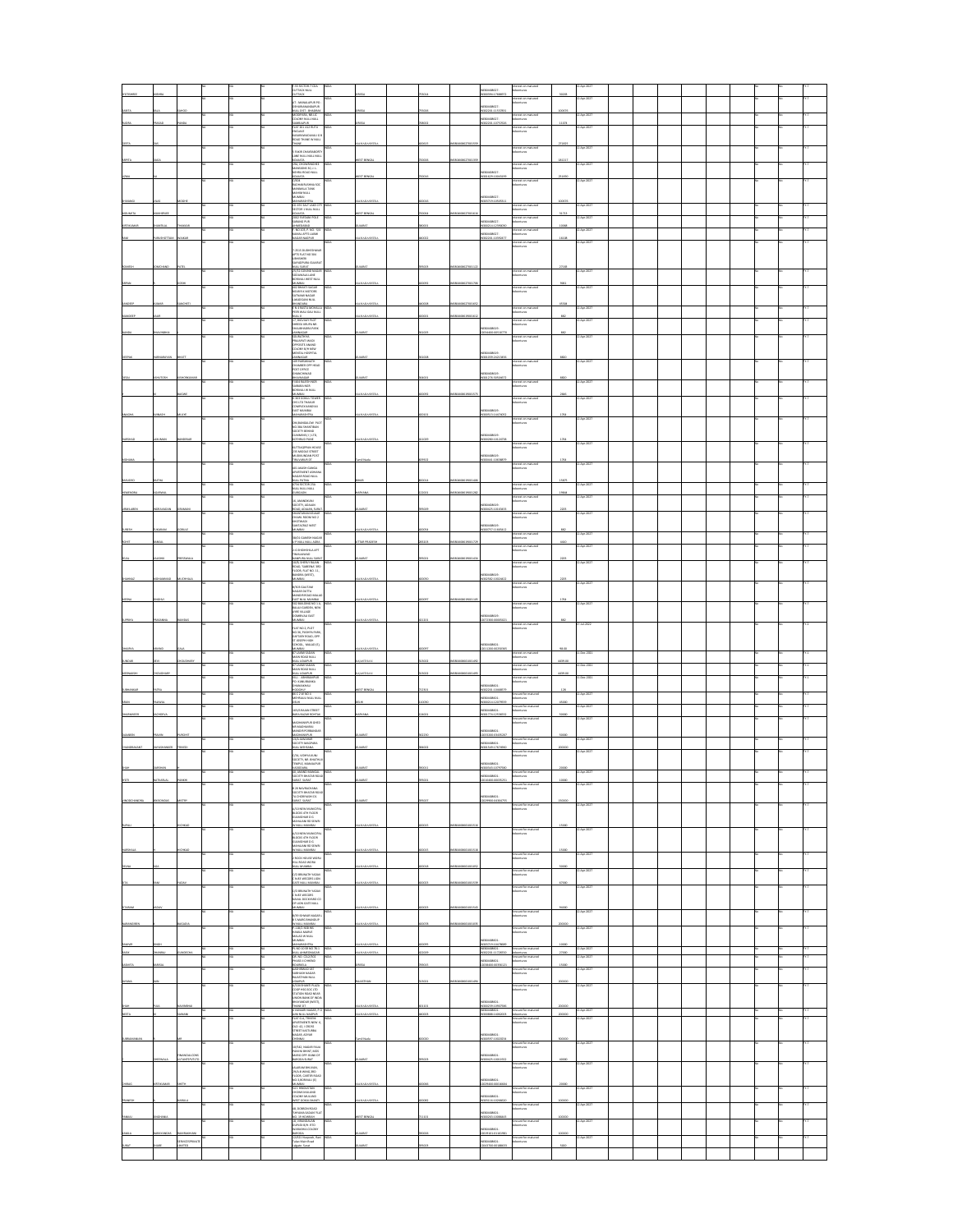|       |             |                         |  | SS SECTOR-7 CDA<br>UTTACK NULL<br>UTTACK                                                                                                                                                                                                                                                |                     |       |                | 102001083                                | erest on mature<br>bentans                |               |                |  |  |  |  |
|-------|-------------|-------------------------|--|-----------------------------------------------------------------------------------------------------------------------------------------------------------------------------------------------------------------------------------------------------------------------------------------|---------------------|-------|----------------|------------------------------------------|-------------------------------------------|---------------|----------------|--|--|--|--|
|       |             |                         |  |                                                                                                                                                                                                                                                                                         |                     |       |                | 1203294-17680972                         | arest on ma<br>bentures                   | 30202         |                |  |  |  |  |
|       |             |                         |  | .<br>G-Manamarkir<br>G-Manamarkir                                                                                                                                                                                                                                                       |                     |       |                | 493408627<br>000001-11537831             |                                           | 100676        |                |  |  |  |  |
|       |             |                         |  | DEHLIRIANANDAPUR<br>MIDLI DIST - BHADAW<br>MIDDIPARA, NR.LIC<br>COLONY NULL NULL<br>GAMBALPUR<br>DICLAVE<br>DISTANE WARLL GR<br>MIDLINE<br>MIDLINE WARLL GR<br>THANE                                                                                                                    |                     |       |                | 680408627-<br>102201-10757               | irest on matured<br>ietitanes             | 11074         |                |  |  |  |  |
|       |             |                         |  |                                                                                                                                                                                                                                                                                         |                     |       |                |                                          | rrest on matured<br>ientures              |               | Apr-202        |  |  |  |  |
|       |             |                         |  | $\sim$                                                                                                                                                                                                                                                                                  | <b>HARASHTE</b>     |       | 00808270015    |                                          |                                           | 271825        |                |  |  |  |  |
|       |             |                         |  | .<br>SAKIR CHARRABORTY<br>LANG NULL NULL NULL                                                                                                                                                                                                                                           |                     |       |                |                                          | rest on mat<br>retures                    |               |                |  |  |  |  |
|       |             |                         |  |                                                                                                                                                                                                                                                                                         | ASV40 T23           |       | 09627001       |                                          |                                           | 181217        |                |  |  |  |  |
|       |             |                         |  | SEKATA<br>SA, CHOWRINGHEE<br>ANNSONS 30, J. L.<br>GHRU ROAD NULL<br>SHRU ROAD NULL                                                                                                                                                                                                      | AGMED T23           |       |                | E804I08627<br>01629-1004319              | rest on i<br>retures                      | 251690        |                |  |  |  |  |
|       |             |                         |  | NGHINI ROAD NULL<br>CULATA<br>CULATA<br>RADHANSUSHINA SOC<br>MANNANA TANK<br>MANNANA<br>MANNANA<br>MANNANA<br>MANNANAN<br>CO-SOC SAUT LAKE CIT<br>GOLKATA<br>GOLKATA<br>GOLKATA                                                                                                         |                     |       |                |                                          | erest on ma<br>Sentares                   |               |                |  |  |  |  |
|       |             |                         |  |                                                                                                                                                                                                                                                                                         |                     |       |                |                                          |                                           |               |                |  |  |  |  |
|       |             |                         |  |                                                                                                                                                                                                                                                                                         |                     |       |                | 0408627-<br>8719-10505                   | arest on m<br>bertures                    |               |                |  |  |  |  |
|       | 6515        |                         |  |                                                                                                                                                                                                                                                                                         | <b>AGNGS</b> T22    |       |                |                                          | erest on ma<br>Sentures                   | 31713         |                |  |  |  |  |
|       |             |                         |  |                                                                                                                                                                                                                                                                                         |                     |       |                | NERO4IO8627-<br>NGOD214-1239009          |                                           | 10068         | Apr-2022       |  |  |  |  |
|       |             |                         |  | iacion'i Noll Noll<br>0202014<br>2002 Fafdani Pole<br>1404NG PUR<br>64MML APTS LKOMI<br>64MML APTS LKOMI<br>04MML APTS LKOMI<br>04MML APTS LKOMI                                                                                                                                        |                     |       |                | 30408627-<br>102201-1020                 | erest on matured<br>bentures              |               |                |  |  |  |  |
|       |             |                         |  |                                                                                                                                                                                                                                                                                         |                     |       |                |                                          | rrest on ma<br>restares                   |               |                |  |  |  |  |
|       |             |                         |  | 7-2515 DUDHESHWAR<br>APTS FLAT NO 304<br>UBHSHERI<br>UBHSHERI<br>MILIL SURAT<br>MILIL SURAT<br>SODIWARA<br>MILIMBAL<br>MILIMBAL<br>MILIMBAL<br>MILIMBAL<br>MILIMBAL<br>MILIMBAL<br>MILIMBAL                                                                                             |                     |       |                |                                          |                                           |               |                |  |  |  |  |
|       |             |                         |  |                                                                                                                                                                                                                                                                                         |                     |       |                |                                          | terest on m<br>bentures                   |               |                |  |  |  |  |
|       |             |                         |  |                                                                                                                                                                                                                                                                                         | <b>NHARASHTRA</b>   |       | 3040862700170  |                                          |                                           | 9061          |                |  |  |  |  |
|       |             |                         |  | 102 BHAKTI SAGAR<br>NGAR R K MOTORS<br>SATNAMI NAGAR<br>LAKADGANI NULL<br>PER NAGTA MOHALL<br>NER NAGTA MOHALL<br>NER NAGTA MURLI<br>NER NAGTA MURLI                                                                                                                                    |                     |       |                |                                          | test on mat<br>sentanes                   |               |                |  |  |  |  |
|       |             |                         |  |                                                                                                                                                                                                                                                                                         |                     |       |                |                                          |                                           |               |                |  |  |  |  |
|       |             |                         |  |                                                                                                                                                                                                                                                                                         | <b>JRASHITE</b>     |       |                |                                          | arest on m<br>bentures                    | $\frac{1}{2}$ |                |  |  |  |  |
|       |             |                         |  | PER WALIGALI NULLI<br>NJILI 0<br>NJILI 0<br>PASEE ERLPA NR.<br>PASEE ERLPA NR.<br>NAMAKGAR<br>KOLPATI ANAND<br>DPOSITE ANAND<br>COLONY R/N NEW<br>COLONY R/N NEW<br>NAMAKGAR<br>NAMAKGAR                                                                                                |                     |       |                | 412001083                                | est on n<br>etures                        |               |                |  |  |  |  |
|       |             |                         |  |                                                                                                                                                                                                                                                                                         |                     |       |                | 0024400-0051077                          | rest on r<br>retures                      | 982           |                |  |  |  |  |
|       |             |                         |  |                                                                                                                                                                                                                                                                                         |                     |       |                |                                          |                                           |               |                |  |  |  |  |
|       |             |                         |  |                                                                                                                                                                                                                                                                                         |                     |       |                | <b>Internacio</b><br>10353621            |                                           |               |                |  |  |  |  |
|       |             |                         |  |                                                                                                                                                                                                                                                                                         |                     |       |                |                                          | irest on matured<br>ientures              |               |                |  |  |  |  |
|       | HUTOSH      | HORKLIMA                |  |                                                                                                                                                                                                                                                                                         | <b>LIARAT</b>       | ecce  |                | NERDAKORE19-<br>NGC 1276-30504672        |                                           | \$\$20        |                |  |  |  |  |
|       |             | cut                     |  |                                                                                                                                                                                                                                                                                         | <b>IAHARASHTRA</b>  | 00092 | 1000108619001  |                                          | rest on matured<br>entures                | 2666          |                |  |  |  |  |
|       |             |                         |  |                                                                                                                                                                                                                                                                                         |                     |       |                |                                          | rest on ma<br>entanes                     |               |                |  |  |  |  |
|       |             |                         |  | MINITAL HOSPITAL<br>MININGAR<br>MININGAR<br>COMMISSION<br>POST OFFICE<br>POST OFFICE<br>POST OFFICE<br>SUMMARING<br>MININGARING<br>MININGARING<br>MININGARING<br>COMMISSION<br>COMMISSION<br>COMMISSION<br>COMMISSION<br>COMMISSION<br>COMMISSION<br>COMMISSION<br>COMMISSION<br>COMMIS |                     |       |                | 83408619<br>00513-1447405                |                                           | 1764          |                |  |  |  |  |
|       |             |                         |  |                                                                                                                                                                                                                                                                                         |                     |       |                |                                          | irest on matured<br>ietitanes             |               | Apr-202        |  |  |  |  |
|       |             |                         |  | CM,BANGALOW PLOT<br>NO 28A SHANTRAN<br>SOCIETY BEHIND<br>CUMMINS (1) LTD,<br>KOTHRUD PLINE                                                                                                                                                                                              |                     |       |                | 134108619-<br>10280-10124                |                                           |               |                |  |  |  |  |
|       |             |                         |  |                                                                                                                                                                                                                                                                                         |                     |       |                |                                          | arest on m<br>bentures                    |               |                |  |  |  |  |
|       |             |                         |  | kuttingppan house<br>225 Middle Street<br>Mudrumonn Post<br>Trunarur Dt                                                                                                                                                                                                                 |                     |       |                | E80408E19-<br>000441-10E2887             |                                           |               |                |  |  |  |  |
|       |             |                         |  |                                                                                                                                                                                                                                                                                         |                     |       |                |                                          | irest on matured<br>ientures              |               | Apr-2022       |  |  |  |  |
|       | <b>UTHA</b> |                         |  | IOI AKASH GANGA<br>DARTMENT AGHANA<br>DAGAR ROAD NULL<br>IDAGAR ROAD NULL<br>IDREADN<br>IDREADN                                                                                                                                                                                         |                     | ÓЫ    | E8040861900140 |                                          |                                           | 15875         |                |  |  |  |  |
|       |             |                         |  |                                                                                                                                                                                                                                                                                         |                     |       |                |                                          | irest on mature<br>ieobates               |               |                |  |  |  |  |
|       |             |                         |  |                                                                                                                                                                                                                                                                                         |                     |       |                |                                          | erest on matured                          | 19844         |                |  |  |  |  |
|       |             |                         |  | é, anandkunu<br>OCETY, adalam<br>IOMO, adalam, sl<br>IAMTARAM KÉLK                                                                                                                                                                                                                      |                     |       |                | 0408619-<br>0425-10163                   | entans                                    | 220           |                |  |  |  |  |
|       |             |                         |  |                                                                                                                                                                                                                                                                                         |                     |       |                |                                          | erest on m<br>oertares                    |               |                |  |  |  |  |
|       |             |                         |  | HANLAKAM KLLKAR<br>DHAIN ROOM NO 2<br>GHOTWADI<br>MUMBAI<br>MUMBAI                                                                                                                                                                                                                      |                     |       |                | E804I08619-<br>300757-11665              |                                           | 882           | Apr-202        |  |  |  |  |
|       |             |                         |  | RYDS GANESH NAGAR<br>I P NULL NULL AGRA                                                                                                                                                                                                                                                 |                     |       |                |                                          | arest on matured<br>bentures              |               |                |  |  |  |  |
|       |             |                         |  | 2-G SHENGHIA APT<br>TIMALIAWAD<br>BANPURA NULL SURAT<br>IQVI, SHERIY PAAN<br>ROOR, FLAT NO. 11,<br>ROOR, FLAT NO. 11,<br>BANDRA (MEST),<br>MUMBAL                                                                                                                                       |                     |       |                |                                          | rrest on ma<br>restares                   |               |                |  |  |  |  |
|       |             |                         |  |                                                                                                                                                                                                                                                                                         |                     |       |                |                                          | terest on matured<br>bentures             |               |                |  |  |  |  |
|       |             |                         |  |                                                                                                                                                                                                                                                                                         |                     |       |                |                                          |                                           |               |                |  |  |  |  |
|       |             |                         |  |                                                                                                                                                                                                                                                                                         |                     |       |                | 12582-100                                | rrest on matured<br>ientures              |               |                |  |  |  |  |
|       |             |                         |  | R/202 GAUTAM<br>MAGAR DOAD MAILAK<br>MANDAR ROAD MAILAK<br>GAST MALI GAUDARA<br>RASI VILLAGE<br>DOMBYANLI GAST<br>DOMBYANLI GAST<br>MAMBAN<br>MAMBAN                                                                                                                                    |                     |       |                |                                          |                                           |               |                |  |  |  |  |
|       |             |                         |  |                                                                                                                                                                                                                                                                                         | <b>ASLARASHTE</b>   | cos:  | ER041086190011 |                                          | rrest on matured<br>entanes               | 1764          |                |  |  |  |  |
|       |             |                         |  |                                                                                                                                                                                                                                                                                         |                     |       |                | 0008619<br>072300-0000                   |                                           | 882           |                |  |  |  |  |
|       |             |                         |  |                                                                                                                                                                                                                                                                                         |                     |       |                |                                          | rest on matured<br>entanes                |               | ul-2022        |  |  |  |  |
|       |             |                         |  | ELAT NO 2, PLOT<br>NO 36, PLSHPA PARK,<br>DAFTARY ROAD, OPP.<br>ST JOSEPH HIGH<br>SCHOOL, MALAD (E),<br>ST LUKIN SADAN<br>NANN ROAD NULL<br>MAN ROAD NULL<br>NANN ROAD NULL.<br>NANN ROAD NULL.                                                                                         |                     |       |                |                                          |                                           |               |                |  |  |  |  |
|       |             |                         |  |                                                                                                                                                                                                                                                                                         |                     |       |                | NERDAKOBSO1-<br>2011200-00250967         |                                           | 92.00         |                |  |  |  |  |
|       |             |                         |  |                                                                                                                                                                                                                                                                                         |                     |       |                |                                          | irest on matured<br>ientures              | 4439.00       | Orc-2021       |  |  |  |  |
|       |             |                         |  | MOLLUDARIS<br>MAIN ROAD MULL<br>MAIN ROAD MULL<br>MAIN ROAD MULL<br>MULLUDARIS<br>PO-KANARALI<br>DHANARALI<br>DHANARALI                                                                                                                                                                 |                     |       |                |                                          | tered on ma<br>Khertares                  | 4439.00       |                |  |  |  |  |
|       |             |                         |  |                                                                                                                                                                                                                                                                                         |                     |       |                |                                          | erest on r<br>Sentares                    |               |                |  |  |  |  |
|       |             |                         |  |                                                                                                                                                                                                                                                                                         | ST BEN              |       |                | 10280802<br>12201-106                    |                                           | 128           |                |  |  |  |  |
|       |             |                         |  | HODGHLY<br>86 C 2 W ND 4<br>MEHRAULI NULL NULL<br>DELH                                                                                                                                                                                                                                  |                     |       |                | 10380501-022<br>4900214-12070559         | ount for ma<br>entures                    | 45000         |                |  |  |  |  |
|       |             |                         |  | .<br>AS/A RALAN STREET<br>MAA BAZAR REHITAN                                                                                                                                                                                                                                             |                     |       |                | 804108601-<br>01774-1253651              | hount for matures<br>bentures             | 50000         |                |  |  |  |  |
|       |             |                         |  |                                                                                                                                                                                                                                                                                         |                     |       |                |                                          | sourt for m<br>bertures                   |               |                |  |  |  |  |
|       |             |                         |  |                                                                                                                                                                                                                                                                                         |                     |       |                | 0000001<br>12200-0043                    |                                           | 5000          |                |  |  |  |  |
|       |             |                         |  | MADHANIPUR GHED<br>NR MADHANRAI<br>MANDIR PORBANDAR<br>MADHANIPUR<br>SOCIETY MAGPARA<br>NULL MEHSANA                                                                                                                                                                                    |                     |       |                |                                          | iount for matured<br>Sentanes             |               | Apr-2022       |  |  |  |  |
|       |             |                         |  |                                                                                                                                                                                                                                                                                         |                     |       |                |                                          | cunt for mas<br>Sentanes                  |               |                |  |  |  |  |
|       |             |                         |  |                                                                                                                                                                                                                                                                                         |                     |       |                | 00343-10797580                           |                                           |               |                |  |  |  |  |
|       |             |                         |  | CAA, VIDHIN KUNI<br>SOCIETY, NR. BHATHLII<br>TEMPLE, MANUALPUR<br>SUCCETY BHATA MOVEM.<br>SURAT SURAT<br>SURAT SURAT                                                                                                                                                                    |                     |       |                | 100000001                                | Amount for matured<br>debentures          |               |                |  |  |  |  |
|       |             |                         |  |                                                                                                                                                                                                                                                                                         |                     |       |                |                                          | ount for man.<br>entanes                  |               |                |  |  |  |  |
|       |             |                         |  | i 20 Navrachana<br>Ociety Bhatar Rom<br>Va Choringhi D1<br>Urat Surat                                                                                                                                                                                                                   |                     |       |                |                                          |                                           | 150000        |                |  |  |  |  |
|       |             |                         |  |                                                                                                                                                                                                                                                                                         |                     |       |                |                                          | ount for matures<br>entanes               |               |                |  |  |  |  |
|       |             |                         |  | a/10 NGW MUNICIPAL<br>BLOCKS 4TH FLOOR<br>GUILMOHARID G<br>MAHALINII RD SEWRI<br>W MULL MUMBAL                                                                                                                                                                                          |                     |       |                |                                          |                                           |               |                |  |  |  |  |
|       |             |                         |  |                                                                                                                                                                                                                                                                                         |                     |       |                |                                          | sount for matured<br>bentures             |               | Apr-20         |  |  |  |  |
|       |             |                         |  | a/30 NGW MUNICIPAL<br>BLOCKS KTH RLOOR<br>GLUMOHAR D G<br>MANULINIUMBA<br>W MULL MUMBAI                                                                                                                                                                                                 |                     |       |                |                                          |                                           |               |                |  |  |  |  |
|       |             |                         |  |                                                                                                                                                                                                                                                                                         |                     |       |                |                                          | nount for n<br>bentures                   |               |                |  |  |  |  |
|       |             |                         |  | 2 rock house world<br>Hill road world<br>Mull Mumbar                                                                                                                                                                                                                                    |                     |       |                |                                          |                                           |               |                |  |  |  |  |
|       |             |                         |  | C/O BRUNATH YADAY<br>C N-83 WECORS LION<br>GATE NULL MUMBAL                                                                                                                                                                                                                             |                     |       |                |                                          | sount for matur<br>bentures               |               |                |  |  |  |  |
|       |             |                         |  |                                                                                                                                                                                                                                                                                         |                     |       |                |                                          | sount for m<br>bentures                   |               |                |  |  |  |  |
|       |             |                         |  | C/O BRUNATH YADAV<br>C N-B3 WECORS<br>NAVAL DOCKYARD CO<br>CP LION GATE NULL<br>MIJAWAN                                                                                                                                                                                                 |                     |       |                |                                          |                                           |               |                |  |  |  |  |
| TARAM | <b>ADAV</b> |                         |  |                                                                                                                                                                                                                                                                                         | <b>ASLARASETTRA</b> | 80022 | 80408601001    |                                          | ount for matures                          | \$4000        |                |  |  |  |  |
|       |             |                         |  | MINNer<br>AS MARG BANKGUR<br>S MARG BANKGUR<br>WALLI MUMBA<br>P-13Q NG BANKG<br>MALI MARG<br>MARAL MARG<br>MARAL MARG<br>MARAL MARG<br>MARAL MARG<br>MARAL MOSS<br>MARAL MARG<br>MARAL MOSS<br>MARAL MOSS<br>MARAL MOSS<br>MARAL MOSS<br>MARAL MOSS<br>MARAL MOS                        |                     |       |                |                                          | pentanes                                  |               |                |  |  |  |  |
|       |             |                         |  |                                                                                                                                                                                                                                                                                         |                     |       |                |                                          | ount for matured<br>entures               |               | <b>kor-202</b> |  |  |  |  |
|       |             |                         |  |                                                                                                                                                                                                                                                                                         |                     |       |                | 30408601                                 |                                           |               |                |  |  |  |  |
|       |             |                         |  |                                                                                                                                                                                                                                                                                         |                     |       |                |                                          | sunt for matured                          | 27000         | 12-Apr-2022    |  |  |  |  |
|       |             |                         |  |                                                                                                                                                                                                                                                                                         |                     |       |                | 100801082<br>128400-0035612              | bentures<br>Iount for matured<br>bentures | 15000         | Apr-2027       |  |  |  |  |
|       |             |                         |  | ICURISLA<br>MSHRINAD 187<br>MANSTHAN NULL                                                                                                                                                                                                                                               |                     |       |                |                                          | ant for ma<br>ntares                      |               |                |  |  |  |  |
|       |             |                         |  |                                                                                                                                                                                                                                                                                         |                     |       |                |                                          | ount for<br>entures                       | 200000        |                |  |  |  |  |
|       |             |                         |  | <b>KANSING NULL<br/>UDAPUR<br/>A/308 SHANTI PLAZA<br/>COOP HSG SOC LTD<br/>UNION BANK OF INDIA<br/>BHANKANDAR (WEST),<br/>THANG OT<br/>THANG OF INDIANAR (WEST),<br/>THANG OT</b><br>A MANAR MAGAR, P.O.                                                                                |                     |       |                |                                          |                                           |               |                |  |  |  |  |
|       |             |                         |  |                                                                                                                                                                                                                                                                                         | ARASHTR             |       |                | 83408601<br>N300229-1090<br>NGC 2406401- | unt for matu                              | 200000        |                |  |  |  |  |
|       |             |                         |  |                                                                                                                                                                                                                                                                                         |                     |       |                | 0888-140                                 | entures<br>ount for matured<br>entures    | 200000        | Apr-202        |  |  |  |  |
|       |             |                         |  | 4 WARD MAL NAGRIA<br>FLAT G-A, TRIVENI<br>FLAT G-A, TRIVENI<br>APARTMENTS NEW 6,<br>STREET KASTURBA<br>STREET KASTURBA<br>NAGRABI                                                                                                                                                       |                     |       |                |                                          |                                           |               |                |  |  |  |  |
|       |             |                         |  | <b>ENNAU</b>                                                                                                                                                                                                                                                                            |                     |       |                | 04/08601-<br>0587-1002                   |                                           |               |                |  |  |  |  |
|       |             |                         |  |                                                                                                                                                                                                                                                                                         |                     |       |                |                                          | iount for matured<br>Sentanes             |               | Apr-202        |  |  |  |  |
|       |             | TANTSPVTLT              |  | 10/542, NAGAR FALIA<br>PANI NI BHINT, MDS<br>MARG OPP. BANK OF<br>BARCOA SURAT                                                                                                                                                                                                          |                     |       |                | 80408601-<br>00425-10011922              |                                           |               |                |  |  |  |  |
|       |             |                         |  |                                                                                                                                                                                                                                                                                         |                     |       |                |                                          | ount for mat<br>ientares                  |               |                |  |  |  |  |
|       |             |                         |  | MLARAM BRIJAN<br>29/A-B WING, 280<br>RLOOR, CARTER ROAD<br>NO-R, BORNALI (E)<br>LITTERES                                                                                                                                                                                                |                     |       |                | 493408601<br>0029400-0001660             |                                           | 2000          |                |  |  |  |  |
|       |             |                         |  | AUMENT<br>GENEN MULLIND<br>GEONY MULLIND                                                                                                                                                                                                                                                |                     |       |                |                                          | sunt for:<br>entanes                      |               |                |  |  |  |  |
|       |             |                         |  | ST GOOJLSHANTI                                                                                                                                                                                                                                                                          |                     |       |                | 10280802<br>03116-1026662                |                                           | 100000        |                |  |  |  |  |
|       |             |                         |  | 49, DOBSON ROAD<br>SHYAMA SADANY FLAT<br>NO. 19 HOWRAH<br>DUPLEX R/H- RTO<br>DUPLEX R/H- RTO<br>NARASHA COLONY<br>NARASHA COLONY                                                                                                                                                        | KIA TZ              |       |                | 493409601                                | sunt for mar<br>entares                   | 10000         |                |  |  |  |  |
|       |             |                         |  |                                                                                                                                                                                                                                                                                         |                     |       |                | 00263-1008                               | ount for matured<br>ientures              |               | Apr-202        |  |  |  |  |
|       |             |                         |  |                                                                                                                                                                                                                                                                                         |                     |       |                | 80408601<br>019031-0116398               |                                           | 100000        | Apr-202        |  |  |  |  |
|       |             | .<br>Miccasawa<br>Micco |  | veesaren Luxurer<br>Viidd Nuqoosh, Rani<br>Isa Main Road<br>Igate Surat                                                                                                                                                                                                                 | aκ                  |       |                | E80408601-<br>1043700-0018863            | ount for matured<br>ientures              | soo           |                |  |  |  |  |
|       |             |                         |  |                                                                                                                                                                                                                                                                                         |                     |       |                |                                          |                                           |               |                |  |  |  |  |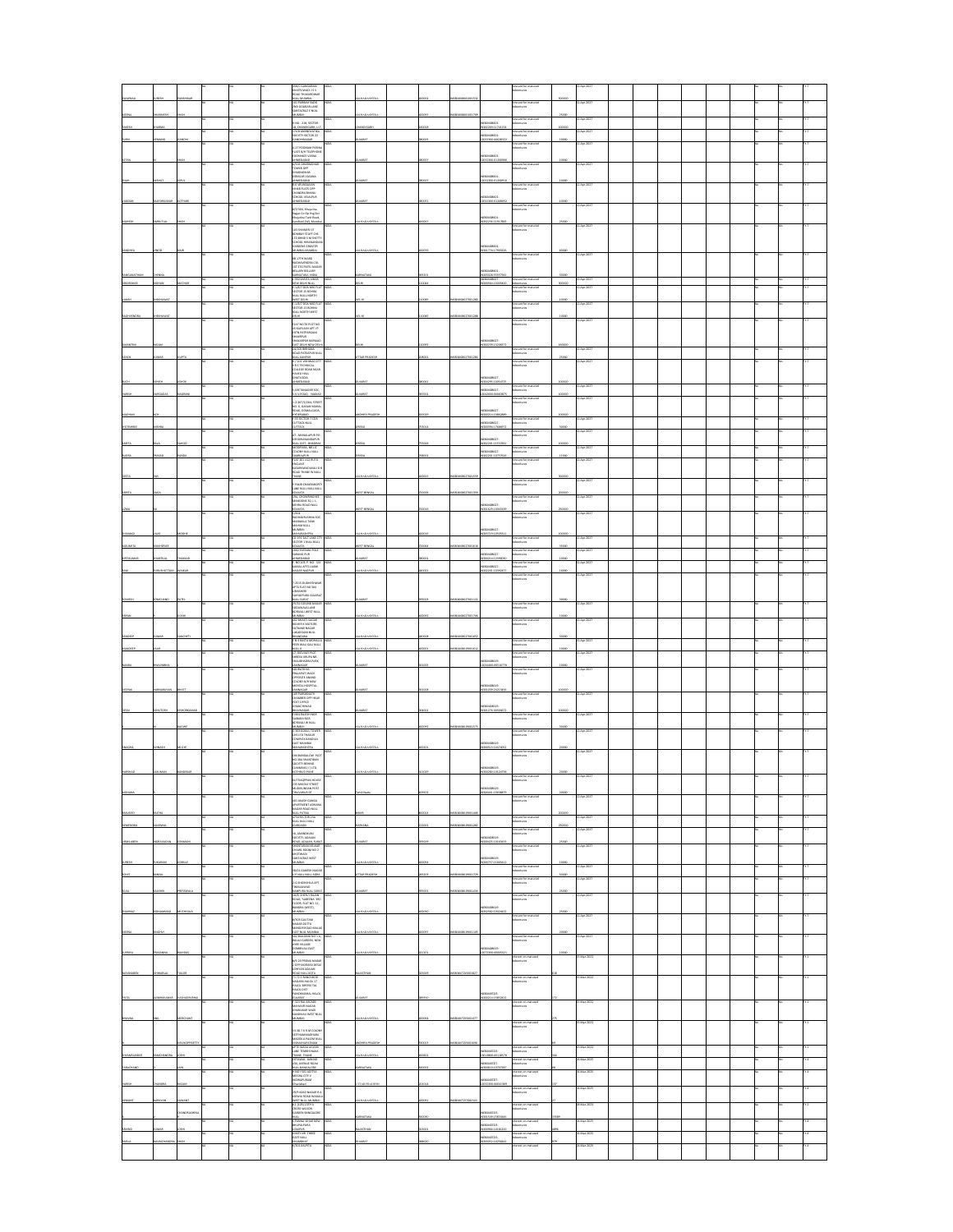|                           |              |                |  | 258/C GANGARAM<br>KHATRI WADI I S S<br>ROAD THAKURDWAR                                                                                                                                                                                                                   |                        |                |                |                                                                   | unt far<br>retures                        |                 |             |  |  |  |  |  |
|---------------------------|--------------|----------------|--|--------------------------------------------------------------------------------------------------------------------------------------------------------------------------------------------------------------------------------------------------------------------------|------------------------|----------------|----------------|-------------------------------------------------------------------|-------------------------------------------|-----------------|-------------|--|--|--|--|--|
|                           |              |                |  |                                                                                                                                                                                                                                                                          |                        |                |                |                                                                   |                                           |                 |             |  |  |  |  |  |
|                           |              |                |  | NULL MUMBAR<br>101 PARINAY BLDG<br>2ND GOLIBAR LANE<br>SANTAGRIZ E NULL<br>MUMBAL                                                                                                                                                                                        |                        |                |                |                                                                   | inount for matured<br>ebentures           |                 | Apr 202     |  |  |  |  |  |
|                           |              |                |  |                                                                                                                                                                                                                                                                          |                        |                |                |                                                                   |                                           |                 | Apr-2027    |  |  |  |  |  |
|                           |              |                |  | NO - 218, SECTOR                                                                                                                                                                                                                                                         |                        |                |                | E80408601-<br>002269-11741                                        | sount for matured<br>bentures             | 10000           |             |  |  |  |  |  |
|                           |              |                |  | 18, CHANDIGARH, U.<br>174 B ANANDWATION<br>SOCIETY SECTOR 22                                                                                                                                                                                                             |                        |                |                | 0000001                                                           | iount for matures<br>bentures             |                 | pr-202      |  |  |  |  |  |
|                           |              |                |  |                                                                                                                                                                                                                                                                          |                        |                |                | 2300-0063                                                         | hount for matured<br>bentures             |                 | Apr-2022    |  |  |  |  |  |
|                           |              |                |  |                                                                                                                                                                                                                                                                          |                        |                |                |                                                                   |                                           |                 |             |  |  |  |  |  |
|                           |              |                |  |                                                                                                                                                                                                                                                                          |                        |                |                | 122003-0120                                                       | iount for matured<br>Sentanes             |                 |             |  |  |  |  |  |
|                           |              |                |  |                                                                                                                                                                                                                                                                          |                        |                |                | 102801052                                                         |                                           |                 |             |  |  |  |  |  |
|                           |              |                |  | A-277000NAM PARM<br>ELATS R/N TELEPHON<br>ELATS R/N TELEPHON<br>NAMELONAM VARIA<br>A-201 DRARMENAR<br>SHAECARAR<br>SHAECARAR<br>NAMELONAM<br>NAMELONAM<br>CRRARMENAR<br>CRRARMENAR<br>CRRARMENAR<br>CRRARMENAR<br>CRRARMENARMEN<br>CRRARMENARMEN                         | <b>IARAT</b>           |                |                | 12032300-01200910                                                 | iount for matured<br>bentures             | 10000           |             |  |  |  |  |  |
|                           |              |                |  |                                                                                                                                                                                                                                                                          |                        |                |                | 30408601                                                          |                                           |                 |             |  |  |  |  |  |
|                           |              |                |  | GAEGASA                                                                                                                                                                                                                                                                  |                        |                |                | 032300-01209053                                                   |                                           | 10000           | Apr-202     |  |  |  |  |  |
|                           |              |                |  | 4/3/304, Khajarina<br>Nagar Co-Op Hug Soc<br>Khajarina Tank Road,<br>Kandivali (W), Mumbo                                                                                                                                                                                |                        |                |                |                                                                   | iount for matured<br>bentures             |                 |             |  |  |  |  |  |
|                           |              |                |  |                                                                                                                                                                                                                                                                          |                        |                |                | NERDHOBEO1-<br>NGC 2236-11917883                                  |                                           | 25000           |             |  |  |  |  |  |
|                           |              |                |  |                                                                                                                                                                                                                                                                          |                        |                |                |                                                                   | ount for<br>entures                       |                 |             |  |  |  |  |  |
|                           |              |                |  | 103 SHANGRI IT<br>BOMBAY STAFF CHS<br>CTD BHND S M SHETTY<br>SCHOOL HIRANANDAN<br>GARDENS GREATER                                                                                                                                                                        |                        |                |                |                                                                   |                                           |                 |             |  |  |  |  |  |
|                           |              |                |  | <b>MUMBALMOMEN</b>                                                                                                                                                                                                                                                       |                        |                |                | 1020040404<br>N301774-1790333                                     |                                           |                 |             |  |  |  |  |  |
|                           |              |                |  | er 17th ward<br>Raghandringa Col<br>15t stg patri nagas<br>Rellary Rellary<br>Carnataka, India<br>1-250 Sarita vihar                                                                                                                                                     |                        |                |                |                                                                   | sount for matured<br>bentures             |                 | Apr-2022    |  |  |  |  |  |
|                           |              |                |  |                                                                                                                                                                                                                                                                          |                        |                |                |                                                                   |                                           |                 |             |  |  |  |  |  |
| <b>ANATHAM</b><br>SHORDAD | MOHAN        | <b>RUITAM</b>  |  |                                                                                                                                                                                                                                                                          | NATAKA<br><b>DELHI</b> | 2101<br>110044 |                | ERDAKOBED1-<br>101028-55557141<br>ERDAKOBED7-<br>IN30054-10005400 | unt for matures                           | 50000<br>300000 |             |  |  |  |  |  |
|                           |              |                |  | NEW DELHINULL<br>4-1/8/7 DEN MIG FL<br>SECTOR 15 ROHNI                                                                                                                                                                                                                   |                        |                |                |                                                                   | bentures<br>hount for matured<br>bentures |                 |             |  |  |  |  |  |
|                           |              |                |  |                                                                                                                                                                                                                                                                          |                        |                |                |                                                                   |                                           |                 |             |  |  |  |  |  |
|                           |              |                |  | MAIN WAS MONTH<br>WEST DELHI<br>E-1/8/7 DDA MAG FLA<br>NULL NORTH WEST<br>NULL NORTH WEST<br>DGI M                                                                                                                                                                       |                        |                |                |                                                                   | iount for matured<br>bentures             |                 |             |  |  |  |  |  |
|                           |              |                |  |                                                                                                                                                                                                                                                                          |                        |                |                |                                                                   |                                           |                 |             |  |  |  |  |  |
|                           |              |                |  |                                                                                                                                                                                                                                                                          |                        |                |                |                                                                   | iount for matured<br>bentures             |                 |             |  |  |  |  |  |
|                           |              |                |  |                                                                                                                                                                                                                                                                          |                        |                |                |                                                                   |                                           |                 |             |  |  |  |  |  |
|                           |              |                |  |                                                                                                                                                                                                                                                                          |                        |                |                | 38627                                                             |                                           | 16000           |             |  |  |  |  |  |
|                           |              |                |  |                                                                                                                                                                                                                                                                          | TTAR PRADESH           | icci           | 68080862700128 |                                                                   | cunt for n<br>centures                    | 25000           |             |  |  |  |  |  |
|                           |              |                |  | SWATHO 76 PAOT NO<br>65 KMFASH APT I P<br>65 KMFASH APT I P<br>65 KMFASH APT I P<br>54 MSPASH & BARAND<br>54 MSPASH & BARAND<br>86 M PANYAPIR NUMBER<br>64 MSPASH & BARAND NEWS<br>14 / 100 V/SHWAS CITY<br>14 / 100 V/SHWAS CITY<br>14 / 100 V/SHWAS CITY<br>1          |                        |                |                |                                                                   | sunt for r<br>entures                     |                 |             |  |  |  |  |  |
|                           |              |                |  | HAVELI HALL<br>GHATLODIA<br>AHMEDARAD                                                                                                                                                                                                                                    |                        |                |                |                                                                   |                                           |                 |             |  |  |  |  |  |
|                           |              |                |  |                                                                                                                                                                                                                                                                          |                        |                |                |                                                                   | ount for matures                          | 100000          |             |  |  |  |  |  |
|                           | <b>GADAS</b> |                |  | i, geetaningar soc.<br>KK.V.Road, Nadia                                                                                                                                                                                                                                  | ww                     |                |                | E80408627-<br>042000-0006287                                      | pentanes                                  | 100000          |             |  |  |  |  |  |
|                           |              |                |  | 1-3-367/1/204, STREE<br>NO. 6, GAGAN MAHAI<br>ROAD, DOMALGUOA,                                                                                                                                                                                                           |                        |                |                |                                                                   | ount for n<br>Sentanes                    |                 |             |  |  |  |  |  |
|                           |              |                |  |                                                                                                                                                                                                                                                                          |                        |                |                | 80408627-<br>00214-1086281                                        |                                           | 100000          |             |  |  |  |  |  |
|                           |              |                |  | HISCRABAD<br>F-55 SECTOR-7 CDA<br>CUTTACK NULL                                                                                                                                                                                                                           |                        |                |                | INER04IO8627-<br>INGO284-17686972                                 | nount for matured<br>bentures             |                 | Apr-2022    |  |  |  |  |  |
|                           |              |                |  | <b>UTTACK</b>                                                                                                                                                                                                                                                            |                        |                |                |                                                                   | sunt fari<br>entures                      | 30000           |             |  |  |  |  |  |
|                           |              |                |  |                                                                                                                                                                                                                                                                          |                        |                |                | 80408627<br>(302201-11537831                                      |                                           | 100000          |             |  |  |  |  |  |
|                           |              |                |  |                                                                                                                                                                                                                                                                          |                        |                |                | NERONOBEZ?-<br>NGC2201-10757E2                                    | iount for mat<br>Sentares                 |                 |             |  |  |  |  |  |
|                           |              |                |  | AT - MANALARGA RO<br>BALL DIST - BAKBRAK<br>MULL DIST - BAKBRAK<br>MODIPARA, NR LIC<br>COLONY NULL NULL<br>RAT JOS AL2 RUTU<br>DISLANG<br>MASARAWADAVALI GI                                                                                                              |                        |                |                |                                                                   | sount for matured<br>bentures             | 11000           | Apr-2022    |  |  |  |  |  |
|                           |              |                |  | <b>ROAD THANE W MULL</b>                                                                                                                                                                                                                                                 |                        |                |                |                                                                   |                                           |                 |             |  |  |  |  |  |
|                           |              |                |  | HANG                                                                                                                                                                                                                                                                     | <b>LARASHITE</b>       |                | E8060862700155 |                                                                   | sount for man<br>bentures                 | 200000          |             |  |  |  |  |  |
|                           |              |                |  | S FAIOR CHARRABORT!<br>LANE NULL NULL NULL                                                                                                                                                                                                                               |                        |                |                |                                                                   |                                           |                 |             |  |  |  |  |  |
|                           |              |                |  |                                                                                                                                                                                                                                                                          | LST BENGA              |                |                |                                                                   | nount for maturi<br>bentares              | 200000          |             |  |  |  |  |  |
|                           |              |                |  |                                                                                                                                                                                                                                                                          |                        |                |                | 680408627-<br>00029-1004319                                       |                                           | 150000          |             |  |  |  |  |  |
|                           |              |                |  |                                                                                                                                                                                                                                                                          |                        |                |                |                                                                   | ount for matured<br>ientures              |                 | Apr-202     |  |  |  |  |  |
|                           |              |                |  |                                                                                                                                                                                                                                                                          |                        |                |                |                                                                   |                                           |                 |             |  |  |  |  |  |
|                           |              |                |  |                                                                                                                                                                                                                                                                          |                        |                |                | 80408627-<br>02719-10505                                          | nount for matured<br>ibentures            |                 | Apr-202     |  |  |  |  |  |
|                           | 04440        |                |  |                                                                                                                                                                                                                                                                          | EST BENG               |                |                |                                                                   |                                           | 35000           |             |  |  |  |  |  |
|                           |              |                |  | SACTORET NULL NULL<br>2003 FAFDANI POLE<br>SARANG PUR<br>AHMEDABAD<br>AHMEL APTS LARMI<br>FAMAL APTS LARMI<br>KAMAL APTS LARMI                                                                                                                                           |                        |                |                | 4680408627-<br>000214-122000                                      | ta<br>ount for mat<br>oerdares            | 10000           |             |  |  |  |  |  |
|                           |              |                |  |                                                                                                                                                                                                                                                                          |                        |                |                | .<br>10201-102217<br>10201-102217                                 | sount for matured<br>bentures             |                 | Apr-2022    |  |  |  |  |  |
|                           |              |                |  |                                                                                                                                                                                                                                                                          |                        |                |                |                                                                   | ount for matured<br>Sentures              |                 |             |  |  |  |  |  |
|                           |              |                |  |                                                                                                                                                                                                                                                                          |                        |                |                |                                                                   |                                           |                 |             |  |  |  |  |  |
|                           |              |                |  | 7–2515 DUDHESHWAI<br>APTS FLAT NO 304<br>GRHESHERI<br>SAYADPURA GLUARA<br>NULL SURAT<br>25/32 GOVINO NAGA                                                                                                                                                                |                        |                |                |                                                                   |                                           |                 |             |  |  |  |  |  |
|                           |              |                |  |                                                                                                                                                                                                                                                                          |                        |                | 00062700       |                                                                   | bertures<br>bertures                      |                 |             |  |  |  |  |  |
|                           |              |                |  | SODAWALA LANE<br>RORAVALI WEST NULLI                                                                                                                                                                                                                                     | <b>LARASHITE</b>       |                | 8060862700170  |                                                                   |                                           | 10000           |             |  |  |  |  |  |
|                           |              |                |  | MOROWI WAS INDEE<br>MUMBAL<br>MEARR K MOTORS<br>SEARR K MOTORS<br>LAKADGAN INDEE<br>DIGMORAN<br>NER WARTA MOHALL<br>NER WARTA MOHALL<br>NER WARTA MOHALL<br>NER WARTA MOHALL<br>NER                                                                                      |                        |                |                |                                                                   | ount for ma<br>entures                    |                 |             |  |  |  |  |  |
|                           |              |                |  |                                                                                                                                                                                                                                                                          |                        |                |                |                                                                   |                                           |                 |             |  |  |  |  |  |
|                           |              |                |  |                                                                                                                                                                                                                                                                          |                        |                |                |                                                                   | mount for matured<br>ibentures            |                 |             |  |  |  |  |  |
|                           |              |                |  | MULLO<br>17, DIGVUAY PLOT<br>SHASES KRLPA NR.<br>SHASEMORA PARK                                                                                                                                                                                                          |                        |                | 8060861900160  |                                                                   | iount for mas.<br>Sentanes                | 10000           |             |  |  |  |  |  |
|                           |              |                |  |                                                                                                                                                                                                                                                                          |                        |                |                | 412808483<br>2024000-0051077                                      |                                           | 10000           |             |  |  |  |  |  |
|                           |              |                |  | SHALIBHADRA PARK<br>JAMARASAR<br>SRAJAPATI WADI<br>COURATHYA<br>COLONY B <sub>I</sub> M NEW<br>COLONY B <sub>I</sub> M NEW<br>MENTAL HOSPITAL<br>MAMARAR<br>CUHARAER COURARED OR LICA                                                                                    |                        |                |                |                                                                   | ount for matured<br>ientures              |                 |             |  |  |  |  |  |
|                           |              |                |  |                                                                                                                                                                                                                                                                          |                        |                |                |                                                                   |                                           |                 |             |  |  |  |  |  |
|                           |              |                |  |                                                                                                                                                                                                                                                                          |                        |                |                | -<br>1596-16020                                                   | ount for matured                          |                 |             |  |  |  |  |  |
|                           |              |                |  | CHAMBER OPP HEAD<br>POST OFFICE<br>GHAMCHIWAD                                                                                                                                                                                                                            |                        |                |                | 83408619                                                          | pentanes                                  |                 |             |  |  |  |  |  |
|                           |              |                |  |                                                                                                                                                                                                                                                                          |                        |                |                | 101276-10504672                                                   |                                           |                 |             |  |  |  |  |  |
|                           |              |                |  |                                                                                                                                                                                                                                                                          |                        |                |                |                                                                   | tount for matured<br>bentures             |                 |             |  |  |  |  |  |
|                           |              |                |  |                                                                                                                                                                                                                                                                          |                        |                |                |                                                                   | iount for matured<br>Sentanes             |                 | Apr-2022    |  |  |  |  |  |
|                           |              |                |  | GHANCHWAD<br>SVAN RAISSI NGR<br>SVAN RAISSI NGR<br>SABABA NGR<br>MANAN<br>COMPLEX KANDHU<br>COMPLEX KANDHU<br>COMPLEX KANDHU<br>KAST MUMARA<br>COMPLEX KANDHU<br>KAST MUMARA<br>COMPLEX KANDHU<br>KAST MUMARA                                                            |                        |                |                | hanscro                                                           |                                           |                 |             |  |  |  |  |  |
|                           |              |                |  | <b>MARASHTRA</b>                                                                                                                                                                                                                                                         |                        |                |                | 00513-1447405                                                     | iount for matured<br>bentures             |                 | Apr-202     |  |  |  |  |  |
|                           |              |                |  |                                                                                                                                                                                                                                                                          |                        |                |                |                                                                   |                                           |                 |             |  |  |  |  |  |
|                           |              |                |  | om,Bangalow Plo<br>10 384 Shantaan<br>Sockey Behind<br>Cummins (1) LTD,<br>Kothruid Punk                                                                                                                                                                                 |                        |                |                | 0008619-<br>0280-1012                                             |                                           |                 |             |  |  |  |  |  |
|                           |              |                |  |                                                                                                                                                                                                                                                                          |                        |                |                |                                                                   |                                           |                 |             |  |  |  |  |  |
|                           |              |                |  | euttiagppan house<br>225 Middle Street<br>Mijdruagur Post<br>Trunarur Dt                                                                                                                                                                                                 |                        |                |                | .<br>20041-10638879                                               |                                           | 20000           |             |  |  |  |  |  |
|                           |              |                |  |                                                                                                                                                                                                                                                                          |                        |                |                |                                                                   | ount for mature<br>bentures               |                 |             |  |  |  |  |  |
|                           |              |                |  | 601 AKASH GANGA<br>APARTNENT ASHANA<br>NAGAR ROAD NULL<br>1111 OVTU                                                                                                                                                                                                      |                        |                |                |                                                                   |                                           |                 |             |  |  |  |  |  |
|                           |              |                |  | NAMA PATRA<br>NAMA SECTOR 23A<br>NAMA NAMA NAMA<br>GARGAON                                                                                                                                                                                                               |                        |                |                |                                                                   | sount for matured<br>bentures             |                 | Apr-202     |  |  |  |  |  |
|                           |              |                |  |                                                                                                                                                                                                                                                                          |                        |                |                |                                                                   | iount for ma<br>Sentanes                  | 15000           | Ann 2012    |  |  |  |  |  |
|                           |              |                |  |                                                                                                                                                                                                                                                                          |                        |                |                | 0128080                                                           |                                           |                 |             |  |  |  |  |  |
|                           |              |                |  |                                                                                                                                                                                                                                                                          |                        |                |                |                                                                   | nount for matured<br>bentures             |                 | Apr-202     |  |  |  |  |  |
|                           |              |                |  | 16, ANANDRUNU<br>16, ANANDRUNU<br>ROMO, ADALINI, SUBA<br>16, ANANDRUNU KËLKAR<br>16, ANTACRUZ WEST<br>16, ANTACRUZ WEST<br>MUMBAL                                                                                                                                        |                        |                |                | :00408619-<br> 00757-1166                                         |                                           |                 |             |  |  |  |  |  |
|                           |              |                |  |                                                                                                                                                                                                                                                                          |                        |                |                |                                                                   | sount for matured<br>bentures             |                 | Apr-2027    |  |  |  |  |  |
|                           |              |                |  | 18/01 GANESH NAGA<br>U P NULL NULL AGRA                                                                                                                                                                                                                                  |                        |                |                |                                                                   | sount for mar<br>bentures                 |                 |             |  |  |  |  |  |
|                           |              |                |  |                                                                                                                                                                                                                                                                          | MAAT                   |                |                |                                                                   |                                           | 25000           |             |  |  |  |  |  |
|                           |              |                |  |                                                                                                                                                                                                                                                                          |                        |                |                |                                                                   | tount for mature<br>bertures              |                 |             |  |  |  |  |  |
|                           |              |                |  | 2-G SHEMSHILA APT<br>TRANIANNAD<br>NANPURA NULL SURAT<br>KQN, SHEMSH PAANY<br>ROOR, FLAT NO. 11,<br>RANDRA (ATST),<br>RANDRA (ATST),                                                                                                                                     |                        |                |                | 30408619-<br> 02582-10024422                                      |                                           |                 |             |  |  |  |  |  |
|                           |              |                |  |                                                                                                                                                                                                                                                                          | <b>ARASHTRA</b>        |                |                |                                                                   | sount for ma<br>bentures                  | 25000           |             |  |  |  |  |  |
|                           |              |                |  | R/202 GAUTAM<br>NAGAR DUTTA<br>NAGAR DUTTA<br>NAVIOR ROAD MALAC<br>GO BULDI GARDEN, NEW<br>NAGA VILLAGE<br>NAGAR VILLAGE<br>NAGAR VILLAGE<br>NAGAR VILLAGE<br>NAGAR VILLAGE                                                                                              |                        |                |                |                                                                   |                                           |                 |             |  |  |  |  |  |
| EENA                      |              |                |  |                                                                                                                                                                                                                                                                          | ARASHTE                |                |                |                                                                   | sount for matured<br>bentures             | 2000            | Apr-2022    |  |  |  |  |  |
|                           |              |                |  |                                                                                                                                                                                                                                                                          |                        |                |                | 30408619                                                          |                                           |                 |             |  |  |  |  |  |
|                           |              |                |  | <b>IARMLIN</b>                                                                                                                                                                                                                                                           |                        |                |                | 172300-000                                                        |                                           |                 | Mar-3022    |  |  |  |  |  |
|                           |              |                |  | MUMero REALISTAN<br>2 GP MORARI NAGAR<br>2 GP MORARI DESA<br>10040 NULL KOTA<br>172 7 RANGHAD<br>1940 NAGAR<br>1940 NAGAR<br>2 MUMENT HALOL DET<br>2 MUMENT HALOL DET<br>2 MUMENT HALOL DET                                                                              |                        |                |                |                                                                   | erest on matured<br>Sentures              |                 |             |  |  |  |  |  |
|                           |              |                |  |                                                                                                                                                                                                                                                                          |                        |                |                |                                                                   |                                           |                 |             |  |  |  |  |  |
|                           |              |                |  |                                                                                                                                                                                                                                                                          |                        |                |                |                                                                   | terest on matured<br>bentures             |                 |             |  |  |  |  |  |
|                           |              |                |  |                                                                                                                                                                                                                                                                          | u.                     |                |                | 304072/5-<br>100214-15853422                                      |                                           |                 |             |  |  |  |  |  |
|                           |              |                |  |                                                                                                                                                                                                                                                                          |                        |                |                |                                                                   | erest on matured<br>pentanes              |                 |             |  |  |  |  |  |
|                           |              |                |  | ---- MY MOLADE<br>MAHAVIR NAGAR<br>DHANUKAR WADI<br>MUMBAI                                                                                                                                                                                                               |                        |                |                |                                                                   |                                           |                 |             |  |  |  |  |  |
|                           |              |                |  |                                                                                                                                                                                                                                                                          |                        |                |                |                                                                   | terest on matured<br>ebentures            |                 | Mar-2022    |  |  |  |  |  |
|                           |              |                |  | SI-28-7 K R M COLONIS<br>SI-28-7 K R M COLONI<br>MAODOLA PALSA<br>MSHAHAMAN<br>MSHAHAMAN MAON MAO<br>LIFI WADA AGONG<br>DANS TING<br>COLONIS ROM<br>MILI BANGANG R M<br>MILI BANGANG<br>MILI BANGANG<br>MILI BANGANG<br>MILI BANGANG<br>MILI BANGANGANG<br>MILI BANGANGA |                        |                |                |                                                                   |                                           |                 |             |  |  |  |  |  |
|                           |              |                |  |                                                                                                                                                                                                                                                                          | DHRA PRADES            |                |                |                                                                   |                                           |                 |             |  |  |  |  |  |
|                           |              |                |  |                                                                                                                                                                                                                                                                          | <b>ASHITE</b>          |                |                | 3040725<br>013800-0011857                                         | arest on ma<br>bertures                   |                 |             |  |  |  |  |  |
|                           |              |                |  |                                                                                                                                                                                                                                                                          |                        |                |                | 48040727-<br>400410-10707247                                      | terest on matured<br>bentures             |                 | Mar-2025    |  |  |  |  |  |
|                           |              |                |  |                                                                                                                                                                                                                                                                          |                        |                |                |                                                                   | derest on matured<br>ibentures            |                 | $Mx - 2225$ |  |  |  |  |  |
|                           |              |                |  | .<br>Sadala                                                                                                                                                                                                                                                              |                        |                |                | MAY232<br>122003-006                                              |                                           |                 |             |  |  |  |  |  |
|                           |              |                |  |                                                                                                                                                                                                                                                                          |                        |                |                |                                                                   | erest on matured<br>Sentanes              |                 | Mar-2025    |  |  |  |  |  |
|                           |              |                |  | 20/9 AZAD NAGARRA<br>KONIN ROAD WADALI<br>WEST NULL MUNIBAL<br>#1 (105) WADA<br>GARDEN BANGALORE<br>GARDEN BANGALORE<br>MULL                                                                                                                                             |                        |                |                |                                                                   | terest on mature                          |                 |             |  |  |  |  |  |
|                           |              | <b>ADRAGIO</b> |  |                                                                                                                                                                                                                                                                          |                        |                |                | 304072/5<br>IOSAD-1583344                                         | ettates                                   |                 |             |  |  |  |  |  |
|                           |              |                |  | MULL<br>G PANNA VIHAR NI<br>BHUPALPURA                                                                                                                                                                                                                                   |                        |                |                |                                                                   | arest on m<br>bentures                    |                 |             |  |  |  |  |  |
|                           |              |                |  |                                                                                                                                                                                                                                                                          |                        |                |                | 4904072/5<br>000066-10181200                                      |                                           |                 |             |  |  |  |  |  |
|                           |              |                |  | UDAPUR<br>GRATY NR. THREE<br>GATE NULL<br>KATE NULL<br>KATE NULPITA                                                                                                                                                                                                      |                        |                |                | E804072/5-<br>100053-1025644                                      | erest on mati<br>ientanes                 |                 |             |  |  |  |  |  |
|                           |              |                |  |                                                                                                                                                                                                                                                                          |                        |                |                |                                                                   | rrest on matured                          |                 | Mar-2025    |  |  |  |  |  |
|                           |              |                |  |                                                                                                                                                                                                                                                                          |                        |                |                |                                                                   |                                           |                 |             |  |  |  |  |  |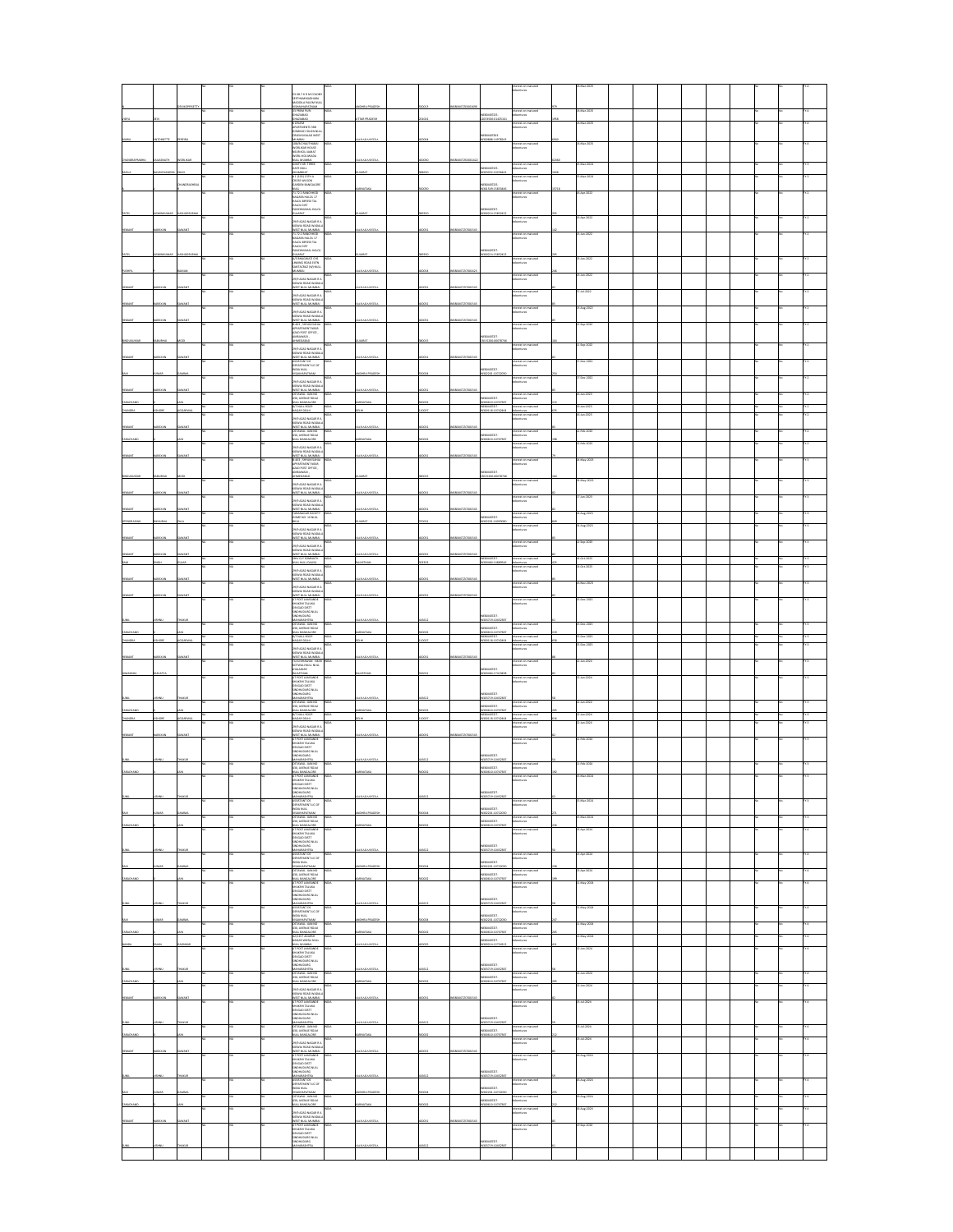|              |     |             |  | $3-28-7$ KR M COLO                                                                                                                                                                                                                                       |                         |          |                   |                                                 | etates                                                         |                           |  |  |  |  |  |
|--------------|-----|-------------|--|----------------------------------------------------------------------------------------------------------------------------------------------------------------------------------------------------------------------------------------------------------|-------------------------|----------|-------------------|-------------------------------------------------|----------------------------------------------------------------|---------------------------|--|--|--|--|--|
|              |     |             |  |                                                                                                                                                                                                                                                          |                         |          |                   |                                                 |                                                                |                           |  |  |  |  |  |
|              |     |             |  | - 26 - 7 E K M CULUNI<br>ETHAMMACHARA<br>AODEA PALÈM NULI<br>SHAKING NURI<br>AONGAD<br>AONGAD<br>COLEM                                                                                                                                                   |                         |          |                   | :<br>111500-0142<br>111500-0142                 | erest on matured<br>Sentanes                                   | Mar-3025                  |  |  |  |  |  |
|              |     |             |  |                                                                                                                                                                                                                                                          |                         |          |                   |                                                 | rest on m<br>retures                                           |                           |  |  |  |  |  |
|              |     |             |  | CHAME<br>PARTMENTS 3RD<br>OMINIC COLON NUL<br>RLEM MALAD WEST<br>PLEM MALAD WEST                                                                                                                                                                         |                         |          |                   | E804072k3-<br>300688-14978243                   |                                                                |                           |  |  |  |  |  |
|              |     |             |  | EJMÉN<br>DEJE OHUTHARN<br>JORLIKAR HOUSE<br>EAR KOU JAMAT<br>WORLI KOLININDA                                                                                                                                                                             |                         |          |                   |                                                 | rrest on matured<br>ientures                                   | Mar-3025                  |  |  |  |  |  |
|              |     |             |  |                                                                                                                                                                                                                                                          |                         |          |                   |                                                 |                                                                | Mar-202                   |  |  |  |  |  |
|              |     |             |  | <b>ORLI KOLINNAN<br/>MTY NR. THREE</b><br>MTY NR. THREE<br>4 1496 1470<br>1 1496 1470<br>ROSS WILSON<br>ROSS WILSON<br>ROSS WILSON<br>ROSS WILSON<br>ROSS WILSON                                                                                         | MAAT                    |          |                   | 68040725-<br>(2005)-1025                        | erest on matured<br>ientanes<br>erest on mature                |                           |  |  |  |  |  |
|              |     |             |  |                                                                                                                                                                                                                                                          |                         |          |                   | 806072/5-<br>01549-1583                         | <b>Intants</b>                                                 |                           |  |  |  |  |  |
|              |     |             |  | ц<br>72 2 <del>кл</del> ючного                                                                                                                                                                                                                           |                         |          |                   |                                                 | rest on mature<br>bentans                                      |                           |  |  |  |  |  |
|              |     |             |  | MAGARA HALOL 17<br>HALOL 389350 TAL<br>HALOL 06T<br>PANCHNAHAL HALOL                                                                                                                                                                                     |                         |          |                   | 48040727-<br>000214-15852422                    |                                                                |                           |  |  |  |  |  |
|              |     |             |  | <b>LIARAT</b><br>.<br>IN AZAD NAGAR R<br>DINA ROAD WADA                                                                                                                                                                                                  |                         |          |                   |                                                 | rterest on matured<br>Sebentures                               | i-Apr-2022                |  |  |  |  |  |
|              |     |             |  |                                                                                                                                                                                                                                                          |                         |          |                   |                                                 | interest on matured<br>debentures                              | 3 an 2022                 |  |  |  |  |  |
|              |     |             |  |                                                                                                                                                                                                                                                          |                         |          |                   |                                                 |                                                                |                           |  |  |  |  |  |
|              |     |             |  | KOWA ROAD WADAL<br>WAST NELL MEMBA<br>17 72 7 BANCHARD<br>NAGARA HALOL 17<br>HALOL 28320 TAL<br>HALOL 2837<br>ANCHARAHA HALOL 26<br>TA BANCHARAHA HALOL<br>UNITACRAT CAS<br>INVENIS BOAD DITN<br>NAMARAHA MARAHA HALOL 2001<br>MATACRAT (M) NAMARAHA     |                         |          |                   | 3040727-<br>100214-1585                         | erest on r<br>Sentures                                         |                           |  |  |  |  |  |
|              |     |             |  | Αйλ                                                                                                                                                                                                                                                      |                         |          |                   |                                                 |                                                                |                           |  |  |  |  |  |
|              |     |             |  | 29/9 AZAD NAGAR R /<br>ODWAI ROAD WADAI<br>NEST NULL MUMBAI                                                                                                                                                                                              |                         |          |                   |                                                 | erest on matur<br>Seetares                                     | $30 - 202$                |  |  |  |  |  |
|              |     |             |  | 9/9 AZAD NAGAR R                                                                                                                                                                                                                                         |                         |          |                   |                                                 | mest on »<br>Sentanes                                          |                           |  |  |  |  |  |
|              |     |             |  | JOWN ROAD WADAL<br>VEST NULL MUMBAI                                                                                                                                                                                                                      | <b>LARASHTE/</b>        |          | 308072170015      |                                                 |                                                                |                           |  |  |  |  |  |
|              |     |             |  | .<br>1979 AZAD NAGAR R<br>1980 WADAU                                                                                                                                                                                                                     |                         |          |                   |                                                 | rrest on ma<br>entures                                         |                           |  |  |  |  |  |
|              |     |             |  | KOWA ROAD WADAL<br>WEST NULL MUMBAI<br>8-803 , SHYAM SAWAI<br>APPARTMENT NEAR<br>AZAD POST OFFICE ,<br>AMBAWADI ,<br>AMBAWADI ,                                                                                                                          |                         |          |                   |                                                 | rrest on<br>ietšares                                           |                           |  |  |  |  |  |
|              |     |             |  |                                                                                                                                                                                                                                                          |                         |          |                   | 00007217<br>15303-000                           |                                                                | $\mathsf{Sp}(2022)$       |  |  |  |  |  |
|              |     |             |  | 9/9 AZAD NAGAR R A<br>IDWA ROAD WADAL<br>KSISTANT OS                                                                                                                                                                                                     |                         |          |                   |                                                 | erest on matured<br>Sentares                                   |                           |  |  |  |  |  |
|              |     |             |  | KSSISTANT OS<br>DEPARTIMENT LIC OF<br>NOVA NULL<br>IISAKHAPATIMAM                                                                                                                                                                                        |                         |          |                   | 040727                                          | arest on n<br>bertures                                         |                           |  |  |  |  |  |
|              |     |             |  |                                                                                                                                                                                                                                                          |                         |          |                   |                                                 | erest on m<br>Sentures                                         |                           |  |  |  |  |  |
|              |     |             |  | nya azad nagar r a<br>Izwai road wadau<br>NGT NULL MUMBAI<br>ISTAWAL IAIN NO                                                                                                                                                                             |                         |          |                   |                                                 |                                                                |                           |  |  |  |  |  |
|              |     |             |  | <b>GO, AVENUE ROAd</b><br>JLI BANGALORE<br>7 NULL ROOP                                                                                                                                                                                                   |                         |          |                   | A£8040727-<br>200610-10707287<br>COMMOTO        | arest on ma<br>bentures<br>rest on m                           |                           |  |  |  |  |  |
|              |     |             |  | GARDGUE                                                                                                                                                                                                                                                  |                         |          |                   | 00118-107                                       | bertures<br>erest on r<br>bertures                             |                           |  |  |  |  |  |
|              |     |             |  | 29/9 AZAD NAGAR R A<br>KIDIKIN ROAD WADALA<br>WEST NULL MUMBAI<br>GSTAWAL JAN NO<br>COLANSULOR                                                                                                                                                           |                         |          |                   |                                                 |                                                                |                           |  |  |  |  |  |
|              |     |             |  | 20 ANGALONE                                                                                                                                                                                                                                              |                         |          |                   | INEB04072/7-<br>000610-10707287                 | west on matured<br>bentures                                    | 46-3322                   |  |  |  |  |  |
|              |     |             |  | .<br>1969 AZAD NAGAR R<br>1966 NADAD                                                                                                                                                                                                                     |                         |          |                   |                                                 | est on r<br>etures                                             |                           |  |  |  |  |  |
|              |     |             |  | KOWA ROAD WADAL<br>WEST NULL MUMBAI<br>B-803 , SHYAM SAWA<br>APPARTMENT NEAR<br>AMBAWADI ,<br>AMBAWADI ,<br>AMBAWADI ,                                                                                                                                   |                         |          |                   |                                                 |                                                                |                           |  |  |  |  |  |
|              |     |             |  |                                                                                                                                                                                                                                                          |                         |          |                   | 8040727-                                        |                                                                |                           |  |  |  |  |  |
|              |     |             |  | 29/9 AZAD NAGAR R /<br>ODWAI ROAD WADAI<br>NEST NULL MUMBAI                                                                                                                                                                                              |                         |          |                   |                                                 | arest on matured<br>bentures                                   | May-2023                  |  |  |  |  |  |
|              |     |             |  | 1979 AZAD NAGAR R.A<br>IDININ ROAD WADAL                                                                                                                                                                                                                 |                         |          |                   |                                                 | erest on r<br>Sentanes                                         |                           |  |  |  |  |  |
|              |     |             |  | NGET NULL MUMBAL<br>FARANMGAR SOCIETY<br>HOME NO. 30 NULL                                                                                                                                                                                                | <b><i>USASHTE</i></b>   |          |                   |                                                 | erest on matur<br>Seetares                                     | Aug-2022                  |  |  |  |  |  |
|              |     |             |  |                                                                                                                                                                                                                                                          |                         |          |                   | INEB0407217-<br>IN302201-10092                  |                                                                | 6 Aug 2022                |  |  |  |  |  |
|              |     |             |  | .<br>IN AZAD NAGAR R<br>DINA ROAD WADA<br>MANUM JUNT23                                                                                                                                                                                                   |                         |          |                   |                                                 | derest on matured<br>ibentures                                 |                           |  |  |  |  |  |
|              |     |             |  | .<br>IN AZAD NAGAR R<br>DINA ROAD WADA                                                                                                                                                                                                                   |                         |          |                   |                                                 | erest on matured<br>bentures                                   | 2-Sep-2022                |  |  |  |  |  |
|              |     |             |  | <b>GST NULL MUNIAU</b><br>HV CLY SOMNATH<br>ULL NULL CAUSA                                                                                                                                                                                               |                         |          |                   | 68360727-<br>(200664-1622554                    | interest on matured                                            | 4 Oct-2022                |  |  |  |  |  |
|              |     |             |  | 29/9 AZAD NAGAR R<br>ODWAI ROAD WADAI<br>NEST NULL MUMBAI                                                                                                                                                                                                |                         |          |                   |                                                 | bertures<br>arest on m<br>bertures                             | $-0c1-2022$               |  |  |  |  |  |
|              |     |             |  |                                                                                                                                                                                                                                                          |                         |          |                   |                                                 | wt on r<br>entures                                             |                           |  |  |  |  |  |
|              |     |             |  | nya azad nagar r a<br>Izwai road wadau<br>NGST NULL MUMBAI<br>IZPOST JAMSANDE                                                                                                                                                                            |                         |          |                   |                                                 |                                                                |                           |  |  |  |  |  |
|              |     |             |  |                                                                                                                                                                                                                                                          |                         |          |                   |                                                 | erest on m.<br>dentanes                                        |                           |  |  |  |  |  |
|              |     |             |  | at Post Hamsands<br>Shaksh Taluka<br>Sindhudurg Mull<br>Sindhudurg<br>Sindhudurg<br>Mull Bamsandig<br>Mull Bamsandig<br>Mull Bamsandig<br>Aft Null Boor<br>Anill Bamsandig                                                                               |                         |          |                   | anunzzi<br>03719-1045                           |                                                                | Sec-2022                  |  |  |  |  |  |
|              |     |             |  |                                                                                                                                                                                                                                                          |                         |          |                   | -0200002<br>00610-107                           | rest on matured<br>entures                                     |                           |  |  |  |  |  |
|              |     |             |  |                                                                                                                                                                                                                                                          |                         |          |                   |                                                 |                                                                |                           |  |  |  |  |  |
|              | ou  |             |  | GARDELHI                                                                                                                                                                                                                                                 |                         |          |                   | 000118-10742464                                 | ent on matured                                                 | Oec-2022<br>$-000 - 2022$ |  |  |  |  |  |
|              |     |             |  |                                                                                                                                                                                                                                                          |                         |          |                   |                                                 |                                                                |                           |  |  |  |  |  |
|              |     |             |  | 29/9 AZAD NAGAR R A<br>ODWA ROAD WADAL<br>NGST NULL MUNIBAL<br>TULST BHAWAN - NGAB<br>HALAWAR<br>HALAWAR                                                                                                                                                 |                         |          |                   | 3040727-                                        | derest on matured<br>ebentures                                 | as-2024                   |  |  |  |  |  |
|              |     |             |  |                                                                                                                                                                                                                                                          |                         |          |                   | 00484-1741949                                   | interest on matured<br>debentures                              | 2-Jan-2024                |  |  |  |  |  |
|              |     |             |  |                                                                                                                                                                                                                                                          |                         |          |                   |                                                 |                                                                |                           |  |  |  |  |  |
|              |     |             |  | HALAWAR<br>UALISTIKAN<br>CF POST JAMSANDS<br>JAKSHI TALUKA<br>JAKSHI DURS<br>JAKSHI DURS<br>JAKSHI JAPA RA<br>JAKSHI JAPA RA<br>STAWAL JAIN NO<br>120, AVENUE ROAd                                                                                       |                         |          |                   | 3040727-<br>IO2719-1045238<br>169340727-        | mena unit.<br>Sentanes                                         |                           |  |  |  |  |  |
|              |     |             |  | ILL BANGALORE<br><b>SAR DELHI</b>                                                                                                                                                                                                                        |                         | $\infty$ |                   | 300610-10707287<br>E80607217-<br>00118-10742    | erest on matured                                               | 2-Jan-2024                |  |  |  |  |  |
|              |     |             |  |                                                                                                                                                                                                                                                          |                         |          |                   |                                                 | bertares<br>terest on matured<br>bertares                      | $-0.5 - 20.24$            |  |  |  |  |  |
|              |     |             |  | .<br>NGC 4240 NASAR B <i>i</i><br>NGC NASA NANGAY<br>TOOCT NAMEARING                                                                                                                                                                                     |                         |          |                   |                                                 | irest on i<br>ientures                                         |                           |  |  |  |  |  |
|              |     |             |  | u post jaminning<br>Sukėjai Taluka<br>Sušao Distt<br>Jaiohuourg<br>Jaiohuourg                                                                                                                                                                            |                         |          |                   | 68040727-                                       |                                                                |                           |  |  |  |  |  |
|              |     |             |  |                                                                                                                                                                                                                                                          |                         |          |                   | 003719-10452347                                 |                                                                | Feb-3324                  |  |  |  |  |  |
|              |     |             |  | NARRASHTRA<br>ITAWAL IAIN NO<br>0, AVENUE ROAd<br>JUL BANGALORE<br>"POST IAMSANDE                                                                                                                                                                        |                         |          |                   | -<br>NGC 040727-02022                           | interest on matured<br>debentures<br>rest on matured<br>etates |                           |  |  |  |  |  |
|              |     |             |  |                                                                                                                                                                                                                                                          |                         |          |                   | INEB04072/7-                                    |                                                                |                           |  |  |  |  |  |
|              |     |             |  |                                                                                                                                                                                                                                                          |                         |          |                   | (303719-10452387                                |                                                                |                           |  |  |  |  |  |
|              |     |             |  | AT POST HAMSANDS<br>BAKSAD TALUKA<br>SIVISAD DISTT<br>SIVISAD DISTT<br>SIVISADUDING<br>MASSITANT DIST<br>DISTANTI DIST<br>DISTANTI DIST<br>DISTANTI DIST<br>DISTANT DIST<br>DISTANT DIST<br>DISTANT DISTRI                                               | <b>BA PRADES!</b>       |          |                   | A£8040727-<br>(302201-10722030                  | interest on mature<br>debentures                               | S-Mar-2024                |  |  |  |  |  |
|              |     |             |  |                                                                                                                                                                                                                                                          |                         |          |                   | INEB040727-<br>IN200610-1070                    | terest on matured<br>ebentures                                 | Apr-2024                  |  |  |  |  |  |
|              |     |             |  |                                                                                                                                                                                                                                                          |                         |          |                   |                                                 | irest on matured<br>ientures                                   |                           |  |  |  |  |  |
|              |     |             |  | SDM NULL<br>STAWAL JAN NO<br>STAWAL JAN NO<br>30, AVENUE ROAd<br>JULL BANSALORE<br>FI POST JANSALORE<br>NASSALOURG<br>NULL BANSALORE<br>NURL DOURG<br>NURL DOURG<br>NURL DOURG                                                                           | <b><i>GURASHTRA</i></b> | 41       |                   | 69040727-<br>000719-10452387                    |                                                                | Apr-202                   |  |  |  |  |  |
|              |     |             |  |                                                                                                                                                                                                                                                          | <b>CHRA PRADESH</b>     |          |                   | A£8040727-<br>4902201-10722030                  | erest on ma<br>Sentares                                        |                           |  |  |  |  |  |
|              |     |             |  | SINDHUDURG<br>MAHARASTANTOS<br>ASSISTANTOS<br>DEPARTMENT LICOF<br>MOIA MULL<br>COTAWAL JANYAS<br>COTAWAL JANYASTAN<br>MULL ANGUS DOME<br>HULL ANGUS DOME                                                                                                 |                         |          |                   | NER04072/7-<br>000610-1070728                   | irest on ma<br>ietšates                                        | Apr-2026                  |  |  |  |  |  |
|              |     |             |  |                                                                                                                                                                                                                                                          |                         |          |                   |                                                 | interest on matured<br>debentures                              | 1-May-2024                |  |  |  |  |  |
|              |     |             |  |                                                                                                                                                                                                                                                          | <b>LARASHTE</b>         |          |                   |                                                 |                                                                |                           |  |  |  |  |  |
|              |     |             |  | KRO, AVENUE ROME<br>MJIL BANGANORE<br>KT POST JAMEANORE<br>GANGAD DESTT<br>GANGAD DESTT<br>GANGADOURG<br>MAHARASWITRA<br>MAHARASWITRA<br>MAHARASWITRA                                                                                                    |                         |          |                   | 68060727-<br>002719-10652287<br>28040727-       | erest on r<br>Sentanes                                         |                           |  |  |  |  |  |
|              |     |             |  |                                                                                                                                                                                                                                                          | DHRA PRADESH            |          |                   | (302201-10722030)<br>INEB04072/7-               |                                                                | May-2024                  |  |  |  |  |  |
|              |     |             |  |                                                                                                                                                                                                                                                          |                         |          |                   | 000610-10707<br>conumno.                        | arest on matur<br>bentures                                     | $1$ May 2024              |  |  |  |  |  |
|              |     |             |  |                                                                                                                                                                                                                                                          |                         |          |                   | 00214-1272                                      | interest on matured<br>debentures                              | lus-2024                  |  |  |  |  |  |
|              |     |             |  |                                                                                                                                                                                                                                                          |                         |          |                   |                                                 | rrest on matured<br>ientures                                   |                           |  |  |  |  |  |
|              |     |             |  |                                                                                                                                                                                                                                                          | <b><i>GURASHTRA</i></b> |          |                   | INER04607217-<br>INGC0719-10452287<br>68040727- |                                                                | an-2024                   |  |  |  |  |  |
|              |     |             |  |                                                                                                                                                                                                                                                          | <b>IATAKA</b>           |          |                   | 00610-1070                                      | arest on matured<br>bentures                                   | $446 - 2624$              |  |  |  |  |  |
| <b>DAANT</b> | aaw | <b>UKAN</b> |  |                                                                                                                                                                                                                                                          | ANARASHTRA              | 0031     | NERO8IO7217001543 |                                                 | rderest on matured<br>Sebentures                               |                           |  |  |  |  |  |
|              |     |             |  |                                                                                                                                                                                                                                                          |                         |          |                   |                                                 | interest on matur<br>debentures                                |                           |  |  |  |  |  |
|              |     |             |  |                                                                                                                                                                                                                                                          | <b>SURASHTRA</b>        | $-612$   |                   | 28040727-<br>4903719-10452387                   |                                                                |                           |  |  |  |  |  |
|              |     |             |  |                                                                                                                                                                                                                                                          |                         |          |                   | INEB04072/7-<br>000610-10707287                 | erest on matured<br>Sentanes                                   | AF-2024                   |  |  |  |  |  |
|              |     |             |  | 20/9 A240 MAGAR R<br>KOWA ROAD WAGAR R<br>KOWA ROAD WADALA<br>WEST NULL MUNIKA<br>AT POST TALLI<br>SINGAG DESTT<br>SINGAG RALL<br>SINGAG ROAD CONTAINS AND NO<br>MOTAWAR JAN NO<br>COTAWAR JAN NO<br>COTAWAR JAN NO<br>COTAWAR JAN NO<br>COTAWAR JAN NO  |                         |          |                   |                                                 | rterest on matured<br>Sebentures                               | a au-2024                 |  |  |  |  |  |
|              |     |             |  |                                                                                                                                                                                                                                                          | <b>ARASHTE</b>          |          |                   |                                                 | interest on matured<br>debentures                              | 6 Aug 2024                |  |  |  |  |  |
|              |     |             |  |                                                                                                                                                                                                                                                          |                         |          |                   |                                                 |                                                                |                           |  |  |  |  |  |
|              |     |             |  |                                                                                                                                                                                                                                                          |                         |          |                   | 80467217-<br>02719-10453                        |                                                                | Aug-2026                  |  |  |  |  |  |
|              |     |             |  |                                                                                                                                                                                                                                                          |                         |          |                   | 68040727-<br>102201-10722                       | interest on mature<br>debentures                               | Aug 2034                  |  |  |  |  |  |
|              |     |             |  | <b>RUI RANGANING ROLL PARTIER (2018)</b><br>2018/10: A CONTRACT MARK A SON ROLL PARTIER (2018)<br>2018/10: A CONTRACT MARK AND REAL PARTIER (2017)<br>2018/2019 (2017)<br>2018/2019 (2018)<br>2018/2019 (2018)<br>2018/2019 (2018) (2018)<br>2018/2019 ( |                         |          |                   | NE8040727-<br>300610-1070                       | arest on matured<br>bentures                                   | nii 100                   |  |  |  |  |  |
|              |     |             |  | .<br>NAMA GADA WALI                                                                                                                                                                                                                                      |                         |          |                   |                                                 |                                                                |                           |  |  |  |  |  |
|              |     |             |  |                                                                                                                                                                                                                                                          |                         |          |                   |                                                 | interest on matured<br>debentures                              | 3-Sep-2024                |  |  |  |  |  |
|              |     |             |  | IDWA KOND WADNO<br>VEST NULL MUMBAL<br>IT POST JAMSANG<br>SAKSHI TALUKA<br>SAKSHI TALUKA<br>JAVSHUDURG<br>JAVSHUDURG<br>JAVSHUDURG<br>JAVARAKSHITAA                                                                                                      |                         |          |                   | .<br>102719-104525<br>102719-104525             |                                                                |                           |  |  |  |  |  |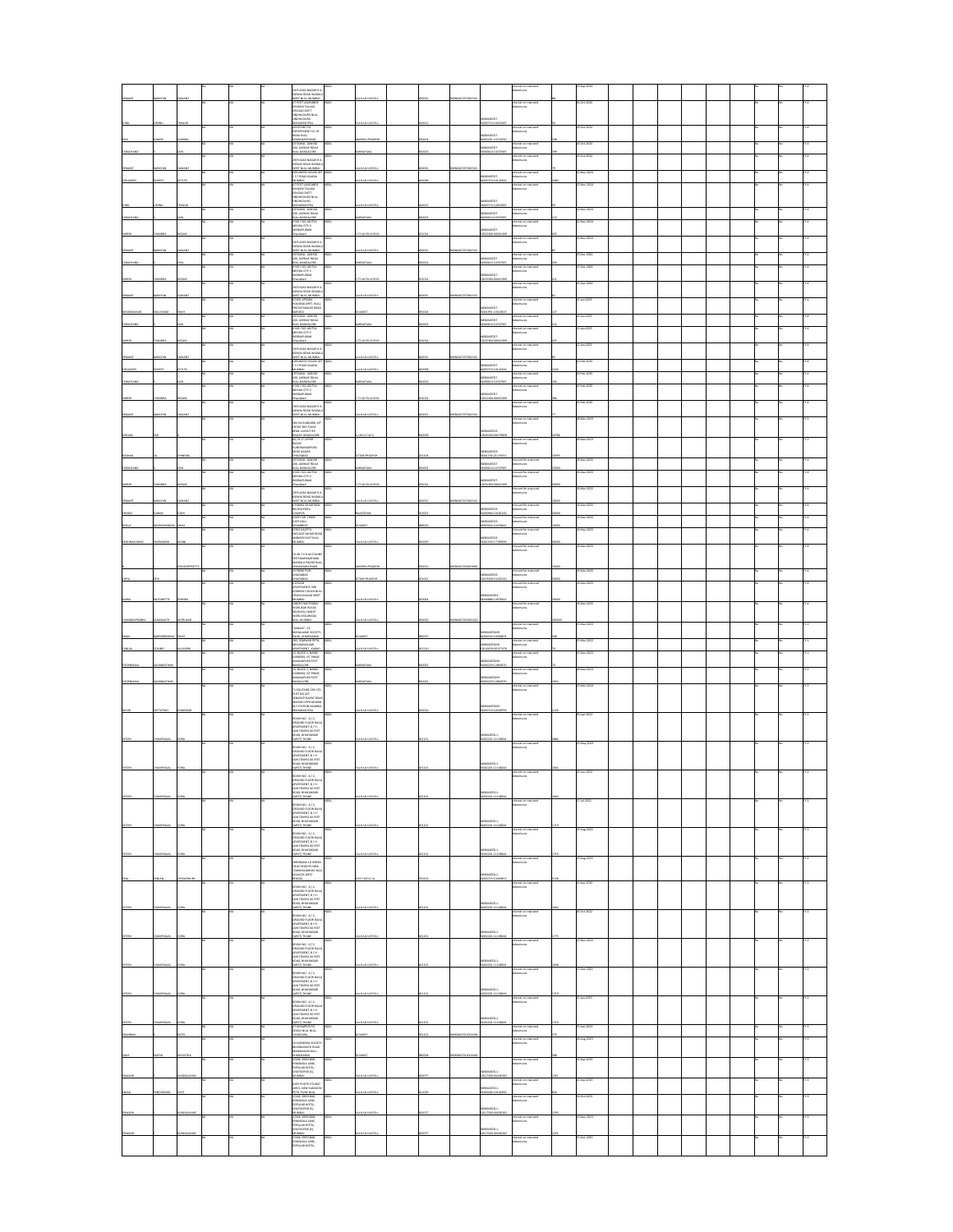|              |              |            |  | 2020 AZAD MAGAR A<br>SON AZAD MAGAR A<br>SON AR OS MAGADA<br>AT POST JAMSARG<br>GA VAST TAULA<br>SON AR OST TAULA<br>SON AR OST TAULA<br>SON AR OSTANT OS<br>ASOS TANTOS COMPANY<br>SON AR OSTANT OSTANT O COMPANY<br>SON AR OSTANT OSTANT OSTANT OSTANT OST |                       |       |                |                                             | <b>Sentanes</b>                                               |                     |  |  |  |  |  |
|--------------|--------------|------------|--|--------------------------------------------------------------------------------------------------------------------------------------------------------------------------------------------------------------------------------------------------------------|-----------------------|-------|----------------|---------------------------------------------|---------------------------------------------------------------|---------------------|--|--|--|--|--|
|              |              |            |  |                                                                                                                                                                                                                                                              |                       |       |                |                                             | irest on mat<br>ientures                                      |                     |  |  |  |  |  |
|              |              |            |  |                                                                                                                                                                                                                                                              |                       |       |                | 02719-1007                                  |                                                               |                     |  |  |  |  |  |
|              |              |            |  |                                                                                                                                                                                                                                                              |                       |       |                | asunzzo.<br>02201-10722030                  | onest con mu<br>ventures                                      | $x + 200$           |  |  |  |  |  |
|              |              |            |  |                                                                                                                                                                                                                                                              |                       |       |                | 040727-                                     | erest on mature<br>Sentares<br>erest on ma<br>bentures        |                     |  |  |  |  |  |
|              |              |            |  | .<br>29/9 AZAD NAGAR R A<br>KIDWAI ROAD WADAL<br>EST NULL MUMBA<br>DELWEISS HOUSE C                                                                                                                                                                          |                       |       |                |                                             | est on n                                                      |                     |  |  |  |  |  |
| ELWEISS      | <b>VEST</b>  |            |  | <b>CST ROAD KALINA</b>                                                                                                                                                                                                                                       |                       |       |                | NEB04K07217-<br>Nada718-1012                | bertures<br>rest on ma<br>entures                             |                     |  |  |  |  |  |
|              |              |            |  | MUMBAL<br>AT POST MANARES<br>COVGAD DISTT<br>SPACHADOURG MULL<br>SPACHADOURG<br>SMANARESCITS                                                                                                                                                                 |                       |       |                | 4407217<br>9719-104                         |                                                               |                     |  |  |  |  |  |
|              |              |            |  | MANARASHTRA<br>MANARASHTRA<br>GEL AVENUE ROAD<br>MULI BANGALORE<br>MULI BANGALORE<br>MEGNA CITY V<br>MEGNA CITY V<br>MEGNA CITY V                                                                                                                            |                       |       |                | 169340727-<br>000610-1070728                | erest on m<br>Sentanes                                        |                     |  |  |  |  |  |
|              |              |            |  | badelser                                                                                                                                                                                                                                                     | AR PRADES             |       |                | 8060727-<br>032300-0064136                  | rest on r<br>entures                                          |                     |  |  |  |  |  |
|              |              |            |  | 29/9 A2AD NAGAR R A<br>KIDWAI ROAD WADAU<br>WEST NULL MUNAAI<br>OSTAWAL JAIN NO<br>KID, AVENUE ROAd                                                                                                                                                          | <b><i>URASHTR</i></b> |       |                |                                             | erest on ma<br>Sentures                                       |                     |  |  |  |  |  |
|              |              |            |  |                                                                                                                                                                                                                                                              |                       |       |                | 8060727<br>00610-1070728                    | erest on ma<br>Sentures                                       |                     |  |  |  |  |  |
|              |              |            |  | MULL BANGALORE<br>MULL BANGALORE<br>MEGIA CITY V<br>NDRAPURAM<br>badeirafa                                                                                                                                                                                   | TAR PRADESH           |       |                | CR340727-<br>2032300-00641369               | erest on mature<br>Sentanes                                   |                     |  |  |  |  |  |
|              | <b>AKYAN</b> |            |  | 29/9 AZAD NAGAR R A<br>KIDWAI ROAD WADALA<br>WEST NULL MUNAN<br>R/US/NG APRT.<br>NGUSING APRT.<br>NGUSING APRT.<br>NASOOA                                                                                                                                    | <b>ASLARASETTRA</b>   |       | E8040721700154 |                                             | erest on mat<br>Seebares                                      |                     |  |  |  |  |  |
|              |              |            |  |                                                                                                                                                                                                                                                              |                       |       |                | NHO722<br>00903-00038323                    | rrest on matured<br>ientures                                  |                     |  |  |  |  |  |
|              |              |            |  | FRANCIS<br>BARCOA<br>CSTAWAL SAN NO<br>GRI, MERICA CARLONE<br>NIGHA CITY V<br>MEGHA CITY V<br>MEGHA CITY V<br>GRIGHA CITY V<br>GRIGHA CITY                                                                                                                   |                       |       |                | :<br>8040727-<br>80610-1070                 | erest on matured<br>Sentanes<br>erest on ma<br>Sentures       |                     |  |  |  |  |  |
|              |              |            |  |                                                                                                                                                                                                                                                              |                       |       |                | 107217-<br>122300-0064                      | erest on ma<br>oertares                                       |                     |  |  |  |  |  |
|              |              |            |  | 29/9 AZAD NAGAR R A<br>KOWAN ROAD WADALA<br>WEST NULL MUNAN<br>COGLWEISS HOUSE OFF<br>C STROAD KALINA<br>C STROAD KALINA                                                                                                                                     |                       |       |                |                                             |                                                               |                     |  |  |  |  |  |
|              |              |            |  |                                                                                                                                                                                                                                                              | <b><i>USASHTE</i></b> |       |                | 69040727-<br>03719-1012160                  | arest on mature<br>bentures<br>erest on ma<br>entanes         |                     |  |  |  |  |  |
|              |              |            |  | CS I ROZALISA<br>MILIAREN 2008 KATINA<br>GSTAWAN, 2008 KOAS<br>MILIA BARGALOS<br>MILIAREN<br>MISGHA CITY V<br>MISGHA CITY V<br>MISGHA CITY<br>MISGHA CITY                                                                                                    | <b>GNATAKA</b>        |       |                | NEB04107217-<br>NGONGO 10707287<br>3040727- | rest on m.<br>ectares                                         |                     |  |  |  |  |  |
|              | WDRA         | <b>SAM</b> |  |                                                                                                                                                                                                                                                              | <b>TTAR PRADESEL</b>  | 11054 |                | 12032300-00641369                           | vest on ma<br>Sentanes                                        |                     |  |  |  |  |  |
|              |              |            |  | 29/9 AZAD NAGAR R.A<br>KIDIKAI ROAD WADAU<br>WEST NUUL MUNABAI<br>sai sai sundara ist<br>Cross 3rd stage<br>AEMILLAYOUT RR                                                                                                                                   |                       |       |                |                                             | terest on matured<br>ibentures                                | Mar-2022            |  |  |  |  |  |
|              |              |            |  |                                                                                                                                                                                                                                                              |                       |       |                | 3040725<br>040500-00079851                  |                                                               |                     |  |  |  |  |  |
|              |              |            |  | REML LAYOUT RR<br>NAGAR BANGALORE<br>RAZAR<br>GURUNANANPURA<br>MOELNAGAR<br>MOELNAGAR                                                                                                                                                                        | TTAR PRADESH          |       |                | 48040725-<br>001330-3113551                 | erest on matured<br>Sentanes                                  |                     |  |  |  |  |  |
|              |              |            |  | GHAZMAAD<br>OSTAWAL JAIN NO<br>430, AVENUE ROAd                                                                                                                                                                                                              |                       |       |                | E8040727-<br>00610-1070                     | ount for man.<br>Sentanes                                     |                     |  |  |  |  |  |
|              |              |            |  | MULL BANGALORE<br>MULL BANGALORE<br>MEGIA CITY V<br>NDRAPURAM<br>badeirafa                                                                                                                                                                                   | <b>TTAR PRADESE</b>   | LOSA  |                | 3040727-<br>12032300-00641369               | ount for ma<br>entures                                        |                     |  |  |  |  |  |
|              | <b>AKYAN</b> |            |  | .<br>29/9 AZAD NAGAR R A<br>KIGST NULL MUMBAL                                                                                                                                                                                                                | <b>ASLARASETTRA</b>   |       | 6808072700154  |                                             | ount for ma<br>entures                                        | Mar-302             |  |  |  |  |  |
|              |              |            |  | g panna vihar new<br>Bhlipalpura                                                                                                                                                                                                                             |                       |       |                | 040725-<br>43500072/5                       | ount for matured<br>Sentures<br>iount for m<br>Sentanes       |                     |  |  |  |  |  |
|              |              |            |  | ENVIRUS<br>GIMTY NR. THREE<br>GATE NULL<br>GHAMBANT<br>AVIOLING SAHAR ROA<br>AVIOLING SAHAR ROA<br>AVIOLING SAHAR ROA<br>AVIOLING                                                                                                                            | <b>MRAT</b>           |       |                | 10053-10256442<br>3040725                   | ount for<br>entures                                           |                     |  |  |  |  |  |
|              |              |            |  | <b>IARMLIN</b><br>12-28-7 K R M COLOR                                                                                                                                                                                                                        | <b>HARASHTE</b>       |       |                | 01549-1778959                               | ount for ma<br>entures                                        |                     |  |  |  |  |  |
|              |              |            |  | SEETHAARMAEHARA<br>MADDEA PALÉM NUI<br>VISHAKHAPATNAM<br>22 PREM PURI                                                                                                                                                                                        |                       |       |                |                                             |                                                               | Mar-3025            |  |  |  |  |  |
|              |              |            |  | CARACAH                                                                                                                                                                                                                                                      |                       |       |                | 804072/5-                                   | iount for matured<br>Sentanes<br>ount for matured<br>Sentanes |                     |  |  |  |  |  |
|              |              |            |  | GHAZHARD<br>GORLEM<br>APARTMENTS 360<br>DORLEM MALAD WEST<br>MEMBAL<br>MEMBAL<br>TORTH CHAUTHARM                                                                                                                                                             |                       |       |                | 04072K3-<br>0888-1497                       | unt for ma                                                    |                     |  |  |  |  |  |
|              |              |            |  | <b>MORINARYOUS</b><br>NGARKIGU JAMAT<br>NGARKIGU JAMAT<br>NGARKIGU JAMA                                                                                                                                                                                      |                       |       |                |                                             | bestates                                                      |                     |  |  |  |  |  |
|              |              |            |  |                                                                                                                                                                                                                                                              |                       |       |                |                                             | arest on matured<br>bentures                                  | Mar-2022            |  |  |  |  |  |
|              |              |            |  | "SRIMM", 22,<br>MAHALAXNI SOCIETY,<br>PALEK, AHANEDARAD,<br>202, SOMMAR PETH,<br>MEGHAMALAX, JUAND<br>15, RICOX 2, NAMDI<br>GARDENS, IST PHASE<br>GARDENS, IST PHASE<br>RANGALORE                                                                            |                       |       |                | 0343-10260<br>372MB                         | rrest on matured<br>ientures                                  | Mar-3022<br>uw.3923 |  |  |  |  |  |
|              |              |            |  |                                                                                                                                                                                                                                                              |                       |       |                | 04072Mi-<br>0229-12860                      | vrest on mi<br>eedures                                        |                     |  |  |  |  |  |
|              |              |            |  | <b>ANGALORE</b><br>LE, BLOCK 2, NANDE<br>GARDENS, IST PHASE<br>NAUANAPURA POST<br>NAUANAPURA POST<br>26026                                                                                                                                                   |                       |       |                | 072M                                        | terest on ma<br>bentares                                      | Mar-302             |  |  |  |  |  |
|              |              |            |  | 21 SOUTAIRE CHE LTD<br>PLOT NO 422<br>SENAPATI BAPAT ROAD<br>MAHIM OPPO MAHIM<br>RLY STATION MUMBAL                                                                                                                                                          |                       |       |                |                                             | vest on mat<br>Jentares                                       |                     |  |  |  |  |  |
|              |              |            |  | ANARASHTRA                                                                                                                                                                                                                                                   |                       |       |                | 4MC00802<br>03719-1034975                   | derest on matured<br>ibentures                                | i Apr-2022          |  |  |  |  |  |
|              |              |            |  | ROOM NO - A / 2,<br>GROUND FLOOR PAIL<br>APARTMENT, B / H -<br>MIN TEMPLE GO FEET<br>ROAD, BHAYANDAR<br>(WEST) THANE                                                                                                                                         |                       |       |                | M072L1                                      |                                                               |                     |  |  |  |  |  |
|              |              |            |  |                                                                                                                                                                                                                                                              |                       |       |                |                                             | rest on m<br>entures                                          |                     |  |  |  |  |  |
|              |              |            |  | ROOM NO - A / 2,<br>GROUND FLOOR RAIL<br>APARTMENT, B / H -<br>IAIN TEMPLE GO FEET<br>ROMD, BHAYANDAR<br>(NEST) THANE                                                                                                                                        |                       |       |                | 806072L1-<br>02205-1110                     |                                                               |                     |  |  |  |  |  |
|              |              |            |  | $AOMNO - A/2,$                                                                                                                                                                                                                                               |                       |       |                |                                             | terest on n<br>identures                                      |                     |  |  |  |  |  |
| <b>FESH</b>  |              |            |  | GROUND FLOOR RAILL<br>APARTMENT, B / H<br>JAN TEMPLE GO FEET<br>ROAD, BHAYANDAR<br>(WEST) THANE                                                                                                                                                              |                       |       |                | 120000721<br>02201-1110924                  |                                                               |                     |  |  |  |  |  |
|              |              |            |  | ROOM NO - A / 2,<br>GROUND FLOOR RAU                                                                                                                                                                                                                         |                       |       |                |                                             | irest on m.<br>ieršanes                                       |                     |  |  |  |  |  |
|              |              |            |  | MANUMU PULUM POL<br>APARTMENT, B / H<br>JAIN TEMPLE GO FEET<br>ROAD, BHAYANDAR<br>(MEST) THANE                                                                                                                                                               |                       |       |                | 6804072L1-<br>002201-1110                   |                                                               | ug-2022             |  |  |  |  |  |
|              |              |            |  | ROOM NO - A / 2,<br>GROUND FLOOR RAIL<br>APARTMENT, B / H -<br>ANN TEMPLE GO FEET<br>ROAD, BHAYANDAR<br>ANEST) THANE                                                                                                                                         |                       |       |                |                                             | irest on matured<br>ientures                                  |                     |  |  |  |  |  |
|              |              |            |  |                                                                                                                                                                                                                                                              |                       |       |                | 8040721-<br>2201-1110                       | erest on matured<br>Sentanes                                  | Aug-2022            |  |  |  |  |  |
|              |              |            |  | SHROBANA 10 GREEN<br>FIELD HEIGHTS NEW<br>TOWN RAWRHAT NULL<br>KOLKATA WEST<br>BENGAL                                                                                                                                                                        |                       |       |                | 3040721-<br>03719-1046                      |                                                               |                     |  |  |  |  |  |
|              |              |            |  |                                                                                                                                                                                                                                                              |                       |       |                |                                             | arest on matured<br>bentures                                  | Sep-2022            |  |  |  |  |  |
|              |              |            |  | Room No - A / 2,<br>Ground Floor Rau<br>Apartment, B / H -<br>MNN Temple Go Feet<br>Romo, Bhayanear<br>(NEST) Thang                                                                                                                                          | <b>ARASHTE</b>        |       |                | 804072L1-<br>02205-1110                     | rest on mature                                                |                     |  |  |  |  |  |
|              |              |            |  | ROOM NO - A / 2,<br>GROUND FLOOR RAIL<br>APARTMENT, B / H -<br>IANN TEMPLE GO FEET<br>ROMD, BHAYANDAR<br>(WEST) THANE                                                                                                                                        |                       |       |                |                                             | bentanes                                                      |                     |  |  |  |  |  |
| <b>ITESH</b> |              |            |  |                                                                                                                                                                                                                                                              |                       |       |                | 4580407211<br>4902201-1110824               | rest on r<br>entures                                          |                     |  |  |  |  |  |
|              |              |            |  | ROOM NO - A / 2,<br>GROUND FLOOR RAIL<br>APARTMENT, B / H -<br>IANN TEMPLE GO FEET<br>ROMD, BHAYANDAR<br>(WEST) THANE                                                                                                                                        |                       |       |                |                                             |                                                               |                     |  |  |  |  |  |
| <b>TESH</b>  |              |            |  |                                                                                                                                                                                                                                                              |                       | 1101  |                | 6804072L1-<br>002201-11108244               | arest on matured<br>bentures                                  | Dec-2022            |  |  |  |  |  |
|              |              |            |  | ROOM NO - A / 2,<br>GROUND FLOOR RAIL<br>ARANTMENT, B / H -<br>ANN TEMPLE GO FEET<br>ROAD, GHAYANDAR<br>(NEST) THANE                                                                                                                                         |                       | s.    |                |                                             |                                                               |                     |  |  |  |  |  |
|              |              |            |  | ROOM NO - A / 2,<br>GROUND FLOOR RAIL<br>APARTMENT, B / H -<br>NAN TEMPLE GO FEET<br>ROAD, BHAVENDAR<br>NAETI THANG                                                                                                                                          |                       |       |                |                                             | rrest on matured<br>etares                                    |                     |  |  |  |  |  |
|              |              |            |  |                                                                                                                                                                                                                                                              | <b><i>URASHTR</i></b> | 1101  |                | 68040721-<br>002201-11108244                |                                                               |                     |  |  |  |  |  |
|              |              |            |  | WEST) THANG<br>KT KHAMPUR PO<br>IEVAS NULL NULL<br>IREODARA                                                                                                                                                                                                  |                       |       |                |                                             | rrest on mature<br>entures<br>arest on matured<br>bentures    | Apr-202<br>Aug-2023 |  |  |  |  |  |
|              |              |            |  | is-sumedha societ<br>Bharavinath road<br>Maninagar null                                                                                                                                                                                                      | ак                    |       | 08072110014    |                                             |                                                               |                     |  |  |  |  |  |
|              |              |            |  | MANUNIAN NULL<br>APAREDARA<br>APAR SHEEBAR<br>HUGULAR HOTEL<br>GHATKOPAR (E),<br>MUANBAL                                                                                                                                                                     |                       |       |                | 3040721-<br>117500-006                      | erest on ma<br>Sentures                                       |                     |  |  |  |  |  |
|              |              |            |  |                                                                                                                                                                                                                                                              |                       |       |                | 40721                                       | terest on m<br>bertures                                       |                     |  |  |  |  |  |
|              |              |            |  | <b>ENTER PHOTO STUDIO<br/>2015 PHOTO STUDIO<br/>2015, PUNE BILLS<br/>2018, SHEEBAR,<br/>2016, SHEEBAR, PHOTOGRAPH COMPOSITION</b><br>2016, SHEEBAR, PHOTOGRAPH COMPOSITION<br>2015, SHEEBAR, PHOTOGRAPH COMPOSITION                                          |                       |       |                |                                             | erest on ma<br>Sentanes                                       |                     |  |  |  |  |  |
|              |              |            |  |                                                                                                                                                                                                                                                              |                       |       |                | 30407211<br>117500-004                      | rest on mature<br>bestates                                    |                     |  |  |  |  |  |
|              |              |            |  | <i>AZER, MINDERK,<br/>POPULAR HOTEL,<br/>GHATKOPAR (E),<br/>MINDERS SHEELAR, 1208, SHEELAR,</i><br>APROAMLA LANE,<br>POPULAR HOTEL,                                                                                                                          |                       |       |                | 8060721<br>017500.00                        | erest on matured<br>Sentanes                                  | Sec-2022            |  |  |  |  |  |
|              |              |            |  |                                                                                                                                                                                                                                                              |                       |       |                |                                             |                                                               |                     |  |  |  |  |  |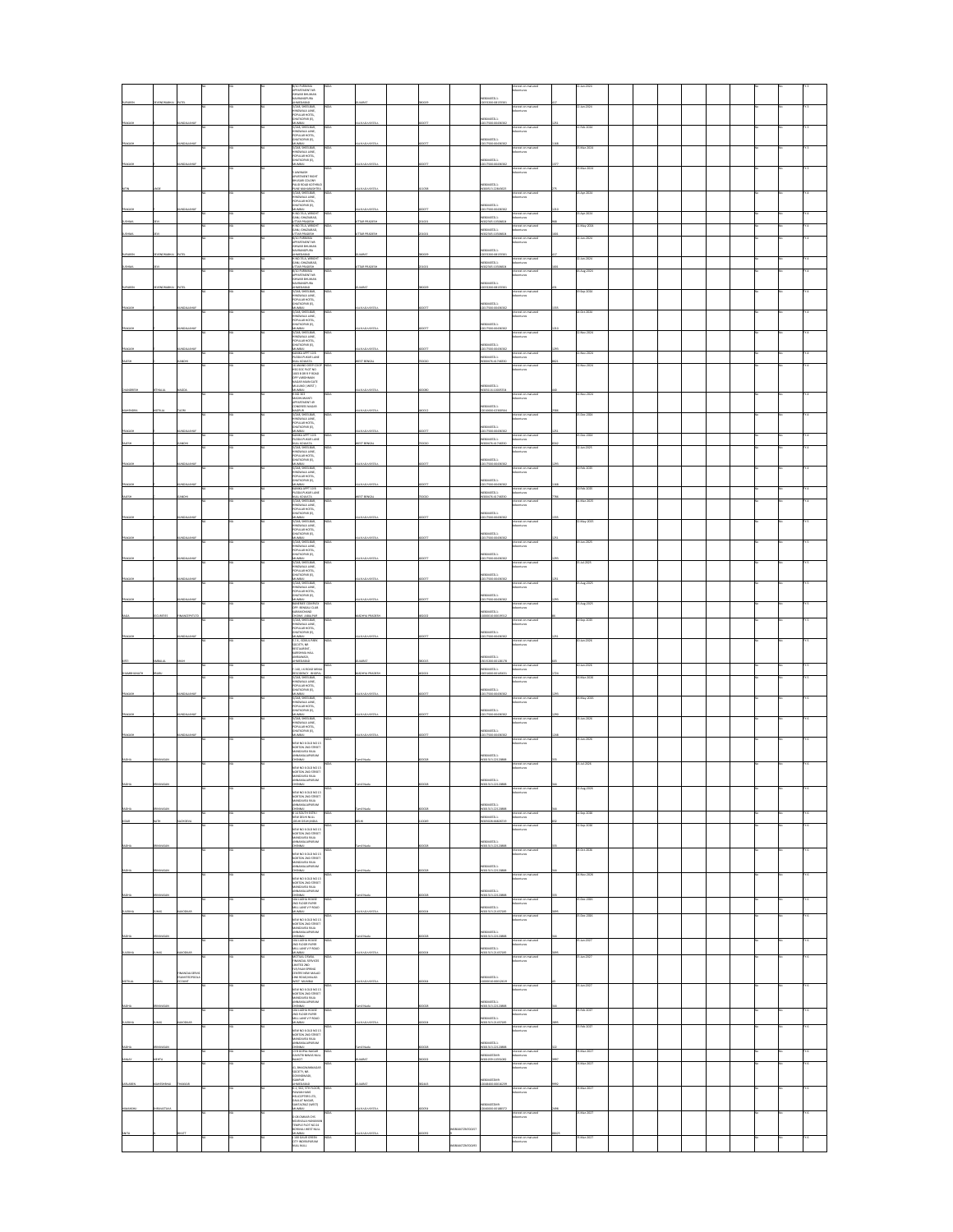|  |                               |  |                                                                                                                                                                                                                                                                                                                                                          |                          |  |              |                                            | est on<br>etanes                 |                 |  |  |  |  |
|--|-------------------------------|--|----------------------------------------------------------------------------------------------------------------------------------------------------------------------------------------------------------------------------------------------------------------------------------------------------------------------------------------------------------|--------------------------|--|--------------|--------------------------------------------|----------------------------------|-----------------|--|--|--|--|
|  |                               |  | R/10 PURNIMA<br>APPARTMENT NR<br>ISHIINK BHUWAN<br>NAVRANGPURA                                                                                                                                                                                                                                                                                           |                          |  |              | A£804072L1-                                |                                  |                 |  |  |  |  |
|  |                               |  | Monocolar<br>Antonio<br>Antonio Montonio<br>Antonio Molandi<br>Antonio Molandi<br>Antonio Molandi<br>Antonio Molandi<br>Antonio (C)<br>Antonio Molandi<br>Antonio (C)<br>Antonio Molandi<br>Antonio (C)<br>Antonio Molandi<br>Antonio (C)<br>Antonio Molandi<br>Antonio (C)                                                                              |                          |  |              | 0022200-0812220                            | rest cin mu<br>Hitanes           |                 |  |  |  |  |
|  |                               |  |                                                                                                                                                                                                                                                                                                                                                          |                          |  |              |                                            |                                  |                 |  |  |  |  |
|  |                               |  |                                                                                                                                                                                                                                                                                                                                                          |                          |  |              | 68040721-<br>2017500-0042                  | erest on n<br>Sentanes           |                 |  |  |  |  |
|  |                               |  |                                                                                                                                                                                                                                                                                                                                                          |                          |  |              | <br> 1017500-00436303<br> 1017500-00436303 |                                  |                 |  |  |  |  |
|  |                               |  |                                                                                                                                                                                                                                                                                                                                                          |                          |  |              |                                            | erest on matured<br>Sentanes     | - Mar-2024      |  |  |  |  |
|  |                               |  |                                                                                                                                                                                                                                                                                                                                                          |                          |  |              | 68060721-                                  |                                  |                 |  |  |  |  |
|  |                               |  |                                                                                                                                                                                                                                                                                                                                                          |                          |  |              | 2017500-0043630                            | rest on ma<br>entures            | Mar-2024        |  |  |  |  |
|  |                               |  | S AWINNSH<br>MARTMENT ROGIT<br>BHLSARI COLONY<br>PAUD ROAD KOTHRI<br>AVAS AMERIKAN<br>AVAS AMERIKAN<br>HOPULAR HOTEL<br>COPULAR HOTEL<br>COPULAR HOTEL<br>COPULAR HOTEL<br>MATMEN (E)<br>MATMEN                                                                                                                                                          |                          |  |              |                                            |                                  |                 |  |  |  |  |
|  |                               |  |                                                                                                                                                                                                                                                                                                                                                          |                          |  |              | INEB04072L1-<br>IN900513-2284              |                                  |                 |  |  |  |  |
|  |                               |  |                                                                                                                                                                                                                                                                                                                                                          |                          |  |              |                                            | .<br>sentares                    |                 |  |  |  |  |
|  |                               |  | GHATKOPAR (E),<br>MINACO GALIMBAD,<br>GANI, GHAZMBAD,<br>GANI, GHAZMBAD,<br>MINACO GALIMBAD,<br>GANI, GHAZMBAD,<br>GANI, GHAZMBAD,<br>MINACO GANIMAN,<br>MINACO GANIMAN,<br>GANIMAN,<br>MINACO GANIMAN,<br>MINACO GANIMAN,<br>MINACO GANIMAN,<br>MINACO GANIMAN,                                                                                         |                          |  |              | 680407211-<br>2017500-00436                |                                  |                 |  |  |  |  |
|  |                               |  |                                                                                                                                                                                                                                                                                                                                                          | TAR PRADESH              |  |              |                                            | erest on ma<br>Sentures          |                 |  |  |  |  |
|  |                               |  |                                                                                                                                                                                                                                                                                                                                                          | TAR PRADES               |  |              | INGROAD 27.1-<br>002365-109                | arest on ma<br>bertures          |                 |  |  |  |  |
|  |                               |  |                                                                                                                                                                                                                                                                                                                                                          |                          |  |              |                                            | erest on ma<br>entures           |                 |  |  |  |  |
|  |                               |  |                                                                                                                                                                                                                                                                                                                                                          |                          |  |              | AE804072L1-<br>12032200-0813330            |                                  |                 |  |  |  |  |
|  |                               |  | AMARANGEURA<br>AMATOMALAD<br>GUND TEA, WEGHT<br>GUND TEA, WEGHT<br>GUND TEAR PROGESH<br>AMATOMAK BHUWAN<br>AMATOMAK BHUWAN<br>AMATOMAK<br>AMATOMAK<br>AMATOMAK<br>AMATOMAK<br>SOPULAR HOTEL,<br>CHATOMAK UNITE,<br>SOPULAR HOTEL,<br>AMATOMAK UNITE,<br>SOPULAR HOTEL,<br>SOPU                                                                           | TTAR PRADESH             |  |              | A6804072LL<br>002365-1090                  | erest on m<br>bentures           |                 |  |  |  |  |
|  |                               |  |                                                                                                                                                                                                                                                                                                                                                          |                          |  |              |                                            | terest on mati<br>bentures       | Aug-202         |  |  |  |  |
|  |                               |  |                                                                                                                                                                                                                                                                                                                                                          |                          |  |              | INER04072L1-<br>12032200-08133             |                                  |                 |  |  |  |  |
|  |                               |  |                                                                                                                                                                                                                                                                                                                                                          |                          |  |              |                                            | rest on r<br>entures             |                 |  |  |  |  |
|  |                               |  |                                                                                                                                                                                                                                                                                                                                                          | <b><i>USASHTR</i></b>    |  |              | A£804072L1-                                |                                  |                 |  |  |  |  |
|  |                               |  | GHATKOPAR (G),<br>AZARA SHERBAR,<br>AZAR, SHERBAR,<br>HINGWALA LANE,<br>GHATKOPAR (G),<br>AZARA HOTKO, SHERBAR,<br>AZARA HOTKO, SHERBAR,<br>POPULAR HOTKO,<br>GHATKOWALA LANE,<br>COPULAR HOTKO,<br>SHERBAR (G),                                                                                                                                         |                          |  |              | 3017500-0043630                            | rest cin mu<br>Hitanes           |                 |  |  |  |  |
|  |                               |  |                                                                                                                                                                                                                                                                                                                                                          |                          |  |              | 680607211-<br>2017500-00426                |                                  |                 |  |  |  |  |
|  |                               |  |                                                                                                                                                                                                                                                                                                                                                          |                          |  |              |                                            | orest cin r<br>ventures          |                 |  |  |  |  |
|  |                               |  |                                                                                                                                                                                                                                                                                                                                                          |                          |  |              | <br> 2017500-00436303<br> 2017500-00436303 |                                  |                 |  |  |  |  |
|  |                               |  | MUMBAL<br>WABAA APPT 10 B<br>PUCCA PUKUR LANG<br>MULL KOLKATA<br>16 ANAND DEEP COO                                                                                                                                                                                                                                                                       |                          |  |              | INER04072L1-                               | rrest on matured<br>ientures     | Nov-2024        |  |  |  |  |
|  |                               |  |                                                                                                                                                                                                                                                                                                                                                          |                          |  |              |                                            | rest on r<br>entures             |                 |  |  |  |  |
|  |                               |  |                                                                                                                                                                                                                                                                                                                                                          |                          |  |              |                                            |                                  |                 |  |  |  |  |
|  |                               |  | 16 ANAND DEEP COD<br>1603 AC POD WOOD<br>1603 B DR R P ROAD<br>COP VARDHAAN<br>MALIND (WST)<br>MALIND (WST)<br>16040 MAD ROAD<br>16040 MAD ROAD<br>16040 MAD ROAD<br>CONGERS WAR                                                                                                                                                                         |                          |  |              | INER04072L1-<br>IN903116-10005704          |                                  |                 |  |  |  |  |
|  |                               |  |                                                                                                                                                                                                                                                                                                                                                          |                          |  |              |                                            |                                  |                 |  |  |  |  |
|  |                               |  |                                                                                                                                                                                                                                                                                                                                                          | <b><i>SURASHTRA</i></b>  |  |              | A£804072L1-<br>3010600-02200564            |                                  |                 |  |  |  |  |
|  |                               |  | <b>NAGPUR<br/>SZER, SHEELBAR,<br/>HINGWALA LANE,<br/>GHATTEDAR HOTEL,</b><br>GHATTEDAR (E),                                                                                                                                                                                                                                                              |                          |  |              |                                            | rest on m.<br>Intares            |                 |  |  |  |  |
|  |                               |  |                                                                                                                                                                                                                                                                                                                                                          |                          |  |              | NER04072L1-<br>2017500-0043                |                                  |                 |  |  |  |  |
|  |                               |  |                                                                                                                                                                                                                                                                                                                                                          | <b>MONG T22</b>          |  |              | AC000072L1-<br>120305-01746330             | derest on ma<br>ebentures        |                 |  |  |  |  |
|  |                               |  | GANTIDANI (L. 1930)<br>MARIA APPT 1938<br>MARIA APPT 1938<br>MARIA KORATA<br>MARIA KORATA<br>MARIA APPT 1939<br>MARIA APPT 1938<br>GANTIDANI (L. 1940)<br>MARIA APPT 1938<br>MARIA APPT 1938<br>MARIA APPT 1938<br>MARIA APPT 1938<br>MARIA APPT 1938<br>MARIA APPT 1                                                                                    |                          |  |              |                                            | rest on ma<br>retures            |                 |  |  |  |  |
|  |                               |  |                                                                                                                                                                                                                                                                                                                                                          |                          |  |              | INER04072L1-<br>12017500-00436             |                                  |                 |  |  |  |  |
|  |                               |  |                                                                                                                                                                                                                                                                                                                                                          |                          |  |              |                                            | arest on r<br>bentures           |                 |  |  |  |  |
|  |                               |  |                                                                                                                                                                                                                                                                                                                                                          |                          |  |              | NE804072L1-<br>(2017500-0043               |                                  |                 |  |  |  |  |
|  |                               |  |                                                                                                                                                                                                                                                                                                                                                          | EST BENGAL               |  |              | INER04072L1-<br>IN900476-41746330          | rest on mature<br>entanes        |                 |  |  |  |  |
|  |                               |  |                                                                                                                                                                                                                                                                                                                                                          |                          |  |              |                                            |                                  |                 |  |  |  |  |
|  |                               |  | ayak maliar<br>Hingwala lane<br>Popular Hotel<br>Ghatkopar (E),                                                                                                                                                                                                                                                                                          |                          |  |              | NE806072L1-<br> 2017500-00626              |                                  |                 |  |  |  |  |
|  |                               |  |                                                                                                                                                                                                                                                                                                                                                          |                          |  |              |                                            | erest on matured<br>Sentares     | $May-202$       |  |  |  |  |
|  |                               |  | GHATKOPAR (E),<br>MUMBAL<br>2/248, SHEEKBAR,<br>HINGWALA LANE,<br>HINGWALA (E),<br>GHATKOPAR (E),<br>GHATKOWALA LANE,<br>HINGWALA LANE,<br>HINGWALA LANE,<br>POPULAR HOTEL,<br>GHATKOWALA LANE,<br>POPULAR HOTEL,<br>GHATKOWALA LANE,                                                                                                                    |                          |  |              | NE804072L1-<br> 2017500-0042E              |                                  |                 |  |  |  |  |
|  |                               |  |                                                                                                                                                                                                                                                                                                                                                          |                          |  |              |                                            | HZ ON E<br>entanes               |                 |  |  |  |  |
|  |                               |  |                                                                                                                                                                                                                                                                                                                                                          | <b>ARASHTE</b>           |  |              | INER04672L1-<br>12017500-0043630           |                                  |                 |  |  |  |  |
|  |                               |  | MUMBAL<br>ADMBAL<br>ADMLAR MEELBAR<br>HINGWALA LANE,<br>GHATKOPAR (E),<br>ABINDYAR (E),                                                                                                                                                                                                                                                                  |                          |  |              |                                            | erest on matured<br>bentures     | ad-2021         |  |  |  |  |
|  |                               |  |                                                                                                                                                                                                                                                                                                                                                          | <b><i>GURASHTRA</i></b>  |  |              | A£804072L1-<br>12017500-0043630            |                                  |                 |  |  |  |  |
|  |                               |  | GHATKOPAR (K),<br>MAJMAN<br>AZARI, SHEEBAR,<br>HINGWALA LANE,<br>NAJMAN<br>MAJMAN<br>MANGHISE COMPLER,<br>MAJMAN<br>MARGHISE COMPLER,<br>NAJMAN<br>CHARGHISE COMPLER,<br>CHARGHISE COMPLER,<br>CHARGHISE COMPLER,                                                                                                                                        |                          |  |              |                                            | est con m<br>etares              |                 |  |  |  |  |
|  |                               |  |                                                                                                                                                                                                                                                                                                                                                          |                          |  |              | NER04672L1-<br>L2017500-0043               |                                  |                 |  |  |  |  |
|  |                               |  |                                                                                                                                                                                                                                                                                                                                                          |                          |  |              | A£804072L1-                                | entanys                          |                 |  |  |  |  |
|  |                               |  |                                                                                                                                                                                                                                                                                                                                                          | ADMYA PRADESH            |  |              | 1000000-00019313                           | rest cin m.<br>Intares           |                 |  |  |  |  |
|  |                               |  | CHOWK JABALPUR<br>2/248, SHEELBAR,<br>HINGWALA LANE,<br>COPULAR HOTEL,<br>GHATADPAR (E),                                                                                                                                                                                                                                                                 |                          |  |              |                                            |                                  |                 |  |  |  |  |
|  |                               |  | MUMBAL<br>S/A, GORUL PARK<br>SOCIETY, NR<br>RESTAURENT,<br>KARSHAA HALL<br>AMBAWADI,                                                                                                                                                                                                                                                                     |                          |  |              | NER04072L1-<br>L2017500-00436              | arest on r<br>bentures           |                 |  |  |  |  |
|  |                               |  |                                                                                                                                                                                                                                                                                                                                                          |                          |  |              |                                            |                                  |                 |  |  |  |  |
|  |                               |  | HMCOARAD                                                                                                                                                                                                                                                                                                                                                 |                          |  |              | NG004072L1-<br>13015200-00128              |                                  | $tan-202$       |  |  |  |  |
|  |                               |  | $\begin{tabular}{l c c } \hline width100 & $\mathit{N}=100,0000$ & $\mathit{M}=000$ & $\mathit{M}=000$ \\ \hline 512500 & $\mathit{N}=1000,0000$ & $\mathit{M}=0000$ & $\mathit{N}=0000$ \\ \hline 51200 & $\mathit{N}=00000,00000,0000$ & $\mathit{M}=00000,0000$ & $\mathit{M}=00000,0000$ & $\mathit{M}=000000,0000$ & $\mathit{M}=000000,0000$ & $\$ | DHYA PRADES              |  |              | INE804072L1-<br>12031600-001-              | erest on matured<br>Sentanes     |                 |  |  |  |  |
|  |                               |  |                                                                                                                                                                                                                                                                                                                                                          |                          |  |              |                                            | rest on mature<br>entanes        |                 |  |  |  |  |
|  |                               |  |                                                                                                                                                                                                                                                                                                                                                          | <b><i>ANARASHTRA</i></b> |  |              | NER04072L1-<br>12017500-00436302           |                                  |                 |  |  |  |  |
|  |                               |  |                                                                                                                                                                                                                                                                                                                                                          |                          |  |              |                                            | rest on ma<br>entanes            |                 |  |  |  |  |
|  |                               |  |                                                                                                                                                                                                                                                                                                                                                          | <b>LARASHTE</b>          |  |              | 168040721-<br>12017500-00436300            |                                  |                 |  |  |  |  |
|  |                               |  | GHATKOPAR (E),<br>AKUMBAI<br>2/248, SHEELBAR,<br>HINGWALA LANE,<br>GHATKOPAR (E),<br>GHATKOPAR (E),<br>MUMBAI                                                                                                                                                                                                                                            |                          |  |              |                                            | arest on matured<br>bentures     | <b>Jun-2020</b> |  |  |  |  |
|  |                               |  |                                                                                                                                                                                                                                                                                                                                                          | ARASHTRA                 |  |              | INER04672L1-<br>12017500-00436303          |                                  |                 |  |  |  |  |
|  |                               |  | NEW NO 6 OLD NO 12<br>NORTON 2ND STREET<br>MANDAME ARLA<br>ANNAME ARCHAM                                                                                                                                                                                                                                                                                 |                          |  |              |                                            |                                  |                 |  |  |  |  |
|  |                               |  |                                                                                                                                                                                                                                                                                                                                                          |                          |  |              |                                            | rest on r                        |                 |  |  |  |  |
|  |                               |  |                                                                                                                                                                                                                                                                                                                                                          |                          |  |              |                                            |                                  |                 |  |  |  |  |
|  |                               |  |                                                                                                                                                                                                                                                                                                                                                          |                          |  |              | INER04072L1-<br>INGELES 3-22120886         | rderest on matured<br>Sebentures | <b>HAF2026</b>  |  |  |  |  |
|  |                               |  |                                                                                                                                                                                                                                                                                                                                                          |                          |  |              | 07211-                                     |                                  |                 |  |  |  |  |
|  |                               |  | NEW NO 6 OLD NO 12<br>NORTON 2ND STREET<br>MANDAVELI RALA<br>ANNAMALAIPURAM<br>sw                                                                                                                                                                                                                                                                        |                          |  |              | 001313-22120888                            |                                  |                 |  |  |  |  |
|  |                               |  |                                                                                                                                                                                                                                                                                                                                                          |                          |  |              |                                            |                                  |                 |  |  |  |  |
|  |                               |  |                                                                                                                                                                                                                                                                                                                                                          |                          |  |              | 6804072L1-<br>001313-22120888              |                                  |                 |  |  |  |  |
|  |                               |  | NEW NO 6 OLD NO 17<br>NORTON 2ND STREET<br>MANDAMELI RALA<br>ANNIAMELI RALA<br>CHENNIA<br>S L4 SOUTH EXTREET<br>NOW DELINIAMEL<br>AGM DELHUNDIA                                                                                                                                                                                                          |                          |  |              | INEB36072L1-<br>000036826719               | erest on m<br>dentures           |                 |  |  |  |  |
|  |                               |  |                                                                                                                                                                                                                                                                                                                                                          |                          |  |              |                                            | rest on m.<br>Intares            |                 |  |  |  |  |
|  |                               |  |                                                                                                                                                                                                                                                                                                                                                          |                          |  |              |                                            |                                  |                 |  |  |  |  |
|  |                               |  | NEW NO 6 OLD NO 13<br>NORTON 2ND STREET<br>MANUMALAURURAM<br>ANNAMALAURURAM<br>CHENNAM                                                                                                                                                                                                                                                                   |                          |  |              | 6804072L1-<br>001313-22120888              | rest on mature                   | $-0.1 - 200$    |  |  |  |  |
|  |                               |  |                                                                                                                                                                                                                                                                                                                                                          |                          |  |              |                                            | etanes                           |                 |  |  |  |  |
|  |                               |  | NEW NO 6 OLD NO 13<br>NORTON 2ND STREET<br>MANDAVELI RALA<br>ANNAMALAUPURAM<br>EMAN                                                                                                                                                                                                                                                                      |                          |  |              | INER04072L1-<br>IN901313-22120888          |                                  |                 |  |  |  |  |
|  |                               |  |                                                                                                                                                                                                                                                                                                                                                          |                          |  |              |                                            |                                  |                 |  |  |  |  |
|  |                               |  | NEW NO 6 OLD NO 13<br>NORTON 2ND STREET<br>MANDAMALAURURAM<br>ANNAMALAURURAM                                                                                                                                                                                                                                                                             |                          |  |              | NG004072L1-<br>NG01313-2212                |                                  |                 |  |  |  |  |
|  |                               |  | HENNAU<br>DA LAZNAR HENNISE                                                                                                                                                                                                                                                                                                                              |                          |  |              |                                            | rest on mature<br>etares         |                 |  |  |  |  |
|  |                               |  | 2ND FLOOR PAPER<br>MILL LANE V P ROAD<br>MUMBAI                                                                                                                                                                                                                                                                                                          | <b>ARASHTR</b>           |  |              | .<br>1201111-011718                        |                                  |                 |  |  |  |  |
|  |                               |  |                                                                                                                                                                                                                                                                                                                                                          |                          |  |              |                                            | rrest on r<br>retares            |                 |  |  |  |  |
|  |                               |  |                                                                                                                                                                                                                                                                                                                                                          |                          |  |              | 168040721-<br>N901313-221208               |                                  |                 |  |  |  |  |
|  |                               |  |                                                                                                                                                                                                                                                                                                                                                          |                          |  |              | 4680407211-                                | erest on matured<br>ientanes     | ias-2027        |  |  |  |  |
|  |                               |  |                                                                                                                                                                                                                                                                                                                                                          |                          |  |              | 001313-2143718                             |                                  | $tan-202$       |  |  |  |  |
|  |                               |  |                                                                                                                                                                                                                                                                                                                                                          |                          |  |              |                                            | rest on mature<br>entanes        |                 |  |  |  |  |
|  | IANOALSEI<br>LIMITEDRO<br>üνī |  |                                                                                                                                                                                                                                                                                                                                                          |                          |  |              | 304072L1                                   |                                  |                 |  |  |  |  |
|  |                               |  | <b>NEW NO GLO ND 12<br/>SAN NO GLO ND 13<br/>ANNOUND RANGE AND SERVER NO GROUP<br/>CHARAKALARUS AND SERVER<br/>CHARAKALARUS AND SERVER NO FOR SERVER SERVER SERVER SERVER SERVER SERVER SERVER SERVER SERVER SERVER SERVER SERVER SERVER SERVER </b>                                                                                                     |                          |  |              |                                            | rest on matured<br>entures       |                 |  |  |  |  |
|  |                               |  |                                                                                                                                                                                                                                                                                                                                                          |                          |  |              |                                            |                                  |                 |  |  |  |  |
|  |                               |  |                                                                                                                                                                                                                                                                                                                                                          |                          |  |              | INER04072L1-<br>IN901313-2212088           |                                  |                 |  |  |  |  |
|  |                               |  |                                                                                                                                                                                                                                                                                                                                                          |                          |  |              | 4680407211-<br>001313-2143718              | est on matu<br>etanes            |                 |  |  |  |  |
|  |                               |  | MEW NO 6 OLD NO 12<br>NGW NO 6 OLD NO 12<br>NANDAVIGI RAA<br>ANNAMALAPURAM<br>OHDANA HOUSE<br>TRID FLOOR PAPER<br>NIJIL LANG V P ROAD<br>NIJINGAI                                                                                                                                                                                                        |                          |  |              |                                            | est co.m<br>etanes               |                 |  |  |  |  |
|  |                               |  |                                                                                                                                                                                                                                                                                                                                                          |                          |  |              |                                            |                                  |                 |  |  |  |  |
|  |                               |  |                                                                                                                                                                                                                                                                                                                                                          |                          |  |              | \6804072L1-<br>\001313-22120               |                                  | Mar-302         |  |  |  |  |
|  |                               |  | NEW NO 6 OLD NO 12<br>NORTON 2ND STREET<br>MANAMAL APURAN<br>RINDAMAL APURAN<br>CAENAMAL ANDIAN<br>13 R GOPAL NAGAR<br>GAYATRI NINNG NULL<br>RAMOT                                                                                                                                                                                                       | ARAT                     |  |              | AC006072Mi-<br>000000-10051082             | arest on m<br>bentures           |                 |  |  |  |  |
|  |                               |  |                                                                                                                                                                                                                                                                                                                                                          |                          |  |              |                                            | est co m.<br>etanes              |                 |  |  |  |  |
|  |                               |  |                                                                                                                                                                                                                                                                                                                                                          |                          |  |              | 048000001622                               |                                  |                 |  |  |  |  |
|  |                               |  |                                                                                                                                                                                                                                                                                                                                                          |                          |  |              |                                            | rrest on ma<br>restares          | Mar-202         |  |  |  |  |
|  |                               |  |                                                                                                                                                                                                                                                                                                                                                          |                          |  |              | 44000072M                                  |                                  |                 |  |  |  |  |
|  |                               |  | 41, BHAZAWARANGA<br>41, BHAZAWARANGA<br>60/MINDWADI,<br>64/MPLIR<br>64, 542, 514 FLOOR,<br>94/MAN HARS<br>94/MAN HARS<br>64/LICOTTAGAR,<br>64/MAN HARS,<br>64/LICOTTAGAR,<br>64/MAN HARS,                                                                                                                                                                |                          |  |              | 0003-0018837                               | test on<br>Historia              |                 |  |  |  |  |
|  |                               |  |                                                                                                                                                                                                                                                                                                                                                          |                          |  |              |                                            |                                  |                 |  |  |  |  |
|  |                               |  | D-08 OMKAR CHE<br>NEAR KALA HANUMAN<br>FEMPLE PLOT NO 24<br>RORVALI WEST NULL<br>MUMBAI<br>I 100 GAUR GREEN<br>CITY INDIRAPLIRAM<br>NULL NULL                                                                                                                                                                                                            |                          |  | 001072970013 |                                            | arest on matured<br>bentures     | -Mar-2027       |  |  |  |  |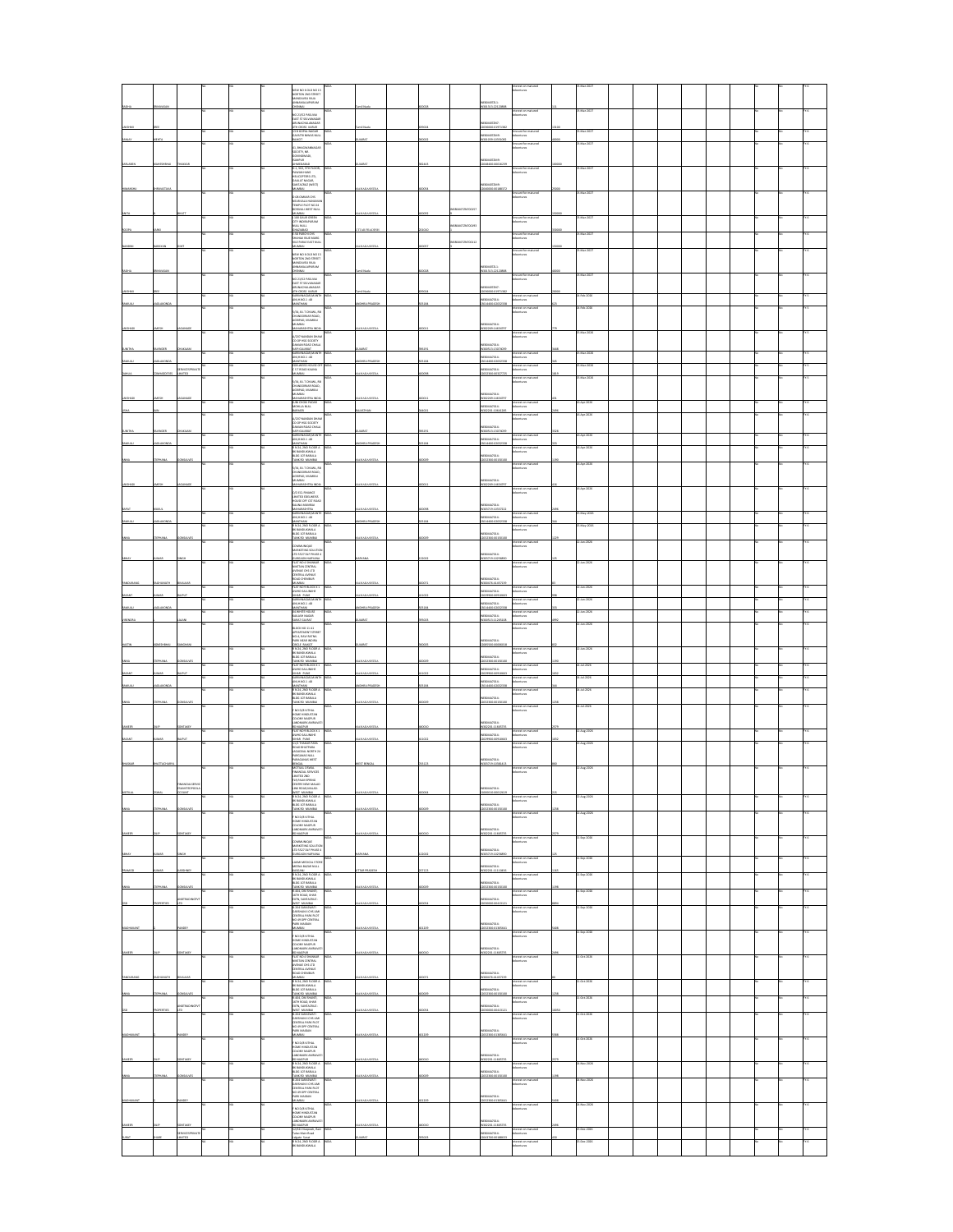|                   |                                       |  |                                                                                                                                                                                                                                                                          |                         |             |               |                                             | rterest on mature<br>lebentures |      |                     |  |  |  |  |
|-------------------|---------------------------------------|--|--------------------------------------------------------------------------------------------------------------------------------------------------------------------------------------------------------------------------------------------------------------------------|-------------------------|-------------|---------------|---------------------------------------------|---------------------------------|------|---------------------|--|--|--|--|
|                   |                                       |  | NEW NO 6 OLD NO 13<br>NORTON 2ND STREET<br>MANDAVELI RALA<br>ANNAMALAIPURAM<br>EMAN                                                                                                                                                                                      |                         |             |               | 48040721-<br>000313-2212088                 |                                 |      |                     |  |  |  |  |
|                   |                                       |  | no 21/52 pasuva<br>East St Selvanagar<br>Munachalanagar                                                                                                                                                                                                                  |                         |             |               |                                             | arest on matured<br>bentures    |      | Mar-2027            |  |  |  |  |
|                   |                                       |  |                                                                                                                                                                                                                                                                          |                         |             |               | E806072N7<br>036000-01971393                |                                 |      |                     |  |  |  |  |
|                   |                                       |  | TH CROSS KARUR<br>3 B GOPAL NAGAR<br>AYATRI NINING NULL<br>AWATRI NINING NULL                                                                                                                                                                                            |                         |             |               | 4804072MH<br>01039-1035108                  | sunt for r<br>entures           |      |                     |  |  |  |  |
|                   |                                       |  |                                                                                                                                                                                                                                                                          |                         |             |               |                                             | sount for matured<br>bentures   |      | Mar-2027            |  |  |  |  |
|                   |                                       |  |                                                                                                                                                                                                                                                                          |                         |             |               | 836072MB-<br>68833-0001E                    |                                 |      |                     |  |  |  |  |
|                   |                                       |  | 41, BHAGWANNAGA<br>41, BHAGWANNAG<br>60/WN2WAD,<br>64/MPLIR<br>64, 502, 51H FLOOR,<br>64/MAN HANS<br>9/WANN HANS<br>64/LICPT MAGAR,<br>64/LICPT MAGAR,<br>64/LICPT MAGAR,<br>64/LICPT MAGAR,                                                                             |                         |             |               |                                             | ount for m<br>bentures          |      |                     |  |  |  |  |
| <b>HRIVASTAVA</b> |                                       |  |                                                                                                                                                                                                                                                                          | ANARASHTEA              | cos4        |               | 2004072M<br>2040000-00188372                |                                 |      |                     |  |  |  |  |
|                   |                                       |  |                                                                                                                                                                                                                                                                          |                         |             |               |                                             | unt for m<br>entanes            |      |                     |  |  |  |  |
|                   |                                       |  | D-08 OMKAR CHE<br>NEAR KALA HANUMAN<br>FEMPLE PLOT NO 24<br>RORVALI WEST NULL                                                                                                                                                                                            |                         |             | E804072W70015 |                                             |                                 |      |                     |  |  |  |  |
|                   |                                       |  |                                                                                                                                                                                                                                                                          | <b>ASLARASETE</b>       |             |               |                                             | cunt for matured<br>centures    | 0000 |                     |  |  |  |  |
|                   |                                       |  | BERRYAN<br>MUNISIAN<br>CITY INDIRAPLIRAM<br>CITY INDIRAPLIRAM<br>GHATANIA<br>GHATANIA<br>VILIMIAN<br>MUNISIAN<br>MUNISIAN<br>MUNISIAN<br>MUNISIAN                                                                                                                        | <b>TTAR PRADESES</b>    |             | 8041072W70019 |                                             | unt for mas<br>entures          |      |                     |  |  |  |  |
|                   |                                       |  | UMÁNI                                                                                                                                                                                                                                                                    |                         |             | 808072670011  |                                             |                                 |      |                     |  |  |  |  |
|                   |                                       |  |                                                                                                                                                                                                                                                                          |                         |             |               |                                             |                                 |      |                     |  |  |  |  |
|                   |                                       |  | NEW NO 6 OLD NO 13<br>NORTON 2ND STREET<br>MANDAMEJ RALA<br>ANNAMALAIPURAM<br>CHENNAM                                                                                                                                                                                    |                         |             |               | E804072L1-<br>901313-2212                   |                                 |      |                     |  |  |  |  |
|                   |                                       |  | no 21/52 pasuwa<br>East St Selvanagar<br>Arunachalanagar                                                                                                                                                                                                                 |                         |             |               |                                             | ount for matured<br>ientures    |      | Mar-2027            |  |  |  |  |
|                   |                                       |  | <b>KRUINKLINKLINK</b><br>KARIMMAAR MAN<br>ANLILNO 1-68<br>ANLILNO 1-68                                                                                                                                                                                                   | mil Nadu                | œ           |               | 80407267<br>036000-01971383                 | rest on mature                  |      |                     |  |  |  |  |
|                   |                                       |  |                                                                                                                                                                                                                                                                          |                         |             |               | -                                           | entates                         |      |                     |  |  |  |  |
|                   |                                       |  | 5/24, 9.17 CHAWL, R9<br>CHANDORCAR ROAD,<br>AGRIPAD, MUMBAI<br>MUMBAI                                                                                                                                                                                                    |                         |             |               |                                             | erest on matured<br>entures     |      |                     |  |  |  |  |
|                   |                                       |  | <b><i>HARASHTRA INC.</i></b>                                                                                                                                                                                                                                             |                         |             |               | <b>EBONIA 7014</b><br>102269-1463479        |                                 |      | -Mar-2020           |  |  |  |  |
|                   |                                       |  | 4/307 NANDAN DHAM<br>CO OP HGG SOCIETY<br>DAMAN ROAD OHALA                                                                                                                                                                                                               |                         |             |               | AE806IA7014                                 | arest on matured<br>bentures    |      |                     |  |  |  |  |
|                   | <b>AKLAN</b>                          |  | INFI GUIMANT<br>JARMMUGAR MAN<br>MI H NO 1 - 68                                                                                                                                                                                                                          | wax                     |             |               | 4900513-13074039<br>400MA7014               | irest on ma<br>ientures         |      |                     |  |  |  |  |
|                   |                                       |  | ANVEHAN<br>DELWEISS HOUSE OF<br>ST ROAD KALINA<br>JEINIGAI                                                                                                                                                                                                               |                         |             |               | 014400-02022                                | erest on mature<br>Seetares     |      | Mar-202             |  |  |  |  |
|                   | .<br>Microsoft<br>Micro               |  |                                                                                                                                                                                                                                                                          |                         |             |               | 6806147056-<br>1022200-0022                 | arest on matured<br>bentures    |      | $Mx-2026$           |  |  |  |  |
|                   |                                       |  | 5/24, 8.17 CHAWL, RB<br>CHANDORKAR ROAD,<br>NGRIPAD, MUMBAI<br>MUMBAI                                                                                                                                                                                                    |                         |             |               | AE806IA7014                                 |                                 |      |                     |  |  |  |  |
|                   |                                       |  |                                                                                                                                                                                                                                                                          |                         |             |               | 102269-1463479                              | erest on matured<br>ientanes    |      | Apr-2020            |  |  |  |  |
|                   |                                       |  |                                                                                                                                                                                                                                                                          |                         |             |               | 6806A7014-<br>002201-1064128                | arest on matured<br>bentures    |      | Apr-2020            |  |  |  |  |
|                   |                                       |  | V207 NANDAN DHAN<br>CO OP HSG SOCIETY<br>DAMAN ROAD CHALA                                                                                                                                                                                                                |                         |             |               | <b>BOARA 2014</b>                           |                                 |      |                     |  |  |  |  |
|                   |                                       |  | NINN NOND LING<br>NR GUIARAT<br>NUH NO.1 -68<br>NATUANI                                                                                                                                                                                                                  |                         |             |               | 000513-13074<br>E804147014-<br>1014000-0003 | rest on ma<br>entures           |      | Apr-2021            |  |  |  |  |
|                   |                                       |  | MANTHANI<br>R.N.24, 2ND FLOOR<br>R.K BANDUKINNLA<br>RLDG 107 BABULA<br>TANK RD MUMBAL                                                                                                                                                                                    | HRA PRADE               |             |               |                                             | erest on matured<br>Sentares    |      | Apr-2026            |  |  |  |  |
|                   |                                       |  |                                                                                                                                                                                                                                                                          |                         |             |               | 6806IA7056-<br>1022200-0015                 |                                 |      | Apr-202             |  |  |  |  |
|                   |                                       |  | 5/24, 8.17 OHUN, 88<br>CHANDORAR ROAD,<br>AGRIPAD, MUMBAI<br>MUMBAGHTRA INDIA                                                                                                                                                                                            |                         |             |               |                                             | rrest on matured<br>ientures    |      |                     |  |  |  |  |
|                   |                                       |  |                                                                                                                                                                                                                                                                          |                         |             |               | NEBOBIA7056-<br>NGC 2269-14634797           |                                 |      |                     |  |  |  |  |
|                   |                                       |  | CJD ECL FRANCE<br>LIMITED EDGLWEISS<br>HOUSE OFF CST ROAD<br>KAUNA MUNARA<br>KARIMNAGAR, MANTH                                                                                                                                                                           |                         |             |               |                                             | rrest on m.<br>erdures          |      |                     |  |  |  |  |
|                   |                                       |  |                                                                                                                                                                                                                                                                          |                         |             |               | 806147054-<br>02719-10227                   |                                 |      |                     |  |  |  |  |
|                   |                                       |  | 89-1.0MH.M                                                                                                                                                                                                                                                               | <b>HRA PRADES</b>       | $-144$      |               | NEBONA7014-<br>13014400-02032335            | arest on ma<br>bentures         |      |                     |  |  |  |  |
|                   |                                       |  | MANTHANI<br>R.N. 24, 2ND FLOOR A<br>R.D.G. 927 BABULA<br>R.D.G. 927 BABULA<br>FANK R.D. MUNABAI                                                                                                                                                                          |                         |             |               | E806M7014                                   | est co r<br>etures              |      |                     |  |  |  |  |
|                   | 65433                                 |  |                                                                                                                                                                                                                                                                          | <b><i>BURASHTRA</i></b> |             |               | 3032300-00150100                            | rest on ma<br>retures           |      |                     |  |  |  |  |
|                   |                                       |  | THE THREE CONTRACTS<br>MARKETING SCUTTOM<br>SUBSACH HARMAN<br>GUBSACH HARMAN<br>MATING CHE THE<br>MATING CHE THE<br>CONTRACTS<br>CONTRACTS<br>ACAD CHEMICH<br>ACAD CHEMICH<br>ACAD CHEMICH<br>ACAD CHEMICH                                                               |                         |             |               | 806147054-<br>02719-102568                  |                                 |      |                     |  |  |  |  |
|                   |                                       |  |                                                                                                                                                                                                                                                                          |                         |             |               |                                             | arest on ma<br>bentares         |      |                     |  |  |  |  |
|                   | VALKA                                 |  |                                                                                                                                                                                                                                                                          | ANARASHTEA              |             |               | EB04IA7014<br>1000036-45457139              |                                 |      |                     |  |  |  |  |
|                   |                                       |  | ROAD OKRABUR<br>KATNO 9 BLOCK K.S<br>KATNO 9 BLOCK K.S<br>KARANAGAR, AANTI<br>KARANAGAR, AANTI<br>ARIJAND 18<br>ARIJAND 18                                                                                                                                               |                         |             |               | 6806147014-<br>1029900-0091                 | erest on matured<br>Seetares    |      |                     |  |  |  |  |
|                   |                                       |  |                                                                                                                                                                                                                                                                          | <b>HRA PRADESA</b>      | $-144$      |               | E806IA7054-<br>3014400-0203233              | erest on mature<br>Sentanes     |      |                     |  |  |  |  |
|                   |                                       |  | ANTHAN<br>K WHITE HOUSE<br>ALASH NAGAR<br>LIRAT GLIRAT                                                                                                                                                                                                                   |                         |             |               | NEROSIA 7054-<br>1000513-1120510            | ved on mat<br>Sentanes          |      |                     |  |  |  |  |
|                   |                                       |  | <b>BLOCK NO 11 A1<br/>APPARTMENT STRAST<br/>NO-4, RAVA RATNA<br/>PARK NEAR INDIRA</b><br>COCK TALWIN                                                                                                                                                                     |                         |             |               |                                             | rrest on matured<br>ientures    |      |                     |  |  |  |  |
|                   |                                       |  |                                                                                                                                                                                                                                                                          |                         |             |               | 80647014<br>165503-0000                     |                                 |      |                     |  |  |  |  |
|                   |                                       |  | FRANCIS BAINDT<br>CIRCLE BAINDERINA<br>BEDG 107 BABILIA<br>BEDG 107 BABILIA<br>TANK RD MUSHBAL<br>FLAT NO 9 BEDOCK<br>MINIO SALUNDIS<br>MINIO SALUNDIS                                                                                                                   |                         |             |               | 806M7054<br>(2200-001)                      | arest on matured<br>bentures    |      | <b>VI-ZEN</b>       |  |  |  |  |
|                   |                                       |  |                                                                                                                                                                                                                                                                          |                         |             |               | 4200447054                                  | irest on m<br>ientures          |      |                     |  |  |  |  |
|                   |                                       |  | har pung<br>Jeninggrenia                                                                                                                                                                                                                                                 | <b><i>URASHTRA</i></b>  | 1022        |               | 029900-0091066                              | est con r<br>etunes             |      |                     |  |  |  |  |
| ADLARDINDA        |                                       |  | KARIMINGAR,MAN<br>ANUHAND 1 -88<br>MANTHANI<br>R.N.DE, 2ND FLOOR<br>BILDE 107 BABULA<br>BILDE 107 BABULA                                                                                                                                                                 | <b>DHRA PRADESH</b>     | <b>X184</b> |               | INEBORIA7014-<br>13014400-02032338          | vrest on mat<br>ienbanes        |      |                     |  |  |  |  |
|                   | OMALVES                               |  | <b>TANK RD MUMBAL</b>                                                                                                                                                                                                                                                    | <b>ASLARASHTE</b>       | œ           |               | E806M7014<br>12032300-00150100              | est on m                        |      |                     |  |  |  |  |
|                   |                                       |  | F NO D/R VITHAL<br>HOME HINDUSTAN<br>COLONY NAGPUR<br>LANDMARK AMBAVAT<br>RAT NO 9 RLOOK K 1<br>RAT NO 9 RLOOK K 1<br>MAH D SALUNGHE<br>MAH D SALUNGHE                                                                                                                   |                         |             |               |                                             | entates                         |      |                     |  |  |  |  |
|                   | <b>VEARE</b>                          |  |                                                                                                                                                                                                                                                                          |                         |             |               | NEBORIA7054-<br>NGC 2205-11665735           |                                 |      |                     |  |  |  |  |
|                   |                                       |  |                                                                                                                                                                                                                                                                          |                         |             |               | <b>SERDIN 7014</b><br>029900-009            | erest on ma<br>Geritanes        |      | Aug-2006<br>Aug-203 |  |  |  |  |
|                   |                                       |  | <i>NINHO SALUNIONE<br/>11/3 THAKUR PARK<br/>11/2 THAKUR PARK<br/>ROAD BHATPARA<br/>PARGANAS WLLL<br/>PARGANAS WLLL<br/>DEWGAN</i><br>DEWGAN                                                                                                                              |                         |             |               |                                             | rest on m.<br>ectares           |      |                     |  |  |  |  |
|                   |                                       |  |                                                                                                                                                                                                                                                                          |                         |             |               | 6806A7014-<br>6202719-1028141               |                                 |      |                     |  |  |  |  |
|                   |                                       |  |                                                                                                                                                                                                                                                                          |                         |             |               |                                             | arest on m<br>bentures          |      |                     |  |  |  |  |
|                   | <b>CLALSE</b><br>LIMITEDROOL<br>IOUNT |  | ANARANAS WEST<br>ANGELIA CENNAL<br>CHANGE SERVICES<br>CHANGE SERVICES<br>CANGEN SERVICES<br>CANGEN SERVICES<br>ANGER SERVICES<br>ANGER SERVICES<br>ANGER SERVICES<br>ANGER SERVICES                                                                                      |                         |             |               | -NGRAINGER                                  |                                 |      |                     |  |  |  |  |
|                   |                                       |  |                                                                                                                                                                                                                                                                          |                         |             |               | 00010-0001261                               | rest on i<br>ectares            |      |                     |  |  |  |  |
|                   | <b>ALVES</b>                          |  |                                                                                                                                                                                                                                                                          |                         |             |               | AE804IA7054<br>322300-001                   | rest on matured<br>entanes      |      | Aug-2020            |  |  |  |  |
|                   |                                       |  | F NO DJR VITHNI<br>HOME HINDUSTAN<br>COLONY NAGPUR<br>LANDMARK AMRAVIK<br>RD NAGPUR                                                                                                                                                                                      |                         |             |               |                                             |                                 |      |                     |  |  |  |  |
|                   |                                       |  |                                                                                                                                                                                                                                                                          |                         |             |               | 806A7054-<br>02205-11665                    | arest on mature<br>bentures     |      |                     |  |  |  |  |
|                   |                                       |  | Communique<br>Marketing Solutio<br>Curgaon Harxana<br>Curgaon Harxana                                                                                                                                                                                                    |                         |             |               | 2<br>2004 - 2014<br>2017 12: 10:21          |                                 |      |                     |  |  |  |  |
|                   |                                       |  | ane MEDICAL STORE<br>EENA BAZAR NULL<br>:C HHI                                                                                                                                                                                                                           |                         |             |               |                                             | erest on matured<br>Sentanes    |      | Sep-2026            |  |  |  |  |
|                   |                                       |  |                                                                                                                                                                                                                                                                          |                         |             |               | 306A7014-<br>102201-111104                  | irest on matures<br>ienbanes    |      | $500 - 2021$        |  |  |  |  |
|                   |                                       |  |                                                                                                                                                                                                                                                                          |                         |             |               | -<br>032300-0011                            |                                 |      |                     |  |  |  |  |
| camco             |                                       |  |                                                                                                                                                                                                                                                                          | <b>DAGLITE</b>          |             |               | 806A7014-<br>(20000-0041212-                | erest on matured<br>Sentanes    |      | Sep-2026            |  |  |  |  |
|                   |                                       |  |                                                                                                                                                                                                                                                                          |                         |             |               |                                             | rest on mature<br>entanes       |      |                     |  |  |  |  |
|                   |                                       |  | MERINA ANGKRI<br>MERINA ANGKRI<br>KARANG ANGKRI<br>KARANG ANGKRI<br>KARANG ANGKRI<br>KARANG ANGKRI<br>KARANG ANGKRI<br>KARANG ANGKRI<br>KARANG ANGKRI<br>KARANG ANGKRI<br>CONTINUE ANGKRI<br>CONTINUE ANGKRI<br>CONTINUE ANGKRI<br>CONTINUE ANGKRING<br>CONTINUE ANGKRIN |                         |             |               | <b>SERDIN 7014</b>                          |                                 |      |                     |  |  |  |  |
|                   |                                       |  |                                                                                                                                                                                                                                                                          |                         |             |               | 0032300-013056                              | erest on matured<br>Sentanes    |      | Sep-2026            |  |  |  |  |
|                   |                                       |  | F NO DJR VITHAL<br>HOME HINDUSTAN<br>COLONY NAGPUR<br>LANDMARK AMRAVAT<br>DD HILFOUR                                                                                                                                                                                     |                         |             |               | 806M7054                                    |                                 |      |                     |  |  |  |  |
|                   |                                       |  |                                                                                                                                                                                                                                                                          |                         |             |               | 12201-1160                                  | arest on matured<br>bentures    |      | 01-2026             |  |  |  |  |
|                   |                                       |  |                                                                                                                                                                                                                                                                          |                         |             |               | <b>BONA7014</b>                             |                                 |      |                     |  |  |  |  |
|                   |                                       |  |                                                                                                                                                                                                                                                                          |                         |             |               | 00036-0107120                               | rest on matured<br>entanes      |      |                     |  |  |  |  |
| PHANA             | MANS                                  |  |                                                                                                                                                                                                                                                                          | ANARASHTRA              | cco         |               | EB04IA7014<br>12032300-00150100             |                                 |      |                     |  |  |  |  |
|                   | <b>OTRACK</b>                         |  |                                                                                                                                                                                                                                                                          |                         |             |               | EB04IA7014                                  | rrest on matured<br>ietitanes   |      |                     |  |  |  |  |
| ROPERTIES         |                                       |  |                                                                                                                                                                                                                                                                          | <b>ASLARASHTE</b>       | <b>COSA</b> |               | 2020000-00412121                            | ret on m<br>entates             |      |                     |  |  |  |  |
|                   |                                       |  |                                                                                                                                                                                                                                                                          |                         |             |               | NEBONA7014-<br> 2032300-0130554-            |                                 |      |                     |  |  |  |  |
|                   |                                       |  |                                                                                                                                                                                                                                                                          | <b>LARASHTE</b>         |             |               |                                             | rest on m<br>entures            |      |                     |  |  |  |  |
|                   |                                       |  |                                                                                                                                                                                                                                                                          |                         |             |               |                                             |                                 |      |                     |  |  |  |  |
|                   |                                       |  |                                                                                                                                                                                                                                                                          |                         |             |               | 2804147014-<br>302201-11665                 | erest on matured<br>Sentanes    |      | iov-2026            |  |  |  |  |
|                   |                                       |  | -<br>FRO DIR VITARI<br>GOLONY NAGPUS<br>GOLONY NAGPUS<br>COLONY NAGPUS<br>BO MAGPUS<br>BO MAGPUS<br>BO MAGPUS<br>DIR SARACINITING RECORD NAGRATI<br>TARK BO MAGPUS<br>DIR SARACINITING RECORD<br>DIRACING NAGRATING<br>DIRACING RECORDS<br>DIRACING RECORDS              |                         |             |               | -<br>1223004                                |                                 |      |                     |  |  |  |  |
|                   |                                       |  |                                                                                                                                                                                                                                                                          |                         |             |               |                                             | rest on matured<br>entures      |      |                     |  |  |  |  |
|                   |                                       |  | MÅN.                                                                                                                                                                                                                                                                     |                         |             |               | NEB04IA7054-<br>032300-013                  |                                 |      |                     |  |  |  |  |
|                   |                                       |  | F NO DJE VITHAL<br>HOME HINDUSTAN<br>HOME HINDUSTAN<br>LONDBARRE ARRAVENT<br>LINDBARREN<br>SD NAGENR<br>ST DAS MARROUR<br>HINDA SANT BOX<br>R RANDURINALA<br>R R PA, 2ND FLOOR A                                                                                         |                         |             |               |                                             | rest on i<br>entures            |      |                     |  |  |  |  |
|                   |                                       |  |                                                                                                                                                                                                                                                                          |                         |             |               | 806147054-<br>02205-156657                  |                                 |      |                     |  |  |  |  |
|                   | ERVICESPRAV<br>MATED                  |  |                                                                                                                                                                                                                                                                          |                         |             |               | <br> NGROBIA7014-<br> 2042700-00188621      | erest on m<br>Dentares          |      |                     |  |  |  |  |
|                   |                                       |  |                                                                                                                                                                                                                                                                          |                         |             |               |                                             | est on<br>etunes                |      |                     |  |  |  |  |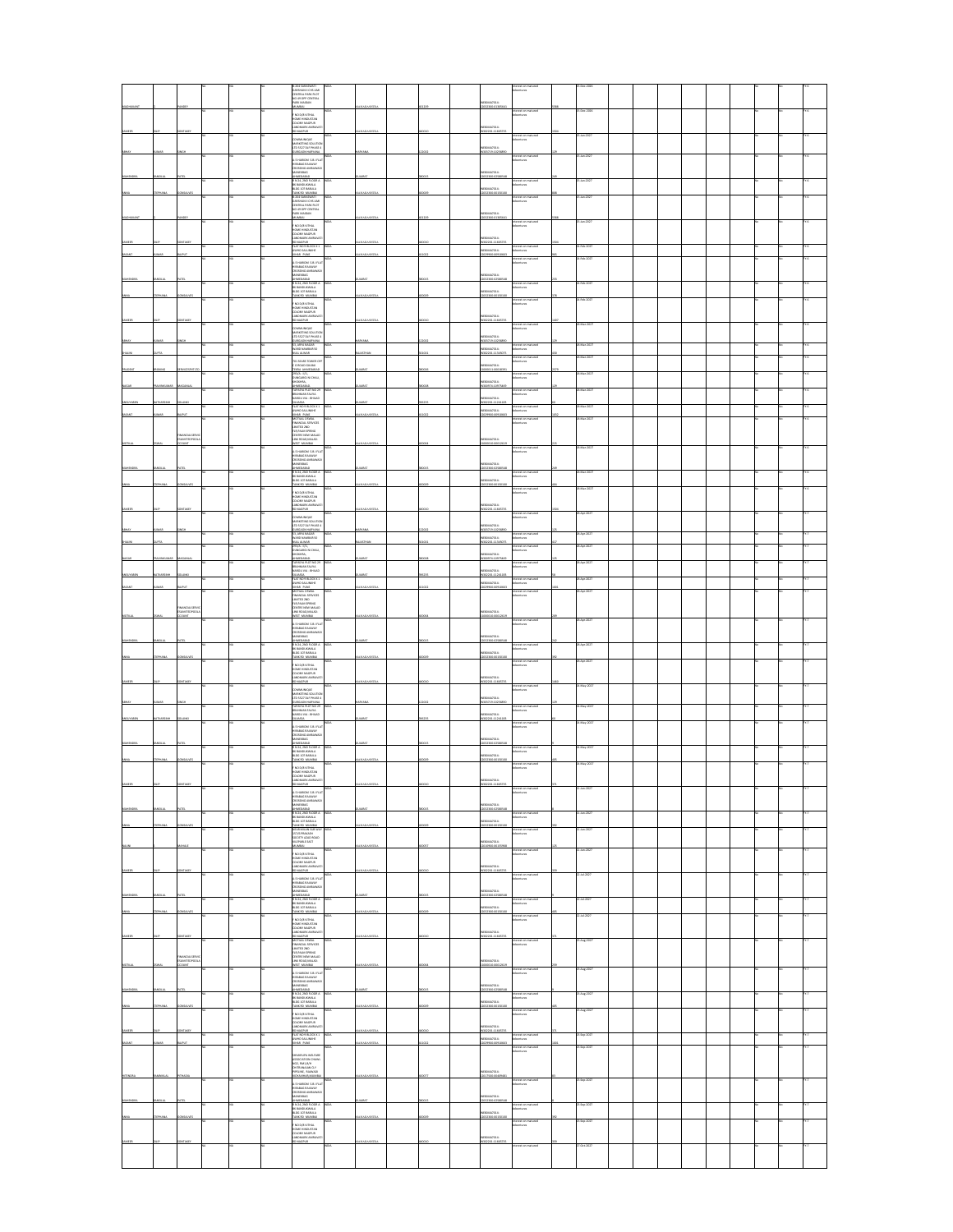|               |                                          |  |                                                                                                                                                                                                                                                                                                                                                                                                                                                                                                   |                        |      |                                      | rest on i<br>entures             |                |  |  |  |  |  |
|---------------|------------------------------------------|--|---------------------------------------------------------------------------------------------------------------------------------------------------------------------------------------------------------------------------------------------------------------------------------------------------------------------------------------------------------------------------------------------------------------------------------------------------------------------------------------------------|------------------------|------|--------------------------------------|----------------------------------|----------------|--|--|--|--|--|
|               |                                          |  | r-208 Sarasmati<br>Cineshan II Chis Lini<br>Cinetral Park Plot<br>Nork Maichay<br>Park Maichay<br>Mumbay                                                                                                                                                                                                                                                                                                                                                                                          |                        |      |                                      |                                  |                |  |  |  |  |  |
|               |                                          |  |                                                                                                                                                                                                                                                                                                                                                                                                                                                                                                   |                        |      | 6806147056-<br>1032300-0130          | arest on matured<br>bentures     |                |  |  |  |  |  |
|               |                                          |  | F NO DJE VITHAL<br>HOME HINDUSTAN<br>COLONY NAGPUR<br>LANDMARK AMRAVIJ                                                                                                                                                                                                                                                                                                                                                                                                                            |                        |      |                                      |                                  |                |  |  |  |  |  |
|               |                                          |  | <b>SUGGAR</b> O                                                                                                                                                                                                                                                                                                                                                                                                                                                                                   |                        |      | <b>BONA7014</b><br>02201-1166572     |                                  |                |  |  |  |  |  |
|               |                                          |  | COMMUNIQUE<br>MARKETING SOLUTION<br>LTD SE27 DLF PHASE 4                                                                                                                                                                                                                                                                                                                                                                                                                                          |                        |      |                                      | erest on matured<br>ientanes     |                |  |  |  |  |  |
|               |                                          |  | <b>URGADY HARVAN</b>                                                                                                                                                                                                                                                                                                                                                                                                                                                                              |                        |      | NEBORIA 7014<br>003719-10256890      |                                  |                |  |  |  |  |  |
|               |                                          |  |                                                                                                                                                                                                                                                                                                                                                                                                                                                                                                   |                        |      |                                      | rest on i<br>entures             |                |  |  |  |  |  |
|               |                                          |  |                                                                                                                                                                                                                                                                                                                                                                                                                                                                                                   |                        |      |                                      |                                  |                |  |  |  |  |  |
|               |                                          |  | A 6 HARIOM S RIFLAT<br>HRARAG RAILWAY<br>CROSSING AMEANWADI<br>MANGORAG<br>AN RAICHNING A<br>RY RAICHNING A                                                                                                                                                                                                                                                                                                                                                                                       | <b>VAAT</b>            |      | 6804147014-<br>032300-0258           | erest on mature                  |                |  |  |  |  |  |
|               |                                          |  | R N 26, 2ND FLOOR A<br>BEGANDLINNAN<br>BEDG 207 BABULA<br>TANK RD MUMBAN<br>BERSHAN II CONTRAL<br>CONTRAL PARK PLOT<br>NO 49 OPP CENTRAL<br>MR MADAN<br>MR MADAN<br>MR MADAN                                                                                                                                                                                                                                                                                                                      | <b>ARASHTE</b>         |      | 6806147014-<br>1032300-00156         | ettates                          |                |  |  |  |  |  |
|               |                                          |  |                                                                                                                                                                                                                                                                                                                                                                                                                                                                                                   |                        |      |                                      | arest on mature<br>bentures      |                |  |  |  |  |  |
|               |                                          |  |                                                                                                                                                                                                                                                                                                                                                                                                                                                                                                   |                        |      | <b>SERDIN 7014</b>                   |                                  |                |  |  |  |  |  |
|               |                                          |  | <b>MANUM</b>                                                                                                                                                                                                                                                                                                                                                                                                                                                                                      |                        |      | 2032300-0130564                      | terest on matured<br>bentures    | $5-202$        |  |  |  |  |  |
|               |                                          |  |                                                                                                                                                                                                                                                                                                                                                                                                                                                                                                   |                        |      |                                      |                                  |                |  |  |  |  |  |
|               |                                          |  | F NO DJR WITHAL<br>HOLD FIND STAND<br>COLONY NAGPUR<br>LANDBARK AMRAVIK<br>RD NAGPUR<br>FLAT NO 9 RLOOK K 1<br>HANHO SALUNKHE<br>VIHAR - PUNE                                                                                                                                                                                                                                                                                                                                                     |                        |      | 6804147054-<br>302205-1166           |                                  |                |  |  |  |  |  |
|               |                                          |  |                                                                                                                                                                                                                                                                                                                                                                                                                                                                                                   |                        |      | INERDEN7054-<br>12029900-00910661    | terest on m<br>bentures          |                |  |  |  |  |  |
|               |                                          |  |                                                                                                                                                                                                                                                                                                                                                                                                                                                                                                   |                        |      |                                      | vrest on ma<br>vretures          |                |  |  |  |  |  |
|               |                                          |  | A SHAROM SRIFLA<br>HRAMA RAIWAY<br>CROSSING AMBAWADI<br>MANGGRAG<br>MATOALIO<br>RA 24, 200 FLOOR A<br>RC AMDUCINALA<br>RLOG 307 RABULA<br>TANK RD AMBAULA                                                                                                                                                                                                                                                                                                                                         |                        |      | 6806M7014-<br>032300-02580           |                                  |                |  |  |  |  |  |
|               |                                          |  |                                                                                                                                                                                                                                                                                                                                                                                                                                                                                                   | <b>VAAT</b>            |      |                                      | terest on matured                |                |  |  |  |  |  |
|               |                                          |  |                                                                                                                                                                                                                                                                                                                                                                                                                                                                                                   |                        |      | 6806147056-<br>1032300-0015          | bertares<br>.                    |                |  |  |  |  |  |
|               |                                          |  |                                                                                                                                                                                                                                                                                                                                                                                                                                                                                                   |                        |      |                                      | erest on matured<br>Sentares     |                |  |  |  |  |  |
|               |                                          |  | F NO DJR VITHAL<br>HOME HINDUSTAN<br>COLONY NAGPUR<br>LANDMARK AMRAVAK                                                                                                                                                                                                                                                                                                                                                                                                                            |                        |      | 450447014-<br>(302201-11665725       |                                  |                |  |  |  |  |  |
|               |                                          |  | <b>SUGRIA</b>                                                                                                                                                                                                                                                                                                                                                                                                                                                                                     |                        |      |                                      | sterest on matured<br>lebentures | 8 Mar-2027     |  |  |  |  |  |
|               |                                          |  | COMMUNIQUE<br>MARKETING SOLUTION<br>LTD 5527 DLF PHASE 4                                                                                                                                                                                                                                                                                                                                                                                                                                          |                        |      | E806A7054                            |                                  |                |  |  |  |  |  |
|               |                                          |  | gurgaon harikana<br>S2, arya nagkar<br>ward nambar so                                                                                                                                                                                                                                                                                                                                                                                                                                             |                        |      | 4903719-10256890                     | arest on matured<br>bentures     |                |  |  |  |  |  |
|               |                                          |  | <b>SAWJA JUM</b>                                                                                                                                                                                                                                                                                                                                                                                                                                                                                  |                        |      | NEBORIA 7014 -<br>NGC 2201 - 11345   | terest on matured<br>bentures    | Mar-202        |  |  |  |  |  |
|               |                                          |  | .<br>201 SEARS TOWER OF                                                                                                                                                                                                                                                                                                                                                                                                                                                                           |                        |      | E806M7014<br>000011-0001839          |                                  |                |  |  |  |  |  |
|               |                                          |  | 201 SIARA TUNNIK MUSIKA<br>C 6 ROMA GAUSA (CHEAR)<br>201 A - 11 R., ANGELIA (CHEAR)<br>201 A - 11 R., ANGELIA (CHEAR)<br>201 A - 11 R., ANGELIA (CHEAR)<br>201 A - 11 R., ANDREAM (CHEAR)<br>201 A - 11 R., ANDREAM (CHEAR)<br>201 A - 11 R., ANGE                                                                                                                                                                                                                                                |                        |      | E806M7016                            | arest on matured<br>bentures     | Mar-2027       |  |  |  |  |  |
|               | <b>MGANLAI</b>                           |  |                                                                                                                                                                                                                                                                                                                                                                                                                                                                                                   | MAK                    |      | 4200974-10975469                     |                                  |                |  |  |  |  |  |
|               |                                          |  |                                                                                                                                                                                                                                                                                                                                                                                                                                                                                                   |                        |      | <b>EBONIA 7014</b>                   | erest on matured<br>Seebures     |                |  |  |  |  |  |
|               |                                          |  |                                                                                                                                                                                                                                                                                                                                                                                                                                                                                                   |                        |      | 00000111241183<br>E806M7054-         | erest on matured<br>Sentanes     | Mar-2027       |  |  |  |  |  |
|               |                                          |  |                                                                                                                                                                                                                                                                                                                                                                                                                                                                                                   |                        |      |                                      | terest on matured<br>bentures    | Mar-2027       |  |  |  |  |  |
|               |                                          |  |                                                                                                                                                                                                                                                                                                                                                                                                                                                                                                   |                        |      |                                      |                                  |                |  |  |  |  |  |
|               | MIGALSER<br>LIMITEDROOL                  |  |                                                                                                                                                                                                                                                                                                                                                                                                                                                                                                   |                        |      | -1005AB082A                          |                                  |                |  |  |  |  |  |
|               | TWO                                      |  |                                                                                                                                                                                                                                                                                                                                                                                                                                                                                                   | <b>LARASHTE/</b>       |      | 1000010-00012619                     | irest on mat<br>ientures         |                |  |  |  |  |  |
|               |                                          |  |                                                                                                                                                                                                                                                                                                                                                                                                                                                                                                   |                        |      |                                      |                                  |                |  |  |  |  |  |
|               |                                          |  |                                                                                                                                                                                                                                                                                                                                                                                                                                                                                                   |                        |      | 6806A7014-<br>012200-02580           |                                  | Mar-2022       |  |  |  |  |  |
|               |                                          |  | A-SHAROM S.R.IFLAT<br>HIRARAG RAILWAY<br>CROSSING AMEAYANDI<br>LAMKGRAG<br>MA-24, 2NO FLOOR A<br>RK RANDUCHINLA<br>RK RANDUCHINLA<br>REDG 307 RARULA<br>TANK RO MUMBAI                                                                                                                                                                                                                                                                                                                            |                        |      | <b>BOSHA7016</b>                     | erest on matured<br>bentures     |                |  |  |  |  |  |
|               |                                          |  |                                                                                                                                                                                                                                                                                                                                                                                                                                                                                                   |                        |      | 32200-0                              | erest on matured<br>entanes      |                |  |  |  |  |  |
|               |                                          |  | F NO DJR VITHAL<br>HOME HINDUSTAN<br>COLONY NAGPUR<br>LANDMARK AMRAVIK                                                                                                                                                                                                                                                                                                                                                                                                                            |                        |      |                                      |                                  |                |  |  |  |  |  |
|               |                                          |  | <b>SURGAN CR</b>                                                                                                                                                                                                                                                                                                                                                                                                                                                                                  |                        |      | 6806A7054-<br>@02205-11665720        |                                  | Apr-20         |  |  |  |  |  |
|               |                                          |  | COMMUNIQUE<br>MARKETING SOLUTION<br>LTD SE27 DLF PHASE 4                                                                                                                                                                                                                                                                                                                                                                                                                                          |                        |      |                                      | erest on matured<br>Sentanes     |                |  |  |  |  |  |
|               |                                          |  | SURGAON HARSANA<br>52, ARYA NAGAR<br>NARD NAMBAR SO                                                                                                                                                                                                                                                                                                                                                                                                                                               |                        |      | NERONA7014-<br>NGC 2719-10256890     | arest on mat<br>bentures         |                |  |  |  |  |  |
|               |                                          |  |                                                                                                                                                                                                                                                                                                                                                                                                                                                                                                   |                        |      | <b>NERDELA 7056-</b><br>102201-11349 |                                  | 8-Apr-202      |  |  |  |  |  |
|               |                                          |  |                                                                                                                                                                                                                                                                                                                                                                                                                                                                                                   |                        |      | AEROSIA 7014                         | derest on matured<br>ebentures   |                |  |  |  |  |  |
|               |                                          |  | $\begin{tabular}{l c c c} \hline \textbf{0.04}\footnotesize & \textbf{0.04}\footnotesize & \textbf{0.04}\footnotesize & \textbf{0.04}\footnotesize & \textbf{0.04}\footnotesize & \textbf{0.04}\footnotesize & \textbf{0.04}\footnotesize & \textbf{0.04}\footnotesize & \textbf{0.04}\footnotesize & \textbf{0.04}\footnotesize & \textbf{0.04}\footnotesize & \textbf{0.04}\footnotesize & \textbf{0.04}\footnotesize & \textbf{0.04}\footnotesize & \textbf{0.04}\footnotesize & \textbf{0.04$ |                        |      | N300974-109754                       | arest on matured<br>bentures     | Apr-202        |  |  |  |  |  |
| 8340          |                                          |  |                                                                                                                                                                                                                                                                                                                                                                                                                                                                                                   |                        |      | EB04IA7014<br>902201-11241183        |                                  |                |  |  |  |  |  |
| <b>MAT</b>    |                                          |  |                                                                                                                                                                                                                                                                                                                                                                                                                                                                                                   | <b><i>URASHTRA</i></b> | 1022 | NEB04IA7014-<br>(2029900-0091        | terest on matured<br>bentures    | 8-Apr-2022     |  |  |  |  |  |
|               |                                          |  |                                                                                                                                                                                                                                                                                                                                                                                                                                                                                                   |                        |      |                                      | terest on matured<br>etares      |                |  |  |  |  |  |
|               |                                          |  |                                                                                                                                                                                                                                                                                                                                                                                                                                                                                                   |                        |      |                                      |                                  |                |  |  |  |  |  |
|               | walalservi<br>Limiterool<br><b>OLINT</b> |  | MEST MUMBER                                                                                                                                                                                                                                                                                                                                                                                                                                                                                       | <b><i>USASHTR</i></b>  |      | 4200447054<br>000000-00012619        |                                  |                |  |  |  |  |  |
|               |                                          |  |                                                                                                                                                                                                                                                                                                                                                                                                                                                                                                   |                        |      |                                      | arest on mat<br>bentares         |                |  |  |  |  |  |
|               |                                          |  | AS HARIOM S RIFLAT<br>HIRARAS RAILWAY<br>CROSSING AMBAWANDI<br>KANGERAS<br>RA 24, 2ND FLOOR A<br>RK BAROUKINALA<br>REDG 507 RARULA<br>REDG 507 RARULA<br>TANK ED AUJARAH                                                                                                                                                                                                                                                                                                                          |                        |      |                                      |                                  |                |  |  |  |  |  |
|               |                                          |  |                                                                                                                                                                                                                                                                                                                                                                                                                                                                                                   |                        |      | 6804147054-<br>1032300-02580541      | rrest on matured<br>ienbanes     | <b>kor-202</b> |  |  |  |  |  |
|               |                                          |  |                                                                                                                                                                                                                                                                                                                                                                                                                                                                                                   |                        |      | <b>BOSHA7016</b><br>122000-00        |                                  |                |  |  |  |  |  |
|               |                                          |  |                                                                                                                                                                                                                                                                                                                                                                                                                                                                                                   |                        |      |                                      | rrest on matured<br>ientures     |                |  |  |  |  |  |
|               |                                          |  | e<br>No dia vithal<br>Nome Hindustan<br>Colony Nagrur<br>Landmark Ambruk                                                                                                                                                                                                                                                                                                                                                                                                                          |                        |      | AE804IA7054                          |                                  |                |  |  |  |  |  |
|               |                                          |  | <b>SUGAR</b> GI                                                                                                                                                                                                                                                                                                                                                                                                                                                                                   | <b>HARASHTE</b>        |      | 002201-11665720                      | rrest on mat<br>entures          |                |  |  |  |  |  |
|               |                                          |  | COMMUNIQUE<br>MARKETING SOLUTION<br>LTD SS27 DLF PHASE 6<br>GURGAON HARKINA<br>TAPASKA PLOT NO 29                                                                                                                                                                                                                                                                                                                                                                                                 |                        |      |                                      |                                  |                |  |  |  |  |  |
|               |                                          |  |                                                                                                                                                                                                                                                                                                                                                                                                                                                                                                   |                        |      | E806A7014-<br>302719-10256890        |                                  |                |  |  |  |  |  |
|               |                                          |  | .<br>Banhaan Falika<br>Margli van - Bhilag<br><b>A22AV.5</b>                                                                                                                                                                                                                                                                                                                                                                                                                                      |                        |      | AE804IA7054<br>302201-11241183       | bertares                         |                |  |  |  |  |  |
|               |                                          |  |                                                                                                                                                                                                                                                                                                                                                                                                                                                                                                   |                        |      |                                      | rest on mat<br>entures           |                |  |  |  |  |  |
|               |                                          |  |                                                                                                                                                                                                                                                                                                                                                                                                                                                                                                   |                        |      |                                      |                                  |                |  |  |  |  |  |
|               |                                          |  |                                                                                                                                                                                                                                                                                                                                                                                                                                                                                                   |                        |      | 6806A7014-<br>012200-0258054         | erest on matured<br>Sentanes     | May-2022       |  |  |  |  |  |
|               |                                          |  | AS HARDNE SELFAR<br>AS HARDNE RAUWAY<br>CROSSING AMIRAWADE<br>MANICRIAR<br>AN 24, 2ND FLOOR A<br>BE RANDUCHNAA<br>BE RANDUCHNAA<br>RE RANDUCHNAA<br>RE RANDUCHNAA<br>TANC 507 RANDUCHNAA<br>TANC 607 RANDUCHNAA                                                                                                                                                                                                                                                                                   |                        |      | 6806A7054-<br>2022200-0015           |                                  |                |  |  |  |  |  |
|               |                                          |  | :<br>F NO Dye vythal<br>Golony Nagpur<br>Colony Nagpur<br>Landaark Ambay                                                                                                                                                                                                                                                                                                                                                                                                                          |                        |      |                                      | terest on matured<br>ibentures   |                |  |  |  |  |  |
|               |                                          |  |                                                                                                                                                                                                                                                                                                                                                                                                                                                                                                   |                        |      | 806M7014-                            |                                  |                |  |  |  |  |  |
| <b>MATER</b>  |                                          |  | ONAGPUR                                                                                                                                                                                                                                                                                                                                                                                                                                                                                           |                        |      | 002201-11665725                      | rest on m<br>entures             |                |  |  |  |  |  |
|               |                                          |  |                                                                                                                                                                                                                                                                                                                                                                                                                                                                                                   |                        |      |                                      |                                  |                |  |  |  |  |  |
| <b>GNOR</b>   |                                          |  |                                                                                                                                                                                                                                                                                                                                                                                                                                                                                                   |                        |      | 6806147054-<br>032300-02580541       |                                  |                |  |  |  |  |  |
|               |                                          |  |                                                                                                                                                                                                                                                                                                                                                                                                                                                                                                   |                        |      | 04A7054                              | arest on m<br>bentures           |                |  |  |  |  |  |
|               |                                          |  | <b><i>NEW WARREN SERVER WARREN SERVER AND ARREST AND ARREST AND ARREST AND ARREST AND ARREST AND ARREST AND ARREST AND ARREST AND ARREST AND ARREST AND ARREST AND ARREST AND ARREST AND ARREST AND ARREST AND ARREST AND ARREST A</i></b>                                                                                                                                                                                                                                                        |                        |      | 322300-00150                         | rest on mature<br>               |                |  |  |  |  |  |
|               |                                          |  |                                                                                                                                                                                                                                                                                                                                                                                                                                                                                                   |                        |      | 6804147054-<br>1010900-06155965      |                                  |                |  |  |  |  |  |
|               |                                          |  |                                                                                                                                                                                                                                                                                                                                                                                                                                                                                                   |                        |      |                                      | rrest on matured<br>ientures     |                |  |  |  |  |  |
|               |                                          |  | F NO DJR VITHNI<br>HOME HINDUSTAN<br>COLONY NAGPUR<br>LANDMARK AMBAVAT<br>RD NAGPUR                                                                                                                                                                                                                                                                                                                                                                                                               |                        |      | NEBORIA 7014                         |                                  |                |  |  |  |  |  |
| AMEER         |                                          |  |                                                                                                                                                                                                                                                                                                                                                                                                                                                                                                   |                        |      | 000001-1166572                       | rest on<br>enhance               |                |  |  |  |  |  |
|               |                                          |  | A 5 HARIOM S.B.I FLA<br>HRABAG RALIKAY<br>CROSSING AMBAWAG<br>MANGKBAG<br>AHASCINARA<br>RY BANDININI A<br>RY BANDININI A                                                                                                                                                                                                                                                                                                                                                                          |                        |      |                                      |                                  |                |  |  |  |  |  |
|               |                                          |  |                                                                                                                                                                                                                                                                                                                                                                                                                                                                                                   | <b>VAAT</b>            |      | 2<br>2014 7014<br>032300 0251        | erest on mature                  |                |  |  |  |  |  |
|               |                                          |  | ék émnövetinna<br>Glog 107 émítula<br>Tank Ro-munaém                                                                                                                                                                                                                                                                                                                                                                                                                                              | PAGETE                 |      | -<br>1804147014-<br>182300-0015      | entans                           |                |  |  |  |  |  |
|               |                                          |  |                                                                                                                                                                                                                                                                                                                                                                                                                                                                                                   |                        |      |                                      | orest cin r<br>ventures          |                |  |  |  |  |  |
|               |                                          |  | F NO DJR VITHAL<br>HOME HINDUSTAN<br>COLONY NAGRUR<br>LANDMARK AMRAVAK                                                                                                                                                                                                                                                                                                                                                                                                                            |                        |      |                                      |                                  |                |  |  |  |  |  |
| <b>ACCH</b>   |                                          |  |                                                                                                                                                                                                                                                                                                                                                                                                                                                                                                   |                        |      | 450447014-<br>(302201-11665725       |                                  | Aug-2027       |  |  |  |  |  |
|               |                                          |  | LANDMARK AMBAVAT<br>RD NAGPLA<br>SWOTLAL OSWAL<br>ERANCIAL SERVICES<br>CRATED 2ND<br>CR POAD, MALAD<br>CRATES NGW MALAD<br>LINK ROAD, MALAD<br>LINK ROAD, MALAD                                                                                                                                                                                                                                                                                                                                   |                        |      |                                      | terest on matured<br>bentures    |                |  |  |  |  |  |
|               | wwaalser<br>Limitergo<br>Xunt            |  |                                                                                                                                                                                                                                                                                                                                                                                                                                                                                                   |                        |      | E806M7014-<br>000000-000             |                                  |                |  |  |  |  |  |
|               |                                          |  |                                                                                                                                                                                                                                                                                                                                                                                                                                                                                                   |                        |      |                                      | erest on matured<br>Sentanes     | Aug-2027       |  |  |  |  |  |
|               |                                          |  | A SHAROM SRIFLAT<br>HARAGA RAINAYANO<br>CROSSING AMBAYANO<br>MANGEBAG<br>ARA DA DINDERALA<br>RA DA DINDERALA<br>REG SOT BABULA<br>REG SOT BABULA<br>REG SOT BABULA                                                                                                                                                                                                                                                                                                                                |                        |      |                                      |                                  |                |  |  |  |  |  |
|               |                                          |  |                                                                                                                                                                                                                                                                                                                                                                                                                                                                                                   |                        |      | E806A7014<br>(22300-025              |                                  |                |  |  |  |  |  |
|               |                                          |  |                                                                                                                                                                                                                                                                                                                                                                                                                                                                                                   |                        |      | -8205 AUGUST                         | rrest on m<br>entanes            |                |  |  |  |  |  |
|               |                                          |  |                                                                                                                                                                                                                                                                                                                                                                                                                                                                                                   |                        |      | 032300-001                           | test on<br>Intiute               |                |  |  |  |  |  |
|               |                                          |  |                                                                                                                                                                                                                                                                                                                                                                                                                                                                                                   |                        |      |                                      |                                  |                |  |  |  |  |  |
|               |                                          |  | <b>FRO DJR VITHAL<br/>HOME HIRDUSTAN<br/>COLONY NAGPUR<br/>LANDMARK AMBAVAT<br/>RD NAGPUR<br/>FLAT NO 9 RLOCK K 1<br/>KWHO SALUNKHE</b><br>VIHAR - PLINE<br>VIHAR - PLINE                                                                                                                                                                                                                                                                                                                         |                        |      | 8041A7054-<br>02205-11665            |                                  |                |  |  |  |  |  |
|               |                                          |  |                                                                                                                                                                                                                                                                                                                                                                                                                                                                                                   | 51118                  |      | INERDIAN 7014-<br>12020900-00910661  | arest on mature<br>bentures      |                |  |  |  |  |  |
|               |                                          |  |                                                                                                                                                                                                                                                                                                                                                                                                                                                                                                   |                        |      |                                      | rest on                          |                |  |  |  |  |  |
|               |                                          |  | shivriupa welfare<br>Association Chaval<br>No2, Raflaun<br>Chitrananan Ciy<br>Pofling, Rafanan                                                                                                                                                                                                                                                                                                                                                                                                    |                        |      |                                      |                                  |                |  |  |  |  |  |
| <b>ITENDO</b> |                                          |  |                                                                                                                                                                                                                                                                                                                                                                                                                                                                                                   |                        |      | NE806IA7054-<br>(2017500-0040948:    |                                  |                |  |  |  |  |  |
|               |                                          |  |                                                                                                                                                                                                                                                                                                                                                                                                                                                                                                   |                        |      |                                      | rest on r<br>entures             |                |  |  |  |  |  |
|               |                                          |  |                                                                                                                                                                                                                                                                                                                                                                                                                                                                                                   |                        |      |                                      |                                  |                |  |  |  |  |  |
|               |                                          |  |                                                                                                                                                                                                                                                                                                                                                                                                                                                                                                   | <b>VAAT</b>            |      | 204147014-<br>122300-0251            | erest on mature                  |                |  |  |  |  |  |
|               | <b>NCC</b>                               |  | a-5 harden : S.E.Frat<br>Kramg railway<br>Crossing railway<br>Crossing<br>Kramgen<br>Kramgen<br>State 20, 200 floor a<br>State 20, 200 floor a<br>State 201 floor a<br>State 201 floor                                                                                                                                                                                                                                                                                                            | PAGETE                 |      | -<br>1804147014-<br>182300-0015      | entanes                          |                |  |  |  |  |  |
|               |                                          |  | F NO DJR VITHAL<br>HOME HINDUSTAN<br>COLONY NAGRUR<br>LANDMARK AMRAVAK                                                                                                                                                                                                                                                                                                                                                                                                                            |                        |      |                                      | erest on r<br>Sentanes           |                |  |  |  |  |  |
|               |                                          |  |                                                                                                                                                                                                                                                                                                                                                                                                                                                                                                   |                        |      | E806A7014                            |                                  |                |  |  |  |  |  |
|               |                                          |  |                                                                                                                                                                                                                                                                                                                                                                                                                                                                                                   |                        |      |                                      |                                  |                |  |  |  |  |  |
|               |                                          |  | <b>SUGRAIG</b>                                                                                                                                                                                                                                                                                                                                                                                                                                                                                    |                        |      | 102201-1166572                       | rest on matured                  | Oct-2027       |  |  |  |  |  |
|               |                                          |  |                                                                                                                                                                                                                                                                                                                                                                                                                                                                                                   |                        |      |                                      |                                  |                |  |  |  |  |  |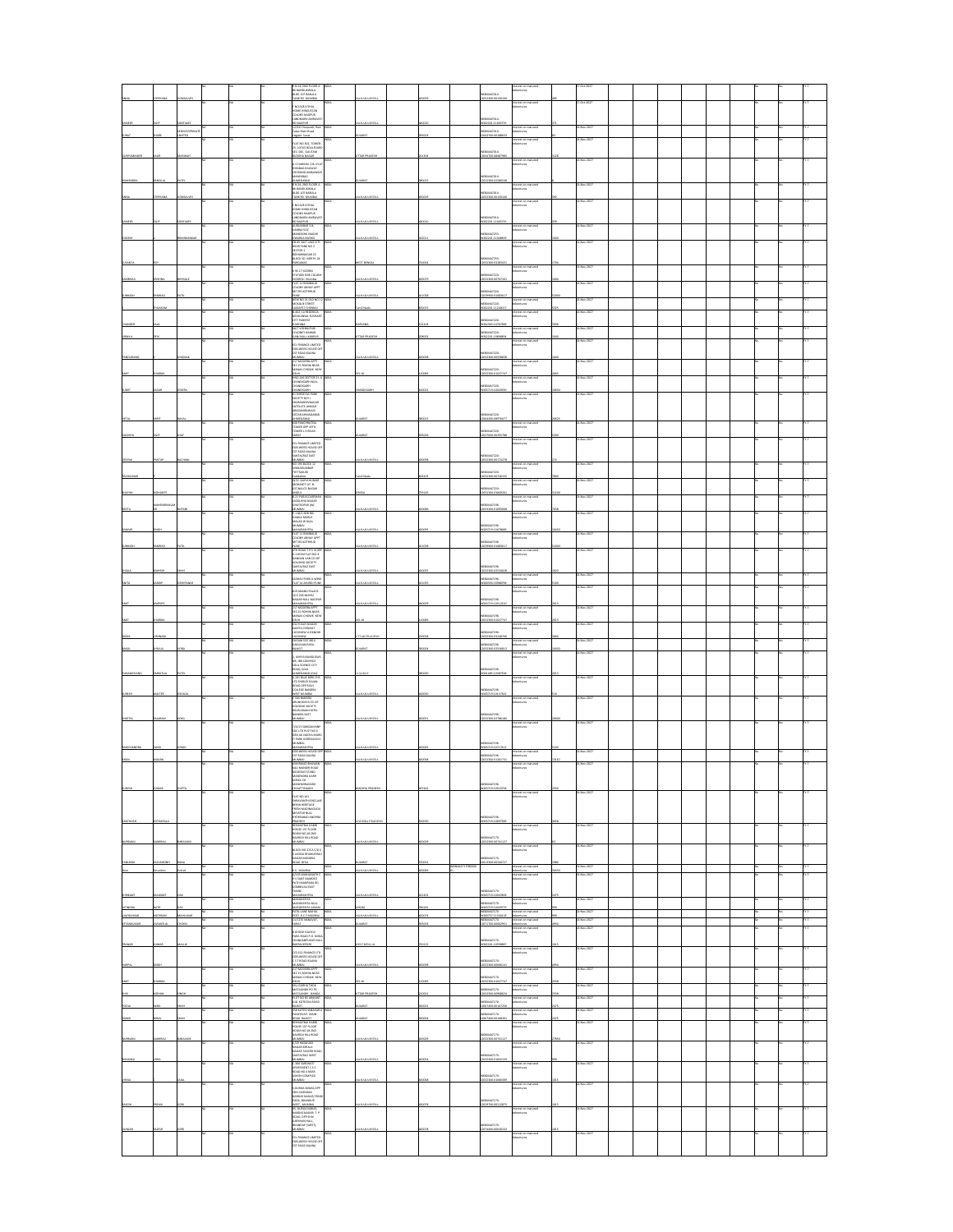|               |                |                   |  | R N 24, 2ND FLOOR<br>BK BANDUKWALA<br>BLDG 107 BABULA<br>TANK RD-MUMBAL                                                                                                                                                                                              |                          |                      |             | NERDEIA 7054-<br>032300-0015010                       |                                            |            |  |  |  |  |
|---------------|----------------|-------------------|--|----------------------------------------------------------------------------------------------------------------------------------------------------------------------------------------------------------------------------------------------------------------------|--------------------------|----------------------|-------------|-------------------------------------------------------|--------------------------------------------|------------|--|--|--|--|
|               |                |                   |  | S NO DJR VITHRI<br>HOLG HADUSTAN<br>COLONY NAGPUR<br>LANDMARK AMBAVID<br>RD NAGPUR<br>12/621 Nikipoosh, Ra<br>Talio Main Road<br>Talio Main Road                                                                                                                     |                          |                      |             |                                                       | terest on mature<br>bentures               |            |  |  |  |  |
|               |                |                   |  |                                                                                                                                                                                                                                                                      |                          |                      |             | 6806147054-<br>002205-1164                            |                                            |            |  |  |  |  |
|               |                | <b>RVICESPRAV</b> |  |                                                                                                                                                                                                                                                                      |                          |                      |             | INEBOILA7054-                                         | entures                                    |            |  |  |  |  |
|               |                | mro               |  | renut engin                                                                                                                                                                                                                                                          | <b>ARK</b>               |                      |             | 2042200-0018863                                       | HE ON ITA<br>Mareka                        |            |  |  |  |  |
|               |                |                   |  | FLAT NO 602, TOWER<br>26, LOTUS ROULEVAR<br>SEC-100, GALITAM<br>RUDOHA NAGAR                                                                                                                                                                                         |                          |                      |             | NERDAIA 7014-<br>LION-LOOD-DRAS                       |                                            |            |  |  |  |  |
|               |                |                   |  |                                                                                                                                                                                                                                                                      |                          |                      |             |                                                       | erest on m<br>Sentures                     |            |  |  |  |  |
|               |                |                   |  |                                                                                                                                                                                                                                                                      |                          |                      |             |                                                       |                                            |            |  |  |  |  |
| <b>HENDRA</b> | WSLA           |                   |  | A-5 HARIOM - S.B.I FLA<br>KIRABAG RAILWAY<br>CROSSING AMBAWAG<br>MANEKBAG<br>MA 24, 200 FLOOR A<br>BI DA 24, 200 FLOOR A<br>BI DA 237 BABULA<br>BI DG 207 BABULA                                                                                                     | ARAT                     |                      |             | INEBOALA7014-<br>12032300-02580548                    |                                            |            |  |  |  |  |
|               |                |                   |  | WK RD MUMBA                                                                                                                                                                                                                                                          |                          |                      |             | NERDEIA 7054-<br>0032300-00150                        | rest on mati<br>retures                    |            |  |  |  |  |
|               |                |                   |  |                                                                                                                                                                                                                                                                      |                          |                      |             |                                                       | rest on matured<br>entures                 |            |  |  |  |  |
|               |                |                   |  | F NO DJR VITHAL<br>HOME HINDUSTAN<br>COLONY NAGPUR<br>LANDMARK AMRAVIA                                                                                                                                                                                               |                          |                      |             |                                                       |                                            |            |  |  |  |  |
|               |                |                   |  | RD NAGPUR<br>KUDUMBAR 5-8,<br>KANRAI SOC<br>MANDISHA NAGAR                                                                                                                                                                                                           | <b>LARASHTE</b>          |                      |             | INEB04IA7054-<br>IN902205-15665735                    | irest on matured<br>ientures               |            |  |  |  |  |
|               |                |                   |  |                                                                                                                                                                                                                                                                      | <b><i>SURASHTRA</i></b>  |                      |             | INEBOILA7253-<br>1002201-11048309                     |                                            |            |  |  |  |  |
|               |                |                   |  |                                                                                                                                                                                                                                                                      |                          |                      |             |                                                       | rest on mat<br>entanes                     |            |  |  |  |  |
|               |                |                   |  | MANIANA MAGAIK<br>CB-65 SALT LAKE CITY<br>CB-65 SALT LAKE CITY<br>NGAR TANK NO 2<br>BECHANNAGAR CC<br>BECHANNAGAR CC<br>BECHANNAGAR CC                                                                                                                               | LSV408 T21               |                      |             | NERDONA7253-<br> 2032300-032836                       |                                            |            |  |  |  |  |
|               |                |                   |  |                                                                                                                                                                                                                                                                      |                          |                      |             | NERONA 7220-                                          | erest on matured<br>Seebares               |            |  |  |  |  |
|               |                |                   |  | STATION SES COLON<br>VICKRISH Manibalis<br>FLAT 11 MARMARIS<br>COLONY ABARY APPT<br>MT RD KOTHRUD<br>NUME<br>MARW NO 21 OUD NO 1<br>COLOUS STATION                                                                                                                   | <b>LARASHTE</b>          |                      |             | 3032300-007                                           | erest on mature                            |            |  |  |  |  |
|               |                |                   |  |                                                                                                                                                                                                                                                                      | <b>ARASHTE</b>           |                      |             | 680647220-<br>2029900-01682                           | etanes                                     |            |  |  |  |  |
|               |                |                   |  |                                                                                                                                                                                                                                                                      |                          |                      |             | INEB04IA7220-                                         | erest on n<br>Sentanes                     |            |  |  |  |  |
|               |                |                   |  | MARQUE ETMES<br>SAIDAPET CHENNAI<br>B-802, LA REGENCIA<br>CITY PANIPAT<br>CITY PANIPAT                                                                                                                                                                               |                          |                      |             | 002201-112400                                         | est on m<br>etures                         |            |  |  |  |  |
|               |                |                   |  | LINERANA<br>GG/7 VISHALIPURI<br>COLONEY NAWAR                                                                                                                                                                                                                        |                          |                      |             | INEBOILA7220-<br>1002265-10767289                     |                                            |            |  |  |  |  |
|               |                |                   |  | ANI MULLICANPUS                                                                                                                                                                                                                                                      | TAR PRADESH              |                      |             | NER04IA7220-<br>002201-1089                           | rrest on ma<br>entures                     |            |  |  |  |  |
|               |                |                   |  | eo, Finance Umeter<br>Edelweiss House o<br>Cst Road Kalina                                                                                                                                                                                                           |                          |                      |             |                                                       | terest on mature<br>bentures               |            |  |  |  |  |
|               |                |                   |  |                                                                                                                                                                                                                                                                      | LARASHITE                |                      |             | INEB04IA7220-<br>12032300-00558838                    |                                            |            |  |  |  |  |
|               |                |                   |  | MUMBAI<br>217 MODERN APPT<br>SEC 15 ROHNE NEAR<br>MANAV CHOWK NEW                                                                                                                                                                                                    | ан                       |                      |             | AE806A7220-<br>2032300-01027747                       | erest on r<br>Sentanes                     |            |  |  |  |  |
|               |                |                   |  | DELH<br>HND 146 SECTOR 2<br>DHANDIGARH NULL<br>DHANDIGARH<br>DHANDIGARH                                                                                                                                                                                              |                          |                      |             | INEB04IA7220-                                         |                                            |            |  |  |  |  |
|               |                |                   |  |                                                                                                                                                                                                                                                                      |                          |                      |             | 1203719-1042059                                       | rest on mati<br>entures                    |            |  |  |  |  |
|               |                |                   |  |                                                                                                                                                                                                                                                                      |                          |                      |             |                                                       |                                            |            |  |  |  |  |
|               |                |                   |  |                                                                                                                                                                                                                                                                      |                          |                      |             | NEBONA7220-<br>12064200-08976671                      |                                            |            |  |  |  |  |
|               |                |                   |  | CHANGEAIR<br>CHANGEAIR<br>SA SHRIKYAS PARK<br>SA SHRIKYAS PARK<br>SA TELITT AHAAQ<br>SA SHRIKYAS PARK<br>SA SHA AHAAQARAAD<br>SA SHA SHA AHAAQARAAD<br>SA SHA AHAAQARAAD<br>SA SHA AHAAQARAAD<br>SA SHA SHA AHAAQARAAD<br>TOWER OP AFFIL<br>TOWER OP AFFIL           |                          |                      |             |                                                       | rrest on matured<br>ientures               | 1-Nov-20   |  |  |  |  |
|               |                |                   |  |                                                                                                                                                                                                                                                                      |                          |                      |             | NE806IA7220-<br> 2027000-00255788                     |                                            |            |  |  |  |  |
|               |                |                   |  | ECL FINANCE UMITED<br>EDELWERS HOUSE O<br>CST ROAD KALINA<br>SANTACRUZ EAST                                                                                                                                                                                          |                          |                      |             |                                                       | rest on matured<br>entanes                 |            |  |  |  |  |
|               |                |                   |  |                                                                                                                                                                                                                                                                      |                          |                      |             | INEB04IA7220-<br>12032300-00174278                    |                                            |            |  |  |  |  |
|               |                |                   |  | MUMBAI<br>NG 193 BLOCK 12<br>KENKARUNBUR<br>DHITTAKUDI                                                                                                                                                                                                               |                          |                      |             | INEBOILA7220-                                         | rrest on r<br>entures                      |            |  |  |  |  |
|               |                |                   |  | Cuddalore<br>W/O: AJANA KLIMAR<br>MOHANTY AT-B-<br>G27 JUALCO NAGAR                                                                                                                                                                                                  |                          |                      |             | 2032300-0072615                                       |                                            |            |  |  |  |  |
|               |                |                   |  |                                                                                                                                                                                                                                                                      |                          |                      |             | INEBOILA7220-<br>12032300-038                         |                                            |            |  |  |  |  |
|               |                |                   |  | ingul<br>5-21 Faras Darsh<br>Ghatkora Nagar<br>Ghatkora (W)<br>11 Melai                                                                                                                                                                                              |                          |                      |             | NEROBIA 7196-<br>1203 2200-01693661                   | rest cr<br>enture                          |            |  |  |  |  |
|               |                |                   |  |                                                                                                                                                                                                                                                                      | <b>LARASHTE</b>          |                      |             |                                                       | erest on matured<br>Sentanes               | Nov-202    |  |  |  |  |
|               |                |                   |  |                                                                                                                                                                                                                                                                      |                          |                      |             | INERDIAA7196-<br>INGC2719-10479689                    |                                            |            |  |  |  |  |
|               |                |                   |  | GHATKOPAR (M)<br>MUANDAR<br>WARLA MARVE<br>WARLA MARVE<br>MUANDA WARLE<br>MUANDAR<br>COLONY ABHAY APPT<br>COLONY ABHAY APPT<br>COLONY ABHAY APPT<br>COLONY ABHAY APPT<br>MUANDAR                                                                                     | <b>HARASHTRA</b>         |                      |             |                                                       | rest on m.<br>entures                      |            |  |  |  |  |
|               |                |                   |  |                                                                                                                                                                                                                                                                      | <b>SURASHTRA</b>         |                      |             | INEB06IA7196<br>12020900-01683617                     |                                            |            |  |  |  |  |
|               |                |                   |  | MIT NO KOTHADO<br>FON ROAD T.P.S III OP<br>FON ROAD T.P.S III OP<br>NOVEMA VAN CO.OP<br>NOVEMA SOCIETY<br>SANTACRUZ EAST<br>NUMBAL                                                                                                                                   |                          |                      |             |                                                       |                                            |            |  |  |  |  |
|               |                |                   |  |                                                                                                                                                                                                                                                                      |                          |                      |             | E806A7186-<br>032300-0253                             |                                            |            |  |  |  |  |
|               |                | <b>IPANDE</b>     |  | .<br>Mahaw Park A-win<br>Flat 14.AAWRDI Pun                                                                                                                                                                                                                          | AHARASHTRA               |                      |             | INERDILA7196-<br>INGC0294-16988798                    | rest on matured<br>entures                 |            |  |  |  |  |
|               |                |                   |  |                                                                                                                                                                                                                                                                      |                          |                      |             |                                                       | et on ma<br>entures                        |            |  |  |  |  |
|               |                |                   |  |                                                                                                                                                                                                                                                                      | <b><i>URASHTR</i></b>    |                      |             | NERDALA 7196-<br>NGC 2719-10512210                    |                                            |            |  |  |  |  |
|               |                |                   |  |                                                                                                                                                                                                                                                                      |                          |                      |             |                                                       | arest on m<br>bentures                     |            |  |  |  |  |
|               |                |                   |  |                                                                                                                                                                                                                                                                      |                          |                      |             | 2804147186-<br>032300-0103                            | irest on ma<br>ieršanes                    |            |  |  |  |  |
|               |                |                   |  | <b><i>CHANGE PRODUCED AN ACCESS AN ARTIST DE 205 NORTHERNESS AN ACCESS AN ACCESS AND LANGUAGE CONSIDERATION CONTINUES AND ACCESS AND ACCESS AND LANGUAGE CONSIDERATION CONSIDERATION CONTINUES AND ACCESS AND LANGUAGE CONSIDERATI</i></b>                           |                          |                      |             | NERDAIA 7196-<br>2022200-0224                         |                                            |            |  |  |  |  |
|               |                |                   |  |                                                                                                                                                                                                                                                                      | ww                       |                      |             | INEBOILA7196-<br>2032300-02556812                     | terest on mature<br>bentures               |            |  |  |  |  |
|               |                |                   |  | SAMUN<br>1982, JUNIA BUNGLOWS<br>1982, JUNIA BUNGLOWS<br>1994, SACARPAGE CONFIDENCIA<br>1994, SCALA SAMUNDA<br>1995, SACARPAGE COLLEGE BANDBA<br>1995, SACARPAGE COLLEGE BANDBA<br>1995, SACARPAGE SCALAR<br>1995, SACARPAGE SCALAR<br>1995, SACARPAGE SC            |                          |                      |             |                                                       | rest on mat<br>retures                     |            |  |  |  |  |
|               |                |                   |  |                                                                                                                                                                                                                                                                      |                          |                      |             | NEBONIA7196-<br>NGC 6465-10287226                     |                                            |            |  |  |  |  |
|               |                |                   |  |                                                                                                                                                                                                                                                                      |                          |                      |             |                                                       | erest on matured<br>Sentanes               |            |  |  |  |  |
|               | <b>ALTER</b>   |                   |  |                                                                                                                                                                                                                                                                      | <b><i>ANARASHTRA</i></b> |                      |             | INEB04IA7196-<br>INGG3719-10157342                    |                                            |            |  |  |  |  |
|               |                |                   |  |                                                                                                                                                                                                                                                                      |                          |                      |             |                                                       | rest on ma<br>entures                      |            |  |  |  |  |
|               |                |                   |  |                                                                                                                                                                                                                                                                      |                          |                      |             | NEB04IA7196-                                          |                                            |            |  |  |  |  |
|               |                |                   |  | <b>IARAL</b>                                                                                                                                                                                                                                                         | <b>HARASHTE</b>          |                      |             | 12032300-0278618                                      | irest on mat<br>ientures                   |            |  |  |  |  |
|               |                |                   |  | 7/A/13 SANGAM NNF<br>SOC LTD PLOT NO 6<br>GEN AK VAIDYA MARI<br>IT FARK GOREGAON E<br>MUMBAI                                                                                                                                                                         |                          |                      |             |                                                       |                                            |            |  |  |  |  |
|               |                |                   |  |                                                                                                                                                                                                                                                                      | <b>ARASHTE</b>           |                      |             | E806A7196<br>003719-10717                             |                                            |            |  |  |  |  |
|               |                |                   |  |                                                                                                                                                                                                                                                                      |                          |                      |             |                                                       |                                            |            |  |  |  |  |
|               |                |                   |  |                                                                                                                                                                                                                                                                      |                          |                      |             |                                                       | erest on mature<br>ientures                |            |  |  |  |  |
|               |                |                   |  |                                                                                                                                                                                                                                                                      | <b>ARASHTE</b>           |                      |             | INERDAN7196-<br>12032300-0120172                      | erest on matured<br>Sentanes               |            |  |  |  |  |
|               |                |                   |  | MUMBA<br>MALAKASI HOUSE OR<br>CST ROAD KALINA<br>MUMBA<br>MUMBAN BRAWAN<br>KEAR BLIS STAND<br>MARENDS ROAD<br>MANENDRA GASH<br>MANENDRA GASH<br>MANENDRA GASH<br>MOREA CG                                                                                            |                          |                      |             |                                                       |                                            |            |  |  |  |  |
| <b>LOCSH</b>  |                |                   |  | wnendragabh<br>hhattisgabh                                                                                                                                                                                                                                           | <b>NORTH PRADESH</b>     | .<br>76G             |             | INEROBIA7196-<br>INGC2719-10516758                    |                                            |            |  |  |  |  |
|               |                |                   |  |                                                                                                                                                                                                                                                                      |                          |                      |             |                                                       | entures                                    |            |  |  |  |  |
|               |                |                   |  |                                                                                                                                                                                                                                                                      |                          |                      |             |                                                       |                                            |            |  |  |  |  |
| SANTHOSH      |                |                   |  | ELAT NO 101<br>SHRAVANTHI ENCLAVI<br>BENIN HERITAGE<br>FRESH MADRUAGUDA<br>MIYAPUR NULL<br>HYNPUR NULL<br>HYNPUR NULL<br>HYNPUR NULL                                                                                                                                 | <b>JORGA PRADESH</b>     |                      |             | NEB04IA7196-<br>1003719-10097289                      |                                            |            |  |  |  |  |
|               |                |                   |  |                                                                                                                                                                                                                                                                      |                          |                      |             |                                                       | rest on ma<br>entures                      |            |  |  |  |  |
|               |                |                   |  | REDNAMAD ANDREW<br>REHANTEAU HABIS<br>HEUGE 1ST FLOOR<br>REVISEU HILL READ<br>NAVIGEU HILL READ<br>NAVIGEU HILL READ                                                                                                                                                 |                          |                      |             | NEBORIA7170-<br>2032300-0074:                         |                                            |            |  |  |  |  |
|               |                |                   |  |                                                                                                                                                                                                                                                                      |                          |                      |             |                                                       | terest on mature<br>bentures               |            |  |  |  |  |
|               |                |                   |  | rlock no 27ca c/o H<br>V Jadeja Bhanushal<br>Nagar Mundra<br>Road Bhui                                                                                                                                                                                               | <b><i>SURASETRA</i></b>  | ccaz                 | E808A717090 |                                                       | rest on matured<br>Sebentures              | 6-Nov-2027 |  |  |  |  |
|               |                |                   |  | .<br>1925 MANUJ                                                                                                                                                                                                                                                      |                          |                      |             |                                                       | rrest on<br>retares                        |            |  |  |  |  |
|               |                |                   |  |                                                                                                                                                                                                                                                                      |                          |                      |             |                                                       |                                            |            |  |  |  |  |
|               |                |                   |  |                                                                                                                                                                                                                                                                      |                          |                      |             |                                                       | rrest on matured<br>entates                |            |  |  |  |  |
|               | <b>ACCIDAN</b> | uuw               |  | A A HUMAN<br>Ayads MANLINNTHO<br>H S SANT NAMDEO<br>PATH MANPADA RD<br>DOMEVALI GAST<br>THANG<br>MANGGHERTA AGSAM<br>MANGGHERTA AGSAM<br>MANGGHERTA AGSAM<br>MANGGHERTA AGSAM<br>PATH LANG MANUL                                                                     | <b>HARASHTRA</b>         | isi<br>$\frac{1}{2}$ |             | INEROGIA 7170-<br>INGER719-10439779<br>INEROGIA 7170- |                                            |            |  |  |  |  |
|               | <b>MANTLAL</b> | cxs               |  | OST R.C.F.MUMBAL<br>1/1270 NANAGAT<br><b>URAT</b>                                                                                                                                                                                                                    | <b>UMRAT</b>             | 95003                |             | 8000757-11504118<br>12071703-00002951                 | ertates                                    |            |  |  |  |  |
|               |                |                   |  | S GHOSH GACHLI<br>PARA ROAD P.O. NOT                                                                                                                                                                                                                                 |                          |                      |             |                                                       | debentures<br>Interest on ma<br>debentures |            |  |  |  |  |
|               |                |                   |  | ANDANPUKUR NU<br>RRACKPORE                                                                                                                                                                                                                                           |                          |                      |             | INERDAIA7170-<br>INGC2201-105908                      |                                            |            |  |  |  |  |
|               |                |                   |  |                                                                                                                                                                                                                                                                      |                          |                      |             |                                                       | irest on mature<br>ientures                |            |  |  |  |  |
|               |                |                   |  | CJO ECL FINANCE LTD<br>EDELWEISS HOUSE OF<br>CS T ROAD KALINA                                                                                                                                                                                                        |                          |                      |             | INERDILA 7170-<br>12032300-0006614:                   |                                            | F-Nov-2022 |  |  |  |  |
|               |                |                   |  | MUMBAL<br>217 MODERN APPT<br>SEC 15 ROHIN NEAR<br>MANAV CHOWE NEV<br>DOLH                                                                                                                                                                                            |                          |                      |             | 6806A7170-<br>2022200-0602                            | erest on matured<br>bentures               |            |  |  |  |  |
|               |                |                   |  |                                                                                                                                                                                                                                                                      |                          |                      |             |                                                       | rest on matured<br>entanes                 |            |  |  |  |  |
|               |                |                   |  | NOCHE CHUNK NEW<br>VILL GURHA THOR<br>MATAUNOH BANOA<br>MATAUNOH BANOA                                                                                                                                                                                               | TAR PRADESH              |                      |             | INEB06IA7170-<br>12032300-0096                        | arest on ma<br>bertures                    |            |  |  |  |  |
|               |                |                   |  |                                                                                                                                                                                                                                                                      |                          |                      |             | INERDILA7170-<br>12067000-0010<br>NERONA7170-         |                                            |            |  |  |  |  |
|               |                |                   |  |                                                                                                                                                                                                                                                                      |                          |                      |             | 067400-0016                                           | erest on mat<br>Sentares                   |            |  |  |  |  |
|               |                |                   |  |                                                                                                                                                                                                                                                                      |                          |                      |             | AG806A7170-                                           | rest on matured<br>entures                 |            |  |  |  |  |
|               |                |                   |  |                                                                                                                                                                                                                                                                      |                          |                      |             | 12032300-0074112                                      | arest on matured<br>bentures               | Nov-2027   |  |  |  |  |
| CMXX          |                |                   |  |                                                                                                                                                                                                                                                                      |                          | OS4                  |             |                                                       |                                            |            |  |  |  |  |
|               |                |                   |  | <b>PLOT ROUGHAMING</b><br>SAMOT ROUGHAMING RANGE<br>SAMOT ROUGHAMING RANGE<br>SAMON ROUGHAMING<br>SAMON ROUGHAMING<br>SAMON ROUGHAMING<br>SAMON RUGGAR TRANS<br>SAMON RUGGAR TRANS<br>SAMON RUGGAR TRANS<br>SAMON RUGGAR TRANS<br>SAMON RUGGAR TRANS<br>SAMON RUGGAR | <b><i>UARASHTRA</i></b>  |                      |             | INEB06IA7170-<br>12032300-01832159                    | rest on mat<br>entures                     |            |  |  |  |  |
|               |                |                   |  |                                                                                                                                                                                                                                                                      |                          |                      |             |                                                       |                                            |            |  |  |  |  |
|               |                |                   |  | MUMBAR<br>C-105 SARSWATI<br>APARTMENT CS C<br>ROAD NO 4 NEAR<br>ROAD NO 4 NEAR<br>ASHSH COMPLEX<br>MUMBAR<br>MUMBAR                                                                                                                                                  |                          |                      |             | NE806M7170-<br> 2032300-01666                         | arest on mati<br>bentares                  |            |  |  |  |  |
| 1221          |                |                   |  |                                                                                                                                                                                                                                                                      | <b>ANARASHTRA</b>        | 8000                 |             |                                                       |                                            |            |  |  |  |  |
|               |                |                   |  |                                                                                                                                                                                                                                                                      |                          |                      |             | INEB04IA7170-<br>12029700-00212875                    | rest on mati<br>entures                    |            |  |  |  |  |
|               |                |                   |  |                                                                                                                                                                                                                                                                      |                          |                      |             | NEBONA7170-                                           |                                            |            |  |  |  |  |
|               |                |                   |  | S, DURGA NWAK, OPP<br>SHV DARSHAN<br>NARDAS NAGAR, TEMI<br>NAST, MUMAH<br>WST, MUMAH<br>NASHAN NAMA, T. P.<br>NAMA, OPP SHV<br>NAMA, OPP SHV<br>NAMA, OPP SHV<br>DARSHAN NAU, T. P.<br>NAMAH NAMA, OPP SHV<br>DARSHAN NAU,<br><b>IARMLY</b>                          | <b>LARASHTE</b>          | 1078                 |             | 2074400-0002023                                       |                                            |            |  |  |  |  |
|               |                |                   |  | eo, Finance Umited<br>Edelwers house of:<br>Cet road kalina                                                                                                                                                                                                          |                          |                      |             |                                                       | erest on mat<br>Sentares                   |            |  |  |  |  |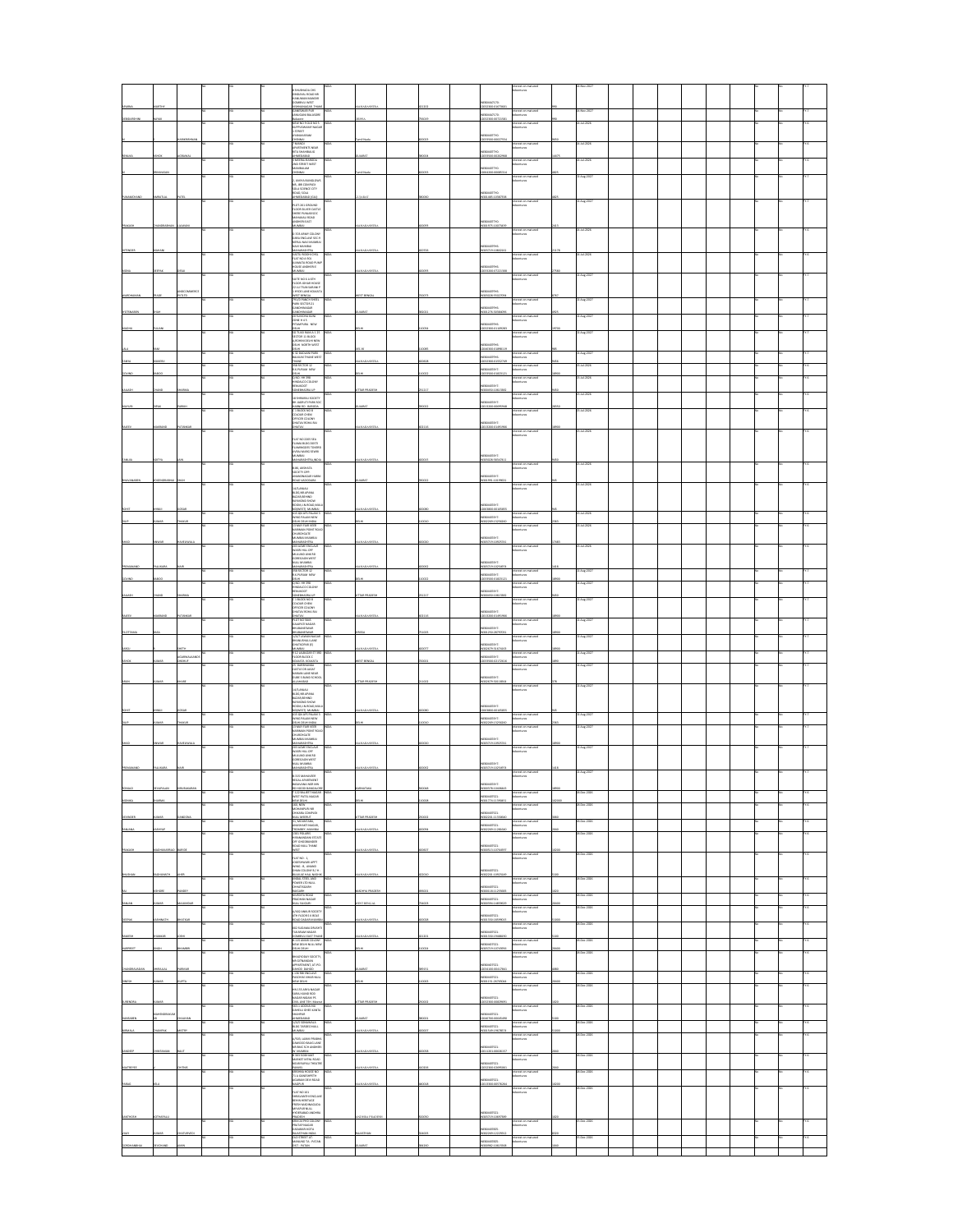|                      |                        |                      |  |                                                                                                                                                                                                                                |                         |         |                                     | rterest on matured<br>lebentures |       |                |  |  |  |  |
|----------------------|------------------------|----------------------|--|--------------------------------------------------------------------------------------------------------------------------------------------------------------------------------------------------------------------------------|-------------------------|---------|-------------------------------------|----------------------------------|-------|----------------|--|--|--|--|
|                      |                        |                      |  | SHUBHAA OK<br>DINDAYAL ROAD NG<br>HAVDAAN MANDIR<br>OMBINU WEST<br>VILGANI BALAGOR<br>WEGANI BALAGOR<br>BART<br>BALAGORI BALAGOR                                                                                               |                         |         | 680687170                           |                                  |       |                |  |  |  |  |
|                      |                        |                      |  |                                                                                                                                                                                                                                |                         |         | 032300-0167                         | erest on matured<br>Sentanes     |       | Nov-2027       |  |  |  |  |
|                      |                        |                      |  |                                                                                                                                                                                                                                |                         |         | 6806A7170-<br>2022200-0072          |                                  |       |                |  |  |  |  |
|                      |                        |                      |  | ariser<br>Ew NO 9 OLD NO 5<br>UPPUSWAMY NAGAI<br>STREET<br>YANAVARAM                                                                                                                                                           |                         |         |                                     | rest on matured<br>entures       |       |                |  |  |  |  |
|                      |                        |                      |  |                                                                                                                                                                                                                                |                         |         | E804077Y0<br>033500-0002            |                                  |       |                |  |  |  |  |
|                      |                        |                      |  | <i><b><i>Thomas</i>sure</b><br/>7 Mancus<br/>Apartments Near<br/>Rita Shahraalig<br/>Rita Shahraalig<br/>Tarthoning</i>                                                                                                        |                         |         | 8060770-                            | erest on matured<br>Sentanes     |       | $-44 - 2026$   |  |  |  |  |
|                      |                        |                      |  |                                                                                                                                                                                                                                |                         |         | 033500-0020                         | rest on ma<br>retures            |       | $4-202$        |  |  |  |  |
|                      | wwsw                   |                      |  | RITA SHAHBALIG<br>AHMEDABAD<br>SHIERAI BARDDA<br>2ND STREET WEST<br>MAMBALAM<br>CHEMAN                                                                                                                                         | mil Nadı                | ooza    | 80407710<br>12064200-00085314       |                                  |       |                |  |  |  |  |
|                      |                        |                      |  |                                                                                                                                                                                                                                |                         |         |                                     | rest on matured<br>entanes       |       |                |  |  |  |  |
|                      |                        |                      |  | 2, LIMIYA BUNGLOWS<br>NR, JER COMPUSX<br>SOLA SOENCE CITY<br>ROAD, SOLA                                                                                                                                                        |                         |         | 03607710                            |                                  |       |                |  |  |  |  |
|                      | <b>BAATLAS</b>         |                      |  | UUD) GASAD (GUL)                                                                                                                                                                                                               | <b>LLRA</b>             | ×       | 1001485-10087238                    | rest on mati<br>entanes          |       |                |  |  |  |  |
|                      |                        |                      |  | PLOT-365 GROUND<br>FLOOR SEVER CASTLE<br>GHERE PUNUMB SOC<br>MANHARULROAD<br>ANDHERE EAST<br>MULMBAL                                                                                                                           |                         |         |                                     |                                  |       |                |  |  |  |  |
|                      |                        |                      |  |                                                                                                                                                                                                                                |                         |         | 80607710<br>01975-1007242           |                                  |       |                |  |  |  |  |
|                      |                        |                      |  |                                                                                                                                                                                                                                |                         |         |                                     | erest on matured<br>ientanes     |       |                |  |  |  |  |
|                      |                        |                      |  | 2-703 ARMY COLONY<br>DARA ENCLAND SEC-9<br>NERUL NAVA MUINEAU<br>NAVA MUINEAU<br>NAVA MUINEAU<br>NASTU RIDDHI CHSL                                                                                                             |                         |         | 804079YG-<br>02719-10802            |                                  |       |                |  |  |  |  |
|                      |                        |                      |  |                                                                                                                                                                                                                                |                         |         |                                     | arest on mature<br>bentures      |       | $M - 202$      |  |  |  |  |
|                      |                        |                      |  | WASHU HERZHI CHOC<br>FLAT NO A 901<br>JIAMATA ROAD PUN<br>HOUSE ANDHERE E<br>MUUVEAL                                                                                                                                           |                         |         | agescripts                          |                                  |       |                |  |  |  |  |
|                      |                        |                      |  |                                                                                                                                                                                                                                |                         |         | 122003-072                          | rrest on matured<br>ientures     |       | Aug-2027       |  |  |  |  |
|                      |                        |                      |  | JITE NO 6 A 67H<br>OOR JOHAR HOUSE<br>I LU TSUN SARANI P<br>HYDE LANE KOLKATA<br>CT DOUGL                                                                                                                                      |                         |         |                                     |                                  |       |                |  |  |  |  |
|                      |                        | DCOMMERS<br>TLTD     |  |                                                                                                                                                                                                                                | EST BENGA               |         | E8046079YG-<br>303028-55027094      |                                  |       | Mq202          |  |  |  |  |
|                      |                        |                      |  | KST BENGAL<br>RL/D PANCH SHEEL<br>ARK SECTOR 21<br>ANDHINAGAR                                                                                                                                                                  |                         |         | 214020423<br>001276-30284           | rrest on matured<br>ietitanes    |       |                |  |  |  |  |
|                      |                        |                      |  | VNOHINALAR<br>VNOHINAGAR<br>ISLIVIDHA KUNI<br>ING H 4 S<br>TAMPURA - NGW<br>INA                                                                                                                                                |                         |         |                                     | erest on matured<br>ientanes     |       | Aug-2027       |  |  |  |  |
|                      |                        |                      |  |                                                                                                                                                                                                                                |                         |         | CROMOTIVG<br>032300-0110928         |                                  |       | Aug-202        |  |  |  |  |
|                      |                        |                      |  | élhe<br>O.Tulší řamá 1.25<br>Ector 11 řlock<br>"Rohini Délhi néw<br>Clhe North West                                                                                                                                            |                         |         |                                     | arest on matured<br>bentares     |       |                |  |  |  |  |
|                      |                        |                      |  |                                                                                                                                                                                                                                |                         |         | \6804079Y6-<br>2046200-01898119     |                                  |       |                |  |  |  |  |
|                      |                        |                      |  | 2 DADLANI PARK<br>AUM THANE WES                                                                                                                                                                                                |                         |         | 499102842<br>032300-0155274         | rest on ma<br>entures            |       |                |  |  |  |  |
|                      |                        |                      |  | HANG<br>GR SECTIOR 12<br>K PURAM NGW                                                                                                                                                                                           |                         |         | 680407477-<br>1033600-0182313       | irest on matures<br>ienbanes     |       | $-44 - 202$    |  |  |  |  |
|                      |                        |                      |  | ELHE<br> NO. HH 288<br> NONCO COLONY<br>ENUNDOT<br> DNEBHADRA UP                                                                                                                                                               |                         |         |                                     | arest on matured<br>bentures     |       | $44 - 202$     |  |  |  |  |
|                      |                        |                      |  |                                                                                                                                                                                                                                |                         |         | 83607677-<br>03650-10612283         | rrest on matured                 |       |                |  |  |  |  |
|                      |                        |                      |  |                                                                                                                                                                                                                                |                         |         | 3040747-<br>11200-0069              | entates                          |       |                |  |  |  |  |
|                      |                        |                      |  |                                                                                                                                                                                                                                |                         |         |                                     | erest on matured<br>Sentanes     |       | 14.202         |  |  |  |  |
|                      |                        |                      |  | -<br>THE SHRIMAN SOCKTY<br>BH JAGRUTI PARK SOC<br>GT BHOCK NO B<br>COLOUR CHEM<br>DEFICER COLONY<br>DEFICER COLONY<br>DEFICER COLONY<br>DEFICER COLONY<br>DEFICER COLONY                                                       |                         |         | E80407477-<br>013200-01491          |                                  |       |                |  |  |  |  |
|                      |                        |                      |  |                                                                                                                                                                                                                                |                         |         |                                     | rest on matured<br>entanes       |       |                |  |  |  |  |
|                      |                        |                      |  | RAT NO 2205 SEA<br>RAMA BIDG DOSTI<br>RAMMAGOES TOKERSI<br>MUMBAI<br>MUMBAI                                                                                                                                                    |                         |         |                                     |                                  |       |                |  |  |  |  |
|                      |                        |                      |  |                                                                                                                                                                                                                                |                         |         | 680407477-<br>303008-5834741        |                                  |       |                |  |  |  |  |
|                      |                        |                      |  | 8-86, AKSHATA<br>SOCIETY OPP.<br>ANANDNAGAR HAAN                                                                                                                                                                               |                         |         |                                     | irest on matured<br>ientures     |       | AF-2028        |  |  |  |  |
|                      | CONDIGATION            |                      |  | <b>GAD VADODARA</b>                                                                                                                                                                                                            | <b>IMANT</b>            | 0022    | NEBOAKOT er7-<br>NGC 1994-101996-21 |                                  |       |                |  |  |  |  |
|                      |                        |                      |  | 24/2, ANSALI<br>REDG NR APANO<br>REDG NR APANO<br>REDG NR APANO SHOW<br>REDG NR APANO SHOW<br>WING PALAM NR APANO<br>NR PALAM NR APANO SHAH NR APANO<br>DG FALAM NR APANO                                                      |                         |         |                                     | rest on maturi<br>entures        |       |                |  |  |  |  |
|                      |                        |                      |  |                                                                                                                                                                                                                                |                         |         |                                     |                                  |       |                |  |  |  |  |
|                      |                        |                      |  |                                                                                                                                                                                                                                |                         |         | E8040747-<br>0E3800-00101           |                                  |       |                |  |  |  |  |
|                      |                        |                      |  |                                                                                                                                                                                                                                |                         |         | NERDAKOT (Y.T.<br>NGC 2258-13256360 | <b>Sentanes</b>                  |       |                |  |  |  |  |
|                      |                        |                      |  | <b>DELHI DELHI INDIA<br/>12 MAY FAIR VEER<br/>NASIMAN POINT ROA<br/>NASIMAN POINT ROA<br/>NASIMAN MUNIBAI</b><br>NASIMAN MUNIBAI                                                                                               |                         |         |                                     | est on i<br>etares               |       |                |  |  |  |  |
|                      |                        |                      |  |                                                                                                                                                                                                                                |                         |         | 07617<br>2719-1092                  |                                  |       |                |  |  |  |  |
|                      |                        |                      |  | MANURANCINA<br>MANURANCINA<br>WASH HILL OFF<br>GUILL MUMBA<br>GUILL MUMBAR<br>MANURANCINA<br>MANURANCINA<br>MANURANCINA<br>SELF SCOOR 12<br>DELH<br>DELH                                                                       |                         |         |                                     | erest on m<br>Sentures           |       |                |  |  |  |  |
|                      |                        |                      |  |                                                                                                                                                                                                                                |                         |         | 180607677-<br>102719-1025697        |                                  |       |                |  |  |  |  |
|                      |                        |                      |  |                                                                                                                                                                                                                                |                         |         |                                     | erest on matured<br>bentures     |       | $A_{4} + 202$  |  |  |  |  |
|                      |                        |                      |  |                                                                                                                                                                                                                                |                         |         |                                     | erest on matured<br>entures      |       | Aug-2027       |  |  |  |  |
|                      |                        |                      |  |                                                                                                                                                                                                                                |                         |         | 8080747-<br>00650-10613382          | rest on mature                   |       |                |  |  |  |  |
|                      |                        |                      |  |                                                                                                                                                                                                                                |                         |         |                                     | entanes                          |       |                |  |  |  |  |
|                      |                        |                      |  |                                                                                                                                                                                                                                |                         |         | .<br>680407677-014                  | irest on matured<br>ientures     |       | Aug-2022       |  |  |  |  |
|                      |                        |                      |  | EMPLOYED AND RESERVED AND RESERVED AND RESERVED ON A SHARE STANDARD AND RESERVED A SHARE STANDARD AND RESERVED A SHARE STANDARD AND RESERVED A SHARE STANDARD AND RESERVED A SHARE STANDARD AND RESERVED A SHARE STANDARd STAN |                         |         | :8060767-<br>101250-28787031        |                                  |       |                |  |  |  |  |
|                      |                        |                      |  | ANUSHALI LANE<br>IATIOPAR (E)                                                                                                                                                                                                  |                         |         | <b>MADLEY2</b>                      | onest con mu<br>ventures         |       |                |  |  |  |  |
|                      |                        |                      |  |                                                                                                                                                                                                                                |                         |         | 12031107                            |                                  |       | Aug-2022       |  |  |  |  |
|                      |                        | arwalaan             |  | IMBAI<br>2 LAUBAZAR ST 380<br>103 BLOCK C<br>1105TA XOLIGITA<br>114001143CA                                                                                                                                                    |                         |         |                                     | erest on matured<br>Sentanes     |       |                |  |  |  |  |
|                      |                        |                      |  |                                                                                                                                                                                                                                |                         |         |                                     | rest on m<br>entures             |       |                |  |  |  |  |
|                      |                        |                      |  | ZH UMMIMMAN<br>CASTLE DR MGAT<br>NARAIN LANE NEAR<br>DUBE S BLIND SCHOOL<br>ALLAHABAD                                                                                                                                          | <b>MA PAADE</b>         |         | 280407477-<br>302678-30118564       |                                  |       | Aug-2027       |  |  |  |  |
|                      |                        |                      |  | 14/2,ANIALI<br>BLDG,NR.APANA<br>BAZAR,BEHIND<br>RODMAL N.BONO,MUI<br>RODMAL N.BONO,MUI<br>RODMALTI - LIIBERIN                                                                                                                  |                         |         |                                     | sterest on matured<br>lebentures |       |                |  |  |  |  |
|                      |                        |                      |  |                                                                                                                                                                                                                                |                         |         | 8040747                             |                                  |       |                |  |  |  |  |
|                      |                        |                      |  |                                                                                                                                                                                                                                | <b>LARASHTE</b>         |         | 12063800-00105851<br>68040747       |                                  |       |                |  |  |  |  |
|                      |                        |                      |  |                                                                                                                                                                                                                                |                         |         |                                     |                                  |       |                |  |  |  |  |
|                      |                        |                      |  |                                                                                                                                                                                                                                |                         |         | 02269-1225624                       | vrest on ma<br>entanes           |       |                |  |  |  |  |
|                      |                        |                      |  |                                                                                                                                                                                                                                |                         |         |                                     | arest on matured<br>bentures     |       | 2-Aug-2022     |  |  |  |  |
|                      |                        | <b><i>ELIWAL</i></b> |  | MODIFICATION<br>NORWEGY MUNICIPAL<br>NIS QN APS PALAM NOW<br>NING PALAM NOW<br>NUMBAMAN POINT ROA<br>NAMANAN POINT ROA<br>MAMARASHTRA<br>MAMARASHTRA                                                                           | <b>HARASHTE</b>         |         | 680407677-<br>000719-10025741       |                                  |       |                |  |  |  |  |
|                      |                        |                      |  |                                                                                                                                                                                                                                |                         |         |                                     | rest on ma<br>entures            |       |                |  |  |  |  |
|                      |                        |                      |  |                                                                                                                                                                                                                                |                         |         | 80407477-<br>02719-10254974         |                                  |       |                |  |  |  |  |
|                      |                        |                      |  | MANARASINTA<br>ANNARASINTA<br>103 ACME ENCLANE<br>WASH HILL OFF<br>MALLIND LINE RD<br>COREGACN WEST<br>ANNARASINTA                                                                                                             |                         |         |                                     | rrest on matured<br>ientures     |       |                |  |  |  |  |
| <b>QMAD</b>          | <b><i>CONFALAN</i></b> | ORLAMARIN            |  | 8-215 MAHANEER<br>REGAL APARTMENT<br>RASAUANA NGR MIN                                                                                                                                                                          | <b>ARNATAKA</b>         | COER    | 10000278-10006443                   |                                  | 18900 |                |  |  |  |  |
|                      | <b>Stag</b>            |                      |  |                                                                                                                                                                                                                                |                         |         | 680407521-<br>001774-11390451       | rest on matured<br>entanes       |       |                |  |  |  |  |
|                      |                        |                      |  |                                                                                                                                                                                                                                |                         |         |                                     | erest on mature<br>ettates       |       |                |  |  |  |  |
|                      |                        |                      |  |                                                                                                                                                                                                                                |                         |         | 30407521-<br>102201-1123061         |                                  |       |                |  |  |  |  |
| <b>MAN</b>           |                        |                      |  |                                                                                                                                                                                                                                | <b>LARASHTE/</b>        |         | INEB04607521-<br>INGC2269-11281640  | arest on ma<br>bentures          |       |                |  |  |  |  |
|                      |                        |                      |  |                                                                                                                                                                                                                                |                         |         |                                     | rest on i<br>entures             |       |                |  |  |  |  |
|                      |                        |                      |  |                                                                                                                                                                                                                                |                         |         | 0607521<br>0513-1076                |                                  |       |                |  |  |  |  |
|                      |                        |                      |  |                                                                                                                                                                                                                                |                         |         |                                     | terest on matured<br>bentures    |       |                |  |  |  |  |
|                      |                        |                      |  |                                                                                                                                                                                                                                | <b>ARASHTE</b>          |         | E80407521-<br>302201-10923149       |                                  |       |                |  |  |  |  |
|                      | ou                     |                      |  |                                                                                                                                                                                                                                |                         |         | 12700002                            | terest on matured<br>bentures    |       | <b>OK-2026</b> |  |  |  |  |
|                      |                        | wccy                 |  | RATNO - 1,<br>KOGSHNARAPT<br>WING - 8, ANANO<br>DHAN COLONY 8 / H<br>BULKULE HALL NASHK<br>RIGAR LTEEL AND<br>CHHATGGARH<br>CHHATGGARH<br>RAGARH                                                                               | <b>MOHYA PRADESH</b>    | coos    | 4900118-11255683                    | arest on matured<br>bentures     |       |                |  |  |  |  |
|                      |                        | <b>MOAR</b>          |  | ANGARIN<br>WEDITA ROAD<br>RADHAN NAGAR<br>ULL SILIGURI                                                                                                                                                                         | <b>E BENGAL</b>         | .<br>Ma | 680607521-<br>(200394-1485962)      | rest on mature                   |       |                |  |  |  |  |
|                      |                        |                      |  | V402 ANKLIR SOCIETY<br>ITH FLOOR'S K BOLE<br>ROAD DADAR MUNARA                                                                                                                                                                 |                         |         | 80407521-<br>01220-18599            | entates                          |       |                |  |  |  |  |
|                      |                        |                      |  |                                                                                                                                                                                                                                |                         |         |                                     | arest on matured<br>bentures     |       | Dec-2026       |  |  |  |  |
|                      |                        |                      |  |                                                                                                                                                                                                                                |                         |         | 104107521-<br>11220-184881          |                                  |       |                |  |  |  |  |
| 122844               |                        |                      |  | 002 SUDAMA DRUSHTI<br>TUKARAM NAGAR<br>DOMBIVU GAST THANG<br>B-115 AMAR COLONY<br>NGW DIGHI<br>ELHI DELHI                                                                                                                      |                         | ю       | 45200003<br>102719-10742054         | erest on matureo<br>Sentares     |       |                |  |  |  |  |
|                      |                        |                      |  |                                                                                                                                                                                                                                |                         |         |                                     | rest on ma<br>entanes            |       |                |  |  |  |  |
|                      |                        |                      |  |                                                                                                                                                                                                                                |                         |         | 80407521-<br>124500-0041            |                                  |       |                |  |  |  |  |
|                      |                        |                      |  | RHAGYODAY SOCIETY,<br>NR GITMANDAN<br>APPARTMENT, AT-PO-<br>216 RH ENCLAVE<br>PASCHIM VIHAR NULL<br>IN DELHI                                                                                                                   |                         | œ       | 127000024<br>001151-3676504         | terest on m<br>bentures          |       |                |  |  |  |  |
|                      |                        |                      |  |                                                                                                                                                                                                                                |                         |         |                                     | rest on ma<br>entures            |       |                |  |  |  |  |
|                      |                        |                      |  |                                                                                                                                                                                                                                | <b>AR PRADES</b>        |         | 680407521-<br>032300-0082969        |                                  |       |                |  |  |  |  |
|                      |                        |                      |  | IN 155 ARYA NAGAR<br>SURA KIND ROD<br>NAGAR NGAM PS<br>NAGAR NGAM PS<br>SG3-1 ADDVANNU<br>DAMELU GHEE KANTA<br>DAMELU GHEE KANTA<br>NAMELU GHEE KANTA                                                                          |                         |         | 107521-                             | terest on m<br>iebentures        |       |                |  |  |  |  |
| VGALCN               |                        |                      |  |                                                                                                                                                                                                                                | MRAT                    |         | 12046700-00045490<br>45000031       | arest on mat<br>bentures         |       |                |  |  |  |  |
|                      |                        |                      |  | uantdarad<br>Vajs Sommunla<br>Kids Tardeo Null<br>Munian                                                                                                                                                                       |                         |         | 101549-19670574                     | terest on matured<br>ebentures   |       | Orc-2026       |  |  |  |  |
|                      | <b>STAMA</b>           |                      |  | <b>VEGS, LAISSE PRABINA</b><br>DAWOOD BAUG LANG<br>NR BMC SOH ANDHERI                                                                                                                                                          |                         |         |                                     |                                  |       |                |  |  |  |  |
| wecce                |                        |                      |  |                                                                                                                                                                                                                                | <b><i>SURASHTRA</i></b> |         | NEB04KOTSZ1-<br>L3011301-0003E157   | rest on matured<br>entures       |       |                |  |  |  |  |
| <b><i>ATREME</i></b> |                        |                      |  | W MUMBAL<br>8 303 SDDHANT<br>MARKET MTNL ROAD<br>NEAR RUPAU THEATRE<br>NAAR RUPAU THEATRE                                                                                                                                      |                         |         | 127000034<br>2032300-0264606        |                                  |       |                |  |  |  |  |
| w                    |                        |                      |  | AGRUE.                                                                                                                                                                                                                         | <b><i>SURASHTRA</i></b> |         | 45000031<br>2012200-00576264        | terest on matured<br>bentares    |       |                |  |  |  |  |
|                      |                        |                      |  |                                                                                                                                                                                                                                |                         |         |                                     | rest on mat<br>entures           |       |                |  |  |  |  |
|                      |                        |                      |  |                                                                                                                                                                                                                                |                         |         |                                     |                                  |       |                |  |  |  |  |
|                      |                        |                      |  | ELAT NO 101<br>SHAVANATHI ENCLAVE<br>SEHN HERITAGE<br>FRESH MADINAGUDA<br>MIYAPUR NULL<br>HIDERARD ANDHRA<br>MOLOCCU                                                                                                           |                         |         |                                     |                                  |       |                |  |  |  |  |
|                      |                        |                      |  |                                                                                                                                                                                                                                | <b>GRA PRADES</b>       |         | NEB04KOTSZ1-<br>NGC3719-10697389    | arest on matured<br>bentures     |       | Dec-2020       |  |  |  |  |
|                      |                        |                      |  |                                                                                                                                                                                                                                |                         |         | 680407825<br>102269-1222591         |                                  |       |                |  |  |  |  |
|                      |                        |                      |  | HIDERARAD ANDHRA<br>RADESH<br>SAN 24 PHD COLONY<br>SATAP NAGAR<br>IADARARI KOTA<br>IADARARI KOTA<br>KUSTREIT AT-PATAN<br>ANNUND TA - PATAN<br>ANNUND TA - PATAN                                                                |                         |         | E80407825-<br>300982-10615568       | arest on matured<br>bentures     |       | 0.225          |  |  |  |  |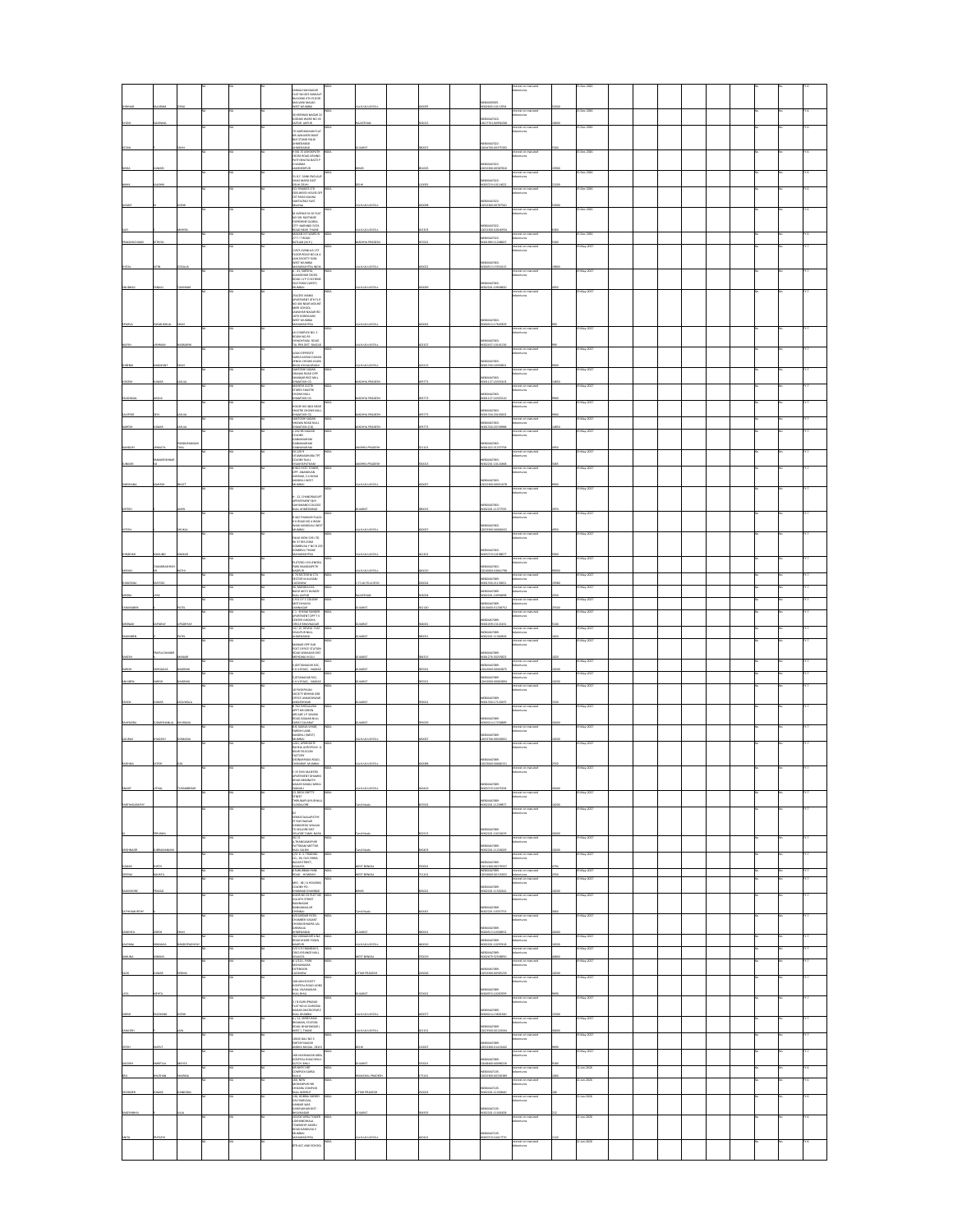|        |  |  | iankalyan nagar<br>Flat no 403 samolis<br>Building 4th floor<br>Malvani malia<br>West Muimbai                                                                                                                                              |                     |  |                                                         |                                                       |             |  |  |  |  |  |
|--------|--|--|--------------------------------------------------------------------------------------------------------------------------------------------------------------------------------------------------------------------------------------------|---------------------|--|---------------------------------------------------------|-------------------------------------------------------|-------------|--|--|--|--|--|
|        |  |  |                                                                                                                                                                                                                                            |                     |  | E80407825-<br>302603-101121                             |                                                       |             |  |  |  |  |  |
|        |  |  | g Krishan Nagar 22<br>Cidam Ward No 43<br>Mpur Japur                                                                                                                                                                                       |                     |  | 04A7022-                                                | entures                                               |             |  |  |  |  |  |
|        |  |  |                                                                                                                                                                                                                                            |                     |  |                                                         |                                                       |             |  |  |  |  |  |
|        |  |  | D WASHAMAN FLAT<br>R MAN MERCHART<br>US STAND PALDI<br>MAECHARAD<br>MAECHARAD<br>ROSS ROAD ARVIND<br>ATH BHATIA BASTI P<br>ATH BHATIA BASTI P<br>MACMA                                                                                     |                     |  | 6806A7022-<br>2064700-0037539                           |                                                       |             |  |  |  |  |  |
|        |  |  |                                                                                                                                                                                                                                            |                     |  |                                                         | erest on matured<br>Sentanes                          | M-20M       |  |  |  |  |  |
|        |  |  |                                                                                                                                                                                                                                            |                     |  | EBD6IA7022-                                             |                                                       |             |  |  |  |  |  |
|        |  |  | MSHEDPLR                                                                                                                                                                                                                                   |                     |  | 032300-0058781                                          |                                                       |             |  |  |  |  |  |
|        |  |  | ri g.f. saini Enclavi<br>Hikas marg east                                                                                                                                                                                                   |                     |  | E806M7022-<br>03719-10114622                            |                                                       |             |  |  |  |  |  |
|        |  |  | DELHI DELHI<br>ECL FINANCE LTD<br>EDELWEISS HOUSE OF<br>EDELWEISS HOUSE OF<br>EANTACRUZ EAST                                                                                                                                               |                     |  |                                                         |                                                       |             |  |  |  |  |  |
|        |  |  | isdrs                                                                                                                                                                                                                                      | <b>LARASHTE</b>     |  | E806IA7022<br>032300-0076756                            |                                                       |             |  |  |  |  |  |
|        |  |  | Minner<br>MAVENUE M 10 FLAT<br>AND SOL RUSTMEE<br>CITY MARANGE FATA<br>COAD NEAR THANS<br>MAVAN N S WARD N<br>27 TIT ROAD<br>ANTLAN (M.P.)                                                                                                 |                     |  |                                                         |                                                       |             |  |  |  |  |  |
|        |  |  |                                                                                                                                                                                                                                            |                     |  | 30447022-<br>122300-02816                               |                                                       |             |  |  |  |  |  |
|        |  |  |                                                                                                                                                                                                                                            |                     |  | 80647022                                                | rest on matured<br>entures                            | Dec-2020    |  |  |  |  |  |
|        |  |  |                                                                                                                                                                                                                                            |                     |  |                                                         | rest on r<br>Hitlares                                 |             |  |  |  |  |  |
|        |  |  |                                                                                                                                                                                                                                            |                     |  |                                                         |                                                       |             |  |  |  |  |  |
|        |  |  |                                                                                                                                                                                                                                            |                     |  | 306A7063-<br>100513-15554115                            |                                                       | $May-202$   |  |  |  |  |  |
|        |  |  | 118/5 INVALIA 157<br>1003 ROAD NO 24 A<br>1018 SOCIETY SON<br>1018 SOCIETY SON<br>1010 AVA COSTAL<br>1010 AV P O SOGINE<br>1020 AD V P O SOGINE<br>1020 AD V P O SOGINE<br>1020 AD V P O SOGINE<br>1020 P O SOGINE<br>1020 AD V P O SOGINE |                     |  |                                                         | terest on matured<br>ebentures                        |             |  |  |  |  |  |
|        |  |  |                                                                                                                                                                                                                                            |                     |  | E205A1692A<br>02201-10936                               |                                                       |             |  |  |  |  |  |
|        |  |  |                                                                                                                                                                                                                                            |                     |  |                                                         |                                                       |             |  |  |  |  |  |
|        |  |  | 254/255 MANG<br>ARAKTMENT 4TH FL R<br>MO 4DA NGAR MOUNT<br>MERI SCHOOL<br>MWHARAKTMEN<br>SCHICOSGAON<br>MAHARAGHTMA<br>MAHARAGHTMA                                                                                                         |                     |  |                                                         |                                                       |             |  |  |  |  |  |
|        |  |  |                                                                                                                                                                                                                                            |                     |  | NERONA7063-<br>NGODS13-17645309                         |                                                       |             |  |  |  |  |  |
|        |  |  |                                                                                                                                                                                                                                            | <b>ARASHITE</b>     |  |                                                         | rest on                                               |             |  |  |  |  |  |
|        |  |  | N COMPLEX NO. 2<br>COM NO.39<br>HINCHPADA, ROAD<br>AL PEN DIST, RAIGAD                                                                                                                                                                     |                     |  | 806A7063-<br>02437-10561                                |                                                       |             |  |  |  |  |  |
|        |  |  |                                                                                                                                                                                                                                            |                     |  |                                                         | rest on mature<br>entures                             | May-202     |  |  |  |  |  |
|        |  |  |                                                                                                                                                                                                                                            |                     |  | 6806147063-<br>301330-183931                            |                                                       |             |  |  |  |  |  |
|        |  |  | NARD OPPOSITE<br>GAROA KAFAD DUKAN<br>SENDA CHOWE GAON<br>BHAWA ROAD OPP<br>GANWAR ROAD OPP<br>GANWAR ROC MILL<br>GANWAR ROC                                                                                                               |                     |  |                                                         | etanes                                                |             |  |  |  |  |  |
|        |  |  |                                                                                                                                                                                                                                            |                     |  | 200417063-<br>301137-1635                               | rest on mat                                           |             |  |  |  |  |  |
|        |  |  | MMTARI CG<br>AHESH CLOTH<br>ORES SHASTRI<br>KAMTARI CG<br>MMTARI CG                                                                                                                                                                        | <b>COLPRADE</b>     |  | 6806M7063-<br>001127-16355                              | etates                                                |             |  |  |  |  |  |
|        |  |  | .<br>Katalog na Ang Near<br>Katalog na Angli                                                                                                                                                                                               |                     |  |                                                         | rrest on r<br>entures                                 |             |  |  |  |  |  |
|        |  |  | MMTARICG<br>NTOSHI SADAN<br>KAWA ROAD NULL                                                                                                                                                                                                 |                     |  | 0647063<br>01330-3016                                   |                                                       |             |  |  |  |  |  |
|        |  |  |                                                                                                                                                                                                                                            | <b>IYA PRADES</b>   |  | INERDIA/TOER-<br>INGEDEERD/2074008                      | rest on r<br>entures                                  |             |  |  |  |  |  |
|        |  |  | HAMTARI (CG)<br>242 SRI NAGAR<br>CLONY<br>ANNAVARAM<br>ANNAVARAM                                                                                                                                                                           |                     |  |                                                         |                                                       |             |  |  |  |  |  |
|        |  |  |                                                                                                                                                                                                                                            |                     |  | 0447062<br>00023-2127                                   |                                                       |             |  |  |  |  |  |
|        |  |  | ANNAVARAM<br>0-1204<br>TAMMADHARA TPT<br>GAGHAPATIMAR<br>GAGHAPATIMAR<br>402 HOTI TOWER,                                                                                                                                                   |                     |  | 306A7063-<br>102201-101211                              | etates                                                |             |  |  |  |  |  |
|        |  |  |                                                                                                                                                                                                                                            |                     |  |                                                         | irest on i<br>ientures                                |             |  |  |  |  |  |
|        |  |  | IEMIZZIOTTOMAK,<br>GPP, ANANDIVAN<br>ASHRAM, S. V.ROAD<br>KANDIVIJ-WEST<br>MUMRAT                                                                                                                                                          |                     |  |                                                         |                                                       |             |  |  |  |  |  |
|        |  |  |                                                                                                                                                                                                                                            |                     |  |                                                         | test on matured<br>etures                             |             |  |  |  |  |  |
|        |  |  | - 12, GUNDANGUPT<br>PARTMENT B/H<br>HIANAND COLLEGE<br>JIL AHMEDABAD                                                                                                                                                                       |                     |  |                                                         |                                                       |             |  |  |  |  |  |
|        |  |  |                                                                                                                                                                                                                                            |                     |  | E8061A7063-<br>302205-11377535                          | rderest on matured<br>Sebentures                      | $Map-20$    |  |  |  |  |  |
|        |  |  | i 402 THAKKAR PLAZA<br>K ROAD NO 4 IRANI<br>WADI KANDIVALI WES                                                                                                                                                                             |                     |  |                                                         |                                                       |             |  |  |  |  |  |
|        |  |  | <b>IASMUS</b>                                                                                                                                                                                                                              | LARASHTRA           |  | NERDAIA 7063-<br>2033300-00606633                       |                                                       |             |  |  |  |  |  |
|        |  |  | PALM VIÊW OKS LTD<br>RK 27 RKS 2016<br>DOMBIVALI FKO B 202<br>DOMBIVALI THANE<br>SOMBIVALI THANE                                                                                                                                           |                     |  |                                                         |                                                       |             |  |  |  |  |  |
|        |  |  |                                                                                                                                                                                                                                            |                     |  | E806A70E3-<br>003719-10198677                           |                                                       | May-2022    |  |  |  |  |  |
|        |  |  | LOT/NO 119 LENDRA<br>ARK RAMDASPETH<br>HGPUR<br>ECTOR M ALIGANI<br>ECTOR M ALIGANI<br>UCKNOW                                                                                                                                               |                     |  | COOK AUGUST<br>10000-0284                               | rest on matured<br>retures                            |             |  |  |  |  |  |
|        |  |  |                                                                                                                                                                                                                                            |                     |  | 306A7089-<br>601330-2113065                             | rest on matured<br>retures                            |             |  |  |  |  |  |
|        |  |  |                                                                                                                                                                                                                                            | TAR PRADISH         |  |                                                         | .<br>Vest on ma<br>Jentures                           |             |  |  |  |  |  |
|        |  |  | ELTON MARINE                                                                                                                                                                                                                               |                     |  | INEB04IA7089-<br>IN902201-1095<br>NEROEIA 7089-         | erest on ma<br>Sentures                               |             |  |  |  |  |  |
|        |  |  |                                                                                                                                                                                                                                            |                     |  | 010600-0123879                                          |                                                       |             |  |  |  |  |  |
|        |  |  |                                                                                                                                                                                                                                            |                     |  | anua mes<br>00039-13121                                 | erest on matured<br>bentures                          |             |  |  |  |  |  |
|        |  |  | ROTHOMAGIA<br>MANAGIA<br>PARTMENT CAPTY<br>PARTMENT CAPTY<br>ROLL BHAWAGIA<br>ROLL BHAWAGIA<br>RI TIT, DEVISA FLAT<br>KALPUR NULL<br>MAEDABAD                                                                                              |                     |  | EBONA7089-<br>002201-11360                              | rrest on matured<br>ientures                          | May-202     |  |  |  |  |  |
|        |  |  |                                                                                                                                                                                                                                            |                     |  |                                                         | arest on mat<br>bentures                              |             |  |  |  |  |  |
|        |  |  | ANNAR OPP SUB<br>OST OFFICE STATION<br>OAD VISMAGAR DIST<br>SHGANA N GLU                                                                                                                                                                   |                     |  | <b>BOARA 2089</b><br>01276-302                          |                                                       |             |  |  |  |  |  |
|        |  |  |                                                                                                                                                                                                                                            |                     |  | -                                                       | rest on matured<br>entures                            | lay-2027    |  |  |  |  |  |
|        |  |  |                                                                                                                                                                                                                                            |                     |  |                                                         |                                                       |             |  |  |  |  |  |
|        |  |  | GEETANAGARSOC<br>KVROAD, NADA                                                                                                                                                                                                              |                     |  |                                                         |                                                       | May-200     |  |  |  |  |  |
|        |  |  | .<br>GITANAGARSOC,<br>IKVROAD, NADIA                                                                                                                                                                                                       |                     |  | AG004A7089-<br>042000-00063                             | rest on m<br>entanes                                  |             |  |  |  |  |  |
|        |  |  |                                                                                                                                                                                                                                            |                     |  |                                                         |                                                       |             |  |  |  |  |  |
|        |  |  | ir Pushprunu<br>Kockty Behind Ger<br>Defice Ankleshwar<br>Knoleshwar<br>F702 Sheelalerh                                                                                                                                                    |                     |  | 806147089-<br>01330-1712011                             |                                                       |             |  |  |  |  |  |
|        |  |  |                                                                                                                                                                                                                                            |                     |  |                                                         | etans                                                 |             |  |  |  |  |  |
|        |  |  |                                                                                                                                                                                                                                            |                     |  | 306A7089-<br>100214-172568                              |                                                       | May-2027    |  |  |  |  |  |
|        |  |  | R 702 SHEELALEEN<br>VOOT NR GREEN<br>VOOR LONAN NULL<br>LIBAT GLIMAN<br>VOOR GLIMAN<br>VERSH LANE,<br>NREISH LANE,<br>VINTAN<br>LIMAN                                                                                                      |                     |  | 00057089                                                | <b>etants</b>                                         |             |  |  |  |  |  |
|        |  |  |                                                                                                                                                                                                                                            |                     |  |                                                         | ntane                                                 |             |  |  |  |  |  |
|        |  |  | ANNAN<br>201, APHRODITE<br>UNIEM ACROPOLIS -<br>KERN REGION<br>KERNAPADA ROAD,                                                                                                                                                             |                     |  |                                                         |                                                       |             |  |  |  |  |  |
|        |  |  | EMBLIR MUNANI                                                                                                                                                                                                                              |                     |  | 6806A7089-<br>2023000-00846151                          | interest on matured<br>debentures                     | May-202     |  |  |  |  |  |
|        |  |  | : IS SHIV MAJESTIK<br>PARTIMENT DHAMNI<br>CAO NEMINATH                                                                                                                                                                                     |                     |  |                                                         |                                                       |             |  |  |  |  |  |
|        |  |  | GAR SANGLI MIRA<br>WGALI<br>I, BODI OKITI                                                                                                                                                                                                  | <b>NARASHTRA</b>    |  | 306A7089-<br>IO3719-10475194                            | est com                                               |             |  |  |  |  |  |
|        |  |  | LK, WORR CHAITY<br>FRAGET<br>THIRLIBAPULIVUR NU<br>CUDDALORE                                                                                                                                                                               |                     |  |                                                         | entants                                               |             |  |  |  |  |  |
|        |  |  |                                                                                                                                                                                                                                            |                     |  | 6806A7089-<br>(302201-11209877                          | est on n<br>entures                                   |             |  |  |  |  |  |
|        |  |  |                                                                                                                                                                                                                                            |                     |  |                                                         |                                                       |             |  |  |  |  |  |
|        |  |  |                                                                                                                                                                                                                                            |                     |  | NEROMA 7089-<br>NGC 201-102 18159                       |                                                       | 19-May-2027 |  |  |  |  |  |
|        |  |  | G2<br>VENKATAANLAPATHY<br>ST KAFI NAGAR<br>VANNIVASIO WALAVA<br>VANNIVASIO WALAVA<br>VATTUAAN<br>ATTU SALEM<br>NIJI SALEM                                                                                                                  |                     |  | EBOILA7089-                                             | interest on matured<br>debentures                     |             |  |  |  |  |  |
|        |  |  |                                                                                                                                                                                                                                            |                     |  | 302201-1122602                                          |                                                       | 9-May-2027  |  |  |  |  |  |
|        |  |  | ULL SALEM<br>IDL D. S. TRADING<br>D. D. S. TRADING<br>KZAR STREET,<br>NAR STREET,                                                                                                                                                          | ST BENGAL           |  | E805N7089                                               | interest on matured<br>debentures<br>arest on matured | 29-May-2027 |  |  |  |  |  |
|        |  |  | EKATA<br>EKATA<br>MD HOMRAH                                                                                                                                                                                                                | ST BENGAL           |  | 12011309-00279337<br>INEBOALA7089-<br>12034609-00115832 |                                                       | 9-May-2022  |  |  |  |  |  |
| 05H2RS |  |  |                                                                                                                                                                                                                                            |                     |  | 3041A7089-<br>102205-11502242                           | rest un<br>Jentares                                   |             |  |  |  |  |  |
|        |  |  | MG - 48 / A HOUSING<br>COLONY PO -<br>DIANIBAD DIANIBAD<br>DOOR NO 23 PLOT NO                                                                                                                                                              |                     |  |                                                         | et on ma<br>entures                                   |             |  |  |  |  |  |
|        |  |  |                                                                                                                                                                                                                                            |                     |  | E806IA7089-<br>302205-10337753                          |                                                       |             |  |  |  |  |  |
|        |  |  |                                                                                                                                                                                                                                            |                     |  |                                                         | arest on ma<br>bentures                               | May-20      |  |  |  |  |  |
|        |  |  |                                                                                                                                                                                                                                            |                     |  | 450447089-<br>400513-1000552                            |                                                       |             |  |  |  |  |  |
|        |  |  |                                                                                                                                                                                                                                            |                     |  | 30447089-<br>102201-1029                                | interest on matured<br>debentures                     | May-2027    |  |  |  |  |  |
|        |  |  |                                                                                                                                                                                                                                            | JAGNGS T23          |  |                                                         | erest on maturi<br>Sentures                           |             |  |  |  |  |  |
|        |  |  |                                                                                                                                                                                                                                            |                     |  | -<br>NGC 20414-7089-<br>NGC 2047 9-225-0089-50          |                                                       |             |  |  |  |  |  |
|        |  |  | iolioita<br>1-1/101- Park<br>Anhanngar<br>Jodnow<br>1/Conow                                                                                                                                                                                | TAR PRADESH         |  | -0005A00024<br>2032300-00545235                         | rest on ma<br>entures                                 |             |  |  |  |  |  |
|        |  |  |                                                                                                                                                                                                                                            |                     |  |                                                         | erest on i<br>Sentanes                                |             |  |  |  |  |  |
|        |  |  | ige iann sockety<br>Hospital Romo Lions<br>Hall Viimynmgar<br>Mull Bhuu                                                                                                                                                                    | ww                  |  | E806IA7089-<br>300974-10287699                          | est on ma                                             |             |  |  |  |  |  |
|        |  |  |                                                                                                                                                                                                                                            |                     |  |                                                         | <b>Sentanes</b>                                       |             |  |  |  |  |  |
|        |  |  |                                                                                                                                                                                                                                            | ARASHTR             |  | 306N7089-<br>I00214-13601340                            |                                                       | May-202     |  |  |  |  |  |
|        |  |  |                                                                                                                                                                                                                                            |                     |  |                                                         | arest on ma<br>bentures                               |             |  |  |  |  |  |
|        |  |  | 3 / B GURUPRASAD<br>FLAT NO 41 GARODIA<br>NAGAR GHATIOPAR E<br>NULL MUMBAI<br>ROAD, BHAYANDAR (<br>ROAD, BHAYANDAR (<br>ROAD, BHAYANDAR (<br>NEST ). THANE                                                                                 |                     |  | 304147089-<br>323505-00124                              | erest on mat<br>Sentanes                              | May-2022    |  |  |  |  |  |
|        |  |  | 10630 GAU NO S<br>PARTAP NAGAR<br>NADHA MUGAL DELI                                                                                                                                                                                         |                     |  | E806IA7089-<br>032300-014136                            |                                                       | May-2022    |  |  |  |  |  |
|        |  |  | .<br>Matamatan Ara<br>Matamatan Ara                                                                                                                                                                                                        |                     |  | 834A7089-<br>48433-000                                  | interest on matured<br>debentures                     |             |  |  |  |  |  |
|        |  |  | suton Brus<br>ir nihoc hrt<br>carplex garsa                                                                                                                                                                                                | <b>MONNE PRADES</b> |  |                                                         | vrest on ma<br>entanes                                | 0.22        |  |  |  |  |  |
|        |  |  |                                                                                                                                                                                                                                            |                     |  | INERDILA7105-<br>12032300-00230389                      | rest on r<br>retures                                  |             |  |  |  |  |  |
|        |  |  |                                                                                                                                                                                                                                            | TAR PRADESH         |  | 2004147105<br>002201-11220640                           |                                                       |             |  |  |  |  |  |
|        |  |  |                                                                                                                                                                                                                                            |                     |  |                                                         | irest on ma<br>iertures                               |             |  |  |  |  |  |
|        |  |  | COMPIEX GARSA<br>ULLUI<br>160, NEW<br>MOHANPURI NR<br>MULL MEERLT<br>NALL MEERLT<br>NALL MEERLT<br>INK DARVALINA,<br>GARVADINA DISTING                                                                                                     |                     |  | E806A7105-<br>302201-11041828                           |                                                       |             |  |  |  |  |  |
|        |  |  |                                                                                                                                                                                                                                            |                     |  |                                                         | entanes                                               |             |  |  |  |  |  |
|        |  |  | iliyo saka lowa<br>Damowala<br>Damowala akuru<br>Marasayiru E<br>Marasayira                                                                                                                                                                |                     |  | 6806A7105-<br>(202719-10417770                          |                                                       | -30-2026    |  |  |  |  |  |
|        |  |  | TRACCAND SCHOOL                                                                                                                                                                                                                            |                     |  |                                                         | arest on matured<br>bentures                          |             |  |  |  |  |  |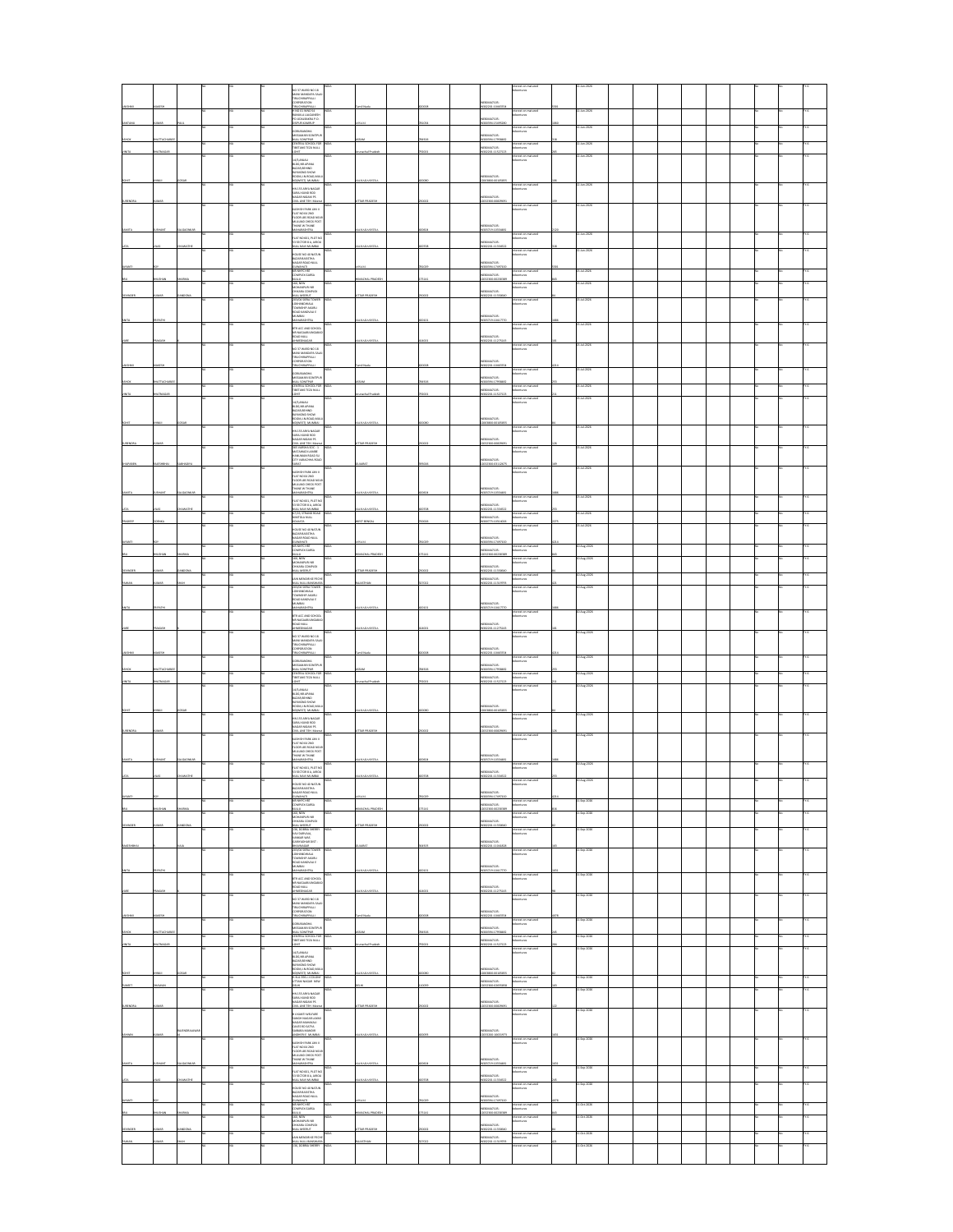|               |      |  |                                                                                                                                                                                                                   |                         |      |                                    | test on r<br>Intares                  |                |  |  |  |  |
|---------------|------|--|-------------------------------------------------------------------------------------------------------------------------------------------------------------------------------------------------------------------|-------------------------|------|------------------------------------|---------------------------------------|----------------|--|--|--|--|
|               |      |  | NO 37 WARD NO 18<br>MANI MANDARA SALA<br>TRUCHRAPPALLI<br>CORPORATION                                                                                                                                             |                         |      |                                    |                                       |                |  |  |  |  |
|               |      |  |                                                                                                                                                                                                                   |                         |      | 806A7105-<br>02201-10653           | erest on matureo<br>Sentares          |                |  |  |  |  |
|               |      |  | RUCHRAPPALLI<br>NO 01 WNO 54<br>MUILA LAIGANESH<br>SPUR KAMRUP<br>SPUR KAMRUP                                                                                                                                     |                         |      | 04147105-<br>0284-154952           |                                       |                |  |  |  |  |
|               |      |  |                                                                                                                                                                                                                   |                         |      |                                    | erest on r<br>Sentures                |                |  |  |  |  |
|               |      |  | CRUBANDHA<br>IISSAMARI SCINITP                                                                                                                                                                                    |                         |      | 06A7105<br>0284-1795               |                                       |                |  |  |  |  |
|               |      |  | NULL SONITPLIR<br>CENTRAL SOHOOL FOR<br>TIBETANS TEZU NULL<br><b>TIHE</b>                                                                                                                                         | achal Praded            |      | INEBORIA7105-<br>INGC2201-11527123 | terest on mature<br>dentures          |                |  |  |  |  |
|               |      |  |                                                                                                                                                                                                                   |                         |      |                                    | rest on m<br>retures                  |                |  |  |  |  |
|               |      |  | 14/2,4Nimii<br>Bildg,Nrafana<br>Bazar,Behind<br>Browlond Show<br>Room,I.N.Road,Mui                                                                                                                                |                         |      |                                    |                                       |                |  |  |  |  |
|               | isar |  | MODIFICITY (T22W)CA                                                                                                                                                                                               | ANARASHTRA              | coso | EB06A7105<br>12063800-0010585      |                                       |                |  |  |  |  |
|               |      |  | in 155 arya Nagar<br>Rirai Kund Rod                                                                                                                                                                               |                         |      |                                    | erest on matured<br>Sentanes          |                |  |  |  |  |
|               |      |  | <b>MGAR NIGAM PS</b><br>WE LINE TEN Meery                                                                                                                                                                         | <b>MA PAADES</b>        |      | <b>BONA7105</b><br>032300-0082960  |                                       |                |  |  |  |  |
|               |      |  | KASHSH PARK LON II<br>FLAT NO 04 2ND<br>FLOOR LIAS ROAD NEAR<br>MULLIND CHECK POST<br>THANG W THANG<br>MAHARAGHTRA                                                                                                |                         |      |                                    | rest on matured<br>entanes            |                |  |  |  |  |
|               |      |  |                                                                                                                                                                                                                   |                         |      |                                    |                                       |                |  |  |  |  |
|               |      |  |                                                                                                                                                                                                                   |                         |      | E806IA7105-<br>303719-10336681     |                                       | 0.222          |  |  |  |  |
|               |      |  | FLAT NO 601, PLOT NO<br>53 SECTOR B.A., AIROLI<br>NULL NAVI MUMBAL                                                                                                                                                |                         |      |                                    | rest on matured<br>entures            |                |  |  |  |  |
|               |      |  |                                                                                                                                                                                                                   |                         |      | 68041A7105-<br>302205-11334522     | erest on matured<br>Sentanes          | <b>46-2020</b> |  |  |  |  |
|               |      |  |                                                                                                                                                                                                                   |                         |      | EB06M7105                          |                                       |                |  |  |  |  |
|               |      |  | HOUSE NO 40 NATUN<br>BAZAR BASISTHA<br>BAZAR BASISTHA<br>GUWAHATI<br>COMPLEX GARSA<br>COMPLEX GARSA<br>COMPLEX GARSA                                                                                              |                         |      | 300364-17497100                    | erest on matured<br>verbanes          | au-2026        |  |  |  |  |
|               |      |  |                                                                                                                                                                                                                   | <b>CHALPRAD</b>         |      | 4904147105-<br>2012200-0022        | mest on matured                       |                |  |  |  |  |
|               |      |  |                                                                                                                                                                                                                   |                         |      | E806IA7105-<br>302201-11330640     | entany                                |                |  |  |  |  |
|               |      |  | ANIMA<br>ANIMA<br>DIROGAN COMPUS<br>DIROGA COMPUS<br>DIROGA COMPUS<br>ROLL MERRIT<br>TORNADWALA<br>TORNADWALA<br>TORNADWALA<br>TORNADWALA<br>ROLL KARDWALA<br>MULINAN<br>MULINAN<br>MULINAN<br>MULINAN<br>MULINAN | TAR PRADESH             |      |                                    | arest on mature<br>bentures           |                |  |  |  |  |
|               |      |  |                                                                                                                                                                                                                   |                         |      | EB06A7105                          |                                       |                |  |  |  |  |
|               |      |  |                                                                                                                                                                                                                   |                         |      | 003719-1041777                     |                                       | $-44 - 2026$   |  |  |  |  |
|               |      |  | etraccand School<br>NR NAGAARIJNGABAE<br>NGAEDNAGAR<br>NGAEDNAGAR                                                                                                                                                 |                         |      |                                    | erest on matured<br>bentures          |                |  |  |  |  |
|               |      |  |                                                                                                                                                                                                                   | <b><i>SURASHTRA</i></b> |      | 6806A7105-<br>002201-11275143      |                                       |                |  |  |  |  |
|               |      |  | NO 37 WARD NO 18<br>MANI MANDARA SALAI<br>TIRUCHIANPALII<br>COROCHARPALII<br>TIRUCHIANPALII                                                                                                                       |                         |      |                                    | rest on mat<br>entanes                |                |  |  |  |  |
|               |      |  |                                                                                                                                                                                                                   |                         |      | 6804W7105-<br>002201-10463704      |                                       |                |  |  |  |  |
|               |      |  |                                                                                                                                                                                                                   |                         |      |                                    | terest on matured<br>.bentures        |                |  |  |  |  |
|               |      |  |                                                                                                                                                                                                                   |                         |      | 6804A7105-<br>000394-17958462      | rrest on matured                      |                |  |  |  |  |
|               |      |  | Gorubandha<br>Missamar Sonitpur<br>Mull Sonitpur<br>Centras Tezu Null<br>Tretars Tezu Null<br>Lohit                                                                                                               | achal Prades            |      | E806IA7105-<br>302201-11527123     | entanes                               |                |  |  |  |  |
|               |      |  |                                                                                                                                                                                                                   |                         |      |                                    | entures                               |                |  |  |  |  |
|               |      |  | 14/3,4Niali<br>Blog,Nrafana<br>Bazar,Behind<br>Room,Lingoad,Mulli<br>Room,Lingoad,Mulli<br>Mouncet, Mumbar                                                                                                        |                         |      | E806A7105-                         |                                       |                |  |  |  |  |
|               |      |  |                                                                                                                                                                                                                   |                         |      | 12063800-0010585                   |                                       | $-44 - 2026$   |  |  |  |  |
|               |      |  |                                                                                                                                                                                                                   |                         |      |                                    | arest on matured<br>bentures          |                |  |  |  |  |
|               |      |  |                                                                                                                                                                                                                   | TTAR PRADESH            |      | AE804IA7105-<br>12032300-00829691  |                                       |                |  |  |  |  |
|               |      |  | HN 155 ARYA NAGAR<br>SURAI KUND ROD<br>SURAI KUND ROD<br>NAGAR NIGAM PS<br>CIVE LINE TEH MANUTA<br>NAKUMAAN ROAD<br>SURAI MANUMAAN ROAD<br>CITY VARACHHA ROAD                                                     |                         |      |                                    | rest on matu<br>entures               |                |  |  |  |  |
|               |      |  |                                                                                                                                                                                                                   |                         |      | 6806A7105-<br>032300-0311367       |                                       |                |  |  |  |  |
|               |      |  | KASHSH PARK LON II<br>FLAT NO 04 2ND<br>FLOOR LIAS ROAD NEAR<br>MULLUND CHECK POST<br>THANG W THANG<br>MAHARASHTRA                                                                                                |                         |      |                                    | erest on m<br>Sentures                |                |  |  |  |  |
|               |      |  |                                                                                                                                                                                                                   |                         |      |                                    |                                       |                |  |  |  |  |
|               |      |  |                                                                                                                                                                                                                   |                         |      | INEBORIA7105-<br>INGC3719-10334481 |                                       |                |  |  |  |  |
|               |      |  | .<br>FLAT NO 601, PLOT NO<br>FA SECTOR B.A, AIROLI                                                                                                                                                                |                         |      | EB06A7105                          | arest on matured<br>bentures          |                |  |  |  |  |
|               |      |  | JELYUN BAÇ ARDE<br>JELYUN MUNARU<br>MTOLA NULL<br>MTOLA NULL<br>ILKATA                                                                                                                                            |                         |      | 002201-11234522                    | erest on matured<br>ientanes          | au-2026        |  |  |  |  |
|               |      |  |                                                                                                                                                                                                                   |                         |      | 6806A7105-<br>(200773-1021400      | erest on matured<br>Sentanes          | $44 - 202$     |  |  |  |  |
|               |      |  | HOUSE NO 40 NATUN<br>BAZAR BASISTINA<br>NAGAR ROAD NULL                                                                                                                                                           |                         |      | <b>BONA7105</b>                    |                                       |                |  |  |  |  |
|               |      |  | HAN KLIND NOOL<br>! NHPC HRT<br>MPFLEX GARSA                                                                                                                                                                      |                         |      | 100394-1749710                     |                                       | Aug-2006       |  |  |  |  |
|               |      |  |                                                                                                                                                                                                                   | PRAD                    |      | E806M7105-<br>1032300-00230        | rest on matured<br>entanes            | Aug-2006       |  |  |  |  |
|               |      |  | iliu)<br>G, NEW<br>GHANPURI NR<br>GIOARA COMPUEX<br>JIL MEERUT                                                                                                                                                    |                         |      |                                    | erest on matured<br>Sentares          |                |  |  |  |  |
|               |      |  |                                                                                                                                                                                                                   | <b>A PAADC</b>          |      | 806147105-<br>02205-11330640       | rrest on matured<br>ienbanes          | kup 2006       |  |  |  |  |
|               |      |  | in mendir ke pech<br>Ull null ranswar<br>Septi siera Tower                                                                                                                                                        | <b>ASTHAN</b>           |      | 3041A7105-<br>102201-11319793      |                                       |                |  |  |  |  |
|               |      |  | okyve merki luker<br>Oringhip akuru<br>Ioro kandvall E<br>Kumbai                                                                                                                                                  |                         |      |                                    | rrest on r<br>restares                |                |  |  |  |  |
|               |      |  | <b>HARASHTRA</b>                                                                                                                                                                                                  |                         |      | EB06M7105<br>000719-10117770       |                                       |                |  |  |  |  |
|               |      |  |                                                                                                                                                                                                                   |                         |      |                                    | erest on matured<br>Sentanes          | Aug-2006       |  |  |  |  |
|               |      |  | etr acc and school<br>Nr Nagaariungaeae<br>Road Null<br>Ahmednagar                                                                                                                                                |                         |      | SERDEN 7105<br>002205-11275547     |                                       |                |  |  |  |  |
|               |      |  |                                                                                                                                                                                                                   |                         |      |                                    | erest on matured<br>Sentanes          | Aug-2006       |  |  |  |  |
|               |      |  | NO 37 WARD NO 18<br>MANI MANDAPA SALAI<br>TRUCHRAPPALLI<br>CORPORATION<br>TRUCHRARANI I                                                                                                                           |                         |      |                                    |                                       |                |  |  |  |  |
|               |      |  | <b>CHRAPPAL</b>                                                                                                                                                                                                   |                         |      | E806IA7105-<br>302201-106E         |                                       |                |  |  |  |  |
|               |      |  |                                                                                                                                                                                                                   |                         |      | 8061A7105-<br>00264-179584         | arest on m<br>bertures                |                |  |  |  |  |
|               |      |  | Gorubandha<br>Missamari Sonitpur<br>Mull Sonitpur<br>Trattans Tezu Null<br>Trait<br>Louit                                                                                                                         |                         |      | AE806IA7105-                       | arest on m<br>bentures                |                |  |  |  |  |
|               |      |  | HIT                                                                                                                                                                                                               | chal Pradesh            |      | 000004-11527122                    | rest on m<br>entures                  |                |  |  |  |  |
|               |      |  | 14/2,ANIALI<br>BLDG,NR.APANA<br>BAZAR,BEHIND<br>RAYMOND SHOW<br>ROOM,I.N.ROAD,MU                                                                                                                                  |                         |      |                                    |                                       |                |  |  |  |  |
|               |      |  |                                                                                                                                                                                                                   |                         |      | EB06M7105                          |                                       |                |  |  |  |  |
|               |      |  | MANA (T22W)                                                                                                                                                                                                       |                         |      | 063800-0010585                     | erest on matured<br>Sentanes          |                |  |  |  |  |
|               |      |  | HN 155 ARYA NAGAR<br>SLIRAI KUND ROD<br>NAGAR NIGAM PS<br>CIVIL LINE TEH Meeru                                                                                                                                    |                         |      | E806A7105                          |                                       |                |  |  |  |  |
|               |      |  |                                                                                                                                                                                                                   | <b>TAR PE</b>           |      | 0022000-0082966                    | erest on matured<br>Sentanes          | Mug-2026       |  |  |  |  |
|               |      |  | ASHISH PARK LXN II<br>LAT NO 04 2ND                                                                                                                                                                               |                         |      |                                    |                                       |                |  |  |  |  |
|               |      |  | LAT NO DE 2NO<br>LOOR LES ROAD NEAR<br>RULLIND CHECK POST<br>HANG W THANE<br>RANARASHTRA                                                                                                                          |                         |      | 480447105-<br>(202719-1023448      |                                       |                |  |  |  |  |
|               |      |  |                                                                                                                                                                                                                   |                         |      |                                    | arest on matured<br>bentures          |                |  |  |  |  |
|               |      |  | LAT NO 601, PLOT NO<br>12 SECTOR B.A, AIROLI<br>8311 NAVI MUMBAN                                                                                                                                                  |                         |      | 6806147105-<br>102201-1123452      |                                       |                |  |  |  |  |
|               |      |  | HOUSE NO 40 NATUN<br>BAZAR BASISTHA<br>BAZAR BASISTHA<br>GUWAHATI<br>COMPLEX GARSA<br>COMPLEX GARSA<br>COMPLEX GARSA                                                                                              |                         |      |                                    | bentures                              |                |  |  |  |  |
|               |      |  |                                                                                                                                                                                                                   | MA                      | 1029 | EB06A7105<br>4900394-17497100      |                                       |                |  |  |  |  |
|               |      |  |                                                                                                                                                                                                                   | <b>KONNE PRADES</b>     | 5141 | 6804147105-<br>1032300-0022        | erest on matured<br>Seetares          |                |  |  |  |  |
|               |      |  |                                                                                                                                                                                                                   |                         |      |                                    | erest on m<br>Sentanes                |                |  |  |  |  |
|               |      |  | kuluu<br>McHawfuri NR<br>Chikara Compuex<br>Mull Meerut<br>126, Dobria Sherry<br>126, Dobria Sherry                                                                                                               | 62 PAA2                 |      | 8061A7105-<br>02205-112306         | erest on matured<br>Sentanes          |                |  |  |  |  |
|               |      |  | LIN, DOMAN MANNET<br>KRY DARWALA,<br>KARYMOHAR DIST<br>GARYMOHAR DIST<br>ROZJON SIERA TOWER<br>202JON SIERA TOWER                                                                                                 |                         |      |                                    |                                       |                |  |  |  |  |
|               |      |  |                                                                                                                                                                                                                   |                         |      | 6806147105-<br>302201-11041828     | irest on matured<br>ientures          | Sep-2026       |  |  |  |  |
|               |      |  | OKHANDWALA<br>OKHANDWALA<br>OKHANDWALI E<br>KUMBAI<br>KANDWALA                                                                                                                                                    |                         |      |                                    |                                       |                |  |  |  |  |
|               |      |  |                                                                                                                                                                                                                   |                         |      | NEBONA7105-<br>4903719-1041777     |                                       |                |  |  |  |  |
|               |      |  | etr acc and school<br>NR NAGAARJUNGAEAD<br>ROAD NULL<br>AHMEDNAGAR                                                                                                                                                |                         |      |                                    | viert on m<br>oertures                |                |  |  |  |  |
| <b>ucasia</b> |      |  |                                                                                                                                                                                                                   | <b>NARASHTRA</b>        |      | 806147105-<br>02205-11275143       |                                       |                |  |  |  |  |
|               |      |  | NO 37 WARD NO 18<br>MANI MANDAPA SALAI<br>TIRUCHRAPPALLI<br>CORPORATION                                                                                                                                           |                         |      |                                    | erest on …<br>bentures                |                |  |  |  |  |
|               |      |  | <b>UCHRAPALL</b>                                                                                                                                                                                                  |                         |      | EB06M7105<br>102201-1046370        |                                       |                |  |  |  |  |
|               |      |  |                                                                                                                                                                                                                   |                         |      |                                    | erest on matured<br>bentures          | Sep-2026       |  |  |  |  |
|               |      |  | gorubandha<br>Missamari Sonitpur<br>Null Sonitpur<br>Tentral Sonool For<br>Teritans Tezu Null<br>Lohit                                                                                                            |                         |      | 680647105-<br>000204-1795848       |                                       | $500 - 3025$   |  |  |  |  |
|               |      |  |                                                                                                                                                                                                                   |                         |      | :806147105-<br>102201-1152         | erest on matured<br>Sentanes          |                |  |  |  |  |
|               |      |  |                                                                                                                                                                                                                   |                         |      |                                    | erest on mature<br>Sentanes           |                |  |  |  |  |
|               |      |  | 14/2, ANLALI<br>BLDG, NR.APANA<br>BAZAR, BEHNO<br>RAYMOND SHOW<br>ROWLED, AHRABAI                                                                                                                                 |                         |      |                                    |                                       |                |  |  |  |  |
|               |      |  |                                                                                                                                                                                                                   |                         |      | SE804IA7105-<br>12063800-00105851  |                                       |                |  |  |  |  |
|               |      |  | eling finished meet<br>(Dewest) membre<br>(N-A-206 I I COLONY)<br>(TAM NAGAR NEW)<br>ELH                                                                                                                          |                         |      | 490447105<br>032300-0265585        | irest on matured<br>ientures          |                |  |  |  |  |
|               |      |  |                                                                                                                                                                                                                   |                         |      |                                    | erest on matured<br>bentures          | $500 - 2021$   |  |  |  |  |
|               |      |  | in 155 arta Nagar<br>Surai Kund Rod<br>Nagar Nigam PS<br>Civil UNE TEH Meet                                                                                                                                       | TAR PR                  |      | NEB04IA7105-<br>032300-0082        |                                       |                |  |  |  |  |
|               |      |  |                                                                                                                                                                                                                   |                         |      |                                    | rrest on r<br>ientures                |                |  |  |  |  |
|               |      |  | r 4 kanti welfare<br>Sanghi nagar looni<br>Nagar Mahawali<br>Caurara Mandir<br>Sandher e Mundiri                                                                                                                  |                         |      |                                    |                                       |                |  |  |  |  |
|               |      |  |                                                                                                                                                                                                                   |                         |      | 6804W7105-<br>1033200-00639973     |                                       |                |  |  |  |  |
|               |      |  | KASHISH PARK LXN II<br>FLAT NO 04 2ND<br>FLOOR LIES ROAD NEAR<br>MULLIND CHECK POST<br>THANE W THANE<br>MAHARASHIRA                                                                                               |                         |      |                                    | terest on matured<br>bentures         | 1-Sep-2026     |  |  |  |  |
|               |      |  |                                                                                                                                                                                                                   |                         |      |                                    |                                       |                |  |  |  |  |
|               |      |  |                                                                                                                                                                                                                   |                         |      | 04/47105<br>02719-1027             |                                       |                |  |  |  |  |
|               |      |  | RAT NO 601, PLOT NO<br>53 SECTOR B.A., AIROLI<br>NULL NAVI MUSHBAL                                                                                                                                                |                         |      | 30447105-<br>102205-11234          | erest on matured<br>Sentares          |                |  |  |  |  |
|               |      |  |                                                                                                                                                                                                                   |                         |      |                                    | erest on m<br>Sentures                |                |  |  |  |  |
|               |      |  | HOUSE NO 40 NATUN<br>BAZAR BASISTHA<br>NAGAR ROAD NULL                                                                                                                                                            |                         |      | 6804A7105-<br>000394-17497100      |                                       |                |  |  |  |  |
|               |      |  | azwahuati<br>Rinhpe heet<br>Caaplex gaasa<br>                                                                                                                                                                     |                         | œ    |                                    | erest on mature                       |                |  |  |  |  |
|               |      |  |                                                                                                                                                                                                                   | <b>CHALPRADES</b>       | 5141 | NEBORIA 7105-<br>2012/200-002 20   | pentanes<br>erest on matu<br>Sentares |                |  |  |  |  |
|               |      |  | iliu<br>G. New<br>Ghanpuri nr<br>Goar Compuex                                                                                                                                                                     |                         |      | SE806IA7105                        |                                       |                |  |  |  |  |
|               |      |  | TUR22M JJU<br>VN MENDIR KE PECH                                                                                                                                                                                   | TTAR PRADESH            | XX   | 1003201-11230640<br>AERONA7105-    | erest on matured<br>ientanes          |                |  |  |  |  |
|               |      |  | ILL NULL BANSWAR<br>6, DOBRIA SHERRY                                                                                                                                                                              |                         | o22  | 102201-11219                       | rrest on matured                      | Oct-2026       |  |  |  |  |
|               |      |  |                                                                                                                                                                                                                   |                         |      |                                    |                                       |                |  |  |  |  |
|               |      |  |                                                                                                                                                                                                                   |                         |      |                                    |                                       |                |  |  |  |  |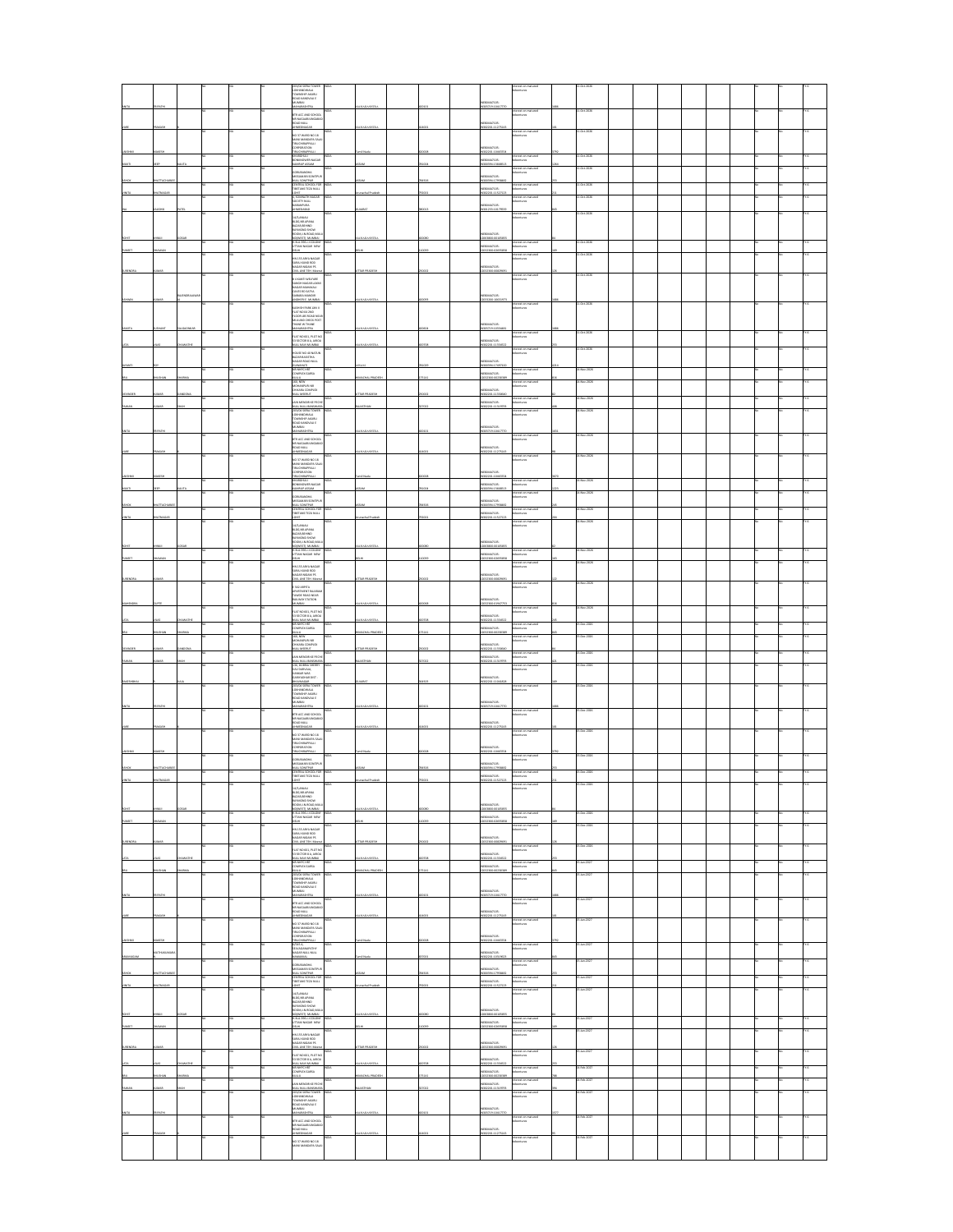|        |          |               |  |                                                                                                                                                                    |                     |          |                                                   | arest on m<br>bertures            |               |  |  |  |  |
|--------|----------|---------------|--|--------------------------------------------------------------------------------------------------------------------------------------------------------------------|---------------------|----------|---------------------------------------------------|-----------------------------------|---------------|--|--|--|--|
|        |          |               |  | 203/04 SIERA TOWE<br>LOIGHANDWALA<br>TOWNGHIP AKURU<br>NOMBAN<br>MAHARASHTRA<br>MAHARASHTRA                                                                        |                     |          | 6806147105-<br>002719-10417770                    |                                   |               |  |  |  |  |
|        |          |               |  |                                                                                                                                                                    |                     |          |                                                   | interest on matured<br>debentures | Oct-2006      |  |  |  |  |
|        |          |               |  | etr acc and school<br>NR NAGAARJUNGAEAE<br>ROAD NULL<br>AHMEDNAGAR                                                                                                 |                     |          | 806A7105<br>102205-11275143                       |                                   |               |  |  |  |  |
|        |          |               |  | no 27 ward no 18<br>Mani Mandara Sala<br>Truchrappalli<br>Corporazionili<br>Truchrappalli                                                                          |                     |          |                                                   | erest on matured<br>verbanes      | Oct-202       |  |  |  |  |
|        |          |               |  |                                                                                                                                                                    |                     |          | 806147105-<br>02205-10663                         |                                   |               |  |  |  |  |
|        |          |               |  | bonknower Nagar<br>Kaarup Assam                                                                                                                                    |                     |          | INEBOILA7105-<br>1000394-13668513                 | terest on ma<br>bentures          |               |  |  |  |  |
|        |          |               |  |                                                                                                                                                                    |                     |          | SE806IA7105                                       | rest on ma<br>returns             |               |  |  |  |  |
|        |          |               |  | Gorubandha<br>Missamari Sontifur<br>Mull Sontifur<br>Tretans Tezu Mull<br>Tretans Tezu Mull<br>Lohit                                                               |                     |          | 00394-17958482                                    | terest on matured<br>bentures     |               |  |  |  |  |
|        | HATNAGAR |               |  |                                                                                                                                                                    | debat Piadara       | 2001     | INEROGIA7105-<br>INGC 2201-11527123               |                                   | 202           |  |  |  |  |
|        |          |               |  | ani<br>Sommath Magar<br>Kranpura<br>Kartoarad                                                                                                                      | ARAT                |          | 0344210<br>000333-00070550                        | rest on matured<br>entures        |               |  |  |  |  |
|        |          |               |  | 24/2.ANAM<br>ANDARA ARAHAN<br>ANDARA ARAHAD<br>ANDARA ARAHAN<br>MONA-206 LI COLONY<br>MUNA-206 LI COLONY<br>DELHI<br>DELHI NAGAR NEW<br>DELHI                      |                     |          |                                                   | erest on matured<br>Sentanes      | Oct-2026      |  |  |  |  |
|        |          |               |  |                                                                                                                                                                    |                     |          |                                                   |                                   |               |  |  |  |  |
|        |          |               |  |                                                                                                                                                                    |                     |          | E804147105-<br>1063800-0010585                    | arest on m.<br>bentures           |               |  |  |  |  |
|        |          |               |  | <b>ELHI</b>                                                                                                                                                        |                     |          | INEROILA 7105-<br>12032300-02655858               | rest on m<br>entures              |               |  |  |  |  |
|        |          |               |  | hn 155 arta nagar<br>Surai kund Rod<br>Nagar nigam PS<br>Civil Line Teh Meet                                                                                       |                     |          | MA7105                                            |                                   |               |  |  |  |  |
|        |          |               |  |                                                                                                                                                                    |                     |          | 322203-0082                                       | terest on ma<br>ibentures         |               |  |  |  |  |
|        |          |               |  | B 4 KANTI WELFARE<br>SANGH NAGAR LAXIMI<br>NAGAR MAHAKALI<br>SAIBABA MANDIR<br>SAIBABA MANDIR                                                                      |                     |          |                                                   |                                   |               |  |  |  |  |
|        |          | <b>ENDRAL</b> |  | DIER E MUMBA                                                                                                                                                       |                     |          | NEBONA7105-<br>0033200-0063197                    |                                   |               |  |  |  |  |
|        |          |               |  | KASHSH PARK LIN II<br>FLAT NG 04 2ND<br>FLOOR LIS ROAD NEAR<br>MULLIND CHECK POST<br>THANE W THANE<br>MAHARASHTRA                                                  |                     |          |                                                   | terest on matured<br>ebentures    | $-0.1 - 200$  |  |  |  |  |
|        |          |               |  |                                                                                                                                                                    |                     |          |                                                   |                                   |               |  |  |  |  |
|        |          |               |  |                                                                                                                                                                    |                     |          | 02719-10334                                       | terest on matured<br>bentures     |               |  |  |  |  |
|        |          |               |  | .<br>Flat no 601, plot no<br>Null navi mumbai                                                                                                                      |                     |          | 16804147105-<br>1002201-1123452                   |                                   | $-0.1 - 200$  |  |  |  |  |
|        |          |               |  | -<br>DUSE NO 40 NATUN<br>AGAR BOAD NULL<br>MGAR BOAD NULL                                                                                                          |                     |          | EB06M7105                                         | arest on matured<br>bentures      |               |  |  |  |  |
|        |          |               |  | LYANNIATI<br>R. NHPC HRT<br>CAAPLEX GABSA                                                                                                                          |                     |          | 0003641749710                                     | arest on matured<br>bentures      | Nov-2026      |  |  |  |  |
|        |          |               |  |                                                                                                                                                                    | MOHN PRADESH        | .<br>141 | INEROALA 7105-<br>12032300-00230385               | terest on matured                 | Nov-2021      |  |  |  |  |
|        |          |               |  | ullu<br>60, New<br>Hohanpuri nr<br>Hill Meerlet<br>Lull Meerlet                                                                                                    |                     |          | 6806147105-<br>302201-11330                       | entates                           |               |  |  |  |  |
|        |          |               |  | NN MÊNDIR KÊ PÊCH                                                                                                                                                  | <b>LASTHAN</b>      | 7022     | INE806IA7105-<br>INGC2201-11319783                | rrest on matured<br>abentures     |               |  |  |  |  |
|        |          |               |  | MIN MINIJIK KA PACA<br>MILI NULI BANDWAR<br>DOL/DI SIERA TOWER<br>LOIO-MAROWALA<br>NUMBAI<br>MILIMBAI<br>MILIMBAI<br>MILIMBAI                                      |                     |          |                                                   | erest on mati<br>Sentures         |               |  |  |  |  |
|        |          |               |  |                                                                                                                                                                    |                     |          | 002219-10412220                                   |                                   |               |  |  |  |  |
|        |          |               |  |                                                                                                                                                                    |                     |          |                                                   | erest on matured<br>Sentanes      |               |  |  |  |  |
|        |          |               |  | etr acc and school<br>NR NAGAARJUNGABAD<br>ROAD NJUL<br>WANDNAGAR                                                                                                  |                     |          | 680647105-<br>002201-11275143                     |                                   |               |  |  |  |  |
|        |          |               |  | io 37 ward no 18<br>Anni Mandapa Sala                                                                                                                              |                     |          |                                                   | terest on matured<br>bentures     | May 2026      |  |  |  |  |
|        |          |               |  | TIRUCHRAPPALLI<br>CORPORATION                                                                                                                                      |                     |          | 806147105-<br>02201-1066                          |                                   |               |  |  |  |  |
|        |          | z,            |  | TAUCHAAPPALLI<br>KHARGHULI<br>RONKNOWER NAGAR<br>KAMRUP ASSAM                                                                                                      |                     |          | INERDAIA7105-<br>ING 00284-12668512               | rderest on ma<br>Sebentures       |               |  |  |  |  |
|        |          |               |  | .<br>Géliandha<br>Assamarisonitpur                                                                                                                                 |                     |          | NEBONA7105-                                       | arest on mature<br>bentures       |               |  |  |  |  |
|        |          |               |  | ull Sonithur<br>Entral Sonodi For<br>IBETANS TEZU NULL<br>OHIT                                                                                                     |                     |          | 1203294-1795848                                   | erest on matured<br>Sentanes      | ov-2026       |  |  |  |  |
|        |          |               |  |                                                                                                                                                                    |                     |          | NEBONIA7105-<br>NGC 2201-11527122                 | arest on matured<br>bentures      | iov-2026      |  |  |  |  |
|        |          |               |  |                                                                                                                                                                    |                     |          |                                                   |                                   |               |  |  |  |  |
|        |          |               |  |                                                                                                                                                                    |                     |          | E806147105-<br>1063800-001058                     |                                   |               |  |  |  |  |
|        |          |               |  | 14/2/ANUALI<br>BLOCARRAFANA<br>BAZAR, BENIND<br>RADINALI NAROAD, ANUALI<br>MONA-206 LI COLONY<br>MUNA-206 LI COLONY<br>DELHI<br>DELHI NAGAR, NEW<br>DELHI<br>$\mu$ |                     |          | INEROILA 7105-<br>12032300-02655858               | arest on m.<br>bentures           |               |  |  |  |  |
|        |          |               |  |                                                                                                                                                                    |                     |          |                                                   | irest on m<br>ieršanes            |               |  |  |  |  |
|        |          |               |  | in 155 arya nagar<br>Rirai kund Rod<br>Nagar nigam PS<br>Cave Line Teh Meers                                                                                       |                     |          | MA7105<br>22300-0082                              |                                   |               |  |  |  |  |
|        |          |               |  | e 202 abpita<br>Apartment Ralaram<br>Tawoe Road Near<br>Arilway Statich<br>Mumbai                                                                                  |                     |          |                                                   | terest on matured<br>bentures     |               |  |  |  |  |
| HENDRA | JPTE     |               |  |                                                                                                                                                                    | ANARASHTRA          | coca     | INEB06IA7105-<br>12032300-01947753                |                                   |               |  |  |  |  |
|        |          |               |  | FLAT NO 601, PLOT NO<br>53 SECTOR B.A., AIROLI<br>MULL NAVI MUMBAU<br>COMPLEX GARSA<br>VIIIIII                                                                     |                     |          | 6806A7105-<br>002201-1123452                      | terest on matured<br>bentures     | Nov-2026      |  |  |  |  |
|        |          |               |  |                                                                                                                                                                    |                     |          | 4804A7105-<br>3022300-0023                        | arest on matured<br>bentures      | Dec-2026      |  |  |  |  |
|        |          |               |  | OJLUJ<br>MOHANPURINR<br>CHIKARA COMPUZX<br>NULL MEERUT<br>NULL MEERUT                                                                                              |                     |          |                                                   | arest on mar<br>Gentares          |               |  |  |  |  |
|        |          |               |  |                                                                                                                                                                    |                     |          | 6806147105-<br>102201-1123064                     |                                   |               |  |  |  |  |
|        |          |               |  |                                                                                                                                                                    |                     |          |                                                   |                                   |               |  |  |  |  |
|        |          |               |  | NN MÊNDIR KÊ PÊDE                                                                                                                                                  |                     |          |                                                   | terest on matured<br>bentures     | $x - 25x$     |  |  |  |  |
|        |          |               |  |                                                                                                                                                                    |                     |          | INEROGIA7105-<br>INGC2205-11210702                | rest on m<br>entures              |               |  |  |  |  |
|        |          |               |  | <b>MULL NULL BANSWAR</b><br>136, DOBRIA SHERRY<br><i>INV DARWAL</i> A,<br>IAMKAR WAS<br>SHERRINAR DIST -                                                           |                     |          | 304147105-<br>102201-1104182                      |                                   | Dec-2026      |  |  |  |  |
|        |          |               |  |                                                                                                                                                                    |                     |          |                                                   | terest on matured<br>ebentures    |               |  |  |  |  |
|        | PATH     |               |  | anningar<br>201/04 Sepa Tower<br>Conandwala<br>Road Kandwali E<br>Mumbai<br><b>MARASHTRA</b>                                                                       | <b>ANARASHTRA</b>   |          | EB06M7105<br>AG02719-10117770                     |                                   |               |  |  |  |  |
|        |          |               |  |                                                                                                                                                                    |                     |          |                                                   | arest on matured<br>bentures      |               |  |  |  |  |
|        |          |               |  | BTR ACC AND SCHOOL<br>NR NAGAARJUNGABAD<br>ROAD NULL<br>AHMEDNAGAR                                                                                                 |                     |          | NERDAIA 7105-<br>NAO2201-11275143                 |                                   | Dec-2026      |  |  |  |  |
|        |          |               |  |                                                                                                                                                                    |                     |          |                                                   | terest on matured<br>bertures     |               |  |  |  |  |
|        |          |               |  | NO 37 WARD NO 18<br>MANI MANDARA SALA<br>TIRUCHRAPPALI<br>CORPORATION<br>TIRUCHRAPPALII                                                                            |                     |          | 806147105-<br>02201-10653                         |                                   |               |  |  |  |  |
|        |          |               |  |                                                                                                                                                                    |                     |          | 806A7105-                                         | terest on matured<br>ebentures    |               |  |  |  |  |
|        |          |               |  | Grubandha<br>Assamar Sontpur<br>Aull Sontpur<br>Sintral Sondol For<br>TIBETANS TEZU NULL<br>LOHIT                                                                  |                     |          | 0204-17958                                        | interest on ma<br>debentures      |               |  |  |  |  |
|        |          |               |  |                                                                                                                                                                    |                     |          |                                                   | terest on matured<br>ebentures    |               |  |  |  |  |
|        |          |               |  |                                                                                                                                                                    |                     |          |                                                   |                                   |               |  |  |  |  |
| нī     |          | <b>YSAR</b>   |  | 14/2,ANIALI<br>BLDG,N2,AFANA<br>BAZAR,BEHIND<br>RKYMOND SHOW<br>ROOM,I.N.ROAD,MUI<br>DEMEST) MUMBAU                                                                | <b>ASLARASETTRA</b> | XXX      | NERONA 7105-<br>12062800-00105RSS                 |                                   | Dec-2026      |  |  |  |  |
|        |          |               |  | N-A-28611 COLONY<br>TAM NAGAR-NEW                                                                                                                                  |                     |          | E806IA7105-                                       | irest on matured<br>ientures      |               |  |  |  |  |
|        |          |               |  |                                                                                                                                                                    |                     |          |                                                   | arest on ma<br>bentures           |               |  |  |  |  |
|        |          |               |  | hn 155 arya nagar<br>Surai kund Rod<br>Nagar nigam PS<br>Civil Line TEH Meery                                                                                      |                     |          | 6804W7105-<br>032300-0082969:                     |                                   | Dec-2020      |  |  |  |  |
|        |          |               |  |                                                                                                                                                                    |                     |          | 680647105-<br>002201-1133652                      | arest on matured<br>bentures      |               |  |  |  |  |
|        |          |               |  | FLAT NO 601, PLOT NO<br>53 SECTOR B.A., AIROLI<br>NULL NAVI MUSHAN<br>COMPLEX GARSA<br>COMPLEX GARSA                                                               |                     |          | 80447105<br>322300-0023                           | terest on matured<br>bentures     |               |  |  |  |  |
|        |          |               |  |                                                                                                                                                                    |                     |          |                                                   | arest on matured<br>bentures      |               |  |  |  |  |
|        | ERATHI   |               |  | COMPONENT<br>KULLU<br>KULLU SIERA TOWER<br>LOISHANDWALA<br>ROAD KANDWALI E<br>MAHARASHTRA<br>MAHARASHTRA                                                           | ANARASHTRA          | 00101    | INEB06IA7105-<br>IN903719-10417770                |                                   |               |  |  |  |  |
|        |          |               |  |                                                                                                                                                                    |                     |          |                                                   | erest on matured<br>Sentanes      |               |  |  |  |  |
|        |          |               |  | itr acc and school<br>Ir Nagaariungabaz<br>Ioad Null<br>MONAGAR                                                                                                    |                     |          | NEBONA7105-<br>102201-11275147                    |                                   | $485 - 202$   |  |  |  |  |
|        |          |               |  |                                                                                                                                                                    |                     |          |                                                   | rterest on matured<br>Sebentures  |               |  |  |  |  |
|        |          |               |  | NO 37 WARD NO 18<br>MANI MANGARA<br>TRIUCHRAPPALI<br>COREORATION<br>TRIUCHRAPPALI<br>G/545 A,                                                                      |                     |          | 806147105-<br>02201-10653                         |                                   |               |  |  |  |  |
|        |          |               |  | SELVAGANAPATHY<br>NAGAR NULL NULL                                                                                                                                  |                     |          |                                                   | erest on m<br>oertares            |               |  |  |  |  |
|        |          |               |  | <b>UUXXA</b>                                                                                                                                                       |                     |          | 806147105-<br>02201-103196                        | terest on matured<br>bentures     | <u>us-202</u> |  |  |  |  |
|        |          |               |  | Sorubangha<br>Missamari Sonitpur<br>Null Sonitpur<br>Central Sohool For                                                                                            |                     |          | 8061A7105-<br>00394-179584                        |                                   |               |  |  |  |  |
|        |          |               |  | <b><i>DRETANS TEZU NULL</i></b><br>n <sub>H</sub>                                                                                                                  | achaí Pradesh       | oos      | NEB06IA7105-<br>NGC 201-11527123                  | arest on mature<br>bentures       |               |  |  |  |  |
|        |          |               |  |                                                                                                                                                                    |                     |          |                                                   | erest on mat<br>Sentanes          |               |  |  |  |  |
|        |          | <b>YSAR</b>   |  | 14/2,ANIALI<br>BLDG,NR.APANA<br>BAZAR,BEHIND<br>RKYMOND SHOW<br>RCOM,I.N.ROAD,MUI                                                                                  | ANARASHTRA          | coso     |                                                   |                                   |               |  |  |  |  |
|        |          |               |  | KOMUNIKASI<br>KNA-29611 COLONY<br>KNA-29611 COLONY<br>ITTAMNAGAR NEW                                                                                               |                     |          | INEBORIA7105-<br>12062800-00105855<br>E806IA7105- | irest on matured<br>ientures      | as-202        |  |  |  |  |
|        |          |               |  |                                                                                                                                                                    |                     |          | 12300-026558                                      | terest on matured<br>bentures     |               |  |  |  |  |
|        |          |               |  |                                                                                                                                                                    |                     |          | 6806A7105-<br>032200-0082960                      |                                   |               |  |  |  |  |
|        |          |               |  | hn 155 arta nagar<br>Surai kund rod<br>Nagar nigam ps<br>Cave line teh meetu                                                                                       |                     |          |                                                   | rrest on matured<br>ienbanes      |               |  |  |  |  |
|        |          |               |  |                                                                                                                                                                    |                     |          | 6806A7105-<br>002201-11334522                     |                                   | 46-302        |  |  |  |  |
|        |          |               |  | FLAT NO 601, PLOT NO<br>53 SECTOR B.A., AIROLI<br>MULL NAVI MUMBAU<br>COMPLEX GARSA<br>VIIIIII<br>NN MÊNDIR KÊ PÊCH                                                |                     |          | E804IA7105-<br>1022200-0023<br>NE804IA7105-       | arest on matured<br>bentures      |               |  |  |  |  |
|        |          |               |  |                                                                                                                                                                    | <b>GTHAN</b>        |          | (302201-11219793                                  | rterest on matured<br>ebentures   |               |  |  |  |  |
|        |          |               |  |                                                                                                                                                                    |                     |          |                                                   | irest on matu<br>ientures         |               |  |  |  |  |
|        |          |               |  | MIN MINIJIK KI: PICH<br>MILI NULI BANGWAR<br>DOL/DI SIERA TOWER<br>COUNSHIP AKURU<br>NUMBAI<br>MAMARAGHTRA<br>MAMARAGHTRA                                          |                     |          | 806147105-<br>02719-10417770                      | erest on matured                  |               |  |  |  |  |
|        |          |               |  |                                                                                                                                                                    |                     |          |                                                   | abertares                         |               |  |  |  |  |
|        |          |               |  | BTR ACC AND SCHOOL<br>NR NAGAARJUNGABAD<br>ROAD NULL<br>AHMEDNAGAR                                                                                                 |                     |          | 6806A7105-<br>002201-11275                        |                                   | 46-332        |  |  |  |  |
|        |          |               |  | no 37 ward no 18<br>Mani Mandapa Sali                                                                                                                              |                     |          |                                                   | arest on matured<br>bentures      |               |  |  |  |  |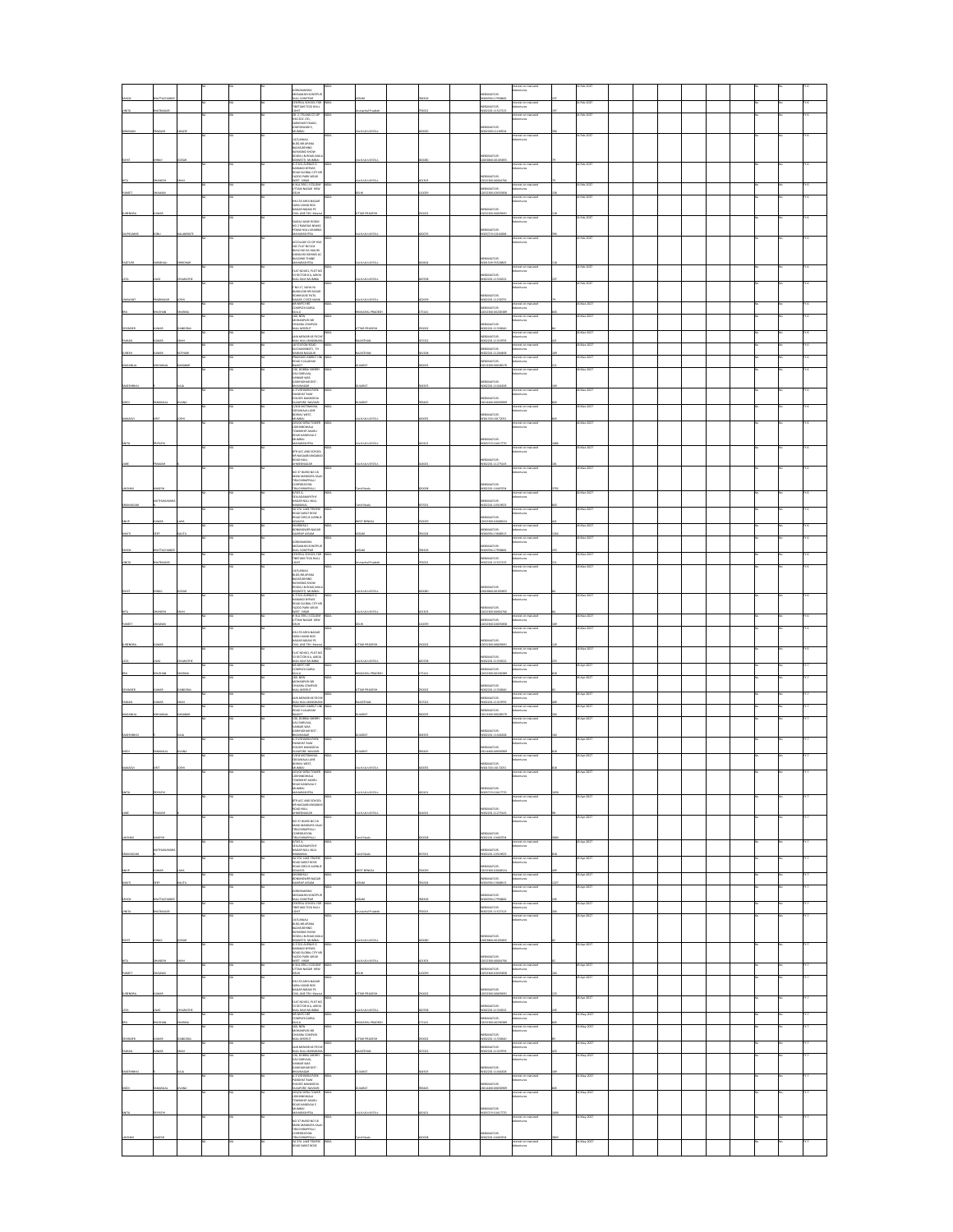|                  |       |  |                                                                                                                                                                                                                                                                                                                                                                                                                      |                         |      |                                                  | rest cm ma<br>retures                                         |             |  |  |  |  |
|------------------|-------|--|----------------------------------------------------------------------------------------------------------------------------------------------------------------------------------------------------------------------------------------------------------------------------------------------------------------------------------------------------------------------------------------------------------------------|-------------------------|------|--------------------------------------------------|---------------------------------------------------------------|-------------|--|--|--|--|
|                  |       |  | orubandha<br>Kesamar Sowitpur<br>Kuli Sowitpur<br>Battans Tezu Null<br>Guit<br>Cuit                                                                                                                                                                                                                                                                                                                                  |                         |      | 00394-17958482<br>20147105                       | erest on matured<br>Sentanes                                  |             |  |  |  |  |
|                  |       |  |                                                                                                                                                                                                                                                                                                                                                                                                                      |                         |      |                                                  | erest on matured<br>Sentanes                                  |             |  |  |  |  |
|                  |       |  | Lohit<br>26-2, Telang Co Op<br>16G Soc Ltd,<br>Saraswart Baug,<br>Jogsswart F,<br>Muawan                                                                                                                                                                                                                                                                                                                             |                         |      | E806W7105-<br>102269-11169536                    |                                                               |             |  |  |  |  |
|                  |       |  |                                                                                                                                                                                                                                                                                                                                                                                                                      |                         |      |                                                  | erest on matured<br>bentures                                  |             |  |  |  |  |
|                  |       |  |                                                                                                                                                                                                                                                                                                                                                                                                                      |                         |      |                                                  |                                                               |             |  |  |  |  |
|                  |       |  |                                                                                                                                                                                                                                                                                                                                                                                                                      |                         |      | E806A7105-<br>IOE3800-00105                      | arest on mature<br>bentures                                   |             |  |  |  |  |
|                  |       |  | $\begin{tabular}{l c c } \hline \textit{GMDRIN} \\ \hline \textit{GQ}/\textit{RAMAM} \\ \textit{RLOQ}/\textit{RAMAM} \\ \textit{RLOQ}/\textit{RAMAM} \\ \textit{ROMMOMO} \textit{GQ}/\textit{MOMO} \\ \textit{ROMMOMO} \textit{GQ}/\textit{MOMO} \\ \textit{ROMMOMO} \textit{RAMMOMO} \\ \textit{RAMMOMO} \textit{RAMMOMO} \\ \textit{RAMMOMO} \textit{RAMMOMO} \\ \textit{GMDM} \textit{GQ}/\textit{MOMO} \\ \text$ |                         |      | 6806147105-<br>032300-00006764                   |                                                               |             |  |  |  |  |
|                  |       |  |                                                                                                                                                                                                                                                                                                                                                                                                                      |                         |      | NEBONIA7105-<br>2032300-02655858                 | erest on matured<br>entares                                   | Feb-202     |  |  |  |  |
|                  |       |  |                                                                                                                                                                                                                                                                                                                                                                                                                      |                         |      |                                                  | rest on m<br>entures                                          |             |  |  |  |  |
|                  |       |  | in 155 arya nagar<br>Rirai kund Rod<br>Nagar nigam PS<br>Cave Line Teh Meere                                                                                                                                                                                                                                                                                                                                         |                         |      | 304147105-<br>322300-00829                       |                                                               |             |  |  |  |  |
|                  |       |  |                                                                                                                                                                                                                                                                                                                                                                                                                      |                         |      |                                                  | dered on matured<br>ebentures                                 | .<br>16-202 |  |  |  |  |
|                  |       |  | SAIGAL WADI ROOM<br>NO 2 RAMDAS NIWAS<br>POWA NULL MUMBAI<br>MAHARASHTRA                                                                                                                                                                                                                                                                                                                                             |                         |      | E806IA7105-<br>102719-10564164                   |                                                               | 6-202       |  |  |  |  |
|                  |       |  |                                                                                                                                                                                                                                                                                                                                                                                                                      |                         |      |                                                  | rrest on matured<br>ientures                                  |             |  |  |  |  |
|                  |       |  | ACCOUNDE CO OP HIG<br>SOC FUAT NO 204<br>SUILD NO 2A HAULIR<br>DARGA RD BEHIND LIC<br>SUILDING THANG<br>SUILDING THANG                                                                                                                                                                                                                                                                                               |                         |      | 304147105-<br>IOSEB-SSS268                       |                                                               |             |  |  |  |  |
|                  |       |  | FLAT NO 601, PLOT NO<br>53 SECTOR B.A., AIROLI<br>MULL NAVI MUMBAL                                                                                                                                                                                                                                                                                                                                                   |                         |      |                                                  | rterest on matured<br>Sebentures                              |             |  |  |  |  |
|                  | ABATH |  |                                                                                                                                                                                                                                                                                                                                                                                                                      | ANARANTEA               |      | 680647105-<br>(202201-11236522                   | terest on matured<br>ebentures                                |             |  |  |  |  |
|                  |       |  | F NO 17, SAFALYA<br>BUNGLOW NR SAGAR<br>ROWHOUSE PATIL<br>NA NHPC HRT<br>NR NHPC HRT                                                                                                                                                                                                                                                                                                                                 |                         |      | E806M7105-<br>302201-1123071                     |                                                               |             |  |  |  |  |
|                  |       |  | CRAPLEX GARSA                                                                                                                                                                                                                                                                                                                                                                                                        | MACHAL PRADESH          |      | INEBOILA7105-<br>12032300-00230989               | rderest on matured<br>Sebentures                              |             |  |  |  |  |
|                  |       |  | JELIJ<br>10, NEW<br>KIKARA COMPUEX<br>HIKARA COMPUEX<br>ULL MEERUT                                                                                                                                                                                                                                                                                                                                                   |                         |      | NEBONA7105-                                      | erest on matured<br>Sentanes                                  |             |  |  |  |  |
|                  |       |  | VN MENDIR KE PECH                                                                                                                                                                                                                                                                                                                                                                                                    | TAR PRADES!             |      | 0202201-11220640<br>ACROSS 7105-                 | terest on matured<br>ebentures                                | Mar-3027    |  |  |  |  |
|                  |       |  |                                                                                                                                                                                                                                                                                                                                                                                                                      |                         |      | 4902201-11210702                                 | arest on matured<br>bentures                                  | Mar-2027    |  |  |  |  |
|                  |       |  | in Mendir Ke Pech<br>Juli Null Bangwar<br>Johamansiti, Th<br>Johamansiti, Th<br>Damijoh Ambut Un<br>Damijoh Ambut<br>Bantit<br>Bantit                                                                                                                                                                                                                                                                                |                         |      | NEBONA7105-<br>NGC 2201-1126446                  | arest on matured<br>bentures                                  | -Mar-2027   |  |  |  |  |
|                  |       |  |                                                                                                                                                                                                                                                                                                                                                                                                                      |                         |      | 680647105-<br>2013200-0062857                    | rderest on matured<br>Sebentures                              | Mar-202     |  |  |  |  |
|                  |       |  | RANCOT<br>136, DOBRA SHERRY<br>VAV DARVALA,<br>VANKAR WAS<br>GARYMOHAR DIST<br>RHAVAHGAR<br>ANNOULT RAW<br>ANNOULT RAW                                                                                                                                                                                                                                                                                               |                         |      | E806IA7105-<br>302201-11041828                   |                                                               |             |  |  |  |  |
|                  |       |  |                                                                                                                                                                                                                                                                                                                                                                                                                      |                         |      |                                                  | erest on matured<br>bentures                                  | $M = 222$   |  |  |  |  |
|                  |       |  | N-4 VISHARINA PARK<br>HOUSES MANIKODIA<br>HUALPORE NAVSARI<br>CODAWALA LANE<br>GODAWALA LANE<br>MUNISAL WEST,<br>MUNISAL                                                                                                                                                                                                                                                                                             |                         |      | 16804147105-<br>3014400-0065090                  | ržerest on matured<br>Sebentures                              | Ma: 202     |  |  |  |  |
|                  |       |  |                                                                                                                                                                                                                                                                                                                                                                                                                      |                         |      | 83647105-<br>11330-1817201                       |                                                               | Mar-2027    |  |  |  |  |
|                  |       |  | MUMBA<br>LOGANDWALA<br>LOGANDWALA<br>TOWNGWP AKURLI<br>ROAD KANDWALI E<br>MUMBAI                                                                                                                                                                                                                                                                                                                                     |                         |      |                                                  | rterest on matured<br>ebentures                               |             |  |  |  |  |
|                  |       |  | <b>WARASHTRA</b>                                                                                                                                                                                                                                                                                                                                                                                                     |                         |      | E804IA7105-<br>303719-10417770                   |                                                               | 18-Mar-2027 |  |  |  |  |
|                  |       |  | .<br>IR ACC AND SCHOOL<br>IR NAGAARJUNGABA                                                                                                                                                                                                                                                                                                                                                                           |                         |      |                                                  | terest on matured<br>ebentures                                |             |  |  |  |  |
|                  |       |  | ROAD NULL<br>AHMEDNAGAR                                                                                                                                                                                                                                                                                                                                                                                              | <b><i>GURASHTRA</i></b> |      | INEBORIA7105-<br>INGCO201-11275143               | rrest on matured<br>ientures                                  |             |  |  |  |  |
|                  |       |  |                                                                                                                                                                                                                                                                                                                                                                                                                      |                         |      |                                                  |                                                               |             |  |  |  |  |
|                  |       |  | NO 27 WARD NO 18<br>MANI MANDAPA SALAI<br>TRUCHRAPPALLI<br>CORPORATION<br>TRUCHRAPPALLI<br>NGCHARAPALLI<br>SECUAGANAPATHY<br>NGCHARAPATHY<br>NGCHARAPALLI                                                                                                                                                                                                                                                            |                         |      | 6804W7105-<br>002201-10463704                    | terest on matured                                             | Mar-202     |  |  |  |  |
|                  |       |  |                                                                                                                                                                                                                                                                                                                                                                                                                      |                         |      | 480447105-<br>(202201-1021962                    | bertares<br>.                                                 |             |  |  |  |  |
|                  |       |  | NAMARKAL<br>3A 37A LAKE TEMPLE<br>ROAD SARAT ROSE<br>ROAD CIRCUS AVENUE<br>HOAD CIRCUS AVENUE                                                                                                                                                                                                                                                                                                                        |                         |      | 04A7105                                          | terest on matured<br>ebentures                                |             |  |  |  |  |
|                  |       |  | odikata<br>Guarghuli<br>Guargip Assam<br>Guargip Assam                                                                                                                                                                                                                                                                                                                                                               | ST 95W                  |      | 032300-0260853<br>INEBOALA7105-                  | derest on matured<br>ebentures                                | Mar-2027    |  |  |  |  |
|                  |       |  | ORUBANDHA<br>ISSAMARI SONITPUR                                                                                                                                                                                                                                                                                                                                                                                       |                         |      | 1000394-13668513                                 | erez on matured<br>Sentares                                   |             |  |  |  |  |
| <b>STTACHARI</b> |       |  |                                                                                                                                                                                                                                                                                                                                                                                                                      |                         |      | SE806IA7105<br>120334-17958482                   |                                                               |             |  |  |  |  |
|                  |       |  | Null Sonitfur<br>Contral School For<br>Dretans Tezu Null<br>Lohit                                                                                                                                                                                                                                                                                                                                                    |                         |      | INEBORIA7105-<br>INGED201-11527122               | arest on matured<br>bentures<br>terest on matured<br>bentures | 8-Mar-2027  |  |  |  |  |
|                  |       |  |                                                                                                                                                                                                                                                                                                                                                                                                                      |                         |      |                                                  |                                                               |             |  |  |  |  |
|                  |       |  |                                                                                                                                                                                                                                                                                                                                                                                                                      |                         |      | E806A7105-<br>0E3800-00105                       |                                                               |             |  |  |  |  |
|                  |       |  |                                                                                                                                                                                                                                                                                                                                                                                                                      |                         |      |                                                  | erest on matured<br>pentanes                                  | $Max-22$    |  |  |  |  |
|                  |       |  |                                                                                                                                                                                                                                                                                                                                                                                                                      |                         |      | 6806A7105-<br>3022300-00004766                   |                                                               | Mar-2027    |  |  |  |  |
|                  |       |  |                                                                                                                                                                                                                                                                                                                                                                                                                      |                         |      | 2015.48083<br>032300-02651                       | irest on matured<br>ientures                                  |             |  |  |  |  |
|                  |       |  | hn 155 arya nagar<br>Surai kund Rod<br>Nagar nigam PS<br>Civil Line TEH Meery                                                                                                                                                                                                                                                                                                                                        |                         |      |                                                  | .<br>.end.com<br>.ebertares                                   |             |  |  |  |  |
|                  |       |  |                                                                                                                                                                                                                                                                                                                                                                                                                      | <b><i>HA PANDES</i></b> |      | 6806A7105-<br>2022200-0082969:                   | terest on matured<br>bentures                                 | $Mx-202$    |  |  |  |  |
|                  |       |  | FLAT NO 601, PLOT NO<br>53 SECTOR B.A., AIROLI<br>MULL NAVI MUMBAU<br>COMPLEX GARSA<br>VIIIIII                                                                                                                                                                                                                                                                                                                       |                         |      | 6806A7105-<br>002201-1123452                     |                                                               | Apr-2022    |  |  |  |  |
|                  |       |  |                                                                                                                                                                                                                                                                                                                                                                                                                      |                         |      | E804IA7105-<br>032300-00230                      | terest on matured<br>bentures                                 |             |  |  |  |  |
|                  |       |  | uluu<br>60, NEW<br>Hohanpuri NR<br>Holara Compuex<br>Ulu Meerut<br>Ulu Meerut                                                                                                                                                                                                                                                                                                                                        | TAR PRADES              |      | 8061A7105-<br>02205-11230640                     | dered on matured<br>ebentures                                 |             |  |  |  |  |
|                  |       |  | MN MENDIR KE PECH                                                                                                                                                                                                                                                                                                                                                                                                    |                         |      | INEBORIA7105-<br>IN902201-11319792               | terest on mature<br>bentures                                  |             |  |  |  |  |
|                  |       |  | ILL NULL BANSWAR<br>MANJICH AARRUT UN<br>MO 3 LALARAM                                                                                                                                                                                                                                                                                                                                                                |                         |      | 4904A7105-<br>2012200-00628570                   | erest on matured<br>berbares                                  |             |  |  |  |  |
|                  |       |  | UJI<br>, DOBRIA SHERRY<br>way darkwaa,<br>wankar was<br>garkwadhar dist -                                                                                                                                                                                                                                                                                                                                            |                         |      |                                                  | terest on mature<br>bentures                                  |             |  |  |  |  |
|                  |       |  |                                                                                                                                                                                                                                                                                                                                                                                                                      |                         |      | SERDIN 7105-<br>N302201-1104182                  |                                                               |             |  |  |  |  |
|                  |       |  | overnoon<br>Javangar<br>Jusikat Raw<br>Jusis Manaddaa                                                                                                                                                                                                                                                                                                                                                                |                         |      | E806A7105<br>3014400-0065090                     | arest on matured<br>bentures                                  | Apr-202     |  |  |  |  |
|                  |       |  | DUNNE MONAGUM<br>HALPORE NAVSARI<br>HOI MOTIMANAL<br>DRIVLI WEST,<br>HARAH                                                                                                                                                                                                                                                                                                                                           |                         |      | ACROSS 7105                                      | erest on matured<br>bentures                                  | 18-Apr-2022 |  |  |  |  |
|                  |       |  | UMBAI<br>Q/DA SIERA TOWER<br>KNAMOWALA<br>NIMSHIP AKURLI                                                                                                                                                                                                                                                                                                                                                             |                         |      | 001330-1817205                                   | arest on matured<br>bentures                                  | Apr-2022    |  |  |  |  |
|                  |       |  | 3 LIKVOKA3 GAOR                                                                                                                                                                                                                                                                                                                                                                                                      |                         |      |                                                  |                                                               |             |  |  |  |  |
| istu             |       |  | imbai<br>Harashtra                                                                                                                                                                                                                                                                                                                                                                                                   |                         |      | 806147105-<br>02719-10417770                     | erest on matı<br>Sentures                                     |             |  |  |  |  |
|                  |       |  | etracc and school<br>Nr Nagaariungabad<br>Road Null<br>Ahmednagar                                                                                                                                                                                                                                                                                                                                                    |                         |      | E806W7105-<br>302201-1127                        |                                                               |             |  |  |  |  |
|                  |       |  |                                                                                                                                                                                                                                                                                                                                                                                                                      |                         |      |                                                  | erest on m<br>Sentures                                        |             |  |  |  |  |
|                  |       |  | no 37 ward no 18<br>Mani Mandapa Sila<br>Truchrafpalli<br>Cosportion<br>Truchrafpalli<br>GSSS A<br>GELWGAMPATHY<br>MAMACKLI MULI<br>MAMACKLI MULI                                                                                                                                                                                                                                                                    |                         |      | 680647105-<br>(202201-10652                      |                                                               |             |  |  |  |  |
|                  |       |  |                                                                                                                                                                                                                                                                                                                                                                                                                      |                         |      | E806A7105                                        | erest on matured<br>bentures                                  | 18 Apr-2022 |  |  |  |  |
|                  |       |  | MAN WALL WALL<br>UMMERAL<br>127A LAKE TEMPLE<br>140 CRCUS AVENUE                                                                                                                                                                                                                                                                                                                                                     |                         |      | 102201-1031962                                   | rest on matured<br>entanes                                    | Apr-202     |  |  |  |  |
|                  |       |  |                                                                                                                                                                                                                                                                                                                                                                                                                      | ST BENGA                |      | E806A7105<br>032300-0260852                      |                                                               | 8-Apr-2027  |  |  |  |  |
|                  |       |  | MU UNUH<br>KKATA<br>LARGHULI<br>DINOVOWER NAGAR<br>NARUP ASSAM                                                                                                                                                                                                                                                                                                                                                       |                         |      | NEBORIA 7105-<br>NGODORA - 136685 S              | arest on matured<br>bentures                                  | Apr-202     |  |  |  |  |
|                  |       |  |                                                                                                                                                                                                                                                                                                                                                                                                                      |                         |      | 6806A7105-<br>000264-1795846                     | rest on matured<br>entures                                    |             |  |  |  |  |
| <b>NAGAS</b>     |       |  | Sorubandha<br>Missanari Sonitpur<br>Mull Sonitpur<br>Tartans Texi Mull<br>Chit<br>Lohit                                                                                                                                                                                                                                                                                                                              | chal Praded             | œ    | 6806A7105-<br>002205-11527123                    | erest on matured<br>pentanes                                  |             |  |  |  |  |
|                  |       |  |                                                                                                                                                                                                                                                                                                                                                                                                                      |                         |      |                                                  | rest on r<br>retures                                          |             |  |  |  |  |
|                  |       |  | 14/2,ANIALI<br>BLDG,NR.APANA<br>BAYAR,BEHNO<br>ROOM,I N.ROAD,MUL<br>ROOM,I N.ROAD,MUL                                                                                                                                                                                                                                                                                                                                |                         |      | AE806A7105-                                      |                                                               |             |  |  |  |  |
|                  |       |  |                                                                                                                                                                                                                                                                                                                                                                                                                      |                         |      | 12063800-0010585                                 | erest on matured<br>Sentanes                                  | 8-Apr-2022  |  |  |  |  |
|                  |       |  | DOWEST) MUMBAR<br>CONCET) MUMBAR<br>MANNG BIPASS<br>NDOD GLOBAL CITY NR<br>NDOD PARK VIRAR<br>NDOD PARK VIRAR                                                                                                                                                                                                                                                                                                        |                         |      | SE804IA7105-                                     |                                                               |             |  |  |  |  |
|                  |       |  | vest virar<br>UK-A-1961 I COLONY<br>ITTAM NAGAR NEW<br>ùн                                                                                                                                                                                                                                                                                                                                                            | <b>LARASHTE</b>         | Lidi | 2032300-00004764<br>NERONA 7105<br>12032300-0265 | erest on matured<br>Sentares                                  |             |  |  |  |  |
|                  |       |  |                                                                                                                                                                                                                                                                                                                                                                                                                      |                         |      |                                                  | erest on matured<br>Sentanes                                  | Apr-2022    |  |  |  |  |
|                  |       |  | hn 155 arya nagar<br>Surai kund Rod<br>Nagar nigam PS<br>Civil Line TEH Meery                                                                                                                                                                                                                                                                                                                                        | TAR PRADESH             |      | AE806IA7105-<br>032300-0082969                   |                                                               |             |  |  |  |  |
|                  |       |  | ELAT NO 601, PLOT NO<br>SA SECTOR BA, ANGLI<br>NGLI NAVI MULINA<br>SR NHPC HRT<br>COMPLEX GARSA                                                                                                                                                                                                                                                                                                                      |                         |      | NEBO6IA7105                                      | arest on mature<br>bentares                                   |             |  |  |  |  |
|                  |       |  |                                                                                                                                                                                                                                                                                                                                                                                                                      |                         |      | 02201-1123452<br>6806A7105-<br>032300-0023038    | erest on m<br>Sentures                                        |             |  |  |  |  |
|                  |       |  | uluu<br>60, NEW<br>HIMARURI NR<br>HIMARA COMPUZX<br>ULL MEERUT                                                                                                                                                                                                                                                                                                                                                       | HAL PRADE               |      |                                                  | erest on ma<br>oertares                                       |             |  |  |  |  |
|                  |       |  |                                                                                                                                                                                                                                                                                                                                                                                                                      | AR PRADES               |      | 6806A7105-<br>002201-1133064                     | arest on matured<br>bentures                                  | -May-2027   |  |  |  |  |
|                  |       |  | nn mendir ke pech<br>Ull Null Banswar<br>36, Dobrin Sherry                                                                                                                                                                                                                                                                                                                                                           |                         |      | 6806147105-<br>102201-11311                      | irest on mat<br>ientures                                      |             |  |  |  |  |
|                  |       |  | 1ah, UCMMA SHARR<br>VAV DARVAJA,<br>VANKAR WAS<br>GARVADHAR DIST -<br>DILITINDER DIST -                                                                                                                                                                                                                                                                                                                              |                         |      | 6804147105-<br>002201-11041828                   |                                                               |             |  |  |  |  |
|                  |       |  | ARYADHAR DIST<br>HANYADHAR<br>- 3 VISHARDAR PARK<br>- 3 VISHARDAR PARK<br>- 2 VISHARDAR<br>- 102450 VISHAR<br>- 102450 VISHAR<br>- 102450 VISHAR<br>- 102450 VISHAR<br>- 102450 VISHARDAR<br>- 102450 VISHARDAR<br>- 102450 VISHARDAR                                                                                                                                                                                |                         |      |                                                  | erest on matured<br>bentures                                  | May-2027    |  |  |  |  |
|                  |       |  |                                                                                                                                                                                                                                                                                                                                                                                                                      |                         |      | 6806A7105-<br>01400-00650                        | rest on matured<br>entures                                    |             |  |  |  |  |
|                  |       |  |                                                                                                                                                                                                                                                                                                                                                                                                                      |                         |      |                                                  |                                                               |             |  |  |  |  |
|                  |       |  |                                                                                                                                                                                                                                                                                                                                                                                                                      |                         |      | NEBONA7105-<br>NGC 719-10417770                  | arest on matu<br>bentures                                     |             |  |  |  |  |
|                  |       |  | NO 27 WARD NO 18<br>MANI MANDARA SALA<br>TRUCHRAPPALLI<br>CORPORATION                                                                                                                                                                                                                                                                                                                                                |                         |      |                                                  |                                                               |             |  |  |  |  |
|                  |       |  | EUCHRAPPALLI<br>137A LANE TEMPLE<br>MO SARAT ROSE                                                                                                                                                                                                                                                                                                                                                                    |                         |      | 004147105                                        | erest on ma<br>Sentures                                       |             |  |  |  |  |
|                  |       |  |                                                                                                                                                                                                                                                                                                                                                                                                                      |                         |      |                                                  |                                                               |             |  |  |  |  |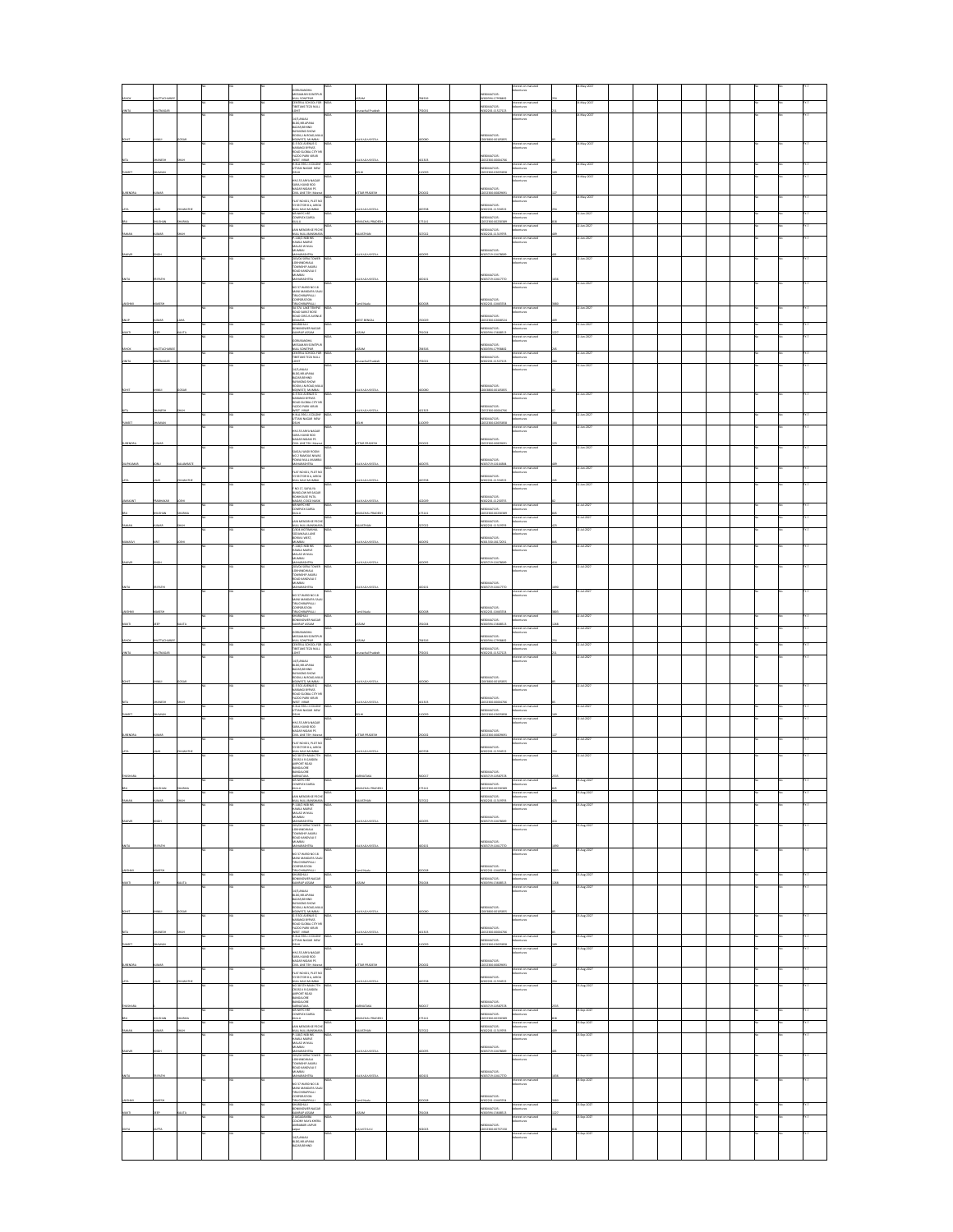|        |             |  | irubandha<br>SSAMARI SCINITPU                                                                                                                                                                                                                                                                                                                                                  |                         |      |                                     | rest on i<br>retures              |              |  |  |  |  |  |
|--------|-------------|--|--------------------------------------------------------------------------------------------------------------------------------------------------------------------------------------------------------------------------------------------------------------------------------------------------------------------------------------------------------------------------------|-------------------------|------|-------------------------------------|-----------------------------------|--------------|--|--|--|--|--|
|        |             |  |                                                                                                                                                                                                                                                                                                                                                                                |                         |      | E806A7105<br>000364-17958482        |                                   |              |  |  |  |  |  |
|        |             |  | ULL SONITFUR<br>DITRAL SCHOOL FOR<br>BETANS TEZU NULL<br>DHIT                                                                                                                                                                                                                                                                                                                  |                         |      | INERDELA7105-<br>INGC2205-11527     | interest on matured<br>debentures | 6 May-2022   |  |  |  |  |  |
|        |             |  |                                                                                                                                                                                                                                                                                                                                                                                |                         |      |                                     | erest on matured<br>Sentures      | May 2027     |  |  |  |  |  |
|        |             |  | M/2,ANIALI<br>REDG,NR.APANA<br>RAZAR REHIND<br>ROOM,I N.ROAD,NR<br>ROOM,I N.ROAD,NR                                                                                                                                                                                                                                                                                            |                         |      |                                     |                                   |              |  |  |  |  |  |
|        |             |  |                                                                                                                                                                                                                                                                                                                                                                                |                         |      | 80647105                            |                                   |              |  |  |  |  |  |
|        |             |  | ROOM, INKRID ANNO MONDE<br>ISON CONSTANTS<br>ISON COORNES CHARACTERS<br>ISON COORNES CHARACTERS<br>ISON COORNES VARA<br>INST VIRAR<br>INST VIRAR<br>ISON RANGELI COORNES<br>ISON RANGELI COORNES<br>ISON RANGELI COORNES                                                                                                                                                       |                         |      | 63800-0010                          | rest on matured<br>entures        | May-2022     |  |  |  |  |  |
|        |             |  |                                                                                                                                                                                                                                                                                                                                                                                |                         |      |                                     |                                   |              |  |  |  |  |  |
|        |             |  |                                                                                                                                                                                                                                                                                                                                                                                |                         |      | 032300-0000                         | rest on matured<br>entures        |              |  |  |  |  |  |
|        |             |  |                                                                                                                                                                                                                                                                                                                                                                                |                         |      | 6806147105-<br>032300-02655858      | est on ma                         |              |  |  |  |  |  |
|        |             |  | in 155 arya nagar<br>Rirai kund Rod<br>Nagar nigam PS<br>Civil Liné TEH Meeri                                                                                                                                                                                                                                                                                                  |                         |      |                                     | entanes                           |              |  |  |  |  |  |
|        |             |  |                                                                                                                                                                                                                                                                                                                                                                                | TAR PRADES              |      | 6806M7105-<br>032300-00821          |                                   |              |  |  |  |  |  |
|        |             |  | .<br>FLAT NO 601, PLOT NO<br>53 SECTOR B.A, AIROL                                                                                                                                                                                                                                                                                                                              |                         |      |                                     | arest on m<br>bentures            |              |  |  |  |  |  |
|        |             |  | lill navn museða<br>R. NHPC HRT<br>Caeplex gabsa                                                                                                                                                                                                                                                                                                                               |                         |      | 306A7105-<br>102205-112361          | erest on mat<br>Sentanes          |              |  |  |  |  |  |
|        |             |  | ш                                                                                                                                                                                                                                                                                                                                                                              | ACHAL PRADES            |      | INERDIAA7105-<br>12032300-00230381  |                                   |              |  |  |  |  |  |
|        |             |  | <b>NN MENDIR NE PEC</b>                                                                                                                                                                                                                                                                                                                                                        |                         |      | E806A7105-<br>002201-11219          | erest cin ma<br>entanes           |              |  |  |  |  |  |
|        |             |  | NIN WWW.MAR<br>4312 NSR INS<br>4444 MARVE<br>AMAD W NULL<br>AUMBAI                                                                                                                                                                                                                                                                                                             |                         |      |                                     | ržerest on ma<br>Sebertures       |              |  |  |  |  |  |
|        |             |  |                                                                                                                                                                                                                                                                                                                                                                                |                         |      | SE804IA7105-                        |                                   |              |  |  |  |  |  |
|        |             |  |                                                                                                                                                                                                                                                                                                                                                                                | <b>LARASHTE</b>         |      | 4903719-10478689                    | rest on i<br>retures              |              |  |  |  |  |  |
|        |             |  | MUMBA<br><u>Maharasitra</u><br>Colohandwala<br>Colohandwala<br>Colo kandwali E<br>Cad kandwali E<br>IMBA<br>Mumbasitra<br>Mumbasitra                                                                                                                                                                                                                                           |                         |      |                                     |                                   |              |  |  |  |  |  |
|        |             |  |                                                                                                                                                                                                                                                                                                                                                                                |                         |      | 6806147105-<br>003719-10417770      |                                   |              |  |  |  |  |  |
|        |             |  |                                                                                                                                                                                                                                                                                                                                                                                |                         |      |                                     | rrest on matured<br>entanes       |              |  |  |  |  |  |
|        |             |  | io 37 ward no 18<br>Anni Mandapa Sali<br>18UCHRAPPALLI<br>19UCHRAPPALLI                                                                                                                                                                                                                                                                                                        |                         |      |                                     |                                   |              |  |  |  |  |  |
|        |             |  | MPLINNINN<br>RUCHRAPPALLI<br>N 37A LAKE TEMPLE<br>DAD ORCUS AVENUE                                                                                                                                                                                                                                                                                                             |                         |      | E806IA7105-<br>302201-10653706      |                                   | $-440 - 242$ |  |  |  |  |  |
|        |             |  |                                                                                                                                                                                                                                                                                                                                                                                |                         |      | E806A7105-<br>032300-0260853        | interest on matured<br>debentures |              |  |  |  |  |  |
|        |             |  | NAN CIRCUS MARKAR<br>IARGAILLI<br>INRIUP ASSAM<br>IARUP ASSAM                                                                                                                                                                                                                                                                                                                  |                         |      |                                     | interest on matured<br>debertures | un-2027      |  |  |  |  |  |
|        |             |  |                                                                                                                                                                                                                                                                                                                                                                                |                         |      | 16804147105-<br>1202284-1366851     | est on re.                        |              |  |  |  |  |  |
|        |             |  |                                                                                                                                                                                                                                                                                                                                                                                |                         |      | <b>BOARA 7100</b>                   | entanes                           |              |  |  |  |  |  |
|        |             |  | GORUBANDHA<br>ASSAMARI SONITPUR<br>AULL SONITPUR<br>TRITANS TEZU NULL<br>OHIT<br>OHIT                                                                                                                                                                                                                                                                                          |                         |      | 00394-1795848                       | irest on matured<br>ientures      | un-2027      |  |  |  |  |  |
|        |             |  |                                                                                                                                                                                                                                                                                                                                                                                |                         |      | 6806M7105-<br>002201-11527          | rest on i<br>entures              |              |  |  |  |  |  |
|        |             |  | 14/2,ANIALI<br>BLDG,NR.APANA<br>BAZAR,BEHNO<br>RAYMOND SHOW,MUL<br>ROOKECTI, AHAABAH                                                                                                                                                                                                                                                                                           |                         |      |                                     |                                   |              |  |  |  |  |  |
|        |             |  |                                                                                                                                                                                                                                                                                                                                                                                |                         |      |                                     |                                   |              |  |  |  |  |  |
|        |             |  |                                                                                                                                                                                                                                                                                                                                                                                |                         |      | INEBORIA7105-<br>12063800-00105855  |                                   |              |  |  |  |  |  |
|        |             |  | DONEST) MUMBAL<br>-5 501 MARUE G<br>-5 501 MARUE G<br>ARANG EHRAS<br>-500 PARK VRAR<br>-507 HAHA                                                                                                                                                                                                                                                                               |                         |      |                                     | rrest on mature<br>ientures       |              |  |  |  |  |  |
|        |             |  | vest virar<br>Una-20611 colony<br>Ittam Nagar New                                                                                                                                                                                                                                                                                                                              | <b><i>SURASHTRA</i></b> |      | E806A7105-<br>3032300-00004766      |                                   |              |  |  |  |  |  |
|        |             |  | ūн.                                                                                                                                                                                                                                                                                                                                                                            |                         |      | 490447105<br>032300-02655858        | rrest on mati<br>ientanes         |              |  |  |  |  |  |
|        |             |  |                                                                                                                                                                                                                                                                                                                                                                                |                         |      |                                     | interest on matured<br>debentures | 2-aan-2027   |  |  |  |  |  |
|        |             |  | in 155 arya nagar<br>Rirai kund Rod<br>Nagar Nigam PS<br>DVK Liné TEH Meers                                                                                                                                                                                                                                                                                                    |                         |      | E806IA7105-                         |                                   |              |  |  |  |  |  |
| RENDRA |             |  |                                                                                                                                                                                                                                                                                                                                                                                | <b>ITTAR PRADESH</b>    |      | 0032300-00829691                    | rrest on mat<br>entanes           |              |  |  |  |  |  |
|        |             |  | SAIGAL WADI ROOM<br>NO 2 RAMDAS NIWAS<br>POWIA NULL MUMBA<br>MAHARASHTRA                                                                                                                                                                                                                                                                                                       |                         |      | 306A7105-<br>IO2719-1016438         |                                   |              |  |  |  |  |  |
|        |             |  |                                                                                                                                                                                                                                                                                                                                                                                |                         |      |                                     | erest on ma<br>Sentanes           |              |  |  |  |  |  |
|        | <b>BATH</b> |  | RAT NO 601, PLOT NO<br>53 SECTOR B.A., AIROL<br>NULL NAVI MUMBAU                                                                                                                                                                                                                                                                                                               | <b>NARASHTRA</b>        |      | 30047105-<br>02205-11336522         |                                   |              |  |  |  |  |  |
|        |             |  |                                                                                                                                                                                                                                                                                                                                                                                |                         |      |                                     | ved on m<br>Settures              |              |  |  |  |  |  |
|        |             |  |                                                                                                                                                                                                                                                                                                                                                                                |                         |      | 806147105-<br>02201-11230755        |                                   |              |  |  |  |  |  |
|        |             |  | F NO 17, SAFALYA<br>BUNGLOW NR SAGAR<br>ROWNOUSE PATH<br>NAGAR, CIDCO NASIK<br>NR NAPC HRT<br>COMPLEX GARSA<br>VIIIII<br>ш                                                                                                                                                                                                                                                     | MONAL PRADESH           |      | NE806A7105<br>032300-002309         | arest on m.<br>bentures           |              |  |  |  |  |  |
|        |             |  | NN MENDIR KE PECH                                                                                                                                                                                                                                                                                                                                                              |                         |      | INGROSIA7105-                       | erest on ma<br>entanes            |              |  |  |  |  |  |
|        |             |  | IN WIRKING AS PEL<br>DIL NULL BANSANA<br>RIDE MOTIMANAL<br>DRIVLI WEST,<br>I IMBAI                                                                                                                                                                                                                                                                                             |                         |      | 002201-11219                        | sterest on matured<br>lebentures  | ul-202       |  |  |  |  |  |
|        |             |  |                                                                                                                                                                                                                                                                                                                                                                                |                         |      | EB06M7105<br>001220-1817205         |                                   |              |  |  |  |  |  |
|        |             |  | AUMBAL<br>-118/2 NSB INS<br>MAALA MAAVE<br>ANAAD W NULL<br>AUMBAL                                                                                                                                                                                                                                                                                                              |                         |      |                                     | rderest on matured<br>Sebentures  |              |  |  |  |  |  |
|        |             |  |                                                                                                                                                                                                                                                                                                                                                                                | <b>HARASHTRA</b>        |      | E806A7105<br>(2027) 5-10478689      |                                   |              |  |  |  |  |  |
|        |             |  | MUMBAI<br>MAHARASHTRA<br>2004AN2WALA<br>2004AN2WALA<br>12MD KANDWALI E<br>4UMBAI<br>4UMBAI<br>MUMBAI                                                                                                                                                                                                                                                                           |                         |      |                                     |                                   |              |  |  |  |  |  |
|        |             |  |                                                                                                                                                                                                                                                                                                                                                                                |                         |      | 6806W7105-<br>003719-10417770       |                                   |              |  |  |  |  |  |
|        |             |  |                                                                                                                                                                                                                                                                                                                                                                                |                         |      |                                     | erest on mature                   |              |  |  |  |  |  |
|        |             |  | NO 37 WARD NO 18<br>MANI MANDAPA SAL<br>TRUCHRAPPALLI<br>CORPORATION                                                                                                                                                                                                                                                                                                           |                         |      |                                     | entanes                           |              |  |  |  |  |  |
|        |             |  |                                                                                                                                                                                                                                                                                                                                                                                |                         |      | EB06M7105<br>002201-1046370         |                                   |              |  |  |  |  |  |
|        |             |  | RECHRAPINII<br>KASAULI<br>INKUP ASSAM<br>INKUP ASSAM                                                                                                                                                                                                                                                                                                                           |                         |      | INERDILA7105-<br>IN200204-12668     | erest on matured<br>verbanes      |              |  |  |  |  |  |
|        |             |  |                                                                                                                                                                                                                                                                                                                                                                                |                         |      |                                     | irest on mat<br>ientures          |              |  |  |  |  |  |
|        |             |  | Gorubandha<br>Angamaan Sowitpub<br>Aull Sowitpur<br>Trays Tezu Null<br>Ohit<br>Chit                                                                                                                                                                                                                                                                                            |                         |      | 004142100<br>00394-17958            |                                   |              |  |  |  |  |  |
|        |             |  |                                                                                                                                                                                                                                                                                                                                                                                |                         |      | 2015.48083<br>02201-1152            | rest on matured<br>entures        |              |  |  |  |  |  |
|        |             |  |                                                                                                                                                                                                                                                                                                                                                                                |                         |      |                                     | rest on m<br>entures              |              |  |  |  |  |  |
|        |             |  | 14/2,ANIALI<br>BLDG,NR.APANA<br>BAYAR,BEHND<br>ROOM,I N.ROAD,MUI<br>ROOM,I N.ROAD,MUI                                                                                                                                                                                                                                                                                          |                         |      |                                     |                                   |              |  |  |  |  |  |
|        |             |  |                                                                                                                                                                                                                                                                                                                                                                                | <b><i>SURASHTRA</i></b> |      | E806A7105-<br>0063800-0010585       |                                   |              |  |  |  |  |  |
|        |             |  | HODAY, NHOND, MALI<br>G-5 501 M/KNUS G<br>G-5 501 M/KNUS G<br>NARANG BIRASS<br>ROAD GLOBAL CITY NR<br>VATOD PARK VIRAR<br>WEST VIRAR<br>MEST VIRAR                                                                                                                                                                                                                             |                         |      |                                     | arest on mat<br>bentures          |              |  |  |  |  |  |
|        |             |  |                                                                                                                                                                                                                                                                                                                                                                                |                         |      | 804147105-<br>122300-00004          |                                   |              |  |  |  |  |  |
|        |             |  | TAM NAGAR NEW<br>ūн                                                                                                                                                                                                                                                                                                                                                            |                         |      | AE806A7105-<br>032300-02651         | entures                           |              |  |  |  |  |  |
|        |             |  |                                                                                                                                                                                                                                                                                                                                                                                |                         |      |                                     | interest on matured<br>debentures |              |  |  |  |  |  |
|        |             |  | HN 155 ARYA NAGAR<br>SURAI KUND ROD<br>NAGAR NIGAM PS<br>CIVIL LINE TEH Meeri                                                                                                                                                                                                                                                                                                  |                         |      |                                     |                                   |              |  |  |  |  |  |
|        |             |  |                                                                                                                                                                                                                                                                                                                                                                                | TTAR PRADESH            |      | NE806IA7105-<br> 2032300-00829691   | viest on n<br>Sentanes            |              |  |  |  |  |  |
|        |             |  | .<br>AT NO 601, PLOT NO<br>3 SECTOR B.A, AIROL                                                                                                                                                                                                                                                                                                                                 | <b><i>GURASHTRA</i></b> |      | E806IA7105-<br>(302201-11234522     |                                   |              |  |  |  |  |  |
|        |             |  | SE SECURITA, AREU<br>MULI NAVA MUSICA<br>MULI RESI MANIN 7714<br>MISPORT ROAD<br>ARPORT ROAD<br>BANGALORE<br>BANGALORE<br>KARNATAKA                                                                                                                                                                                                                                            |                         |      |                                     |                                   |              |  |  |  |  |  |
|        |             |  |                                                                                                                                                                                                                                                                                                                                                                                |                         |      |                                     |                                   |              |  |  |  |  |  |
|        |             |  |                                                                                                                                                                                                                                                                                                                                                                                |                         |      | 6804147105-<br>003719-10587571      |                                   |              |  |  |  |  |  |
|        |             |  | COMPLEX GARSA<br>uu -                                                                                                                                                                                                                                                                                                                                                          | MONE PRADESH            | sse  | 6806A7105-<br>2022200-00220389      | entures                           |              |  |  |  |  |  |
|        |             |  | MN MENDIR KE PECH                                                                                                                                                                                                                                                                                                                                                              |                         | 1022 | INEBOALA7105-<br>INGC 2201-11319793 | erest on ma<br>Sentares           |              |  |  |  |  |  |
|        |             |  | AULI NULL BANSI<br>1930/2 NSR INS<br>MALA MARNE<br>ANAD W NULL<br>AUMBAI                                                                                                                                                                                                                                                                                                       |                         |      |                                     | rest on m                         |              |  |  |  |  |  |
|        |             |  |                                                                                                                                                                                                                                                                                                                                                                                |                         |      | E806A7105                           |                                   |              |  |  |  |  |  |
|        |             |  |                                                                                                                                                                                                                                                                                                                                                                                | <b><i>GURASHTRA</i></b> | œ    | 1003719-10170609                    | erest on mat<br>Sentanes          |              |  |  |  |  |  |
|        |             |  | MUMBAI<br>MAHARASHTRA<br>100/04 SIERA TOWEI<br>IOWASHIP AKURU<br>ROAD KANDWALI E<br>MUMBAI                                                                                                                                                                                                                                                                                     |                         |      |                                     |                                   |              |  |  |  |  |  |
|        |             |  | JMRAI<br>WARASHTRA                                                                                                                                                                                                                                                                                                                                                             | <b>SHIP</b>             |      | 6806A7105-<br>003719-10417770       |                                   | 3-Aug-2022   |  |  |  |  |  |
|        |             |  | NO 37 WARD NO 18<br>MANI MANDAPA SALA<br>TRUCHRAPPALLI<br>CORPORATION                                                                                                                                                                                                                                                                                                          |                         |      |                                     | arest on matured<br>bentures      |              |  |  |  |  |  |
|        |             |  | RUCHRAPPALLI                                                                                                                                                                                                                                                                                                                                                                   |                         |      | AE804A7105-<br>(302201-10463704     |                                   |              |  |  |  |  |  |
|        |             |  | ARGHULI<br>NGOMBER NAGAR                                                                                                                                                                                                                                                                                                                                                       |                         |      | INGROSS/105-                        | erest on i<br>Sentanes            | kug-202      |  |  |  |  |  |
|        |             |  | MRUP ASSAM                                                                                                                                                                                                                                                                                                                                                                     |                         |      | 00394-1366851                       | interest on matured<br>debentures | 3 Aug-2027   |  |  |  |  |  |
|        |             |  |                                                                                                                                                                                                                                                                                                                                                                                |                         |      |                                     |                                   |              |  |  |  |  |  |
|        |             |  | $\begin{array}{l} \textbf{1.5} \textbf{1.6} \textbf{1.7} \textbf{1.7} \textbf{1.7} \textbf{1.7} \textbf{1.7} \textbf{1.7} \textbf{1.7} \textbf{1.7} \textbf{1.7} \textbf{1.7} \textbf{1.7} \textbf{1.7} \textbf{1.7} \textbf{1.7} \textbf{1.7} \textbf{1.7} \textbf{1.7} \textbf{1.7} \textbf{1.7} \textbf{1.7} \textbf{1.7} \textbf{1.7} \textbf{1.7} \textbf{1.7} \textbf{1$ | <b>ARASHTRA</b>         |      | 6806A7105-<br>2063800-00105855      |                                   |              |  |  |  |  |  |
|        |             |  |                                                                                                                                                                                                                                                                                                                                                                                |                         |      |                                     | erest on m<br>Sentanes            | Aug 2022     |  |  |  |  |  |
|        |             |  |                                                                                                                                                                                                                                                                                                                                                                                | ARASHTR                 |      | 6806A7105-<br>0032300-0000476       |                                   |              |  |  |  |  |  |
|        |             |  |                                                                                                                                                                                                                                                                                                                                                                                |                         |      | -2015 AUGUST                        | arest on matured<br>bentures      | Aug-2027     |  |  |  |  |  |
|        |             |  |                                                                                                                                                                                                                                                                                                                                                                                |                         |      | (22333-0265                         | erest on mature<br>entures        | Aug-2027     |  |  |  |  |  |
|        |             |  | in 155 arya nagar<br>Lirai kund Rod<br>Mgar nigam PS<br>Ing Liné Teh Mirey                                                                                                                                                                                                                                                                                                     |                         |      |                                     |                                   |              |  |  |  |  |  |
|        |             |  |                                                                                                                                                                                                                                                                                                                                                                                | <b>MA PAADES</b>        |      | 480447105-<br>3032300-00829491      |                                   | Mug-2027     |  |  |  |  |  |
|        |             |  | FIXT NO 601, PLOT NO<br>EX SECTOR B.A., AIROLI<br>NO 38 STH MAIN 27TH<br>DROSS K.R. GARDEN<br>NRPORT ROAD<br>NANGALORE<br>ARNGALORE<br>ARNGALORE                                                                                                                                                                                                                               |                         |      | COMMA 74RC<br>02201-1123452         | arest on matured<br>bentures      |              |  |  |  |  |  |
|        |             |  |                                                                                                                                                                                                                                                                                                                                                                                |                         |      |                                     | rest on matured<br>entures        | Aug-2027     |  |  |  |  |  |
|        |             |  |                                                                                                                                                                                                                                                                                                                                                                                |                         |      |                                     |                                   |              |  |  |  |  |  |
|        |             |  |                                                                                                                                                                                                                                                                                                                                                                                | <b>ATAKA</b>            |      | INEBOILA7105-<br>INGC2719-10587578  |                                   | Sep-3327     |  |  |  |  |  |
|        |             |  | (RNATAKA<br>ENHPEHRT<br>MAPLEX GARSA<br>ILIU                                                                                                                                                                                                                                                                                                                                   |                         |      | INERDEN7105-<br>032300-00230        | terest on matured<br>bentures     |              |  |  |  |  |  |
|        |             |  | N MENDIR KE PECH                                                                                                                                                                                                                                                                                                                                                               |                         |      | 6806M7105-<br>002201-11219          | irest on matured<br>ientures      | Sep-2027     |  |  |  |  |  |
|        |             |  |                                                                                                                                                                                                                                                                                                                                                                                |                         |      |                                     | rest on ma<br>entures             | Sep-2027     |  |  |  |  |  |
|        |             |  |                                                                                                                                                                                                                                                                                                                                                                                |                         |      | 493447105-<br>(202719-10478689      |                                   |              |  |  |  |  |  |
|        |             |  |                                                                                                                                                                                                                                                                                                                                                                                | ASHITE                  |      |                                     | erest on matured<br>Sentanes      | 3-Sep-2027   |  |  |  |  |  |
|        |             |  | NN MENDIK KE PEC<br>1111 NULL BANDAN<br>1111 NULL BANDA<br>1111 NULL BANDA<br>1414 NA MARNE<br>1414 NA MARNE<br>1010 NA MARNALA<br>1010 NA MARNALA<br>1010 NA MARNALA<br>1010 NA MARNALA<br>1010 NA MARNALA                                                                                                                                                                    |                         |      |                                     |                                   |              |  |  |  |  |  |
|        |             |  |                                                                                                                                                                                                                                                                                                                                                                                | ASHIR                   |      | AE806A7105-<br>4903719-10417770     |                                   |              |  |  |  |  |  |
|        |             |  |                                                                                                                                                                                                                                                                                                                                                                                |                         |      |                                     | rest on i<br>entanes              |              |  |  |  |  |  |
|        |             |  |                                                                                                                                                                                                                                                                                                                                                                                |                         |      | 680647105-<br>(202201-10452         |                                   |              |  |  |  |  |  |
|        | s           |  | no 37 ward no 18<br>Man Mandapa Sala<br>Truchrappalli<br>Truchrappalli<br>Bongadwir Nagar<br>Bongadwir Nagar<br>Kamrup Assam<br>Kamrup Assam                                                                                                                                                                                                                                   |                         |      | E806IA7105-<br>300394-13668513      | rrest on matured<br>entates       |              |  |  |  |  |  |
|        |             |  |                                                                                                                                                                                                                                                                                                                                                                                |                         |      |                                     | rest on r<br>entures              |              |  |  |  |  |  |
|        |             |  | .<br>Maani Mari<br>pur.                                                                                                                                                                                                                                                                                                                                                        |                         | 1022 | 2004147105<br>032200-0072715        |                                   |              |  |  |  |  |  |
|        |             |  | 14/3,4Niali<br>Bldg,Nr.apana<br>Bazar,Behind                                                                                                                                                                                                                                                                                                                                   |                         |      |                                     | erest on ma<br>Sentures           |              |  |  |  |  |  |
|        |             |  |                                                                                                                                                                                                                                                                                                                                                                                |                         |      |                                     |                                   |              |  |  |  |  |  |
|        |             |  |                                                                                                                                                                                                                                                                                                                                                                                |                         |      |                                     |                                   |              |  |  |  |  |  |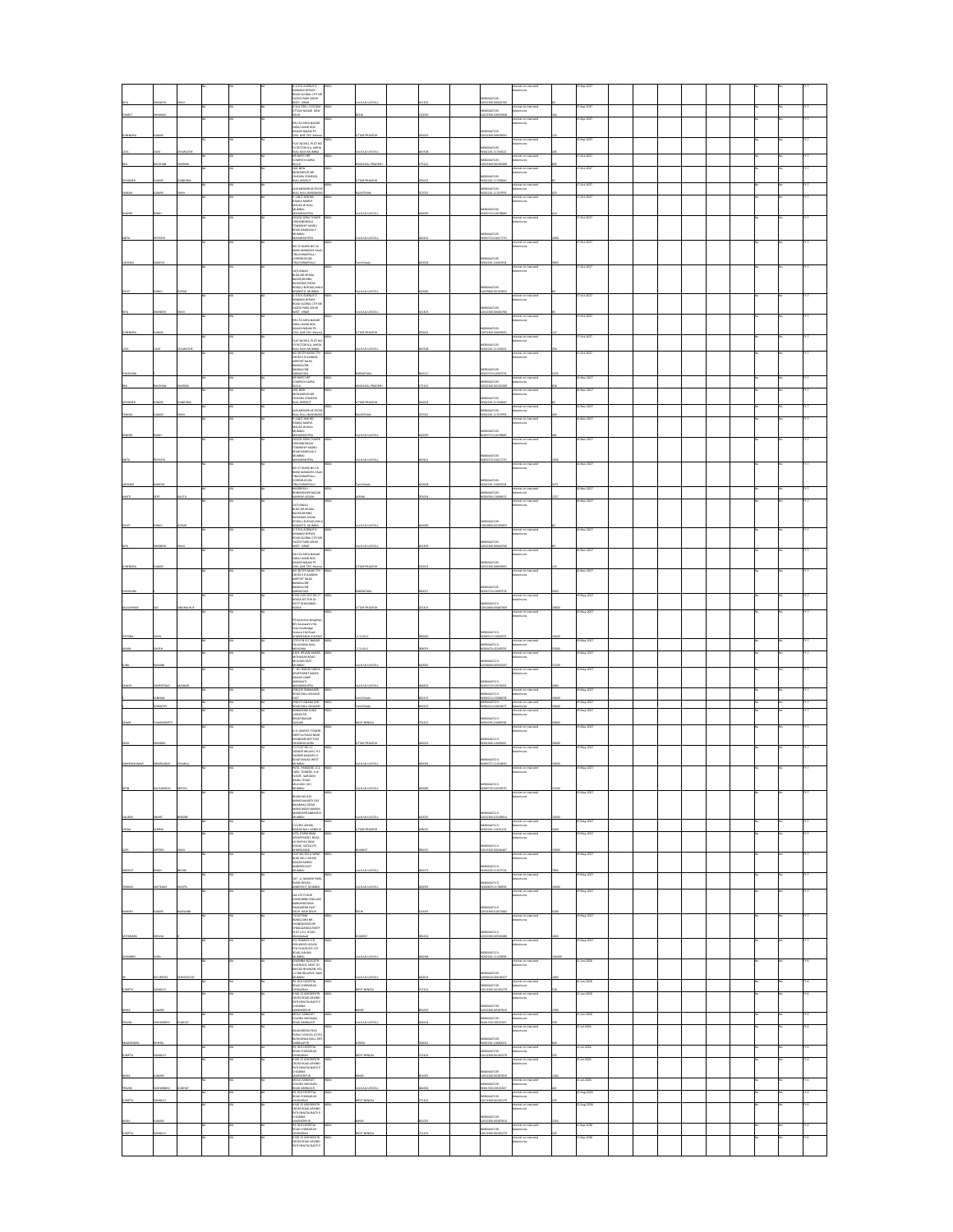|              |       |  |  |                                                                                                                                                                                                                                                                                         |                         |      |                                                  | rest on i<br>entures           |     |               |  |  |  |  |  |
|--------------|-------|--|--|-----------------------------------------------------------------------------------------------------------------------------------------------------------------------------------------------------------------------------------------------------------------------------------------|-------------------------|------|--------------------------------------------------|--------------------------------|-----|---------------|--|--|--|--|--|
|              |       |  |  | G-5 501 MANUE G<br>NARANGI BIRASS<br>ROAD GLOBAL CITY N<br>VAZDO PARK VRAR                                                                                                                                                                                                              |                         |      | SE806IA7105                                      |                                |     |               |  |  |  |  |  |
|              |       |  |  | WEST VIRAR<br>H.N.A.28611 COLONY<br>UTTAM NAGAR NEW                                                                                                                                                                                                                                     |                         |      | 0032300-00004764<br>INERDEA7105-                 | arest on matur<br>bentures     |     |               |  |  |  |  |  |
|              |       |  |  | $_{\rm CH}$                                                                                                                                                                                                                                                                             |                         |      | 2032300-0265585                                  | arest on matured<br>bentures   |     | $Sap-202$     |  |  |  |  |  |
|              |       |  |  | hn 155 arta nagar<br>Surai kund rod<br>Nagar nigam ps<br>Civil ling TGH Meet                                                                                                                                                                                                            |                         |      |                                                  |                                |     |               |  |  |  |  |  |
|              |       |  |  |                                                                                                                                                                                                                                                                                         | TAR PRADESH             |      | E806A7105<br>2032300-0082969                     |                                |     |               |  |  |  |  |  |
|              |       |  |  | -<br>FLAT NO 601, PLOT NO<br>S3 SECTOR B.A, AIROL                                                                                                                                                                                                                                       |                         |      | AE806M7105                                       | erest cin ma<br>entanes        |     |               |  |  |  |  |  |
|              |       |  |  | NULL NAVI MUMBAL<br>NR NHPC HRT<br>COMPLEX GARSA                                                                                                                                                                                                                                        |                         |      | 002201-11234522<br>AERONA7105-                   | erest on matured<br>Sentanes   |     |               |  |  |  |  |  |
|              |       |  |  |                                                                                                                                                                                                                                                                                         |                         |      | 032300-0023                                      |                                |     |               |  |  |  |  |  |
|              |       |  |  | COMPILATION<br>MOLIUI<br>MOLINIPURI NR<br>CHIMARA COMPILAT<br>CHIMARA COMPILAT                                                                                                                                                                                                          |                         |      | <b>EBONA7105</b>                                 | rest on ma<br>entures          |     |               |  |  |  |  |  |
|              |       |  |  | TURISM JUM<br>MATA MWANZI<br>AHN MENDI KULI BANSWAR<br>N-112(2 NGB INS)<br>MATA MATA MWANZI<br>MATA MWAND WALL<br>MATA MATA MATA TUNG<br>COMMON MATA MUNI<br>COMMON MATH<br>NAMA MATA MUNI KOWER<br>NAMA MATA MUNI KOWER<br>MATA MATA MUNI KOWER<br>MATA MATA MUNI KOWER                | TTAR PRADESH            |      | 4902201-11230640                                 | irest on mature<br>ieobates    |     |               |  |  |  |  |  |
|              |       |  |  |                                                                                                                                                                                                                                                                                         | <b>STLIAN</b>           |      | NE800A7105-<br>N902201-11319793                  | erest on ma<br>bertures        |     |               |  |  |  |  |  |
|              |       |  |  |                                                                                                                                                                                                                                                                                         |                         |      |                                                  |                                |     |               |  |  |  |  |  |
|              |       |  |  |                                                                                                                                                                                                                                                                                         |                         |      | 6806A7105-<br>002719-10476                       |                                |     | 3ct-2027      |  |  |  |  |  |
|              |       |  |  |                                                                                                                                                                                                                                                                                         |                         |      |                                                  | erest on matured<br>Sentanes   |     |               |  |  |  |  |  |
|              |       |  |  | <b>MARASHTRA</b>                                                                                                                                                                                                                                                                        |                         |      | E806A7105-                                       |                                |     |               |  |  |  |  |  |
|              |       |  |  |                                                                                                                                                                                                                                                                                         | <b>LARASHTE</b>         |      | 000719-00417770                                  | irest on mat<br>ientures       |     |               |  |  |  |  |  |
|              |       |  |  |                                                                                                                                                                                                                                                                                         |                         |      |                                                  |                                |     |               |  |  |  |  |  |
|              |       |  |  | no 37 ward no 18<br>Mani Mandapa Sala<br>Tiruchrappalli<br>Corporation<br>Tiruchrappalli                                                                                                                                                                                                |                         |      | 806147105-<br>02201-10463                        |                                |     |               |  |  |  |  |  |
|              |       |  |  | 14/2/ANIALI<br>RAZAR, REHINO<br>RAZAR, REHINO<br>RODALI, N.ROAD, ANJ<br>NORKST), MUMBAR<br>G-5 501 MARKE G                                                                                                                                                                              |                         |      |                                                  | entanes                        |     |               |  |  |  |  |  |
|              |       |  |  |                                                                                                                                                                                                                                                                                         |                         |      |                                                  |                                |     |               |  |  |  |  |  |
|              |       |  |  |                                                                                                                                                                                                                                                                                         |                         |      | E806IA7105-<br>063800-0011                       |                                |     |               |  |  |  |  |  |
|              |       |  |  | 5-5 501 MARCA 5<br>NARANGI BIRASS<br>ROAD GLOBAL CITY NA<br>YAZDD PARK VRAR<br>WEST VIRAR                                                                                                                                                                                               |                         |      |                                                  | erest un<br>bentures           |     |               |  |  |  |  |  |
|              |       |  |  |                                                                                                                                                                                                                                                                                         |                         |      | 004147105<br>(22303-00004                        |                                |     | $001 - 202$   |  |  |  |  |  |
|              |       |  |  | in 155 arta nagar<br>Surai kund rod<br>Nagar nigam ps<br>Civil line teh minit                                                                                                                                                                                                           |                         |      |                                                  | arest on matured<br>Sentanes   |     |               |  |  |  |  |  |
|              |       |  |  |                                                                                                                                                                                                                                                                                         |                         |      | 6804147105-<br>1032300-0082960:                  |                                |     | Oct-2022      |  |  |  |  |  |
|              |       |  |  | SING AND CALL PACITIES<br>SIAT NO GOL 8, ALOT NG<br>MAJILI NAVI MULABAN<br>COOSE K R GARDEN<br>COOSE K R GARDEN<br>BANGALORE<br>BANGALORE<br>BANGALORE<br>MANGALORE                                                                                                                     |                         |      | <b>CROMA7105</b>                                 | irest on matured<br>ientures   |     |               |  |  |  |  |  |
|              |       |  |  |                                                                                                                                                                                                                                                                                         |                         |      | 02201-1123452                                    | irest on matured<br>ientures   |     | $x + 202$     |  |  |  |  |  |
|              |       |  |  |                                                                                                                                                                                                                                                                                         |                         |      |                                                  |                                |     |               |  |  |  |  |  |
|              |       |  |  |                                                                                                                                                                                                                                                                                         | NATAKA                  |      | E806A7105<br>000719-1058757                      |                                |     |               |  |  |  |  |  |
|              |       |  |  | KARNATAKA<br>NR NHPC HRT<br>COMPLEX GARSA                                                                                                                                                                                                                                               | MACHAL PRADESH          | 816  | E806A7105<br>12032300-00230389                   | rest on mat<br>entanes         |     |               |  |  |  |  |  |
|              |       |  |  | COMPILAR WWW.AS<br>KULLUJ<br>SGO, NEW<br>CHICARA COMPILEX<br>CHICARA COMPILEX                                                                                                                                                                                                           |                         |      | 806M7105                                         | irest on mature<br>ieobates    |     |               |  |  |  |  |  |
|              |       |  |  | TURISM JUA                                                                                                                                                                                                                                                                              | <b><i>MA PAADES</i></b> |      | 102201-11230640                                  |                                |     |               |  |  |  |  |  |
|              |       |  |  | MN MENDIR KE PEC                                                                                                                                                                                                                                                                        |                         |      | 2004147105<br>12205-1121                         | erest on matured<br>Sentanes   |     |               |  |  |  |  |  |
|              |       |  |  |                                                                                                                                                                                                                                                                                         |                         |      |                                                  | ent on matured<br>bentanes     |     | .<br>Waa 30 Z |  |  |  |  |  |
|              |       |  |  |                                                                                                                                                                                                                                                                                         |                         |      | 6806147105-<br>102719-10478680                   |                                |     |               |  |  |  |  |  |
|              |       |  |  |                                                                                                                                                                                                                                                                                         |                         |      |                                                  | erest on ma<br>Sentanes        |     |               |  |  |  |  |  |
|              |       |  |  | IANN MENDE RE PEC<br>NOLL NUCLE DANSAN<br>P-12R/2 NSR INS<br>F-12R/2 NSR INS<br>MALAD W NUCL<br>MUMBAN<br>MUMBAN<br>202/DB SERA TOWE<br>LOUNGSHRA TOWE<br>LOUNGSHRA TOWE<br>CONDINALA<br>READ DANSANALA<br>READ DANSANALA<br>READ DANSANALA<br>READ DANSANALA                           |                         |      | NE804IA7105                                      |                                |     |               |  |  |  |  |  |
|              |       |  |  |                                                                                                                                                                                                                                                                                         |                         |      | 4903719-1041777                                  |                                |     |               |  |  |  |  |  |
|              |       |  |  | NO 37 WARD NO 18<br>MANI MANDAPA SILA<br>TRUCHRAPPALLI<br>CORPORATION<br>TRUCHRAP<br>DIRAKSPULLI<br>RONACHULI<br>RONACHULI<br>RONACHULI                                                                                                                                                 |                         |      |                                                  | rest on r<br>entures           |     |               |  |  |  |  |  |
|              |       |  |  |                                                                                                                                                                                                                                                                                         |                         |      | 68041A7105-<br>302201-10463704                   |                                |     |               |  |  |  |  |  |
|              |       |  |  |                                                                                                                                                                                                                                                                                         |                         |      | 6804W7105-<br>000394-13668513                    | erest on mature<br>pentanes    |     |               |  |  |  |  |  |
|              |       |  |  |                                                                                                                                                                                                                                                                                         |                         |      |                                                  | vred on matur<br>entures       |     |               |  |  |  |  |  |
|              |       |  |  | 14/2,ANIALI<br>REDG,NR.AFANA<br>RAZAR,REHIND<br>RAYMOND SHOW<br>ROOM,I.N.ROAD,MUI<br>ROOM,I.N.ROAD,MUI                                                                                                                                                                                  |                         |      |                                                  |                                |     |               |  |  |  |  |  |
|              |       |  |  |                                                                                                                                                                                                                                                                                         |                         |      | E806A7105                                        |                                |     |               |  |  |  |  |  |
|              |       |  |  |                                                                                                                                                                                                                                                                                         |                         |      | 2063800-0010585                                  | terest on matured<br>bentures  |     | iov-202       |  |  |  |  |  |
|              |       |  |  | RODALI KRONO MUO<br>GS 501 MONUEG<br>GS 501 MONUEG<br>NARANG BYPASS<br>RODALI KRONO MUO                                                                                                                                                                                                 |                         |      | E806A7105                                        |                                |     |               |  |  |  |  |  |
|              |       |  |  | AANV T23W                                                                                                                                                                                                                                                                               | <b>HARASHTRA</b>        |      | 032300-00004766                                  | rest on mat<br>entanes         |     |               |  |  |  |  |  |
|              |       |  |  | ian 155 arya nagar<br>Surai kund Rod<br>Nagar nigam PS<br>Civil Line Teh Marya<br>No be Sth Main 7th                                                                                                                                                                                    |                         |      |                                                  |                                |     |               |  |  |  |  |  |
|              |       |  |  |                                                                                                                                                                                                                                                                                         |                         |      | 304147105-<br>122300-0082                        | erest on m<br>Sentures         |     |               |  |  |  |  |  |
|              |       |  |  | NU ALIH MAIN 71<br>CROSS K R GARDEN<br>AIRPORT ROAD<br>BANGALORE<br>BANGALORE                                                                                                                                                                                                           |                         |      |                                                  |                                |     |               |  |  |  |  |  |
|              |       |  |  |                                                                                                                                                                                                                                                                                         | <b><i>ENATAKA</i></b>   | oos: | EB06M7105<br>4903719-10587578                    |                                |     |               |  |  |  |  |  |
|              |       |  |  | ENRIMTAKA<br>HINDIA SECTOR 20<br>NOIDA SECTOR 20<br>DISTT GHAZIABAD<br>NOIDA                                                                                                                                                                                                            |                         |      | ER06H7112-                                       | rrest on matured<br>ientures   |     |               |  |  |  |  |  |
|              |       |  |  | <b>AQE</b>                                                                                                                                                                                                                                                                              |                         |      | 041800-000970                                    | rest on matured                |     |               |  |  |  |  |  |
|              |       |  |  |                                                                                                                                                                                                                                                                                         |                         |      |                                                  | entanes                        |     |               |  |  |  |  |  |
|              |       |  |  | <b>S9 Anusthan Bunglo<br/>B/h Saraswati V Nr<br/>Sola Ownbridge<br/>Science City Road</b><br>Bunet'napa <i>h C</i> risso                                                                                                                                                                |                         |      |                                                  |                                |     |               |  |  |  |  |  |
|              |       |  |  | AHMEDARAD GUM<br>C/IS O N G C NAGA<br>PALAWARA NULL                                                                                                                                                                                                                                     |                         |      | 806147113-<br>00513-1490                         |                                |     |               |  |  |  |  |  |
|              |       |  |  |                                                                                                                                                                                                                                                                                         |                         |      | NE804IA7113-<br>0000642266782                    | terest on matured<br>bentures  |     |               |  |  |  |  |  |
|              |       |  |  | MEHEANA<br>A B/EIEEVAN NASI<br>MITHAGAR ROAD<br>MULUND EAST<br>MULUND EAST                                                                                                                                                                                                              |                         |      | E800A7113-                                       | rrest on mat<br>entures        |     |               |  |  |  |  |  |
|              |       |  |  | MULLIND MAI<br>C. 101 RIDDHE SIDDH<br>APARTMENT KANTA<br>MAGAR CAMP<br>AMRAVATI<br>MAHARASHTRA<br>MAHARASHTRA<br>MAHARASHTRA                                                                                                                                                            |                         |      | 036000-0055420                                   |                                |     |               |  |  |  |  |  |
|              |       |  |  |                                                                                                                                                                                                                                                                                         |                         |      |                                                  | rest on r<br>entanes           |     |               |  |  |  |  |  |
|              |       |  |  |                                                                                                                                                                                                                                                                                         | <b>SURASHTE</b>         |      | 806A7113-<br>03719-10070033                      |                                |     |               |  |  |  |  |  |
|              |       |  |  |                                                                                                                                                                                                                                                                                         |                         |      | NEBONA7113-                                      | bentures                       |     |               |  |  |  |  |  |
|              | MATHY |  |  |                                                                                                                                                                                                                                                                                         | nil Nadu                | 122  | 300214-10386378<br>6856A7113-<br>300214-10410477 |                                |     | May-202       |  |  |  |  |  |
|              |       |  |  | 258/A/S GNANAGRE<br>1650 Noll Spinkas<br>1651<br>1651 Noll Spinkas<br>1950 Noll Spinkas<br>1955/A Po<br>1955/A/P<br>1860 Noll Spinkas                                                                                                                                                   |                         |      | 06A7113                                          | bentures                       |     |               |  |  |  |  |  |
|              |       |  |  |                                                                                                                                                                                                                                                                                         | 62672                   |      | 4295-1048                                        | arest on matured<br>bentures   |     | May-2022      |  |  |  |  |  |
|              |       |  |  | G-9, GANPATI TOWER<br>SHEETLA ROAD NEAR<br>KINNADAR RIS PASS<br>CROSSING AGRA<br>CROSSING AGRA<br>SLINDER NIKANG V<br>SLINDER NIKANG V<br>MADAR<br>MOAD MALAD WEST<br>MADAR                                                                                                             |                         |      |                                                  |                                |     |               |  |  |  |  |  |
|              |       |  |  |                                                                                                                                                                                                                                                                                         |                         |      | 30647113-<br>ICCOC6-10005                        |                                |     |               |  |  |  |  |  |
|              |       |  |  |                                                                                                                                                                                                                                                                                         |                         |      |                                                  | rrest on matured<br>ientures   |     |               |  |  |  |  |  |
|              |       |  |  | MUMBA<br>MUMBA<br>PATIL PARADISE, A-2,<br>TARA TOWERS, 4 th<br>FLOOR , SAROINI                                                                                                                                                                                                          |                         |      | NERONIA7113-<br>N900757-1162460                  |                                |     |               |  |  |  |  |  |
|              |       |  |  |                                                                                                                                                                                                                                                                                         |                         |      |                                                  | arest on matured<br>bentures   |     |               |  |  |  |  |  |
|              |       |  |  | MULUND (W.)<br>MUMBAI                                                                                                                                                                                                                                                                   | <b>NARASHTRA</b>        |      | INEROSIA 7113-<br>INGC0749-10240370              |                                | 200 |               |  |  |  |  |  |
|              |       |  |  | 029 OA MOOR                                                                                                                                                                                                                                                                             |                         |      |                                                  | bentanes                       |     |               |  |  |  |  |  |
|              |       |  |  | HAAM MU 610<br>MANGALMURTI CHG<br>RAJABHAU DESAI<br>MANDIR PRABHADEVI<br>MANDIR PRABHADEVI<br>LITTERIT                                                                                                                                                                                  |                         |      |                                                  |                                |     |               |  |  |  |  |  |
|              |       |  |  | <b>IABACA</b>                                                                                                                                                                                                                                                                           |                         |      | E806A7113-<br>0022000-0324981                    |                                |     |               |  |  |  |  |  |
|              |       |  |  |                                                                                                                                                                                                                                                                                         |                         |      | .<br>6806147113-10551                            | erest on matured<br>Sentanes   |     | May-2022      |  |  |  |  |  |
|              |       |  |  | 111/201 ASHOK<br>NAGAR NULL KANPUR<br>NAGAR NULL KANPUR<br>APPARTMENT, NEAR<br>NA SHEFALI RAW<br>NAGUS, SATELITE,<br>NAGUS, SATELITE,                                                                                                                                                   |                         |      |                                                  | rrest on matured<br>etanes     |     |               |  |  |  |  |  |
|              |       |  |  |                                                                                                                                                                                                                                                                                         |                         |      | <b>BONA7112</b><br>015200-000264                 |                                |     |               |  |  |  |  |  |
|              |       |  |  | NUMBER<br>AMBEDARAD<br>RAT NO 202 A WING<br>RADHERI EAST<br>ANDHERI EAST                                                                                                                                                                                                                |                         |      |                                                  | terest on matured<br>ebentures |     | May-202       |  |  |  |  |  |
| OERII        |       |  |  | <b>IARAUS</b>                                                                                                                                                                                                                                                                           | <b>SHIP</b>             |      | NEBONA7112-<br>4900183-11037718                  |                                |     |               |  |  |  |  |  |
|              |       |  |  | .<br>207 - A, MANISH PAR<br>PUMP HOUSE,                                                                                                                                                                                                                                                 |                         |      |                                                  | rrest on r<br>entanes          |     |               |  |  |  |  |  |
|              |       |  |  | WORKER C. MUMBA                                                                                                                                                                                                                                                                         | <b><i>USASHTR</i></b>   |      | E806M7112-<br>(200829-11780596                   |                                |     |               |  |  |  |  |  |
|              |       |  |  |                                                                                                                                                                                                                                                                                         |                         |      |                                                  | rest on mat<br>entures         |     |               |  |  |  |  |  |
|              |       |  |  | 162 157 FLOOR<br>HARGGRIND ENCLANE<br>KARKARDGDAA<br>CARKARDGDAA<br>SELH NAV DELHI<br>TA SATYAM<br>CHARGGRIND NR<br>CHARGGRIND NR<br>CHARGGRIND NR<br>STANGGRIND NR<br>ARMAGGRIND NR<br>ARMAGGRIND NR<br>ARMAGGRIND                                                                     |                         |      | 6806A7113-<br>2022200-01872082                   |                                |     |               |  |  |  |  |  |
|              |       |  |  |                                                                                                                                                                                                                                                                                         |                         |      |                                                  | arest on ma<br>bentares        |     |               |  |  |  |  |  |
|              |       |  |  |                                                                                                                                                                                                                                                                                         |                         |      |                                                  |                                |     |               |  |  |  |  |  |
|              |       |  |  |                                                                                                                                                                                                                                                                                         |                         |      | E800A7113-<br>032300-0091648                     |                                |     | May-2027      |  |  |  |  |  |
|              |       |  |  | Ahmedabad<br>ECL FINANCE LTD<br>EDELWEISS HOUSE<br>STH FLOOR OFF CST<br>ROMO, KALINA                                                                                                                                                                                                    |                         |      |                                                  | terest on matured<br>ibentures |     |               |  |  |  |  |  |
| LINANCI      |       |  |  |                                                                                                                                                                                                                                                                                         | <b>HARASHTRA</b>        |      | AE806A7113-<br>4902201-11243838                  |                                |     |               |  |  |  |  |  |
|              |       |  |  |                                                                                                                                                                                                                                                                                         |                         |      |                                                  | irest on mat<br>ientares       |     |               |  |  |  |  |  |
|              |       |  |  |                                                                                                                                                                                                                                                                                         |                         |      | E806A7139-<br>000000-0001825                     |                                |     |               |  |  |  |  |  |
| LIDIPTA      |       |  |  |                                                                                                                                                                                                                                                                                         | AGNG 122                |      | NEBONA7139-                                      | terest on matured<br>ibertures |     | an-2026       |  |  |  |  |  |
|              |       |  |  | ROAD, DUINN<br>MARIAN RIDG, EN<br>SMERNA RIDG, EN<br>SMERNA RIDG, EN<br>ARGAD BANANA, SEC<br>11 CAD BANANA<br>MATH RINTA RAND PORTUGAL<br>CANGURAN<br>CAD GORG SOLD ARMOR<br>CAD GORG SOLD ARMOR<br>CAD SCASS CORPARATION<br>ON THE RAND RIDGE CORPARATION<br>ON T                      |                         |      | 013300-00                                        | arest on mat<br>bertures       |     |               |  |  |  |  |  |
|              |       |  |  |                                                                                                                                                                                                                                                                                         |                         |      | E806A7139-<br>032300-00587816                    |                                |     |               |  |  |  |  |  |
|              |       |  |  |                                                                                                                                                                                                                                                                                         |                         |      | 4415447129                                       | test on m<br>bertures          |     |               |  |  |  |  |  |
|              |       |  |  | COLONY SHEGACN                                                                                                                                                                                                                                                                          | <b>RASHTR</b>           |      | 000300-0852134                                   | terest on matured<br>ebentures |     | -44-2026      |  |  |  |  |  |
|              |       |  |  |                                                                                                                                                                                                                                                                                         |                         |      |                                                  |                                |     |               |  |  |  |  |  |
| MARCNON      |       |  |  |                                                                                                                                                                                                                                                                                         |                         |      | INEBORIA7139-<br>INGCC201-10682009               |                                |     |               |  |  |  |  |  |
|              |       |  |  | NUMERON PRODUCED<br>FUELO SCHOOL AT PO<br>FUELO SCHOOL AT PO<br>BUDIASSALA NULL DIST<br>GRADAD CORREGIAN<br>COLLISCHAND<br>CORREGIAN<br>COLLISCHAND<br>COLLISCHAND<br>O KADAS<br>O CADAS<br>O COLLISCHAND<br>COLLISCHAND                                                                | IST BENGAL              |      | E800A7120-<br>012300-0010                        | erest on ma<br>Sentares        |     |               |  |  |  |  |  |
|              |       |  |  |                                                                                                                                                                                                                                                                                         |                         |      |                                                  | terest on matured<br>ebentures |     | -14-2026      |  |  |  |  |  |
|              |       |  |  |                                                                                                                                                                                                                                                                                         |                         |      | NEBONA7139-<br>12032300-0058281                  |                                |     |               |  |  |  |  |  |
|              |       |  |  | AOLILI SANNATI<br>IOLONY SHEGACNI                                                                                                                                                                                                                                                       |                         |      | E800A7120-<br>001300-185213                      | erest on matured<br>Sentanes   |     | 42026         |  |  |  |  |  |
|              |       |  |  |                                                                                                                                                                                                                                                                                         |                         |      | 6806A7139-<br>013300-00105                       | erest on matured<br>bentures   |     | Aug-2006      |  |  |  |  |  |
| <b>QIPTA</b> | esuv  |  |  |                                                                                                                                                                                                                                                                                         | <b>ST BENGA</b>         | isti |                                                  | erest on mature                |     |               |  |  |  |  |  |
|              |       |  |  |                                                                                                                                                                                                                                                                                         |                         |      | <b>BONA7120</b>                                  | ettates                        |     |               |  |  |  |  |  |
|              |       |  |  |                                                                                                                                                                                                                                                                                         |                         |      | 032300-0058781                                   |                                |     | Sep 2026      |  |  |  |  |  |
|              |       |  |  |                                                                                                                                                                                                                                                                                         |                         |      |                                                  |                                |     |               |  |  |  |  |  |
|              |       |  |  |                                                                                                                                                                                                                                                                                         |                         |      | 80647139-                                        | erest on matured<br>Sentanes   |     |               |  |  |  |  |  |
|              |       |  |  | COLONY SHEADAN<br>BOLONY SHEADAN<br>BOLONY SHEADAN<br>BOLONY SHEADAN<br>BOLONY SHEADAN<br>CHOGRAPH<br>CHOGRAPH<br>ON SHEADAN<br>BOLONY SHEADAN<br>BOLONY SHEADAN<br>BOLONY SHEADAN<br>CHOGRAPH<br>CHOGRAPH<br>CHOGRAPH<br>CHOGRAPH<br>CHOGRAPH<br>CHOGRAPH<br>CHOGRAPH<br>CHOGRAPH<br>C |                         |      |                                                  | erest on mati<br>Sentanes      |     |               |  |  |  |  |  |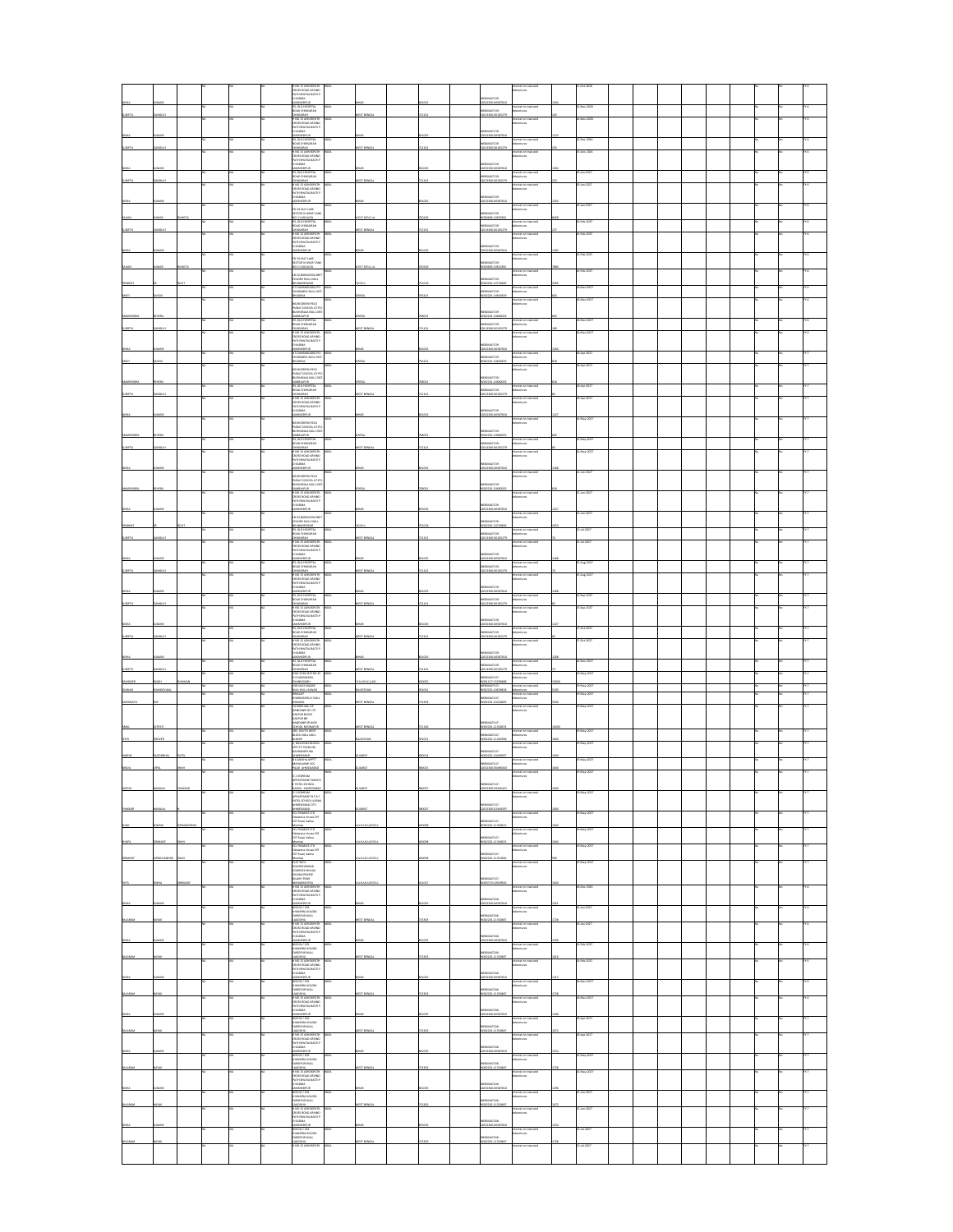|             |                  |  |  | O 15 KHOEPAT<br>H NO 15 ASHQIDALIH<br>DROSS ROAD ARVIND<br>PATH BHATIA BASTI P<br>D KADMA                                                                                                                                                                                                                                                                                                                                                                         |                     |       |                                                         | erest on r<br>Sentares                                           |   |                      |  |  |  |  |  |
|-------------|------------------|--|--|-------------------------------------------------------------------------------------------------------------------------------------------------------------------------------------------------------------------------------------------------------------------------------------------------------------------------------------------------------------------------------------------------------------------------------------------------------------------|---------------------|-------|---------------------------------------------------------|------------------------------------------------------------------|---|----------------------|--|--|--|--|--|
|             |                  |  |  |                                                                                                                                                                                                                                                                                                                                                                                                                                                                   |                     |       | E806IA7139<br>032300-0058                               |                                                                  |   | Nov-2021             |  |  |  |  |  |
|             |                  |  |  | AMSHEDPLIR<br>AMSHEDPLIR<br>IOND OHNSURAH                                                                                                                                                                                                                                                                                                                                                                                                                         | <b>MONGS</b> T23    |       | INERDINA7129-<br>12012200-00105279                      | arest on matured<br>bentures                                     |   |                      |  |  |  |  |  |
|             |                  |  |  | I NO 15 ASHOKPATH<br>2055 ROAD ARVIND<br>VITH BHATIA BASTI P<br>1 KADMA                                                                                                                                                                                                                                                                                                                                                                                           |                     |       |                                                         | irest on m.<br>iectures                                          |   |                      |  |  |  |  |  |
|             |                  |  |  | ANSHEDRUR<br>II, OLD HOSPITAL<br>DAD OHINSURAH                                                                                                                                                                                                                                                                                                                                                                                                                    |                     |       | 806A7139<br>032300-005878                               |                                                                  |   |                      |  |  |  |  |  |
|             |                  |  |  |                                                                                                                                                                                                                                                                                                                                                                                                                                                                   | <b>AGNET BENGAL</b> |       | INERDILA7120-<br>12012200-0010527                       | interest on matured<br>debentures                                |   |                      |  |  |  |  |  |
|             |                  |  |  | <b>SUNSURAH<br/>FRO 15 ASHORPATH<br/>SOSS ROAD ARVING<br/>HITH BHATIA BASTI P<br/>FROMAN<br/>FROMAN</b>                                                                                                                                                                                                                                                                                                                                                           |                     |       |                                                         |                                                                  |   |                      |  |  |  |  |  |
|             |                  |  |  | WSHEDRUR<br>3, OLD HOSPITAL<br>OAD CHINSURAH                                                                                                                                                                                                                                                                                                                                                                                                                      |                     |       | 000A7139<br>122300-0058                                 | arest on m<br>bertures                                           |   |                      |  |  |  |  |  |
| <b>SPTA</b> |                  |  |  |                                                                                                                                                                                                                                                                                                                                                                                                                                                                   | AGNET BENGAL        |       | INEBORIA7139-<br>12013300-00105279                      | terest on mature<br>bentares                                     |   |                      |  |  |  |  |  |
|             |                  |  |  | CHINGURAH<br>HING 15 ASHQINPATH<br>CROSS ROAD ARVING<br>PATH BHATIA RASTI P                                                                                                                                                                                                                                                                                                                                                                                       |                     |       | E806A7139-                                              |                                                                  |   |                      |  |  |  |  |  |
|             |                  |  |  | ) KADMA<br>AMSHEDPLIR                                                                                                                                                                                                                                                                                                                                                                                                                                             |                     |       | 12032300-00587810                                       | erest on matured<br>Sentanes                                     |   |                      |  |  |  |  |  |
|             |                  |  |  | .<br>Fo an salt lake<br>Fector III near Tank                                                                                                                                                                                                                                                                                                                                                                                                                      | <b>SE BENGAL</b>    |       | E800A7129-<br>1200685-10632381                          |                                                                  |   |                      |  |  |  |  |  |
|             |                  |  |  | e) 11 Kölkata<br>12, OLD HOSPITAL<br>IOAD OHNSURAH                                                                                                                                                                                                                                                                                                                                                                                                                | EST BENGAL          |       | INGROUN7120-<br>0013300-0010527                         | interest on matured<br>debentures                                |   |                      |  |  |  |  |  |
|             |                  |  |  | ROAD OHNGURAH<br>DHINGURAH<br>H NO 15 ASHORPATH<br>DROSS ROAD ARVING<br>PATH BHATIA BASTI P<br>D KADMA<br>D KADMA                                                                                                                                                                                                                                                                                                                                                 |                     |       |                                                         | interest on matured<br>debentures                                |   | Feb 202              |  |  |  |  |  |
|             |                  |  |  |                                                                                                                                                                                                                                                                                                                                                                                                                                                                   |                     |       | INEBOILA7139-<br>12032300-00587810                      |                                                                  |   |                      |  |  |  |  |  |
|             |                  |  |  | o al salt laké<br>Ector III néar tana<br>ATAXADX 41 0                                                                                                                                                                                                                                                                                                                                                                                                             | ST BENGAL           |       | E806A7139-<br>IN300685-10632381                         | rrest on r<br>entanes                                            |   |                      |  |  |  |  |  |
|             |                  |  |  | LE-32,BARAGODA BRIT<br>COLONY NULL NULL                                                                                                                                                                                                                                                                                                                                                                                                                           |                     |       | INEBOILA7139-                                           | rrest on matured<br>ientures                                     |   |                      |  |  |  |  |  |
|             |                  |  |  | IHLIGANESWAR<br>IT ENHANDENDIA PO<br>IHAERAKPA NULL DIS<br>IHAERAK                                                                                                                                                                                                                                                                                                                                                                                                |                     |       | 102201-1072648                                          | interest on matured<br>debentures                                |   |                      |  |  |  |  |  |
|             | 400              |  |  |                                                                                                                                                                                                                                                                                                                                                                                                                                                                   | RISSA               | 6101  | INERDAN/129-<br>INGROAV120-                             | rest on matured                                                  |   |                      |  |  |  |  |  |
|             |                  |  |  | NGAR GREEN FIELD<br>PUBLIC SCHOOL AT PO<br>BUDHARALA NULL DIST                                                                                                                                                                                                                                                                                                                                                                                                    |                     |       | INEROEIA7129-<br>INGC2201-10682009                      | entures                                                          |   |                      |  |  |  |  |  |
|             |                  |  |  |                                                                                                                                                                                                                                                                                                                                                                                                                                                                   |                     |       |                                                         | interest on matured<br>debentures                                |   | 8-Mar-2027           |  |  |  |  |  |
|             |                  |  |  | UDHARAJA NULL DIST<br>AMBALPUR<br>GAO GHINGURAH<br>GAO GHINGURAH<br>HING IS AGHORPATH<br>ROSS ROAD ARVIND<br>ROSS ROAD ARVIND<br>ATH BHATIA BASTI P<br>KAOMA                                                                                                                                                                                                                                                                                                      |                     |       | INERDIAA7129-<br>12012200-0010527                       | irest on matured<br>ientures                                     |   | Mar-2027             |  |  |  |  |  |
|             |                  |  |  |                                                                                                                                                                                                                                                                                                                                                                                                                                                                   |                     |       | AE806A7139-<br>0032300-00587810                         |                                                                  |   |                      |  |  |  |  |  |
|             |                  |  |  | KALIMA<br>MSHEDPUR<br>HAMMIGADIA PO-<br>HAMMPA NULL DIST<br>HAMM                                                                                                                                                                                                                                                                                                                                                                                                  |                     |       | INERDIAA7129-<br>INGROEKA7129-                          | interest on matured<br>debentures                                |   | 8-Apr-2027           |  |  |  |  |  |
|             |                  |  |  |                                                                                                                                                                                                                                                                                                                                                                                                                                                                   |                     |       |                                                         | erest on matured<br>entures                                      |   | Apr-2022             |  |  |  |  |  |
| AAGNORA     | <b>GHERA</b>     |  |  | NEAR GREEN FIELD<br>PUBLIC SCHOOL AT-PO<br>BUDHARALA NULL DIST                                                                                                                                                                                                                                                                                                                                                                                                    | <b>RISSA</b>        | oos   | INEBORIA7139-<br>INGC2201-10682003                      |                                                                  |   |                      |  |  |  |  |  |
| <b>SPTA</b> |                  |  |  | ulinnade Well Lis<br>R. Old Hospital<br>Cald Chinsurah<br>Hinsurah<br>Hind IS ASHDEPATH                                                                                                                                                                                                                                                                                                                                                                           | <b>MONDS T226</b>   | ist   | INERONIA 7139-<br>1301 2300-00105279                    | interest on matured<br>debentures                                |   | vbr.52               |  |  |  |  |  |
|             |                  |  |  |                                                                                                                                                                                                                                                                                                                                                                                                                                                                   |                     |       |                                                         | erest on matured<br><b>Incentives</b>                            |   |                      |  |  |  |  |  |
|             |                  |  |  | CROSS ROAD ARVIND<br>PATH BHATIA BASTI P<br>PATH BHATIA BASTI P<br>D KADMA                                                                                                                                                                                                                                                                                                                                                                                        |                     |       | 490447139-<br>3032300-0054781                           |                                                                  |   | May-2022             |  |  |  |  |  |
|             |                  |  |  | isar green field<br>UBLIC SCHOOL AT-PO<br>IUDHARALA NULL DIST<br>AMBALPUR                                                                                                                                                                                                                                                                                                                                                                                         |                     |       |                                                         | erest on matured<br>Sentanes                                     |   |                      |  |  |  |  |  |
|             |                  |  |  |                                                                                                                                                                                                                                                                                                                                                                                                                                                                   |                     |       | NEBONIA7139-<br>NGC 2201-10682009                       | interest on matured<br>debentures                                |   | 6 May 2027           |  |  |  |  |  |
|             |                  |  |  | RUDHARALA NULL DES<br>SANGARI PUR<br>ROLD HOGPITAL<br>ROAD OHNSURAH<br>DHNGURAH<br>DHNGURAH<br>PATH BHATIA BASTI P<br>PATH BHATIA BASTI P                                                                                                                                                                                                                                                                                                                         |                     |       |                                                         | irest on matured<br>ientures                                     |   | May 2027             |  |  |  |  |  |
|             |                  |  |  |                                                                                                                                                                                                                                                                                                                                                                                                                                                                   |                     |       | EB06IA7139-                                             |                                                                  |   |                      |  |  |  |  |  |
|             |                  |  |  | <b>AURORIA</b>                                                                                                                                                                                                                                                                                                                                                                                                                                                    |                     |       | 032300-005878                                           | interest on matured<br>debentures                                |   | 2-aan-202            |  |  |  |  |  |
|             |                  |  |  | iear green field<br>UBLIC SCHOOL AT-PO<br>IUDHARALA NULL DIST                                                                                                                                                                                                                                                                                                                                                                                                     |                     |       | INEBOILA7139-<br>302201-10682                           |                                                                  |   |                      |  |  |  |  |  |
|             |                  |  |  | SAMBALPLIR<br>H NO 15 ASHOKPATH<br>DROSS ROAD ARVIND<br>PATH BHATIA BASTI P                                                                                                                                                                                                                                                                                                                                                                                       |                     |       |                                                         | erest on matured<br>berbares                                     |   |                      |  |  |  |  |  |
|             |                  |  |  | KADMA<br>anskedplir                                                                                                                                                                                                                                                                                                                                                                                                                                               |                     |       | E806A7139-<br>2032300-00582810                          |                                                                  |   |                      |  |  |  |  |  |
|             |                  |  |  | LE-22 BARAGODA BRIT<br>COLONY NULL NULL<br>BHLIBANESWAR<br>R2AD CHINGURAH<br>R2AD CHINGURAH                                                                                                                                                                                                                                                                                                                                                                       |                     |       | AE806A7139-<br>002201-10726480                          | erest on matured<br>Sentares                                     |   |                      |  |  |  |  |  |
|             |                  |  |  |                                                                                                                                                                                                                                                                                                                                                                                                                                                                   |                     |       | INGROUN7120-<br>12012200-001052                         | erest on matured<br>Sentures                                     |   |                      |  |  |  |  |  |
|             |                  |  |  | HINGURAH<br>NG 15 ASHORPATH<br>ROSS ROAD ARVING<br>NADMA<br>KADMA                                                                                                                                                                                                                                                                                                                                                                                                 |                     |       |                                                         | erest on matured<br>bentures                                     |   |                      |  |  |  |  |  |
|             |                  |  |  | MANGORUR<br>MASHEDRUR<br>ORD OHNSURAH                                                                                                                                                                                                                                                                                                                                                                                                                             |                     |       | INERDILA7129-<br>12032300-00582810                      |                                                                  |   |                      |  |  |  |  |  |
|             |                  |  |  |                                                                                                                                                                                                                                                                                                                                                                                                                                                                   | EST BENGA           |       | INGROSSA7120-<br>12012200-0010527                       | interest on matured<br>debertures                                |   | Aug-2027             |  |  |  |  |  |
|             |                  |  |  | MINISTRALI<br>NO 15 ASHOKPATH<br>NOSS ROAD ARVIND<br>NTH BHATIA BASTI P<br>NAOMA                                                                                                                                                                                                                                                                                                                                                                                  |                     |       |                                                         | interest on matured<br>debentures                                |   | Aug-2027             |  |  |  |  |  |
|             |                  |  |  | CALIMA<br>VEHEDPUR<br>M.D. CHINEURAH<br>M.D. CHINEURAH<br>INCURAH                                                                                                                                                                                                                                                                                                                                                                                                 |                     |       | INEBOILA7139-<br>12032300-00582810                      | interest on matured<br>debentures                                |   | iep-202              |  |  |  |  |  |
|             | <b>GULY</b>      |  |  | HARLIGHT                                                                                                                                                                                                                                                                                                                                                                                                                                                          | MEST BENGAL         |       | INEBOILA7139-<br>12013300-00105279                      | rest on matured                                                  |   | $500 - 302$          |  |  |  |  |  |
|             |                  |  |  |                                                                                                                                                                                                                                                                                                                                                                                                                                                                   |                     |       | NERDEN 7129-                                            | entanes                                                          |   |                      |  |  |  |  |  |
|             |                  |  |  |                                                                                                                                                                                                                                                                                                                                                                                                                                                                   |                     |       | 12032300-00582811<br>INERDON/7120-<br>12012200-00105270 | interest on matured<br>debentures                                |   | Oct-2027             |  |  |  |  |  |
|             |                  |  |  | $\begin{array}{l} \textbf{NINGJRAA} \\ \textbf{NINGJRAA} \\ \textbf{NOLS} \\ \textbf{NOLS} \\ \textbf{NOLS} \\ \textbf{NOLS} \\ \textbf{NOLS} \\ \textbf{NOLS} \\ \textbf{NOLS} \\ \textbf{NOLS} \\ \textbf{NOLS} \\ \textbf{NOLS} \\ \textbf{NOLS} \\ \textbf{NOLS} \\ \textbf{NOLS} \\ \textbf{NOLS} \\ \textbf{NOLS} \\ \textbf{NOLS} \\ \textbf{NOLS} \\ \textbf{NOLS} \\ \textbf{NOLS} \\ \textbf{NOLS} \\ \textbf{NOLS} \\$                                 | <b>AGNOR T224</b>   |       |                                                         | interest on matured<br>debentures                                |   | Oct-202              |  |  |  |  |  |
|             |                  |  |  |                                                                                                                                                                                                                                                                                                                                                                                                                                                                   |                     |       | 680647129-<br>12032300-0058781                          |                                                                  |   |                      |  |  |  |  |  |
|             |                  |  |  |                                                                                                                                                                                                                                                                                                                                                                                                                                                                   | <b>AGNET ST</b>     |       | INEBORIA7139-<br>12013300-00105279                      | interest on matured<br>debentures                                |   | Nov-2027             |  |  |  |  |  |
|             |                  |  |  |                                                                                                                                                                                                                                                                                                                                                                                                                                                                   |                     |       | FROM 2147-                                              | erest on matured<br>Sentanes                                     |   | May-2022             |  |  |  |  |  |
| LINLAN      | <b>MADELINAL</b> |  |  | ndigarh<br>Vuay Nagar<br><b>SAWA JAN LUL</b>                                                                                                                                                                                                                                                                                                                                                                                                                      | WHITZALAS           | 20020 | 301127-15296<br>ERDMA7147-<br>IN302201-10639428         | erest on matured<br>summa un natured<br>debentares<br>debentares | œ | May-2027<br>May-2027 |  |  |  |  |  |
|             |                  |  |  | NGOY<br><i>GOMAP</i> OLLY NULL<br>NGOY<br>ГАЙОЗНАЛ, GP                                                                                                                                                                                                                                                                                                                                                                                                            | ASK40 T22           | one   | INEB04IA7147-<br>INGC2201-10244                         | erest on matured                                                 |   |                      |  |  |  |  |  |
|             |                  |  |  | ANDANPUR 1 PS<br>ASPUR BLOCK<br>ASPUR NR<br>ANDANPUR HIGH                                                                                                                                                                                                                                                                                                                                                                                                         |                     |       |                                                         | bestates                                                         |   |                      |  |  |  |  |  |
|             |                  |  |  |                                                                                                                                                                                                                                                                                                                                                                                                                                                                   | <b>IST BENGA</b>    |       | INER04IA7147-<br>IN902201-11504674                      |                                                                  |   |                      |  |  |  |  |  |
|             |                  |  |  | HOOL MERMALE<br>5, SOUTH WEST<br>OOK NULL NULL<br>HOT                                                                                                                                                                                                                                                                                                                                                                                                             |                     |       | INERDILA7147-<br>INGE2201-11492                         | interest on matured<br>debentures                                |   | May-2027             |  |  |  |  |  |
|             |                  |  |  | <b>CINAR</b><br>, MAVIMAN BLOCKS<br>SPP S P STADIUM<br>MAVRANGPURA                                                                                                                                                                                                                                                                                                                                                                                                |                     |       | E806A7147-<br>002201-10400927                           | erest on matured<br>bentures                                     |   | May-2022             |  |  |  |  |  |
|             |                  |  |  | MODELING<br>MEDARAD<br>HANJADUN SOC<br>LDI AHMEDARA                                                                                                                                                                                                                                                                                                                                                                                                               |                     |       | FROM 2147-                                              | arest on matured<br>bentures                                     |   |                      |  |  |  |  |  |
|             |                  |  |  |                                                                                                                                                                                                                                                                                                                                                                                                                                                                   |                     |       |                                                         | interest on m.<br>debentures                                     |   |                      |  |  |  |  |  |
|             |                  |  |  | 3-1 VISHRAM<br>CRATELSCHOOL<br>CRATELSCHOOL<br>FRAMA AHMEDAMAD<br>ANNATASCHOOL<br>WANTELSCHOOL<br>WANTELSCHOOL<br>TELEMARD<br>TELEMARD<br>TELEMARD<br>TELEMARD<br>TELEMARD<br>TELEMARD                                                                                                                                                                                                                                                                            | ARAT                |       | A7147-<br>30-03445421<br>032300                         |                                                                  |   |                      |  |  |  |  |  |
|             |                  |  |  |                                                                                                                                                                                                                                                                                                                                                                                                                                                                   |                     |       |                                                         | erest on matured<br>ictures                                      |   |                      |  |  |  |  |  |
|             | wux              |  |  |                                                                                                                                                                                                                                                                                                                                                                                                                                                                   | IARAT               | 0007  | INEBOALA7147-<br>12032300-02444597                      | est on matured                                                   |   | May-2022             |  |  |  |  |  |
|             |                  |  |  | CL FINANCE LTD<br>delweist House Off<br>ST Road, Kalina                                                                                                                                                                                                                                                                                                                                                                                                           |                     |       | E806A7147-<br>02205-1130                                | <b>Intants</b>                                                   |   |                      |  |  |  |  |  |
|             |                  |  |  | fumbai<br>CL FINANCE LTD<br>delweiss House Off<br>ST Road, Kalina<br>fumbai                                                                                                                                                                                                                                                                                                                                                                                       |                     |       |                                                         | rest on matured<br>retures                                       |   | May-2027             |  |  |  |  |  |
|             |                  |  |  | Mumbai<br>ECL FINANCE LTD<br>Edelweiss House Off<br>LST Road, Kalina<br>Mumbai                                                                                                                                                                                                                                                                                                                                                                                    |                     |       | 6806M7147-<br>002201-11304                              |                                                                  |   | May-202              |  |  |  |  |  |
|             |                  |  |  |                                                                                                                                                                                                                                                                                                                                                                                                                                                                   |                     |       | E806A7147-<br>02201-112                                 | entans<br>.                                                      |   | May-2027             |  |  |  |  |  |
|             |                  |  |  | Aumbai<br>LAT NO 4<br>LOURISHANKAR<br>CAMPLEX SHIVAI<br>JAMARI PUNE<br>ALIMARI PUNE<br>ALIMARI PUNE                                                                                                                                                                                                                                                                                                                                                               |                     |       |                                                         | irest on matured<br>ientures                                     |   |                      |  |  |  |  |  |
|             |                  |  |  |                                                                                                                                                                                                                                                                                                                                                                                                                                                                   | <b>LARASHITE</b>    |       | E806A7147-<br>003719-10549506                           |                                                                  |   |                      |  |  |  |  |  |
|             |                  |  |  | NEARH PUNG<br>MANARASCHERA<br>H NO 15 ASHORPATH<br>CROSS ROAD ARVIND<br>PATH BHATIA BASTI P<br>O KADMA<br>JAMSHEDPUR<br>JAMSHEDPUR<br>MAS OF/O31                                                                                                                                                                                                                                                                                                                  |                     |       |                                                         | irest on mat<br>ientures                                         |   |                      |  |  |  |  |  |
|             |                  |  |  |                                                                                                                                                                                                                                                                                                                                                                                                                                                                   |                     |       | E806IA7266-<br>032300-00587816                          | rm vr                                                            |   |                      |  |  |  |  |  |
|             |                  |  |  | HANGHAA KOLONI<br>HANGHAA KOLONI                                                                                                                                                                                                                                                                                                                                                                                                                                  | <b>ST BENGAL</b>    |       | E806A7265-<br>002201-11250487                           |                                                                  |   |                      |  |  |  |  |  |
|             |                  |  |  | FARIDPUR NULL<br>LAUDCHA<br>H NO 15 AGHORPATH<br>CROSS ROAD ARVIND<br>PATH BHATH BASTI P<br>DAMSHDDPUR<br>MASHDDPUR<br>MASHDDPUR<br>MASHDDPUR<br>MASHDDPUR<br>MASHDDPUR<br>MASHDDPUR<br>MASHDDPUR<br>MASHDDPUR<br>MASHDDPUR                                                                                                                                                                                                                                       |                     |       |                                                         |                                                                  |   |                      |  |  |  |  |  |
|             |                  |  |  |                                                                                                                                                                                                                                                                                                                                                                                                                                                                   |                     |       | 30647266-<br>122300-0058                                |                                                                  |   |                      |  |  |  |  |  |
|             |                  |  |  |                                                                                                                                                                                                                                                                                                                                                                                                                                                                   |                     |       | 6806147266-<br>302201-11250                             | rrest on r<br>entanes                                            |   |                      |  |  |  |  |  |
|             |                  |  |  |                                                                                                                                                                                                                                                                                                                                                                                                                                                                   |                     |       |                                                         | rest on matured<br>entures                                       |   | Feb-202              |  |  |  |  |  |
|             |                  |  |  |                                                                                                                                                                                                                                                                                                                                                                                                                                                                   |                     |       | 480447246-<br>0032300-00547810                          | rest on matured                                                  |   | Mar-2022             |  |  |  |  |  |
|             |                  |  |  | $\begin{array}{l} \texttt{ABDEURALI} \\ \texttt{NLO IS AS RDEPARIA} \\ \texttt{NLO IS AG RDERAB} \\ \texttt{NLO IS AG RDERAB} \\ \texttt{NLO IS RDEARAB} \\ \texttt{NTh BAGRAB} \\ \texttt{NAD IS RDEARAB} \\ \texttt{NLOIS} \\ \texttt{NLOIS} \\ \texttt{MLOIS} \\ \texttt{NLOIS} \\ \texttt{NLOIS} \\ \texttt{NLOIS} \\ \texttt{NLOIS} \\ \texttt{NLOIS} \\ \texttt{NLOIS} \\ \texttt{NLOIS} \\ \texttt{NLOIS} \\ \texttt{NLOIS} \\ \texttt{NLOIS} \\ \texttt{$ | <b>ST BENGA</b>     |       | 6806A7266-<br>(302201-11350687                          | entares                                                          |   |                      |  |  |  |  |  |
|             |                  |  |  |                                                                                                                                                                                                                                                                                                                                                                                                                                                                   |                     |       |                                                         | erest on matured<br>entanes                                      |   | Mar-30               |  |  |  |  |  |
|             | <b>MAR1</b>      |  |  |                                                                                                                                                                                                                                                                                                                                                                                                                                                                   |                     |       | INEBORIA7246-<br>12032300-00587810                      | rest on matured                                                  |   | Apr-2022             |  |  |  |  |  |
|             |                  |  |  | MAISIGSPUR<br>MASIGSPUR<br>AMARIA KOLÓNI (ALLES MOLÓNI)<br>AMARIA KOLÓNI<br>AMARIA KOLÓNI<br>AMARIA (ALLES MOLÓNI)<br>SI SON ARINA AKSTIP<br>DI MASIGSPUR<br>MASIGSPUR KULL<br>MASIGSPUR KULL<br>AMARIA KOLÓNI<br>SON ARINA AKSTIP<br>ASS KOLÓNI ARINA AKSTIP<br>ASS                                                                                                                                                                                              |                     |       | E806M7246-<br>02201-1135048                             | enans                                                            |   |                      |  |  |  |  |  |
|             |                  |  |  |                                                                                                                                                                                                                                                                                                                                                                                                                                                                   |                     |       |                                                         | rest on matured<br>etates                                        |   | Apr-2027             |  |  |  |  |  |
|             |                  |  |  |                                                                                                                                                                                                                                                                                                                                                                                                                                                                   |                     |       | E804IA7246-<br>1032300-00587810                         |                                                                  |   | is May-2027          |  |  |  |  |  |
|             |                  |  |  |                                                                                                                                                                                                                                                                                                                                                                                                                                                                   |                     |       | NERDEIA 7246-<br>002201-1125048                         | interest on matured<br>debentares                                |   |                      |  |  |  |  |  |
|             |                  |  |  |                                                                                                                                                                                                                                                                                                                                                                                                                                                                   |                     |       |                                                         | rderest on matured<br>Sebentures                                 |   | May-2027             |  |  |  |  |  |
|             |                  |  |  |                                                                                                                                                                                                                                                                                                                                                                                                                                                                   |                     |       | 42804147246-<br>2032300-00587810                        |                                                                  |   | us-202               |  |  |  |  |  |
|             |                  |  |  | AMENGORUR<br>AMENGORUR<br>HANEHRA KOLONI<br>ARIDPUR NULL<br>ARIDPUR NULL<br>ARIDPUR NULL                                                                                                                                                                                                                                                                                                                                                                          |                     |       | INEBOILA7266-<br>002201-1135                            |                                                                  |   |                      |  |  |  |  |  |
|             |                  |  |  | AUDOHA<br>I NO 15 ASHDEPATH<br>ROSS ROAD ARVIND<br>ATH BHATIA BASTI P<br>I KADMA                                                                                                                                                                                                                                                                                                                                                                                  |                     |       |                                                         |                                                                  |   |                      |  |  |  |  |  |
|             |                  |  |  |                                                                                                                                                                                                                                                                                                                                                                                                                                                                   |                     |       | 2804147246<br>0032300-00587810                          |                                                                  |   |                      |  |  |  |  |  |
|             |                  |  |  | AMSHEDELR<br>ANSHEDELR<br>HANSHEAA KOLONI<br>ARDPUR NULL<br>ARDPUR NULL                                                                                                                                                                                                                                                                                                                                                                                           |                     |       | E800A7266-                                              | rest on ma<br>retures                                            |   |                      |  |  |  |  |  |
|             |                  |  |  | UJDOHA<br>NO 15 ASHO                                                                                                                                                                                                                                                                                                                                                                                                                                              | ST BENGAL           |       | 002201-11250487                                         |                                                                  |   |                      |  |  |  |  |  |
|             |                  |  |  |                                                                                                                                                                                                                                                                                                                                                                                                                                                                   |                     |       |                                                         |                                                                  |   |                      |  |  |  |  |  |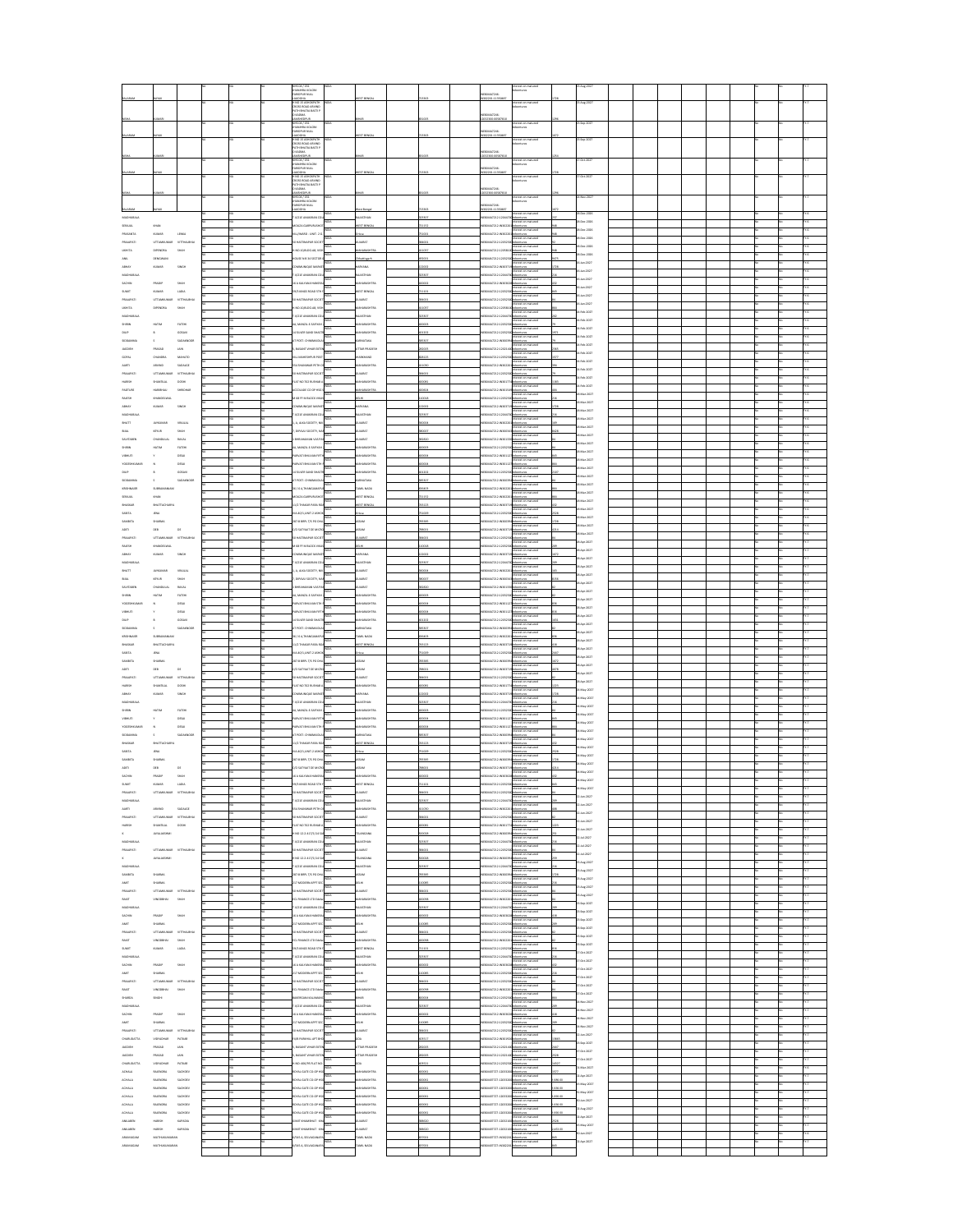|                            |                                             |                                |  | IS 04 / 021<br>NIHA KOLONI<br>IDPUR NULL                       |                         |                                             |                 |                                                  | terest on matured<br>debentures                                    |                              |                            |  |  |  |  |  |
|----------------------------|---------------------------------------------|--------------------------------|--|----------------------------------------------------------------|-------------------------|---------------------------------------------|-----------------|--------------------------------------------------|--------------------------------------------------------------------|------------------------------|----------------------------|--|--|--|--|--|
|                            |                                             |                                |  | IDSS ROAD ARVINI<br>IDSS ROAD ARVINI<br>ITH BHATIA BASTI       |                         |                                             |                 |                                                  | arest on m<br>bentures                                             |                              |                            |  |  |  |  |  |
|                            |                                             |                                |  |                                                                |                         |                                             |                 | COMMA 7740                                       |                                                                    |                              |                            |  |  |  |  |  |
|                            |                                             |                                |  | $\frac{1000 \text{ MeV}}{101 / 001}$                           |                         |                                             |                 |                                                  | erest on matured<br>Sentares                                       |                              |                            |  |  |  |  |  |
|                            |                                             |                                |  | <b>IS KEHOLPA</b><br>ISS ROAD ARVIN<br>14 BHATIA BAST          |                         |                                             |                 |                                                  | erest on mat<br>Sentanes                                           |                              |                            |  |  |  |  |  |
|                            |                                             |                                |  | <b>KOPLR</b>                                                   |                         |                                             |                 | E806A7266<br>0032300-0058781                     |                                                                    |                              |                            |  |  |  |  |  |
|                            |                                             |                                |  | 2400 L.                                                        |                         |                                             |                 | EB06M7266                                        | arest on mature<br>bentures                                        |                              |                            |  |  |  |  |  |
|                            |                                             |                                |  | DOHA<br>vo 15 ashqidati<br>OSS Road Arvini<br>Thi Bhatia Basti |                         | <b>IST BENGAL</b>                           |                 | 002201-11250487                                  | erest on mat<br>Sentares                                           |                              |                            |  |  |  |  |  |
|                            |                                             |                                |  | <b>OMA</b>                                                     |                         |                                             |                 | E806A7265<br>032300-0058781                      |                                                                    |                              |                            |  |  |  |  |  |
|                            |                                             |                                |  | SMANY<br>SOI / 031<br>MAIHA KOLONI<br>AIDPUR NULL              |                         |                                             |                 | <b>DIMIATIAE</b>                                 | terest on matured<br>bentures                                      |                              |                            |  |  |  |  |  |
|                            |                                             |                                |  | <b>DOHA</b>                                                    |                         |                                             |                 | 102201-11250487                                  |                                                                    |                              |                            |  |  |  |  |  |
| <b>MADRUMLA</b><br>SERAUL  | <b>ISAN</b>                                 |                                |  | (21EANJERAN)<br>OLCA GARPURUSH                                 |                         | ASTHAN<br><b>AGNES</b> T23                  | 1152            | E804IA7212-12044<br>E806A7212-IN3022010Abertares | ebertures<br>Iterest on matured                                    |                              | 28-Dec-2026                |  |  |  |  |  |
| PRASANTA                   | <b>KIMAR</b>                                | <b>LENKA</b>                   |  | /www.uwt-2                                                     |                         |                                             |                 | 80647212-0002                                    | comatured<br>bentures<br>terest on matured                         |                              | 28 Oct-2026                |  |  |  |  |  |
| PRAIAPATI                  | UTTAMOUMAR VITTHALBHA                       |                                |  | HASTINAPLIR SOCIE                                              |                         | TARALL                                      | <b>HODS</b>     |                                                  | Identi<br>6806A7212-1202230 debestures<br>Extend on matured        |                              | 28 Oct-2026<br>28-0ec-2026 |  |  |  |  |  |
| LIKHTA<br>ANIL             | DIRENDRA<br>DENGINANI                       | SHAH                           |  | NO 10, BLDG-AR, V<br>OUSE N B 34 SECTOR                        |                         | hattigart                                   | 2001            | E806A7212-1205<br>AEBOAIA7212-1203230            | bentures<br>terest on matured                                      | ux.                          | 28 Onc-2026                |  |  |  |  |  |
| Alisat                     | <b>KIMAR</b>                                | SINGH                          |  | MMJNQUE MAR                                                    |                         | <b>ANWA</b>                                 |                 | E806A7212-IN30                                   | bentures<br>arest on matured<br>entures<br>rest on matured         | 1728                         | 6 an 2027                  |  |  |  |  |  |
| MADHURALA                  |                                             |                                |  | 4/21E ANJERAN CO                                               |                         | <b>MASTHAN</b>                              | 22207           | E806A7212-1204470                                | ebentures<br>réenut on matured                                     | as and                       | G-Jan-2027<br>6-Jan-2027   |  |  |  |  |  |
| $SAGHN$<br>SLIMIT          | PAADEP<br><b>KIMAR</b>                      | SHAH<br>LADIA                  |  | .<br>Fa kacimali hand<br>A/3 KINGS ROAD STH                    |                         | <b>HAASITAA</b><br>MEST BENGAL              | acces<br>11101  | E806A7212-IN309                                  | entures<br>reet on matured                                         | 432<br>842                   | 36-Jan-2027                |  |  |  |  |  |
| PRAIAPATI                  | UTTAMOJMAR                                  | VITHALIS                       |  | HASTINAPLIR SOCI                                               |                         | MAAT                                        | 4001            | 004A7212-1203230 debertures                      |                                                                    |                              | 26-jan-2027                |  |  |  |  |  |
| LIKHTA                     | DIPENDRA                                    | SHAH                           |  | NO. 10, BLDG-AR, VISI                                          | <b>ANSN</b>             | <b>WARASHTRA</b>                            | 1027            | E806A7212-12058                                  | Jebentures<br><sup>Let</sup> rond on matured                       |                              | $6 - 2022$<br>34 Feb 2027  |  |  |  |  |  |
| MADRIBALA                  | HATIM                                       | FATEH                          |  | 4/21E ANJERAN CI<br>LMANDS-C-SAFINA                            |                         | <b>LASTHAN</b><br><b>HAASHTAA</b>           | 22307           | 006A7212-1206<br>SERDHIA7212-1203230             | debentures<br>Interest co.m                                        | 802                          | 34 Feb 2027                |  |  |  |  |  |
| SHRN<br>$_{\rm DLD}$       | $\mathbf{a}$ .                              | $_{\rm GOSAM}$                 |  | SILVER SAND SHAST                                              | NOW <b>WILLIA</b>       | www.                                        | 11302           |                                                  | Sebentures<br>Interest on matured                                  | $^{321}$                     | 34 Feb 2027                |  |  |  |  |  |
| SIDDAMMA                   | $\sim$                                      | SADAKROOK                      |  | T POST-CHIMMAG                                                 | <b>NGW</b>              | <b>AMATAKA</b>                              |                 | E804A7212-IN300                                  | debentures<br>Imagest on matured                                   |                              | 16 Feb 2027<br>34 Feb 2027 |  |  |  |  |  |
| <b>INGDISH</b>             | $\text{PAAGAD}$<br><b>OUNDRA</b>            | $_{\rm JAN}$<br>MAHATO         |  | BASANT VIHAR EXTE<br>LL MAHESHPUR POST                         |                         | TTAR PRADESH<br><b>GWHAMP</b>               | 12005           | BONA7212-12021<br>6806A7212-1203230              | <b>Interession</b><br>60 debertures<br>Princed on matured          | 2365<br>co                   | 34 Feb 2027                |  |  |  |  |  |
| $\mathsf{GOPAL}$<br>AART1  | ARVIND                                      | SADALGE                        |  | .<br>Se skandinske petih                                       | <b>AIGH</b>             | www.com                                     | 1033            | 804M7212-M302                                    | debentures<br>Interest on matured<br>debentures.                   |                              | 34 Feb 2027                |  |  |  |  |  |
| PRAIAPATI                  | UTTAMOUMAR VITTHALEN                        |                                |  | HASTINAPLIR SOCIE                                              |                         | <b>IARAT</b>                                |                 | ER04(A7212-1203)                                 | .bettures<br>***** on matured                                      |                              | 34 Feb 3027<br>34 Feb 2027 |  |  |  |  |  |
| HARSH                      | SANTEAL                                     | $_{\text{DOSH}}$<br>SHRIDHAR   |  | LAT NO 702 RUSHA<br>CCOLADE CO OP HSC                          |                         | <b>MASICA</b>                               |                 | 806A7212-(N301)<br>6806A7212-HG10                | bentures<br>terest on matured                                      | 1183                         | 34 Feb 2027                |  |  |  |  |  |
| PADTURE<br>RAIGH           | <b>HARSBAND</b><br><b>SUNDERNL</b>          |                                |  | A 68 FF M BLOCK VW                                             |                         | <b>HAASITA</b>                              |                 | E806A7212-1203230                                | proentures<br>Interest on matured                                  | 44                           | 18-Mar-2027                |  |  |  |  |  |
| Alisan                     | $_{\text{max}}$                             | SINGH                          |  | MMUNCUE MAR                                                    | $\overline{\mathbf{z}}$ | <b>ANWA</b>                                 |                 | E806A7212-IN309                                  | bentures<br>arest on matured<br>entures<br>">" on matured          | $\frac{1}{2}$                | 18 Mar-2027<br>18 Mar-2027 |  |  |  |  |  |
| MADHURALA                  |                                             |                                |  | 4/21E ANUKRAN CI                                               |                         | LASTHAN<br><b>TARAT</b>                     | 2207            | E806A7212-1204670                                | bertares<br>terest on matured                                      | 16                           | 18-Mar-2027                |  |  |  |  |  |
| BHATT<br><b>BILNE</b>      | <b>AMOUMAR</b><br>KEYLIR                    | VRALAL<br>SHAH                 |  | A ALKA SOCIETY, I<br>DIPANLI SOCIETY, NA                       |                         | <b>TARALL</b>                               | cor             | E806A7212-IN302<br>6806A7212-IN300342            | bentures<br>arest on matured                                       | 428                          | 18-Mar-2027                |  |  |  |  |  |
| SANTAGEN                   | <b>OUNDER</b>                               | <b>RAWAL</b>                   |  | <b>HAHAMA VAS</b>                                              | <b>AGB</b>              | <b>TARALL</b>                               |                 | E806A7212-IN301                                  | bentures<br>arest on matured<br><b>MARK</b>                        |                              | 18 Mar-2027<br>18-Mar-2027 |  |  |  |  |  |
| SHRN                       | HATIM                                       | EATEH                          |  | A, MANZIL-E-SAFINA<br><b><i>RIATI BHUWN FIFT</i></b>           |                         | <b><i>UKARASHTRA</i></b><br><b>HAASITAA</b> | 6000            | E804M7212-1203230                                | bentures<br>arest on matured                                       |                              | 18 Mar-2027                |  |  |  |  |  |
| vaxum<br>YOGESHIGUMAR      | $\mathbf{Y}$ .<br>$_{\rm N}$                | $_{\text{DSSA}}$<br>DESAL      |  | ARWATI BHUWN STH                                               | $\overline{a}$          | <b>WAASHTAA</b>                             | <b>OOM</b>      | E806A7212-HG01<br>6806A7212-IN3011218            | bentures<br>erest on matured                                       |                              | 18-Mar-2027                |  |  |  |  |  |
| $_{\rm DLD}$               | $\mathbf{r}$                                | $_{\rm GOSAM}$                 |  | SLVER SAND SHA                                                 | <b>NOW</b>              | <b>HAASITA</b>                              |                 | E804A7212-12032                                  | bentares<br>terest on matured<br>entures<br>erest on matured       | $\frac{1}{2}$                | 18 Mar-2027<br>18-Mar-2027 |  |  |  |  |  |
| SIDDAMMA                   | S                                           | SADAKNOOR                      |  | T POST-CHIMMADLA                                               |                         | <b>AMATAKA</b>                              | 26307           | E806A7212-IN300                                  | abentures<br>réerest on matured                                    |                              | 18-Mar-2027                |  |  |  |  |  |
| KRSHANER<br>SERAUL         | SUBRAMANIAN<br><b>ISMN</b>                  |                                |  | / GA, THANGAMI<br><b>DUZA GARPURUSHO</b>                       |                         | MIL NADU<br>VEST BENGAL                     | acea<br>21152   | E806A7212-IN302                                  | entures<br>next on matured                                         | sa l<br>864                  | 18 Mar-2027                |  |  |  |  |  |
| BASOR                      | ENATTAQUARIA                                |                                |  | 1/2 THAILIR PARA RD                                            |                         | <b>MONGATION</b>                            | 0122            | COMATZ12-IN20271 debertures                      | 6306X7212-R00220 debestures<br>Interest on matured<br>atured       | $^{42}$                      | 18 Mar-2027<br>18 Mar-2027 |  |  |  |  |  |
| SARITA                     | <b>IDM</b>                                  |                                |  | A-83/1.UNIT-2 ASH                                              |                         |                                             | 1009            | ER04M7212-12032                                  | entures<br>ventures<br>erest on matured                            | 3528                         | 18 Mar-2027                |  |  |  |  |  |
| SAMBITA<br>ADITI           | SHAMA<br>06R                                | $\alpha$                       |  | 87-8 88PL T/S PO DH<br><b>JD SATYAXT DE MICR</b>               |                         | <b>SSAM</b><br><b>SSAM</b>                  | 12285           | 804A7212-MG00<br>E806A7212-IN3037                | lebertures<br>memi on matured                                      | 1728<br>0.14                 | 18 Mar-2027                |  |  |  |  |  |
| PAMAPAD                    | UTAMOJMAR VITHALBA                          |                                |  | HASTINAPLIR SOCIE                                              | <b>INA</b>              | <b>UMRAT</b>                                |                 | E804M7212-1203230                                | entures<br>rest on matured<br>Sectors.                             |                              | 18 Mar-2027                |  |  |  |  |  |
| RAIGH                      | <b>ISANDELWAL</b>                           |                                |  | GR FF M BLOCK VW                                               |                         | 140                                         |                 | 680647212-12032                                  | .<br>Kured<br>entares<br>ereit on matured                          | 100                          | 28-Apr-2027<br>28-Apr-2027 |  |  |  |  |  |
| Alisat<br><b>MADHURALA</b> | <b>KUMAR</b>                                | SINGH                          |  | CRANIUNICUS MAR<br>4/21E ANUKRAN CO                            |                         | aryana<br><b>UASTHAN</b>                    | 22002<br>cacc   | 806M7212-IN303<br>EB06A7212-12046                | debentures<br>Interest on matured                                  | 1672                         | 28-Apr-2027                |  |  |  |  |  |
| $_{\rm BHATT}$             | <b>JAYKUMAR</b>                             | VRAILAL                        |  | A ALKA SOCIETY, N                                              | <b>ANGIN</b>            | MANT                                        | zoos            | 006A7212-IN302                                   | abentures<br>terest on matured<br>personal                         | $\alpha$                     | 28-Apr-2027                |  |  |  |  |  |
| <b>BILKE</b>               | KEYLIR                                      | SHAH                           |  | DIPANSI SOCIETY, I                                             |                         | TARALL                                      | coor            | EB06M7212-IN300                                  | ientares<br>erest on matured                                       | 156                          | 8-Apr-2027<br>28-Apr-2027  |  |  |  |  |  |
| SANTAREN<br>SHRN           | <b>OVANDULAL</b><br>HATIM                   | <b>RAVAL</b><br><b>EATEN</b>   |  | <b>ERAHAMAN VAS P</b><br>LMANDS-C-SAFINA                       |                         | MANT<br><b>HARASHTRA</b>                    | 12920           | 04A7212-(N30)<br>6806A7212-120323                | bentures<br>arest on matured                                       |                              | 28-Apr-2027                |  |  |  |  |  |
| YOSSHOMAR                  | $\mathbf{N}$ .                              | OESAI                          |  | .<br>AWATI BHUWAN STH                                          | $rac{1}{2}$             | www.com                                     |                 | 806A7212-HG011                                   | pecentures<br>Interest on matured                                  |                              | 28-Apr-2027                |  |  |  |  |  |
| vaxuti                     | $\mathbf{v}$                                | $_{\text{DSSA}}$               |  | AWATI BHUWAN FIF                                               |                         | www.com                                     |                 | EBD6M7212-IN3011                                 | est on matured<br>ientures<br>erest on matured                     |                              | 28-Apr-2027<br>28-Apr-2027 |  |  |  |  |  |
|                            | $\mathbf{a}$ .                              | GOSAN                          |  | A SILVER SAND SHAS                                             |                         | <b><i>HARASHTRA</i></b>                     |                 |                                                  |                                                                    | 1631                         |                            |  |  |  |  |  |
| <b>DLIP</b>                |                                             |                                |  |                                                                |                         |                                             |                 |                                                  |                                                                    |                              | 28-Apr-2027                |  |  |  |  |  |
| SIDDAMMA<br>KRSHNADR       | $S = 1$<br>SUBRAMANIAM                      | SADAKNOOR                      |  | POST-CHIMMAG<br>G / G A, THANGAMAI                             | $\overline{u}$          | <b>NATAKA</b><br>WIL NADU                   | <b>FOR</b>      |                                                  | bentures<br>arest on matured                                       |                              | 28-Apr-2027                |  |  |  |  |  |
| BHASKAR                    | ENATTAQUARIA                                |                                |  | 1/2 THAKUR PARA P                                              |                         | AQUEST 222                                  |                 | 80647212-0000                                    | EB04M7212-IN302201@beetams<br>Interest on matured                  |                              | 28-Apr-2027                |  |  |  |  |  |
| SARITA                     | JONA.                                       |                                |  | A-40/1,UNT-2 ASHOR                                             |                         | cista.                                      | 1009            | E804M7212-1203230                                | entures<br>Inest on matured<br>bentures<br>arest on matured        | 3647                         | 28-Apr-2027<br>28-Apr-2027 |  |  |  |  |  |
| SAMETA<br>ADITI            | SHAMA<br>068                                | $_{\alpha}$                    |  | 0-4 889, T/S PO D<br>O SATYAJT DE MICR                         |                         | SSAM<br>MAZZA                               | <b>cos</b>      | 6806A7212-HG0371                                 | bentures<br>erest on matured                                       | 650                          | 28-Apr-2027                |  |  |  |  |  |
| PRAIAPATI                  | UTTAMOUMA                                   | VITHALIS                       |  | HASTINAPLIR SOC                                                | <b>AGM</b>              | <b>IMART</b>                                |                 | E806A7212-1203                                   | entures<br>rrest on matured                                        |                              | 28-Apr-2027                |  |  |  |  |  |
| <b>HARSH</b>               | SANTEAL                                     | DOSHI                          |  | LAT NO 702 RUSHAB                                              |                         | <b><i>HARASHTRA</i></b>                     | occes           | E806A7212-IN30177                                | setures<br>red on matured<br>bentures<br>erest on matured          | 1222                         | 28-Apr-2027<br>36-May-2027 |  |  |  |  |  |
| Allow<br>MADHURALA         | <b>KIMAR</b>                                | SINGH                          |  | MANUNGUE MAS<br>4/21E ANJERAN CO                               |                         | <b>GYMNA</b><br>ALASTHAN                    | 122002<br>22207 | ER04M7212-IN303<br>E806A7212-1204670             | .chanes<br>hert on matured                                         | 1728<br>216                  | 34-May-2027                |  |  |  |  |  |
| ${\sf SHRN}$               | HATIM                                       | <b>GODA</b>                    |  | MANZIL-C-SAFINA                                                |                         | www.mu                                      | cooa            | 04A7212-12032                                    | entures.<br>rest on matured<br>anussada                            |                              | 34-May-2027                |  |  |  |  |  |
| vasun                      | $\mathbf{Y}$ .                              | DESAU                          |  | <b>PARTI BHUWN FIFT</b>                                        |                         | <b>HAASHTAA</b>                             |                 | ER04M7212-IN301                                  | dentures<br>* v==t on matured                                      |                              | 4 May 2027<br>34-May-2027  |  |  |  |  |  |
| YOSSHOMAR<br>SIDDAMMA      | $_{\rm N}$<br>$\sim$                        | OESAI<br>SADAKNOOR             |  | <b>RUATI BHUWAN ST</b><br>T POST-CHIMMAG                       |                         | <b>MASICA</b><br><b>AMATAKA</b>             | 0004            | 06A7212-IN301<br>ER04H7212-HG00                  | debentures<br>Interest co.m                                        |                              | 4 May 2027                 |  |  |  |  |  |
| BASOR                      | BHATTAGHARYA                                |                                |  | 1/2 THAILIR FARA R                                             |                         | EST BENGAL                                  |                 | 06A7212-MGD                                      | bentures<br>arest on matured<br>bentures                           |                              | 34-May-2027                |  |  |  |  |  |
| SARITA                     | ana.                                        |                                |  | 4-83/1.UNIT-2.ASK                                              |                         |                                             |                 | 80687212-12032                                   | ectates<br>.<br>NN                                                 | 828                          | 6 May-2027<br>36-May-2027  |  |  |  |  |  |
| <b>SAMES</b><br>ADITI      | SAARAA<br>068                               | $_{\alpha}$                    |  | 2-4 889, T/S PO D<br>D SATYAST DE MICE                         |                         | SSAM<br>SSAM                                |                 | HA7212-IN31<br><b>BOALA 7717-JAG10</b>           | bertares<br>.<br>NN                                                | 1728                         | 4 May 2027                 |  |  |  |  |  |
| SACHIN                     | PRAQ1P                                      | 5448                           |  | A KACKANI HANS                                                 |                         |                                             |                 | HA7212-IN302                                     | atured                                                             | $^{22}$                      | 34-May-2027<br>34 May 2027 |  |  |  |  |  |
|                            |                                             |                                |  |                                                                |                         | MRAT                                        | cos.            |                                                  |                                                                    |                              | 34 May 2027                |  |  |  |  |  |
| PRAIAPATI<br>MADHURALA     | UTTAMOUMAR VITTHALBAN                       |                                |  | HASTINAPLIR SOCI<br>4/21E ANUKRAN C                            |                         | <b>UASTHAN</b>                              | 2207            | E804H7212-1203230<br>680647212-12046             | bertares<br>terest on matured                                      |                              | 22-aug-2027                |  |  |  |  |  |
| AMTI                       | ARVIND SADALGE                              |                                |  | Se SHANININAR PETH (                                           |                         | <b>HAASITAA</b>                             | 1033            | E806M7212-MG0220                                 | icentures<br>terest on matured<br>bertures<br>arest on matured     |                              | 22-Jun-2027<br>2-an-2027   |  |  |  |  |  |
| PRAIAPATI<br>HARSH         | UTTAMOUWAR VITTHALEN<br>SAMTLAL DOSH        |                                |  | HASTINAPLIR SOC<br>LAT NO 702 RUSHAB                           |                         | <b>IARAT</b><br><b><i>UKARASHTRA</i></b>    | acoss           | EBDNA7212-12032<br>6806A7212-IN30177             | <b>Cured</b>                                                       | 1223                         | 2-lun-2027                 |  |  |  |  |  |
| $\kappa$ .                 | <b><i>UKALAKSHMI</i></b>                    |                                |  | NO 12-2-417/1/14                                               |                         | ANGANA                                      |                 | E806A7212-IN300                                  | bentures<br>erest on matured<br>entares<br>rest on matured         |                              | 22-Jun-2027<br>22-au-2027  |  |  |  |  |  |
| MADHURALA                  |                                             |                                |  | 4/21E ANUKIRAN CO                                              |                         | <b>MAITZALA</b>                             | 22207           | E806A7212-1204670                                | bentures<br>terest on matured                                      |                              | 22-au-2027                 |  |  |  |  |  |
| PAMAPAD<br>$\mathbf{K}$ .  | UTTAMOUMAR VITTHALBAN<br><b>LKYALAKSHMI</b> |                                |  | HASTINAPLIR SOC<br>NO 12-2-417/1/14 S                          |                         | <b>TARALL</b><br><b>CLANGANA</b>            | 80000           | EBD4IA7212-12032<br>E804M7212-IN300              | .<br>Nind                                                          |                              | 22-au-2027                 |  |  |  |  |  |
| MADHURALA                  |                                             |                                |  | (21E ANJERAN C                                                 |                         | <b>UASTHAN</b>                              |                 | E804A7212-1204                                   | bentures<br>arest on matured<br>bentures<br>arest on matured       |                              | 23-Aug-2027<br>23-Aug-2027 |  |  |  |  |  |
| SAME/TA                    | SUGARA                                      |                                |  | 87-8 88PL T/S PO DH                                            |                         | MAZZ                                        | 82285           | E806A7212-IN300                                  | indentures<br>Interest on matured                                  | $_{22}$                      | 23-Aug-2027                |  |  |  |  |  |
| $AMT$<br>PRAIAPATI         | 948888<br>UTTAMOJAAR VITTHALBHA             |                                |  | 2 MODERN APPTS<br>HASTINAPLIR SOCIE                            |                         | <b>GLH</b><br>TARALLS                       | 100165          | E804A7212-12032<br>E806A7212-1203230             | ientures<br>erest on matured                                       |                              | 23-Aug-2027                |  |  |  |  |  |
| RANT                       | VIKODRAM SHAH                               |                                |  | FINANCE LTD Ed                                                 |                         | <b><i>HAASITAA</i></b>                      | $\infty$        | E806A7212-IN302                                  | ibentures<br>terest on matured<br>entures<br>rest on matured       |                              | 23-Aug-2027<br>23-Sep-2027 |  |  |  |  |  |
| MADHURALA                  |                                             |                                |  | 4/21E ANJERAN CO                                               |                         | <b>WANTERLAI</b>                            | 122307          | E806A7212-1204670                                | ibertures<br>terest on matured                                     | <b>esc</b>                   | 23-Sep-2027                |  |  |  |  |  |
| SACHN<br>AMT               | PAADIP<br><b>SUMMA</b>                      | SHAH                           |  | <b>GA KACKANI HANS</b><br><b>2 MODERN APPT SE</b>              |                         | www.com<br><b>GLH</b>                       | 00002<br>soos   | 80647212-0003<br>ER04M7212-12032                 | .<br>NM                                                            | $\overline{1}$<br><b>Sea</b> | 23-Sep-2027                |  |  |  |  |  |
| PRAIAPATI                  | UTTAMOUMAR VITTHALBHA                       |                                |  | HASTINAPLIR SOCI                                               |                         | <b>UARAT</b>                                | 100165          | 80447212-12032                                   | stured<br>abertures<br>Hered on matured                            |                              | 23-Sep-2027                |  |  |  |  |  |
| RAXIT                      | VINCORHAL                                   | SHAH                           |  | CL FINANCE LTD Edi                                             | <b>NG</b>               | <b>HAASHTAA</b>                             | soos            | 680647212-00022                                  | ectures<br>rest on matured                                         |                              | 23 Sep 2027<br>23-Sep-2027 |  |  |  |  |  |
| sum<br><b>MADRUSALA</b>    | <b>KIMAR</b>                                | LADIA                          |  | 9/2 KINGS ROAD STH<br>4/21E ANUKRAN C                          |                         | MONEY STA<br><b>WANTAME</b>                 | 11101<br>22207  | 80647212-1203230<br>E806A7212-12044              | Sebentures                                                         |                              | $2 - 0x + 2022$            |  |  |  |  |  |
| SACHIN                     | PAADEP                                      | SHAH                           |  | A KACKANI HAN                                                  | <b>DM</b>               | <b><i>UAASITA</i></b>                       | 00002           | 006A7212-(NGC)                                   | entures<br>Helt on matured<br>debentures<br>Interest on matured    | 432                          | 27-Oct-2027<br>7-Oct-2027  |  |  |  |  |  |
| AMT                        | SHAMA                                       |                                |  | 17 MODERN APPTS                                                |                         | 61H                                         | coss            | 6806A7212-120323                                 | Sebentures<br>Interest on matured                                  |                              | 27-Oct-2027                |  |  |  |  |  |
| PRAIAPATI<br>RAXIT         | UTTAMOJMAR VITTHALBAN<br><b>VINCORHAL</b>   | SHAH                           |  | HASTINAPLIR SOC<br>L FINANCE LTD Ed                            |                         | MAAT<br><b>HARASHTRA</b>                    | 84001<br>cosa   | 804147212-120323<br>E806A7212-HG02               | <b>Sebentures</b>                                                  |                              | 7-0ct-2027                 |  |  |  |  |  |
| SWWDA                      | 9864                                        |                                |  | ERGANI KALAN                                                   |                         |                                             | CO4             | 04/47212-12032                                   | bertares<br>erest on matured<br>bertures<br>arest on matured       |                              | 27-Oct-2027<br>34-Nov-2027 |  |  |  |  |  |
| MADHURALA                  |                                             |                                |  | 4/21E ANUKRAN C                                                | eba.                    | <b>MASTHAN</b>                              | 2207            | E806A7212-12046                                  | icentures<br>terest on matured                                     |                              | 34-Nov-2027                |  |  |  |  |  |
| SACHIN<br>AMT              | PRA24P<br>SUMMA                             | SHAH                           |  | <b>GA KACKANI HANS</b><br>T MODERN APPTS                       | š                       | www.mu<br>$H_{22}$                          | $\infty$        | 80647212-0005<br>EBD4IA7212-12032                | retures<br>rest on matured                                         |                              | 34 Nov-2027                |  |  |  |  |  |
| PRAIAPATI                  | UTTAMOJMAR VITTHALBAN                       |                                |  | HASTINAPLIR SOCIE                                              |                         | TARALL                                      | acces           | E804A7212-1203230                                | sebares<br>rest on matured                                         |                              | 36-Nov-2027                |  |  |  |  |  |
| <b>GUARLIGATTA</b>         | <b>WAGNAN</b>                               | $\ensuremath{\mathsf{PATCAR}}$ |  | <b>B PARKHILLAPT &amp;</b>                                     |                         |                                             |                 | E806A7212-IN306                                  | im<br>Joetunes<br>*send on matured<br>bentures<br>erest on matured |                              | 22-Jun-2027<br>23-Sep-2027 |  |  |  |  |  |
| IAGOSH<br><b>IAGOSH</b>    | PRASAD<br>$\text{PAAGAD}$                   | <b>JAIN</b><br>$_{\rm JAN}$    |  | <b>BASANT VIHAR EXTE</b><br><b>MANT VIRAR EXT</b>              | š                       | <b>UTTAR PRADESH</b><br>TTAR PRADESH        | 42005           | E804A7212-1202140<br>EBD4IA7212-12021            | bentures<br>terest on matured                                      | иo<br>$^{522}$               | 27-0ct-2027                |  |  |  |  |  |
| <b>CHARLIGATTA</b>         | VOYADHAR                                    | PATKAR                         |  | NO: 406/95 FLAT NO                                             |                         | ACD                                         | 33521           | E804M7212-1203230                                | .etares<br>*** on matured                                          | 14327                        | 7-0ct-2027                 |  |  |  |  |  |
| ADIAA                      | RAIDVORA                                    | SACHDEV                        |  | HALGATE CO-CP                                                  |                         | <b>MAASHTRA</b>                             |                 | 680407727-12033                                  | bentures<br>erest on matured<br>retures<br>met on matured          | $572 -$                      | 16-Mar-2027<br>02-Apr-2027 |  |  |  |  |  |
| <b>ADMA</b><br><b>ADMA</b> | RAIDIDRA<br>RAIDERA                         | SACHDEV<br>SADIDEV             |  | <b>ONAL GATE CO-OP H</b><br>HALGATE CO-OP H                    | $\overline{\infty}$     | ARRASIONA<br><b>HAASITAA</b>                | 1200            | 680407727-12032200<br>680407727-12033            | perdures<br>erest on matured                                       | 00.000<br>00.00              | 15-May-2027                |  |  |  |  |  |
| <b>ADVA A</b>              | RAIDVORA                                    | SACHDEV                        |  | OINLGATE CO-OP H                                               |                         | <b><i>UKABASHTRA</i></b>                    | 120000          | 690407727-12032200                               | <b>Kured</b>                                                       | 00.099.1                     | 1-May-2027                 |  |  |  |  |  |
| <b>ADMA</b>                | RAIDVORA                                    | SACHODV                        |  |                                                                |                         | <b>HAASITAA</b>                             | acces           | 680407727-12033                                  | entures<br>rest on matured                                         | 00.003.1                     | 0-lun-2027<br>2-Aug-2027   |  |  |  |  |  |
| <b>ADMA</b><br>ANLAREN     | RAIDVORA<br>WMSH                            | SACHDEV<br>KAPADIA             |  | ONA GATE CO-OP H<br>TARGMANT TM                                |                         | <b>HANGERA</b><br>ARAT                      | 00061<br>ccas   | 690407727-12032200<br>0407727-12032              | retures<br>rest on matured<br>pectang                              | 00.099.1<br>$528 -$          | 12-Apr-2027                |  |  |  |  |  |
| ANLAREN                    | HARISH                                      | KAPADIA                        |  | TAHRMAN TIM                                                    |                         | <b>IMRAT</b>                                | ccas            | 00000722-12032                                   | ectates<br><b>Cured</b>                                            | 453.00                       | S-May-2027                 |  |  |  |  |  |
| ARLMUGAM<br>ARUMUGAM       | MUTHUGAMAN<br>MUTHUKUMARAN                  |                                |  | SAS A SELVAGAN<br><b>GAS A SELVAGAN</b>                        |                         | MIL NADU<br>AMIL NADU                       | 27001<br>700s   | 00407727-N302<br>ER0407727-N2022                 | ebentures<br>Haraut co.m                                           | 536                          | 30-Jan-2027<br>12-Apr-2027 |  |  |  |  |  |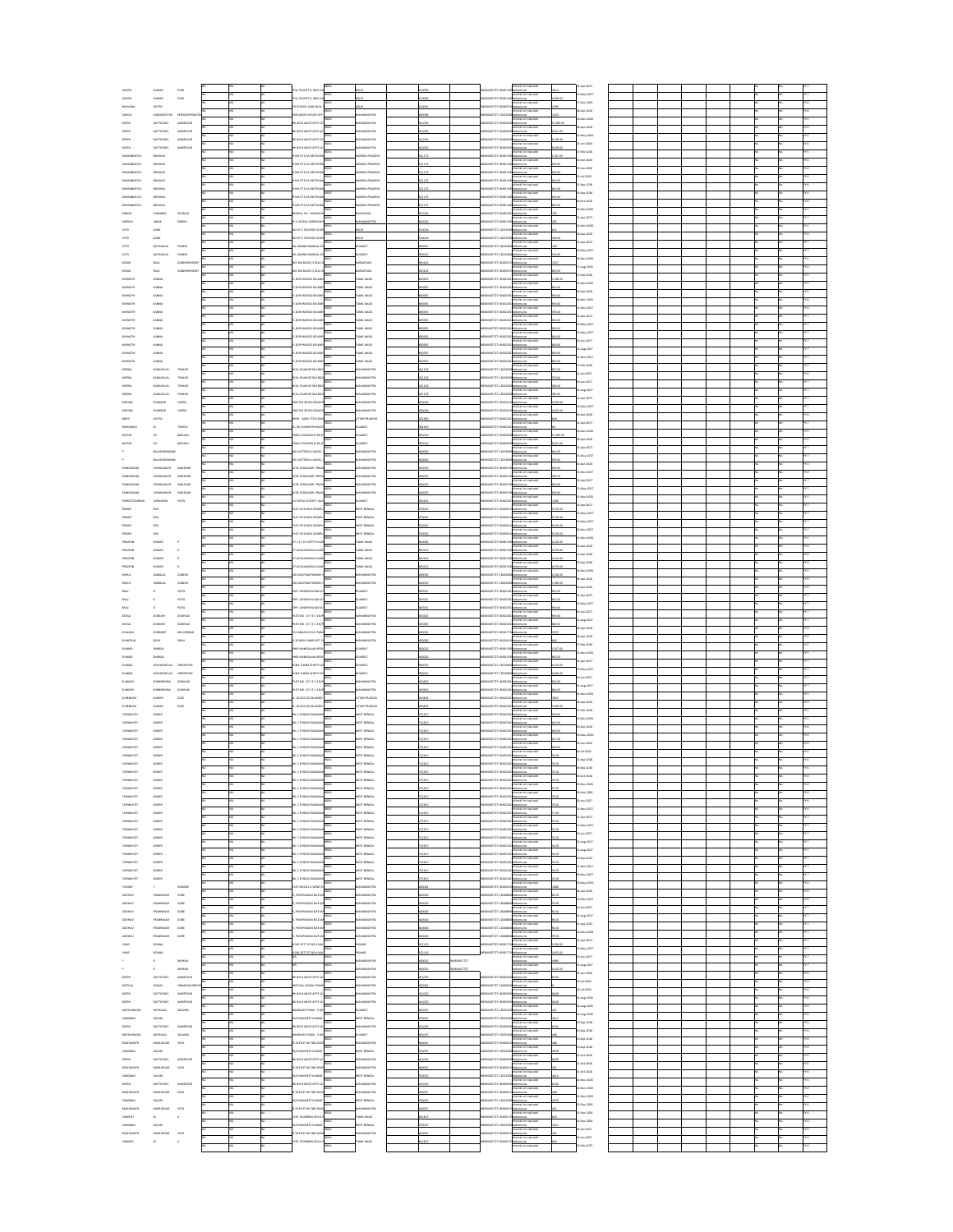